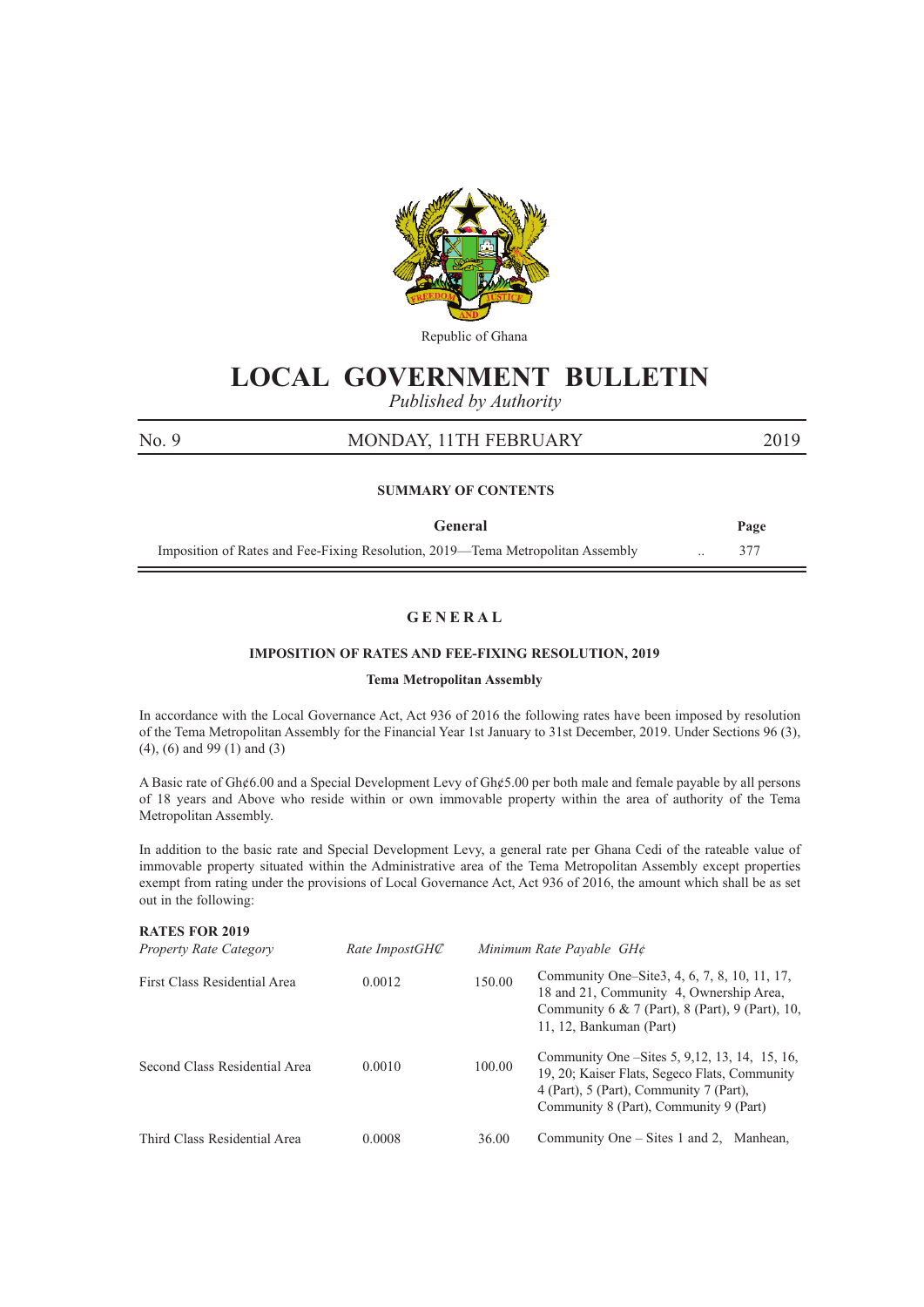

Republic of Ghana

# **LOCAL GOVERNMENT BULLETIN**

*Published by Authority*

### No. 9 MONDAY, 11TH FEBRUARY 2019

#### **SUMMARY OF CONTENTS**

| General                                                                        | Page |
|--------------------------------------------------------------------------------|------|
| Imposition of Rates and Fee-Fixing Resolution, 2019—Tema Metropolitan Assembly |      |

#### **G E N E R A L**

#### **IMPOSITION OF RATES AND FEE-FIXING RESOLUTION, 2019**

#### **Tema Metropolitan Assembly**

In accordance with the Local Governance Act, Act 936 of 2016 the following rates have been imposed by resolution of the Tema Metropolitan Assembly for the Financial Year 1st January to 31st December, 2019. Under Sections 96 (3), (4), (6) and 99 (1) and (3)

A Basic rate of Gh¢6.00 and a Special Development Levy of Gh¢5.00 per both male and female payable by all persons of 18 years and Above who reside within or own immovable property within the area of authority of the Tema Metropolitan Assembly.

In addition to the basic rate and Special Development Levy, a general rate per Ghana Cedi of the rateable value of immovable property situated within the Administrative area of the Tema Metropolitan Assembly except properties exempt from rating under the provisions of Local Governance Act, Act 936 of 2016, the amount which shall be as set out in the following:

| <b>RATES FOR 2019</b><br><b>Property Rate Category</b> | Rate ImpostGHC |        | Minimum Rate Payable GH¢                                                                                                                                                              |
|--------------------------------------------------------|----------------|--------|---------------------------------------------------------------------------------------------------------------------------------------------------------------------------------------|
| First Class Residential Area                           | 0.0012         | 150.00 | Community One–Site3, 4, 6, 7, 8, 10, 11, 17,<br>18 and 21, Community 4, Ownership Area,<br>Community 6 & 7 (Part), 8 (Part), 9 (Part), 10,<br>11, 12, Bankuman (Part)                 |
| Second Class Residential Area                          | 0.0010         | 100.00 | Community One – Sites 5, 9, 12, 13, 14, 15, 16,<br>19, 20; Kaiser Flats, Segeco Flats, Community<br>4 (Part), 5 (Part), Community 7 (Part),<br>Community 8 (Part), Community 9 (Part) |
| Third Class Residential Area                           | 0.0008         | 36.00  | Community One $-$ Sites 1 and 2, Manhean,                                                                                                                                             |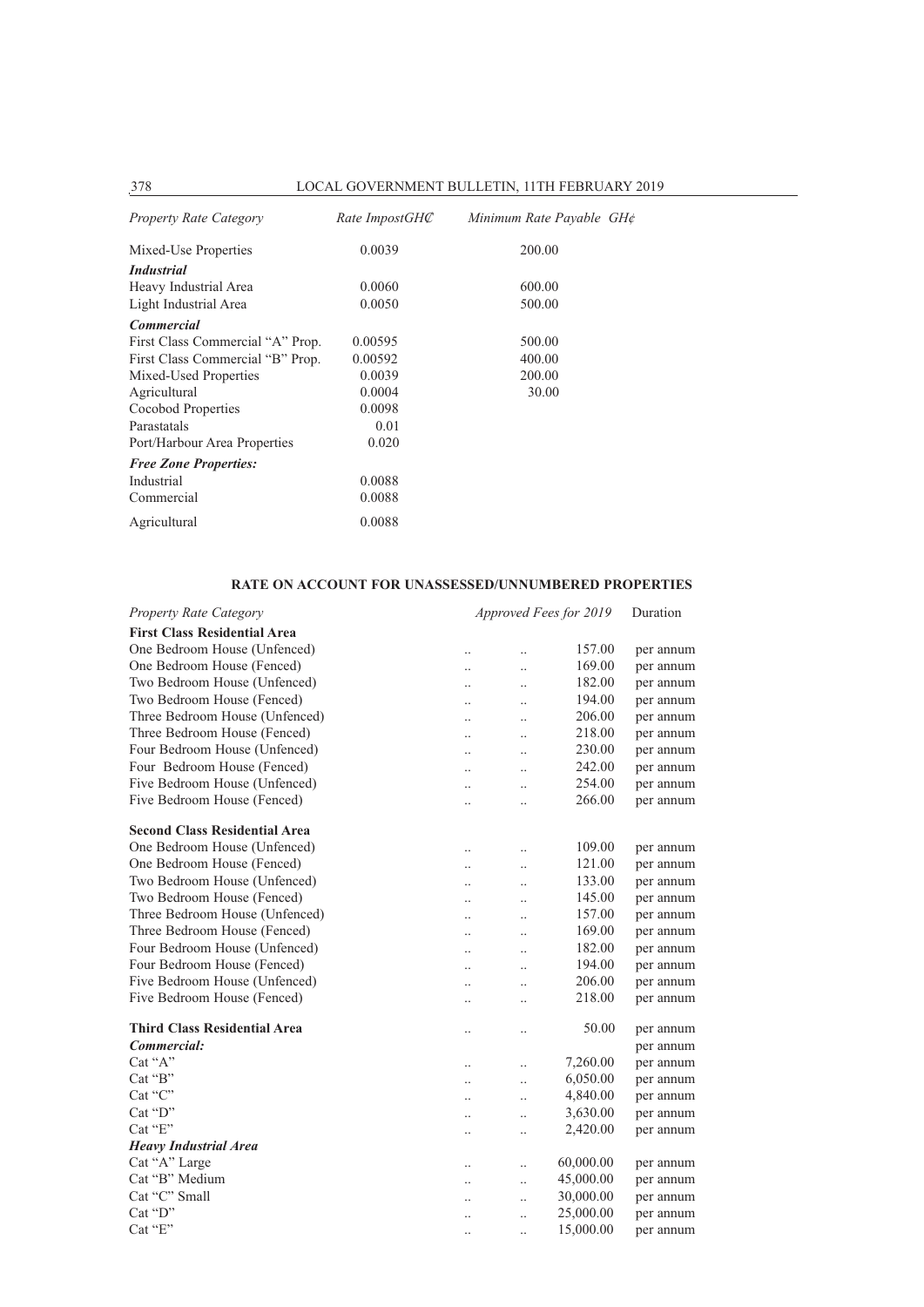| Property Rate Category           | Rate ImpostGHC | Minimum Rate Payable GH¢ |
|----------------------------------|----------------|--------------------------|
| Mixed-Use Properties             | 0.0039         | 200.00                   |
| <i>Industrial</i>                |                |                          |
| Heavy Industrial Area            | 0.0060         | 600.00                   |
| Light Industrial Area            | 0.0050         | 500.00                   |
| <b>Commercial</b>                |                |                          |
| First Class Commercial "A" Prop. | 0.00595        | 500.00                   |
| First Class Commercial "B" Prop. | 0.00592        | 400.00                   |
| Mixed-Used Properties            | 0.0039         | 200.00                   |
| Agricultural                     | 0.0004         | 30.00                    |
| Cocobod Properties               | 0.0098         |                          |
| Parastatals                      | 0.01           |                          |
| Port/Harbour Area Properties     | 0.020          |                          |
| <b>Free Zone Properties:</b>     |                |                          |
| Industrial                       | 0.0088         |                          |
| Commercial                       | 0.0088         |                          |
| Agricultural                     | 0.0088         |                          |

### **RATE ON ACCOUNT FOR UNASSESSED/UNNUMBERED PROPERTIES**

| <b>Property Rate Category</b>        |                      | Approved Fees for 2019 |           |           |
|--------------------------------------|----------------------|------------------------|-----------|-----------|
| <b>First Class Residential Area</b>  |                      |                        |           |           |
| One Bedroom House (Unfenced)         |                      |                        | 157.00    | per annum |
| One Bedroom House (Fenced)           | $\ddot{\phantom{0}}$ | $\ddot{\phantom{a}}$   | 169.00    | per annum |
| Two Bedroom House (Unfenced)         | $\ddotsc$            | $\ddotsc$              | 182.00    | per annum |
| Two Bedroom House (Fenced)           |                      | $\ddotsc$              | 194.00    | per annum |
| Three Bedroom House (Unfenced)       | $\ddotsc$            | $\ddotsc$              | 206.00    | per annum |
| Three Bedroom House (Fenced)         | $\ddotsc$            | $\ddotsc$              | 218.00    | per annum |
| Four Bedroom House (Unfenced)        | $\cdot$ .            |                        | 230.00    | per annum |
| Four Bedroom House (Fenced)          | $\ldots$             |                        | 242.00    | per annum |
| Five Bedroom House (Unfenced)        | $\ddotsc$            |                        | 254.00    | per annum |
| Five Bedroom House (Fenced)          |                      | $\cdot$                | 266.00    | per annum |
| <b>Second Class Residential Area</b> |                      |                        |           |           |
| One Bedroom House (Unfenced)         | $\ddotsc$            |                        | 109.00    | per annum |
| One Bedroom House (Fenced)           | $\ddot{\phantom{a}}$ | $\ddot{\phantom{a}}$   | 121.00    | per annum |
| Two Bedroom House (Unfenced)         | $\ddot{\phantom{a}}$ | $\ddot{\phantom{a}}$   | 133.00    | per annum |
| Two Bedroom House (Fenced)           | $\ddot{\phantom{a}}$ | $\ddot{\phantom{a}}$   | 145.00    | per annum |
| Three Bedroom House (Unfenced)       | $\ddot{\phantom{a}}$ | $\ddot{\phantom{a}}$   | 157.00    | per annum |
| Three Bedroom House (Fenced)         | $\ddot{\phantom{a}}$ | $\ddot{\phantom{a}}$   | 169.00    | per annum |
| Four Bedroom House (Unfenced)        |                      |                        | 182.00    | per annum |
| Four Bedroom House (Fenced)          |                      |                        | 194.00    | per annum |
| Five Bedroom House (Unfenced)        |                      |                        | 206.00    | per annum |
| Five Bedroom House (Fenced)          |                      |                        | 218.00    | per annum |
| <b>Third Class Residential Area</b>  |                      | $\cdot$                | 50.00     | per annum |
| Commercial:                          |                      |                        |           | per annum |
| Cat "A"                              |                      | $\ddotsc$              | 7,260.00  | per annum |
| Cat "B"                              |                      | $\ddotsc$              | 6,050.00  | per annum |
| Cat "C"                              |                      | $\ddotsc$              | 4,840.00  | per annum |
| Cat "D"                              |                      | $\ddot{\phantom{a}}$   | 3,630.00  | per annum |
| Cat "E"                              |                      | $\ddot{\phantom{a}}$   | 2,420.00  | per annum |
| <b>Heavy Industrial Area</b>         |                      |                        |           |           |
| Cat "A" Large                        |                      | $\ddotsc$              | 60,000.00 | per annum |
| Cat "B" Medium                       |                      | $\ddot{\phantom{0}}$   | 45,000.00 | per annum |
| Cat "C" Small                        |                      |                        | 30,000.00 | per annum |
| Cat "D"                              |                      | $\cdot$                | 25,000.00 | per annum |
| Cat "E"                              | $\ddot{\phantom{a}}$ | $\ddot{\phantom{a}}$   | 15,000.00 | per annum |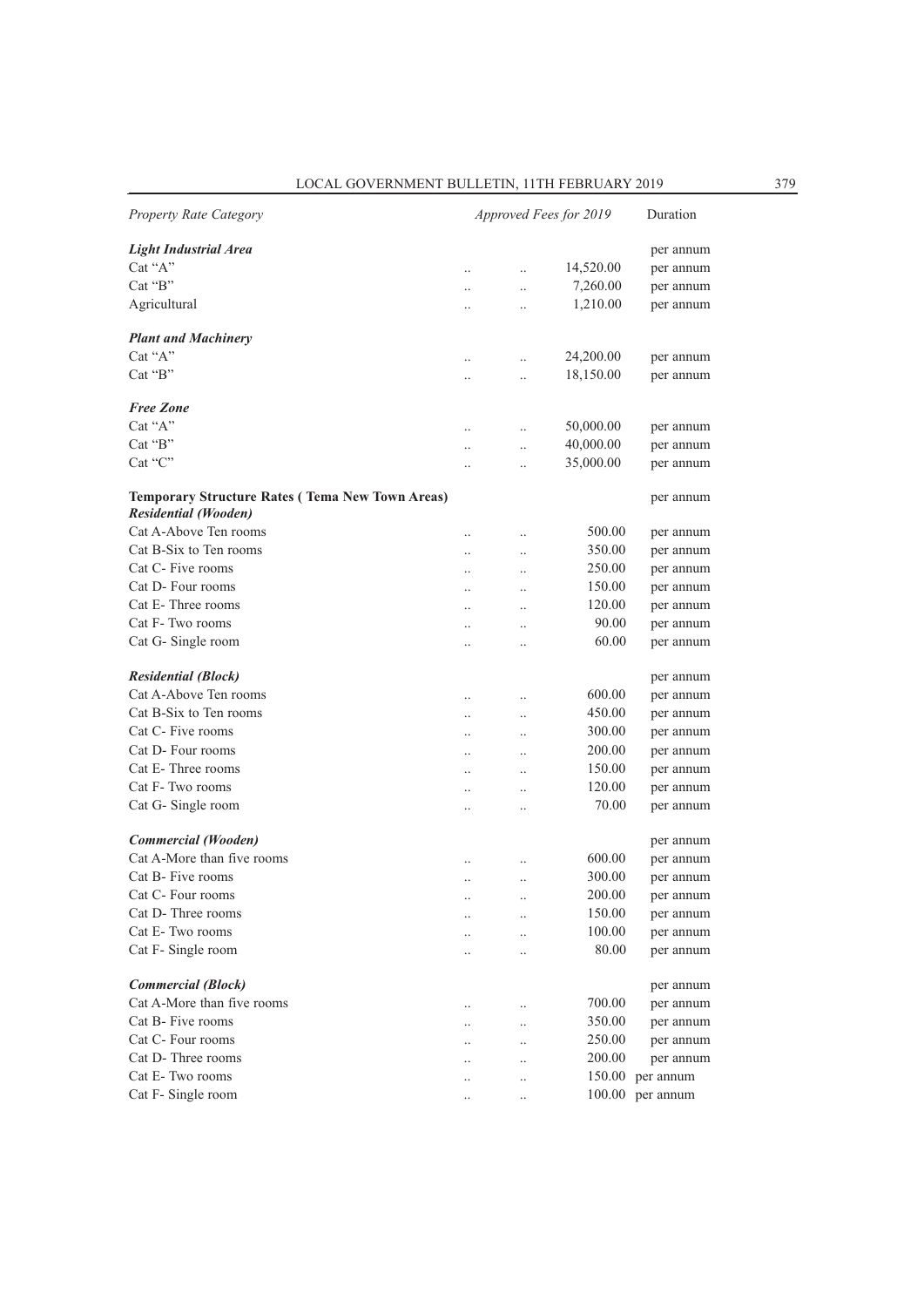| <b>Property Rate Category</b>                                                         | Approved Fees for 2019 |                      |           | Duration  |
|---------------------------------------------------------------------------------------|------------------------|----------------------|-----------|-----------|
| <b>Light Industrial Area</b>                                                          |                        |                      |           | per annum |
| Cat "A"                                                                               |                        | $\ddot{\phantom{0}}$ | 14,520.00 | per annum |
| Cat "B"                                                                               |                        | $\ddot{\phantom{a}}$ | 7,260.00  | per annum |
| Agricultural                                                                          |                        | $\ddot{\phantom{a}}$ | 1,210.00  | per annum |
| <b>Plant and Machinery</b>                                                            |                        |                      |           |           |
| Cat " $A$ "                                                                           |                        | $\ddot{\phantom{a}}$ | 24,200.00 | per annum |
| $Cat$ " $B$ "                                                                         |                        |                      | 18,150.00 | per annum |
| <b>Free Zone</b>                                                                      |                        |                      |           |           |
| Cat "A"                                                                               | $\ddot{\phantom{a}}$   | $\ddot{\phantom{a}}$ | 50,000.00 | per annum |
| Cat "B"                                                                               |                        | $\ddotsc$            | 40,000.00 | per annum |
| Cat "C"                                                                               |                        |                      | 35,000.00 | per annum |
|                                                                                       |                        |                      |           |           |
| <b>Temporary Structure Rates (Tema New Town Areas)</b><br><b>Residential (Wooden)</b> |                        |                      |           | per annum |
| Cat A-Above Ten rooms                                                                 |                        |                      | 500.00    |           |
| Cat B-Six to Ten rooms                                                                | $\ddot{\phantom{a}}$   |                      |           | per annum |
|                                                                                       |                        |                      | 350.00    | per annum |
| Cat C- Five rooms                                                                     |                        |                      | 250.00    | per annum |
| Cat D- Four rooms                                                                     |                        |                      | 150.00    | per annum |
| Cat E-Three rooms                                                                     |                        |                      | 120.00    | per annum |
| Cat F-Two rooms                                                                       | $\ddot{\phantom{a}}$   | $\ddot{\phantom{a}}$ | 90.00     | per annum |
| Cat G-Single room                                                                     | $\ddot{\phantom{a}}$   | $\ddot{\phantom{a}}$ | 60.00     | per annum |
| <b>Residential (Block)</b>                                                            |                        |                      |           | per annum |
| Cat A-Above Ten rooms                                                                 |                        |                      | 600.00    | per annum |
| Cat B-Six to Ten rooms                                                                | $\ddot{\phantom{a}}$   | $\ddot{\phantom{a}}$ | 450.00    | per annum |
| Cat C- Five rooms                                                                     |                        |                      | 300.00    | per annum |
| Cat D- Four rooms                                                                     |                        |                      | 200.00    | per annum |
| Cat E-Three rooms                                                                     |                        |                      | 150.00    | per annum |
| Cat F-Two rooms                                                                       |                        |                      | 120.00    | per annum |
| Cat G-Single room                                                                     |                        |                      | 70.00     | per annum |
| Commercial (Wooden)                                                                   |                        |                      |           | per annum |
| Cat A-More than five rooms                                                            |                        |                      | 600.00    | per annum |
| Cat B- Five rooms                                                                     |                        |                      | 300.00    | per annum |
| Cat C- Four rooms                                                                     |                        | $\ddot{\phantom{a}}$ | 200.00    | per annum |
| Cat D- Three rooms                                                                    |                        |                      | 150.00    | per annum |
| Cat E-Two rooms                                                                       |                        |                      | 100.00    | per annum |
| Cat F- Single room                                                                    |                        |                      | 80.00     | per annum |
|                                                                                       |                        |                      |           |           |
| <b>Commercial (Block)</b><br>Cat A-More than five rooms                               |                        |                      |           | per annum |
|                                                                                       |                        |                      | 700.00    | per annum |
| Cat B- Five rooms                                                                     |                        |                      | 350.00    | per annum |
| Cat C- Four rooms                                                                     |                        |                      | 250.00    | per annum |
| Cat D-Three rooms                                                                     |                        |                      | 200.00    | per annum |
| Cat E-Two rooms                                                                       |                        |                      | 150.00    | per annum |
| Cat F-Single room                                                                     |                        |                      | 100.00    | per annum |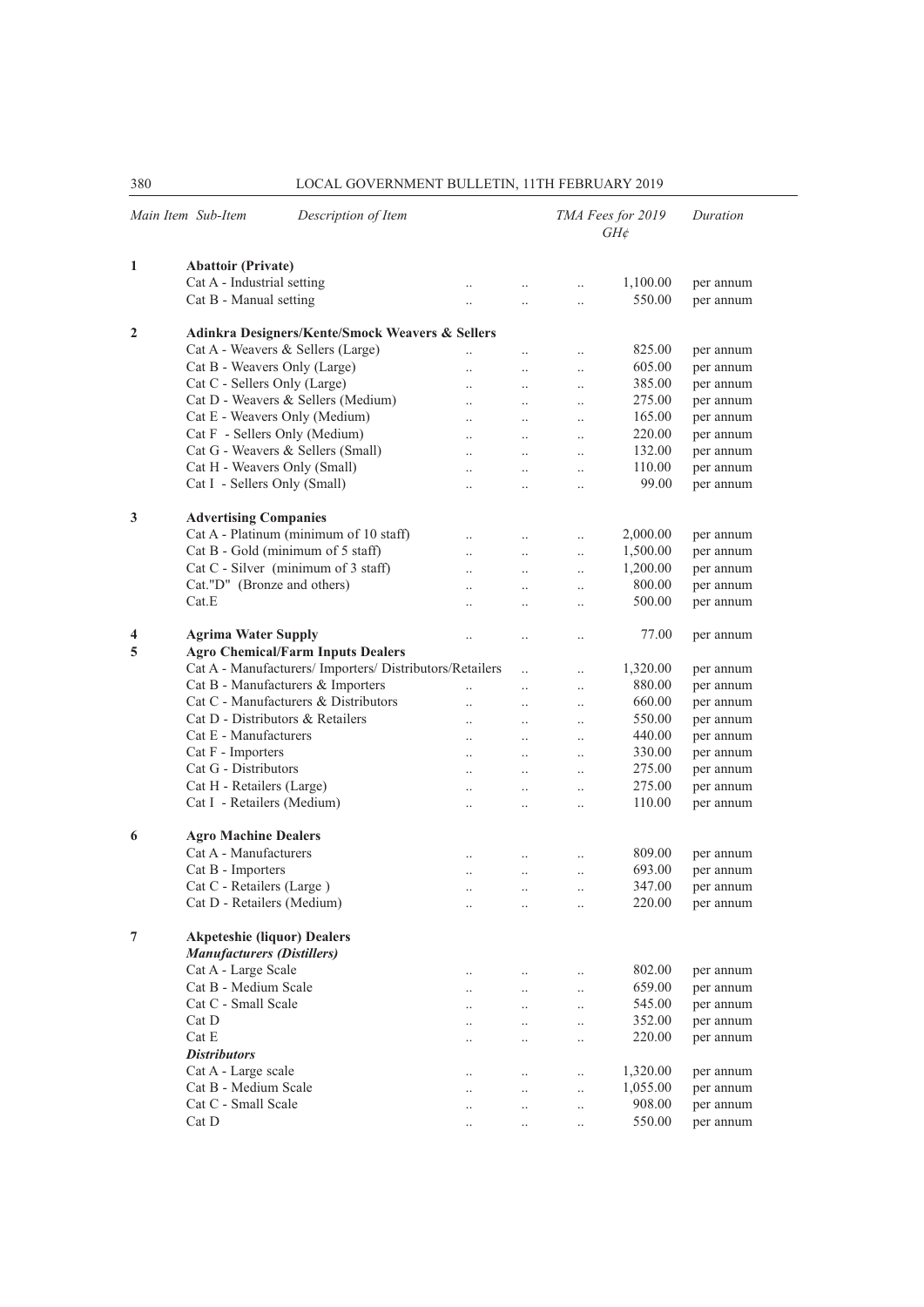| Main Item Sub-Item | Description of Item                                                                            |                      |                      |                      | TMA Fees for 2019<br>$GH\phi$ | Duration  |
|--------------------|------------------------------------------------------------------------------------------------|----------------------|----------------------|----------------------|-------------------------------|-----------|
| 1                  | <b>Abattoir (Private)</b>                                                                      |                      |                      |                      |                               |           |
|                    | Cat A - Industrial setting                                                                     |                      | $\ddot{\phantom{0}}$ | $\ddotsc$            | 1,100.00                      | per annum |
|                    | Cat B - Manual setting                                                                         | $\ddot{\phantom{a}}$ | $\ddot{\phantom{a}}$ | $\ddotsc$            | 550.00                        | per annum |
| $\mathbf{2}$       | Adinkra Designers/Kente/Smock Weavers & Sellers                                                |                      |                      |                      |                               |           |
|                    | Cat A - Weavers & Sellers (Large)                                                              |                      | $\ddot{\phantom{0}}$ | $\ddotsc$            | 825.00                        | per annum |
|                    | Cat B - Weavers Only (Large)                                                                   |                      | $\ddot{\phantom{a}}$ | $\ddotsc$            | 605.00                        | per annum |
|                    | Cat C - Sellers Only (Large)                                                                   | $\ddot{\phantom{a}}$ | $\ddot{\phantom{a}}$ | $\ddotsc$            | 385.00                        | per annum |
|                    | Cat D - Weavers & Sellers (Medium)                                                             | $\ddot{\phantom{a}}$ | $\ddotsc$            | $\ddotsc$            | 275.00                        | per annum |
|                    | Cat E - Weavers Only (Medium)                                                                  | $\ddotsc$            | $\ddotsc$            | $\ddot{\phantom{0}}$ | 165.00                        | per annum |
|                    | Cat F - Sellers Only (Medium)                                                                  | $\ddot{\phantom{0}}$ | $\ddot{\phantom{a}}$ | $\ddot{\phantom{0}}$ | 220.00                        | per annum |
|                    | Cat G - Weavers & Sellers (Small)                                                              |                      | $\ddot{\phantom{a}}$ |                      | 132.00                        | per annum |
|                    | Cat H - Weavers Only (Small)                                                                   | $\ddot{\phantom{a}}$ | $\ddot{\phantom{a}}$ | $\ddot{\phantom{a}}$ | 110.00                        | per annum |
|                    | Cat I - Sellers Only (Small)                                                                   | $\ddotsc$            | $\ddotsc$            | $\ddot{\phantom{0}}$ | 99.00                         | per annum |
|                    |                                                                                                |                      |                      |                      |                               |           |
| 3                  | <b>Advertising Companies</b>                                                                   |                      |                      |                      |                               |           |
|                    | Cat A - Platinum (minimum of 10 staff)                                                         |                      | $\ddot{\phantom{0}}$ | $\ddot{\phantom{0}}$ | 2,000.00                      | per annum |
|                    | Cat B - Gold (minimum of 5 staff)                                                              | $\ddotsc$            | $\ddotsc$            | $\ddotsc$            | 1,500.00                      | per annum |
|                    | Cat C - Silver (minimum of 3 staff)                                                            | $\ddot{\phantom{a}}$ | $\ddotsc$            | $\ddotsc$            | 1,200.00                      | per annum |
|                    | Cat."D" (Bronze and others)                                                                    | $\ddot{\phantom{0}}$ | $\ddot{\phantom{0}}$ | $\ddotsc$            | 800.00                        | per annum |
|                    | Cat.E                                                                                          | $\ddotsc$            | $\ddot{\phantom{a}}$ | $\ddot{\phantom{0}}$ | 500.00                        | per annum |
| 4<br>5             | <b>Agrima Water Supply</b><br>$\ddot{\phantom{a}}$<br><b>Agro Chemical/Farm Inputs Dealers</b> |                      |                      | $\ddot{\phantom{0}}$ | 77.00                         | per annum |
|                    | Cat A - Manufacturers/ Importers/ Distributors/Retailers                                       |                      | $\ddotsc$            | $\ddotsc$            | 1,320.00                      | per annum |
|                    | Cat B - Manufacturers & Importers                                                              | $\ddot{\phantom{a}}$ | $\ddot{\phantom{0}}$ | $\ddotsc$            | 880.00                        | per annum |
|                    | Cat C - Manufacturers & Distributors                                                           | $\ddot{\phantom{a}}$ |                      | $\ddot{\phantom{0}}$ | 660.00                        | per annum |
|                    | Cat D - Distributors & Retailers                                                               | $\ddot{\phantom{a}}$ | $\ddot{\phantom{a}}$ | $\ddot{\phantom{a}}$ | 550.00                        | per annum |
|                    | Cat E - Manufacturers                                                                          | $\ddot{\phantom{0}}$ | $\ddotsc$            | $\ddot{\phantom{0}}$ | 440.00                        | per annum |
|                    | Cat F - Importers                                                                              | $\ddotsc$            | $\ddotsc$            | $\ddot{\phantom{0}}$ | 330.00                        | per annum |
|                    | Cat G - Distributors                                                                           | $\ddot{\phantom{0}}$ | $\ddot{\phantom{a}}$ | $\ddot{\phantom{0}}$ | 275.00                        | per annum |
|                    | Cat H - Retailers (Large)                                                                      |                      | $\ddot{\phantom{a}}$ | $\ddot{\phantom{0}}$ | 275.00                        | per annum |
|                    | Cat I - Retailers (Medium)                                                                     | $\ddot{\phantom{a}}$ | $\ddot{\phantom{a}}$ | $\ddot{\phantom{a}}$ | 110.00                        | per annum |
|                    |                                                                                                |                      |                      |                      |                               |           |
| 6                  | <b>Agro Machine Dealers</b>                                                                    |                      |                      |                      |                               |           |
|                    | Cat A - Manufacturers                                                                          | $\ddotsc$            | $\ddot{\phantom{a}}$ | $\ddot{\phantom{0}}$ | 809.00                        | per annum |
|                    | Cat B - Importers                                                                              | $\ddotsc$            | $\ddot{\phantom{a}}$ | $\ddot{\phantom{0}}$ | 693.00                        | per annum |
|                    | Cat C - Retailers (Large)                                                                      | $\ddot{\phantom{a}}$ | $\ddotsc$            | $\ddot{\phantom{a}}$ | 347.00                        | per annum |
|                    | Cat D - Retailers (Medium)                                                                     |                      |                      |                      | 220.00                        | per annum |
| 7                  | <b>Akpeteshie (liquor) Dealers</b><br><b>Manufacturers (Distillers)</b>                        |                      |                      |                      |                               |           |
|                    | Cat A - Large Scale                                                                            | $\ddotsc$            | $\ddot{\phantom{0}}$ | $\ddotsc$            | 802.00                        | per annum |
|                    | Cat B - Medium Scale                                                                           | $\ddotsc$            | $\ddotsc$            | $\ddotsc$            | 659.00                        | per annum |
|                    | Cat C - Small Scale                                                                            | $\ddotsc$            | $\ddotsc$            | $\ddotsc$            | 545.00                        | per annum |
|                    | Cat D                                                                                          | $\ddotsc$            | $\ddotsc$            | $\ddot{\phantom{0}}$ | 352.00                        | per annum |
|                    | Cat E                                                                                          | $\ddotsc$            | $\ddot{\phantom{0}}$ | $\ddotsc$            | 220.00                        | per annum |
|                    | <b>Distributors</b>                                                                            |                      |                      |                      |                               |           |
|                    | Cat A - Large scale                                                                            | $\ddotsc$            | $\ddotsc$            | $\ddotsc$            | 1,320.00                      | per annum |
|                    | Cat B - Medium Scale                                                                           | $\ddotsc$            | $\ldots$             | $\ddotsc$            | 1,055.00                      | per annum |
|                    | Cat C - Small Scale                                                                            | $\ddotsc$            |                      | $\ddotsc$            | 908.00                        | per annum |
|                    | Cat D                                                                                          |                      |                      |                      | 550.00                        | per annum |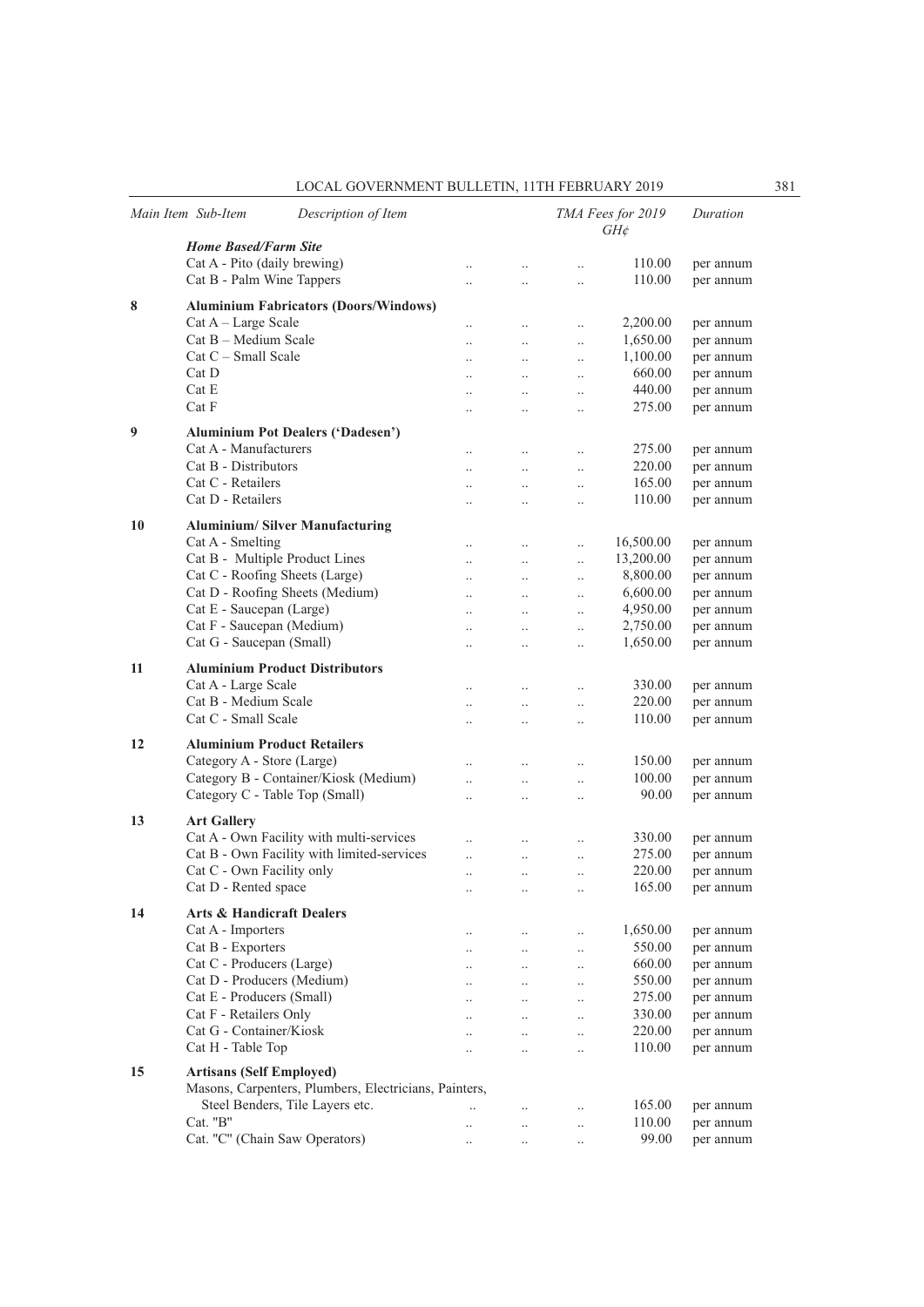|    | Main Item Sub-Item<br>Description of Item             |                      |                        |                       | TMA Fees for 2019<br>$GH\mathcal{E}$ | Duration  |
|----|-------------------------------------------------------|----------------------|------------------------|-----------------------|--------------------------------------|-----------|
|    | <b>Home Based/Farm Site</b>                           |                      |                        |                       |                                      |           |
|    | Cat A - Pito (daily brewing)                          | $\ddotsc$            | $\ddot{\phantom{0}}$   | $\ddotsc$             | 110.00                               | per annum |
|    | Cat B - Palm Wine Tappers                             | $\ddot{\phantom{a}}$ | $\ddot{\phantom{a}}$   | $\ddotsc$             | 110.00                               | per annum |
| 8  | <b>Aluminium Fabricators (Doors/Windows)</b>          |                      |                        |                       |                                      |           |
|    | $Cat A - Large Scale$                                 | $\ddotsc$            |                        |                       | 2,200.00                             | per annum |
|    | Cat B - Medium Scale                                  | $\ddotsc$            | $\ddotsc$<br>$\ddotsc$ | $\ddotsc$<br>$\ldots$ | 1,650.00                             | per annum |
|    | $Cat C - Small Scale$                                 |                      | $\ddotsc$              | $\ldots$              | 1,100.00                             | per annum |
|    | Cat D                                                 |                      |                        | $\ddot{\phantom{0}}$  | 660.00                               | per annum |
|    | Cat E                                                 | $\ddotsc$            | $\ddot{\phantom{0}}$   | $\ddotsc$             | 440.00                               | per annum |
|    | Cat F                                                 | $\ddotsc$            | $\ddotsc$              | $\ddotsc$             | 275.00                               | per annum |
|    |                                                       |                      |                        |                       |                                      |           |
| 9  | <b>Aluminium Pot Dealers ('Dadesen')</b>              |                      |                        |                       |                                      |           |
|    | Cat A - Manufacturers                                 |                      | $\ddotsc$              | $\ldots$              | 275.00                               | per annum |
|    | Cat B - Distributors                                  |                      |                        | $\ddotsc$             | 220.00                               | per annum |
|    | Cat C - Retailers                                     | $\ddotsc$            | $\ddotsc$              | $\ddotsc$             | 165.00                               | per annum |
|    | Cat D - Retailers                                     | $\ddotsc$            | $\ddotsc$              | $\ddotsc$             | 110.00                               | per annum |
| 10 | <b>Aluminium/Silver Manufacturing</b>                 |                      |                        |                       |                                      |           |
|    | Cat A - Smelting                                      | $\ddotsc$            | $\ddot{\phantom{0}}$   | $\ddotsc$             | 16,500.00                            | per annum |
|    | Cat B - Multiple Product Lines                        | $\ddotsc$            | $\ddot{\phantom{0}}$   | $\ddotsc$             | 13,200.00                            | per annum |
|    | Cat C - Roofing Sheets (Large)                        | $\ddot{\phantom{0}}$ | $\ddot{\phantom{0}}$   | $\ddotsc$             | 8,800.00                             | per annum |
|    | Cat D - Roofing Sheets (Medium)                       | $\ddot{\phantom{0}}$ | $\ddotsc$              | $\ddotsc$             | 6,600.00                             | per annum |
|    | Cat E - Saucepan (Large)                              | $\ddotsc$            | $\ddotsc$              | $\ldots$              | 4,950.00                             | per annum |
|    | Cat F - Saucepan (Medium)                             | $\ddot{\phantom{a}}$ | $\ddot{\phantom{0}}$   | $\ddotsc$             | 2,750.00                             | per annum |
|    | Cat G - Saucepan (Small)                              | $\ddotsc$            | $\ddotsc$              | $\ddotsc$             | 1,650.00                             | per annum |
|    |                                                       |                      |                        |                       |                                      |           |
| 11 | <b>Aluminium Product Distributors</b>                 |                      |                        |                       |                                      |           |
|    | Cat A - Large Scale                                   | $\ddotsc$            | $\ddot{\phantom{0}}$   | $\ddotsc$             | 330.00                               | per annum |
|    | Cat B - Medium Scale                                  | $\ddotsc$            | $\ddotsc$              | $\ddotsc$             | 220.00                               | per annum |
|    | Cat C - Small Scale                                   | $\ddot{\phantom{a}}$ | $\ddot{\phantom{0}}$   | $\ddotsc$             | 110.00                               | per annum |
| 12 | <b>Aluminium Product Retailers</b>                    |                      |                        |                       |                                      |           |
|    | Category A - Store (Large)                            |                      | $\ddot{\phantom{0}}$   | $\ddotsc$             | 150.00                               | per annum |
|    | Category B - Container/Kiosk (Medium)                 | $\ddotsc$            | $\ddotsc$              | $\ddotsc$             | 100.00                               | per annum |
|    | Category C - Table Top (Small)                        | $\ddotsc$            | $\ddotsc$              | $\ddotsc$             | 90.00                                | per annum |
|    |                                                       |                      |                        |                       |                                      |           |
| 13 | <b>Art Gallery</b>                                    |                      |                        |                       |                                      |           |
|    | Cat A - Own Facility with multi-services              | $\ddot{\phantom{a}}$ | $\ddot{\phantom{0}}$   | $\ddotsc$             | 330.00                               | per annum |
|    | Cat B - Own Facility with limited-services            | $\ddotsc$            | $\ddotsc$              | $\ddotsc$             | 275.00                               | per annum |
|    | Cat C - Own Facility only                             | $\ddot{\phantom{0}}$ | $\ddotsc$              | $\ldots$              | 220.00                               | per annum |
|    | Cat D - Rented space                                  |                      | $\cdot \cdot$          |                       | 165.00                               | per annum |
| 14 | <b>Arts &amp; Handicraft Dealers</b>                  |                      |                        |                       |                                      |           |
|    | Cat A - Importers                                     | $\ddotsc$            | $\ddotsc$              | $\ldots$              | 1,650.00                             | per annum |
|    | Cat B - Exporters                                     | $\ddotsc$            | $\ddotsc$              | $\ldots$              | 550.00                               | per annum |
|    | Cat C - Producers (Large)                             | $\ddotsc$            | $\ddotsc$              | $\ldots$              | 660.00                               | per annum |
|    | Cat D - Producers (Medium)                            | $\ddotsc$            | $\ddotsc$              | $\ldots$              | 550.00                               | per annum |
|    | Cat E - Producers (Small)                             | $\ddotsc$            | $\ddot{\phantom{0}}$   | $\ddotsc$             | 275.00                               | per annum |
|    | Cat F - Retailers Only                                | $\ddotsc$            | $\ddot{\phantom{0}}$   | $\ddotsc$             | 330.00                               | per annum |
|    | Cat G - Container/Kiosk                               | $\ddotsc$            | $\ddotsc$              | $\ddotsc$             | 220.00                               | per annum |
|    | Cat H - Table Top                                     | $\ddotsc$            | $\ddotsc$              | $\ddotsc$             | 110.00                               | per annum |
|    |                                                       |                      |                        |                       |                                      |           |
| 15 | <b>Artisans (Self Employed)</b>                       |                      |                        |                       |                                      |           |
|    | Masons, Carpenters, Plumbers, Electricians, Painters, |                      |                        |                       |                                      |           |
|    | Steel Benders, Tile Layers etc.                       |                      | $\ddotsc$              | $\ddotsc$             | 165.00                               | per annum |
|    | Cat. "B"                                              | $\ddotsc$            | $\ddotsc$              | $\ddotsc$             | 110.00                               | per annum |
|    | Cat. "C" (Chain Saw Operators)                        | $\ldots$             | $\ddotsc$              | $\ldots$              | 99.00                                | per annum |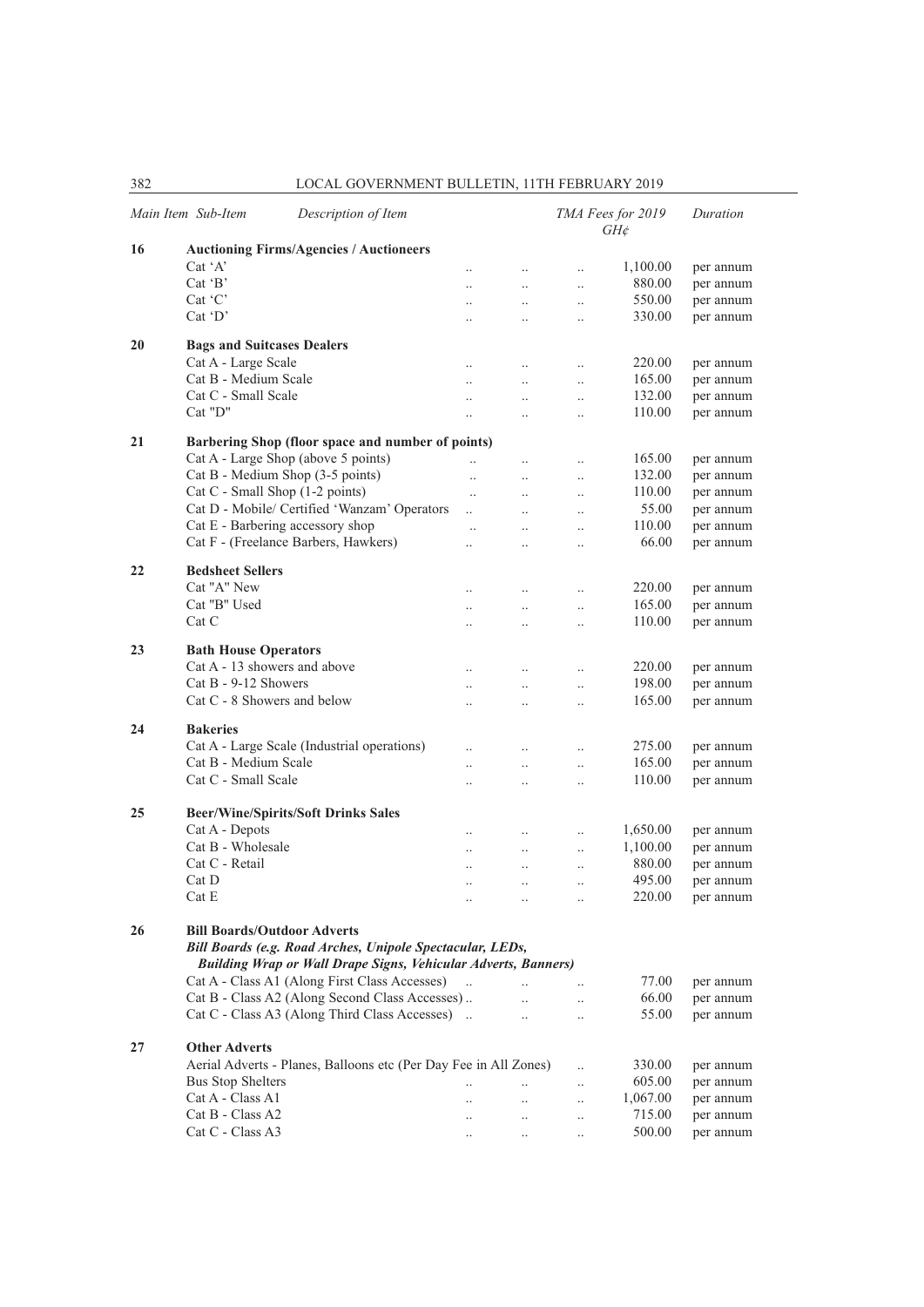|    | Main Item Sub-Item                                        | Description of Item                                                   |                                              |                                   |                                   | TMA Fees for 2019<br>$GH\phi$ | Duration  |  |  |  |
|----|-----------------------------------------------------------|-----------------------------------------------------------------------|----------------------------------------------|-----------------------------------|-----------------------------------|-------------------------------|-----------|--|--|--|
| 16 |                                                           | <b>Auctioning Firms/Agencies / Auctioneers</b>                        |                                              |                                   |                                   |                               |           |  |  |  |
|    | Cat 'A'                                                   |                                                                       | $\ddot{\phantom{a}}$                         | $\ldots$                          | $\ddot{\phantom{0}}$              | 1,100.00                      | per annum |  |  |  |
|    | $Cat$ $B$                                                 |                                                                       |                                              | $\ddotsc$                         | $\ddot{\phantom{a}}$              | 880.00                        | per annum |  |  |  |
|    | Cat 'C'                                                   |                                                                       | $\ddot{\phantom{0}}$                         | $\ddotsc$                         | $\ddotsc$                         | 550.00                        | per annum |  |  |  |
|    | Cat 'D'                                                   |                                                                       | $\ddot{\phantom{0}}$                         | $\ddotsc$                         | $\ddotsc$                         | 330.00                        | per annum |  |  |  |
| 20 | <b>Bags and Suitcases Dealers</b>                         |                                                                       |                                              |                                   |                                   |                               |           |  |  |  |
|    | Cat A - Large Scale                                       |                                                                       | $\ddotsc$                                    | $\ldots$                          | $\ddotsc$                         | 220.00                        | per annum |  |  |  |
|    | Cat B - Medium Scale                                      |                                                                       |                                              | $\ddotsc$                         | $\ddot{\phantom{0}}$              | 165.00                        | per annum |  |  |  |
|    | Cat C - Small Scale                                       |                                                                       | $\ddot{\phantom{a}}$                         | $\ddotsc$                         | $\ddotsc$                         | 132.00                        | per annum |  |  |  |
|    | Cat "D"                                                   |                                                                       | $\ddot{\phantom{0}}$                         | $\ddotsc$                         | $\ddotsc$                         | 110.00                        | per annum |  |  |  |
| 21 | Barbering Shop (floor space and number of points)         |                                                                       |                                              |                                   |                                   |                               |           |  |  |  |
|    |                                                           | Cat A - Large Shop (above 5 points)                                   |                                              | $\ddot{\phantom{0}}$              | $\ddotsc$                         | 165.00                        | per annum |  |  |  |
|    |                                                           | Cat B - Medium Shop (3-5 points)                                      | $\ddotsc$                                    | $\ddotsc$                         | $\ddotsc$                         | 132.00                        | per annum |  |  |  |
|    |                                                           | Cat C - Small Shop (1-2 points)                                       | $\ddotsc$                                    | $\ddot{\phantom{0}}$              | $\ddot{\phantom{0}}$              | 110.00                        | per annum |  |  |  |
|    |                                                           | Cat D - Mobile/ Certified 'Wanzam' Operators                          | $\ddot{\phantom{a}}$                         | $\ddotsc$                         | $\ddot{\phantom{a}}$              | 55.00                         | per annum |  |  |  |
|    |                                                           | Cat E - Barbering accessory shop                                      | $\ddotsc$                                    | $\ddotsc$                         | $\ddot{\phantom{a}}$              | 110.00                        | per annum |  |  |  |
|    |                                                           | Cat F - (Freelance Barbers, Hawkers)                                  | $\ddot{\phantom{a}}$                         | $\ddotsc$                         | $\ddotsc$                         | 66.00                         | per annum |  |  |  |
| 22 | <b>Bedsheet Sellers</b>                                   |                                                                       |                                              |                                   |                                   |                               |           |  |  |  |
|    | Cat "A" New                                               |                                                                       |                                              | $\ddotsc$                         | $\ddotsc$                         | 220.00                        | per annum |  |  |  |
|    | Cat "B" Used                                              |                                                                       | $\ddot{\phantom{a}}$                         | $\ddotsc$                         | $\ddotsc$                         | 165.00                        | per annum |  |  |  |
|    | Cat C                                                     |                                                                       | $\ddot{\phantom{a}}$                         | $\ddot{\phantom{a}}$              | $\ddot{\phantom{a}}$              | 110.00                        | per annum |  |  |  |
| 23 | <b>Bath House Operators</b>                               |                                                                       |                                              |                                   |                                   |                               |           |  |  |  |
|    | Cat A - 13 showers and above                              |                                                                       | $\ddot{\phantom{0}}$                         | $\ddotsc$                         | $\ddot{\phantom{0}}$              | 220.00                        | per annum |  |  |  |
|    | Cat B - 9-12 Showers                                      |                                                                       | $\ddot{\phantom{0}}$                         | $\ddotsc$                         | $\ddotsc$                         | 198.00                        | per annum |  |  |  |
|    | Cat C - 8 Showers and below                               |                                                                       | $\ddotsc$                                    | $\ddotsc$                         | $\ddotsc$                         | 165.00                        | per annum |  |  |  |
| 24 | <b>Bakeries</b>                                           |                                                                       |                                              |                                   |                                   |                               |           |  |  |  |
|    |                                                           | Cat A - Large Scale (Industrial operations)                           |                                              |                                   |                                   | 275.00                        | per annum |  |  |  |
|    | Cat B - Medium Scale                                      |                                                                       | $\ddotsc$                                    | $\ddotsc$                         | $\ddotsc$                         | 165.00                        | per annum |  |  |  |
|    | Cat C - Small Scale                                       |                                                                       | $\ddot{\phantom{a}}$<br>$\ddot{\phantom{a}}$ | $\ddotsc$<br>$\ddot{\phantom{a}}$ | $\ddotsc$<br>$\ddot{\phantom{a}}$ | 110.00                        | per annum |  |  |  |
|    |                                                           |                                                                       |                                              |                                   |                                   |                               |           |  |  |  |
| 25 |                                                           | <b>Beer/Wine/Spirits/Soft Drinks Sales</b>                            |                                              |                                   |                                   |                               |           |  |  |  |
|    | Cat A - Depots                                            |                                                                       |                                              | $\ddotsc$                         | $\ddotsc$                         | 1,650.00                      | per annum |  |  |  |
|    | Cat B - Wholesale                                         |                                                                       | $\ddotsc$                                    | $\ldots$                          | $\ddotsc$                         | 1,100.00                      | per annum |  |  |  |
|    | Cat C - Retail                                            |                                                                       | $\ddot{\phantom{a}}$                         | $\ddot{\phantom{a}}$              | $\ddotsc$                         | 880.00                        | per annum |  |  |  |
|    | Cat D                                                     |                                                                       | $\ddotsc$                                    | $\ddotsc$                         | $\ddot{\phantom{a}}$              | 495.00                        | per annum |  |  |  |
|    | $\operatorname{Cat}$ E                                    |                                                                       |                                              |                                   |                                   | 220.00                        | per annum |  |  |  |
| 26 |                                                           | <b>Bill Boards/Outdoor Adverts</b>                                    |                                              |                                   |                                   |                               |           |  |  |  |
|    | Bill Boards (e.g. Road Arches, Unipole Spectacular, LEDs, |                                                                       |                                              |                                   |                                   |                               |           |  |  |  |
|    |                                                           | <b>Building Wrap or Wall Drape Signs, Vehicular Adverts, Banners)</b> |                                              |                                   |                                   |                               |           |  |  |  |
|    |                                                           | Cat A - Class A1 (Along First Class Accesses)                         |                                              | $\dddot{\phantom{0}}$             |                                   | 77.00                         | per annum |  |  |  |
|    |                                                           | Cat B - Class A2 (Along Second Class Accesses)                        |                                              | $\dddot{\phantom{0}}$             | $\ddotsc$                         | 66.00                         | per annum |  |  |  |
|    |                                                           | Cat C - Class A3 (Along Third Class Accesses)                         |                                              | $\ddotsc$                         | $\ddotsc$                         | 55.00                         | per annum |  |  |  |
| 27 | <b>Other Adverts</b>                                      |                                                                       |                                              |                                   |                                   |                               |           |  |  |  |
|    |                                                           | Aerial Adverts - Planes, Balloons etc (Per Day Fee in All Zones)      |                                              |                                   |                                   | 330.00                        | per annum |  |  |  |
|    | <b>Bus Stop Shelters</b>                                  |                                                                       |                                              |                                   |                                   | 605.00                        | per annum |  |  |  |
|    | Cat A - Class A1                                          |                                                                       |                                              | $\ddotsc$                         | $\ldots$                          | 1,067.00                      | per annum |  |  |  |
|    | Cat B - Class A2                                          |                                                                       | $\ddot{\phantom{a}}$                         | $\ddotsc$                         | $\ddotsc$                         | 715.00                        | per annum |  |  |  |
|    | Cat C - Class A3                                          |                                                                       | $\ddotsc$                                    | $\ldots$                          | $\ddot{\phantom{0}}$              | 500.00                        | per annum |  |  |  |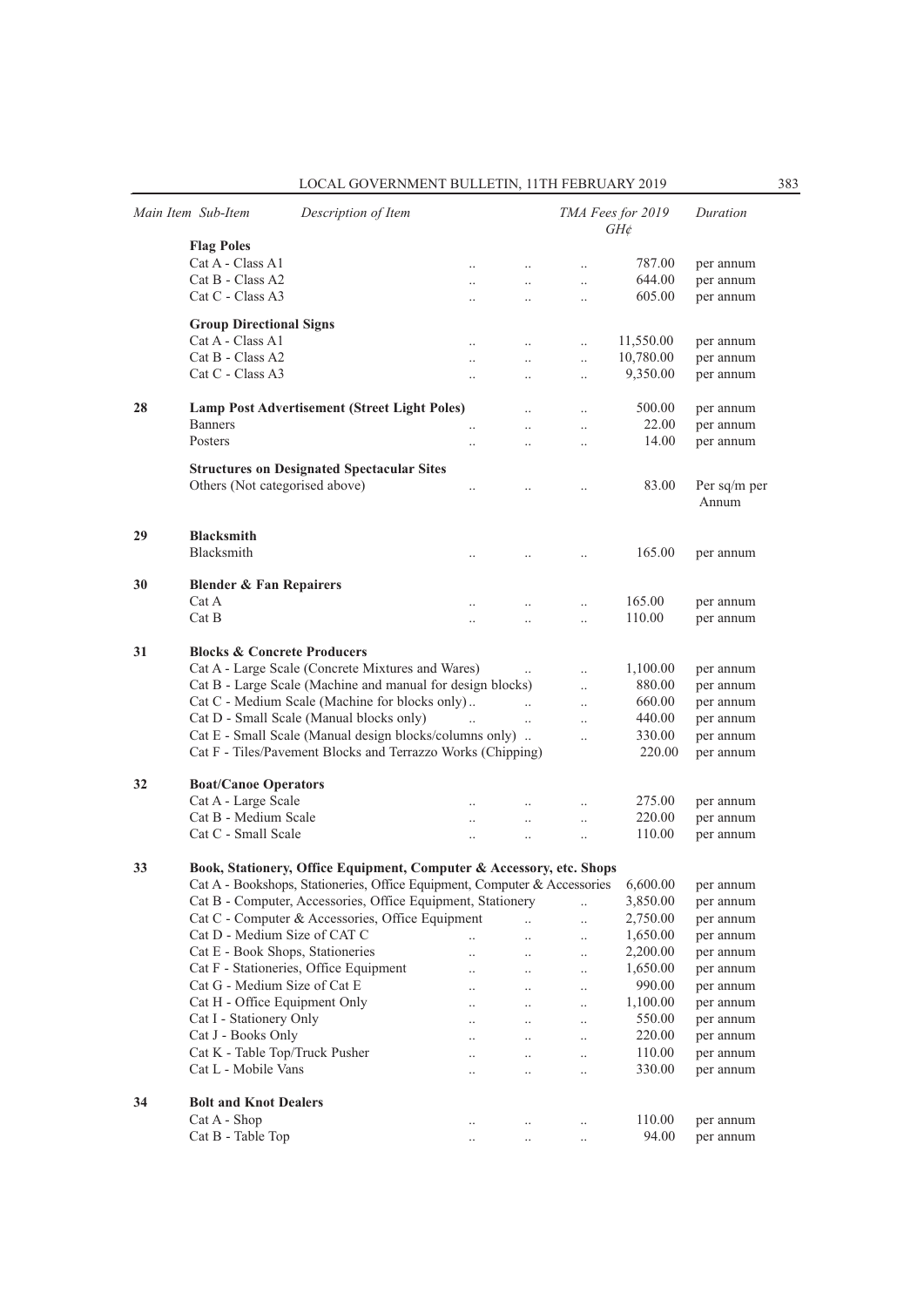| LOCAL GOVERNMENT BULLETIN, 11TH FEBRUARY 2019 | 383 |
|-----------------------------------------------|-----|
|-----------------------------------------------|-----|

|    | Main Item Sub-Item                           | Description of Item                                                                                                                               |                      |                      |                        | TMA Fees for 2019<br>$GH\phi$ | Duration               |  |
|----|----------------------------------------------|---------------------------------------------------------------------------------------------------------------------------------------------------|----------------------|----------------------|------------------------|-------------------------------|------------------------|--|
|    | <b>Flag Poles</b>                            |                                                                                                                                                   |                      |                      |                        |                               |                        |  |
|    | Cat A - Class A1                             |                                                                                                                                                   | $\ddotsc$            | $\ddot{\phantom{0}}$ | $\ddotsc$              | 787.00                        | per annum              |  |
|    | Cat B - Class A2                             |                                                                                                                                                   | $\ddotsc$            | $\ddotsc$            | $\ddotsc$              | 644.00                        | per annum              |  |
|    | Cat C - Class A3                             |                                                                                                                                                   | $\ddotsc$            |                      | $\ddotsc$              | 605.00                        | per annum              |  |
|    | <b>Group Directional Signs</b>               |                                                                                                                                                   |                      |                      |                        |                               |                        |  |
|    | Cat A - Class A1                             |                                                                                                                                                   | $\ddotsc$            | $\ddotsc$            | $\ddotsc$              | 11,550.00                     | per annum              |  |
|    | Cat B - Class A2                             |                                                                                                                                                   | $\ddot{\phantom{a}}$ | $\ddotsc$            | $\ddotsc$              | 10,780.00                     | per annum              |  |
|    | Cat C - Class A3                             |                                                                                                                                                   | $\ddotsc$            | $\ddotsc$            | $\ddotsc$              | 9,350.00                      | per annum              |  |
| 28 |                                              | <b>Lamp Post Advertisement (Street Light Poles)</b>                                                                                               |                      | $\ddot{\phantom{0}}$ | $\ddot{\phantom{0}}$   | 500.00                        | per annum              |  |
|    | <b>Banners</b>                               |                                                                                                                                                   |                      | $\ddot{\phantom{a}}$ | $\ddotsc$              | 22.00                         | per annum              |  |
|    | Posters                                      |                                                                                                                                                   | $\ddot{\phantom{a}}$ | $\ddot{\phantom{a}}$ | $\ddotsc$              | 14.00                         | per annum              |  |
|    |                                              | <b>Structures on Designated Spectacular Sites</b>                                                                                                 |                      |                      |                        |                               |                        |  |
|    | Others (Not categorised above)               |                                                                                                                                                   |                      | $\ddot{\phantom{a}}$ | $\ddotsc$              | 83.00                         | Per sq/m per           |  |
|    |                                              |                                                                                                                                                   |                      |                      |                        |                               | Annum                  |  |
| 29 | <b>Blacksmith</b>                            |                                                                                                                                                   |                      |                      |                        |                               |                        |  |
|    | Blacksmith                                   |                                                                                                                                                   | $\ddot{\phantom{0}}$ | $\ddot{\phantom{a}}$ | $\ddotsc$              | 165.00                        | per annum              |  |
|    |                                              |                                                                                                                                                   |                      |                      |                        |                               |                        |  |
| 30 | <b>Blender &amp; Fan Repairers</b><br>Cat A  |                                                                                                                                                   |                      | $\ddot{\phantom{a}}$ | $\ddotsc$              | 165.00                        | per annum              |  |
|    | Cat B                                        |                                                                                                                                                   | $\ddot{\phantom{a}}$ | $\ddot{\phantom{a}}$ | $\ddotsc$              | 110.00                        | per annum              |  |
|    |                                              |                                                                                                                                                   |                      |                      |                        |                               |                        |  |
| 31 | <b>Blocks &amp; Concrete Producers</b>       |                                                                                                                                                   |                      |                      |                        |                               |                        |  |
|    |                                              | Cat A - Large Scale (Concrete Mixtures and Wares)                                                                                                 |                      | $\ddotsc$            | $\ddotsc$              | 1,100.00                      | per annum              |  |
|    |                                              | Cat B - Large Scale (Machine and manual for design blocks)                                                                                        |                      |                      | $\ddotsc$              | 880.00                        | per annum              |  |
|    |                                              | Cat C - Medium Scale (Machine for blocks only)                                                                                                    |                      | $\ddot{\phantom{a}}$ | $\ddotsc$              | 660.00                        | per annum              |  |
|    |                                              | Cat D - Small Scale (Manual blocks only)                                                                                                          |                      | $\ddotsc$            | $\ddotsc$              | 440.00                        | per annum              |  |
|    |                                              | Cat E - Small Scale (Manual design blocks/columns only)                                                                                           |                      |                      | $\ddotsc$              | 330.00                        | per annum              |  |
|    |                                              | Cat F - Tiles/Pavement Blocks and Terrazzo Works (Chipping)                                                                                       |                      |                      |                        | 220.00                        | per annum              |  |
| 32 | <b>Boat/Canoe Operators</b>                  |                                                                                                                                                   |                      |                      |                        |                               |                        |  |
|    | Cat A - Large Scale                          |                                                                                                                                                   |                      |                      | $\ddotsc$              | 275.00                        | per annum              |  |
|    | Cat B - Medium Scale                         |                                                                                                                                                   | $\ddot{\phantom{0}}$ | $\ddotsc$            | $\ddotsc$              | 220.00                        | per annum              |  |
|    | Cat C - Small Scale                          |                                                                                                                                                   | $\ddot{\phantom{a}}$ | $\ddot{\phantom{a}}$ | $\ddotsc$              | 110.00                        | per annum              |  |
| 33 |                                              |                                                                                                                                                   |                      |                      |                        |                               |                        |  |
|    |                                              | Book, Stationery, Office Equipment, Computer & Accessory, etc. Shops<br>Cat A - Bookshops, Stationeries, Office Equipment, Computer & Accessories |                      |                      |                        | 6,600.00                      | per annum              |  |
|    |                                              | Cat B - Computer, Accessories, Office Equipment, Stationery                                                                                       |                      |                      |                        | 3,850.00                      | per annum              |  |
|    |                                              | Cat C - Computer & Accessories, Office Equipment                                                                                                  |                      |                      | $\ddotsc$<br>$\ddotsc$ | 2,750.00                      | per annum              |  |
|    | Cat D - Medium Size of CAT C                 |                                                                                                                                                   | $\ddotsc$            | $\ddotsc$            | $\ddotsc$              | 1,650.00                      | per annum              |  |
|    | Cat E - Book Shops, Stationeries             |                                                                                                                                                   | $\ddot{\phantom{0}}$ |                      | $\ddotsc$              | 2,200.00                      | per annum              |  |
|    |                                              | Cat F - Stationeries, Office Equipment                                                                                                            | $\ddot{\phantom{0}}$ |                      | $\ddotsc$              | 1,650.00                      | per annum              |  |
|    | Cat G - Medium Size of Cat E                 |                                                                                                                                                   | $\ddotsc$            | $\ddotsc$            | $\ddotsc$              | 990.00                        | per annum              |  |
|    | Cat H - Office Equipment Only                |                                                                                                                                                   | $\ddotsc$            |                      | $\ddotsc$              | 1,100.00                      | per annum              |  |
|    | Cat I - Stationery Only                      |                                                                                                                                                   | $\ddotsc$            | $\ddotsc$            | $\ddotsc$              | 550.00                        | per annum              |  |
|    | Cat J - Books Only                           |                                                                                                                                                   | $\ddot{\phantom{0}}$ | $\ddot{\phantom{0}}$ | $\ddotsc$              | 220.00                        | per annum              |  |
|    | Cat K - Table Top/Truck Pusher               |                                                                                                                                                   | $\ddot{\phantom{a}}$ |                      | $\ddotsc$              | 110.00                        | per annum              |  |
|    | Cat L - Mobile Vans                          |                                                                                                                                                   | $\ddotsc$            |                      | $\ddotsc$              | 330.00                        | per annum              |  |
|    |                                              |                                                                                                                                                   |                      |                      |                        |                               |                        |  |
| 34 | <b>Bolt and Knot Dealers</b><br>Cat A - Shop |                                                                                                                                                   |                      |                      |                        | 110.00                        |                        |  |
|    | Cat B - Table Top                            |                                                                                                                                                   |                      | $\ddotsc$            | $\ddotsc$<br>$\ddotsc$ | 94.00                         | per annum<br>per annum |  |
|    |                                              |                                                                                                                                                   |                      |                      |                        |                               |                        |  |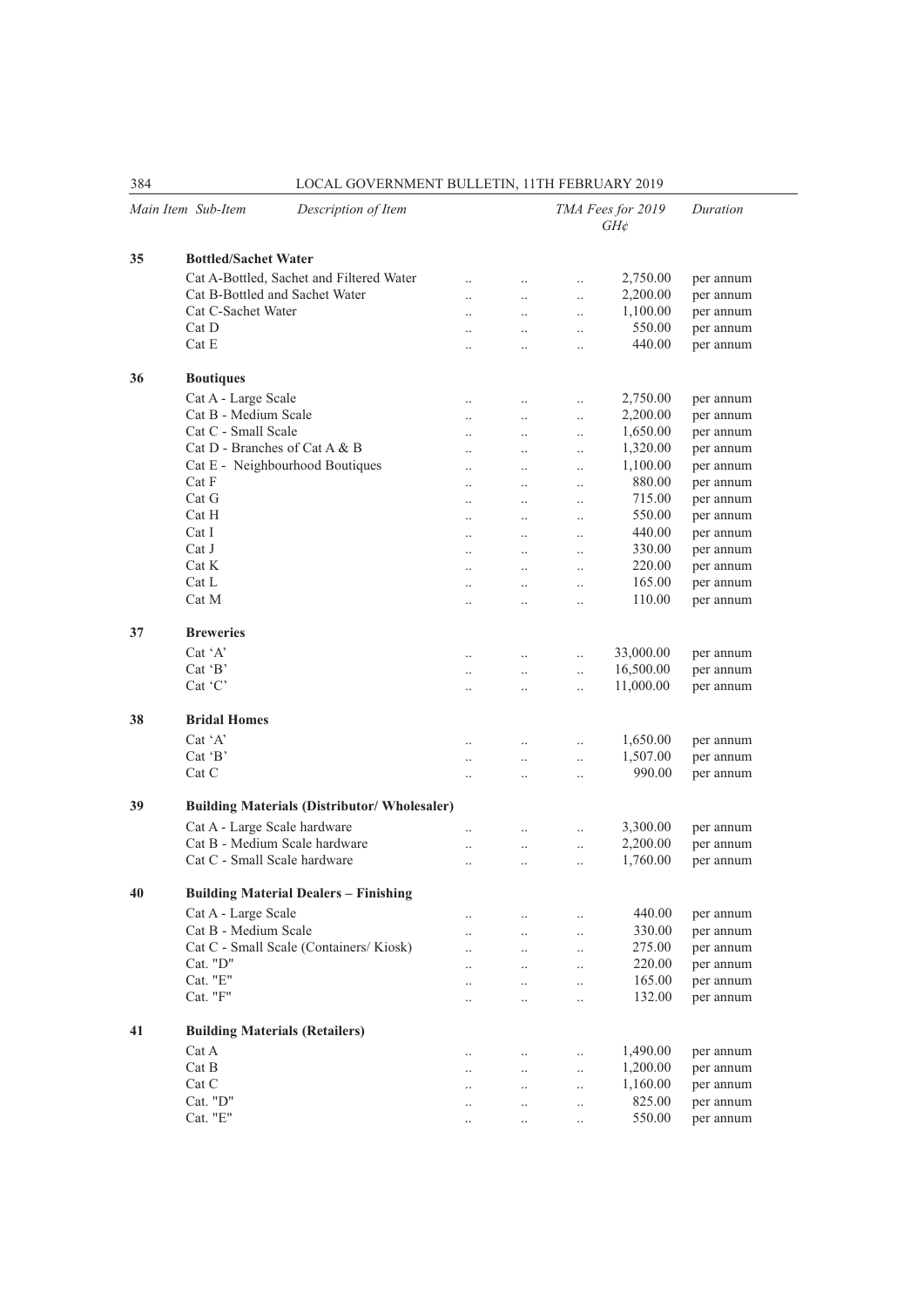|    | Main Item Sub-Item<br>Description of Item           |                      |                      |                      | TMA Fees for 2019<br>$GH\phi$ | Duration  |  |
|----|-----------------------------------------------------|----------------------|----------------------|----------------------|-------------------------------|-----------|--|
| 35 | <b>Bottled/Sachet Water</b>                         |                      |                      |                      |                               |           |  |
|    | Cat A-Bottled, Sachet and Filtered Water            | $\ddot{\phantom{0}}$ | $\ddot{\phantom{0}}$ | $\ddotsc$            | 2,750.00                      | per annum |  |
|    | Cat B-Bottled and Sachet Water                      | $\ddotsc$            | $\ddot{\phantom{0}}$ | $\ddotsc$            | 2,200.00                      | per annum |  |
|    | Cat C-Sachet Water                                  | $\ddot{\phantom{a}}$ | $\ddot{\phantom{a}}$ | $\ddotsc$            | 1,100.00                      | per annum |  |
|    | Cat D                                               | $\ddot{\phantom{0}}$ | $\ddotsc$            | $\ddotsc$            | 550.00                        | per annum |  |
|    | Cat E                                               | $\ddot{\phantom{0}}$ | $\ddot{\phantom{0}}$ | $\ddotsc$            | 440.00                        | per annum |  |
| 36 | <b>Boutiques</b>                                    |                      |                      |                      |                               |           |  |
|    | Cat A - Large Scale                                 | $\ldots$             | $\ddotsc$            | $\ddotsc$            | 2,750.00                      | per annum |  |
|    | Cat B - Medium Scale                                | $\ddotsc$            | $\ddot{\phantom{0}}$ | $\ddotsc$            | 2,200.00                      | per annum |  |
|    | Cat C - Small Scale                                 | $\ddot{\phantom{a}}$ | $\ddotsc$            | $\ddotsc$            | 1,650.00                      | per annum |  |
|    | Cat D - Branches of Cat A & B                       | $\ddot{\phantom{a}}$ | $\ddot{\phantom{a}}$ | $\ddot{\phantom{a}}$ | 1,320.00                      | per annum |  |
|    | Cat E - Neighbourhood Boutiques                     | $\ddot{\phantom{0}}$ | $\ddot{\phantom{0}}$ | $\ddot{\phantom{0}}$ | 1,100.00                      | per annum |  |
|    | Cat F                                               | $\ddotsc$            | $\ddotsc$            | $\ddotsc$            | 880.00                        | per annum |  |
|    | Cat G                                               | $\ddotsc$            | $\ddotsc$            | $\ddot{\phantom{0}}$ | 715.00                        | per annum |  |
|    | Cat H                                               | $\ddot{\phantom{a}}$ | $\ddot{\phantom{a}}$ | $\ddot{\phantom{a}}$ | 550.00                        | per annum |  |
|    | Cat I                                               | $\ddot{\phantom{a}}$ | $\ddot{\phantom{a}}$ | $\ddot{\phantom{a}}$ | 440.00                        | per annum |  |
|    | Cat J                                               | $\ddotsc$            | $\ddot{\phantom{0}}$ | $\ddot{\phantom{0}}$ | 330.00                        | per annum |  |
|    | Cat K                                               | $\ddotsc$            | $\ddotsc$            | $\ddot{\phantom{0}}$ | 220.00                        | per annum |  |
|    | Cat L                                               | $\ddotsc$            | $\ddot{\phantom{0}}$ | $\ddot{\phantom{0}}$ | 165.00                        | per annum |  |
|    | Cat M                                               | $\ddot{\phantom{a}}$ | $\ddot{\phantom{a}}$ |                      | 110.00                        | per annum |  |
|    |                                                     |                      |                      |                      |                               |           |  |
| 37 | <b>Breweries</b>                                    |                      |                      |                      |                               |           |  |
|    | Cat 'A'                                             | $\ddot{\phantom{a}}$ |                      | $\ddotsc$            | 33,000.00                     | per annum |  |
|    | Cat 'B'                                             | $\ddotsc$            | $\ddotsc$            | $\ddotsc$            | 16,500.00                     | per annum |  |
|    | $Cat$ $C$                                           | $\ldots$             | $\ddotsc$            | $\ddotsc$            | 11,000.00                     | per annum |  |
| 38 | <b>Bridal Homes</b>                                 |                      |                      |                      |                               |           |  |
|    | Cat 'A'                                             | $\ddotsc$            | $\ddotsc$            | $\ddotsc$            | 1,650.00                      | per annum |  |
|    | $Cat$ $B'$                                          | $\ddotsc$            | $\ddot{\phantom{0}}$ | $\ddotsc$            | 1,507.00                      | per annum |  |
|    | Cat C                                               | $\ddot{\phantom{0}}$ | $\ddot{\phantom{a}}$ | $\ddotsc$            | 990.00                        | per annum |  |
| 39 | <b>Building Materials (Distributor/ Wholesaler)</b> |                      |                      |                      |                               |           |  |
|    | Cat A - Large Scale hardware                        | $\ldots$             | $\ddotsc$            | $\ddotsc$            | 3,300.00                      | per annum |  |
|    | Cat B - Medium Scale hardware                       | $\ddot{\phantom{0}}$ | $\ddot{\phantom{0}}$ | $\ddotsc$            | 2,200.00                      | per annum |  |
|    | Cat C - Small Scale hardware                        | $\ddot{\phantom{a}}$ | $\ddot{\phantom{a}}$ | $\ddot{\phantom{a}}$ | 1,760.00                      | per annum |  |
| 40 | <b>Building Material Dealers - Finishing</b>        |                      |                      |                      |                               |           |  |
|    |                                                     |                      |                      |                      |                               |           |  |
|    | Cat A - Large Scale                                 | $\ddotsc$            | $\ddot{\phantom{0}}$ | $\ddot{\phantom{0}}$ | 440.00                        | per annum |  |
|    | Cat B - Medium Scale                                |                      |                      | $\ddotsc$            | 330.00                        | per annum |  |
|    | Cat C - Small Scale (Containers/Kiosk)              | $\ddotsc$            |                      | $\ddotsc$            | 275.00                        | per annum |  |
|    | Cat. "D"                                            | $\ddotsc$            |                      | $\ddotsc$            | 220.00                        | per annum |  |
|    | Cat. "E"                                            | $\ddotsc$            | $\ddot{\phantom{a}}$ | $\ddot{\phantom{0}}$ | 165.00                        | per annum |  |
|    | Cat. "F"                                            | $\ddotsc$            | $\ddot{\phantom{0}}$ | $\ddotsc$            | 132.00                        | per annum |  |
| 41 | <b>Building Materials (Retailers)</b>               |                      |                      |                      |                               |           |  |
|    | Cat A                                               | $\ddotsc$            |                      | $\ddotsc$            | 1,490.00                      | per annum |  |
|    | Cat B                                               | $\ddotsc$            | $\ddotsc$            | $\ddotsc$            | 1,200.00                      | per annum |  |
|    | Cat C                                               | $\ddotsc$            | $\ddotsc$            | $\ldots$             | 1,160.00                      | per annum |  |
|    | Cat. "D"                                            |                      | $\ddotsc$            | $\ddotsc$            | 825.00                        | per annum |  |
|    | Cat. "E"                                            | $\ddotsc$            | $\ddotsc$            | $\ddotsc$            | 550.00                        | per annum |  |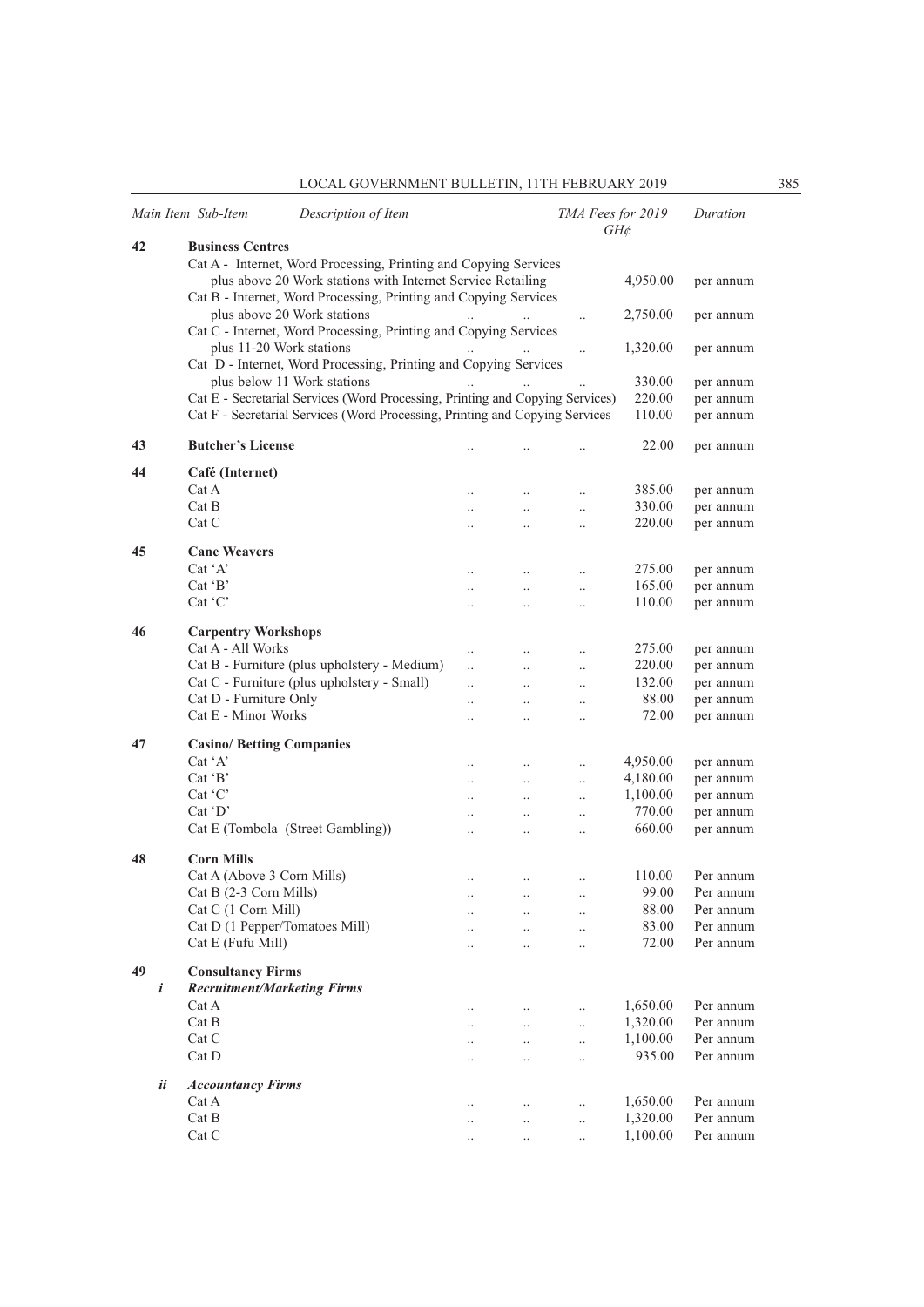|                  | Main Item Sub-Item                                             | Description of Item                                                                                                             |                      |                      | TMA Fees for 2019     | $GH\phi$         | Duration               |
|------------------|----------------------------------------------------------------|---------------------------------------------------------------------------------------------------------------------------------|----------------------|----------------------|-----------------------|------------------|------------------------|
| 42               | <b>Business Centres</b>                                        |                                                                                                                                 |                      |                      |                       |                  |                        |
|                  |                                                                | Cat A - Internet, Word Processing, Printing and Copying Services<br>plus above 20 Work stations with Internet Service Retailing |                      |                      |                       | 4,950.00         | per annum              |
|                  |                                                                | Cat B - Internet, Word Processing, Printing and Copying Services                                                                |                      |                      |                       |                  |                        |
|                  |                                                                | plus above 20 Work stations                                                                                                     |                      |                      | $\ldots$              | 2,750.00         | per annum              |
|                  |                                                                | Cat C - Internet, Word Processing, Printing and Copying Services                                                                |                      |                      |                       |                  |                        |
|                  | plus 11-20 Work stations                                       | Cat D - Internet, Word Processing, Printing and Copying Services                                                                |                      |                      | $\ddotsc$             | 1,320.00         | per annum              |
|                  |                                                                | plus below 11 Work stations                                                                                                     |                      |                      |                       | 330.00           | per annum              |
|                  |                                                                | Cat E - Secretarial Services (Word Processing, Printing and Copying Services)                                                   |                      |                      |                       | 220.00           | per annum              |
|                  |                                                                | Cat F - Secretarial Services (Word Processing, Printing and Copying Services                                                    |                      |                      |                       | 110.00           | per annum              |
| 43               | <b>Butcher's License</b>                                       |                                                                                                                                 | $\cdot$ .            |                      | $\cdot$               | 22.00            | per annum              |
| 44               | Café (Internet)                                                |                                                                                                                                 |                      |                      |                       |                  |                        |
|                  | Cat A                                                          |                                                                                                                                 |                      | $\ddotsc$            | $\ldots$              | 385.00           | per annum              |
|                  | Cat B                                                          |                                                                                                                                 |                      |                      | $\ddot{\phantom{0}}$  | 330.00           | per annum              |
|                  | Cat C                                                          |                                                                                                                                 | $\ddot{\phantom{0}}$ | $\ddotsc$            | $\ddotsc$             | 220.00           | per annum              |
| 45               | <b>Cane Weavers</b>                                            |                                                                                                                                 |                      |                      |                       |                  |                        |
|                  | $Cat^{\dagger}A'$                                              |                                                                                                                                 | $\ddotsc$            |                      | $\ddot{\phantom{0}}$  | 275.00           | per annum              |
|                  | Cat 'B'                                                        |                                                                                                                                 | $\ddotsc$            | $\ddot{\phantom{a}}$ | $\ddotsc$             | 165.00           | per annum              |
|                  | Cat $C'$                                                       |                                                                                                                                 | $\ddotsc$            | $\ddot{\phantom{a}}$ | $\ddotsc$             | 110.00           | per annum              |
|                  |                                                                |                                                                                                                                 |                      |                      |                       |                  |                        |
| 46               | <b>Carpentry Workshops</b>                                     |                                                                                                                                 |                      |                      |                       |                  |                        |
|                  | Cat A - All Works                                              |                                                                                                                                 | $\cdot$ .            | $\ddotsc$            | $\ddotsc$             | 275.00           | per annum              |
|                  |                                                                | Cat B - Furniture (plus upholstery - Medium)                                                                                    | $\ddotsc$            |                      | $\ddotsc$             | 220.00<br>132.00 | per annum              |
|                  | Cat D - Furniture Only                                         | Cat C - Furniture (plus upholstery - Small)                                                                                     | $\ddotsc$            | $\ddotsc$            | $\ddotsc$             | 88.00            | per annum              |
|                  | Cat E - Minor Works                                            |                                                                                                                                 |                      | $\ddotsc$            | $\ldots$              | 72.00            | per annum<br>per annum |
|                  |                                                                |                                                                                                                                 | $\ddotsc$            | $\ddot{\phantom{0}}$ | $\ddot{\phantom{0}}$  |                  |                        |
| 47               | <b>Casino/Betting Companies</b>                                |                                                                                                                                 |                      |                      |                       |                  |                        |
|                  | Cat 'A'                                                        |                                                                                                                                 | $\cdot$ .            | $\ldots$             | $\ldots$              | 4,950.00         | per annum              |
|                  | Cat $B$                                                        |                                                                                                                                 | $\cdot$ .            | $\ldots$             | $\ldots$              | 4,180.00         | per annum              |
|                  | Cat 'C'                                                        |                                                                                                                                 | $\ddotsc$            | $\ddotsc$            | $\ddotsc$             | 1,100.00         | per annum              |
|                  | $Cat$ $D'$                                                     |                                                                                                                                 | $\ddot{\phantom{0}}$ | $\ddotsc$            | $\ddotsc$             | 770.00           | per annum              |
|                  |                                                                | Cat E (Tombola (Street Gambling))                                                                                               | $\ddotsc$            | $\ddotsc$            | $\ddot{\phantom{a}}$  | 660.00           | per annum              |
| 48               | <b>Corn Mills</b>                                              |                                                                                                                                 |                      |                      |                       |                  |                        |
|                  | Cat A (Above 3 Corn Mills)                                     |                                                                                                                                 |                      | $\cdot$              | $\cdot$               | 110.00           | Per annum              |
|                  | Cat B (2-3 Corn Mills)                                         |                                                                                                                                 |                      |                      |                       | 99.00            | Per annum              |
|                  | Cat C (1 Corn Mill)                                            |                                                                                                                                 |                      |                      | $\ddotsc$             | 88.00            | Per annum              |
|                  | Cat D (1 Pepper/Tomatoes Mill)                                 |                                                                                                                                 |                      | $\ddotsc$            | $\cdot$ .             | 83.00            | Per annum              |
|                  | Cat E (Fufu Mill)                                              |                                                                                                                                 | $\ddot{\phantom{a}}$ | $\ddot{\phantom{a}}$ | $\ddotsc$             | 72.00            | Per annum              |
| 49               |                                                                |                                                                                                                                 |                      |                      |                       |                  |                        |
| $\boldsymbol{i}$ | <b>Consultancy Firms</b><br><b>Recruitment/Marketing Firms</b> |                                                                                                                                 |                      |                      |                       |                  |                        |
|                  | Cat A                                                          |                                                                                                                                 |                      |                      |                       | 1,650.00         | Per annum              |
|                  | Cat B                                                          |                                                                                                                                 |                      | $\ddotsc$            | $\ldots$<br>$\ddotsc$ | 1,320.00         | Per annum              |
|                  | Cat C                                                          |                                                                                                                                 | $\cdot$ .<br>        | $\ddotsc$            | $\ldots$              | 1,100.00         | Per annum              |
|                  | Cat D                                                          |                                                                                                                                 |                      |                      | $\ddotsc$             | 935.00           | Per annum              |
|                  |                                                                |                                                                                                                                 |                      |                      |                       |                  |                        |
| ii               | <b>Accountancy Firms</b>                                       |                                                                                                                                 |                      |                      |                       |                  |                        |
|                  | Cat A                                                          |                                                                                                                                 |                      | $\cdot$ .            | $\ldots$              | 1,650.00         | Per annum              |
|                  | Cat B                                                          |                                                                                                                                 | $\cdot$              | $\ddotsc$            | $\ddotsc$             | 1,320.00         | Per annum              |
|                  | Cat C                                                          |                                                                                                                                 | $\cdot$ .            | $\ddotsc$            | $\ldots$              | 1,100.00         | Per annum              |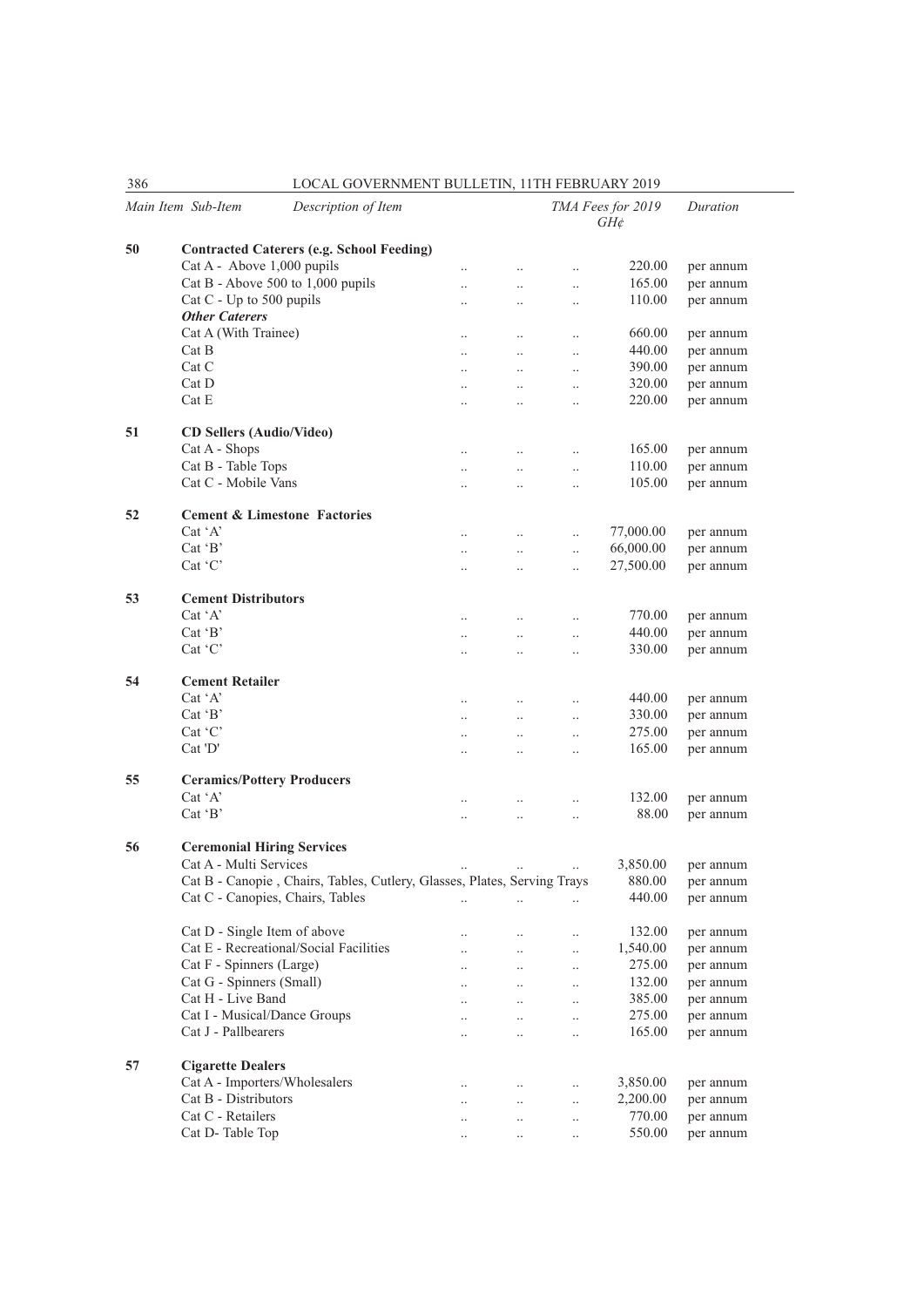|    | Main Item Sub-Item                      | Description of Item                                                      |                      |                      |           | TMA Fees for 2019<br>$GH\phi$ | Duration  |
|----|-----------------------------------------|--------------------------------------------------------------------------|----------------------|----------------------|-----------|-------------------------------|-----------|
| 50 |                                         | <b>Contracted Caterers (e.g. School Feeding)</b>                         |                      |                      |           |                               |           |
|    | Cat A - Above 1,000 pupils              |                                                                          | $\ddotsc$            | $\ddot{\phantom{0}}$ | $\ddotsc$ | 220.00                        | per annum |
|    | Cat B - Above 500 to 1,000 pupils       |                                                                          | $\ddotsc$            | $\ddotsc$            | $\ddotsc$ | 165.00                        | per annum |
|    | Cat C - Up to 500 pupils                |                                                                          | $\cdot$ .            | $\ddotsc$            | $\ldots$  | 110.00                        | per annum |
|    | <b>Other Caterers</b>                   |                                                                          |                      |                      |           |                               |           |
|    | Cat A (With Trainee)                    |                                                                          | $\ddotsc$            | $\ddotsc$            | $\ddotsc$ | 660.00                        | per annum |
|    | Cat B                                   |                                                                          | $\ddotsc$            | $\ddotsc$            | $\ddotsc$ | 440.00                        | per annum |
|    | Cat C                                   |                                                                          | $\ddotsc$            | $\ddotsc$            | $\ddotsc$ | 390.00                        | per annum |
|    | $Cat$ D                                 |                                                                          | $\cdot$ .            | $\ddotsc$            | $\ldots$  | 320.00                        | per annum |
|    | Cat E                                   |                                                                          | $\cdot$ .            | $\ddot{\phantom{a}}$ | $\ddotsc$ | 220.00                        | per annum |
|    |                                         |                                                                          |                      |                      |           |                               |           |
| 51 | <b>CD Sellers (Audio/Video)</b>         |                                                                          |                      |                      |           |                               |           |
|    | Cat A - Shops                           |                                                                          | $\ldots$             | $\ldots$             | $\ldots$  | 165.00                        | per annum |
|    | Cat B - Table Tops                      |                                                                          | $\ddotsc$            | $\ddotsc$            | $\ldots$  | 110.00                        | per annum |
|    | Cat C - Mobile Vans                     |                                                                          | $\ddot{\phantom{a}}$ | $\ddotsc$            | $\ddotsc$ | 105.00                        | per annum |
|    |                                         |                                                                          |                      |                      |           |                               |           |
| 52 | <b>Cement &amp; Limestone Factories</b> |                                                                          |                      |                      |           |                               |           |
|    | $Cat^{\dagger}A^{\dagger}$              |                                                                          | $\ddotsc$            | $\ldots$             | $\ldots$  | 77,000.00                     | per annum |
|    | $Cat$ $B$                               |                                                                          | $\ddotsc$            | $\ddotsc$            | $\ldots$  | 66,000.00                     | per annum |
|    | Cat 'C'                                 |                                                                          | $\ddot{\phantom{a}}$ | $\ddotsc$            | $\ddotsc$ | 27,500.00                     | per annum |
|    |                                         |                                                                          |                      |                      |           |                               |           |
| 53 | <b>Cement Distributors</b>              |                                                                          |                      |                      |           |                               |           |
|    | $Cat^{\dagger}A^{\dagger}$              |                                                                          | $\ddotsc$            | $\ddotsc$            | $\ddotsc$ | 770.00                        | per annum |
|    | $Cat$ $B$                               |                                                                          | $\cdot$ .            | $\ddotsc$            | $\ldots$  | 440.00                        | per annum |
|    | $Cat$ $C$                               |                                                                          | $\ddotsc$            | $\ddotsc$            | $\ddotsc$ | 330.00                        | per annum |
|    |                                         |                                                                          |                      |                      |           |                               |           |
| 54 | <b>Cement Retailer</b>                  |                                                                          |                      |                      |           |                               |           |
|    | Cat 'A'                                 |                                                                          | $\ldots$             | $\ddotsc$            | $\ldots$  | 440.00                        | per annum |
|    | $Cat$ $B$                               |                                                                          | $\ddotsc$            | $\ddotsc$            | $\ddotsc$ | 330.00                        | per annum |
|    | Cat 'C'                                 |                                                                          | $\ddotsc$            | $\ddotsc$            | $\ddotsc$ | 275.00                        | per annum |
|    | Cat'D'                                  |                                                                          | $\ddotsc$            | $\ddotsc$            | $\ddotsc$ | 165.00                        | per annum |
|    |                                         |                                                                          |                      |                      |           |                               |           |
| 55 | <b>Ceramics/Pottery Producers</b>       |                                                                          |                      |                      |           |                               |           |
|    | Cat 'A'                                 |                                                                          | $\ddotsc$            | $\ddotsc$            | $\ddotsc$ | 132.00                        | per annum |
|    | $Cat$ $B$                               |                                                                          | $\ddotsc$            | $\ddotsc$            | $\ddotsc$ | 88.00                         | per annum |
|    |                                         |                                                                          |                      |                      |           |                               |           |
| 56 | <b>Ceremonial Hiring Services</b>       |                                                                          |                      |                      |           |                               |           |
|    | Cat A - Multi Services                  |                                                                          |                      |                      |           | 3,850.00                      | per annum |
|    |                                         | Cat B - Canopie, Chairs, Tables, Cutlery, Glasses, Plates, Serving Trays |                      |                      |           | 880.00                        | per annum |
|    | Cat C - Canopies, Chairs, Tables        |                                                                          | $\ldots$             | $\cdot$              | $\ldots$  | 440.00                        | per annum |
|    |                                         |                                                                          |                      |                      |           |                               |           |
|    | Cat D - Single Item of above            |                                                                          |                      | $\ldots$             | $\ldots$  | 132.00                        | per annum |
|    |                                         | Cat E - Recreational/Social Facilities                                   | $\ddotsc$            | $\ddot{\phantom{0}}$ | $\ddotsc$ | 1,540.00                      | per annum |
|    | Cat F - Spinners (Large)                |                                                                          | $\ddotsc$            | $\ddotsc$            | $\ldots$  | 275.00                        | per annum |
|    | Cat G - Spinners (Small)                |                                                                          | $\ddotsc$            | $\ddotsc$            | $\ldots$  | 132.00                        | per annum |
|    | Cat H - Live Band                       |                                                                          | $\ddotsc$            | $\ddotsc$            | $\ldots$  | 385.00                        | per annum |
|    | Cat I - Musical/Dance Groups            |                                                                          | $\ddotsc$            | $\ddot{\phantom{0}}$ | $\ldots$  | 275.00                        | per annum |
|    | Cat J - Pallbearers                     |                                                                          | $\ddot{\phantom{a}}$ | $\ddotsc$            | $\ddotsc$ | 165.00                        | per annum |
|    |                                         |                                                                          |                      |                      |           |                               |           |
| 57 | <b>Cigarette Dealers</b>                |                                                                          |                      |                      |           |                               |           |
|    | Cat A - Importers/Wholesalers           |                                                                          | $\ddotsc$            |                      | $\ldots$  | 3,850.00                      | per annum |
|    | Cat B - Distributors                    |                                                                          | $\ddotsc$            | $\ddotsc$            | $\ddotsc$ | 2,200.00                      | per annum |
|    | Cat C - Retailers                       |                                                                          | $\ddotsc$            | $\ddot{\phantom{a}}$ | $\ddotsc$ | 770.00                        | per annum |
|    | Cat D-Table Top                         |                                                                          | $\ddotsc$            | $\ddotsc$            | $\ddotsc$ | 550.00                        | per annum |
|    |                                         |                                                                          |                      |                      |           |                               |           |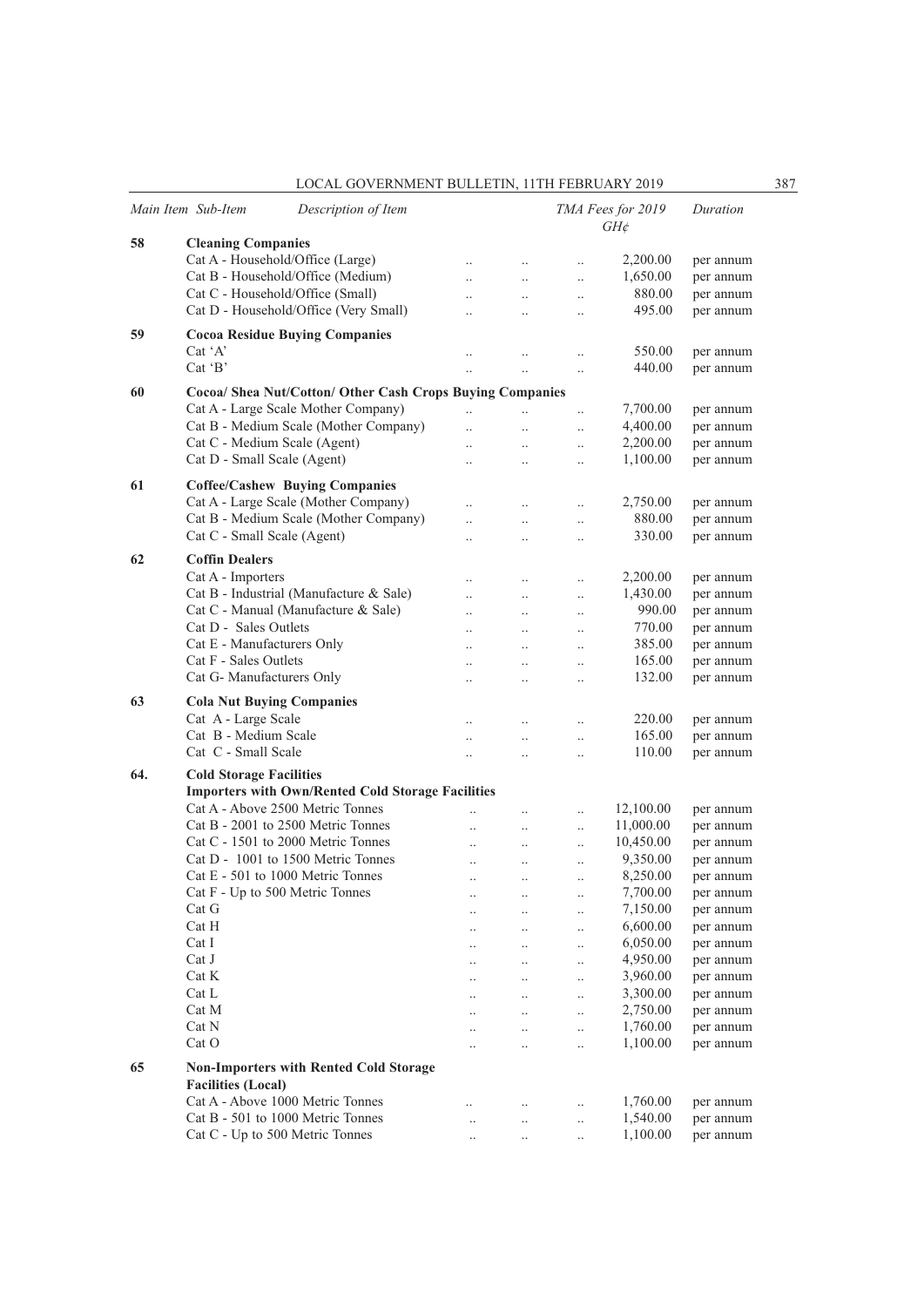|     | Main Item Sub-Item               | Description of Item                                       |                      |                                   |                       | TMA Fees for 2019<br>GH¢ | Duration  |
|-----|----------------------------------|-----------------------------------------------------------|----------------------|-----------------------------------|-----------------------|--------------------------|-----------|
| 58  | <b>Cleaning Companies</b>        |                                                           |                      |                                   |                       |                          |           |
|     | Cat A - Household/Office (Large) |                                                           |                      | $\ddotsc$                         | $\ddotsc$             | 2,200.00                 | per annum |
|     |                                  | Cat B - Household/Office (Medium)                         | $\ddotsc$            | $\ddotsc$                         | $\ddotsc$             | 1,650.00                 | per annum |
|     | Cat C - Household/Office (Small) |                                                           | $\ddot{\phantom{a}}$ | $\ddotsc$                         | $\ldots$              | 880.00                   | per annum |
|     |                                  | Cat D - Household/Office (Very Small)                     | $\ddot{\phantom{a}}$ | $\ddot{\phantom{0}}$              | $\ddot{\phantom{0}}$  | 495.00                   | per annum |
| 59  |                                  | <b>Cocoa Residue Buying Companies</b>                     |                      |                                   |                       |                          |           |
|     | Cat 'A'                          |                                                           |                      | $\ddotsc$                         | $\ddotsc$             | 550.00                   | per annum |
|     | $Cat$ $B$                        |                                                           |                      |                                   | $\ldots$              | 440.00                   | per annum |
|     |                                  |                                                           |                      |                                   |                       |                          |           |
| 60  |                                  | Cocoa/ Shea Nut/Cotton/ Other Cash Crops Buying Companies |                      |                                   |                       |                          |           |
|     |                                  | Cat A - Large Scale Mother Company)                       | $\ddotsc$            |                                   | $\ddotsc$             | 7,700.00                 | per annum |
|     |                                  | Cat B - Medium Scale (Mother Company)                     | $\ddot{\phantom{a}}$ | $\ddot{\phantom{a}}$              | $\ldots$              | 4,400.00                 | per annum |
|     | Cat C - Medium Scale (Agent)     |                                                           | $\ddot{\phantom{a}}$ | $\ddot{\phantom{0}}$              | $\ldots$              | 2,200.00                 | per annum |
|     | Cat D - Small Scale (Agent)      |                                                           | $\ddot{\phantom{a}}$ |                                   | $\ddot{\phantom{0}}$  | 1,100.00                 | per annum |
| 61  |                                  | <b>Coffee/Cashew Buying Companies</b>                     |                      |                                   |                       |                          |           |
|     |                                  | Cat A - Large Scale (Mother Company)                      |                      |                                   | $\ddotsc$             | 2,750.00                 | per annum |
|     |                                  | Cat B - Medium Scale (Mother Company)                     | $\ddot{\phantom{a}}$ | $\ddotsc$                         | $\ldots$              | 880.00                   | per annum |
|     | Cat C - Small Scale (Agent)      |                                                           | $\ddot{\phantom{0}}$ |                                   | $\ddotsc$             | 330.00                   | per annum |
| 62  | <b>Coffin Dealers</b>            |                                                           |                      |                                   |                       |                          |           |
|     |                                  |                                                           |                      |                                   |                       |                          |           |
|     | Cat A - Importers                |                                                           | $\ddot{\phantom{a}}$ |                                   | $\ddotsc$             | 2,200.00                 | per annum |
|     |                                  | Cat B - Industrial (Manufacture & Sale)                   | $\ddotsc$            | $\ddotsc$                         | $\ldots$              | 1,430.00                 | per annum |
|     |                                  | Cat C - Manual (Manufacture & Sale)                       | $\ddot{\phantom{0}}$ | $\ddotsc$                         | $\ldots$              | 990.00<br>770.00         | per annum |
|     | Cat D - Sales Outlets            |                                                           |                      |                                   | $\ddot{\phantom{0}}$  |                          | per annum |
|     | Cat E - Manufacturers Only       |                                                           | $\ddot{\phantom{a}}$ | $\ddot{\phantom{a}}$              | $\ddotsc$             | 385.00                   | per annum |
|     | Cat F - Sales Outlets            |                                                           | $\ddotsc$            | $\ddotsc$                         | $\ddotsc$             | 165.00                   | per annum |
|     | Cat G- Manufacturers Only        |                                                           | $\ddotsc$            | $\ddotsc$                         | $\ldots$              | 132.00                   | per annum |
| 63  | <b>Cola Nut Buying Companies</b> |                                                           |                      |                                   |                       |                          |           |
|     | Cat A - Large Scale              |                                                           | $\ddotsc$            |                                   | $\ddotsc$             | 220.00                   | per annum |
|     | Cat B - Medium Scale             |                                                           | $\ddot{\phantom{0}}$ | $\ddot{\phantom{0}}$              | $\ldots$              | 165.00                   | per annum |
|     | Cat C - Small Scale              |                                                           | $\ddotsc$            |                                   | $\ldots$              | 110.00                   | per annum |
| 64. | <b>Cold Storage Facilities</b>   |                                                           |                      |                                   |                       |                          |           |
|     |                                  | <b>Importers with Own/Rented Cold Storage Facilities</b>  |                      |                                   |                       |                          |           |
|     |                                  | Cat A - Above 2500 Metric Tonnes                          |                      |                                   |                       | 12,100.00                | per annum |
|     |                                  | Cat B - 2001 to 2500 Metric Tonnes                        | $\ddot{\phantom{0}}$ | $\ddot{\phantom{0}}$<br>$\ddotsc$ | $\ddotsc$<br>$\ldots$ | 11,000.00                | per annum |
|     |                                  | Cat C - 1501 to 2000 Metric Tonnes                        |                      | $\ddot{\phantom{a}}$              | $\ddotsc$             | 10,450.00                | per annum |
|     |                                  | Cat D - 1001 to 1500 Metric Tonnes                        | $\ddotsc$            | $\ddot{\phantom{a}}$              | $\ddotsc$             | 9,350.00                 | per annum |
|     |                                  | Cat E - 501 to 1000 Metric Tonnes                         |                      | $\ddot{\phantom{a}}$              | $\ddotsc$             | 8,250.00                 | per annum |
|     | Cat F - Up to 500 Metric Tonnes  |                                                           |                      |                                   |                       | 7,700.00                 | per annum |
|     | Cat G                            |                                                           |                      | $\cdot$ .<br>$\ddotsc$            | $\ldots$<br>$\ldots$  | 7,150.00                 | per annum |
|     | Cat H                            |                                                           |                      | $\ldots$                          | $\ldots$              | 6,600.00                 | per annum |
|     | Cat I                            |                                                           |                      | $\ldots$                          | $\ldots$              | 6,050.00                 | per annum |
|     | Cat J                            |                                                           |                      |                                   |                       | 4,950.00                 | per annum |
|     | Cat K                            |                                                           |                      | $\ldots$                          | $\ldots$              | 3,960.00                 | per annum |
|     | Cat L                            |                                                           |                      | $\ldots$                          | $\ldots$              | 3,300.00                 | per annum |
|     | Cat M                            |                                                           |                      | $\ldots$<br>$\ddotsc$             | $\ldots$<br>$\ldots$  | 2,750.00                 | per annum |
|     | Cat N                            |                                                           |                      | $\ddots$                          | $\ldots$              | 1,760.00                 | per annum |
|     | Cat O                            |                                                           |                      |                                   |                       | 1,100.00                 | per annum |
|     |                                  |                                                           |                      | $\ldots$                          | $\ldots$              |                          |           |
| 65  |                                  | <b>Non-Importers with Rented Cold Storage</b>             |                      |                                   |                       |                          |           |
|     | <b>Facilities (Local)</b>        |                                                           |                      |                                   |                       |                          |           |
|     |                                  | Cat A - Above 1000 Metric Tonnes                          | $\ddotsc$            | $\ldots$                          | $\ldots$              | 1,760.00                 | per annum |
|     |                                  | Cat B - 501 to 1000 Metric Tonnes                         |                      | $\ldots$                          | $\ldots$              | 1,540.00                 | per annum |
|     | Cat C - Up to 500 Metric Tonnes  |                                                           | $\ddotsc$            | $\ldots$                          | $\ldots$              | 1,100.00                 | per annum |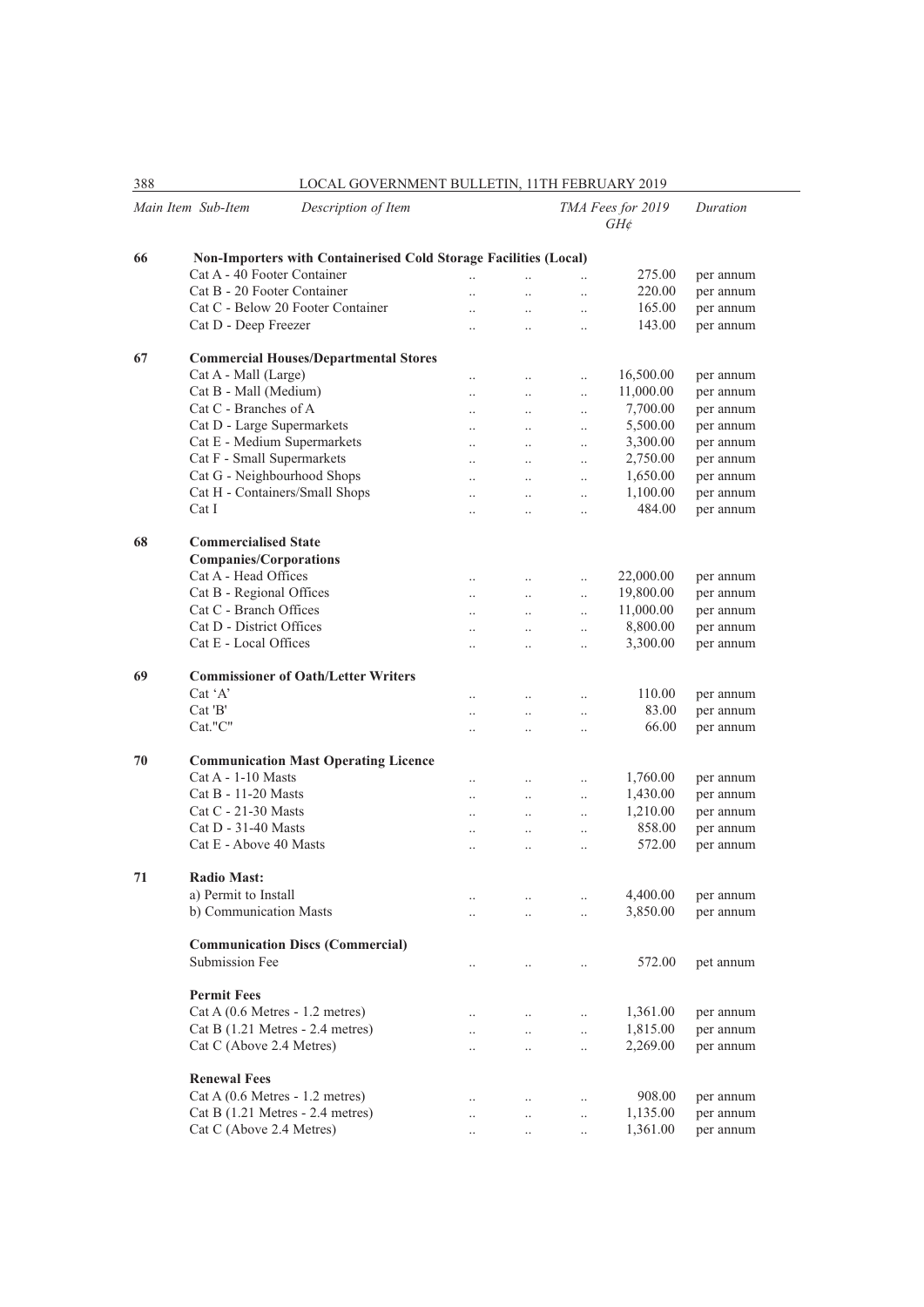| 388 | LOCAL GOVERNMENT BULLETIN, 11TH FEBRUARY 2019                    |                      |                      |                      |                             |           |  |  |  |
|-----|------------------------------------------------------------------|----------------------|----------------------|----------------------|-----------------------------|-----------|--|--|--|
|     | Main Item Sub-Item<br>Description of Item                        |                      |                      |                      | TMA Fees for 2019<br>$GH$ ¢ | Duration  |  |  |  |
| 66  | Non-Importers with Containerised Cold Storage Facilities (Local) |                      |                      |                      |                             |           |  |  |  |
|     | Cat A - 40 Footer Container                                      | $\ddotsc$            | $\ddotsc$            | $\ddot{\phantom{0}}$ | 275.00                      | per annum |  |  |  |
|     | Cat B - 20 Footer Container                                      | $\ddotsc$            | $\ddotsc$            | $\ddotsc$            | 220.00                      | per annum |  |  |  |
|     | Cat C - Below 20 Footer Container                                |                      | $\ddotsc$            | $\ddotsc$            | 165.00                      | per annum |  |  |  |
|     | Cat D - Deep Freezer                                             | $\ddotsc$            | $\ddotsc$            | $\ddotsc$            | 143.00                      | per annum |  |  |  |
| 67  | <b>Commercial Houses/Departmental Stores</b>                     |                      |                      |                      |                             |           |  |  |  |
|     | Cat A - Mall (Large)                                             | $\ldots$             | $\ldots$             | $\ldots$             | 16,500.00                   | per annum |  |  |  |
|     | Cat B - Mall (Medium)                                            |                      | $\ddotsc$            | $\ddotsc$            | 11,000.00                   | per annum |  |  |  |
|     | Cat C - Branches of A                                            | $\ddotsc$            | $\ddotsc$            | $\ddotsc$            | 7,700.00                    | per annum |  |  |  |
|     | Cat D - Large Supermarkets                                       | $\ddotsc$            | $\ddotsc$            | $\ldots$             | 5,500.00                    | per annum |  |  |  |
|     | Cat E - Medium Supermarkets                                      | $\ldots$             | $\ldots$             | $\ldots$             | 3,300.00                    | per annum |  |  |  |
|     | Cat F - Small Supermarkets                                       | $\ddotsc$            | $\ddotsc$            | $\ddotsc$            | 2,750.00                    | per annum |  |  |  |
|     | Cat G - Neighbourhood Shops                                      |                      |                      | $\ddotsc$            | 1,650.00                    | per annum |  |  |  |
|     | Cat H - Containers/Small Shops                                   | $\ddotsc$            | $\ddotsc$            | $\ddotsc$            | 1,100.00                    | per annum |  |  |  |
|     | Cat I                                                            | $\ddotsc$            | $\ddotsc$            | $\ddotsc$            | 484.00                      | per annum |  |  |  |
|     | <b>Commercialised State</b>                                      |                      |                      |                      |                             |           |  |  |  |
| 68  | <b>Companies/Corporations</b>                                    |                      |                      |                      |                             |           |  |  |  |
|     | Cat A - Head Offices                                             | $\ddotsc$            | $\ddot{\phantom{a}}$ | $\ddotsc$            | 22,000.00                   | per annum |  |  |  |
|     | Cat B - Regional Offices                                         | $\ldots$             | $\ldots$             | $\ddotsc$            | 19,800.00                   | per annum |  |  |  |
|     | Cat C - Branch Offices                                           | $\ddotsc$            | $\ldots$             | $\ldots$             | 11,000.00                   | per annum |  |  |  |
|     | Cat D - District Offices                                         | $\ddotsc$            | $\ddotsc$            | $\ddotsc$            | 8,800.00                    | per annum |  |  |  |
|     | Cat E - Local Offices                                            |                      | $\ddotsc$            | $\ddot{\phantom{0}}$ | 3,300.00                    | per annum |  |  |  |
| 69  | <b>Commissioner of Oath/Letter Writers</b>                       |                      |                      |                      |                             |           |  |  |  |
|     | Cat 'A'                                                          |                      |                      |                      | 110.00                      |           |  |  |  |
|     | Cat'B'                                                           | $\cdot$ .            | $\ldots$             | $\ldots$             | 83.00                       | per annum |  |  |  |
|     | Cat."C"                                                          | $\ddotsc$            | $\ddotsc$            | $\ldots$             | 66.00                       | per annum |  |  |  |
|     |                                                                  | $\ddot{\phantom{a}}$ | $\ddot{\phantom{a}}$ | $\ddot{\phantom{a}}$ |                             | per annum |  |  |  |
| 70  | <b>Communication Mast Operating Licence</b>                      |                      |                      |                      |                             |           |  |  |  |
|     | $Cat A - 1-10$ Masts                                             | $\ldots$             | $\ldots$             | $\ldots$             | 1,760.00                    | per annum |  |  |  |
|     | Cat B - 11-20 Masts                                              | $\ddotsc$            | $\ddotsc$            | $\ddotsc$            | 1,430.00                    | per annum |  |  |  |
|     | Cat C - 21-30 Masts                                              | $\ddotsc$            | $\ddotsc$            | $\ddotsc$            | 1,210.00                    | per annum |  |  |  |
|     | $Cat D - 31-40$ Masts                                            | $\ddotsc$            | $\ddot{\phantom{a}}$ | $\ddotsc$            | 858.00                      | per annum |  |  |  |
|     | Cat E - Above 40 Masts                                           | $\ddotsc$            | $\ddotsc$            | $\ldots$             | 572.00                      | per annum |  |  |  |
| 71  | <b>Radio Mast:</b>                                               |                      |                      |                      |                             |           |  |  |  |
|     | a) Permit to Install                                             | $\ddotsc$            |                      |                      | 4,400.00                    | per annum |  |  |  |
|     | b) Communication Masts                                           | $\ddotsc$            | $\ddotsc$            | $\ddotsc$            | 3,850.00                    | per annum |  |  |  |
|     | <b>Communication Discs (Commercial)</b>                          |                      |                      |                      |                             |           |  |  |  |
|     | Submission Fee                                                   | $\cdot$ .            | $\ldots$             | $\cdot$ .            | 572.00                      | pet annum |  |  |  |
|     |                                                                  |                      |                      |                      |                             |           |  |  |  |
|     | <b>Permit Fees</b>                                               |                      |                      |                      |                             |           |  |  |  |
|     | Cat A (0.6 Metres - 1.2 metres)                                  |                      | $\cdot$ .            | $\ldots$             | 1,361.00                    | per annum |  |  |  |
|     | Cat B $(1.21$ Metres - 2.4 metres)                               | $\ldots$             | $\ldots$             | $\ldots$             | 1,815.00                    | per annum |  |  |  |
|     | Cat C (Above 2.4 Metres)                                         |                      | $\ldots$             | $\ldots$             | 2,269.00                    | per annum |  |  |  |
|     | <b>Renewal Fees</b>                                              |                      |                      |                      |                             |           |  |  |  |
|     | Cat A (0.6 Metres - 1.2 metres)                                  | $\cdot$ .            | $\ldots$             | $\ldots$             | 908.00                      | per annum |  |  |  |
|     | Cat B (1.21 Metres - 2.4 metres)                                 | $\cdot$ .            | $\ldots$             | $\ldots$             | 1,135.00                    | per annum |  |  |  |
|     | Cat C (Above 2.4 Metres)                                         |                      | $\ldots$             | $\ldots$             | 1,361.00                    | per annum |  |  |  |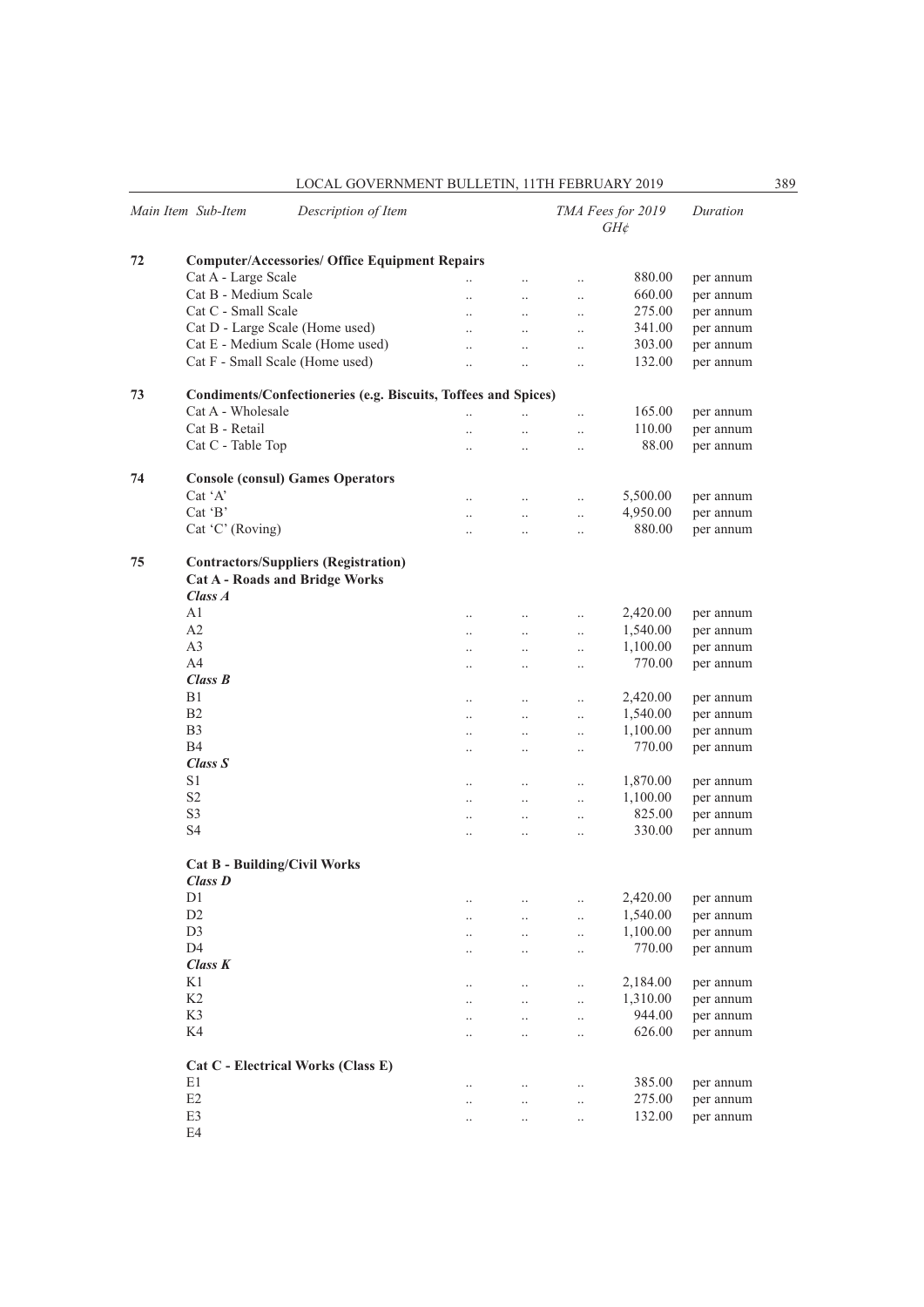| LOCAL GOVERNMENT BULLETIN. 11TH FEBRUARY 2019 | 389 |
|-----------------------------------------------|-----|
|-----------------------------------------------|-----|

|    | Main Item Sub-Item   | Description of Item                                                                  |                      |                      |                      | TMA Fees for 2019<br>$GH\phi$ | Duration  |
|----|----------------------|--------------------------------------------------------------------------------------|----------------------|----------------------|----------------------|-------------------------------|-----------|
| 72 |                      | <b>Computer/Accessories/ Office Equipment Repairs</b>                                |                      |                      |                      |                               |           |
|    | Cat A - Large Scale  |                                                                                      |                      | $\ddotsc$            | $\ddotsc$            | 880.00                        | per annum |
|    | Cat B - Medium Scale |                                                                                      | $\ddot{\phantom{a}}$ | $\ldots$             | $\ddotsc$            | 660.00                        | per annum |
|    | Cat C - Small Scale  |                                                                                      | $\ddotsc$            | $\ddotsc$            | $\ddots$             | 275.00                        | per annum |
|    |                      | Cat D - Large Scale (Home used)                                                      | $\ddot{\phantom{0}}$ | $\ddotsc$            | $\ddot{\phantom{0}}$ | 341.00                        | per annum |
|    |                      | Cat E - Medium Scale (Home used)                                                     | $\ddotsc$            | $\ddotsc$            | $\ddotsc$            | 303.00                        | per annum |
|    |                      | Cat F - Small Scale (Home used)                                                      | $\ddot{\phantom{a}}$ | $\ddotsc$            | $\ddotsc$            | 132.00                        | per annum |
| 73 |                      | Condiments/Confectioneries (e.g. Biscuits, Toffees and Spices)                       |                      |                      |                      |                               |           |
|    | Cat A - Wholesale    |                                                                                      | $\ddotsc$            |                      | $\ddot{\phantom{0}}$ | 165.00                        | per annum |
|    | Cat B - Retail       |                                                                                      | $\ddot{\phantom{0}}$ | $\ddotsc$            | $\ddotsc$            | 110.00                        | per annum |
|    | Cat C - Table Top    |                                                                                      | $\ddotsc$            | $\ddotsc$            | $\ddotsc$            | 88.00                         | per annum |
| 74 |                      | <b>Console (consul) Games Operators</b>                                              |                      |                      |                      |                               |           |
|    | $Cat^{\dagger}A'$    |                                                                                      | $\ddots$             | $\ddots$             | $\ddotsc$            | 5,500.00                      | per annum |
|    | $Cat$ $B$            |                                                                                      | $\ddots$             | $\ddots$             | $\ddot{\phantom{a}}$ | 4,950.00                      | per annum |
|    | Cat $'C'$ (Roving)   |                                                                                      | $\ddotsc$            | $\ddotsc$            | $\ddotsc$            | 880.00                        | per annum |
| 75 | Class A              | <b>Contractors/Suppliers (Registration)</b><br><b>Cat A - Roads and Bridge Works</b> |                      |                      |                      |                               |           |
|    | A <sub>1</sub>       |                                                                                      | $\ddotsc$            | $\ddotsc$            | $\ddotsc$            | 2,420.00                      | per annum |
|    | A2                   |                                                                                      | $\ldots$             | $\ldots$             | $\ddotsc$            | 1,540.00                      | per annum |
|    | A <sub>3</sub>       |                                                                                      | $\ddotsc$            | $\ldots$             | $\ldots$             | 1,100.00                      | per annum |
|    | A <sub>4</sub>       |                                                                                      |                      |                      |                      | 770.00                        | per annum |
|    | Class B              |                                                                                      | $\ddotsc$            | $\ddotsc$            | $\ddotsc$            |                               |           |
|    | B1                   |                                                                                      |                      |                      |                      | 2,420.00                      |           |
|    | B <sub>2</sub>       |                                                                                      | $\ddotsc$            | $\ddotsc$            | $\ddotsc$            |                               | per annum |
|    |                      |                                                                                      | $\ldots$             | $\ldots$             | $\ddotsc$            | 1,540.00                      | per annum |
|    | B <sub>3</sub>       |                                                                                      | $\ldots$             | $\ldots$             | $\ldots$             | 1,100.00                      | per annum |
|    | B4                   |                                                                                      | $\ddotsc$            | $\ddot{\phantom{0}}$ | $\ddotsc$            | 770.00                        | per annum |
|    | Class S              |                                                                                      |                      |                      |                      |                               |           |
|    | S <sub>1</sub>       |                                                                                      | $\ddotsc$            | $\ddotsc$            | $\ddotsc$            | 1,870.00                      | per annum |
|    | S <sub>2</sub>       |                                                                                      | $\ldots$             | $\ddotsc$            | $\ddotsc$            | 1,100.00                      | per annum |
|    | S <sub>3</sub>       |                                                                                      | $\ddotsc$            | $\ddotsc$            | $\ldots$             | 825.00                        | per annum |
|    | <b>S4</b>            |                                                                                      | $\ddot{\phantom{0}}$ | $\ddot{\phantom{0}}$ | $\ddotsc$            | 330.00                        | per annum |
|    | Class D              | <b>Cat B - Building/Civil Works</b>                                                  |                      |                      |                      |                               |           |
|    | D1                   |                                                                                      |                      |                      | $\ldots$             | 2,420.00                      | per annum |
|    | D <sub>2</sub>       |                                                                                      | $\cdot$ .            |                      |                      | 1,540.00                      | per annum |
|    | D <sub>3</sub>       |                                                                                      | $\ddotsc$            |                      | $\ddotsc$            | 1,100.00                      | per annum |
|    | D <sub>4</sub>       |                                                                                      | $\ddotsc$            | $\ddot{\phantom{0}}$ | $\ldots$             | 770.00                        |           |
|    | Class K              |                                                                                      | $\ddotsc$            |                      | $\ddotsc$            |                               | per annum |
|    |                      |                                                                                      |                      |                      |                      |                               |           |
|    | K1                   |                                                                                      | $\ddotsc$            | $\ddotsc$            | $\ddotsc$            | 2,184.00                      | per annum |
|    | K2                   |                                                                                      | $\ddotsc$            | $\ddot{\phantom{0}}$ | $\ddotsc$            | 1,310.00                      | per annum |
|    | K3                   |                                                                                      | $\ddotsc$            | $\ddotsc$            | $\ddotsc$            | 944.00                        | per annum |
|    | K4                   |                                                                                      | $\ddotsc$            |                      | $\ddotsc$            | 626.00                        | per annum |
|    |                      | Cat C - Electrical Works (Class E)                                                   |                      |                      |                      |                               |           |
|    | E1                   |                                                                                      | $\ddotsc$            |                      | $\ddotsc$            | 385.00                        | per annum |
|    | $\rm E2$             |                                                                                      | $\ddotsc$            | $\ddotsc$            | $\ddotsc$            | 275.00                        | per annum |
|    | E3                   |                                                                                      | $\cdot$ .            | $\ddotsc$            | $\ldots$             | 132.00                        | per annum |
|    | E4                   |                                                                                      |                      |                      |                      |                               |           |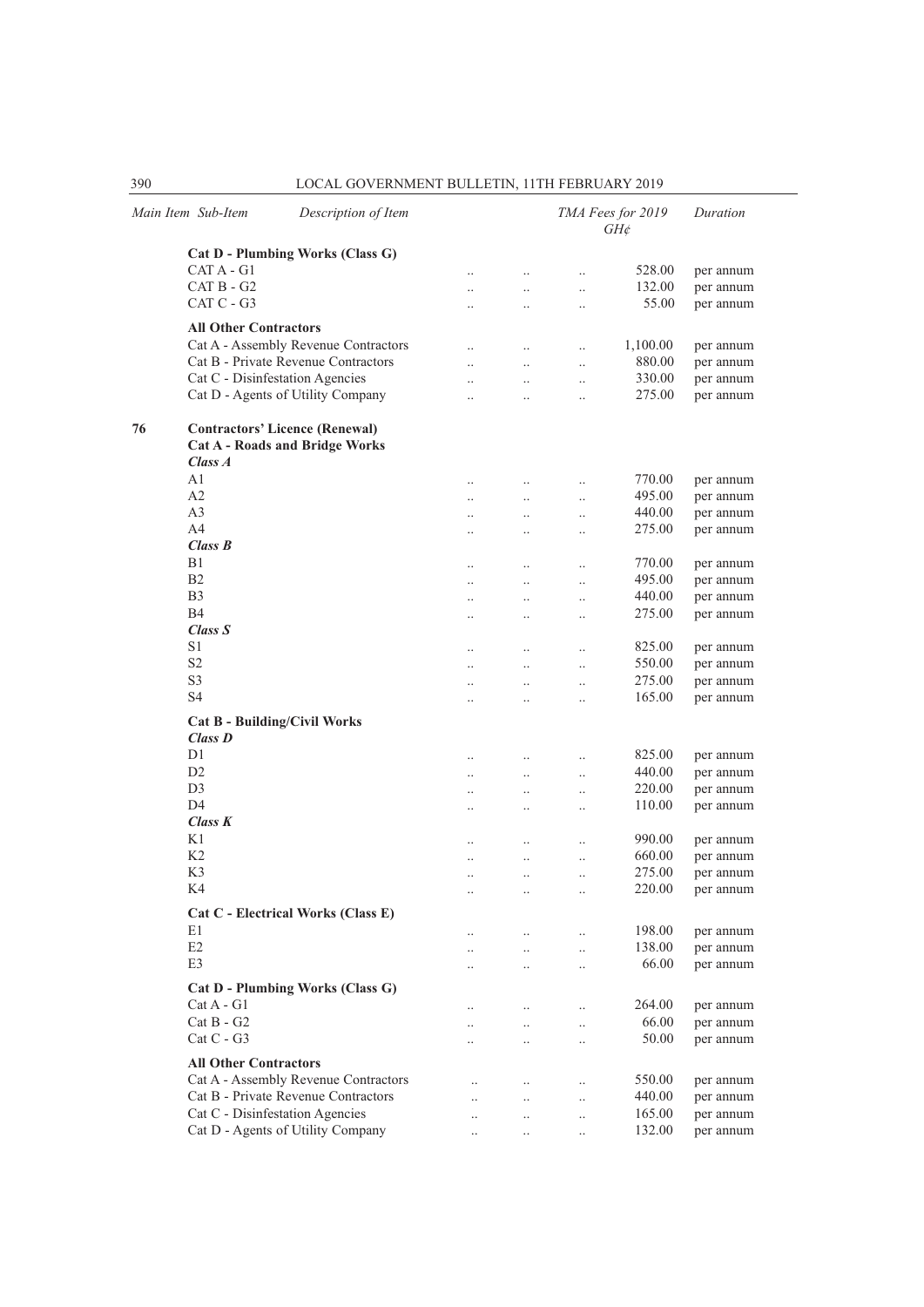|    | Main Item Sub-Item                    | Description of Item                   |                        |                      |                      | TMA Fees for 2019<br>$GH\phi$ | Duration  |  |  |  |
|----|---------------------------------------|---------------------------------------|------------------------|----------------------|----------------------|-------------------------------|-----------|--|--|--|
|    |                                       | Cat D - Plumbing Works (Class G)      |                        |                      |                      |                               |           |  |  |  |
|    | CAT A - G1                            |                                       | $\cdot$ .              | $\cdot$ .            | $\ldots$             | 528.00                        | per annum |  |  |  |
|    | $CAT B - G2$                          |                                       | $\cdot$                | $\cdot$              | $\cdot$              | 132.00                        | per annum |  |  |  |
|    | CAT C - G3                            |                                       | $\ddot{\phantom{a}}$   | $\ddotsc$            | $\cdot$              | 55.00                         | per annum |  |  |  |
|    | <b>All Other Contractors</b>          |                                       |                        |                      |                      |                               |           |  |  |  |
|    |                                       | Cat A - Assembly Revenue Contractors  | $\ldots$               | $\ldots$             | $\cdot$ .            | 1,100.00                      | per annum |  |  |  |
|    |                                       | Cat B - Private Revenue Contractors   | $\ddot{\phantom{0}}$   | $\ddotsc$            | $\ddotsc$            | 880.00                        | per annum |  |  |  |
|    |                                       | Cat C - Disinfestation Agencies       | $\ddot{\phantom{0}}$   | $\ddotsc$            | $\ddot{\phantom{a}}$ | 330.00                        | per annum |  |  |  |
|    |                                       | Cat D - Agents of Utility Company     | $\ddotsc$              | $\ddotsc$            | $\ddotsc$            | 275.00                        | per annum |  |  |  |
| 76 | <b>Contractors' Licence (Renewal)</b> |                                       |                        |                      |                      |                               |           |  |  |  |
|    |                                       | <b>Cat A - Roads and Bridge Works</b> |                        |                      |                      |                               |           |  |  |  |
|    | Class A                               |                                       |                        |                      |                      |                               |           |  |  |  |
|    | A <sub>1</sub>                        |                                       | $\ddotsc$              | $\ddotsc$            | $\ddotsc$            | 770.00                        | per annum |  |  |  |
|    | A2                                    |                                       | $\cdot$ .              | $\ldots$             | $\ddotsc$            | 495.00                        | per annum |  |  |  |
|    | A <sub>3</sub>                        |                                       | $\cdot$                | $\ldots$             | $\ldots$             | 440.00                        | per annum |  |  |  |
|    | A <sub>4</sub>                        |                                       | $\cdot$ .              | $\ldots$             | $\cdot$ .            | 275.00                        | per annum |  |  |  |
|    | Class B                               |                                       |                        |                      |                      |                               |           |  |  |  |
|    | B1                                    |                                       | $\ddotsc$              | $\ddotsc$            | $\ddotsc$            | 770.00                        | per annum |  |  |  |
|    | B <sub>2</sub>                        |                                       | $\cdot$                | $\ldots$             | $\ddotsc$            | 495.00                        | per annum |  |  |  |
|    | B <sub>3</sub>                        |                                       | $\cdot$                | $\cdot$ .            | $\ldots$             | 440.00                        | per annum |  |  |  |
|    | B4                                    |                                       | $\cdot$ .              | $\cdot$ .            | $\cdot$ .            | 275.00                        | per annum |  |  |  |
|    | Class S                               |                                       |                        |                      |                      |                               |           |  |  |  |
|    | S <sub>1</sub>                        |                                       | $\ddotsc$              | $\ddotsc$            | $\ddotsc$            | 825.00                        | per annum |  |  |  |
|    | S <sub>2</sub>                        |                                       | $\cdot$ .              | $\ldots$             | $\ldots$             | 550.00                        | per annum |  |  |  |
|    | S <sub>3</sub>                        |                                       | $\cdot$                | $\ldots$             | $\ldots$             | 275.00                        | per annum |  |  |  |
|    | <b>S4</b>                             |                                       | $\cdot$ .              | $\ldots$             | $\cdot$              | 165.00                        | per annum |  |  |  |
|    |                                       | <b>Cat B - Building/Civil Works</b>   |                        |                      |                      |                               |           |  |  |  |
|    | Class D                               |                                       |                        |                      |                      |                               |           |  |  |  |
|    | D1                                    |                                       | $\ldots$               | $\cdot$              | $\cdot$              | 825.00                        | per annum |  |  |  |
|    | D <sub>2</sub>                        |                                       | $\ldots$               | $\ldots$             | $\ddotsc$            | 440.00                        | per annum |  |  |  |
|    | D <sub>3</sub>                        |                                       | $\ddotsc$              | $\ddotsc$            | $\ddotsc$            | 220.00                        | per annum |  |  |  |
|    | D <sub>4</sub>                        |                                       | $\ddotsc$              | $\ddotsc$            | $\ldots$             | 110.00                        | per annum |  |  |  |
|    | Class K                               |                                       |                        |                      |                      |                               |           |  |  |  |
|    | K1                                    |                                       | $\cdot$                | $\cdot$              | $\cdot$              | 990.00                        | per annum |  |  |  |
|    | K2                                    |                                       | $\ldots$               | $\ldots$             | $\ddotsc$            | 660.00                        | per annum |  |  |  |
|    | K <sub>3</sub>                        |                                       | $\ddotsc$              | $\ddotsc$            | $\ddotsc$            | 275.00                        | per annum |  |  |  |
|    | K4                                    |                                       | $\ddot{\phantom{a}}$   | $\ddotsc$            | $\ddot{\phantom{a}}$ | 220.00                        | per annum |  |  |  |
|    |                                       | Cat C - Electrical Works (Class E)    |                        |                      |                      |                               |           |  |  |  |
|    | E1                                    |                                       | $\cdot$ .              | $\ldots$             | $\ddot{\phantom{a}}$ | 198.00                        | per annum |  |  |  |
|    | E2                                    |                                       | $\cdot$ .              | $\cdot$ .            | $\cdot$ .            | 138.00                        | per annum |  |  |  |
|    | E3                                    |                                       | $\ddotsc$              | $\cdot$ .            | $\cdot$ .            | 66.00                         | per annum |  |  |  |
|    |                                       | Cat D - Plumbing Works (Class G)      |                        |                      |                      |                               |           |  |  |  |
|    | $Cat A - G1$                          |                                       |                        |                      |                      | 264.00                        | per annum |  |  |  |
|    | $Cat B - G2$                          |                                       | $\cdot$ .              | $\ddotsc$            | $\ddotsc$            | 66.00                         | per annum |  |  |  |
|    | $Cat C - G3$                          |                                       | $\cdot$ .<br>$\cdot$ . | $\cdot$ .<br>$\cdot$ | <br>                 | 50.00                         | per annum |  |  |  |
|    |                                       |                                       |                        |                      |                      |                               |           |  |  |  |
|    | <b>All Other Contractors</b>          |                                       |                        |                      |                      |                               |           |  |  |  |
|    |                                       | Cat A - Assembly Revenue Contractors  | $\ddotsc$              | $\cdot$ .            | $\cdot$ .            | 550.00                        | per annum |  |  |  |
|    |                                       | Cat B - Private Revenue Contractors   |                        |                      |                      | 440.00                        | per annum |  |  |  |
|    |                                       | Cat C - Disinfestation Agencies       |                        | $\cdot$ .            |                      | 165.00                        | per annum |  |  |  |
|    |                                       | Cat D - Agents of Utility Company     | $\ddot{\phantom{a}}$   | $\cdot$              | $\ddotsc$            | 132.00                        | per annum |  |  |  |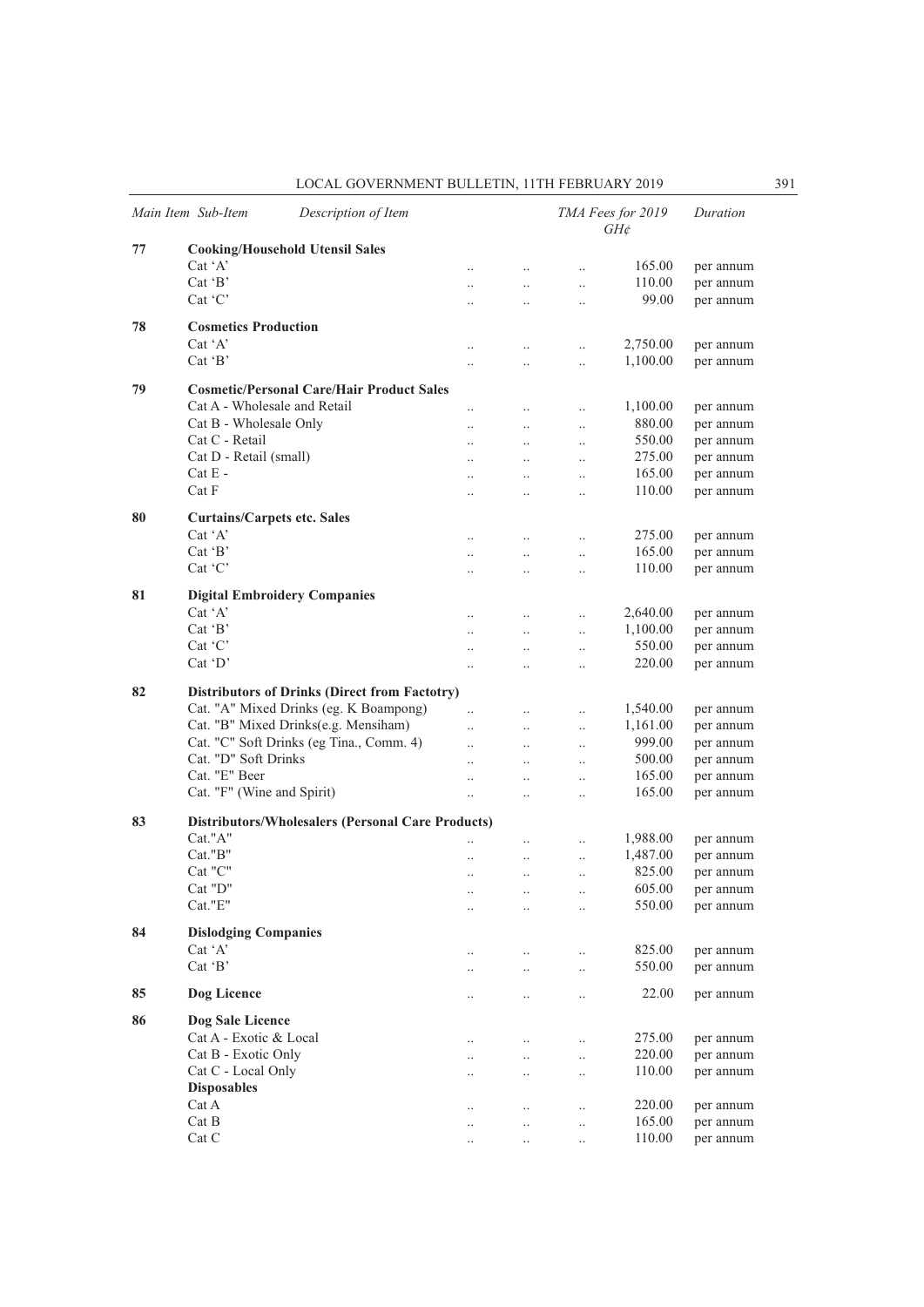|    | Main Item Sub-Item<br>Description of Item                        |                      |                     |           | TMA Fees for 2019<br>$GH\phi$ | Duration  |
|----|------------------------------------------------------------------|----------------------|---------------------|-----------|-------------------------------|-----------|
| 77 | <b>Cooking/Household Utensil Sales</b>                           |                      |                     |           |                               |           |
|    | Cat 'A'                                                          |                      | $\ddotsc$           | $\ddotsc$ | 165.00                        | per annum |
|    | $Cat$ $B$                                                        | $\ddot{\phantom{a}}$ | $\ddotsc$           | $\ddotsc$ | 110.00                        | per annum |
|    | Cat 'C'                                                          |                      | $\ddotsc$           | $\ldots$  | 99.00                         | per annum |
| 78 | <b>Cosmetics Production</b>                                      |                      |                     |           |                               |           |
|    | $Cat^{\dagger}A^{\dagger}$                                       | $\ddotsc$            | $\cdot$ .           | $\ddotsc$ | 2,750.00                      | per annum |
|    | $Cat$ $B$                                                        |                      | $\cdot$             | $\ldots$  | 1,100.00                      | per annum |
| 79 | <b>Cosmetic/Personal Care/Hair Product Sales</b>                 |                      |                     |           |                               |           |
|    | Cat A - Wholesale and Retail                                     | $\ddot{\phantom{a}}$ | $\ddotsc$           | $\ddotsc$ | 1,100.00                      | per annum |
|    | Cat B - Wholesale Only                                           | $\ddot{\phantom{a}}$ | $\ddotsc$           | $\ddotsc$ | 880.00                        | per annum |
|    | Cat C - Retail                                                   |                      | $\ldots$            | $\ldots$  | 550.00                        | per annum |
|    | Cat D - Retail (small)                                           |                      | $\ddotsc$           | $\ddotsc$ | 275.00                        | per annum |
|    | $Cat E -$                                                        |                      | $\ddotsc$           | $\ddotsc$ | 165.00                        | per annum |
|    | Cat F                                                            | $\ddotsc$            |                     |           | 110.00                        | per annum |
|    |                                                                  |                      | $\ddotsc$           | $\ddotsc$ |                               |           |
| 80 | <b>Curtains/Carpets etc. Sales</b><br>$Cat^{\dagger}A^{\dagger}$ |                      |                     |           |                               |           |
|    |                                                                  | $\ddot{\phantom{a}}$ | $\ddotsc$           | $\ddotsc$ | 275.00                        | per annum |
|    | $Cat$ $B$                                                        |                      | $\ldots$            | $\ldots$  | 165.00                        | per annum |
|    | $Cat$ $C$                                                        |                      | $\ldots$            | $\ldots$  | 110.00                        | per annum |
| 81 | <b>Digital Embroidery Companies</b>                              |                      |                     |           |                               |           |
|    | $Cat^{\dagger}A^{\dagger}$                                       | $\ddot{\phantom{a}}$ | $\ldots$            | $\ddotsc$ | 2,640.00                      | per annum |
|    | Cat 'B'                                                          |                      | $\ddotsc$           | $\ddotsc$ | 1,100.00                      | per annum |
|    | Cat 'C'                                                          | $\ddot{\phantom{a}}$ | $\ddotsc$           | $\ddotsc$ | 550.00                        | per annum |
|    | $Cat$ $D'$                                                       | $\ddot{\phantom{a}}$ | $\ddotsc$           | $\ldots$  | 220.00                        | per annum |
| 82 | <b>Distributors of Drinks (Direct from Factotry)</b>             |                      |                     |           |                               |           |
|    | Cat. "A" Mixed Drinks (eg. K Boampong)                           |                      | $\ddotsc$           | $\ddotsc$ | 1,540.00                      | per annum |
|    | Cat. "B" Mixed Drinks(e.g. Mensiham)                             | $\ddotsc$            | $\ldots$            | $\ldots$  | 1,161.00                      | per annum |
|    | Cat. "C" Soft Drinks (eg Tina., Comm. 4)                         |                      | $\ddotsc$           | $\ldots$  | 999.00                        | per annum |
|    | Cat. "D" Soft Drinks                                             | $\ddotsc$            | $\ddotsc$           | $\ldots$  | 500.00                        | per annum |
|    | Cat. "E" Beer                                                    | $\ddot{\phantom{a}}$ | $\ddotsc$           | $\ddotsc$ | 165.00                        | per annum |
|    | Cat. "F" (Wine and Spirit)                                       | $\ddot{\phantom{a}}$ | $\ddotsc$           | $\ddotsc$ | 165.00                        | per annum |
| 83 | <b>Distributors/Wholesalers (Personal Care Products)</b>         |                      |                     |           |                               |           |
|    | Cat."A"                                                          |                      | $\ldots$            | $\ldots$  | 1,988.00                      | per annum |
|    | Cat."B"                                                          | $\cdot$              | $\ldots$            | $\ldots$  | 1,487.00                      | per annum |
|    | Cat "C"                                                          |                      | $\ddotsc$           | $\ddotsc$ | 825.00                        | per annum |
|    | Cat "D"                                                          |                      |                     | $\ddotsc$ | 605.00                        | per annum |
|    | Cat."E"                                                          |                      | $\cdot$<br>$\ldots$ |           | 550.00                        | per annum |
| 84 | <b>Dislodging Companies</b>                                      |                      |                     |           |                               |           |
|    | Cat 'A'                                                          | $\cdot$ .            | $\ldots$            | $\ldots$  | 825.00                        | per annum |
|    | Cat $B$                                                          |                      | $\ldots$            | $\ldots$  | 550.00                        | per annum |
| 85 | Dog Licence                                                      |                      | $\ldots$            | $\ldots$  | 22.00                         | per annum |
| 86 | Dog Sale Licence                                                 |                      |                     |           |                               |           |
|    | Cat A - Exotic & Local                                           | $\ddotsc$            | $\ldots$            | $\ddotsc$ | 275.00                        | per annum |
|    | Cat B - Exotic Only                                              |                      | $\ldots$            | $\ldots$  | 220.00                        | per annum |
|    | Cat C - Local Only                                               |                      |                     | $\ldots$  | 110.00                        | per annum |
|    | <b>Disposables</b>                                               |                      | $\cdot$             |           |                               |           |
|    | Cat A                                                            |                      |                     |           | 220.00                        | per annum |
|    | Cat B                                                            | $\cdot$ .            | $\ldots$            | $\ldots$  | 165.00                        | per annum |
|    | Cat C                                                            | $\ddotsc$            | $\ldots$            | $\ldots$  | 110.00                        |           |
|    |                                                                  | $\cdot$ .            | $\cdot$ .           | $\cdot$ . |                               | per annum |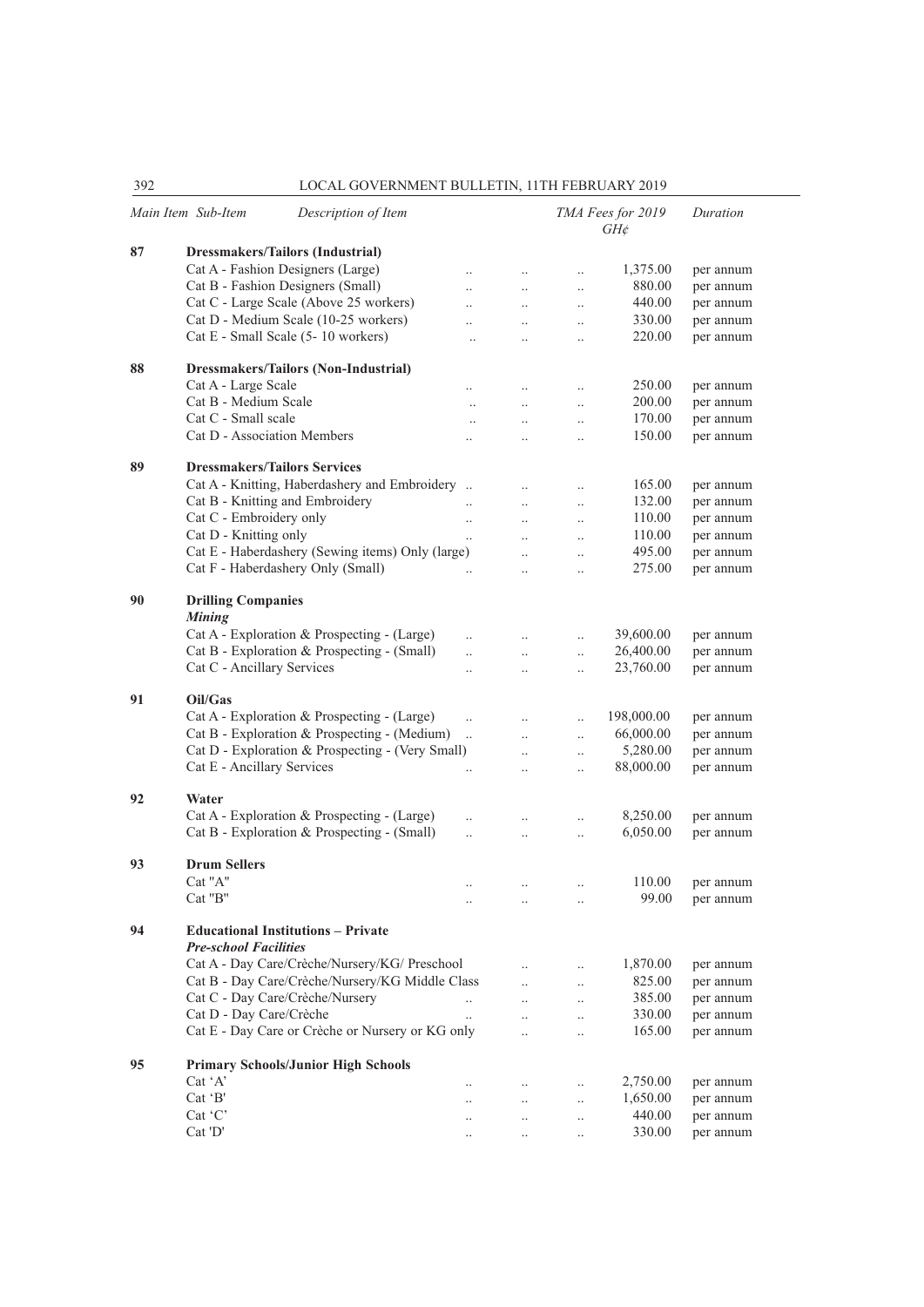$\overline{\phantom{a}}$ 

| ے ر | LOCAL GO VERNMENT DOLLETIN, ITTITTEDROART 2017                            |                                   |                                              |                                   |                               |           |
|-----|---------------------------------------------------------------------------|-----------------------------------|----------------------------------------------|-----------------------------------|-------------------------------|-----------|
|     | Main Item Sub-Item<br>Description of Item                                 |                                   |                                              |                                   | TMA Fees for 2019<br>$GH\phi$ | Duration  |
| 87  | Dressmakers/Tailors (Industrial)                                          |                                   |                                              |                                   |                               |           |
|     | Cat A - Fashion Designers (Large)                                         | $\ddot{\phantom{0}}$              | $\ddotsc$                                    | $\ldots$                          | 1,375.00                      | per annum |
|     | Cat B - Fashion Designers (Small)                                         | $\ddot{\phantom{a}}$              | $\ddotsc$                                    | $\ddotsc$                         | 880.00                        | per annum |
|     | Cat C - Large Scale (Above 25 workers)                                    | $\ddot{\phantom{a}}$              | $\ddotsc$                                    | $\ldots$                          | 440.00                        | per annum |
|     | Cat D - Medium Scale (10-25 workers)                                      |                                   |                                              |                                   | 330.00                        | per annum |
|     | Cat E - Small Scale (5-10 workers)                                        | $\ddot{\phantom{0}}$<br>$\ddotsc$ | $\ddot{\phantom{0}}$<br>$\ddot{\phantom{a}}$ | $\ddotsc$<br>$\ddot{\phantom{a}}$ | 220.00                        | per annum |
| 88  | <b>Dressmakers/Tailors (Non-Industrial)</b>                               |                                   |                                              |                                   |                               |           |
|     | Cat A - Large Scale                                                       | $\ddotsc$                         | $\ldots$                                     | $\ldots$                          | 250.00                        | per annum |
|     | Cat B - Medium Scale                                                      | $\ddotsc$                         | $\ddotsc$                                    | $\ddotsc$                         | 200.00                        | per annum |
|     | Cat C - Small scale                                                       | $\ddot{\phantom{a}}$              | $\ddotsc$                                    | $\ldots$                          | 170.00                        | per annum |
|     | Cat D - Association Members                                               | $\ddot{\phantom{0}}$              | $\ddot{\phantom{0}}$                         | $\ddotsc$                         | 150.00                        | per annum |
| 89  | <b>Dressmakers/Tailors Services</b>                                       |                                   |                                              |                                   |                               |           |
|     | Cat A - Knitting, Haberdashery and Embroidery                             |                                   | $\ddotsc$                                    | $\ddotsc$                         | 165.00                        | per annum |
|     | Cat B - Knitting and Embroidery                                           | $\ddot{\phantom{0}}$              | $\ddot{\phantom{a}}$                         | $\ddotsc$                         | 132.00                        | per annum |
|     | Cat C - Embroidery only                                                   |                                   |                                              |                                   | 110.00                        | per annum |
|     | Cat D - Knitting only                                                     | $\ddotsc$                         | $\ddots$                                     | $\ddotsc$                         | 110.00                        |           |
|     | Cat E - Haberdashery (Sewing items) Only (large)                          | $\ldots$                          | $\ddotsc$                                    | $\ldots$                          | 495.00                        | per annum |
|     |                                                                           |                                   | $\ddot{\phantom{0}}$                         | $\ddot{\phantom{0}}$              |                               | per annum |
|     | Cat F - Haberdashery Only (Small)                                         | $\ddotsc$                         | $\ddot{\phantom{0}}$                         | $\ddot{\phantom{0}}$              | 275.00                        | per annum |
| 90  | <b>Drilling Companies</b><br><b>Mining</b>                                |                                   |                                              |                                   |                               |           |
|     | Cat A - Exploration & Prospecting - (Large)                               | $\ddotsc$                         | $\ddotsc$                                    | $\ddotsc$                         | 39,600.00                     | per annum |
|     | Cat B - Exploration & Prospecting - (Small)                               | $\ddotsc$                         | $\ddot{\phantom{a}}$                         | $\ddotsc$                         | 26,400.00                     | per annum |
|     | Cat C - Ancillary Services                                                | $\ddot{\phantom{0}}$              | $\ddotsc$                                    | $\ddotsc$                         | 23,760.00                     | per annum |
| 91  | Oil/Gas                                                                   |                                   |                                              |                                   |                               |           |
|     | Cat A - Exploration & Prospecting - (Large)                               | $\ddotsc$                         | $\ddotsc$                                    | $\ldots$                          | 198,000.00                    | per annum |
|     | Cat B - Exploration & Prospecting - (Medium)                              | $\ddots$                          | $\ddotsc$                                    | $\ddotsc$                         | 66,000.00                     | per annum |
|     | Cat D - Exploration & Prospecting - (Very Small)                          |                                   | $\ddot{\phantom{0}}$                         | $\ddotsc$                         | 5,280.00                      | per annum |
|     | Cat E - Ancillary Services                                                |                                   |                                              |                                   | 88,000.00                     | per annum |
|     |                                                                           | $\ddot{\phantom{0}}$              | $\ddotsc$                                    | $\ddotsc$                         |                               |           |
| 92  | Water                                                                     |                                   |                                              |                                   |                               |           |
|     | Cat A - Exploration & Prospecting - (Large)                               |                                   |                                              | $\ddot{\phantom{0}}$              | 8,250.00                      | per annum |
|     | Cat B - Exploration & Prospecting - (Small)                               | $\ddotsc$                         | $\ddotsc$                                    | $\ddotsc$                         | 6,050.00                      | per annum |
| 93  | <b>Drum Sellers</b>                                                       |                                   |                                              |                                   |                               |           |
|     | Cat "A"                                                                   |                                   |                                              |                                   | 110.00                        | per annum |
|     | $Cat$ " $B$ "                                                             | $\ldots$                          | $\ldots$                                     | $\ldots$                          | 99.00                         | per annum |
| 94  | <b>Educational Institutions - Private</b><br><b>Pre-school Facilities</b> |                                   |                                              |                                   |                               |           |
|     | Cat A - Day Care/Crèche/Nursery/KG/ Preschool                             |                                   |                                              | $\ddotsc$                         | 1,870.00                      | per annum |
|     | Cat B - Day Care/Crèche/Nursery/KG Middle Class                           |                                   | $\ddotsc$                                    | $\ddotsc$                         | 825.00                        | per annum |
|     | Cat C - Day Care/Crèche/Nursery                                           |                                   | $\ddots$                                     | $\ddotsc$                         | 385.00                        | per annum |
|     | Cat D - Day Care/Crèche                                                   | $\ddotsc$                         | $\ddots$                                     | $\ldots$                          | 330.00                        | per annum |
|     | Cat E - Day Care or Crèche or Nursery or KG only                          |                                   | $\ddotsc$                                    | $\ldots$                          | 165.00                        | per annum |
| 95  | <b>Primary Schools/Junior High Schools</b>                                |                                   |                                              |                                   |                               |           |
|     | Cat 'A'                                                                   |                                   | $\ldots$                                     | $\ldots$                          | 2,750.00                      | per annum |
|     | $Cat$ $B'$                                                                | $\ddotsc$                         | $\ddots$                                     | $\ddotsc$                         | 1,650.00                      | per annum |
|     | $Cat^{\cdot}C^{\cdot}$                                                    |                                   | $\ldots$                                     | $\ldots$                          | 440.00                        | per annum |
|     | $Cat$ $D'$                                                                | $\cdot$ .                         | $\ldots$                                     | $\cdot$                           | 330.00                        | per annum |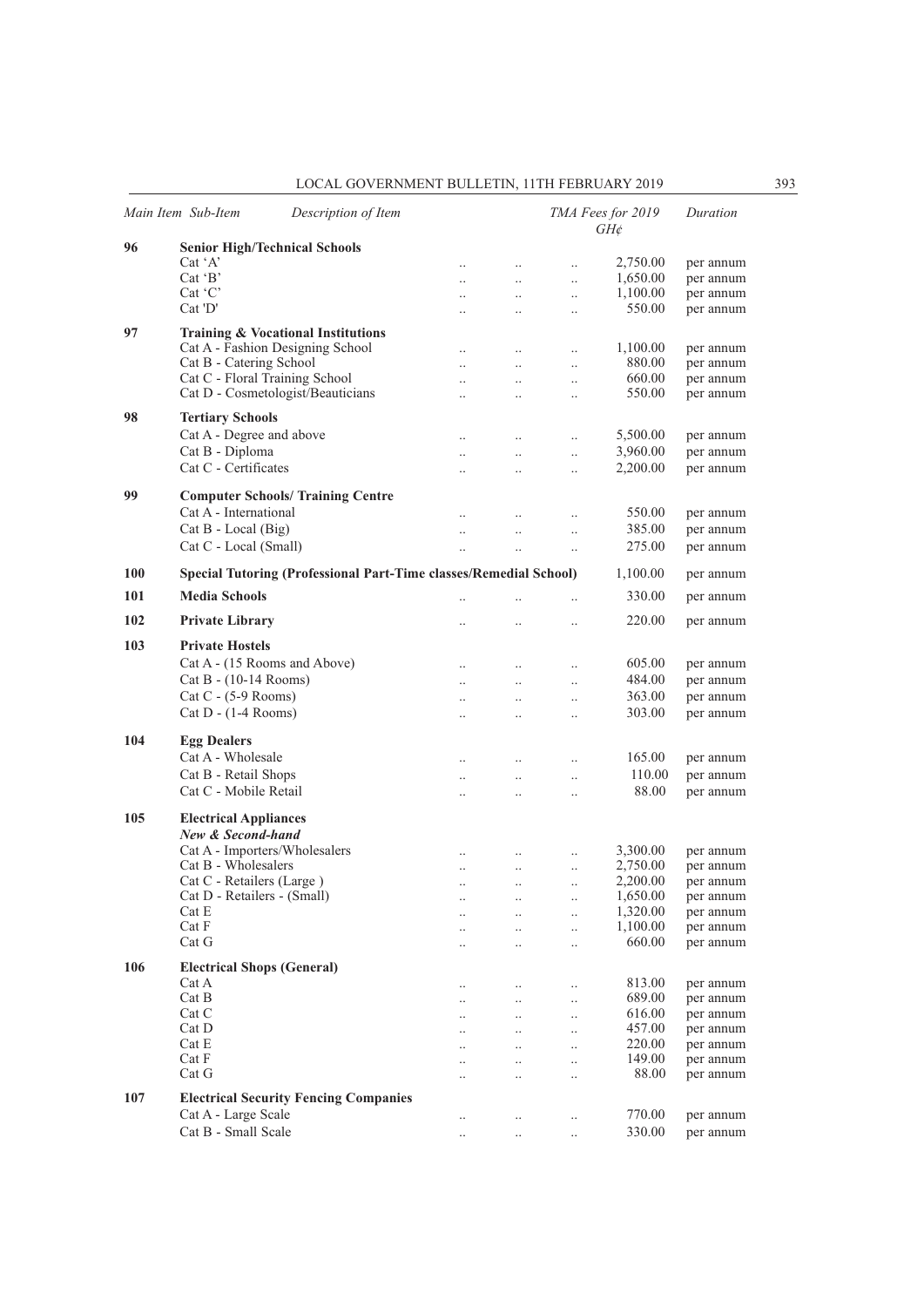|     | Main Item Sub-Item                   | Description of Item                                               |                      |                      |                      | TMA Fees for 2019<br>$GH\phi$ | Duration               |
|-----|--------------------------------------|-------------------------------------------------------------------|----------------------|----------------------|----------------------|-------------------------------|------------------------|
| 96  | <b>Senior High/Technical Schools</b> |                                                                   |                      |                      |                      |                               |                        |
|     | Cat 'A'                              |                                                                   | $\ddot{\phantom{0}}$ | $\ddotsc$            | $\ddotsc$            | 2,750.00                      | per annum              |
|     | $Cat$ $B'$                           |                                                                   | $\ddot{\phantom{0}}$ | $\ddotsc$            | $\ddotsc$            | 1,650.00                      | per annum              |
|     | $Cat$ $C$                            |                                                                   | $\ddotsc$            | $\ldots$             | $\ldots$             | 1,100.00                      | per annum              |
|     | Cat'D'                               |                                                                   | $\ddot{\phantom{a}}$ | $\ddot{\phantom{0}}$ | $\ddotsc$            | 550.00                        | per annum              |
| 97  |                                      | <b>Training &amp; Vocational Institutions</b>                     |                      |                      |                      |                               |                        |
|     | Cat A - Fashion Designing School     |                                                                   |                      |                      |                      |                               |                        |
|     | Cat B - Catering School              |                                                                   |                      | $\ddotsc$            | $\ldots$             | 1,100.00<br>880.00            | per annum<br>per annum |
|     | Cat C - Floral Training School       |                                                                   | $\ddot{\phantom{a}}$ | $\ddotsc$            | $\ddotsc$            | 660.00                        |                        |
|     | Cat D - Cosmetologist/Beauticians    |                                                                   | $\ddot{\phantom{a}}$ | $\ddotsc$            | $\ddotsc$            | 550.00                        | per annum<br>per annum |
|     |                                      |                                                                   | $\ddot{\phantom{a}}$ | $\ddotsc$            | $\ddotsc$            |                               |                        |
| 98  | <b>Tertiary Schools</b>              |                                                                   |                      |                      |                      |                               |                        |
|     | Cat A - Degree and above             |                                                                   | $\ddot{\phantom{0}}$ | $\ddot{\phantom{0}}$ | $\ddotsc$            | 5,500.00                      | per annum              |
|     | Cat B - Diploma                      |                                                                   | $\ddotsc$            | $\ldots$             | $\ldots$             | 3,960.00                      | per annum              |
|     | Cat C - Certificates                 |                                                                   | $\ddot{\phantom{0}}$ | $\ldots$             | $\ddotsc$            | 2,200.00                      | per annum              |
|     |                                      |                                                                   |                      |                      |                      |                               |                        |
| 99  |                                      | <b>Computer Schools/ Training Centre</b>                          |                      |                      |                      |                               |                        |
|     | Cat A - International                |                                                                   | $\ddotsc$            | $\ldots$             | $\ldots$             | 550.00                        | per annum              |
|     | Cat B - Local (Big)                  |                                                                   | $\ddot{\phantom{0}}$ | $\ddotsc$            | $\ddotsc$            | 385.00                        | per annum              |
|     | Cat C - Local (Small)                |                                                                   | $\ddot{\phantom{a}}$ | $\ddotsc$            | $\ddotsc$            | 275.00                        | per annum              |
|     |                                      |                                                                   |                      |                      |                      |                               |                        |
| 100 |                                      | Special Tutoring (Professional Part-Time classes/Remedial School) |                      |                      |                      | 1,100.00                      | per annum              |
| 101 | <b>Media Schools</b>                 |                                                                   | $\ddotsc$            | $\ddotsc$            | $\ddotsc$            | 330.00                        | per annum              |
| 102 | <b>Private Library</b>               |                                                                   | $\ddotsc$            |                      | $\ldots$             | 220.00                        | per annum              |
|     |                                      |                                                                   |                      |                      |                      |                               |                        |
| 103 | <b>Private Hostels</b>               |                                                                   |                      |                      |                      |                               |                        |
|     | Cat A - (15 Rooms and Above)         |                                                                   | $\ddotsc$            | $\ddotsc$            | $\ddotsc$            | 605.00                        | per annum              |
|     | Cat B - (10-14 Rooms)                |                                                                   | $\ddotsc$            | $\ddotsc$            | $\ldots$             | 484.00                        | per annum              |
|     | $Cat C - (5-9$ Rooms)                |                                                                   | $\ddotsc$            | $\ldots$             | $\ldots$             | 363.00                        | per annum              |
|     | $Cat D - (1-4 Rooms)$                |                                                                   | $\ddotsc$            | $\ddotsc$            | $\ddotsc$            | 303.00                        | per annum              |
|     |                                      |                                                                   |                      |                      |                      |                               |                        |
| 104 | <b>Egg Dealers</b>                   |                                                                   |                      |                      |                      |                               |                        |
|     | Cat A - Wholesale                    |                                                                   | $\ddotsc$            | $\ldots$             | $\ldots$             | 165.00                        | per annum              |
|     | Cat B - Retail Shops                 |                                                                   | $\ddotsc$            | $\ddotsc$            | $\ddotsc$            | 110.00                        | per annum              |
|     | Cat C - Mobile Retail                |                                                                   | $\ddot{\phantom{a}}$ | $\ddot{\phantom{a}}$ | $\ddot{\phantom{0}}$ | 88.00                         | per annum              |
|     |                                      |                                                                   |                      |                      |                      |                               |                        |
| 105 | <b>Electrical Appliances</b>         |                                                                   |                      |                      |                      |                               |                        |
|     | New & Second-hand                    |                                                                   |                      |                      |                      |                               |                        |
|     | Cat A - Importers/Wholesalers        |                                                                   | $\ddotsc$            | $\ldots$             | $\ddotsc$            | 3,300.00                      | per annum              |
|     | Cat B - Wholesalers                  |                                                                   | $\ddot{\phantom{0}}$ | $\ddotsc$            | $\ldots$             | 2,750.00                      | per annum              |
|     | Cat C - Retailers (Large)            |                                                                   | $\ddot{\phantom{0}}$ | $\ldots$             | $\ldots$             | 2,200.00                      | per annum              |
|     | Cat D - Retailers - (Small)          |                                                                   | $\cdot$ .            |                      | $\cdot$ .            | 1,650.00                      | per annum              |
|     | Cat E<br>Cat F                       |                                                                   |                      |                      | $\ddotsc$            | 1,320.00<br>1,100.00          | per annum              |
|     | Cat G                                |                                                                   |                      |                      | $\ldots$             | 660.00                        | per annum              |
|     |                                      |                                                                   |                      |                      | $\ddotsc$            |                               | per annum              |
| 106 | <b>Electrical Shops (General)</b>    |                                                                   |                      |                      |                      |                               |                        |
|     | Cat A                                |                                                                   |                      | $\ddotsc$            | $\ldots$             | 813.00                        | per annum              |
|     | Cat B                                |                                                                   | $\ddot{\phantom{a}}$ | $\ddotsc$            | $\ddotsc$            | 689.00                        | per annum              |
|     | Cat C                                |                                                                   |                      | $\ldots$             | $\ldots$             | 616.00                        | per annum              |
|     | Cat D                                |                                                                   | $\ddot{\phantom{a}}$ | $\ddotsc$            | $\ddotsc$            | 457.00                        | per annum              |
|     | Cat E                                |                                                                   |                      | $\ddotsc$            | $\ldots$             | 220.00                        | per annum              |
|     | Cat F                                |                                                                   | $\ddotsc$            | $\ddotsc$            | $\ddotsc$            | 149.00                        | per annum              |
|     | Cat G                                |                                                                   | $\ddot{\phantom{0}}$ | $\ddot{\phantom{0}}$ | $\ddotsc$            | 88.00                         | per annum              |
| 107 |                                      | <b>Electrical Security Fencing Companies</b>                      |                      |                      |                      |                               |                        |
|     | Cat A - Large Scale                  |                                                                   |                      |                      |                      | 770.00                        | per annum              |
|     | Cat B - Small Scale                  |                                                                   | $\cdot \cdot$        | $\ddotsc$            | $\ldots$             | 330.00                        | per annum              |
|     |                                      |                                                                   | $\cdot$ .            | $\ldots$             | $\ldots$             |                               |                        |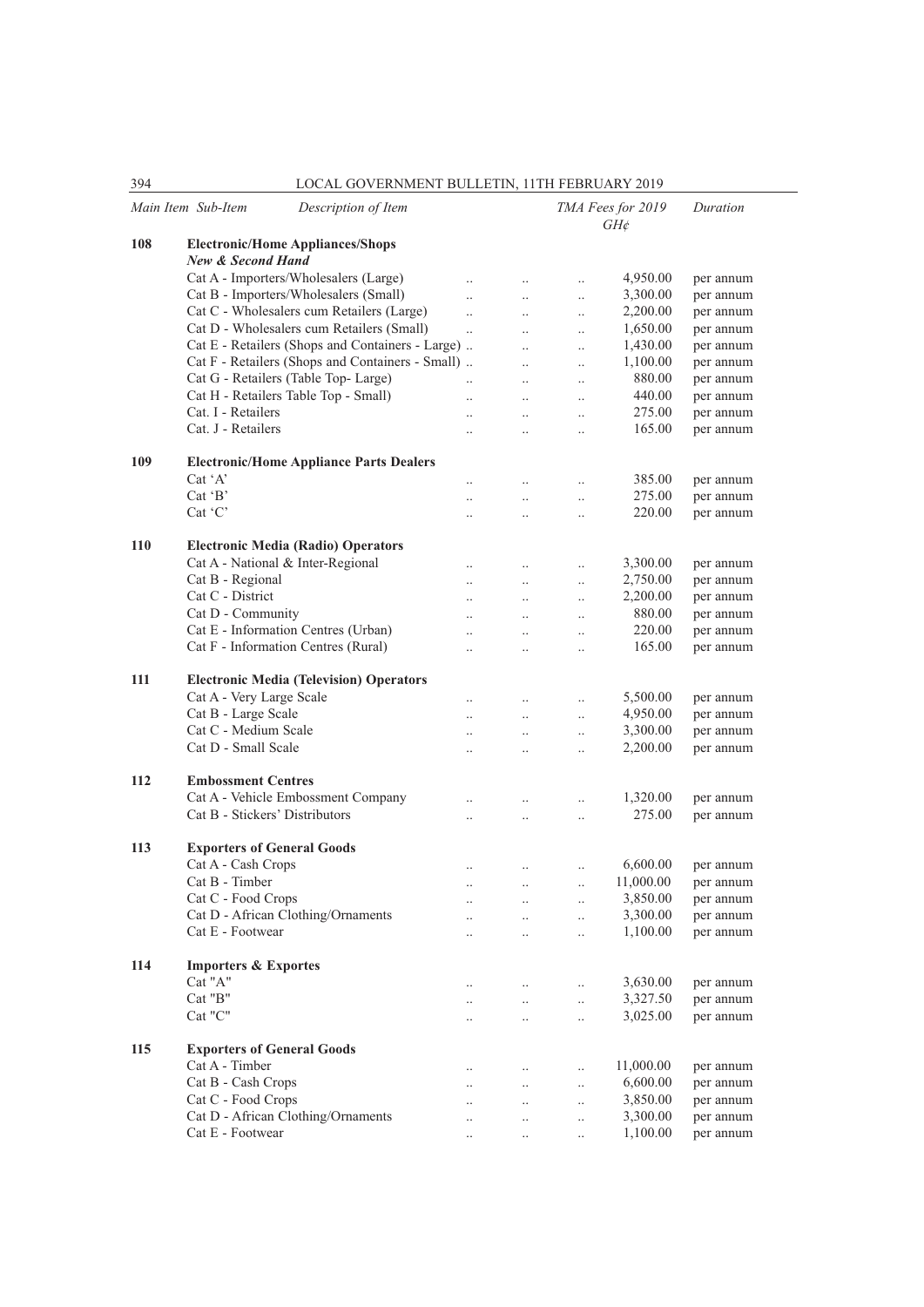|            | Main Item Sub-Item<br>Description of Item                    |                       |                      |                      | TMA Fees for 2019<br>$GH\mathcal{E}$ | Duration  |
|------------|--------------------------------------------------------------|-----------------------|----------------------|----------------------|--------------------------------------|-----------|
| 108        | <b>Electronic/Home Appliances/Shops</b><br>New & Second Hand |                       |                      |                      |                                      |           |
|            | Cat A - Importers/Wholesalers (Large)                        | $\ddot{\phantom{0}}$  | $\ldots$             | $\ddotsc$            | 4,950.00                             | per annum |
|            | Cat B - Importers/Wholesalers (Small)                        | $\ddot{\phantom{a}}$  | $\ddot{\phantom{0}}$ | $\ddotsc$            | 3,300.00                             | per annum |
|            | Cat C - Wholesalers cum Retailers (Large)                    | $\ddotsc$             | $\ddotsc$            | $\ddotsc$            | 2,200.00                             | per annum |
|            | Cat D - Wholesalers cum Retailers (Small)                    | $\dddot{\phantom{0}}$ | $\ddot{\phantom{0}}$ | $\ldots$             | 1,650.00                             | per annum |
|            | Cat E - Retailers (Shops and Containers - Large)             |                       | $\ddot{\phantom{0}}$ | $\ddotsc$            | 1,430.00                             | per annum |
|            | Cat F - Retailers (Shops and Containers - Small)             |                       | $\ddotsc$            | $\ddotsc$            | 1,100.00                             | per annum |
|            | Cat G - Retailers (Table Top- Large)                         | $\ddot{\phantom{a}}$  |                      |                      | 880.00                               | per annum |
|            | Cat H - Retailers Table Top - Small)                         |                       | $\ddotsc$            | $\ddotsc$            | 440.00                               | per annum |
|            | Cat. I - Retailers                                           | $\ddot{\phantom{a}}$  | $\ddot{\phantom{a}}$ | $\ddotsc$            | 275.00                               |           |
|            | Cat. J - Retailers                                           | $\ddot{\phantom{0}}$  | $\ddot{\phantom{0}}$ | $\ldots$             | 165.00                               | per annum |
|            |                                                              | $\ddot{\phantom{0}}$  | $\ddotsc$            | $\ddotsc$            |                                      | per annum |
| 109        | <b>Electronic/Home Appliance Parts Dealers</b>               |                       |                      |                      |                                      |           |
|            | Cat 'A'                                                      | $\ddot{\phantom{a}}$  | $\ddot{\phantom{0}}$ | $\ddotsc$            | 385.00                               | per annum |
|            | $Cat$ $B'$                                                   | $\ddot{\phantom{a}}$  | $\ddot{\phantom{0}}$ | $\ldots$             | 275.00                               | per annum |
|            | $Cat$ $C$                                                    | $\ddot{\phantom{a}}$  | $\ddot{\phantom{0}}$ | $\ddotsc$            | 220.00                               | per annum |
| <b>110</b> | <b>Electronic Media (Radio) Operators</b>                    |                       |                      |                      |                                      |           |
|            | Cat A - National & Inter-Regional                            |                       |                      |                      | 3,300.00                             | per annum |
|            | Cat B - Regional                                             | $\ddot{\phantom{a}}$  | $\ddot{\phantom{a}}$ | $\ddotsc$            | 2,750.00                             | per annum |
|            | Cat C - District                                             | $\ddot{\phantom{0}}$  | $\ddotsc$            | $\ldots$             |                                      |           |
|            |                                                              | $\ddotsc$             | $\ddot{\phantom{0}}$ | $\ddotsc$            | 2,200.00<br>880.00                   | per annum |
|            | Cat D - Community                                            | $\ddotsc$             | $\ddotsc$            | $\ddotsc$            |                                      | per annum |
|            | Cat E - Information Centres (Urban)                          | $\ddot{\phantom{a}}$  | $\ddot{\phantom{a}}$ | $\ddotsc$            | 220.00                               | per annum |
|            | Cat F - Information Centres (Rural)                          | $\ddotsc$             | $\ddotsc$            | $\ddotsc$            | 165.00                               | per annum |
| 111        | <b>Electronic Media (Television) Operators</b>               |                       |                      |                      |                                      |           |
|            | Cat A - Very Large Scale                                     | $\ddotsc$             | $\ddotsc$            | $\ddotsc$            | 5,500.00                             | per annum |
|            | Cat B - Large Scale                                          | $\ddot{\phantom{a}}$  | $\ddotsc$            | $\ldots$             | 4,950.00                             | per annum |
|            | Cat C - Medium Scale                                         | $\ddotsc$             | $\ddotsc$            | $\ddotsc$            | 3,300.00                             | per annum |
|            | Cat D - Small Scale                                          |                       | $\ddot{\phantom{0}}$ | $\ldots$             | 2,200.00                             | per annum |
| 112        | <b>Embossment Centres</b>                                    |                       |                      |                      |                                      |           |
|            | Cat A - Vehicle Embossment Company                           |                       |                      |                      | 1,320.00                             | per annum |
|            | Cat B - Stickers' Distributors                               | $\ddot{\phantom{a}}$  | $\ddotsc$            | $\ddotsc$            | 275.00                               |           |
|            |                                                              | $\ddot{\phantom{a}}$  | $\ddot{\phantom{0}}$ | $\ddotsc$            |                                      | per annum |
| 113        | <b>Exporters of General Goods</b>                            |                       |                      |                      |                                      |           |
|            | Cat A - Cash Crops                                           | $\ddotsc$             | $\ddotsc$            | $\ddotsc$            | 6,600.00                             | per annum |
|            | Cat B - Timber                                               | $\ddotsc$             | $\ddotsc$            | $\ddot{\phantom{a}}$ | 11,000.00                            | per annum |
|            | Cat C - Food Crops                                           |                       | $\ddotsc$            | $\ldots$             | 3,850.00                             | per annum |
|            | Cat D - African Clothing/Ornaments                           | $\ddot{\phantom{0}}$  | $\ddot{\phantom{0}}$ | $\ldots$             | 3,300.00                             | per annum |
|            | Cat E - Footwear                                             | $\ddotsc$             | $\ddotsc$            | $\ldots$             | 1,100.00                             | per annum |
| 114        | <b>Importers &amp; Exportes</b>                              |                       |                      |                      |                                      |           |
|            | Cat "A"                                                      |                       |                      |                      | 3,630.00                             |           |
|            | Cat "B"                                                      | $\ldots$              | $\ddotsc$            | $\ldots$             |                                      | per annum |
|            |                                                              | $\ddotsc$             | $\ddotsc$            | $\ddotsc$            | 3,327.50                             | per annum |
|            | Cat "C"                                                      | $\ldots$              | $\ldots$             | $\ldots$             | 3,025.00                             | per annum |
| 115        | <b>Exporters of General Goods</b>                            |                       |                      |                      |                                      |           |
|            | Cat A - Timber                                               | $\cdot$ .             | $\ddotsc$            | $\ldots$             | 11,000.00                            | per annum |
|            | Cat B - Cash Crops                                           | $\ldots$              | $\ddotsc$            | $\ldots$             | 6,600.00                             | per annum |
|            | Cat C - Food Crops                                           | $\cdot$ .             | $\ddotsc$            | $\ldots$             | 3,850.00                             | per annum |
|            | Cat D - African Clothing/Ornaments                           | $\ddotsc$             | $\ddotsc$            | $\ldots$             | 3,300.00                             | per annum |
|            | Cat E - Footwear                                             | $\ldots$              | $\ldots$             | $\ldots$             | 1,100.00                             | per annum |
|            |                                                              |                       |                      |                      |                                      |           |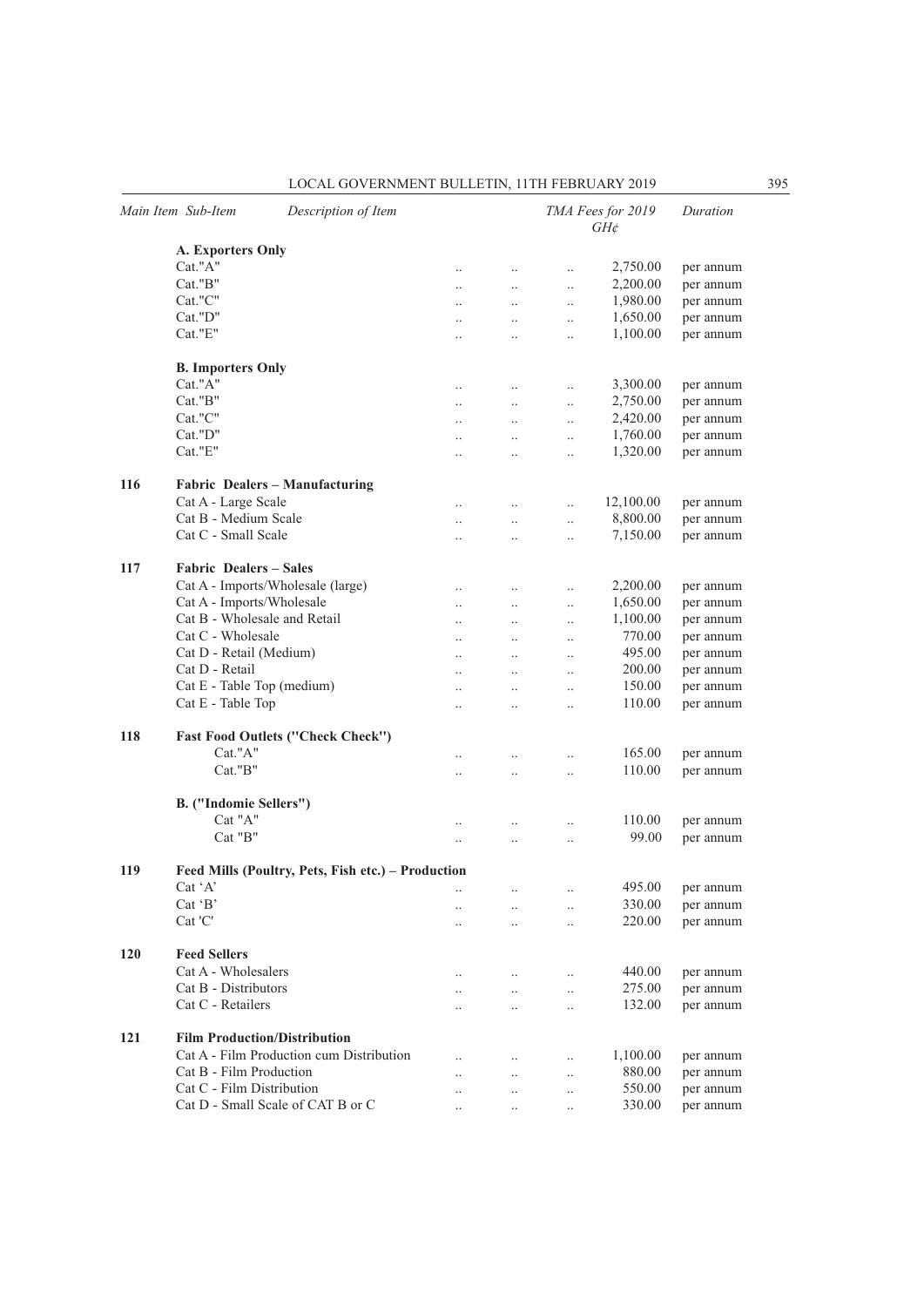|     | Main Item Sub-Item                                 | Description of Item                      |                      |                      |           | TMA Fees for 2019<br>$GH\phi$ | Duration  |  |  |
|-----|----------------------------------------------------|------------------------------------------|----------------------|----------------------|-----------|-------------------------------|-----------|--|--|
|     | <b>A. Exporters Only</b>                           |                                          |                      |                      |           |                               |           |  |  |
|     | Cat."A"                                            |                                          | $\ddotsc$            | $\ddotsc$            | $\ddotsc$ | 2,750.00                      | per annum |  |  |
|     | Cat."B"                                            |                                          | $\ldots$             | $\ldots$             | $\ddotsc$ | 2,200.00                      | per annum |  |  |
|     | Cat."C"                                            |                                          | $\ddotsc$            | $\ddotsc$            | $\ddotsc$ | 1,980.00                      | per annum |  |  |
|     | Cat."D"                                            |                                          | $\ddotsc$            | $\ddots$             | $\ddotsc$ | 1,650.00                      | per annum |  |  |
|     | Cat."E"                                            |                                          | $\ddotsc$            | $\ddotsc$            | $\ddotsc$ | 1,100.00                      | per annum |  |  |
|     | <b>B.</b> Importers Only                           |                                          |                      |                      |           |                               |           |  |  |
|     | Cat."A"                                            |                                          | $\ddotsc$            | $\ddotsc$            | $\ddotsc$ | 3,300.00                      | per annum |  |  |
|     | Cat."B"                                            |                                          | $\ddotsc$            | $\ldots$             | $\ddotsc$ | 2,750.00                      | per annum |  |  |
|     | Cat."C"                                            |                                          | $\ddot{\phantom{0}}$ | $\ddotsc$            | $\ddotsc$ | 2,420.00                      | per annum |  |  |
|     | Cat."D"                                            |                                          | $\ddotsc$            | $\ddots$             | $\ddotsc$ | 1,760.00                      | per annum |  |  |
|     | Cat."E"                                            |                                          | $\ddotsc$            | $\ldots$             | $\ddotsc$ | 1,320.00                      | per annum |  |  |
| 116 |                                                    | Fabric Dealers - Manufacturing           |                      |                      |           |                               |           |  |  |
|     | Cat A - Large Scale                                |                                          | $\ddot{\phantom{0}}$ | $\ddotsc$            | $\ddotsc$ | 12,100.00                     | per annum |  |  |
|     | Cat B - Medium Scale                               |                                          | $\ddot{\phantom{a}}$ | $\ddotsc$            | $\ddotsc$ | 8,800.00                      | per annum |  |  |
|     | Cat C - Small Scale                                |                                          |                      | $\ddotsc$            | $\ddotsc$ | 7,150.00                      | per annum |  |  |
| 117 | <b>Fabric Dealers – Sales</b>                      |                                          |                      |                      |           |                               |           |  |  |
|     |                                                    | Cat A - Imports/Wholesale (large)        | $\ddot{\phantom{0}}$ | $\ddotsc$            | $\ddotsc$ | 2,200.00                      | per annum |  |  |
|     | Cat A - Imports/Wholesale                          |                                          | $\ddotsc$            | $\ddots$             | $\ddotsc$ | 1,650.00                      | per annum |  |  |
|     | Cat B - Wholesale and Retail                       |                                          |                      | $\ldots$             | $\ldots$  | 1,100.00                      | per annum |  |  |
|     | Cat C - Wholesale                                  |                                          |                      | $\ddotsc$            | $\ldots$  | 770.00                        | per annum |  |  |
|     | Cat D - Retail (Medium)                            |                                          | $\ddotsc$            | $\ddotsc$            | $\ddotsc$ | 495.00                        | per annum |  |  |
|     | Cat D - Retail                                     |                                          | $\ddotsc$            | $\ddotsc$            | $\ddotsc$ | 200.00                        | per annum |  |  |
|     | Cat E - Table Top (medium)                         |                                          | $\ddotsc$            | $\ddotsc$            | $\ddotsc$ | 150.00                        | per annum |  |  |
|     | Cat E - Table Top                                  |                                          | $\ddotsc$            | $\ddotsc$            | $\ddotsc$ | 110.00                        | per annum |  |  |
| 118 |                                                    | <b>Fast Food Outlets ("Check Check")</b> |                      |                      |           |                               |           |  |  |
|     | Cat."A"                                            |                                          | $\ddot{\phantom{a}}$ | $\ddotsc$            | $\ddotsc$ | 165.00                        | per annum |  |  |
|     | Cat."B"                                            |                                          | $\ddot{\phantom{0}}$ | $\ddotsc$            | $\ddotsc$ | 110.00                        | per annum |  |  |
|     | B. ("Indomie Sellers")                             |                                          |                      |                      |           |                               |           |  |  |
|     | Cat "A"                                            |                                          | $\ddot{\phantom{0}}$ | $\ddotsc$            | $\ddotsc$ | 110.00                        | per annum |  |  |
|     | $Cat$ " $B$ "                                      |                                          | $\ddotsc$            | $\ddotsc$            | $\ddotsc$ | 99.00                         | per annum |  |  |
| 119 | Feed Mills (Poultry, Pets, Fish etc.) – Production |                                          |                      |                      |           |                               |           |  |  |
|     | $Cat^{\dagger}A'$                                  |                                          |                      |                      |           | 495.00                        | per annum |  |  |
|     | Cat 'B'                                            |                                          |                      | $\ddotsc$            | $\ddotsc$ | 330.00                        | per annum |  |  |
|     | Cat 'C'                                            |                                          | $\ddot{\phantom{a}}$ | $\ddotsc$            | $\ddotsc$ | 220.00                        | per annum |  |  |
| 120 | <b>Feed Sellers</b>                                |                                          |                      |                      |           |                               |           |  |  |
|     | Cat A - Wholesalers                                |                                          |                      | $\ddotsc$            | $\ddotsc$ | 440.00                        | per annum |  |  |
|     | Cat B - Distributors                               |                                          | $\ddot{\phantom{0}}$ | $\ddotsc$            | $\ddotsc$ | 275.00                        | per annum |  |  |
|     | Cat C - Retailers                                  |                                          | $\ddot{\phantom{0}}$ | $\ddotsc$            | $\ddotsc$ | 132.00                        | per annum |  |  |
| 121 |                                                    | <b>Film Production/Distribution</b>      |                      |                      |           |                               |           |  |  |
|     |                                                    | Cat A - Film Production cum Distribution | $\ddot{\phantom{0}}$ | $\ddotsc$            | $\ddotsc$ | 1,100.00                      | per annum |  |  |
|     | Cat B - Film Production                            |                                          | $\ddot{\phantom{0}}$ | $\ddot{\phantom{0}}$ | $\ddotsc$ | 880.00                        | per annum |  |  |
|     | Cat C - Film Distribution                          |                                          | $\ddot{\phantom{0}}$ | $\ddot{\phantom{0}}$ | $\ddotsc$ | 550.00                        | per annum |  |  |
|     |                                                    | Cat D - Small Scale of CAT B or C        |                      | $\ddotsc$            | $\ddotsc$ | 330.00                        | per annum |  |  |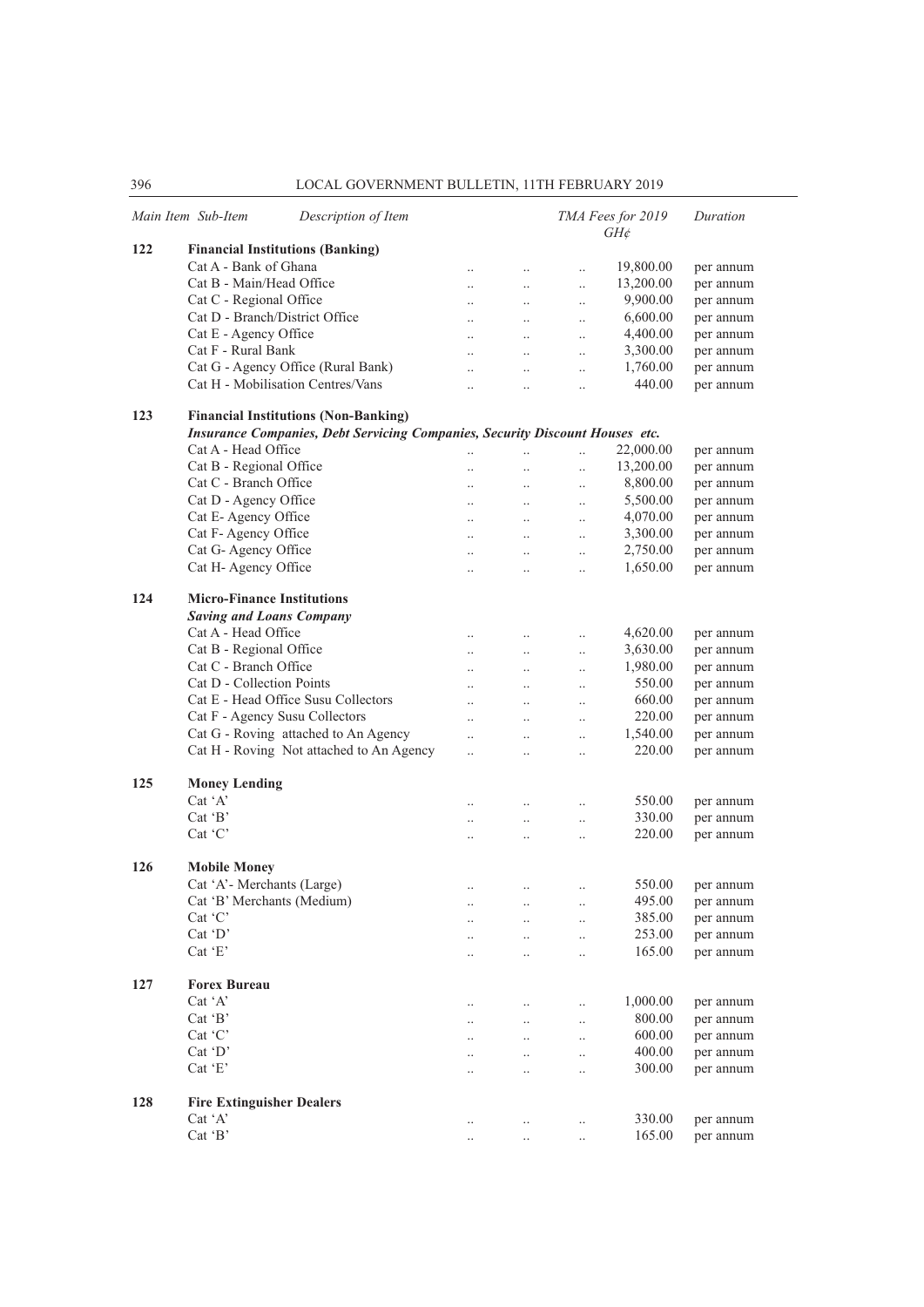|     | Main Item Sub-Item<br>Description of Item                                           |                      |                       |                      | TMA Fees for 2019<br>$GH\phi$ | Duration  |
|-----|-------------------------------------------------------------------------------------|----------------------|-----------------------|----------------------|-------------------------------|-----------|
| 122 | <b>Financial Institutions (Banking)</b>                                             |                      |                       |                      |                               |           |
|     | Cat A - Bank of Ghana                                                               | $\cdot$ .            | $\ldots$              | $\ldots$             | 19,800.00                     | per annum |
|     | Cat B - Main/Head Office                                                            | $\ddot{\phantom{a}}$ | $\ddots$              | $\ldots$             | 13,200.00                     | per annum |
|     | Cat C - Regional Office                                                             | $\ddotsc$            | $\ddots$              | $\ddotsc$            | 9,900.00                      | per annum |
|     | Cat D - Branch/District Office                                                      | $\ddots$             | $\ddotsc$             | $\ddotsc$            | 6,600.00                      | per annum |
|     | Cat E - Agency Office                                                               | $\ddotsc$            | $\ddots$              | $\ddotsc$            | 4,400.00                      | per annum |
|     | Cat F - Rural Bank                                                                  | $\ddots$             | $\ddots$              | $\ldots$             | 3,300.00                      | per annum |
|     | Cat G - Agency Office (Rural Bank)                                                  | $\ddot{\phantom{a}}$ | $\ddotsc$             | $\ddotsc$            | 1,760.00                      | per annum |
|     | Cat H - Mobilisation Centres/Vans                                                   | $\ddotsc$            | $\ddotsc$             | $\ddotsc$            | 440.00                        | per annum |
| 123 | <b>Financial Institutions (Non-Banking)</b>                                         |                      |                       |                      |                               |           |
|     | <b>Insurance Companies, Debt Servicing Companies, Security Discount Houses etc.</b> |                      |                       |                      |                               |           |
|     | Cat A - Head Office                                                                 | $\ddotsc$            | $\ddot{\phantom{a}}$  | $\ddot{\phantom{a}}$ | 22,000.00                     | per annum |
|     | Cat B - Regional Office                                                             |                      |                       | $\ldots$             | 13,200.00                     | per annum |
|     | Cat C - Branch Office                                                               | $\ddot{\phantom{a}}$ | $\ddots$              | $\ddotsc$            | 8,800.00                      | per annum |
|     | Cat D - Agency Office                                                               | $\cdot$ .            | $\ldots$              | $\ddotsc$            | 5,500.00                      | per annum |
|     | Cat E-Agency Office                                                                 | $\ddotsc$            | $\ddots$              |                      | 4,070.00                      | per annum |
|     | Cat F- Agency Office                                                                |                      |                       | $\ldots$             | 3,300.00                      | per annum |
|     | Cat G- Agency Office                                                                | $\ddotsc$            | $\ddots$              | $\ddotsc$            | 2,750.00                      |           |
|     |                                                                                     | $\ddot{\phantom{a}}$ | $\ddots$              | $\ddotsc$            |                               | per annum |
|     | Cat H- Agency Office                                                                | $\ddotsc$            | $\ddots$              | $\ldots$             | 1,650.00                      | per annum |
| 124 | <b>Micro-Finance Institutions</b>                                                   |                      |                       |                      |                               |           |
|     | <b>Saving and Loans Company</b>                                                     |                      |                       |                      |                               |           |
|     | Cat A - Head Office                                                                 | $\ddotsc$            | $\ldots$              | $\ldots$             | 4,620.00                      | per annum |
|     | Cat B - Regional Office                                                             | $\ldots$             | $\ldots$              | $\ddotsc$            | 3,630.00                      | per annum |
|     | Cat C - Branch Office                                                               | $\ddotsc$            | $\ddots$              | $\ddotsc$            | 1,980.00                      | per annum |
|     | Cat D - Collection Points                                                           | $\ddotsc$            | $\ddots$              | $\ddotsc$            | 550.00                        | per annum |
|     | Cat E - Head Office Susu Collectors                                                 | $\ddotsc$            | $\dddot{\phantom{0}}$ | $\ddotsc$            | 660.00                        | per annum |
|     | Cat F - Agency Susu Collectors                                                      | $\ddots$             | $\ddotsc$             | $\ddotsc$            | 220.00                        | per annum |
|     | Cat G - Roving attached to An Agency                                                | $\ddotsc$            | $\ddotsc$             | $\ddotsc$            | 1,540.00                      | per annum |
|     | Cat H - Roving Not attached to An Agency                                            | $\ddotsc$            | $\ddotsc$             | $\ddotsc$            | 220.00                        | per annum |
| 125 | <b>Money Lending</b>                                                                |                      |                       |                      |                               |           |
|     | Cat 'A'                                                                             |                      | $\ddotsc$             | $\ddotsc$            | 550.00                        | per annum |
|     | Cat $B$                                                                             | $\ldots$             | $\ldots$              | $\ldots$             | 330.00                        | per annum |
|     | Cat 'C'                                                                             | $\ddotsc$            | $\ddotsc$             | $\ddotsc$            | 220.00                        | per annum |
| 126 | <b>Mobile Money</b>                                                                 |                      |                       |                      |                               |           |
|     | Cat 'A'- Merchants (Large)                                                          | $\ddotsc$            |                       | $\ddotsc$            | 550.00                        | per annum |
|     | Cat 'B' Merchants (Medium)                                                          |                      | $\ldots$              |                      | 495.00                        | per annum |
|     | Cat 'C'                                                                             | $\ldots$             |                       | $\ldots$             | 385.00                        | per annum |
|     | $Cat$ $D'$                                                                          | $\ddotsc$            | $\ddotsc$             | $\ddotsc$            | 253.00                        |           |
|     |                                                                                     |                      | $\ddotsc$             | $\ddotsc$            |                               | per annum |
|     | $Cat$ $E$                                                                           | $\cdot$ .            | $\ddotsc$             | $\ddotsc$            | 165.00                        | per annum |
| 127 | <b>Forex Bureau</b>                                                                 |                      |                       |                      |                               |           |
|     | Cat 'A'                                                                             | $\ldots$             | $\ldots$              | $\ldots$             | 1,000.00                      | per annum |
|     | Cat $B$                                                                             | $\ddotsc$            | $\ddotsc$             | $\ddotsc$            | 800.00                        | per annum |
|     | Cat 'C'                                                                             | $\ddotsc$            | $\ddot{\phantom{a}}$  | $\ddotsc$            | 600.00                        | per annum |
|     | $Cat$ $D'$                                                                          |                      |                       |                      | 400.00                        | per annum |
|     | Cat 'E'                                                                             | $\ldots$             | $\ldots$              | $\ldots$             | 300.00                        |           |
|     |                                                                                     | $\cdot$ .            | $\ldots$              | $\ddotsc$            |                               | per annum |
| 128 | <b>Fire Extinguisher Dealers</b>                                                    |                      |                       |                      |                               |           |
|     | Cat 'A'                                                                             | $\ldots$             | $\ldots$              | $\ldots$             | 330.00                        | per annum |
|     | $Cat$ $B$                                                                           | $\cdot$ .            |                       |                      | 165.00                        | per annum |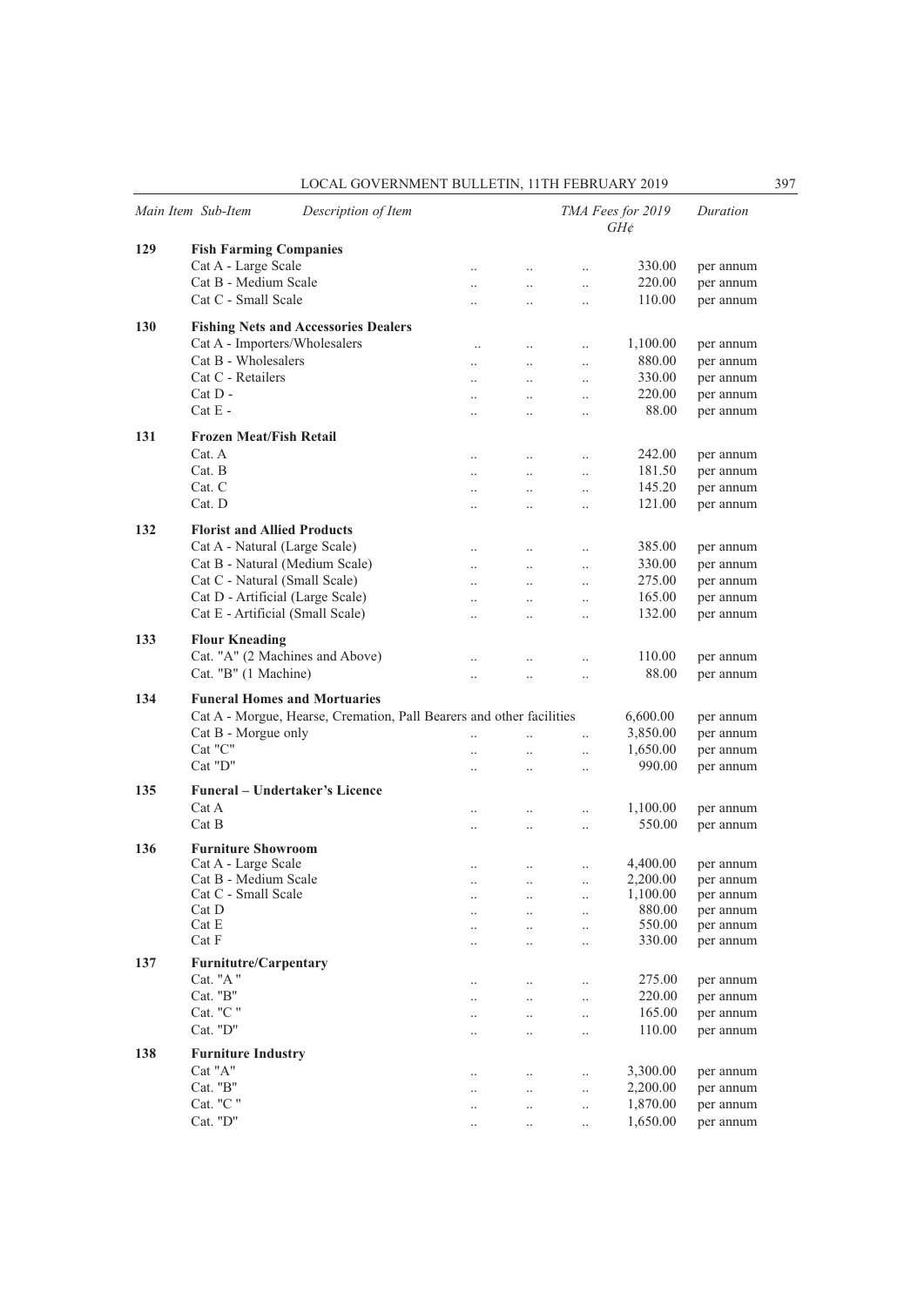|            | Main Item Sub-Item                  | Description of Item                                                  |                      |                      |                        | TMA Fees for 2019<br>$GH\phi$ | Duration  |
|------------|-------------------------------------|----------------------------------------------------------------------|----------------------|----------------------|------------------------|-------------------------------|-----------|
| 129        | <b>Fish Farming Companies</b>       |                                                                      |                      |                      |                        |                               |           |
|            | Cat A - Large Scale                 |                                                                      | $\ddotsc$            | $\ldots$             | $\ddotsc$              | 330.00                        | per annum |
|            | Cat B - Medium Scale                |                                                                      | $\ddotsc$            | $\ddotsc$            | $\ddotsc$              | 220.00                        | per annum |
|            | Cat C - Small Scale                 |                                                                      | $\ddotsc$            | $\ddotsc$            | $\ddotsc$              | 110.00                        | per annum |
|            |                                     |                                                                      |                      |                      |                        |                               |           |
| <b>130</b> |                                     | <b>Fishing Nets and Accessories Dealers</b>                          |                      |                      |                        |                               |           |
|            | Cat A - Importers/Wholesalers       |                                                                      | $\ldots$             | $\ldots$             | $\ddotsc$              | 1,100.00                      | per annum |
|            | Cat B - Wholesalers                 |                                                                      | $\ddot{\phantom{0}}$ | $\ddotsc$            | $\ddotsc$              | 880.00                        | per annum |
|            | Cat C - Retailers                   |                                                                      | $\ddot{\phantom{0}}$ | $\ddotsc$            | $\ddotsc$              | 330.00                        | per annum |
|            | $Cat D -$                           |                                                                      | $\ddotsc$            | $\ddots$             | $\ddotsc$              | 220.00                        | per annum |
|            | $Cat E -$                           |                                                                      | $\ddotsc$            | $\ddotsc$            | $\ldots$               | 88.00                         | per annum |
| 131        | <b>Frozen Meat/Fish Retail</b>      |                                                                      |                      |                      |                        |                               |           |
|            | Cat. A                              |                                                                      | $\ddotsc$            | $\ddotsc$            | $\ddotsc$              | 242.00                        | per annum |
|            | Cat. B                              |                                                                      | $\ddotsc$            | $\ddotsc$            | $\ddotsc$              | 181.50                        | per annum |
|            | Cat. C                              |                                                                      | $\ddotsc$            | $\ddotsc$            | $\ddotsc$              | 145.20                        | per annum |
|            | Cat. D                              |                                                                      | $\ddotsc$            | $\ddotsc$            | $\ddotsc$              | 121.00                        | per annum |
| 132        | <b>Florist and Allied Products</b>  |                                                                      |                      |                      |                        |                               |           |
|            | Cat A - Natural (Large Scale)       |                                                                      |                      |                      |                        | 385.00                        |           |
|            | Cat B - Natural (Medium Scale)      |                                                                      | $\ddotsc$            | $\ddotsc$            | $\ddotsc$              | 330.00                        | per annum |
|            | Cat C - Natural (Small Scale)       |                                                                      | $\ddot{\phantom{0}}$ | $\ddotsc$            | $\ddotsc$              | 275.00                        | per annum |
|            | Cat D - Artificial (Large Scale)    |                                                                      | $\ddotsc$            | $\ddotsc$            | $\ddotsc$              | 165.00                        | per annum |
|            | Cat E - Artificial (Small Scale)    |                                                                      | $\ddotsc$            | $\ddot{\phantom{0}}$ | $\ddotsc$              | 132.00                        | per annum |
|            |                                     |                                                                      | $\ddotsc$            | $\ddotsc$            | $\ddotsc$              |                               | per annum |
| 133        | <b>Flour Kneading</b>               |                                                                      |                      |                      |                        |                               |           |
|            | Cat. "A" (2 Machines and Above)     |                                                                      | $\ddot{\phantom{0}}$ | $\ddot{\phantom{a}}$ | $\ddotsc$              | 110.00                        | per annum |
|            | Cat. "B" (1 Machine)                |                                                                      | $\ddot{\phantom{0}}$ | $\ddotsc$            | $\ddotsc$              | 88.00                         | per annum |
| 134        | <b>Funeral Homes and Mortuaries</b> |                                                                      |                      |                      |                        |                               |           |
|            |                                     | Cat A - Morgue, Hearse, Cremation, Pall Bearers and other facilities |                      |                      |                        | 6,600.00                      | per annum |
|            | Cat B - Morgue only                 |                                                                      | $\ddot{\phantom{0}}$ | $\ddotsc$            | $\ddotsc$              | 3,850.00                      | per annum |
|            | Cat "C"                             |                                                                      | $\ddot{\phantom{0}}$ | $\ddotsc$            |                        | 1,650.00                      | per annum |
|            | Cat "D"                             |                                                                      | $\ddot{\phantom{0}}$ | $\ddotsc$            | $\ddotsc$<br>$\ddotsc$ | 990.00                        | per annum |
|            |                                     |                                                                      |                      |                      |                        |                               |           |
| 135        | Funeral – Undertaker's Licence      |                                                                      |                      |                      |                        |                               |           |
|            | Cat A                               |                                                                      | $\ddotsc$            | $\ddotsc$            | $\ddotsc$              | 1,100.00                      | per annum |
|            | Cat B                               |                                                                      | $\ddot{\phantom{0}}$ | $\ddotsc$            | $\ddotsc$              | 550.00                        | per annum |
| 136        | <b>Furniture Showroom</b>           |                                                                      |                      |                      |                        |                               |           |
|            | Cat A - Large Scale                 |                                                                      |                      | $\ddotsc$            | $\ddotsc$              | 4,400.00                      | per annum |
|            | Cat B - Medium Scale                |                                                                      | $\ddotsc$            | $\ldots$             | $\ddotsc$              | 2,200.00                      | per annum |
|            | Cat C - Small Scale                 |                                                                      | $\cdot$ .            |                      | $\ddots$               | 1,100.00                      | per annum |
|            | Cat D                               |                                                                      | $\ddotsc$            |                      | $\ldots$               | 880.00                        | per annum |
|            | Cat E<br>Cat F                      |                                                                      | $\ddotsc$            | $\ddotsc$            | $\ddotsc$              | 550.00                        | per annum |
|            |                                     |                                                                      | $\ddotsc$            |                      | $\ddotsc$              | 330.00                        | per annum |
| 137        | <b>Furnitutre/Carpentary</b>        |                                                                      |                      |                      |                        |                               |           |
|            | Cat. "A"                            |                                                                      | $\ddotsc$            | $\ddotsc$            | $\ddotsc$              | 275.00                        | per annum |
|            | Cat. "B"                            |                                                                      | $\ddotsc$            | $\ddotsc$            | $\ddotsc$              | 220.00                        | per annum |
|            | Cat. "C "                           |                                                                      | $\ddotsc$            | $\ddotsc$            | $\ddotsc$              | 165.00                        | per annum |
|            | Cat. $"D"$                          |                                                                      | $\ddotsc$            | $\ddotsc$            | $\ddotsc$              | 110.00                        | per annum |
| 138        | <b>Furniture Industry</b>           |                                                                      |                      |                      |                        |                               |           |
|            | $\operatorname{Cat}$ "A"            |                                                                      | $\ddotsc$            | $\ddotsc$            | $\ddotsc$              | 3,300.00                      | per annum |
|            | $\rm Cat.$ "B"                      |                                                                      | $\ddotsc$            | $\ddotsc$            | $\ddotsc$              | 2,200.00                      | per annum |
|            | Cat. "C "                           |                                                                      | $\cdot$ .            |                      | $\ldots$               | 1,870.00                      | per annum |
|            | Cat. "D"                            |                                                                      | $\ldots$             | $\ddotsc$            | $\ddotsc$              | 1,650.00                      | per annum |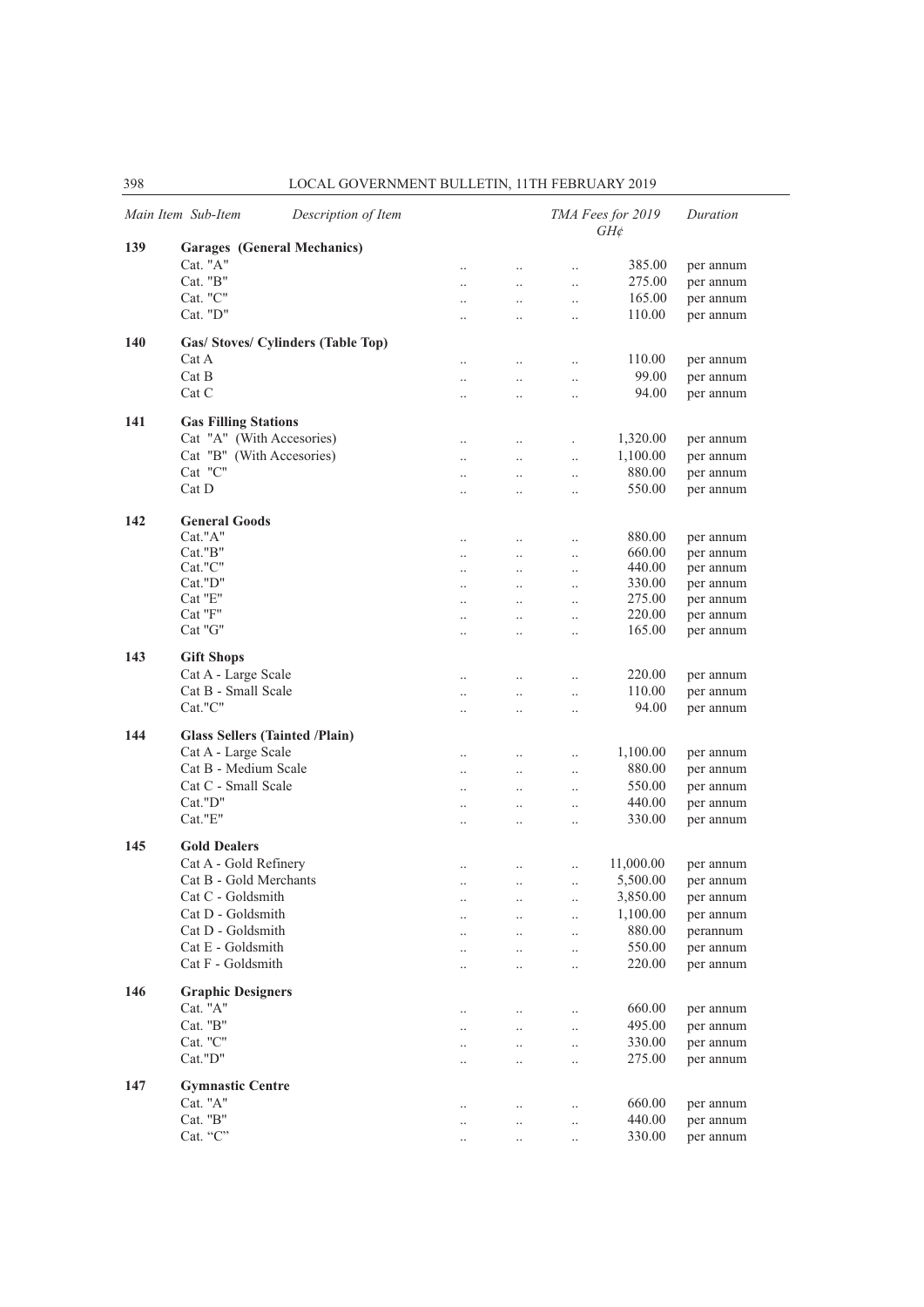|     | Main Item Sub-Item<br>Description of Item |                        |                                   |                        | TMA Fees for 2019<br>$GH\phi$ | Duration               |
|-----|-------------------------------------------|------------------------|-----------------------------------|------------------------|-------------------------------|------------------------|
| 139 | <b>Garages</b> (General Mechanics)        |                        |                                   |                        |                               |                        |
|     | Cat. "A"                                  | $\ddotsc$              | $\ldots$                          | $\ddotsc$              | 385.00                        | per annum              |
|     | Cat. "B"                                  | $\ddotsc$              | $\ddotsc$                         | $\ddotsc$              | 275.00                        | per annum              |
|     | Cat. "C"                                  | $\ddotsc$              | $\ddotsc$                         | $\ddotsc$              | 165.00                        | per annum              |
|     | Cat. "D"                                  | $\ddotsc$              | $\ddotsc$                         | $\ldots$               | 110.00                        | per annum              |
| 140 | Gas/ Stoves/ Cylinders (Table Top)        |                        |                                   |                        |                               |                        |
|     | Cat A                                     | $\ddotsc$              | $\ddotsc$                         | $\ddotsc$              | 110.00                        | per annum              |
|     | Cat B                                     | $\ddot{\phantom{a}}$   | $\ddotsc$                         | $\ddotsc$              | 99.00                         | per annum              |
|     | Cat C                                     | $\ddotsc$              | $\ddotsc$                         | $\ddotsc$              | 94.00                         | per annum              |
| 141 | <b>Gas Filling Stations</b>               |                        |                                   |                        |                               |                        |
|     | Cat "A" (With Accesories)                 | $\ddotsc$              | $\ddotsc$                         |                        | 1,320.00                      | per annum              |
|     | Cat "B" (With Accesories)                 | $\ddotsc$              | $\ddots$                          | $\ddotsc$              | 1,100.00                      | per annum              |
|     | Cat "C"                                   | $\ddotsc$              | $\ldots$                          | $\ddotsc$              | 880.00                        | per annum              |
|     | Cat D                                     | $\ddotsc$              | $\ddotsc$                         | $\ddotsc$              | 550.00                        | per annum              |
|     |                                           |                        |                                   |                        |                               |                        |
| 142 | <b>General Goods</b>                      |                        |                                   |                        |                               |                        |
|     | Cat."A"                                   | $\ddotsc$              | $\ddotsc$                         | $\ddotsc$              | 880.00                        | per annum              |
|     | Cat."B"<br>Cat."C"                        | $\ddotsc$              | $\ddotsc$                         | $\ddotsc$              | 660.00<br>440.00              | per annum              |
|     | Cat."D"                                   | $\ddotsc$              | $\ddots$                          | $\ldots$               | 330.00                        | per annum<br>per annum |
|     | Cat "E"                                   | $\ddotsc$              | $\ddotsc$<br>$\ddotsc$            | $\ldots$<br>$\ddotsc$  | 275.00                        | per annum              |
|     | Cat "F"                                   | $\ddotsc$              | $\ddotsc$                         | $\ddotsc$              | 220.00                        | per annum              |
|     | Cat "G"                                   | $\ldots$<br>$\ldots$   | $\ddotsc$                         | $\ldots$               | 165.00                        | per annum              |
| 143 | <b>Gift Shops</b>                         |                        |                                   |                        |                               |                        |
|     | Cat A - Large Scale                       |                        |                                   |                        | 220.00                        | per annum              |
|     | Cat B - Small Scale                       | $\ddotsc$              | $\ddotsc$                         | $\ddotsc$              | 110.00                        | per annum              |
|     | Cat."C"                                   | $\ddotsc$<br>$\ddotsc$ | $\ddotsc$<br>$\ddot{\phantom{0}}$ | $\ddotsc$<br>$\ddotsc$ | 94.00                         | per annum              |
| 144 | <b>Glass Sellers (Tainted /Plain)</b>     |                        |                                   |                        |                               |                        |
|     | Cat A - Large Scale                       |                        |                                   |                        |                               |                        |
|     | Cat B - Medium Scale                      | $\ddotsc$              | $\ddotsc$                         | $\ldots$               | 1,100.00<br>880.00            | per annum              |
|     | Cat C - Small Scale                       | $\ddotsc$              | $\ddotsc$                         | $\ldots$               | 550.00                        | per annum              |
|     | Cat."D"                                   | $\ddot{\phantom{a}}$   | $\ddot{\phantom{0}}$              | $\ddotsc$              |                               | per annum              |
|     | Cat."E"                                   | $\ddotsc$              | $\ddotsc$                         | $\ddotsc$              | 440.00                        | per annum              |
|     |                                           | $\ldots$               | $\ddotsc$                         | $\ddotsc$              | 330.00                        | per annum              |
| 145 | <b>Gold Dealers</b>                       |                        |                                   |                        |                               |                        |
|     | Cat A - Gold Refinery                     | $\ddotsc$              | $\ddotsc$                         | $\ddotsc$              | 11,000.00                     | per annum              |
|     | Cat B - Gold Merchants                    | $\ldots$               | $\ddotsc$                         | $\ddotsc$              | 5,500.00                      | per annum              |
|     | Cat C - Goldsmith                         | $\ddotsc$              |                                   |                        | 3,850.00                      | per annum              |
|     | Cat D - Goldsmith                         | $\ddotsc$              | $\ddotsc$                         | $\ddotsc$              | 1,100.00                      | per annum              |
|     | Cat D - Goldsmith                         | $\ddot{\phantom{0}}$   | $\ddotsc$                         | $\ddotsc$              | 880.00                        | perannum               |
|     | Cat E - Goldsmith                         |                        | $\ddotsc$                         | $\ddotsc$              | 550.00                        | per annum              |
|     | Cat F - Goldsmith                         |                        | $\ddotsc$                         | $\ddotsc$              | 220.00                        | per annum              |
| 146 | <b>Graphic Designers</b>                  |                        |                                   |                        |                               |                        |
|     | Cat. "A"                                  | $\ddotsc$              | $\ddotsc$                         | $\ddotsc$              | 660.00                        | per annum              |
|     | Cat. "B"                                  | $\ddotsc$              | $\ddots$                          | $\ddotsc$              | 495.00                        | per annum              |
|     | Cat. "C"                                  | $\ddotsc$              | $\ddots$                          | $\ddotsc$              | 330.00                        | per annum              |
|     | Cat."D"                                   | $\ddotsc$              | $\ddotsc$                         | $\ddotsc$              | 275.00                        | per annum              |
| 147 | <b>Gymnastic Centre</b>                   |                        |                                   |                        |                               |                        |
|     | Cat. "A"                                  |                        | $\ldots$                          | $\ddotsc$              | 660.00                        | per annum              |
|     | Cat. "B"                                  | $\ddotsc$              | $\ddotsc$                         | $\ddotsc$              | 440.00                        | per annum              |
|     | Cat. "C"                                  |                        | $\ddotsc$                         | $\ddotsc$              | 330.00                        | per annum              |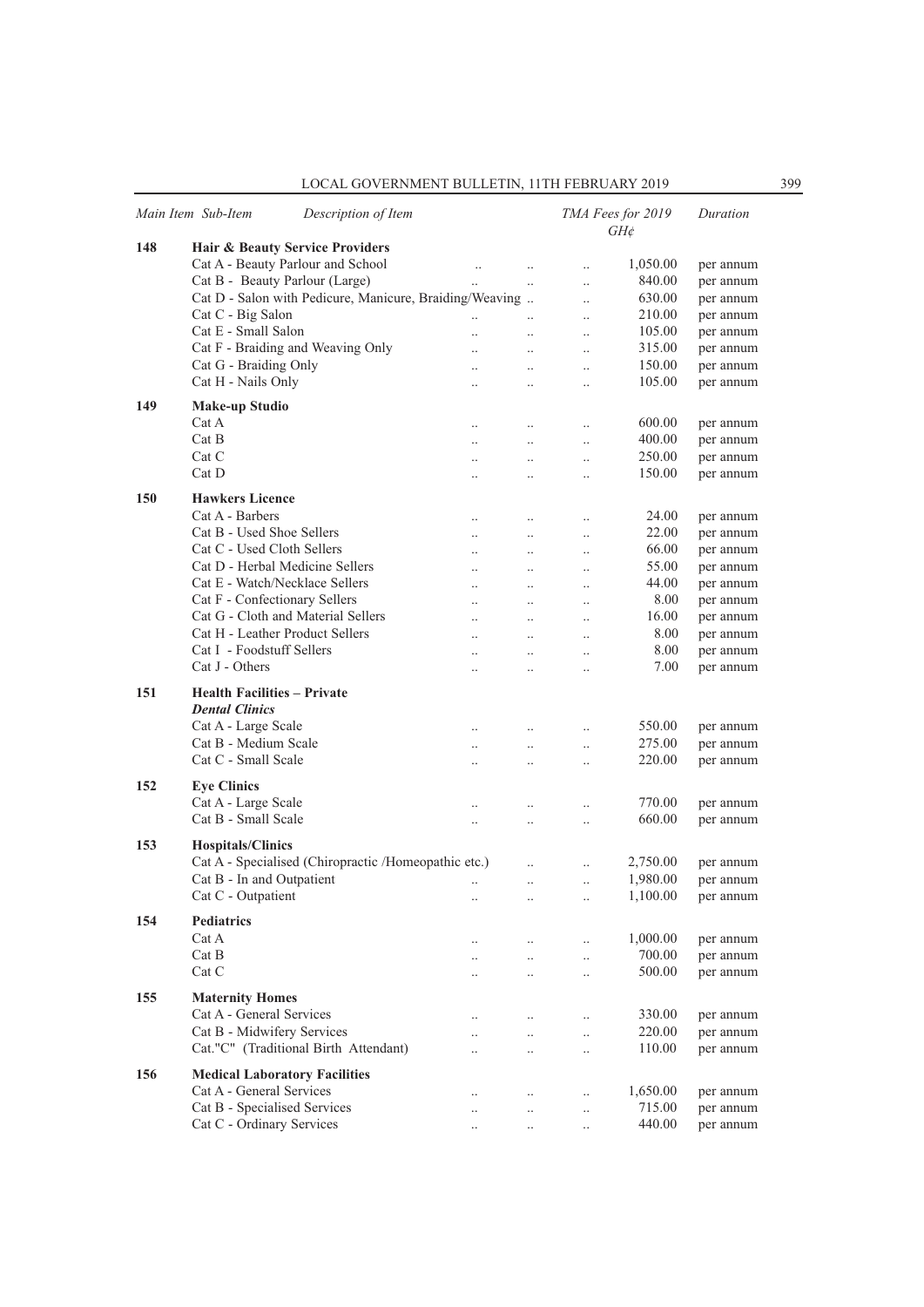|     | Description of Item<br>Main Item Sub-Item                   |                      |           |                      | TMA Fees for 2019<br>$GH\phi$ | Duration  |
|-----|-------------------------------------------------------------|----------------------|-----------|----------------------|-------------------------------|-----------|
| 148 | Hair & Beauty Service Providers                             |                      |           |                      |                               |           |
|     | Cat A - Beauty Parlour and School                           | $\ldots$             | $\ldots$  | $\ldots$             | 1,050.00                      | per annum |
|     | Cat B - Beauty Parlour (Large)                              |                      | $\ddotsc$ | $\ldots$             | 840.00                        | per annum |
|     | Cat D - Salon with Pedicure, Manicure, Braiding/Weaving     |                      |           | $\ddot{\phantom{0}}$ | 630.00                        | per annum |
|     | Cat C - Big Salon                                           | $\ddots$             |           | $\ddotsc$            | 210.00                        | per annum |
|     | Cat E - Small Salon                                         |                      | $\ddotsc$ | $\ddotsc$            | 105.00                        | per annum |
|     | Cat F - Braiding and Weaving Only                           | $\ddotsc$            | $\ldots$  | $\ldots$             | 315.00                        | per annum |
|     | Cat G - Braiding Only                                       | $\ddotsc$            | $\ldots$  | $\ldots$             | 150.00                        | per annum |
|     | Cat H - Nails Only                                          | $\ddotsc$            | $\ddotsc$ | $\ddot{\phantom{0}}$ | 105.00                        | per annum |
| 149 | <b>Make-up Studio</b>                                       |                      |           |                      |                               |           |
|     | Cat A                                                       |                      |           |                      | 600.00                        |           |
|     |                                                             | $\ldots$             | $\ldots$  | $\ldots$             |                               | per annum |
|     | Cat B                                                       | $\ldots$             | $\ldots$  | $\ldots$             | 400.00                        | per annum |
|     | Cat C                                                       | $\ddotsc$            | $\ddotsc$ | $\ddot{\phantom{0}}$ | 250.00                        | per annum |
|     | Cat D                                                       | $\ddot{\phantom{a}}$ | $\ddotsc$ | $\ddotsc$            | 150.00                        | per annum |
| 150 | <b>Hawkers Licence</b>                                      |                      |           |                      |                               |           |
|     | Cat A - Barbers                                             | $\ldots$             | $\ldots$  | $\ldots$             | 24.00                         | per annum |
|     | Cat B - Used Shoe Sellers                                   | $\ldots$             | $\ldots$  | $\ldots$             | 22.00                         | per annum |
|     | Cat C - Used Cloth Sellers                                  | $\ddotsc$            | $\ddotsc$ | $\ddotsc$            | 66.00                         | per annum |
|     | Cat D - Herbal Medicine Sellers                             | $\ddotsc$            | $\ddotsc$ | $\ldots$             | 55.00                         | per annum |
|     | Cat E - Watch/Necklace Sellers                              | $\ddots$             | $\ldots$  | $\ldots$             | 44.00                         | per annum |
|     | Cat F - Confectionary Sellers                               | $\ldots$             | $\ldots$  | $\ldots$             | 8.00                          | per annum |
|     | Cat G - Cloth and Material Sellers                          | $\ddotsc$            | $\ldots$  | $\ldots$             | 16.00                         | per annum |
|     | Cat H - Leather Product Sellers                             |                      |           |                      | 8.00                          | per annum |
|     | Cat I - Foodstuff Sellers                                   | $\ddotsc$            | $\ddotsc$ | $\ddotsc$            | 8.00                          | per annum |
|     | Cat J - Others                                              | $\ddot{\phantom{a}}$ | $\ddotsc$ | $\ddotsc$            | 7.00                          |           |
|     |                                                             | $\ddotsc$            | $\ddotsc$ | $\ddotsc$            |                               | per annum |
| 151 | <b>Health Facilities – Private</b><br><b>Dental Clinics</b> |                      |           |                      |                               |           |
|     | Cat A - Large Scale                                         | $\ddotsc$            | $\ddotsc$ | $\ddotsc$            | 550.00                        | per annum |
|     | Cat B - Medium Scale                                        | $\ddotsc$            | $\ddotsc$ | $\ddotsc$            | 275.00                        | per annum |
|     | Cat C - Small Scale                                         | $\ddotsc$            | $\ddotsc$ |                      | 220.00                        | per annum |
|     |                                                             |                      |           | $\ldots$             |                               |           |
| 152 | <b>Eye Clinics</b>                                          |                      |           |                      |                               |           |
|     | Cat A - Large Scale                                         | $\ldots$             | $\ldots$  | $\ldots$             | 770.00                        | per annum |
|     | Cat B - Small Scale                                         | $\ddotsc$            | $\ddotsc$ | $\ddot{\phantom{0}}$ | 660.00                        | per annum |
| 153 | <b>Hospitals/Clinics</b>                                    |                      |           |                      |                               |           |
|     | Cat A - Specialised (Chiropractic /Homeopathic etc.)        |                      |           |                      | 2,750.00                      | per annum |
|     | Cat B - In and Outpatient                                   |                      |           | $\ddot{\phantom{0}}$ | 1,980.00                      | per annum |
|     | Cat C - Outpatient                                          | $\ldots$             | $\ldots$  | $\ddotsc$            | 1,100.00                      |           |
|     |                                                             | $\ldots$             |           | $\ldots$             |                               | per annum |
| 154 | <b>Pediatrics</b>                                           |                      |           |                      |                               |           |
|     | Cat A                                                       | $\ddotsc$            | $\ddotsc$ | $\ddotsc$            | 1,000.00                      | per annum |
|     | Cat B                                                       | $\cdot$ .            | $\ddotsc$ | $\ldots$             | 700.00                        | per annum |
|     | Cat C                                                       | $\ldots$             | $\ldots$  | $\ddotsc$            | 500.00                        | per annum |
|     |                                                             |                      |           |                      |                               |           |
| 155 | <b>Maternity Homes</b>                                      |                      |           |                      |                               |           |
|     | Cat A - General Services                                    | $\ldots$             | $\ldots$  | $\ldots$             | 330.00                        | per annum |
|     | Cat B - Midwifery Services                                  | $\ddot{\phantom{a}}$ | $\ddotsc$ | $\ddotsc$            | 220.00                        | per annum |
|     | Cat."C" (Traditional Birth Attendant)                       | $\ddotsc$            | $\ddotsc$ | $\ddotsc$            | 110.00                        | per annum |
| 156 | <b>Medical Laboratory Facilities</b>                        |                      |           |                      |                               |           |
|     | Cat A - General Services                                    |                      | $\ldots$  | $\ldots$             | 1,650.00                      | per annum |
|     | Cat B - Specialised Services                                |                      | $\ldots$  | $\ldots$             | 715.00                        | per annum |
|     | Cat C - Ordinary Services                                   | $\ddotsc$            | $\ldots$  | $\ldots$             | 440.00                        | per annum |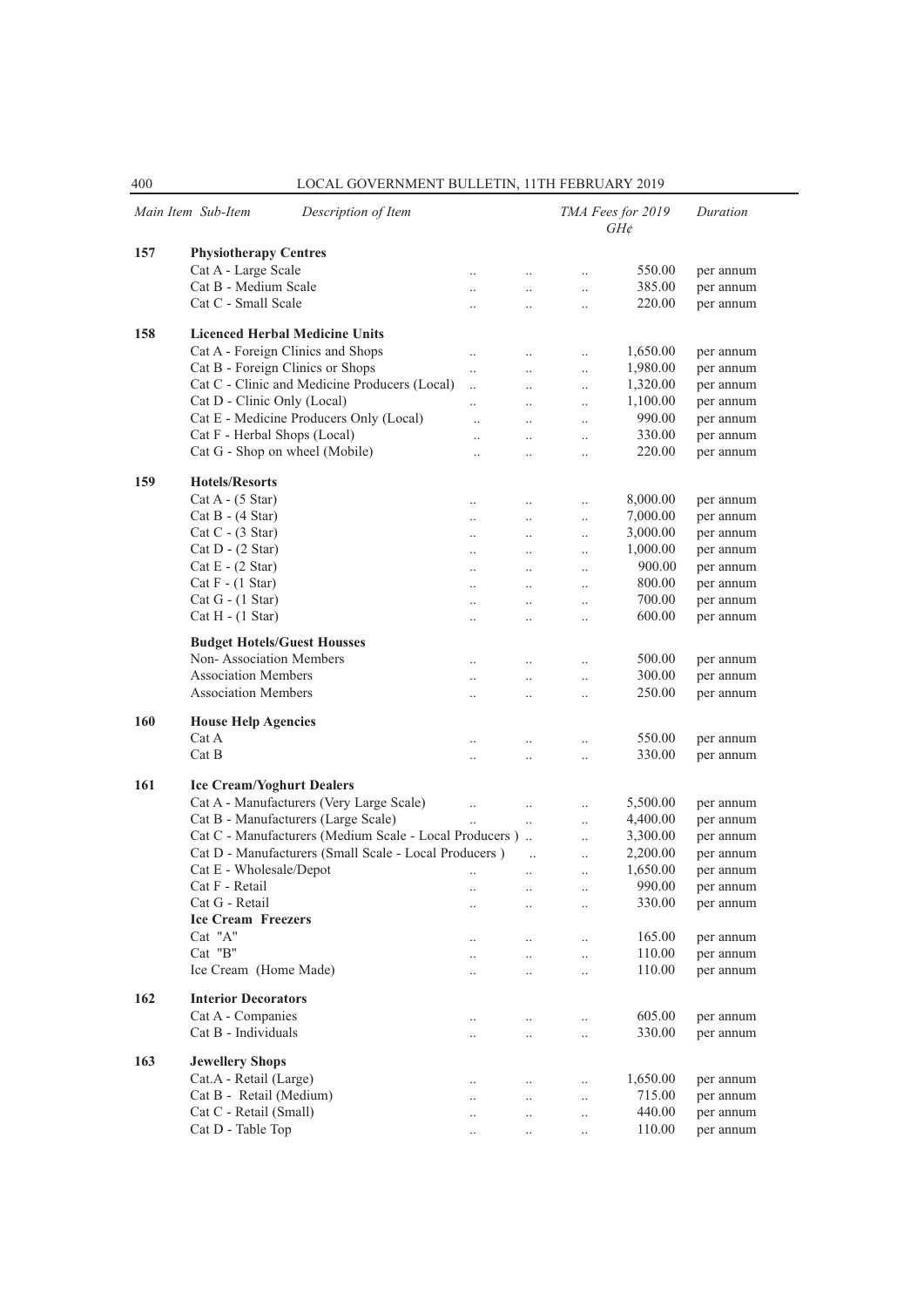|     | Main Item Sub-Item<br>Description of Item                              |                      |                       | TMA Fees for 2019<br>$GH\phi$ |                    | Duration  |
|-----|------------------------------------------------------------------------|----------------------|-----------------------|-------------------------------|--------------------|-----------|
| 157 | <b>Physiotherapy Centres</b>                                           |                      |                       |                               |                    |           |
|     | Cat A - Large Scale                                                    |                      | $\ddot{\phantom{0}}$  | $\ddotsc$                     | 550.00             | per annum |
|     | Cat B - Medium Scale                                                   | $\ddot{\phantom{a}}$ | $\ddot{\phantom{a}}$  | $\ddotsc$                     | 385.00             | per annum |
|     | Cat C - Small Scale                                                    | $\ddot{\phantom{a}}$ | $\ddot{\phantom{a}}$  | $\ddotsc$                     | 220.00             | per annum |
|     |                                                                        |                      |                       |                               |                    |           |
| 158 | <b>Licenced Herbal Medicine Units</b>                                  |                      |                       |                               |                    |           |
|     | Cat A - Foreign Clinics and Shops                                      | $\ddotsc$            | $\ddots$              | $\ddotsc$                     | 1,650.00           | per annum |
|     | Cat B - Foreign Clinics or Shops                                       | $\ddot{\phantom{0}}$ | $\ddotsc$             | $\ddotsc$                     | 1,980.00           | per annum |
|     | Cat C - Clinic and Medicine Producers (Local)                          | $\ddotsc$            | $\ddotsc$             | $\ddotsc$                     | 1,320.00           | per annum |
|     | Cat D - Clinic Only (Local)<br>Cat E - Medicine Producers Only (Local) |                      | $\ddotsc$             | $\ddotsc$                     | 1,100.00<br>990.00 | per annum |
|     |                                                                        | $\ddot{\phantom{a}}$ | $\ddotsc$             | $\ddotsc$                     |                    | per annum |
|     | Cat F - Herbal Shops (Local)                                           | $\ddot{\phantom{a}}$ | $\ddotsc$             | $\ddotsc$                     | 330.00             | per annum |
|     | Cat G - Shop on wheel (Mobile)                                         | $\ddotsc$            | $\ddot{\phantom{0}}$  | $\ddotsc$                     | 220.00             | per annum |
| 159 | <b>Hotels/Resorts</b>                                                  |                      |                       |                               |                    |           |
|     | $Cat A - (5 Star)$                                                     | $\ddot{\phantom{a}}$ | $\ddotsc$             | $\ddot{\phantom{0}}$          | 8,000.00           | per annum |
|     | $Cat B - (4 Star)$                                                     | $\ddot{\phantom{a}}$ | $\ddot{\phantom{0}}$  | $\ddotsc$                     | 7,000.00           | per annum |
|     | $Cat C - (3 Star)$                                                     |                      | $\ddotsc$             | $\ldots$                      | 3,000.00           | per annum |
|     | $Cat D - (2 Star)$                                                     | $\ddot{\phantom{a}}$ | $\ddotsc$             | $\ddotsc$                     | 1,000.00           | per annum |
|     | $Cat E - (2 Star)$                                                     | $\ddot{\phantom{a}}$ | $\ddotsc$             | $\ddotsc$                     | 900.00             | per annum |
|     | $Cat F - (1 Star)$                                                     | $\ddot{\phantom{a}}$ | $\ddotsc$             | $\ddot{\phantom{0}}$          | 800.00             | per annum |
|     | $Cat G - (1 Star)$                                                     | $\ddot{\phantom{a}}$ | $\ddot{\phantom{0}}$  | $\ldots$                      | 700.00             | per annum |
|     | $Cat H - (1 Star)$                                                     | $\ddotsc$            | $\ddotsc$             | $\ldots$                      | 600.00             | per annum |
|     |                                                                        |                      |                       |                               |                    |           |
|     | <b>Budget Hotels/Guest Housses</b><br>Non-Association Members          |                      |                       |                               | 500.00             |           |
|     | <b>Association Members</b>                                             |                      | $\ddotsc$             | $\ddotsc$                     |                    | per annum |
|     | <b>Association Members</b>                                             | $\ddot{\phantom{a}}$ | $\ddotsc$             | $\ddotsc$                     | 300.00             | per annum |
|     |                                                                        | $\ddot{\phantom{0}}$ | $\ddotsc$             | $\ddotsc$                     | 250.00             | per annum |
| 160 | <b>House Help Agencies</b>                                             |                      |                       |                               |                    |           |
|     | Cat A                                                                  | $\ddot{\phantom{a}}$ | $\ddot{\phantom{0}}$  | $\ddotsc$                     | 550.00             | per annum |
|     | Cat B                                                                  |                      | $\ddotsc$             | $\ddotsc$                     | 330.00             | per annum |
| 161 | <b>Ice Cream/Yoghurt Dealers</b>                                       |                      |                       |                               |                    |           |
|     | Cat A - Manufacturers (Very Large Scale)                               | $\ddot{\phantom{0}}$ | $\ddotsc$             | $\ddotsc$                     | 5,500.00           | per annum |
|     | Cat B - Manufacturers (Large Scale)                                    |                      | $\ddotsc$             | $\ddotsc$                     | 4,400.00           | per annum |
|     | Cat C - Manufacturers (Medium Scale - Local Producers)                 |                      |                       | $\ddotsc$                     | 3,300.00           | per annum |
|     | Cat D - Manufacturers (Small Scale - Local Producers)                  |                      | $\dddot{\phantom{0}}$ | $\ddotsc$                     | 2,200.00           | per annum |
|     | Cat E - Wholesale/Depot                                                | $\ddotsc$            | $\ddotsc$             | $\ddotsc$                     | 1,650.00           | per annum |
|     | Cat F - Retail                                                         | $\ddotsc$            | $\ldots$              |                               | 990.00             | per annum |
|     | Cat G - Retail                                                         |                      | $\ddotsc$             | $\ddotsc$                     | 330.00             | per annum |
|     | <b>Ice Cream Freezers</b>                                              |                      |                       |                               |                    |           |
|     | Cat "A"                                                                |                      | $\ddot{\phantom{0}}$  | $\ddot{\phantom{0}}$          | 165.00             | per annum |
|     | Cat "B"                                                                |                      | $\ddotsc$             | $\ddotsc$                     | 110.00             | per annum |
|     | Ice Cream (Home Made)                                                  |                      | $\ddotsc$             | $\ddotsc$                     | 110.00             | per annum |
|     |                                                                        |                      |                       |                               |                    |           |
| 162 | <b>Interior Decorators</b>                                             |                      |                       |                               |                    |           |
|     | Cat A - Companies                                                      |                      | $\ddotsc$             | $\ddotsc$                     | 605.00             | per annum |
|     | Cat B - Individuals                                                    |                      |                       | $\ddotsc$                     | 330.00             | per annum |
| 163 | <b>Jewellery Shops</b>                                                 |                      |                       |                               |                    |           |
|     | Cat.A - Retail (Large)                                                 | $\cdot$ .            | $\ddotsc$             | $\ddotsc$                     | 1,650.00           | per annum |
|     | Cat B - Retail (Medium)                                                | $\ldots$             | $\ddotsc$             | $\ddotsc$                     | 715.00             | per annum |
|     | Cat C - Retail (Small)                                                 | $\cdot$ .            | $\ddotsc$             | $\ddotsc$                     | 440.00             | per annum |
|     | Cat D - Table Top                                                      | $\cdot$ .            | $\ldots$              | $\ddotsc$                     | 110.00             | per annum |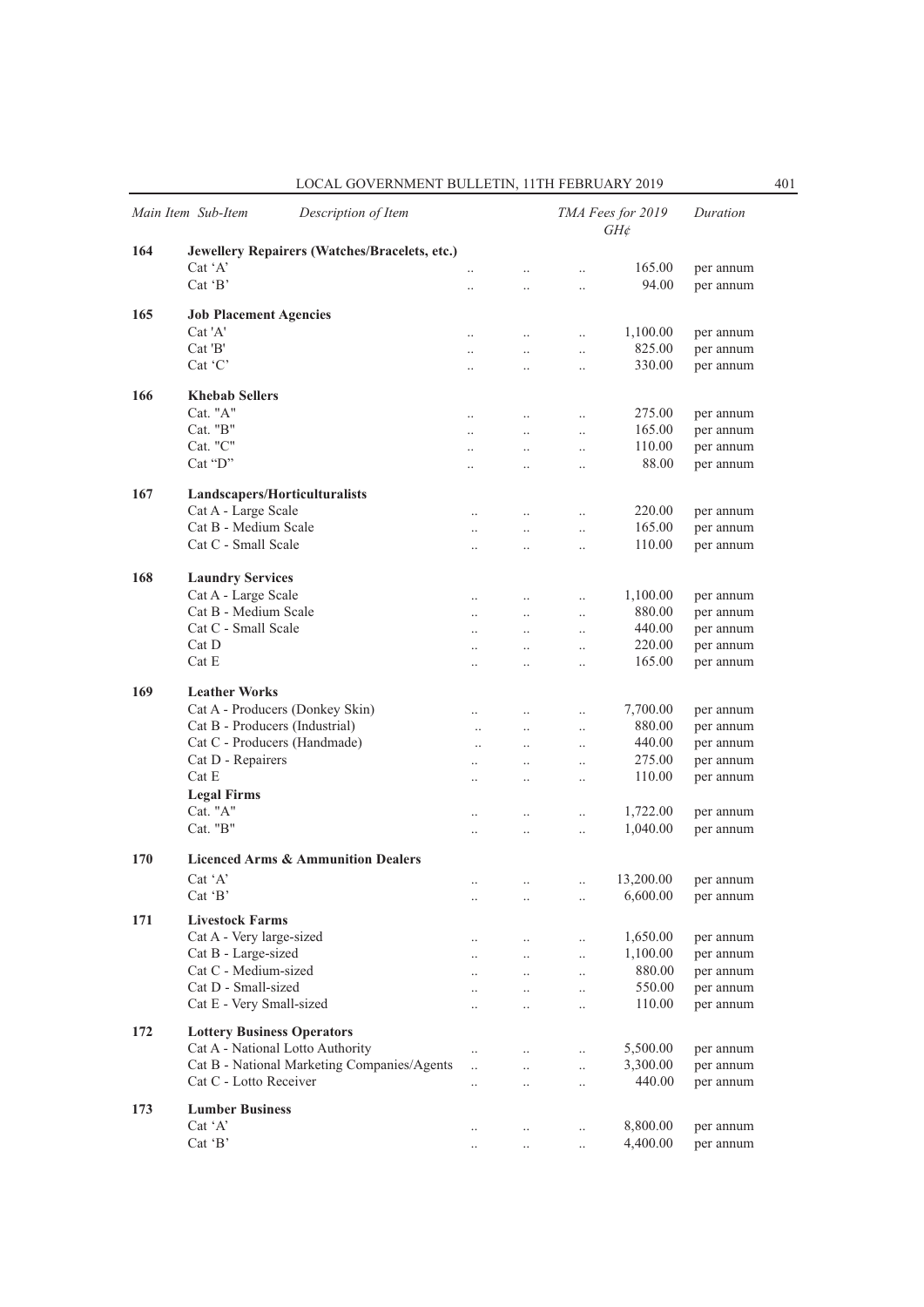| LOCAL GOVERNMENT BULLETIN. 11TH FEBRUARY 2019 |  |
|-----------------------------------------------|--|
|-----------------------------------------------|--|

|     | Main Item Sub-Item                          | Description of Item                           |                                   |                        |                                  | TMA Fees for 2019<br>$GH\phi$ | Duration               |
|-----|---------------------------------------------|-----------------------------------------------|-----------------------------------|------------------------|----------------------------------|-------------------------------|------------------------|
| 164 |                                             | Jewellery Repairers (Watches/Bracelets, etc.) |                                   |                        |                                  |                               |                        |
|     | $Cat^{\dagger}A^{\dagger}$                  |                                               | $\ddot{\phantom{0}}$              | $\ddot{\phantom{0}}$   | $\ddot{\phantom{0}}$             | 165.00                        | per annum              |
|     | Cat $B$                                     |                                               | $\ddot{\phantom{a}}$              | $\ddotsc$              | $\ddotsc$                        | 94.00                         | per annum              |
| 165 | <b>Job Placement Agencies</b>               |                                               |                                   |                        |                                  |                               |                        |
|     | Cat 'A'                                     |                                               | $\ldots$                          | $\ldots$               | $\ldots$                         | 1,100.00                      | per annum              |
|     | Cat'B'                                      |                                               | $\ddotsc$                         | $\ddotsc$              | $\ldots$                         | 825.00                        | per annum              |
|     | Cat 'C'                                     |                                               | $\ldots$                          | $\ddot{\phantom{0}}$   | $\ddotsc$                        | 330.00                        | per annum              |
|     |                                             |                                               |                                   |                        |                                  |                               |                        |
| 166 | <b>Khebab Sellers</b><br>Cat. "A"           |                                               |                                   |                        |                                  | 275.00                        |                        |
|     | Cat. "B"                                    |                                               | $\ldots$                          | $\ldots$               | $\ldots$                         | 165.00                        | per annum              |
|     | Cat. "C"                                    |                                               | $\ldots$                          | $\ldots$               | $\ldots$                         | 110.00                        | per annum<br>per annum |
|     | $Cat$ " $D"$                                |                                               | $\ddotsc$<br>$\ddot{\phantom{0}}$ | $\ddotsc$<br>$\ddotsc$ | $\ldots$<br>$\ddot{\phantom{0}}$ | 88.00                         | per annum              |
|     |                                             |                                               |                                   |                        |                                  |                               |                        |
| 167 | Landscapers/Horticulturalists               |                                               |                                   |                        |                                  |                               |                        |
|     | Cat A - Large Scale                         |                                               | $\ddotsc$                         | $\ddotsc$              | $\ldots$                         | 220.00                        | per annum              |
|     | Cat B - Medium Scale                        |                                               | $\ddot{\phantom{0}}$              | $\ddotsc$              | $\ldots$                         | 165.00                        | per annum              |
|     | Cat C - Small Scale                         |                                               | $\ddot{\phantom{0}}$              | $\ldots$               | $\ldots$                         | 110.00                        | per annum              |
| 168 | <b>Laundry Services</b>                     |                                               |                                   |                        |                                  |                               |                        |
|     | Cat A - Large Scale                         |                                               | $\ddotsc$                         | $\ddots$               | $\ddotsc$                        | 1,100.00                      | per annum              |
|     | Cat B - Medium Scale                        |                                               | $\ddotsc$                         | $\ldots$               | $\ldots$                         | 880.00                        | per annum              |
|     | Cat C - Small Scale                         |                                               | $\ddotsc$                         | $\ddots$               | $\ldots$                         | 440.00                        | per annum              |
|     | Cat D                                       |                                               | $\ddotsc$                         | $\ddotsc$              | $\ddotsc$                        | 220.00                        | per annum              |
|     | Cat E                                       |                                               | $\ddot{\phantom{a}}$              | $\ddotsc$              | $\ddot{\phantom{0}}$             | 165.00                        | per annum              |
| 169 | <b>Leather Works</b>                        |                                               |                                   |                        |                                  |                               |                        |
|     |                                             | Cat A - Producers (Donkey Skin)               |                                   |                        |                                  | 7,700.00                      | per annum              |
|     | Cat B - Producers (Industrial)              |                                               | <br>$\ddotsc$                     | $\ldots$<br>$\ddotsc$  | $\ldots$<br>$\ddotsc$            | 880.00                        | per annum              |
|     | Cat C - Producers (Handmade)                |                                               | $\ddotsc$                         | $\ddotsc$              | $\ddotsc$                        | 440.00                        | per annum              |
|     | Cat D - Repairers                           |                                               | $\ddotsc$                         | $\ddotsc$              | $\ddotsc$                        | 275.00                        | per annum              |
|     | Cat E                                       |                                               |                                   | $\ldots$               | $\ldots$                         | 110.00                        | per annum              |
|     | <b>Legal Firms</b>                          |                                               |                                   |                        |                                  |                               |                        |
|     | Cat. "A"                                    |                                               | $\ddotsc$                         | $\ldots$               | $\ldots$                         | 1,722.00                      | per annum              |
|     | Cat. "B"                                    |                                               |                                   | $\ddot{\phantom{0}}$   | $\ddot{\phantom{a}}$             | 1,040.00                      | per annum              |
| 170 |                                             | <b>Licenced Arms &amp; Ammunition Dealers</b> |                                   |                        |                                  |                               |                        |
|     | Cat 'A'                                     |                                               |                                   |                        |                                  | 13,200.00                     | per annum              |
|     | $Cat$ $B$                                   |                                               | <br>                              | $\ldots$               | $\ldots$<br>$\ldots$             | 6,600.00                      | per annum              |
|     |                                             |                                               |                                   | $\cdot$ .              |                                  |                               |                        |
| 171 | <b>Livestock Farms</b>                      |                                               |                                   |                        |                                  |                               |                        |
|     | Cat A - Very large-sized                    |                                               |                                   |                        | $\ldots$                         | 1,650.00                      | per annum              |
|     | Cat B - Large-sized<br>Cat C - Medium-sized |                                               |                                   | $\ddotsc$              | $\ldots$                         | 1,100.00<br>880.00            | per annum              |
|     | Cat D - Small-sized                         |                                               |                                   | $\ldots$               | $\ldots$                         | 550.00                        | per annum<br>per annum |
|     | Cat E - Very Small-sized                    |                                               |                                   | $\ddotsc$<br>$\ddotsc$ | $\ddotsc$<br>$\ddotsc$           | 110.00                        | per annum              |
|     |                                             |                                               |                                   |                        |                                  |                               |                        |
| 172 | <b>Lottery Business Operators</b>           |                                               |                                   |                        |                                  |                               |                        |
|     | Cat A - National Lotto Authority            | Cat B - National Marketing Companies/Agents   |                                   | $\cdot$ .              | $\ldots$                         | 5,500.00                      | per annum              |
|     | Cat C - Lotto Receiver                      |                                               | $\ddotsc$                         | $\ldots$               | $\ldots$                         | 3,300.00<br>440.00            | per annum              |
|     |                                             |                                               |                                   | $\cdot$ .              | $\cdot$                          |                               | per annum              |
| 173 | <b>Lumber Business</b>                      |                                               |                                   |                        |                                  |                               |                        |
|     | Cat 'A'                                     |                                               | $\ddotsc$                         | $\ldots$               | $\ldots$                         | 8,800.00                      | per annum              |
|     | Cat 'B'                                     |                                               | $\ldots$                          | $\ldots$               | $\ldots$                         | 4,400.00                      | per annum              |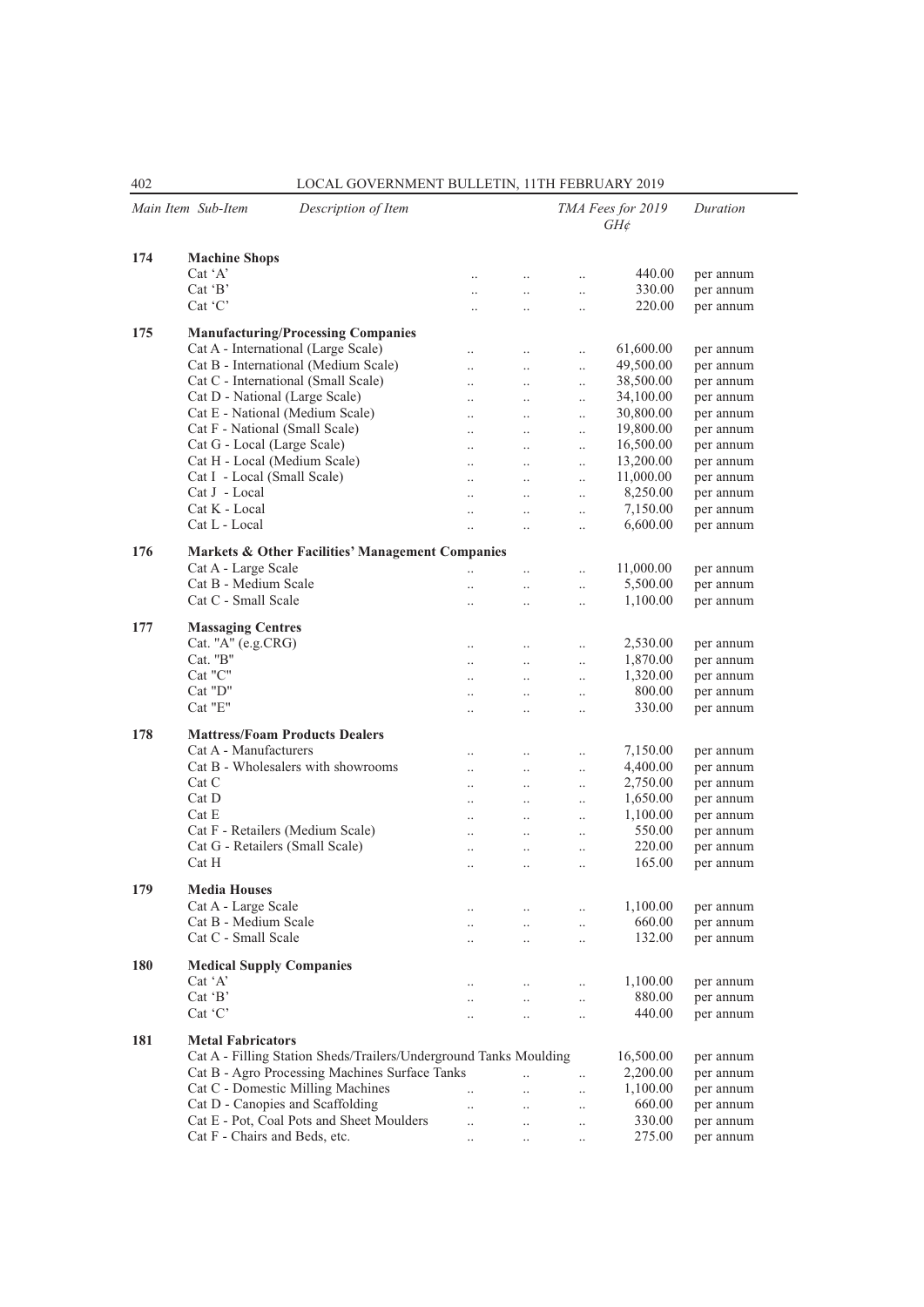| Main Item Sub-Item<br>Description of Item |                                                                   |                        |                        |                       | TMA Fees for 2019<br>$GH\!phi$ | Duration  |
|-------------------------------------------|-------------------------------------------------------------------|------------------------|------------------------|-----------------------|--------------------------------|-----------|
| 174                                       | <b>Machine Shops</b>                                              |                        |                        |                       |                                |           |
|                                           | $Cat^{\dagger}A'$                                                 |                        | $\ldots$               | $\ddotsc$             | 440.00                         | per annum |
|                                           | Cat $B'$                                                          |                        | $\ldots$               | $\ddot{\phantom{0}}$  | 330.00                         | per annum |
|                                           | Cat 'C'                                                           | $\ddot{\phantom{a}}$   | $\ddot{\phantom{a}}$   | $\ddot{\phantom{0}}$  | 220.00                         | per annum |
| 175                                       | <b>Manufacturing/Processing Companies</b>                         |                        |                        |                       |                                |           |
|                                           | Cat A - International (Large Scale)                               | $\ddot{\phantom{0}}$   | $\ddotsc$              | $\ddot{\phantom{0}}$  | 61,600.00                      | per annum |
|                                           | Cat B - International (Medium Scale)                              | $\ddotsc$              | $\ddotsc$              | $\ddot{\phantom{a}}$  | 49,500.00                      | per annum |
|                                           | Cat C - International (Small Scale)                               | $\ddot{\phantom{a}}$   | $\ddotsc$              | $\ddotsc$             | 38,500.00                      | per annum |
|                                           | Cat D - National (Large Scale)                                    | $\ddot{\phantom{a}}$   | $\ddotsc$              | $\ddotsc$             | 34,100.00                      | per annum |
|                                           | Cat E - National (Medium Scale)                                   | $\ddotsc$              | $\ddotsc$              | $\ddotsc$             | 30,800.00                      | per annum |
|                                           | Cat F - National (Small Scale)                                    | $\ddot{\phantom{a}}$   | $\ddots$               | $\ddotsc$             | 19,800.00                      | per annum |
|                                           | Cat G - Local (Large Scale)                                       | $\ddotsc$              | $\ddotsc$              | $\ddot{\phantom{0}}$  | 16,500.00                      | per annum |
|                                           | Cat H - Local (Medium Scale)                                      |                        |                        |                       | 13,200.00                      | per annum |
|                                           | Cat I - Local (Small Scale)                                       | $\ddotsc$              | $\ddotsc$              | $\ddotsc$             | 11,000.00                      | per annum |
|                                           | Cat J - Local                                                     | $\ddotsc$              | $\ddotsc$              |                       | 8,250.00                       |           |
|                                           | Cat K - Local                                                     | $\ddotsc$              | $\ddotsc$              | $\ldots$              |                                | per annum |
|                                           |                                                                   | $\ddot{\phantom{a}}$   | $\ddotsc$              | $\ddot{\phantom{0}}$  | 7,150.00                       | per annum |
|                                           | Cat L - Local                                                     | $\ddotsc$              | $\ddotsc$              |                       | 6,600.00                       | per annum |
| 176                                       | Markets & Other Facilities' Management Companies                  |                        |                        |                       |                                |           |
|                                           | Cat A - Large Scale                                               | $\ddot{\phantom{0}}$   | $\ddot{\phantom{0}}$   |                       | 11,000.00                      | per annum |
|                                           | Cat B - Medium Scale                                              | $\ddotsc$              | $\ddot{\phantom{0}}$   | $\ddotsc$             | 5,500.00                       | per annum |
|                                           | Cat C - Small Scale                                               | $\ddot{\phantom{0}}$   | $\ddotsc$              |                       | 1,100.00                       | per annum |
| 177                                       | <b>Massaging Centres</b>                                          |                        |                        |                       |                                |           |
|                                           | Cat. "A" (e.g.CRG)                                                | $\ldots$               | $\ldots$               | $\ddotsc$             | 2,530.00                       | per annum |
|                                           | Cat. "B"                                                          | $\ddotsc$              | $\ddotsc$              | $\ddotsc$             | 1,870.00                       | per annum |
|                                           | Cat "C"                                                           | $\ddot{\phantom{a}}$   | $\ddotsc$              | $\ddotsc$             | 1,320.00                       | per annum |
|                                           | Cat "D"                                                           | $\ddotsc$              | $\ddotsc$              | $\ddot{\phantom{a}}$  | 800.00                         | per annum |
|                                           | Cat "E"                                                           | $\ddotsc$              | $\ddotsc$              | $\ddotsc$             | 330.00                         | per annum |
|                                           |                                                                   |                        |                        |                       |                                |           |
| 178                                       | <b>Mattress/Foam Products Dealers</b>                             |                        |                        |                       |                                |           |
|                                           | Cat A - Manufacturers                                             | $\ddot{\phantom{a}}$   | $\ddotsc$              | $\ddotsc$             | 7,150.00                       | per annum |
|                                           | Cat B - Wholesalers with showrooms                                | $\ddot{\phantom{0}}$   | $\ddotsc$              | $\ddotsc$             | 4,400.00                       | per annum |
|                                           | Cat C                                                             | $\ddotsc$              | $\ddots$               | $\ddotsc$             | 2,750.00                       | per annum |
|                                           | Cat D                                                             |                        | $\ddots$               | $\ddot{\phantom{a}}$  | 1,650.00                       | per annum |
|                                           | Cat E                                                             | $\ddotsc$              | $\ddots$               | $\ddot{\phantom{a}}$  | 1,100.00                       | per annum |
|                                           | Cat F - Retailers (Medium Scale)                                  | $\ddotsc$              | $\ldots$               | $\cdot$               | 550.00                         | per annum |
|                                           | Cat G - Retailers (Small Scale)                                   | $\ddotsc$              | $\ddotsc$              | $\cdot$               | 220.00                         | per annum |
|                                           | Cat H                                                             | $\ddot{\phantom{a}}$   | $\ddot{\phantom{a}}$   | $\ddot{\phantom{a}}$  | 165.00                         | per annum |
| 179                                       | <b>Media Houses</b>                                               |                        |                        |                       |                                |           |
|                                           | Cat A - Large Scale                                               |                        |                        | $\cdot$               | 1,100.00                       | per annum |
|                                           | Cat B - Medium Scale                                              | $\ddotsc$              | $\ldots$               | $\ddotsc$             | 660.00                         | per annum |
|                                           | Cat C - Small Scale                                               | $\ddotsc$              | $\ddotsc$              | $\ddotsc$             | 132.00                         | per annum |
| 180                                       | <b>Medical Supply Companies</b>                                   |                        |                        |                       |                                |           |
|                                           | $Cat^{\dagger}A'$                                                 | $\cdot$ .              |                        | $\ldots$              | 1,100.00                       | per annum |
|                                           | Cat 'B'                                                           |                        | $\ldots$               |                       | 880.00                         | per annum |
|                                           | Cat 'C'                                                           | $\cdot$ .<br>$\ddotsc$ | $\ddotsc$<br>$\ddotsc$ | $\ldots$<br>$\ddotsc$ | 440.00                         | per annum |
|                                           |                                                                   |                        |                        |                       |                                |           |
| 181                                       | <b>Metal Fabricators</b>                                          |                        |                        |                       |                                |           |
|                                           | Cat A - Filling Station Sheds/Trailers/Underground Tanks Moulding |                        |                        |                       | 16,500.00                      | per annum |
|                                           | Cat B - Agro Processing Machines Surface Tanks                    |                        | $\ddotsc$              | $\ddotsc$             | 2,200.00                       | per annum |
|                                           | Cat C - Domestic Milling Machines                                 | $\ddotsc$              | $\ddotsc$              | $\ldots$              | 1,100.00                       | per annum |
|                                           | Cat D - Canopies and Scaffolding                                  | $\ddotsc$              | $\ddots$               | $\ldots$              | 660.00                         | per annum |
|                                           | Cat E - Pot, Coal Pots and Sheet Moulders                         | $\ddot{\phantom{0}}$   | $\ddotsc$              | $\ddotsc$             | 330.00                         | per annum |
|                                           | Cat F - Chairs and Beds, etc.                                     | $\ldots$               | $\ddots$               | $\ldots$              | 275.00                         | per annum |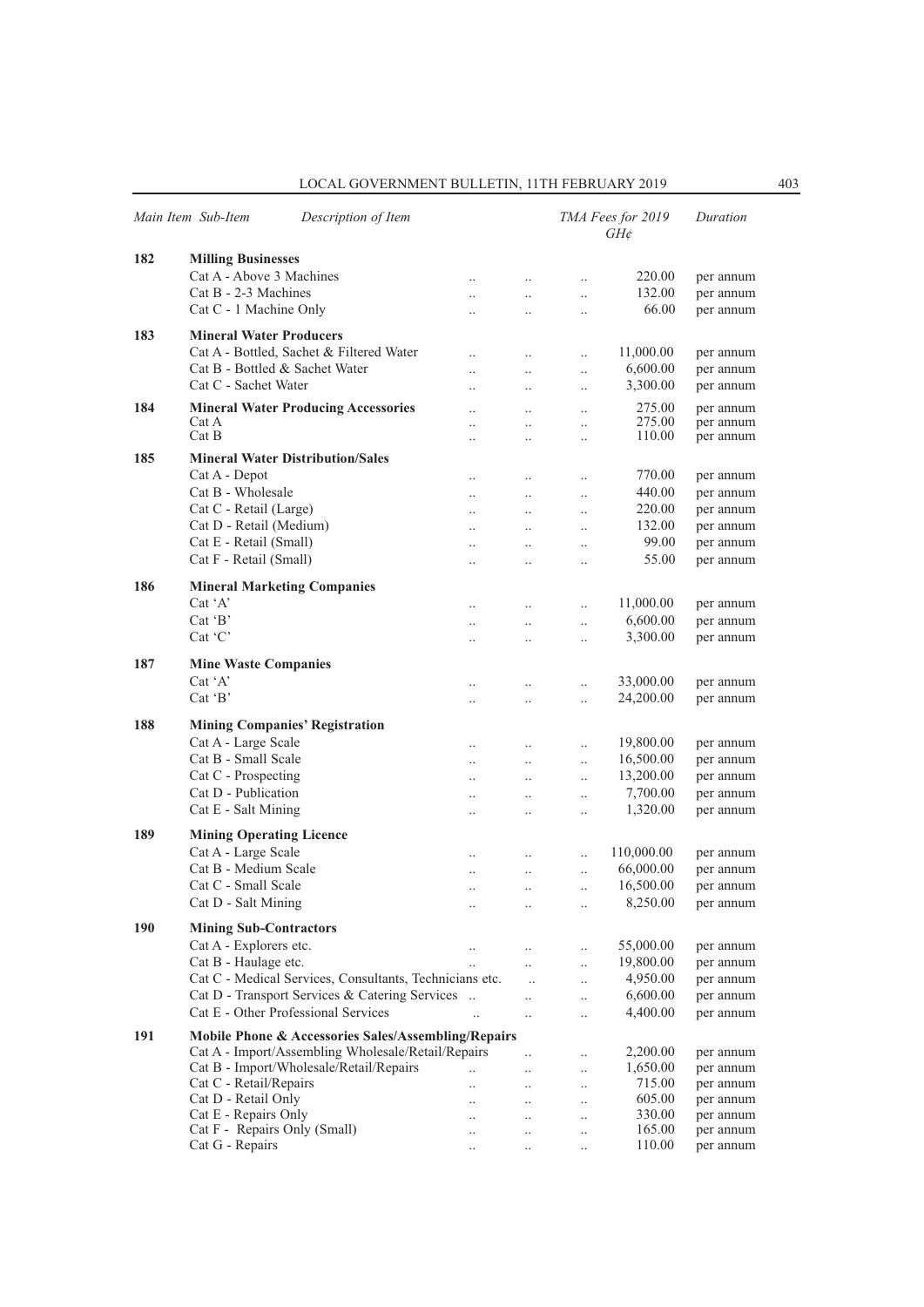|     | Main Item Sub-Item<br>Description of Item                      |                      |                      |                      | TMA Fees for 2019<br>$GH\phi$ | Duration  |
|-----|----------------------------------------------------------------|----------------------|----------------------|----------------------|-------------------------------|-----------|
| 182 | <b>Milling Businesses</b>                                      |                      |                      |                      |                               |           |
|     | Cat A - Above 3 Machines                                       | $\ddotsc$            | $\ldots$             | $\ldots$             | 220.00                        | per annum |
|     | Cat B - 2-3 Machines                                           | $\ddotsc$            | $\ddotsc$            | $\ldots$             | 132.00                        | per annum |
|     | Cat C - 1 Machine Only                                         | $\ddotsc$            | $\ddotsc$            | $\ddotsc$            | 66.00                         | per annum |
|     |                                                                |                      |                      |                      |                               |           |
| 183 | <b>Mineral Water Producers</b>                                 |                      |                      |                      |                               |           |
|     | Cat A - Bottled, Sachet & Filtered Water                       | $\ddotsc$            | $\ldots$             | $\ddotsc$            | 11,000.00                     | per annum |
|     | Cat B - Bottled & Sachet Water                                 | $\ddotsc$            | $\ddotsc$            | $\ldots$             | 6,600.00                      | per annum |
|     | Cat C - Sachet Water                                           | $\ddot{\phantom{0}}$ | $\ddot{\phantom{a}}$ | $\ldots$             | 3,300.00                      | per annum |
| 184 | <b>Mineral Water Producing Accessories</b>                     | $\ddotsc$            | $\ddot{\phantom{0}}$ | $\ldots$             | 275.00                        | per annum |
|     | Cat A                                                          | $\ddot{\phantom{a}}$ | $\ddotsc$            | $\ddotsc$            | 275.00                        | per annum |
|     | Cat B                                                          | $\ddotsc$            | $\ddotsc$            | $\ldots$             | 110.00                        | per annum |
| 185 | <b>Mineral Water Distribution/Sales</b>                        |                      |                      |                      |                               |           |
|     | Cat A - Depot                                                  | $\ldots$             | $\ldots$             | $\ldots$             | 770.00                        | per annum |
|     | Cat B - Wholesale                                              | $\ldots$             | $\ldots$             | $\ldots$             | 440.00                        | per annum |
|     | Cat C - Retail (Large)                                         | $\ddotsc$            | $\ddotsc$            | $\ldots$             | 220.00                        | per annum |
|     | Cat D - Retail (Medium)                                        | $\ddotsc$            | $\ddotsc$            | $\ddotsc$            | 132.00                        | per annum |
|     | Cat E - Retail (Small)                                         |                      |                      |                      | 99.00                         | per annum |
|     | Cat F - Retail (Small)                                         | $\ddotsc$            | $\ddotsc$            | $\ddotsc$            | 55.00                         |           |
|     |                                                                | $\ldots$             | $\cdot$ .            | $\cdot$              |                               | per annum |
| 186 | <b>Mineral Marketing Companies</b>                             |                      |                      |                      |                               |           |
|     | Cat 'A'                                                        | $\ddotsc$            | $\ldots$             | $\ddotsc$            | 11,000.00                     | per annum |
|     | $Cat$ $B'$                                                     | $\ddotsc$            | $\ddotsc$            | $\ddotsc$            | 6,600.00                      | per annum |
|     | Cat 'C'                                                        | $\ddotsc$            | $\ddot{\phantom{0}}$ | $\ddot{\phantom{0}}$ | 3,300.00                      | per annum |
|     |                                                                |                      |                      |                      |                               |           |
| 187 | <b>Mine Waste Companies</b>                                    |                      |                      |                      |                               |           |
|     | $Cat^{\dagger}A'$                                              | $\ddotsc$            | $\cdot$ .            | $\ddot{\phantom{0}}$ | 33,000.00                     | per annum |
|     | $Cat$ $B'$                                                     | $\ddotsc$            | $\ddotsc$            | $\ddotsc$            | 24,200.00                     | per annum |
| 188 | <b>Mining Companies' Registration</b>                          |                      |                      |                      |                               |           |
|     | Cat A - Large Scale                                            |                      |                      |                      | 19,800.00                     |           |
|     | Cat B - Small Scale                                            | $\ddotsc$            | $\ldots$             | $\ddotsc$            | 16,500.00                     | per annum |
|     | Cat C - Prospecting                                            | $\ddotsc$            | $\ddotsc$            | $\ddotsc$            |                               | per annum |
|     | Cat D - Publication                                            | $\ldots$             | $\ldots$             | $\ddotsc$            | 13,200.00                     | per annum |
|     |                                                                | $\ldots$             | $\ldots$             | $\ldots$             | 7,700.00                      | per annum |
|     | Cat E - Salt Mining                                            | $\ldots$             | $\ldots$             | $\ddotsc$            | 1,320.00                      | per annum |
| 189 | <b>Mining Operating Licence</b>                                |                      |                      |                      |                               |           |
|     | Cat A - Large Scale                                            | $\ddots$             | $\ddots$             | $\ddotsc$            | 110,000.00                    | per annum |
|     | Cat B - Medium Scale                                           | $\ldots$             | $\ddotsc$            | $\ddotsc$            | 66,000.00                     | per annum |
|     | Cat C - Small Scale                                            | $\ldots$             | $\ldots$             | $\ddotsc$            | 16,500.00                     | per annum |
|     | Cat D - Salt Mining                                            |                      | $\ldots$             | $\cdot$ .            | 8,250.00                      | per annum |
|     |                                                                |                      |                      |                      |                               |           |
| 190 | <b>Mining Sub-Contractors</b>                                  |                      |                      |                      |                               |           |
|     | Cat A - Explorers etc.                                         | $\ldots$             | $\ddotsc$            | $\ddotsc$            | 55,000.00                     | per annum |
|     | Cat B - Haulage etc.                                           | $\ddot{\phantom{a}}$ | $\ddotsc$            | $\ldots$             | 19,800.00                     | per annum |
|     | Cat C - Medical Services, Consultants, Technicians etc.        |                      | $\ddotsc$            | $\ldots$             | 4,950.00                      | per annum |
|     | Cat D - Transport Services & Catering Services                 |                      | $\ddotsc$            | $\ddotsc$            | 6,600.00                      | per annum |
|     | Cat E - Other Professional Services                            | $\ddotsc$            | $\ddotsc$            | $\ddotsc$            | 4,400.00                      | per annum |
| 191 | <b>Mobile Phone &amp; Accessories Sales/Assembling/Repairs</b> |                      |                      |                      |                               |           |
|     | Cat A - Import/Assembling Wholesale/Retail/Repairs             |                      | $\ddot{\phantom{a}}$ | $\ldots$             | 2,200.00                      | per annum |
|     | Cat B - Import/Wholesale/Retail/Repairs                        | $\ddotsc$            | $\ddotsc$            | $\ldots$             | 1,650.00                      | per annum |
|     | Cat C - Retail/Repairs                                         | $\ddot{\phantom{0}}$ | $\cdot$ .            | $\ldots$             | 715.00                        | per annum |
|     | Cat D - Retail Only                                            | $\ddotsc$            | $\ddots$             | $\ldots$             | 605.00                        | per annum |
|     | Cat E - Repairs Only                                           | $\ddotsc$            | $\ddotsc$            | $\cdot$              | 330.00                        | per annum |
|     | Cat F - Repairs Only (Small)                                   | $\cdot$ .            | $\ldots$             | $\ldots$             | 165.00                        | per annum |
|     | Cat G - Repairs                                                | $\ldots$             | $\cdot$ .            | $\ldots$             | 110.00                        | per annum |
|     |                                                                |                      |                      |                      |                               |           |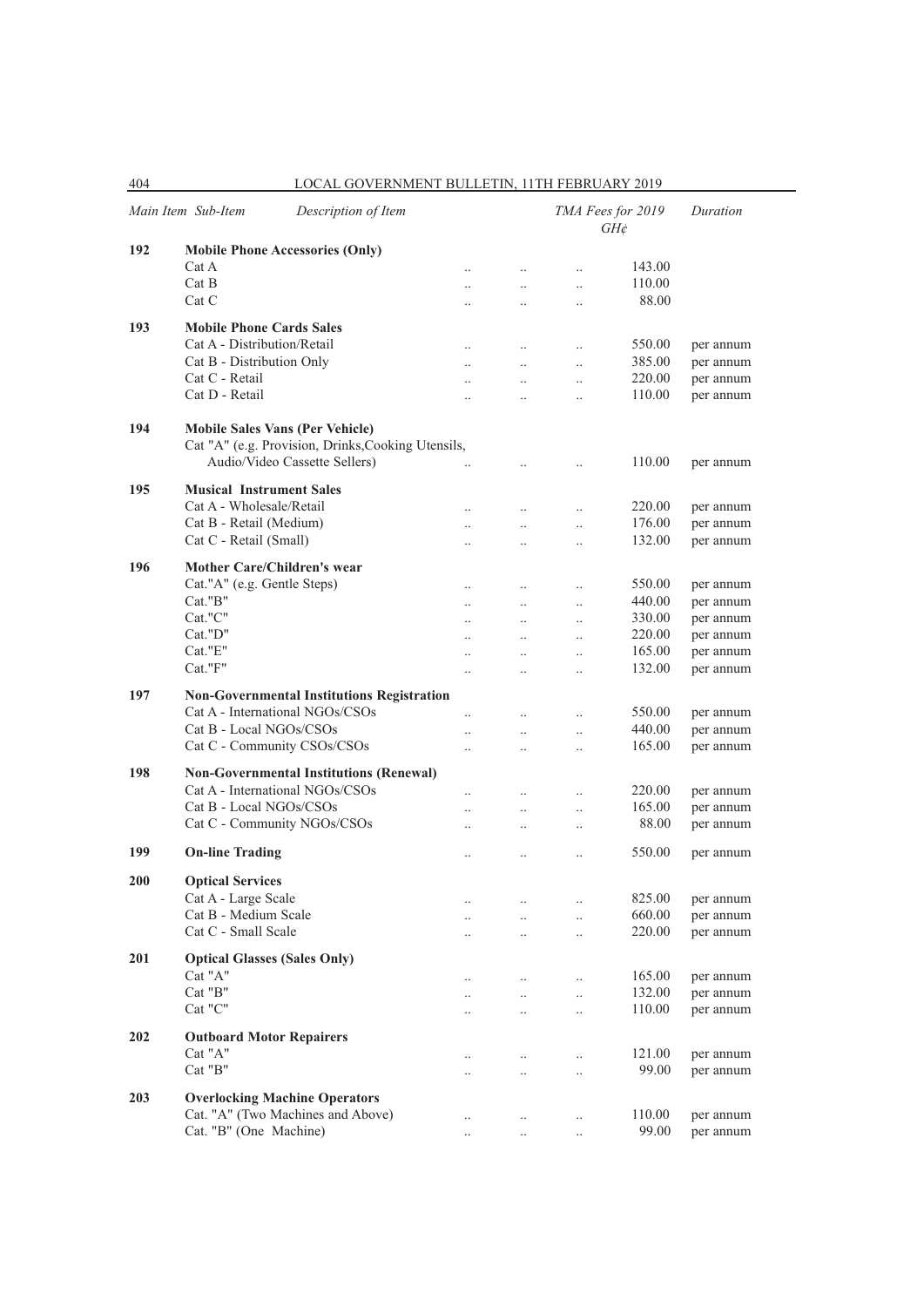|            | Main Item Sub-Item<br>Description of Item          |                      |                      |                      | TMA Fees for 2019<br>$GH\phi$ | Duration  |
|------------|----------------------------------------------------|----------------------|----------------------|----------------------|-------------------------------|-----------|
| 192        | <b>Mobile Phone Accessories (Only)</b>             |                      |                      |                      |                               |           |
|            | Cat A                                              | $\ddot{\phantom{a}}$ | $\ddotsc$            | $\ddotsc$            | 143.00                        |           |
|            | Cat B                                              | $\ddotsc$            | $\ddotsc$            | $\ddotsc$            | 110.00                        |           |
|            | Cat C                                              | $\ddotsc$            | $\ddot{\phantom{a}}$ | $\ddotsc$            | 88.00                         |           |
|            |                                                    |                      |                      |                      |                               |           |
| 193        | <b>Mobile Phone Cards Sales</b>                    |                      |                      |                      |                               |           |
|            | Cat A - Distribution/Retail                        | $\ddotsc$            | $\ddot{\phantom{0}}$ | $\ddotsc$            | 550.00                        | per annum |
|            | Cat B - Distribution Only                          | $\ddotsc$            | $\ddotsc$            | $\ddotsc$            | 385.00                        | per annum |
|            | Cat C - Retail                                     |                      | $\ddot{\phantom{0}}$ | $\ddot{\phantom{0}}$ | 220.00                        | per annum |
|            | Cat D - Retail                                     | $\ddotsc$            | $\ddotsc$            | $\ddotsc$            | 110.00                        | per annum |
|            |                                                    |                      |                      |                      |                               |           |
| 194        | <b>Mobile Sales Vans (Per Vehicle)</b>             |                      |                      |                      |                               |           |
|            | Cat "A" (e.g. Provision, Drinks, Cooking Utensils, |                      |                      |                      |                               |           |
|            | Audio/Video Cassette Sellers)                      |                      | $\ddot{\phantom{0}}$ | $\ddot{\phantom{0}}$ | 110.00                        | per annum |
| 195        | <b>Musical Instrument Sales</b>                    |                      |                      |                      |                               |           |
|            | Cat A - Wholesale/Retail                           |                      |                      |                      | 220.00                        | per annum |
|            | Cat B - Retail (Medium)                            | $\ddot{\phantom{a}}$ |                      | $\ddot{\phantom{a}}$ | 176.00                        | per annum |
|            | Cat C - Retail (Small)                             | $\ddotsc$            | $\ddot{\phantom{0}}$ | $\ddotsc$            | 132.00                        |           |
|            |                                                    | $\ddot{\phantom{a}}$ | $\ddot{\phantom{a}}$ | $\ddot{\phantom{a}}$ |                               | per annum |
| 196        | <b>Mother Care/Children's wear</b>                 |                      |                      |                      |                               |           |
|            | Cat."A" (e.g. Gentle Steps)                        | $\ddot{\phantom{a}}$ | $\ddotsc$            | $\ddot{\phantom{a}}$ | 550.00                        | per annum |
|            | Cat."B"                                            | $\ddotsc$            | $\ddot{\phantom{0}}$ | $\ddot{\phantom{0}}$ | 440.00                        | per annum |
|            | Cat."C"                                            | $\ddotsc$            | $\ddot{\phantom{a}}$ | $\ddot{\phantom{0}}$ | 330.00                        | per annum |
|            | Cat."D"                                            | $\ddotsc$            | $\ddot{\phantom{0}}$ | $\ddot{\phantom{0}}$ | 220.00                        | per annum |
|            | Cat."E"                                            | $\ddot{\phantom{a}}$ | $\ddotsc$            | $\ddotsc$            | 165.00                        | per annum |
|            | Cat."F"                                            | $\ddot{\phantom{a}}$ | $\ddot{\phantom{a}}$ | $\ddot{\phantom{a}}$ | 132.00                        | per annum |
|            |                                                    |                      |                      |                      |                               |           |
| 197        | <b>Non-Governmental Institutions Registration</b>  |                      |                      |                      |                               |           |
|            | Cat A - International NGOs/CSOs                    | $\ddot{\phantom{a}}$ | $\ddot{\phantom{a}}$ | $\ddot{\phantom{0}}$ | 550.00                        | per annum |
|            | Cat B - Local NGOs/CSOs                            | $\ddot{\phantom{a}}$ | $\cdot$              | $\ldots$             | 440.00                        | per annum |
|            | Cat C - Community CSOs/CSOs                        |                      |                      | $\ddot{\phantom{0}}$ | 165.00                        | per annum |
| 198        | <b>Non-Governmental Institutions (Renewal)</b>     |                      |                      |                      |                               |           |
|            | Cat A - International NGOs/CSOs                    |                      |                      |                      | 220.00                        |           |
|            | Cat B - Local NGOs/CSOs                            |                      | $\ddot{\phantom{a}}$ | $\ddot{\phantom{0}}$ | 165.00                        | per annum |
|            |                                                    | $\ddotsc$            | $\ddotsc$            | $\ddotsc$            |                               | per annum |
|            | Cat C - Community NGOs/CSOs                        | $\ddot{\phantom{a}}$ | $\ddot{\phantom{a}}$ | $\ddot{\phantom{0}}$ | 88.00                         | per annum |
| 199        | <b>On-line Trading</b>                             |                      |                      | $\ddot{\phantom{a}}$ | 550.00                        | per annum |
|            |                                                    |                      |                      |                      |                               |           |
| <b>200</b> | <b>Optical Services</b>                            |                      |                      |                      |                               |           |
|            | Cat A - Large Scale                                |                      |                      | $\cdot$ .            | 825.00                        | per annum |
|            | Cat B - Medium Scale                               | $\cdot$ .            |                      | $\ddotsc$            | 660.00                        | per annum |
|            | Cat C - Small Scale                                |                      |                      | $\ldots$             | 220.00                        | per annum |
| 201        | <b>Optical Glasses (Sales Only)</b>                |                      |                      |                      |                               |           |
|            | Cat "A"                                            |                      |                      |                      |                               |           |
|            |                                                    | $\ldots$             | $\ddotsc$            | $\ddotsc$            | 165.00                        | per annum |
|            | Cat "B"                                            | $\ddot{\phantom{0}}$ | $\ddot{\phantom{0}}$ | $\ddot{\phantom{a}}$ | 132.00                        | per annum |
|            | Cat "C"                                            | $\ddotsc$            | $\ddot{\phantom{a}}$ | $\ddotsc$            | 110.00                        | per annum |
| 202        | <b>Outboard Motor Repairers</b>                    |                      |                      |                      |                               |           |
|            | Cat "A"                                            | $\ddotsc$            | $\ddot{\phantom{0}}$ | $\ddotsc$            | 121.00                        | per annum |
|            | Cat "B"                                            |                      | $\ddot{\phantom{a}}$ | $\cdot$ .            | 99.00                         | per annum |
|            |                                                    |                      |                      |                      |                               |           |
| 203        | <b>Overlocking Machine Operators</b>               |                      |                      |                      |                               |           |
|            | Cat. "A" (Two Machines and Above)                  | $\ddotsc$            | $\ddot{\phantom{a}}$ | $\cdot$ .            | 110.00                        | per annum |
|            | Cat. "B" (One Machine)                             | $\cdot$ .            | $\ldots$             | $\ldots$             | 99.00                         | per annum |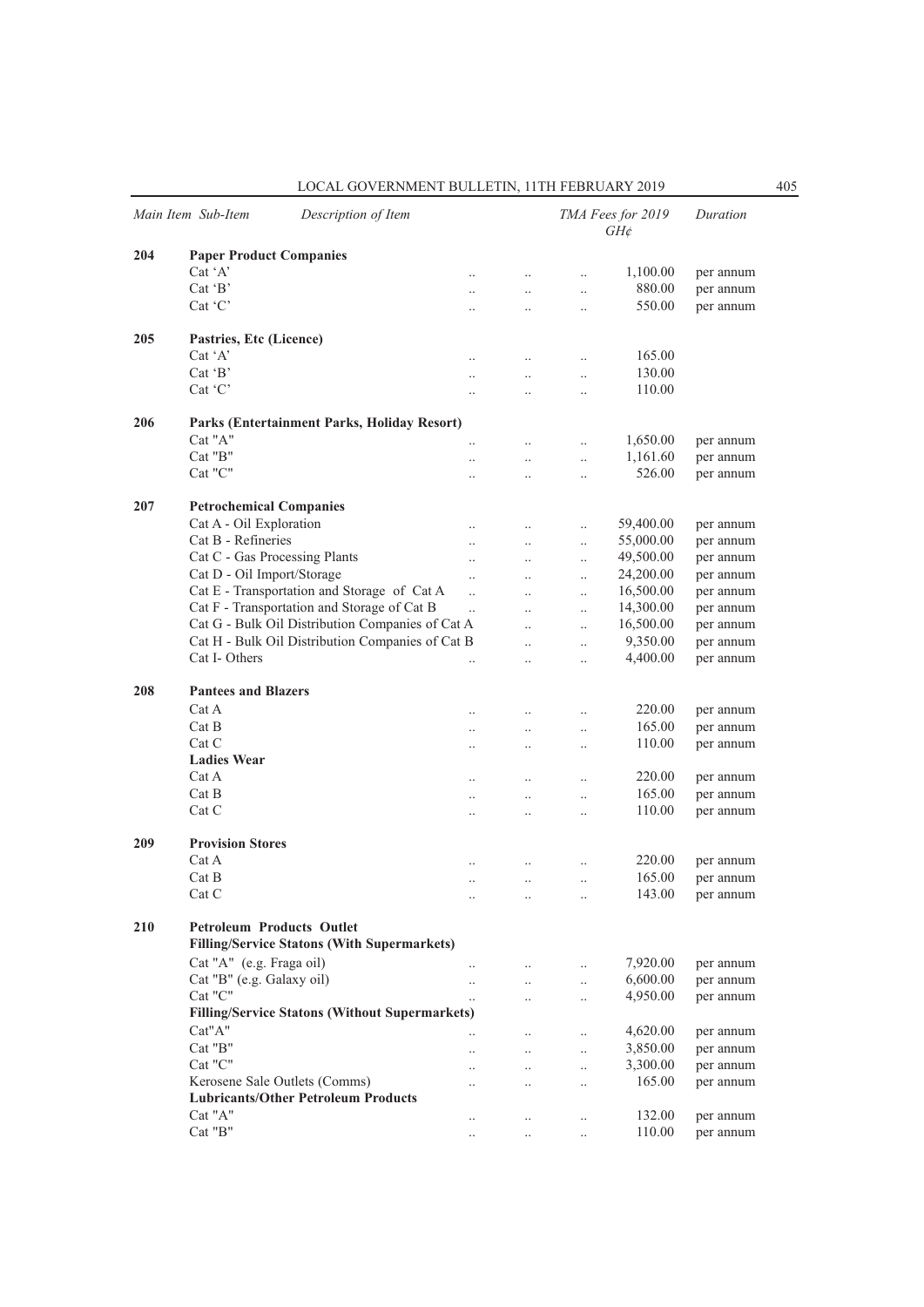|     | Main Item Sub-Item<br>Description of Item             |                        |                                   |                                              | TMA Fees for 2019<br>$GH\phi$ | Duration  |
|-----|-------------------------------------------------------|------------------------|-----------------------------------|----------------------------------------------|-------------------------------|-----------|
| 204 | <b>Paper Product Companies</b>                        |                        |                                   |                                              |                               |           |
|     | $Cat^{\dagger}A'$                                     | $\ddot{\phantom{a}}$   | $\ddotsc$                         | $\ddotsc$                                    | 1,100.00                      | per annum |
|     | $Cat$ $B$                                             | $\ddotsc$              | $\ddotsc$                         | $\ddot{\phantom{0}}$                         | 880.00                        | per annum |
|     | Cat 'C'                                               | $\ddotsc$              | $\ddot{\phantom{a}}$              | $\ddotsc$                                    | 550.00                        | per annum |
| 205 | Pastries, Etc (Licence)                               |                        |                                   |                                              |                               |           |
|     | $Cat^{\dagger}A^{\dagger}$                            |                        | $\ddot{\phantom{a}}$              | $\ddotsc$                                    | 165.00                        |           |
|     | $Cat$ $B'$                                            |                        |                                   |                                              | 130.00                        |           |
|     | Cat 'C'                                               | $\ddotsc$<br>$\ddotsc$ | $\ddotsc$<br>$\ddot{\phantom{a}}$ | $\ddotsc$<br>$\ddotsc$                       | 110.00                        |           |
|     |                                                       |                        |                                   |                                              |                               |           |
| 206 | Parks (Entertainment Parks, Holiday Resort)           |                        |                                   |                                              |                               |           |
|     | Cat "A"                                               |                        | $\ddot{\phantom{a}}$              | $\ddotsc$                                    | 1,650.00                      | per annum |
|     | Cat "B"                                               | $\ddotsc$              | $\ddotsc$                         | $\ddotsc$                                    | 1,161.60                      | per annum |
|     | Cat "C"                                               | $\ddotsc$              | $\ddot{\phantom{a}}$              | $\ddotsc$                                    | 526.00                        | per annum |
| 207 | <b>Petrochemical Companies</b>                        |                        |                                   |                                              |                               |           |
|     | Cat A - Oil Exploration                               | $\ddotsc$              | $\ddotsc$                         | $\ddot{\phantom{0}}$                         | 59,400.00                     | per annum |
|     | Cat B - Refineries                                    | $\ddotsc$              | $\ddotsc$                         | $\ddot{\phantom{0}}$                         | 55,000.00                     | per annum |
|     | Cat C - Gas Processing Plants                         | $\ddot{\phantom{a}}$   | $\ddot{\phantom{a}}$              | $\ddot{\phantom{0}}$                         | 49,500.00                     | per annum |
|     | Cat D - Oil Import/Storage                            | $\ddot{\phantom{a}}$   |                                   | $\ddot{\phantom{0}}$                         | 24,200.00                     | per annum |
|     | Cat E - Transportation and Storage of Cat A           | $\ddotsc$              | $\ddot{\phantom{a}}$              | $\ddotsc$                                    | 16,500.00                     | per annum |
|     | Cat F - Transportation and Storage of Cat B           | $\ddotsc$              | $\ddot{\phantom{a}}$              | $\ddot{\phantom{0}}$                         | 14,300.00                     | per annum |
|     | Cat G - Bulk Oil Distribution Companies of Cat A      |                        | $\ddot{\phantom{a}}$              | $\ddot{\phantom{0}}$                         | 16,500.00                     | per annum |
|     | Cat H - Bulk Oil Distribution Companies of Cat B      |                        |                                   |                                              | 9,350.00                      | per annum |
|     | Cat I-Others                                          |                        | <br>$\ddot{\phantom{a}}$          | $\ddot{\phantom{0}}$<br>$\ddot{\phantom{0}}$ | 4,400.00                      | per annum |
| 208 | <b>Pantees and Blazers</b>                            |                        |                                   |                                              |                               |           |
|     | Cat A                                                 |                        |                                   | $\ddotsc$                                    | 220.00                        | per annum |
|     | Cat B                                                 |                        | $\ddot{\phantom{a}}$              | $\ddot{\phantom{0}}$                         | 165.00                        | per annum |
|     | Cat C                                                 | $\ddotsc$              |                                   |                                              | 110.00                        | per annum |
|     | <b>Ladies Wear</b>                                    |                        | $\ddot{\phantom{a}}$              | $\ddotsc$                                    |                               |           |
|     | Cat A                                                 |                        |                                   |                                              | 220.00                        |           |
|     | Cat B                                                 | $\ddot{\phantom{a}}$   | $\ddot{\phantom{a}}$              | $\ddot{\phantom{a}}$                         | 165.00                        | per annum |
|     |                                                       | $\ddotsc$              | $\ddotsc$                         | $\ddot{\phantom{0}}$                         |                               | per annum |
|     | Cat C                                                 | $\ddotsc$              |                                   | $\ddotsc$                                    | 110.00                        | per annum |
| 209 | <b>Provision Stores</b>                               |                        |                                   |                                              |                               |           |
|     | Cat A                                                 | $\ddot{\phantom{a}}$   | $\ddot{\phantom{a}}$              | $\ddot{\phantom{a}}$                         | 220.00                        | per annum |
|     | Cat B                                                 | $\ddotsc$              | $\ddotsc$                         | $\ddotsc$                                    | 165.00                        | per annum |
|     | Cat C                                                 | $\ddotsc$              | $\ldots$                          | $\ddotsc$                                    | 143.00                        | per annum |
| 210 | <b>Petroleum Products Outlet</b>                      |                        |                                   |                                              |                               |           |
|     | <b>Filling/Service Statons (With Supermarkets)</b>    |                        |                                   |                                              |                               |           |
|     | Cat "A" (e.g. Fraga oil)                              | $\ddotsc$              | $\ldots$                          | $\ddotsc$                                    | 7,920.00                      | per annum |
|     | Cat "B" (e.g. Galaxy oil)                             | $\ddot{\phantom{0}}$   | $\ddots$                          | $\ddotsc$                                    | 6,600.00                      | per annum |
|     | Cat "C"                                               | $\ddotsc$              | $\ddotsc$                         | $\ddotsc$                                    | 4,950.00                      | per annum |
|     | <b>Filling/Service Statons (Without Supermarkets)</b> |                        |                                   |                                              |                               |           |
|     | Cat"A"                                                |                        | $\ddotsc$                         | $\ddotsc$                                    | 4,620.00                      | per annum |
|     | Cat "B"                                               | $\ddotsc$              | $\ddots$                          | $\ddotsc$                                    | 3,850.00                      | per annum |
|     | Cat "C"                                               | $\ddot{\phantom{0}}$   | $\ddotsc$                         | $\ddotsc$                                    | 3,300.00                      | per annum |
|     | Kerosene Sale Outlets (Comms)                         | $\ddot{\phantom{0}}$   | $\ddot{\phantom{0}}$              | $\ddotsc$                                    | 165.00                        | per annum |
|     | <b>Lubricants/Other Petroleum Products</b>            |                        |                                   |                                              |                               |           |
|     | Cat "A"                                               | $\ddotsc$              | $\ldots$                          | $\ddotsc$                                    | 132.00                        | per annum |
|     | $\rm Cat$ "B"                                         | $\ddotsc$              | $\ddotsc$                         | $\ddotsc$                                    | 110.00                        | per annum |
|     |                                                       |                        |                                   |                                              |                               |           |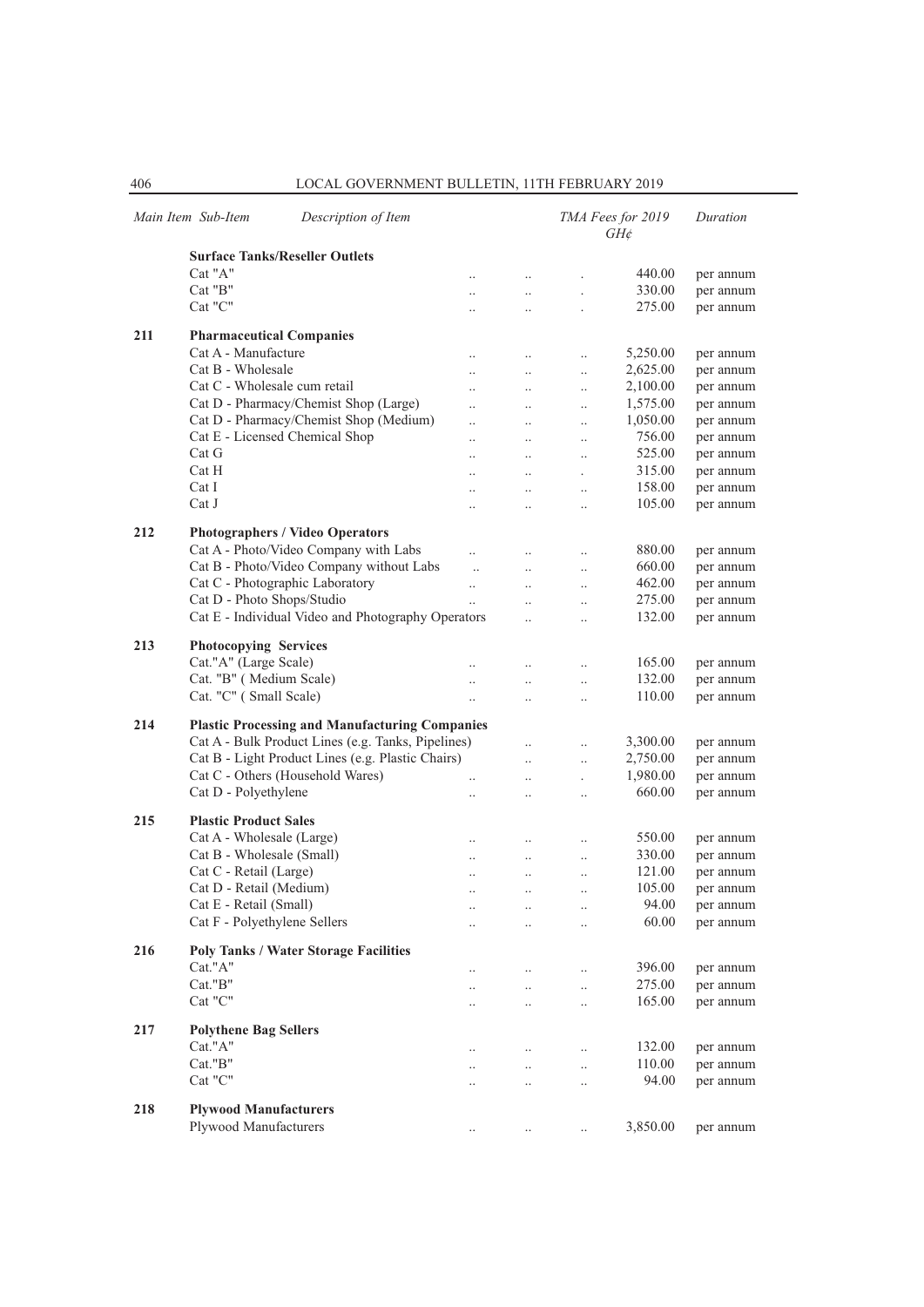|     | Main Item Sub-Item<br>Description of Item             |                          |                      |                                 | TMA Fees for 2019<br>$GH\phi$ | Duration  |
|-----|-------------------------------------------------------|--------------------------|----------------------|---------------------------------|-------------------------------|-----------|
|     | <b>Surface Tanks/Reseller Outlets</b>                 |                          |                      |                                 |                               |           |
|     | Cat "A"                                               | $\ddotsc$                | $\ldots$             |                                 | 440.00                        | per annum |
|     | Cat "B"                                               | $\cdot$ .                | $\ldots$             | $\cdot$                         | 330.00                        | per annum |
|     | Cat "C"                                               | $\ddotsc$                | $\ddot{\phantom{0}}$ |                                 | 275.00                        | per annum |
| 211 | <b>Pharmaceutical Companies</b>                       |                          |                      |                                 |                               |           |
|     | Cat A - Manufacture                                   | $\ddotsc$                | $\ldots$             | $\ldots$                        | 5,250.00                      | per annum |
|     | Cat B - Wholesale                                     | $\ddotsc$                | $\ddotsc$            | $\ddot{\phantom{0}}$            | 2,625.00                      | per annum |
|     | Cat C - Wholesale cum retail                          |                          | $\ddotsc$            | $\ddotsc$                       | 2,100.00                      | per annum |
|     | Cat D - Pharmacy/Chemist Shop (Large)                 | $\ddotsc$                | $\ddotsc$            | $\ddotsc$                       | 1,575.00                      | per annum |
|     | Cat D - Pharmacy/Chemist Shop (Medium)                | $\ddotsc$                | $\ddotsc$            |                                 | 1,050.00                      | per annum |
|     | Cat E - Licensed Chemical Shop                        | $\ddot{\phantom{a}}$     | $\ddotsc$            | $\ldots$                        | 756.00                        | per annum |
|     | Cat G                                                 |                          |                      | $\cdot$ .                       | 525.00                        | per annum |
|     | Cat H                                                 |                          | $\ddotsc$            | $\ddot{\phantom{a}}$            | 315.00                        | per annum |
|     | Cat I                                                 |                          | $\ddot{\phantom{0}}$ |                                 | 158.00                        |           |
|     | CatJ                                                  | $\ddotsc$                | $\ddotsc$            | $\ddot{\phantom{0}}$            | 105.00                        | per annum |
|     |                                                       | $\ddotsc$                | $\ldots$             | $\ddot{\phantom{a}}$            |                               | per annum |
| 212 | <b>Photographers / Video Operators</b>                |                          |                      |                                 |                               |           |
|     | Cat A - Photo/Video Company with Labs                 |                          | $\ddotsc$            | $\ddotsc$                       | 880.00                        | per annum |
|     | Cat B - Photo/Video Company without Labs              | $\ddotsc$                | $\ddotsc$            | $\ddot{\phantom{0}}$            | 660.00                        | per annum |
|     | Cat C - Photographic Laboratory                       | $\ddotsc$                | $\ddotsc$            | $\ddotsc$                       | 462.00                        | per annum |
|     | Cat D - Photo Shops/Studio                            | $\ddotsc$                | $\ddotsc$            | $\ddot{\phantom{0}}$            | 275.00                        | per annum |
|     | Cat E - Individual Video and Photography Operators    |                          | $\ddot{\phantom{0}}$ | $\ddot{\phantom{0}}$            | 132.00                        | per annum |
| 213 | <b>Photocopying Services</b>                          |                          |                      |                                 |                               |           |
|     | Cat."A" (Large Scale)                                 |                          |                      |                                 | 165.00                        | per annum |
|     | Cat. "B" (Medium Scale)                               |                          | $\cdot$              | $\cdot$                         | 132.00                        | per annum |
|     | Cat. "C" (Small Scale)                                | $\ddot{\phantom{a}}$<br> | $\ldots$             | $\cdot$<br>$\ddot{\phantom{0}}$ | 110.00                        | per annum |
|     |                                                       |                          |                      |                                 |                               |           |
| 214 | <b>Plastic Processing and Manufacturing Companies</b> |                          |                      |                                 |                               |           |
|     | Cat A - Bulk Product Lines (e.g. Tanks, Pipelines)    |                          | $\ddotsc$            | $\ddotsc$                       | 3,300.00                      | per annum |
|     | Cat B - Light Product Lines (e.g. Plastic Chairs)     |                          | $\ddot{\phantom{0}}$ | $\ddotsc$                       | 2,750.00                      | per annum |
|     | Cat C - Others (Household Wares)                      |                          | $\ddot{\phantom{a}}$ |                                 | 1,980.00                      | per annum |
|     | Cat D - Polyethylene                                  | $\ddotsc$                | $\ddotsc$            | $\ddotsc$                       | 660.00                        | per annum |
| 215 | <b>Plastic Product Sales</b>                          |                          |                      |                                 |                               |           |
|     | Cat A - Wholesale (Large)                             | $\cdot$ .                | $\ldots$             | $\ldots$                        | 550.00                        | per annum |
|     | Cat B - Wholesale (Small)                             | $\ddotsc$                | $\ddotsc$            | $\ddotsc$                       | 330.00                        | per annum |
|     | Cat C - Retail (Large)                                | $\ddot{\phantom{a}}$     | $\ddotsc$            | $\ddotsc$                       | 121.00                        | per annum |
|     | Cat D - Retail (Medium)                               | $\ddot{\phantom{a}}$     | $\ldots$             | $\ddotsc$                       | 105.00                        | per annum |
|     | Cat E - Retail (Small)                                | $\cdot$ .                | $\cdot$ .            | $\cdot$ .                       | 94.00                         | per annum |
|     | Cat F - Polyethylene Sellers                          | $\ddot{\phantom{a}}$     | $\cdot$ .            | $\ddotsc$                       | 60.00                         | per annum |
|     |                                                       |                          |                      |                                 |                               |           |
| 216 | <b>Poly Tanks / Water Storage Facilities</b>          |                          |                      |                                 |                               |           |
|     | Cat."A"                                               |                          | $\ldots$             | $\ldots$                        | 396.00                        | per annum |
|     | Cat."B"                                               | $\ddot{\phantom{a}}$     | $\ddotsc$            | $\ddot{\phantom{0}}$            | 275.00                        | per annum |
|     | Cat "C"                                               | $\ddotsc$                | $\ddotsc$            | $\ddot{\phantom{a}}$            | 165.00                        | per annum |
| 217 | <b>Polythene Bag Sellers</b>                          |                          |                      |                                 |                               |           |
|     | Cat."A"                                               |                          | $\ldots$             | $\ldots$                        | 132.00                        | per annum |
|     | Cat."B"                                               | $\cdot$                  | $\ddotsc$            | $\ldots$                        | 110.00                        | per annum |
|     | Cat "C"                                               | $\ddotsc$                | $\ldots$             | $\ldots$                        | 94.00                         | per annum |
| 218 |                                                       |                          |                      |                                 |                               |           |
|     | <b>Plywood Manufacturers</b><br>Plywood Manufacturers |                          |                      |                                 | 3,850.00                      |           |
|     |                                                       | $\cdots$                 | $\cdots$             | $\ldots$                        |                               | per annum |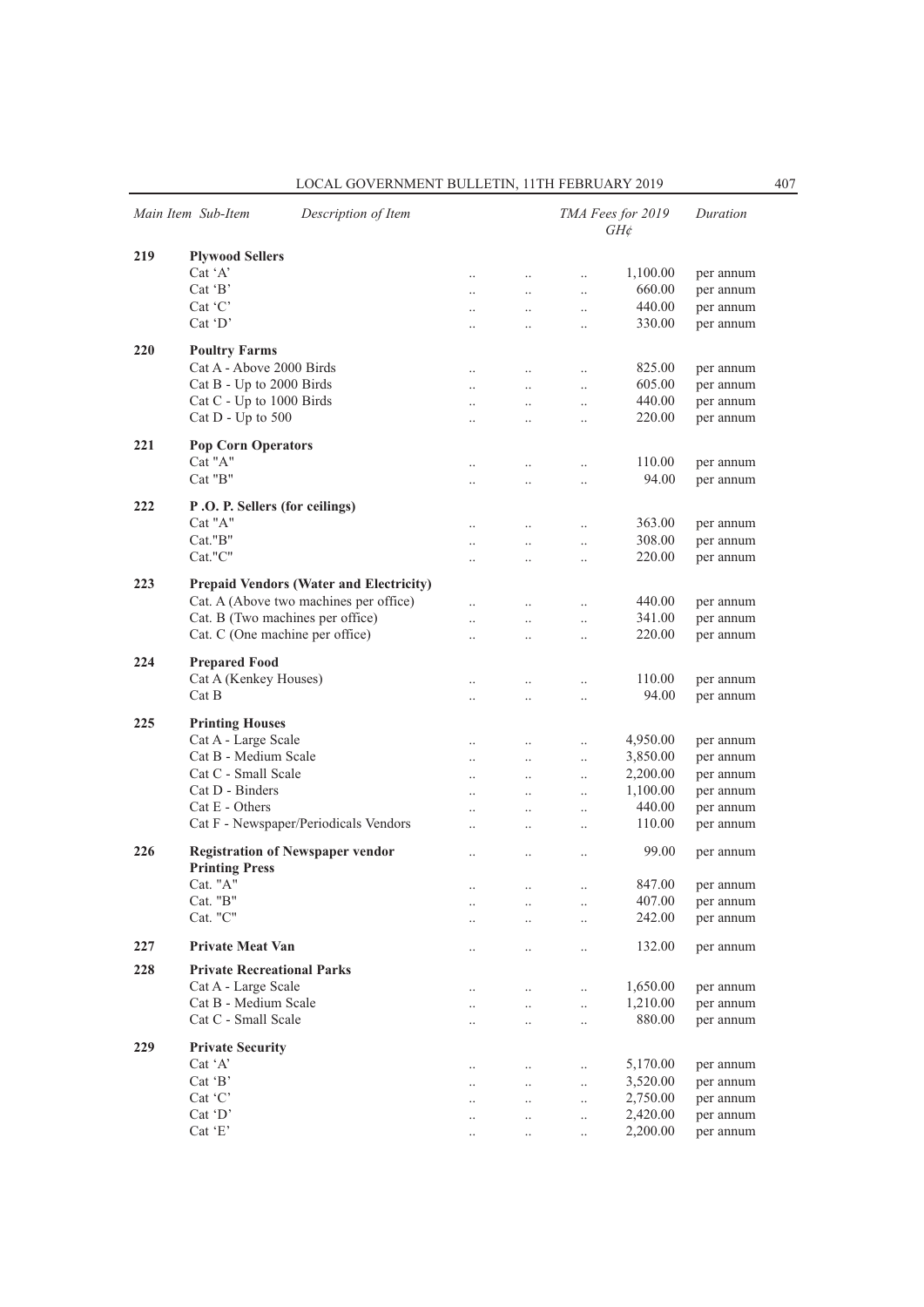| LOCAL GOVERNMENT BULLETIN. 11TH FEBRUARY 2019 |  |
|-----------------------------------------------|--|
|-----------------------------------------------|--|

|     | Main Item Sub-Item                      | Description of Item                            |                      |                      |                      | TMA Fees for 2019<br>$GH\phi$ | Duration  |
|-----|-----------------------------------------|------------------------------------------------|----------------------|----------------------|----------------------|-------------------------------|-----------|
| 219 | <b>Plywood Sellers</b>                  |                                                |                      |                      |                      |                               |           |
|     | $Cat^{\dagger}A'$                       |                                                | $\ddots$             | $\ddotsc$            | $\ddotsc$            | 1,100.00                      | per annum |
|     | $Cat$ $B$                               |                                                | $\ddots$             | $\ddotsc$            | $\ddotsc$            | 660.00                        | per annum |
|     | $Cat$ $C$                               |                                                | $\cdot \cdot$        | $\ddotsc$            | $\ldots$             | 440.00                        | per annum |
|     | $Cat$ $D'$                              |                                                | $\ddotsc$            | $\ddotsc$            | $\ddotsc$            | 330.00                        | per annum |
|     |                                         |                                                |                      |                      |                      |                               |           |
| 220 | <b>Poultry Farms</b>                    |                                                |                      |                      |                      |                               |           |
|     | Cat A - Above 2000 Birds                |                                                | $\ddotsc$            | $\cdot$ .            | $\ldots$             | 825.00                        | per annum |
|     | Cat B - Up to 2000 Birds                |                                                | $\ddotsc$            | $\ddotsc$            | $\ddotsc$            | 605.00                        | per annum |
|     | Cat C - Up to 1000 Birds                |                                                | $\ddot{\phantom{a}}$ | $\ddotsc$            | $\ddotsc$            | 440.00                        | per annum |
|     | Cat $D$ - Up to 500                     |                                                | $\ddotsc$            | $\ddot{\phantom{0}}$ | $\ddotsc$            | 220.00                        | per annum |
| 221 | <b>Pop Corn Operators</b>               |                                                |                      |                      |                      |                               |           |
|     | Cat "A"                                 |                                                |                      |                      |                      | 110.00                        | per annum |
|     | Cat "B"                                 |                                                | $\ldots$             | $\ldots$             | $\ldots$             | 94.00                         | per annum |
|     |                                         |                                                | $\cdot$ .            | $\ddot{\phantom{a}}$ | $\ldots$             |                               |           |
| 222 | P.O. P. Sellers (for ceilings)          |                                                |                      |                      |                      |                               |           |
|     | Cat "A"                                 |                                                | $\ddotsc$            | $\ddotsc$            | $\ddotsc$            | 363.00                        | per annum |
|     | Cat."B"                                 |                                                | $\ddot{\phantom{0}}$ | $\ddotsc$            | $\ddot{\phantom{0}}$ | 308.00                        | per annum |
|     | Cat."C"                                 |                                                | $\ddotsc$            | $\ddot{\phantom{0}}$ | $\ddotsc$            | 220.00                        | per annum |
|     |                                         |                                                |                      |                      |                      |                               |           |
| 223 |                                         | <b>Prepaid Vendors (Water and Electricity)</b> |                      |                      |                      |                               |           |
|     |                                         | Cat. A (Above two machines per office)         | $\ddotsc$            | $\ddotsc$            | $\ddotsc$            | 440.00                        | per annum |
|     | Cat. B (Two machines per office)        |                                                | $\ddot{\phantom{a}}$ | $\ddot{\phantom{0}}$ | $\ddotsc$            | 341.00                        | per annum |
|     | Cat. C (One machine per office)         |                                                | $\ddot{\phantom{a}}$ | $\ddotsc$            | $\ddotsc$            | 220.00                        | per annum |
| 224 | <b>Prepared Food</b>                    |                                                |                      |                      |                      |                               |           |
|     | Cat A (Kenkey Houses)                   |                                                | $\ddot{\phantom{a}}$ | $\ddot{\phantom{a}}$ | $\ldots$             | 110.00                        | per annum |
|     | Cat B                                   |                                                | $\ddotsc$            | $\ddot{\phantom{0}}$ | $\ldots$             | 94.00                         | per annum |
|     |                                         |                                                |                      |                      |                      |                               |           |
| 225 | <b>Printing Houses</b>                  |                                                |                      |                      |                      |                               |           |
|     | Cat A - Large Scale                     |                                                | $\ldots$             | $\ldots$             | $\ddotsc$            | 4,950.00                      | per annum |
|     | Cat B - Medium Scale                    |                                                | $\ddot{\phantom{a}}$ | $\ddotsc$            | $\ddotsc$            | 3,850.00                      | per annum |
|     | Cat C - Small Scale                     |                                                | $\ddot{\phantom{a}}$ | $\ddotsc$            | $\ddotsc$            | 2,200.00                      | per annum |
|     | Cat D - Binders                         |                                                | $\ddotsc$            | $\ldots$             | $\ldots$             | 1,100.00                      | per annum |
|     | $Cat E - Others$                        |                                                | $\ddotsc$            | $\ddotsc$            | $\ldots$             | 440.00                        | per annum |
|     |                                         | Cat F - Newspaper/Periodicals Vendors          | $\ddotsc$            | $\cdot$ .            | $\ldots$             | 110.00                        | per annum |
|     |                                         |                                                |                      |                      |                      |                               |           |
| 226 | <b>Registration of Newspaper vendor</b> |                                                | $\ldots$             | $\cdot$              | $\ldots$             | 99.00                         | per annum |
|     | <b>Printing Press</b><br>Cat. "A"       |                                                |                      |                      |                      |                               |           |
|     |                                         |                                                | $\ddot{\phantom{a}}$ | $\ddotsc$            | $\ddot{\phantom{0}}$ | 847.00                        | per annum |
|     | Cat. "B"<br>Cat. "C"                    |                                                | $\ldots$             | $\cdot$ .            | $\ldots$             | 407.00                        | per annum |
|     |                                         |                                                | $\ddotsc$            | $\ddotsc$            | $\ddotsc$            | 242.00                        | per annum |
| 227 | <b>Private Meat Van</b>                 |                                                | $\cdot$ .            | $\cdot \cdot$        | $\ldots$             | 132.00                        | per annum |
| 228 | <b>Private Recreational Parks</b>       |                                                |                      |                      |                      |                               |           |
|     | Cat A - Large Scale                     |                                                |                      |                      |                      |                               |           |
|     | Cat B - Medium Scale                    |                                                | $\cdot \cdot$        | $\cdot \cdot$        | $\ldots$             | 1,650.00                      | per annum |
|     | Cat C - Small Scale                     |                                                | $\ldots$             | $\ddotsc$            | $\ddotsc$            | 1,210.00                      | per annum |
|     |                                         |                                                | $\ddotsc$            | $\ddotsc$            | $\ddotsc$            | 880.00                        | per annum |
| 229 | <b>Private Security</b>                 |                                                |                      |                      |                      |                               |           |
|     | Cat 'A'                                 |                                                | $\ddotsc$            | $\ddotsc$            | $\ddotsc$            | 5,170.00                      | per annum |
|     | Cat $B$                                 |                                                | $\ddotsc$            | $\ddotsc$            | $\ddotsc$            | 3,520.00                      | per annum |
|     | $Cat$ $C$                               |                                                | $\ldots$             | $\ddotsc$            | $\ddotsc$            | 2,750.00                      | per annum |
|     | Cat 'D'                                 |                                                | $\cdot$ .            | $\cdot$ .            | $\ldots$             | 2,420.00                      | per annum |
|     | Cat 'E'                                 |                                                | $\ldots$             |                      | $\ldots$             | 2,200.00                      | per annum |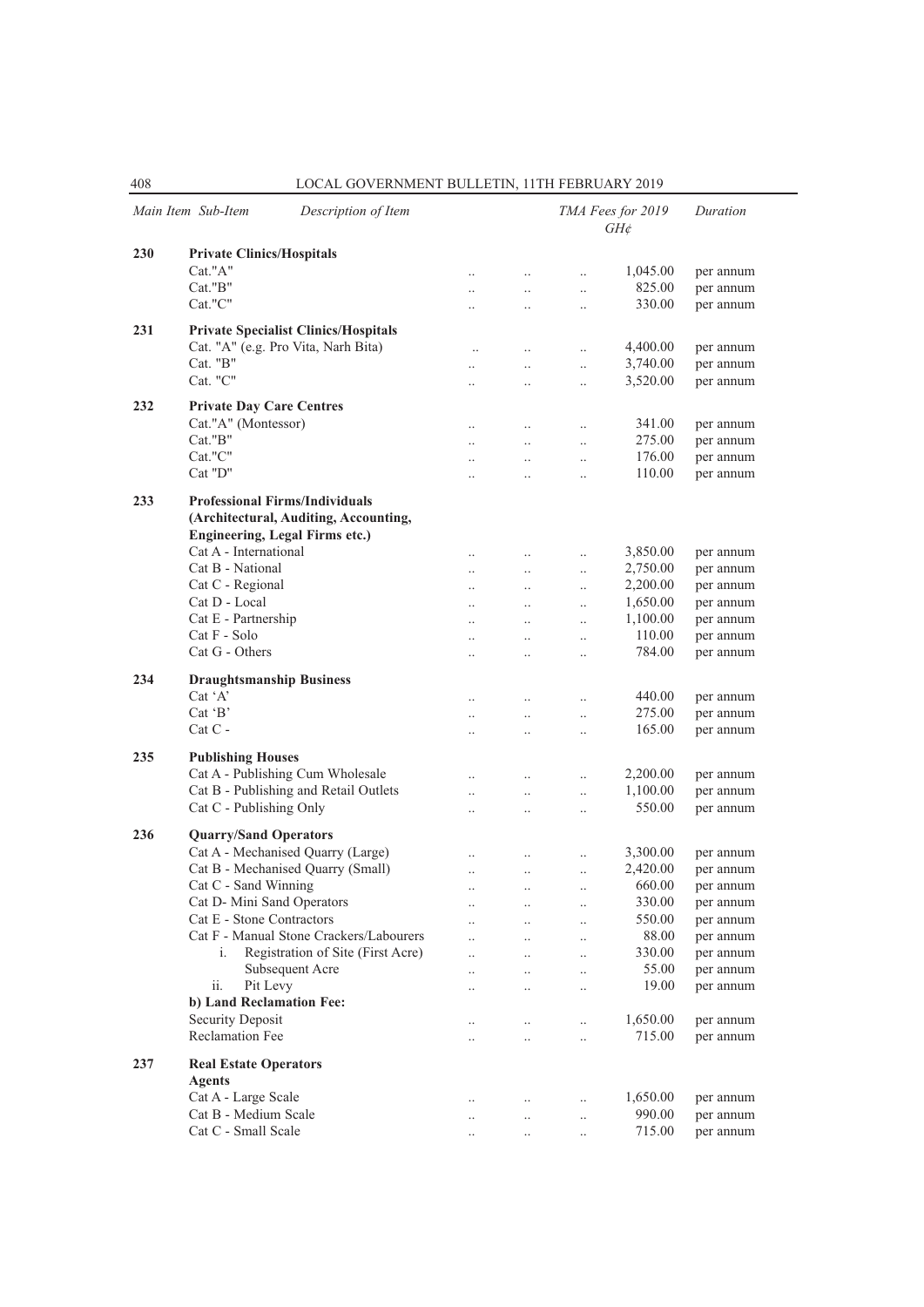|     | Main Item Sub-Item<br>Description of Item                                                                               |                      |                      |                      | TMA Fees for 2019<br>$GH\phi$ | Duration  |
|-----|-------------------------------------------------------------------------------------------------------------------------|----------------------|----------------------|----------------------|-------------------------------|-----------|
| 230 | <b>Private Clinics/Hospitals</b>                                                                                        |                      |                      |                      |                               |           |
|     | Cat."A"                                                                                                                 | $\ddotsc$            | $\ddotsc$            | $\ldots$             | 1,045.00                      | per annum |
|     | Cat."B"                                                                                                                 | $\ddotsc$            | $\ddotsc$            | $\ddotsc$            | 825.00                        | per annum |
|     | Cat."C"                                                                                                                 | $\ddotsc$            | $\ddotsc$            | $\ddotsc$            | 330.00                        | per annum |
|     |                                                                                                                         |                      |                      |                      |                               |           |
| 231 | <b>Private Specialist Clinics/Hospitals</b>                                                                             |                      |                      |                      |                               |           |
|     | Cat. "A" (e.g. Pro Vita, Narh Bita)                                                                                     | $\ldots$             | $\ldots$             | $\ldots$             | 4,400.00                      | per annum |
|     | Cat. "B"                                                                                                                | $\ddotsc$            | $\ddotsc$            | $\ldots$             | 3,740.00                      | per annum |
|     | Cat. "C"                                                                                                                | $\ddot{\phantom{a}}$ | $\ddotsc$            | $\ddotsc$            | 3,520.00                      | per annum |
| 232 | <b>Private Day Care Centres</b>                                                                                         |                      |                      |                      |                               |           |
|     | Cat."A" (Montessor)                                                                                                     | $\ddotsc$            | $\ddotsc$            | $\ddotsc$            | 341.00                        | per annum |
|     | Cat."B"                                                                                                                 | $\ddotsc$            | $\ddotsc$            | $\ddotsc$            | 275.00                        | per annum |
|     | Cat."C"                                                                                                                 | $\ddotsc$            | $\ddotsc$            | $\ddotsc$            | 176.00                        | per annum |
|     | Cat "D"                                                                                                                 | $\ddot{\phantom{a}}$ | $\ddotsc$            | $\ddot{\phantom{0}}$ | 110.00                        | per annum |
|     |                                                                                                                         |                      |                      |                      |                               |           |
| 233 | <b>Professional Firms/Individuals</b><br>(Architectural, Auditing, Accounting,<br><b>Engineering, Legal Firms etc.)</b> |                      |                      |                      |                               |           |
|     | Cat A - International                                                                                                   | $\ddotsc$            | $\ddotsc$            | $\ldots$             | 3,850.00                      | per annum |
|     | Cat B - National                                                                                                        | $\ddotsc$            | $\ddotsc$            | $\ldots$             | 2,750.00                      | per annum |
|     | Cat C - Regional                                                                                                        | $\ddotsc$            | $\ddotsc$            | $\ldots$             | 2,200.00                      | per annum |
|     | Cat D - Local                                                                                                           | $\ddotsc$            | $\ddotsc$            | $\ddotsc$            | 1,650.00                      | per annum |
|     | Cat E - Partnership                                                                                                     | $\ddotsc$            | $\ddotsc$            | $\ddotsc$            | 1,100.00                      | per annum |
|     | Cat F - Solo                                                                                                            | $\ddotsc$            | $\ddotsc$            | $\ddotsc$            | 110.00                        | per annum |
|     | Cat G - Others                                                                                                          | $\ddotsc$            | $\ldots$             | $\ddotsc$            | 784.00                        | per annum |
| 234 | <b>Draughtsmanship Business</b>                                                                                         |                      |                      |                      |                               |           |
|     | $Cat^{\dagger}A'$                                                                                                       | $\ddotsc$            | $\ddotsc$            | $\ddotsc$            | 440.00                        | per annum |
|     | $Cat$ $B'$                                                                                                              | $\ddotsc$            | $\ddotsc$            | $\ddotsc$            | 275.00                        | per annum |
|     | $Cat C -$                                                                                                               | $\ddotsc$            | $\ddotsc$            | $\ddotsc$            | 165.00                        | per annum |
|     |                                                                                                                         |                      |                      |                      |                               |           |
| 235 | <b>Publishing Houses</b>                                                                                                |                      |                      |                      |                               |           |
|     | Cat A - Publishing Cum Wholesale                                                                                        | $\ddotsc$            | $\ddotsc$            | $\ddotsc$            | 2,200.00                      | per annum |
|     | Cat B - Publishing and Retail Outlets                                                                                   | $\ddotsc$            | $\ddotsc$            | $\ddotsc$            | 1,100.00                      | per annum |
|     | Cat C - Publishing Only                                                                                                 | $\ddotsc$            | $\ddotsc$            | $\ddotsc$            | 550.00                        | per annum |
| 236 | <b>Quarry/Sand Operators</b>                                                                                            |                      |                      |                      |                               |           |
|     | Cat A - Mechanised Quarry (Large)                                                                                       |                      |                      |                      | 3,300.00                      | per annum |
|     | Cat B - Mechanised Quarry (Small)                                                                                       | $\ddotsc$            | $\ddotsc$            | $\ddotsc$            | 2,420.00                      | per annum |
|     | Cat C - Sand Winning                                                                                                    | $\ddotsc$            | $\ldots$             | $\ddotsc$            | 660.00                        | per annum |
|     | Cat D- Mini Sand Operators                                                                                              | $\ddotsc$            | $\cdot\cdot$         | $\ddotsc$            | 330.00                        | per annum |
|     | Cat E - Stone Contractors                                                                                               |                      |                      |                      | 550.00                        | per annum |
|     | Cat F - Manual Stone Crackers/Labourers                                                                                 | $\ddot{\phantom{0}}$ | $\ddot{\phantom{0}}$ | $\ddotsc$            | 88.00                         | per annum |
|     | Registration of Site (First Acre)<br>i.                                                                                 | $\ddot{\phantom{0}}$ | $\ddotsc$            | $\ddotsc$            | 330.00                        | per annum |
|     | Subsequent Acre                                                                                                         | $\ddotsc$            | $\ddotsc$            | $\ddotsc$            | 55.00                         | per annum |
|     | ii.<br>Pit Levy                                                                                                         |                      | $\ddotsc$            | $\ddotsc$            | 19.00                         | per annum |
|     | b) Land Reclamation Fee:                                                                                                |                      |                      | $\ddotsc$            |                               |           |
|     | Security Deposit                                                                                                        |                      |                      |                      | 1,650.00                      | per annum |
|     | Reclamation Fee                                                                                                         | $\ldots$             | $\ldots$             | $\ddotsc$            | 715.00                        | per annum |
|     |                                                                                                                         | $\ddotsc$            | $\ddotsc$            | $\ddotsc$            |                               |           |
| 237 | <b>Real Estate Operators</b><br><b>Agents</b>                                                                           |                      |                      |                      |                               |           |
|     | Cat A - Large Scale                                                                                                     | $\ddotsc$            | $\ddotsc$            | $\ddotsc$            | 1,650.00                      | per annum |
|     | Cat B - Medium Scale                                                                                                    | $\ddot{\phantom{0}}$ | $\ddotsc$            | $\ddotsc$            | 990.00                        | per annum |
|     | Cat C - Small Scale                                                                                                     | $\ddot{\phantom{a}}$ | $\ddotsc$            | $\ldots$             | 715.00                        | per annum |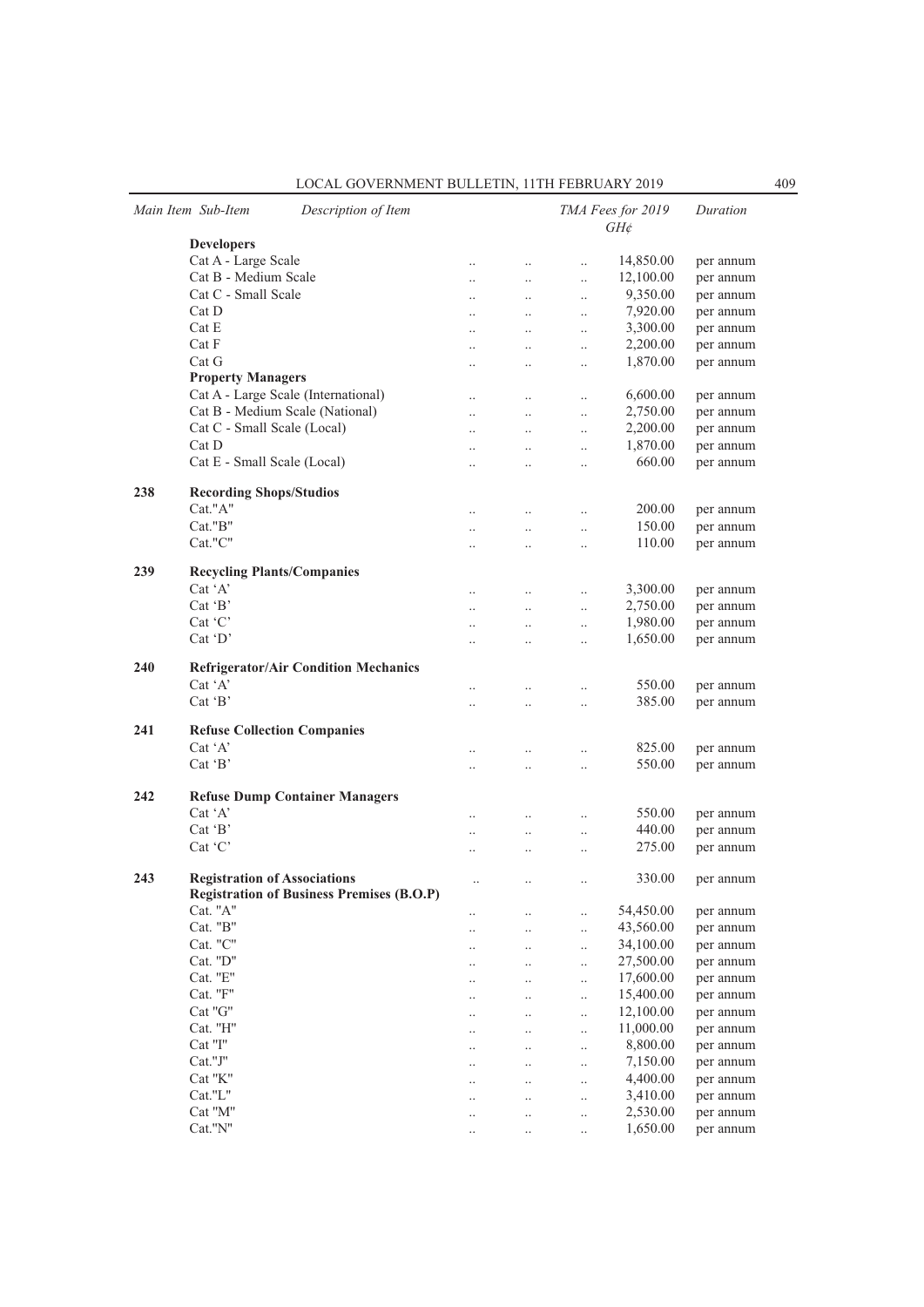| LOCAL GOVERNMENT BULLETIN. 11TH FEBRUARY 2019 |  |
|-----------------------------------------------|--|
|-----------------------------------------------|--|

|     | Main Item Sub-Item<br>Description of Item        |                      |           |           | TMA Fees for 2019<br>$GH\phi$ | Duration  |
|-----|--------------------------------------------------|----------------------|-----------|-----------|-------------------------------|-----------|
|     | <b>Developers</b>                                |                      |           |           |                               |           |
|     | Cat A - Large Scale                              | $\ldots$             | $\ldots$  | $\ldots$  | 14,850.00                     | per annum |
|     | Cat B - Medium Scale                             | $\ddotsc$            | $\ddotsc$ | $\ddotsc$ | 12,100.00                     | per annum |
|     | Cat C - Small Scale                              | $\ddotsc$            | $\ddots$  | $\ddotsc$ | 9,350.00                      | per annum |
|     | Cat D                                            | $\ddotsc$            | $\ddotsc$ | $\ddotsc$ | 7,920.00                      | per annum |
|     | Cat E                                            | $\cdot$ .            | $\ddotsc$ | $\ldots$  | 3,300.00                      | per annum |
|     | Cat F                                            | $\cdot$ .            | $\ldots$  | $\ldots$  | 2,200.00                      | per annum |
|     | Cat G                                            | $\ddotsc$            | $\ddotsc$ | $\ddotsc$ | 1,870.00                      | per annum |
|     | <b>Property Managers</b>                         |                      |           |           |                               |           |
|     | Cat A - Large Scale (International)              | $\ddotsc$            |           | $\ldots$  | 6,600.00                      | per annum |
|     | Cat B - Medium Scale (National)                  | $\ddotsc$            | $\ddotsc$ | $\ldots$  | 2,750.00                      | per annum |
|     | Cat C - Small Scale (Local)                      | $\ddotsc$            | $\ldots$  | $\ldots$  | 2,200.00                      | per annum |
|     | Cat D                                            | $\ddotsc$            | $\ddotsc$ | $\ddotsc$ | 1,870.00                      | per annum |
|     | Cat E - Small Scale (Local)                      | $\ddot{\phantom{0}}$ | $\ddotsc$ | $\ddotsc$ | 660.00                        | per annum |
| 238 | <b>Recording Shops/Studios</b>                   |                      |           |           |                               |           |
|     | Cat."A"                                          |                      |           |           | 200.00                        | per annum |
|     | Cat."B"                                          | $\ddotsc$            | $\ddotsc$ | $\ddotsc$ | 150.00                        | per annum |
|     | Cat."C"                                          | $\cdot$ .            | $\ddotsc$ | $\ldots$  | 110.00                        | per annum |
|     |                                                  | $\ddotsc$            | $\ddotsc$ | $\ddotsc$ |                               |           |
| 239 | <b>Recycling Plants/Companies</b>                |                      |           |           |                               |           |
|     | Cat 'A'                                          | $\ldots$             | $\ldots$  | $\ldots$  | 3,300.00                      | per annum |
|     | $Cat$ $B'$                                       | $\ddotsc$            | $\ldots$  | $\ldots$  | 2,750.00                      | per annum |
|     | Cat 'C'                                          | $\ddotsc$            | $\ddotsc$ | $\ldots$  | 1,980.00                      | per annum |
|     | $Cat$ $D'$                                       | $\ddot{\phantom{0}}$ | $\ddotsc$ | $\ddotsc$ | 1,650.00                      | per annum |
|     |                                                  |                      |           |           |                               |           |
| 240 | <b>Refrigerator/Air Condition Mechanics</b>      |                      |           |           |                               |           |
|     | Cat $'A'$                                        | $\ddotsc$            | $\ddotsc$ | $\ddotsc$ | 550.00                        | per annum |
|     | Cat $B$                                          | $\ddotsc$            | $\ddotsc$ | $\ddotsc$ | 385.00                        | per annum |
|     |                                                  |                      |           |           |                               |           |
| 241 | <b>Refuse Collection Companies</b>               |                      |           |           |                               |           |
|     | $Cat^{\dagger}A^{\dagger}$                       | $\ddotsc$            |           | $\ddotsc$ | 825.00                        | per annum |
|     | Cat $B$                                          | $\cdot$ .            | $\ldots$  | $\ldots$  | 550.00                        | per annum |
|     |                                                  |                      |           |           |                               |           |
| 242 | <b>Refuse Dump Container Managers</b>            |                      |           |           |                               |           |
|     | Cat 'A'                                          | $\ddotsc$            | $\ddotsc$ | $\ddotsc$ | 550.00                        | per annum |
|     | Cat $B$                                          | $\ddotsc$            | $\ddotsc$ | $\ddots$  | 440.00                        | per annum |
|     | Cat 'C'                                          | $\ddotsc$            | $\ddotsc$ | $\ddotsc$ | 275.00                        | per annum |
| 243 | <b>Registration of Associations</b>              | $\ddotsc$            | $\ldots$  | $\ddotsc$ | 330.00                        | per annum |
|     | <b>Registration of Business Premises (B.O.P)</b> |                      |           |           |                               |           |
|     | Cat. "A"                                         | $\cdot$ .            |           | $\ldots$  | 54,450.00                     | per annum |
|     | Cat. "B"                                         | $\cdot$ .            | $\cdot$ . | $\ldots$  | 43,560.00                     | per annum |
|     | Cat. "C"                                         | $\cdot$ .            | $\cdot$ . | $\ldots$  | 34,100.00                     | per annum |
|     | Cat. "D"                                         |                      | $\cdot$   | $\ldots$  | 27,500.00                     | per annum |
|     | Cat. "E"                                         | $\cdot$ .            | $\cdot$   | $\ldots$  | 17,600.00                     | per annum |
|     | Cat. "F"                                         | $\cdot$ .            | $\cdot$   | $\ldots$  | 15,400.00                     | per annum |
|     | Cat "G"                                          | $\cdot$ .            | $\ddotsc$ | $\ldots$  | 12,100.00                     | per annum |
|     | Cat. "H"                                         |                      |           | $\ldots$  | 11,000.00                     | per annum |
|     | Cat "I"                                          |                      |           | $\ldots$  | 8,800.00                      | per annum |
|     | Cat."J"                                          | $\cdot$ .            |           | $\ldots$  | 7,150.00                      | per annum |
|     | Cat "K"                                          |                      |           | $\ldots$  | 4,400.00                      | per annum |
|     | Cat."L"                                          | $\cdot$ .            | $\ddotsc$ | $\ldots$  | 3,410.00                      | per annum |
|     | Cat "M"                                          | $\cdot$ .            | $\cdot$ . | $\ldots$  | 2,530.00                      | per annum |
|     | Cat."N"                                          |                      | $\cdot$   | $\ldots$  | 1,650.00                      | per annum |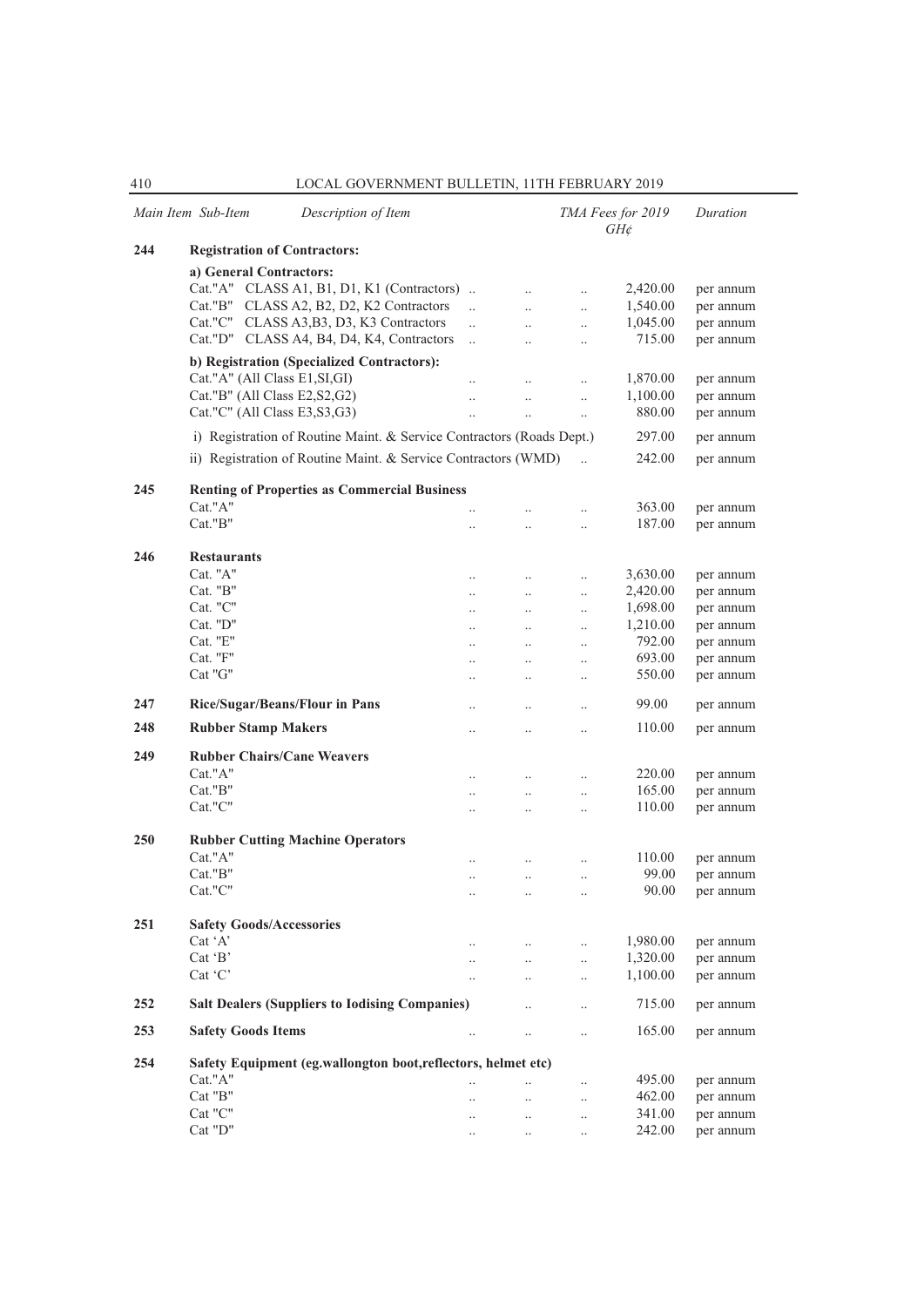|     | Main Item Sub-Item<br>Description of Item                             |                       |               |                      | TMA Fees for 2019<br>$GH\phi$ | Duration  |
|-----|-----------------------------------------------------------------------|-----------------------|---------------|----------------------|-------------------------------|-----------|
| 244 | <b>Registration of Contractors:</b>                                   |                       |               |                      |                               |           |
|     | a) General Contractors:                                               |                       |               |                      |                               |           |
|     | Cat."A" CLASS A1, B1, D1, K1 (Contractors)                            |                       | $\ddotsc$     | $\ldots$             | 2,420.00                      | per annum |
|     | CLASS A2, B2, D2, K2 Contractors<br>Cat."B"                           | $\dddot{\phantom{0}}$ | $\ddotsc$     | $\ddotsc$            | 1,540.00                      | per annum |
|     | Cat."C" CLASS A3, B3, D3, K3 Contractors                              | $\ddotsc$             | $\ddotsc$     | $\ddotsc$            | 1,045.00                      | per annum |
|     | Cat."D" CLASS A4, B4, D4, K4, Contractors                             | $\ddotsc$             | $\ddotsc$     | $\ddotsc$            | 715.00                        | per annum |
|     | b) Registration (Specialized Contractors):                            |                       |               |                      |                               |           |
|     | Cat."A" (All Class E1, SI, GI)                                        | $\ddotsc$             | $\cdot \cdot$ | $\ldots$             | 1,870.00                      | per annum |
|     | Cat."B" (All Class E2, S2, G2)                                        | $\ddots$              | $\ldots$      | $\ldots$             | 1,100.00                      | per annum |
|     | Cat."C" (All Class E3, S3, G3)                                        | $\ddots$              | $\ddotsc$     | $\ldots$             | 880.00                        | per annum |
|     | i) Registration of Routine Maint. & Service Contractors (Roads Dept.) |                       |               |                      | 297.00                        | per annum |
|     | ii) Registration of Routine Maint. & Service Contractors (WMD)        |                       |               |                      | 242.00                        | per annum |
| 245 | <b>Renting of Properties as Commercial Business</b>                   |                       |               |                      |                               |           |
|     | Cat."A"                                                               |                       | $\ddotsc$     | $\ldots$             | 363.00                        | per annum |
|     | Cat."B"                                                               | $\ddotsc$             | $\ddotsc$     | $\ddotsc$            | 187.00                        | per annum |
|     |                                                                       |                       |               |                      |                               |           |
| 246 | <b>Restaurants</b>                                                    |                       |               |                      |                               |           |
|     | Cat. "A"                                                              | $\ldots$              | $\ldots$      | $\ldots$             | 3,630.00                      | per annum |
|     | Cat. "B"                                                              | $\ldots$              | $\ldots$      | $\ddotsc$            | 2,420.00                      | per annum |
|     | Cat. "C"                                                              | $\ddotsc$             | $\ddotsc$     | $\ddotsc$            | 1,698.00                      | per annum |
|     | Cat. "D"                                                              | $\ddotsc$             | $\ddots$      | $\ddotsc$            | 1,210.00                      | per annum |
|     | Cat. "E"                                                              | $\ddots$              | $\ddotsc$     | $\ddotsc$            | 792.00                        | per annum |
|     | Cat. "F"                                                              | $\ldots$              | $\ldots$      | $\ddotsc$            | 693.00                        | per annum |
|     | Cat "G"                                                               | $\ldots$              | $\ldots$      | $\ldots$             | 550.00                        | per annum |
| 247 | Rice/Sugar/Beans/Flour in Pans                                        | $\ldots$              | $\ldots$      | $\ldots$             | 99.00                         | per annum |
| 248 | <b>Rubber Stamp Makers</b>                                            | $\cdot \cdot$         | $\ldots$      | $\ddotsc$            | 110.00                        | per annum |
| 249 | <b>Rubber Chairs/Cane Weavers</b>                                     |                       |               |                      |                               |           |
|     | Cat."A"                                                               | $\ddots$              | $\ddotsc$     | $\ldots$             | 220.00                        | per annum |
|     | Cat."B"                                                               | $\ddots$              | $\ddotsc$     | $\ddotsc$            | 165.00                        | per annum |
|     | Cat."C"                                                               | $\cdot \cdot$         | $\ldots$      | $\ddotsc$            | 110.00                        | per annum |
|     |                                                                       |                       |               |                      |                               |           |
| 250 | <b>Rubber Cutting Machine Operators</b>                               |                       |               |                      |                               |           |
|     | Cat."A"                                                               | $\ddotsc$             |               | $\ddotsc$            | 110.00                        | per annum |
|     | Cat."B"                                                               | $\ddotsc$             | $\ddots$      | $\ddotsc$            | 99.00                         | per annum |
|     | Cat."C"                                                               |                       |               |                      | 90.00                         | per annum |
| 251 | <b>Safety Goods/Accessories</b>                                       |                       |               |                      |                               |           |
|     | Cat 'A'                                                               | $\ddots$              | $\ldots$      | $\ddots$             | 1,980.00                      | per annum |
|     | Cat 'B'                                                               | $\ddots$              | $\cdots$      | $\ldots$             | 1,320.00                      | per annum |
|     | Cat 'C'                                                               | $\ldots$              | $\ldots$      | $\ldots$             | 1,100.00                      | per annum |
| 252 | <b>Salt Dealers (Suppliers to Iodising Companies)</b>                 |                       | $\ddotsc$     | $\ddot{\phantom{0}}$ | 715.00                        | per annum |
| 253 | <b>Safety Goods Items</b>                                             |                       |               |                      | 165.00                        | per annum |
|     |                                                                       | $\ldots$              | $\ldots$      | $\ldots$             |                               |           |
| 254 | Safety Equipment (eg.wallongton boot,reflectors, helmet etc)          |                       |               |                      |                               |           |
|     | Cat."A"                                                               | $\ddotsc$             | $\ddotsc$     | $\ldots$             | 495.00                        | per annum |
|     | Cat "B"                                                               | $\cdot$ .             | $\ldots$      | $\ldots$             | 462.00                        | per annum |
|     | Cat "C"                                                               | $\ldots$              | $\ldots$      | $\ldots$             | 341.00                        | per annum |
|     | Cat "D"                                                               | $\ldots$              | $\ldots$      | $\ldots$             | 242.00                        | per annum |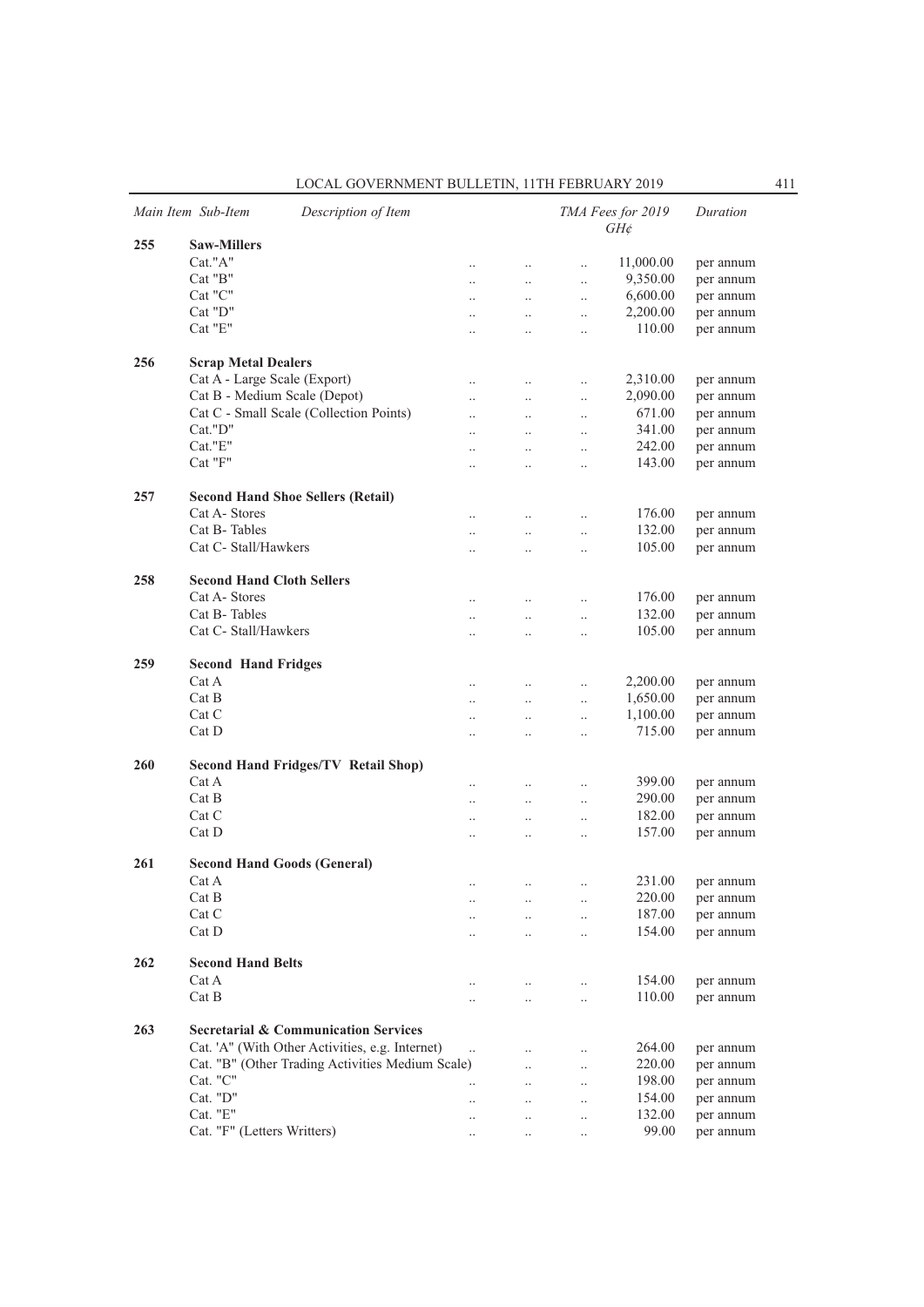| LOCAL GOVERNMENT BULLETIN. 11TH FEBRUARY 2019 |  |
|-----------------------------------------------|--|
|-----------------------------------------------|--|

|     | Main Item Sub-Item<br>Description of Item        |                      |                      |                      | TMA Fees for 2019<br>$GH\phi$ | Duration  |
|-----|--------------------------------------------------|----------------------|----------------------|----------------------|-------------------------------|-----------|
| 255 | <b>Saw-Millers</b>                               |                      |                      |                      |                               |           |
|     | Cat."A"                                          | $\ldots$             | $\ldots$             | $\ldots$             | 11,000.00                     | per annum |
|     | $Cat$ " $B$ "                                    | $\ldots$             | $\ldots$             | $\ldots$             | 9,350.00                      | per annum |
|     | Cat "C"                                          |                      | $\ddotsc$            | $\ddotsc$            | 6,600.00                      | per annum |
|     | Cat "D"                                          | $\ddotsc$            | $\ddotsc$            | $\ddotsc$            | 2,200.00                      | per annum |
|     | Cat "E"                                          | $\ddotsc$            | $\ddotsc$            | $\ddotsc$            | 110.00                        | per annum |
|     |                                                  |                      |                      |                      |                               |           |
| 256 | <b>Scrap Metal Dealers</b>                       |                      |                      |                      |                               |           |
|     | Cat A - Large Scale (Export)                     | $\ddotsc$            | $\ddotsc$            | $\ldots$             | 2,310.00                      | per annum |
|     | Cat B - Medium Scale (Depot)                     | $\ddotsc$            | $\ddotsc$            | $\ddot{\phantom{a}}$ | 2,090.00                      | per annum |
|     | Cat C - Small Scale (Collection Points)          | $\ddotsc$            | $\ddotsc$            | $\ldots$             | 671.00                        | per annum |
|     | Cat."D"                                          | $\ddotsc$            | $\ddotsc$            | $\ldots$             | 341.00                        | per annum |
|     | Cat."E"                                          | $\cdot$ .            | $\ldots$             | $\ldots$             | 242.00                        | per annum |
|     | Cat "F"                                          | $\ddot{\phantom{a}}$ | $\ddot{\phantom{0}}$ | $\ddotsc$            | 143.00                        | per annum |
| 257 | <b>Second Hand Shoe Sellers (Retail)</b>         |                      |                      |                      |                               |           |
|     | Cat A-Stores                                     | $\ldots$             | $\ldots$             | $\ldots$             | 176.00                        | per annum |
|     | Cat B-Tables                                     | $\ldots$             | $\ldots$             | $\ldots$             | 132.00                        | per annum |
|     | Cat C- Stall/Hawkers                             | $\ddot{\phantom{a}}$ | $\ddot{\phantom{0}}$ | $\ddotsc$            | 105.00                        | per annum |
|     |                                                  |                      |                      |                      |                               |           |
| 258 | <b>Second Hand Cloth Sellers</b>                 |                      |                      |                      |                               |           |
|     | Cat A-Stores                                     | $\ldots$             | $\ldots$             | $\ldots$             | 176.00                        | per annum |
|     | Cat B-Tables                                     | $\ldots$             | $\ldots$             | $\ldots$             | 132.00                        | per annum |
|     | Cat C- Stall/Hawkers                             |                      | $\ddot{\phantom{0}}$ | $\ddotsc$            | 105.00                        | per annum |
| 259 | <b>Second Hand Fridges</b>                       |                      |                      |                      |                               |           |
|     | Cat A                                            | $\ldots$             | $\ldots$             | $\ldots$             | 2,200.00                      | per annum |
|     | Cat B                                            | $\ldots$             | $\ldots$             | $\ldots$             | 1,650.00                      | per annum |
|     | Cat C                                            | $\ddotsc$            | $\ddotsc$            | $\ldots$             | 1,100.00                      | per annum |
|     | Cat D                                            | $\ddotsc$            | $\ddotsc$            | $\ddotsc$            | 715.00                        | per annum |
|     |                                                  |                      |                      |                      |                               |           |
| 260 | <b>Second Hand Fridges/TV Retail Shop)</b>       |                      |                      |                      |                               |           |
|     | Cat A                                            | $\ldots$             | $\ldots$             | $\ldots$             | 399.00                        | per annum |
|     | Cat B                                            |                      | $\ddotsc$            | $\ddotsc$            | 290.00                        | per annum |
|     | Cat C                                            | $\ddotsc$            | $\ddotsc$            | $\ddotsc$            | 182.00                        | per annum |
|     | Cat D                                            | $\ddotsc$            | $\ddotsc$            | $\ddotsc$            | 157.00                        | per annum |
| 261 | <b>Second Hand Goods (General)</b>               |                      |                      |                      |                               |           |
|     | Cat A                                            | $\ldots$             | $\ldots$             | $\ldots$             | 231.00                        | per annum |
|     | Cat B                                            | $\cdot$ .            | $\cdot$ .            | $\ldots$             | 220.00                        | per annum |
|     | Cat C                                            |                      | $\ddotsc$            | $\ddotsc$            | 187.00                        | per annum |
|     | Cat D                                            | $\ddotsc$            | $\ddotsc$            | $\ldots$             | 154.00                        | per annum |
| 262 | <b>Second Hand Belts</b>                         |                      |                      |                      |                               |           |
|     | Cat A                                            |                      |                      |                      | 154.00                        | per annum |
|     | Cat B                                            | $\cdot$ .            | $\ldots$             | $\ddotsc$            | 110.00                        |           |
|     |                                                  | $\ddotsc$            | $\ddotsc$            | $\ddotsc$            |                               | per annum |
| 263 | <b>Secretarial &amp; Communication Services</b>  |                      |                      |                      |                               |           |
|     | Cat. 'A" (With Other Activities, e.g. Internet)  | $\ddotsc$            | $\ddot{\phantom{0}}$ | $\ldots$             | 264.00                        | per annum |
|     | Cat. "B" (Other Trading Activities Medium Scale) |                      | $\ddotsc$            | $\ddotsc$            | 220.00                        | per annum |
|     | Cat. "C"                                         | $\ddotsc$            | $\ddotsc$            | $\ddots$             | 198.00                        | per annum |
|     | Cat. "D"                                         | $\ddotsc$            | $\cdot$ .            | $\ldots$             | 154.00                        | per annum |
|     | Cat. "E"                                         | $\cdot$ .            | $\cdot$ .            | $\ldots$             | 132.00                        | per annum |
|     | Cat. "F" (Letters Writters)                      | $\ldots$             | $\ldots$             | $\ldots$             | 99.00                         | per annum |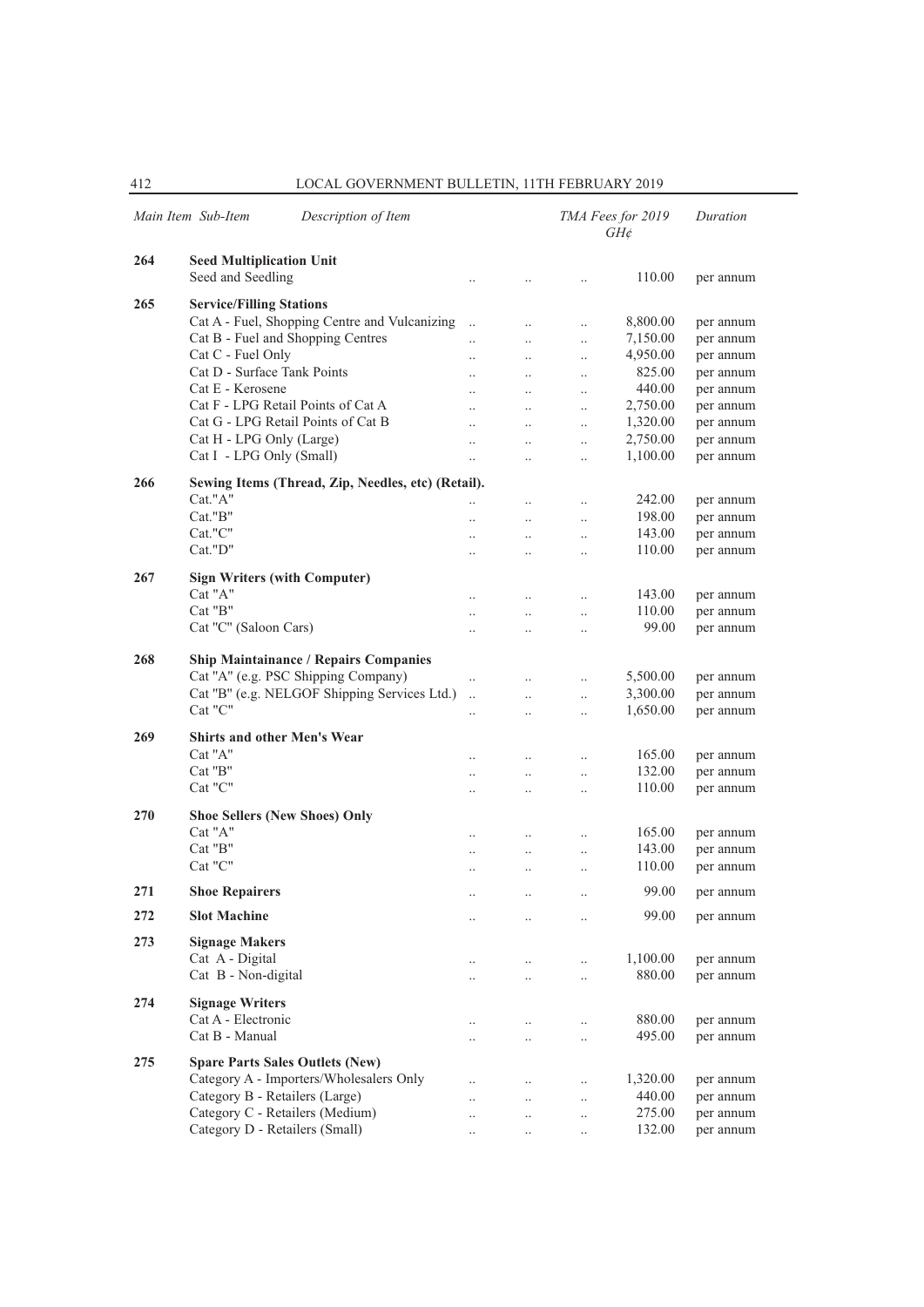|     | Main Item Sub-Item<br>Description of Item          |                      |                      |                      | TMA Fees for 2019<br>$GH\phi$ | Duration  |
|-----|----------------------------------------------------|----------------------|----------------------|----------------------|-------------------------------|-----------|
| 264 | <b>Seed Multiplication Unit</b>                    |                      |                      |                      |                               |           |
|     | Seed and Seedling                                  | $\ddot{\phantom{a}}$ | $\cdot$              |                      | 110.00                        | per annum |
| 265 | <b>Service/Filling Stations</b>                    |                      |                      |                      |                               |           |
|     | Cat A - Fuel, Shopping Centre and Vulcanizing      | $\ddot{\phantom{0}}$ | $\ddotsc$            | $\ddotsc$            | 8,800.00                      | per annum |
|     | Cat B - Fuel and Shopping Centres                  | $\ddot{\phantom{a}}$ | $\ddotsc$            | $\ddotsc$            | 7,150.00                      | per annum |
|     | Cat C - Fuel Only                                  | $\cdot$              | $\ldots$             | $\ldots$             | 4,950.00                      | per annum |
|     | Cat D - Surface Tank Points                        | $\cdot$ .            | $\cdot$              | $\cdot$ .            | 825.00                        | per annum |
|     | Cat E - Kerosene                                   |                      | $\ddot{\phantom{0}}$ | $\ddot{\phantom{a}}$ | 440.00                        | per annum |
|     | Cat F - LPG Retail Points of Cat A                 | $\ddot{\phantom{a}}$ | $\ddotsc$            | $\ddotsc$            | 2,750.00                      | per annum |
|     | Cat G - LPG Retail Points of Cat B                 | $\ddot{\phantom{a}}$ | $\ddotsc$            | $\ddotsc$            | 1,320.00                      | per annum |
|     | Cat H - LPG Only (Large)                           | $\ddotsc$            | $\ddotsc$            | $\ddotsc$            | 2,750.00                      | per annum |
|     | Cat I - LPG Only (Small)                           | $\ddotsc$            | $\cdot$              | $\ddot{\phantom{a}}$ | 1,100.00                      | per annum |
| 266 | Sewing Items (Thread, Zip, Needles, etc) (Retail). |                      |                      |                      |                               |           |
|     | Cat."A"                                            | $\ddot{\phantom{a}}$ | $\ddotsc$            | $\ddotsc$            | 242.00                        | per annum |
|     | $Cat.$ " $B$ "                                     |                      | $\ddot{\phantom{a}}$ | $\ddot{\phantom{a}}$ | 198.00                        | per annum |
|     | Cat."C"                                            | $\ddotsc$            | $\ddotsc$            | $\ddotsc$            | 143.00                        | per annum |
|     | Cat."D"                                            | $\ddotsc$            | $\ddotsc$            | $\ddotsc$            | 110.00                        | per annum |
|     |                                                    |                      |                      |                      |                               |           |
| 267 | <b>Sign Writers (with Computer)</b>                |                      |                      |                      |                               |           |
|     | Cat "A"                                            | $\ddotsc$            | $\ddotsc$            | $\ddotsc$            | 143.00                        | per annum |
|     | Cat "B"                                            | $\ddot{\phantom{a}}$ | $\ddotsc$            | $\ddotsc$            | 110.00                        | per annum |
|     | Cat "C" (Saloon Cars)                              | $\cdot$              | $\ddot{\phantom{a}}$ | $\ldots$             | 99.00                         | per annum |
| 268 | <b>Ship Maintainance / Repairs Companies</b>       |                      |                      |                      |                               |           |
|     | Cat "A" (e.g. PSC Shipping Company)                | $\ddotsc$            | $\ddotsc$            | $\ddotsc$            | 5,500.00                      | per annum |
|     | Cat "B" (e.g. NELGOF Shipping Services Ltd.)       | $\ddotsc$            | $\ddot{\phantom{a}}$ | $\ddotsc$            | 3,300.00                      | per annum |
|     | $Cat$ " $C$ "                                      | $\ddot{\phantom{a}}$ | $\ddotsc$            | $\ddot{\phantom{a}}$ | 1,650.00                      | per annum |
|     |                                                    |                      |                      |                      |                               |           |
| 269 | <b>Shirts and other Men's Wear</b>                 |                      |                      |                      |                               |           |
|     | Cat "A"                                            | $\ddotsc$            | $\ddotsc$            | $\ddotsc$            | 165.00                        | per annum |
|     | Cat "B"<br>Cat "C"                                 | $\ddot{\phantom{a}}$ | $\ddot{\phantom{a}}$ | $\ddot{\phantom{a}}$ | 132.00                        | per annum |
|     |                                                    | $\ddot{\phantom{a}}$ | $\ddot{\phantom{a}}$ | $\ddot{\phantom{a}}$ | 110.00                        | per annum |
| 270 | <b>Shoe Sellers (New Shoes) Only</b>               |                      |                      |                      |                               |           |
|     | Cat "A"                                            | $\cdot$ .            | $\ddot{\phantom{a}}$ | $\ddot{\phantom{a}}$ | 165.00                        | per annum |
|     | Cat "B"                                            |                      | $\ldots$             | $\ldots$             | 143.00                        | per annum |
|     | Cat "C"                                            | $\cdot$ .            | $\ldots$             | $\cdot$              | 110.00                        | per annum |
| 271 | <b>Shoe Repairers</b>                              | $\ddotsc$            | $\ldots$             | $\ddot{\phantom{a}}$ | 99.00                         | per annum |
|     |                                                    |                      |                      |                      |                               |           |
| 272 | <b>Slot Machine</b>                                |                      | $\cdot$              |                      | 99.00                         | per annum |
| 273 | <b>Signage Makers</b>                              |                      |                      |                      |                               |           |
|     | Cat A - Digital                                    | $\cdot$ .            | $\cdot$              | $\ddotsc$            | 1,100.00                      | per annum |
|     | Cat B - Non-digital                                |                      | $\ddot{\phantom{a}}$ | $\ddotsc$            | 880.00                        | per annum |
| 274 | <b>Signage Writers</b>                             |                      |                      |                      |                               |           |
|     | Cat A - Electronic                                 |                      |                      |                      | 880.00                        | per annum |
|     | Cat B - Manual                                     | $\cdot$ .            | $\ddot{\phantom{0}}$ | $\ddot{\phantom{0}}$ | 495.00                        | per annum |
|     |                                                    | $\cdot$ .            | $\ddot{\phantom{0}}$ | $\ddot{\phantom{0}}$ |                               |           |
| 275 | <b>Spare Parts Sales Outlets (New)</b>             |                      |                      |                      |                               |           |
|     | Category A - Importers/Wholesalers Only            |                      | $\ddot{\phantom{a}}$ | $\cdot$ .            | 1,320.00                      | per annum |
|     | Category B - Retailers (Large)                     |                      | $\ddot{\phantom{a}}$ | $\cdot$ .            | 440.00                        | per annum |
|     | Category C - Retailers (Medium)                    |                      | $\ddot{\phantom{a}}$ | $\ddotsc$            | 275.00                        | per annum |
|     | Category D - Retailers (Small)                     |                      | $\cdot$              | $\ddotsc$            | 132.00                        | per annum |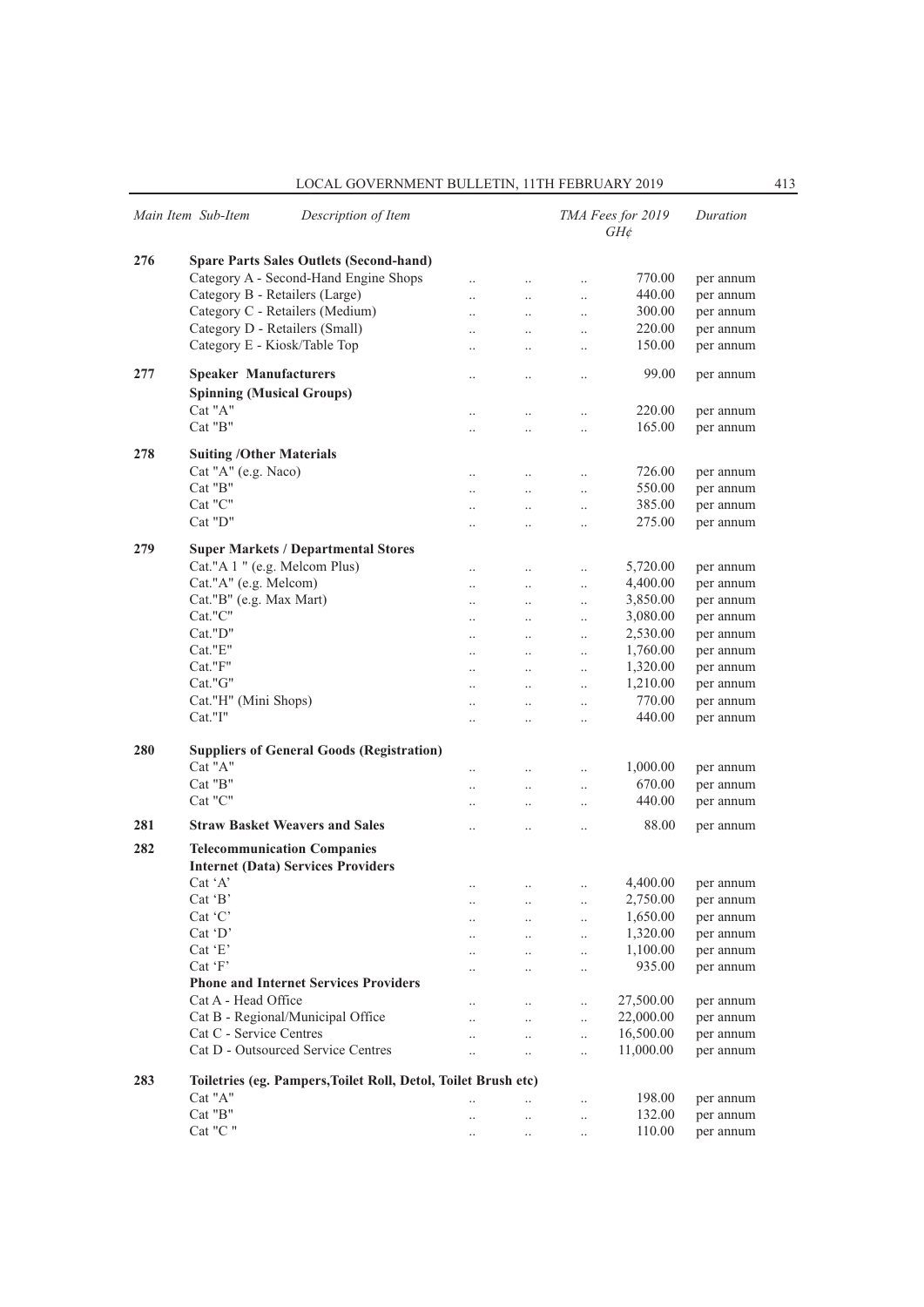| LOCAL GOVERNMENT BULLETIN, 11TH FEBRUARY 2019 |  |  |
|-----------------------------------------------|--|--|
|-----------------------------------------------|--|--|

|     | Main Item Sub-Item<br>Description of Item                      |                      |                      |           | TMA Fees for 2019<br>$GH\phi$ | Duration  |
|-----|----------------------------------------------------------------|----------------------|----------------------|-----------|-------------------------------|-----------|
| 276 | <b>Spare Parts Sales Outlets (Second-hand)</b>                 |                      |                      |           |                               |           |
|     | Category A - Second-Hand Engine Shops                          | $\ddot{\phantom{0}}$ | $\cdot$ .            | $\ldots$  | 770.00                        | per annum |
|     | Category B - Retailers (Large)                                 | $\ddot{\phantom{0}}$ | $\ddotsc$            | $\ldots$  | 440.00                        | per annum |
|     | Category C - Retailers (Medium)                                | $\ddot{\phantom{a}}$ | $\ddotsc$            | $\ddots$  | 300.00                        | per annum |
|     | Category D - Retailers (Small)                                 | $\ddot{\phantom{0}}$ | $\ddotsc$            |           | 220.00                        | per annum |
|     | Category E - Kiosk/Table Top                                   |                      |                      | $\ldots$  | 150.00                        | per annum |
|     |                                                                |                      | $\cdot$ .            | $\ldots$  |                               |           |
| 277 | <b>Speaker Manufacturers</b>                                   |                      | $\ddotsc$            | $\ldots$  | 99.00                         | per annum |
|     | <b>Spinning (Musical Groups)</b>                               |                      |                      |           |                               |           |
|     | Cat "A"                                                        |                      | $\cdot \cdot$        | $\ldots$  | 220.00                        | per annum |
|     | Cat "B"                                                        |                      | $\ddot{\phantom{0}}$ | $\ldots$  | 165.00                        | per annum |
|     |                                                                |                      |                      |           |                               |           |
| 278 | <b>Suiting /Other Materials</b>                                |                      |                      |           |                               |           |
|     | Cat "A" (e.g. Naco)                                            | $\ddotsc$            | $\cdot$ .            | $\ldots$  | 726.00                        | per annum |
|     | Cat "B"                                                        | $\ddotsc$            | $\ddotsc$            | $\ddotsc$ | 550.00                        | per annum |
|     | Cat "C"                                                        | $\ddot{\phantom{a}}$ | $\ddotsc$            | $\ldots$  | 385.00                        | per annum |
|     | Cat "D"                                                        |                      | $\cdot$ .            | $\ldots$  | 275.00                        | per annum |
|     |                                                                |                      |                      |           |                               |           |
| 279 | <b>Super Markets / Departmental Stores</b>                     |                      |                      |           |                               |           |
|     | Cat."A 1 " (e.g. Melcom Plus)                                  | $\cdot$              | $\ldots$             | $\ldots$  | 5,720.00                      | per annum |
|     | Cat."A" (e.g. Melcom)                                          | $\ddot{\phantom{0}}$ | $\ldots$             | $\ldots$  | 4,400.00                      | per annum |
|     | Cat."B" (e.g. Max Mart)                                        | $\ddot{\phantom{a}}$ | $\ddotsc$            | $\ddotsc$ | 3,850.00                      | per annum |
|     | Cat."C"                                                        | $\ddot{\phantom{0}}$ | $\ddotsc$            | $\ldots$  | 3,080.00                      | per annum |
|     | Cat."D"                                                        | $\ddot{\phantom{a}}$ | $\ddotsc$            | $\ldots$  | 2,530.00                      | per annum |
|     | Cat."E"                                                        | $\cdot$              | $\ldots$             | $\ldots$  | 1,760.00                      | per annum |
|     | Cat."F"                                                        | $\ddotsc$            | $\ddotsc$            | $\ddotsc$ | 1,320.00                      | per annum |
|     | Cat."G"                                                        | $\ddotsc$            | $\ddotsc$            | $\ldots$  | 1,210.00                      | per annum |
|     | Cat."H" (Mini Shops)                                           | $\ddot{\phantom{0}}$ | $\ddotsc$            | $\ldots$  | 770.00                        | per annum |
|     | Cat."I"                                                        | $\ddot{\phantom{a}}$ | $\ddotsc$            | $\ldots$  | 440.00                        | per annum |
|     |                                                                |                      |                      |           |                               |           |
| 280 | <b>Suppliers of General Goods (Registration)</b>               |                      |                      |           |                               |           |
|     | Cat "A"                                                        | $\ddot{\phantom{a}}$ | $\ddotsc$            | $\ldots$  | 1,000.00                      | per annum |
|     | Cat "B"                                                        | $\ddot{\phantom{a}}$ | $\ddotsc$            | $\ddotsc$ | 670.00                        | per annum |
|     | Cat "C"                                                        |                      | $\ddotsc$            | $\ldots$  | 440.00                        | per annum |
| 281 | <b>Straw Basket Weavers and Sales</b>                          |                      |                      |           | 88.00                         | per annum |
|     |                                                                |                      | $\ldots$             | $\ldots$  |                               |           |
| 282 | <b>Telecommunication Companies</b>                             |                      |                      |           |                               |           |
|     | <b>Internet (Data) Services Providers</b>                      |                      |                      |           |                               |           |
|     | $Cat^{\dagger}A'$                                              |                      | $\ldots$             | $\ldots$  | 4,400.00                      | per annum |
|     | Cat 'B'                                                        | $\cdot$ .            | $\cdots$             | $\ldots$  | 2,750.00                      | per annum |
|     | $Cat$ $C$                                                      |                      | $\ddotsc$            | $\ddotsc$ | 1,650.00                      | per annum |
|     | $Cat$ $D'$                                                     | $\ddot{\phantom{a}}$ | $\ddots$             | $\ldots$  | 1,320.00                      | per annum |
|     | Cat 'E'                                                        |                      | $\ddotsc$            | $\ldots$  | 1,100.00                      | per annum |
|     | Cat 'F'                                                        |                      | $\ldots$             | $\ldots$  | 935.00                        | per annum |
|     | <b>Phone and Internet Services Providers</b>                   |                      |                      |           |                               |           |
|     | Cat A - Head Office                                            |                      | $\ddots$             | $\ddotsc$ | 27,500.00                     | per annum |
|     | Cat B - Regional/Municipal Office                              | $\ddotsc$            | $\ddotsc$            | $\ldots$  | 22,000.00                     | per annum |
|     | Cat C - Service Centres                                        |                      | $\ddotsc$            | $\ldots$  | 16,500.00                     | per annum |
|     | Cat D - Outsourced Service Centres                             |                      | $\ldots$             | $\ddotsc$ | 11,000.00                     | per annum |
|     |                                                                |                      |                      |           |                               |           |
| 283 | Toiletries (eg. Pampers, Toilet Roll, Detol, Toilet Brush etc) |                      |                      |           |                               |           |
|     | Cat "A"                                                        | $\ddot{\phantom{a}}$ |                      | $\ddotsc$ | 198.00                        | per annum |
|     | Cat "B"                                                        | $\cdot$              | $\ldots$             | $\ldots$  | 132.00                        | per annum |
|     | Cat "C"                                                        | $\ldots$             | $\cdot$ .            | $\ldots$  | 110.00                        | per annum |
|     |                                                                |                      |                      |           |                               |           |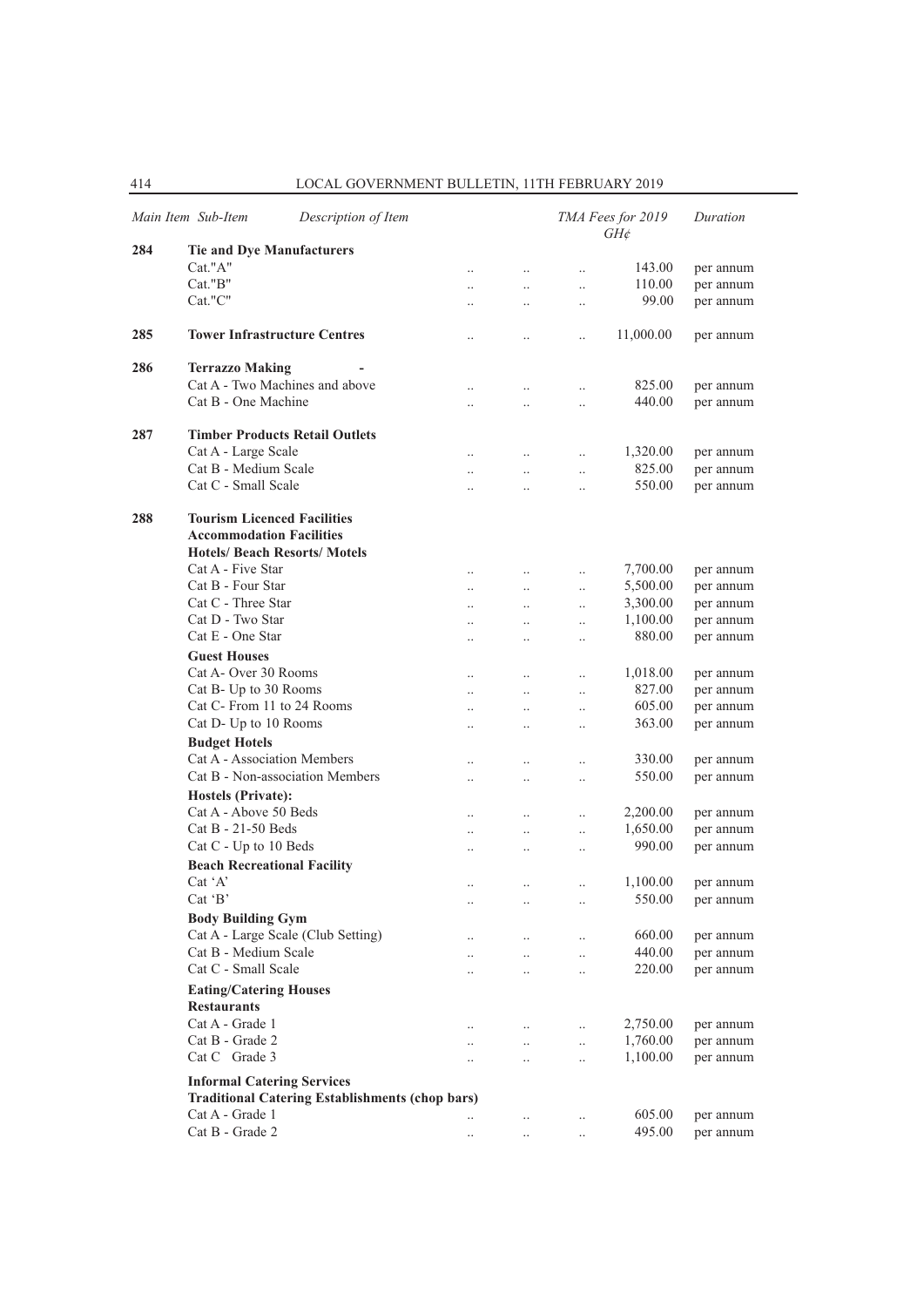|     | Description of Item<br>Main Item Sub-Item              |                      |              |                      | TMA Fees for 2019<br>$GH\phi$ | Duration  |
|-----|--------------------------------------------------------|----------------------|--------------|----------------------|-------------------------------|-----------|
| 284 | <b>Tie and Dye Manufacturers</b>                       |                      |              |                      |                               |           |
|     | Cat."A"                                                | $\ddotsc$            | $\ldots$     | $\ddotsc$            | 143.00                        | per annum |
|     | $Cat.$ " $B$ "                                         | $\ddotsc$            | $\ddots$     | $\ddotsc$            | 110.00                        | per annum |
|     | Cat."C"                                                | $\ddot{\phantom{0}}$ | $\ldots$     | $\ldots$             | 99.00                         | per annum |
| 285 | <b>Tower Infrastructure Centres</b>                    | $\cdot$              | $\ldots$     | $\ddot{\phantom{0}}$ | 11,000.00                     | per annum |
| 286 | <b>Terrazzo Making</b>                                 |                      |              |                      |                               |           |
|     | Cat A - Two Machines and above                         | $\cdot$              | $\ldots$     | $\ldots$             | 825.00                        | per annum |
|     | Cat B - One Machine                                    | $\ldots$             | $\ldots$     | $\ldots$             | 440.00                        | per annum |
| 287 | <b>Timber Products Retail Outlets</b>                  |                      |              |                      |                               |           |
|     | Cat A - Large Scale                                    | $\ddotsc$            | $\ldots$     | $\ldots$             | 1,320.00                      | per annum |
|     | Cat B - Medium Scale                                   | $\ddot{\phantom{0}}$ | $\ldots$     | $\ldots$             | 825.00                        | per annum |
|     | Cat C - Small Scale                                    | $\ddotsc$            | $\ldots$     | $\ldots$             | 550.00                        | per annum |
| 288 | <b>Tourism Licenced Facilities</b>                     |                      |              |                      |                               |           |
|     | <b>Accommodation Facilities</b>                        |                      |              |                      |                               |           |
|     | <b>Hotels/ Beach Resorts/ Motels</b>                   |                      |              |                      |                               |           |
|     | Cat A - Five Star                                      | $\ldots$             | $\ldots$     | $\ldots$             | 7,700.00                      | per annum |
|     | Cat B - Four Star                                      | $\cdot$ .            | $\ldots$     | $\ldots$             | 5,500.00                      | per annum |
|     | Cat C - Three Star                                     | $\ddot{\phantom{a}}$ | $\ddotsc$    | $\ddotsc$            | 3,300.00                      | per annum |
|     | Cat D - Two Star                                       | $\ddotsc$            | $\ddotsc$    | $\ddotsc$            | 1,100.00                      | per annum |
|     | Cat E - One Star                                       | $\ldots$             | $\ldots$     | $\ldots$             | 880.00                        | per annum |
|     | <b>Guest Houses</b>                                    |                      |              |                      |                               |           |
|     | Cat A- Over 30 Rooms                                   |                      |              |                      | 1,018.00                      | per annum |
|     | Cat B- Up to 30 Rooms                                  | $\ddotsc$            | $\ddotsc$    | $\ddotsc$            | 827.00                        | per annum |
|     | Cat C- From 11 to 24 Rooms                             | $\ldots$             | $\ddotsc$    | $\ldots$             | 605.00                        |           |
|     | Cat D- Up to 10 Rooms                                  | $\ddotsc$            | $\ldots$     | $\ldots$             | 363.00                        | per annum |
|     |                                                        | $\ddotsc$            | $\ldots$     | $\ldots$             |                               | per annum |
|     | <b>Budget Hotels</b>                                   |                      |              |                      |                               |           |
|     | Cat A - Association Members                            | $\ddot{\phantom{0}}$ | $\ldots$     | $\ldots$             | 330.00                        | per annum |
|     | Cat B - Non-association Members                        | $\ddotsc$            | $\ldots$     | $\ldots$             | 550.00                        | per annum |
|     | <b>Hostels (Private):</b>                              |                      |              |                      |                               |           |
|     | Cat A - Above 50 Beds                                  | $\ddot{\phantom{0}}$ | $\ddotsc$    | $\ddotsc$            | 2,200.00                      | per annum |
|     | Cat B - 21-50 Beds                                     | $\cdot \cdot$        | $\ldots$     | $\ldots$             | 1,650.00                      | per annum |
|     | Cat C - Up to 10 Beds                                  | $\cdot$ .            | $\ldots$     | $\ldots$             | 990.00                        | per annum |
|     | <b>Beach Recreational Facility</b>                     |                      |              |                      |                               |           |
|     | Cat 'A'                                                | $\ddotsc$            | $\ldots$     | $\ldots$             | 1,100.00                      | per annum |
|     | $Cat$ $B$                                              |                      | $\cdot\cdot$ |                      | 550.00                        | per annum |
|     | <b>Body Building Gym</b>                               |                      |              |                      |                               |           |
|     | Cat A - Large Scale (Club Setting)                     | $\cdot$ .            | $\ldots$     | $\ldots$             | 660.00                        | per annum |
|     | Cat B - Medium Scale                                   | $\ddots$             | $\ddots$     | $\ddotsc$            | 440.00                        | per annum |
|     | Cat C - Small Scale                                    | $\cdots$             | $\ldots$     | $\cdot$ .            | 220.00                        | per annum |
|     | <b>Eating/Catering Houses</b>                          |                      |              |                      |                               |           |
|     | <b>Restaurants</b>                                     |                      |              |                      |                               |           |
|     | Cat A - Grade 1                                        | $\ldots$             | $\ldots$     | $\ldots$             | 2,750.00                      | per annum |
|     | Cat B - Grade 2                                        | $\ddots$             | $\cdots$     | $\ddotsc$            | 1,760.00                      | per annum |
|     | Cat C Grade 3                                          | $\ldots$             | $\ddots$     | $\ldots$             | 1,100.00                      | per annum |
|     | <b>Informal Catering Services</b>                      |                      |              |                      |                               |           |
|     | <b>Traditional Catering Establishments (chop bars)</b> |                      |              |                      |                               |           |
|     | Cat A - Grade 1                                        |                      |              | $\ddotsc$            | 605.00                        | per annum |
|     | Cat B - Grade 2                                        |                      | $\ldots$     |                      | 495.00                        | per annum |
|     |                                                        | $\ldots$             | $\ldots$     | $\ldots$             |                               |           |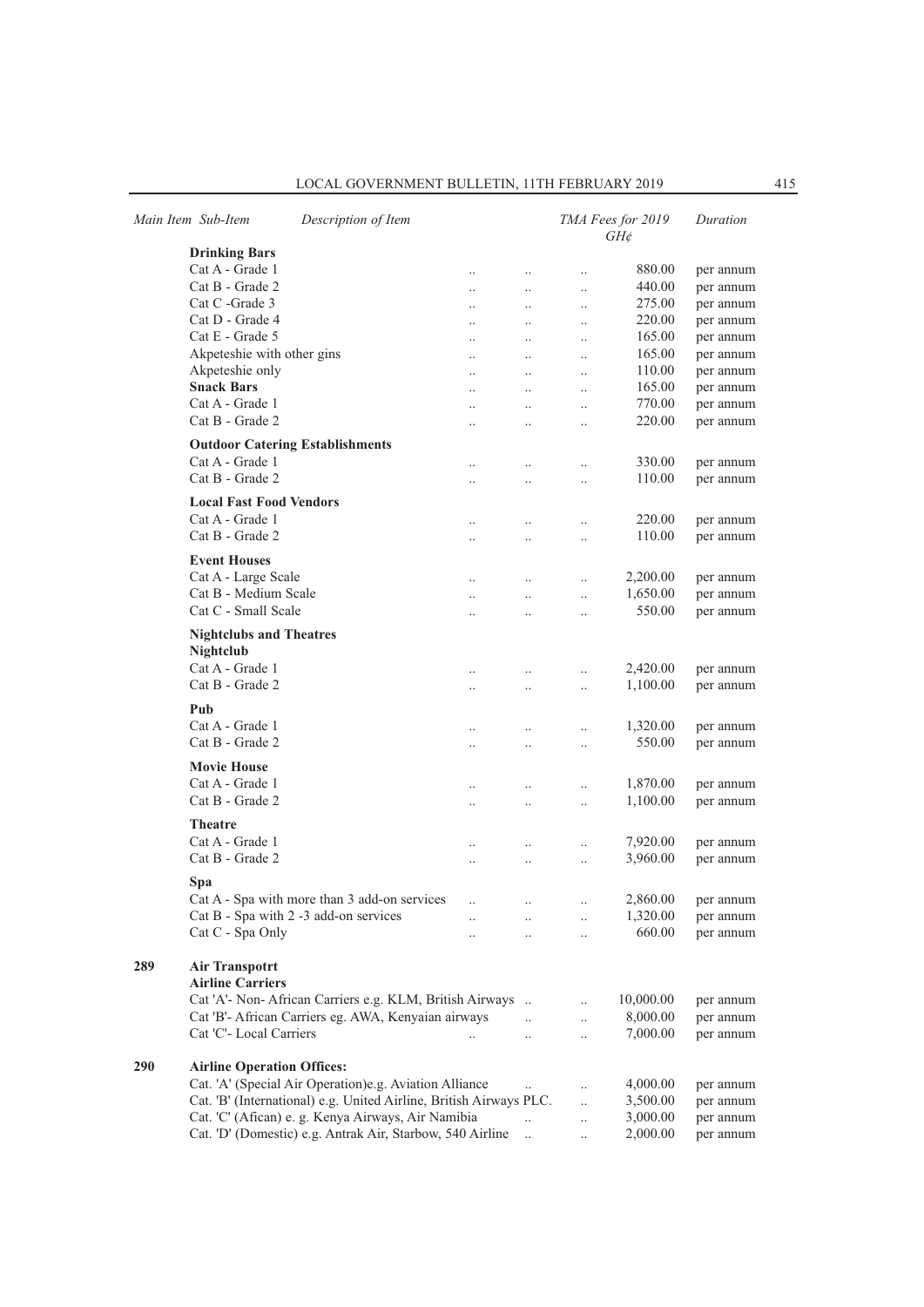|  |  |  |  | LOCAL GOVERNMENT BULLETIN, 11TH FEBRUARY 2019 |  |
|--|--|--|--|-----------------------------------------------|--|
|--|--|--|--|-----------------------------------------------|--|

|     | Main Item Sub-Item                               | Description of Item                                                |                      |                      |                      | TMA Fees for 2019<br>$GH$ ¢ | Duration  |
|-----|--------------------------------------------------|--------------------------------------------------------------------|----------------------|----------------------|----------------------|-----------------------------|-----------|
|     | <b>Drinking Bars</b>                             |                                                                    |                      |                      |                      |                             |           |
|     | Cat A - Grade 1                                  |                                                                    | $\ddot{\phantom{0}}$ | $\ddotsc$            | $\ldots$             | 880.00                      | per annum |
|     | Cat B - Grade 2                                  |                                                                    | $\ddot{\phantom{a}}$ | $\ddotsc$            | $\ddotsc$            | 440.00                      | per annum |
|     | Cat C -Grade 3                                   |                                                                    |                      | $\ldots$             | $\ldots$             | 275.00                      | per annum |
|     | Cat D - Grade 4                                  |                                                                    |                      | $\ldots$             | $\ldots$             | 220.00                      | per annum |
|     | Cat E - Grade 5                                  |                                                                    |                      | $\ddotsc$            | $\ddotsc$            | 165.00                      | per annum |
|     | Akpeteshie with other gins                       |                                                                    |                      | $\ddotsc$            | $\ddotsc$            | 165.00                      | per annum |
|     | Akpeteshie only                                  |                                                                    | $\ddot{\phantom{0}}$ | $\ddotsc$            | $\ddots$             | 110.00                      | per annum |
|     | <b>Snack Bars</b>                                |                                                                    | $\ddot{\phantom{a}}$ | $\ldots$             | $\ldots$             | 165.00                      | per annum |
|     | Cat A - Grade 1                                  |                                                                    |                      | $\ldots$             | $\ldots$             | 770.00                      | per annum |
|     | Cat B - Grade 2                                  |                                                                    |                      | $\ldots$             | $\ddotsc$            | 220.00                      | per annum |
|     |                                                  | <b>Outdoor Catering Establishments</b>                             |                      |                      |                      |                             |           |
|     | Cat A - Grade 1                                  |                                                                    |                      | $\ldots$             | $\ldots$             | 330.00                      | per annum |
|     | Cat B - Grade 2                                  |                                                                    |                      | $\ldots$             | $\ldots$             | 110.00                      | per annum |
|     | <b>Local Fast Food Vendors</b>                   |                                                                    |                      |                      |                      |                             |           |
|     | Cat A - Grade 1                                  |                                                                    |                      |                      |                      | 220.00                      | per annum |
|     | Cat B - Grade 2                                  |                                                                    | $\ddot{\phantom{0}}$ | $\ddotsc$            | $\ldots$             | 110.00                      | per annum |
|     |                                                  |                                                                    | $\ddot{\phantom{0}}$ | $\ddotsc$            | $\ldots$             |                             |           |
|     | <b>Event Houses</b>                              |                                                                    |                      |                      |                      |                             |           |
|     | Cat A - Large Scale                              |                                                                    | $\ddot{\phantom{0}}$ | $\ddotsc$            | $\ldots$             | 2,200.00                    | per annum |
|     | Cat B - Medium Scale                             |                                                                    | $\ddotsc$            | $\ddotsc$            | $\ldots$             | 1,650.00                    | per annum |
|     | Cat C - Small Scale                              |                                                                    |                      | $\ddotsc$            | $\ddotsc$            | 550.00                      | per annum |
|     | <b>Nightclubs and Theatres</b><br>Nightclub      |                                                                    |                      |                      |                      |                             |           |
|     | Cat A - Grade 1                                  |                                                                    | $\ddot{\phantom{0}}$ | $\ddotsc$            | $\ddotsc$            | 2,420.00                    | per annum |
|     | Cat B - Grade 2                                  |                                                                    | $\ddot{\phantom{0}}$ | $\ddotsc$            | $\ddotsc$            | 1,100.00                    | per annum |
|     | Pub                                              |                                                                    |                      |                      |                      |                             |           |
|     | Cat A - Grade 1                                  |                                                                    |                      | $\ddotsc$            | $\ldots$             | 1,320.00                    | per annum |
|     | Cat B - Grade 2                                  |                                                                    | $\ddot{\phantom{a}}$ | $\ddot{\phantom{a}}$ | $\ddotsc$            | 550.00                      | per annum |
|     |                                                  |                                                                    |                      |                      |                      |                             |           |
|     | <b>Movie House</b>                               |                                                                    |                      |                      |                      |                             |           |
|     | Cat A - Grade 1                                  |                                                                    |                      | $\ldots$             | $\ldots$             | 1,870.00                    | per annum |
|     | Cat B - Grade 2                                  |                                                                    |                      | $\ddotsc$            | $\ddotsc$            | 1,100.00                    | per annum |
|     | <b>Theatre</b>                                   |                                                                    |                      |                      |                      |                             |           |
|     | Cat A - Grade 1                                  |                                                                    |                      | $\ldots$             | $\ldots$             | 7,920.00                    | per annum |
|     | Cat B - Grade 2                                  |                                                                    |                      | $\ldots$             | $\ddotsc$            | 3,960.00                    | per annum |
|     |                                                  |                                                                    |                      |                      |                      |                             |           |
|     | Spa                                              | Cat A - Spa with more than 3 add-on services                       |                      |                      |                      |                             |           |
|     |                                                  | Cat B - Spa with 2 -3 add-on services                              |                      |                      |                      | 2,860.00                    | per annum |
|     | Cat C - Spa Only                                 |                                                                    | $\ddotsc$            | $\ldots$             | $\ldots$             | 1,320.00<br>660.00          | per annum |
|     |                                                  |                                                                    |                      | $\ddotsc$            | $\ldots$             |                             | per annum |
| 289 | <b>Air Transpotrt</b><br><b>Airline Carriers</b> |                                                                    |                      |                      |                      |                             |           |
|     |                                                  | Cat 'A'- Non- African Carriers e.g. KLM, British Airways           |                      |                      | $\ddotsc$            | 10,000.00                   | per annum |
|     |                                                  | Cat 'B'- African Carriers eg. AWA, Kenyaian airways                |                      | $\ddotsc$            | $\ddotsc$            | 8,000.00                    | per annum |
|     | Cat 'C'- Local Carriers                          |                                                                    |                      |                      | $\ddotsc$            | 7,000.00                    | per annum |
|     |                                                  |                                                                    |                      |                      |                      |                             |           |
| 290 | <b>Airline Operation Offices:</b>                |                                                                    |                      |                      |                      |                             |           |
|     |                                                  | Cat. 'A' (Special Air Operation)e.g. Aviation Alliance             |                      |                      | $\ddotsc$            | 4,000.00                    | per annum |
|     |                                                  | Cat. 'B' (International) e.g. United Airline, British Airways PLC. |                      |                      | $\ddotsc$            | 3,500.00                    | per annum |
|     |                                                  | Cat. 'C' (Afican) e. g. Kenya Airways, Air Namibia                 |                      |                      | $\ddot{\phantom{a}}$ | 3,000.00                    | per annum |
|     |                                                  | Cat. 'D' (Domestic) e.g. Antrak Air, Starbow, 540 Airline          |                      | $\cdot$ .            | $\ddotsc$            | 2,000.00                    | per annum |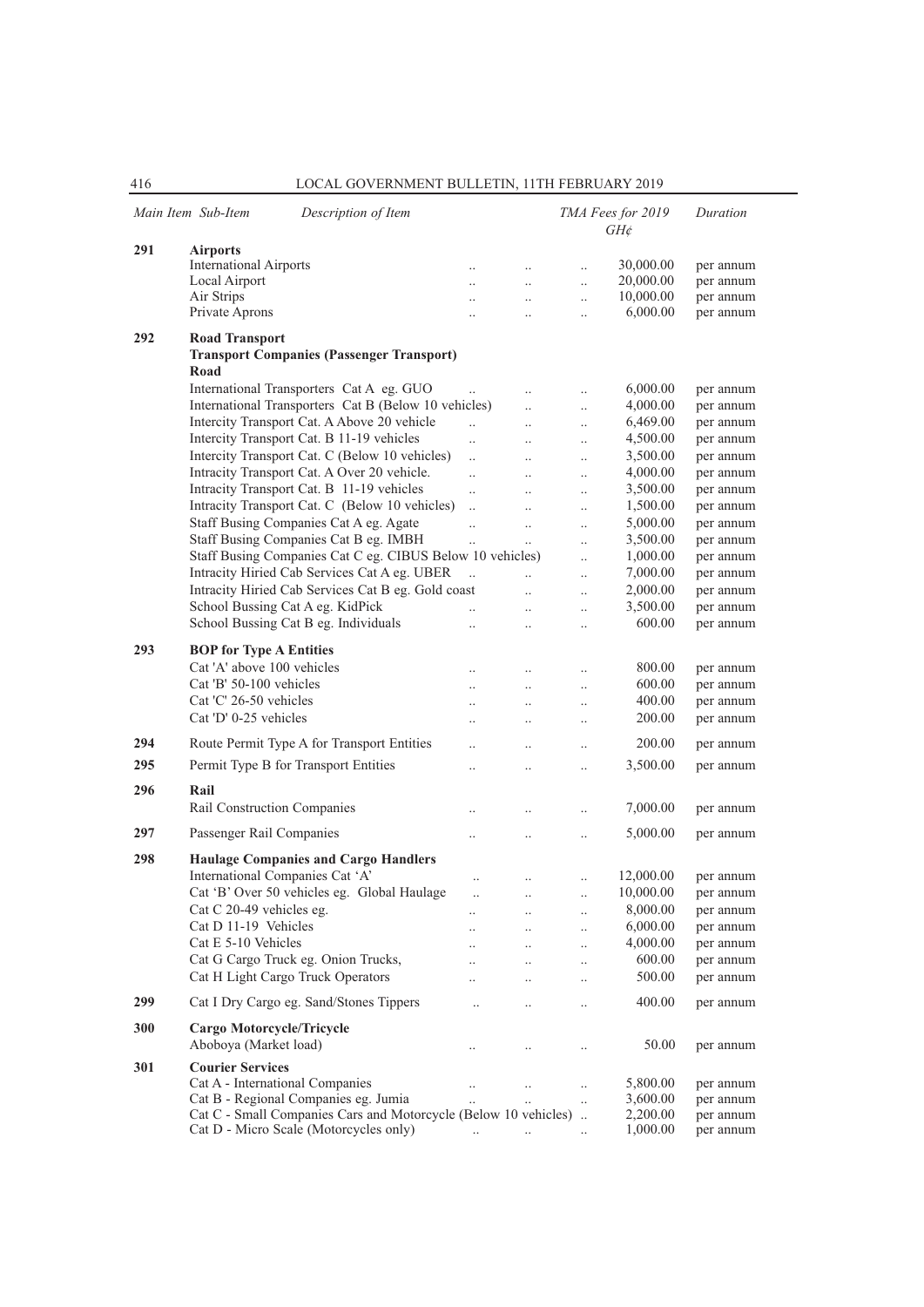|     | Main Item Sub-Item<br>Description of Item                       |                      |                      |                      | TMA Fees for 2019<br>$GH\phi$ | Duration               |
|-----|-----------------------------------------------------------------|----------------------|----------------------|----------------------|-------------------------------|------------------------|
| 291 | <b>Airports</b>                                                 |                      |                      |                      |                               |                        |
|     | <b>International Airports</b>                                   | $\ddotsc$            | $\ddotsc$            | $\ddotsc$            | 30,000.00                     | per annum              |
|     | Local Airport                                                   | $\ddotsc$            | $\ddotsc$            | $\ddotsc$            | 20,000.00                     | per annum              |
|     | Air Strips                                                      | $\ddot{\phantom{a}}$ | $\ddotsc$            | $\ddotsc$            | 10,000.00                     | per annum              |
|     | Private Aprons                                                  | $\ddotsc$            | $\ddotsc$            | $\ddotsc$            | 6,000.00                      | per annum              |
| 292 | <b>Road Transport</b>                                           |                      |                      |                      |                               |                        |
|     | <b>Transport Companies (Passenger Transport)</b><br>Road        |                      |                      |                      |                               |                        |
|     | International Transporters Cat A eg. GUO                        | $\ddotsc$            | $\ddotsc$            | $\ddotsc$            | 6,000.00                      | per annum              |
|     | International Transporters Cat B (Below 10 vehicles)            |                      | $\ddotsc$            | $\ddotsc$            | 4,000.00                      | per annum              |
|     | Intercity Transport Cat. A Above 20 vehicle                     | $\ddotsc$            | $\ldots$             | $\ldots$             | 6,469.00                      | per annum              |
|     | Intercity Transport Cat. B 11-19 vehicles                       | $\ddotsc$            | $\cdot$ .            | $\ldots$             | 4,500.00                      | per annum              |
|     | Intercity Transport Cat. C (Below 10 vehicles)                  | $\ddotsc$            | $\ddot{\phantom{0}}$ | $\ddotsc$            | 3,500.00                      | per annum              |
|     | Intracity Transport Cat. A Over 20 vehicle.                     | $\ddotsc$            | $\ddotsc$            | $\ddotsc$            | 4,000.00                      | per annum              |
|     | Intracity Transport Cat. B 11-19 vehicles                       | $\ddotsc$            | $\ldots$             | $\ldots$             | 3,500.00                      | per annum              |
|     | Intracity Transport Cat. C (Below 10 vehicles)                  | $\ddotsc$            | $\ldots$             | $\ldots$             | 1,500.00                      | per annum              |
|     | Staff Busing Companies Cat A eg. Agate                          | $\ddotsc$            | $\ldots$             | $\ldots$             | 5,000.00                      | per annum              |
|     | Staff Busing Companies Cat B eg. IMBH                           | $\ddotsc$            | $\ddotsc$            | $\ddot{\phantom{0}}$ | 3,500.00                      | per annum              |
|     | Staff Busing Companies Cat C eg. CIBUS Below 10 vehicles)       |                      |                      | $\ddotsc$            | 1,000.00                      | per annum              |
|     | Intracity Hiried Cab Services Cat A eg. UBER                    | $\ddotsc$            |                      |                      | 7,000.00                      | per annum              |
|     | Intracity Hiried Cab Services Cat B eg. Gold coast              |                      | $\ddotsc$            | $\ddotsc$            | 2,000.00                      | per annum              |
|     | School Bussing Cat A eg. KidPick                                |                      | $\ddotsc$            | $\ldots$             | 3,500.00                      |                        |
|     |                                                                 | $\ddotsc$            | $\ldots$             | $\ldots$             | 600.00                        | per annum              |
|     | School Bussing Cat B eg. Individuals                            | $\ddotsc$            | $\ddotsc$            | $\ddot{\phantom{0}}$ |                               | per annum              |
| 293 | <b>BOP</b> for Type A Entities                                  |                      |                      |                      |                               |                        |
|     | Cat 'A' above 100 vehicles                                      |                      | $\ddotsc$            | $\ddotsc$            | 800.00                        | per annum              |
|     | Cat 'B' 50-100 vehicles                                         | $\ddotsc$            | $\ddotsc$            | $\ddotsc$            | 600.00                        | per annum              |
|     | Cat 'C' 26-50 vehicles                                          | $\ddotsc$            | $\ldots$             | $\ldots$             | 400.00                        | per annum              |
|     | Cat 'D' 0-25 vehicles                                           |                      | $\cdot$ .            | $\cdot$ .            | 200.00                        | per annum              |
|     |                                                                 |                      |                      |                      |                               |                        |
| 294 | Route Permit Type A for Transport Entities                      | $\ddot{\phantom{a}}$ | $\ddotsc$            | $\ddotsc$            | 200.00                        | per annum              |
| 295 | Permit Type B for Transport Entities                            | $\ddotsc$            | $\ldots$             | $\ddotsc$            | 3,500.00                      | per annum              |
| 296 | Rail                                                            |                      |                      |                      |                               |                        |
|     | Rail Construction Companies                                     | $\ddotsc$            | $\ddotsc$            | $\ddotsc$            | 7,000.00                      | per annum              |
|     |                                                                 |                      |                      |                      |                               |                        |
| 297 | Passenger Rail Companies                                        | $\ddotsc$            | $\ddotsc$            | $\ddotsc$            | 5,000.00                      | per annum              |
| 298 | <b>Haulage Companies and Cargo Handlers</b>                     |                      |                      |                      |                               |                        |
|     | International Companies Cat 'A'                                 |                      |                      | $\ldots$             | 12,000.00                     | per annum              |
|     | Cat 'B' Over 50 vehicles eg. Global Haulage                     | $\ldots$             | $\ldots$             |                      | 10,000.00                     | per annum              |
|     | Cat C 20-49 vehicles eg.                                        |                      |                      |                      | 8,000.00                      | per annum              |
|     | Cat D 11-19 Vehicles                                            | $\ddot{\phantom{0}}$ | $\cdot$ .            | $\ldots$             | 6,000.00                      | per annum              |
|     | Cat E 5-10 Vehicles                                             | $\ddot{\phantom{a}}$ | $\ddotsc$            | $\ddotsc$            | 4,000.00                      |                        |
|     | Cat G Cargo Truck eg. Onion Trucks,                             | $\ddotsc$            | $\ldots$             | $\ldots$             | 600.00                        | per annum<br>per annum |
|     | Cat H Light Cargo Truck Operators                               | $\ddot{\phantom{0}}$ | $\ldots$             | $\ldots$             | 500.00                        |                        |
|     |                                                                 | $\ddot{\phantom{a}}$ | $\ddotsc$            | $\ddotsc$            |                               | per annum              |
| 299 | Cat I Dry Cargo eg. Sand/Stones Tippers                         | $\ddot{\phantom{0}}$ | $\ldots$             | $\ddotsc$            | 400.00                        | per annum              |
| 300 | Cargo Motorcycle/Tricycle                                       |                      |                      |                      |                               |                        |
|     | Aboboya (Market load)                                           | $\ddotsc$            | $\ldots$             | $\ldots$             | 50.00                         | per annum              |
| 301 | <b>Courier Services</b>                                         |                      |                      |                      |                               |                        |
|     | Cat A - International Companies                                 | $\ddotsc$            | $\ldots$             | $\ldots$             | 5,800.00                      | per annum              |
|     | Cat B - Regional Companies eg. Jumia                            |                      |                      | $\ddotsc$            | 3,600.00                      | per annum              |
|     | Cat C - Small Companies Cars and Motorcycle (Below 10 vehicles) |                      |                      |                      | 2,200.00                      | per annum              |
|     | Cat D - Micro Scale (Motorcycles only)                          | $\ldots$             | $\ldots$             | $\ldots$             | 1,000.00                      | per annum              |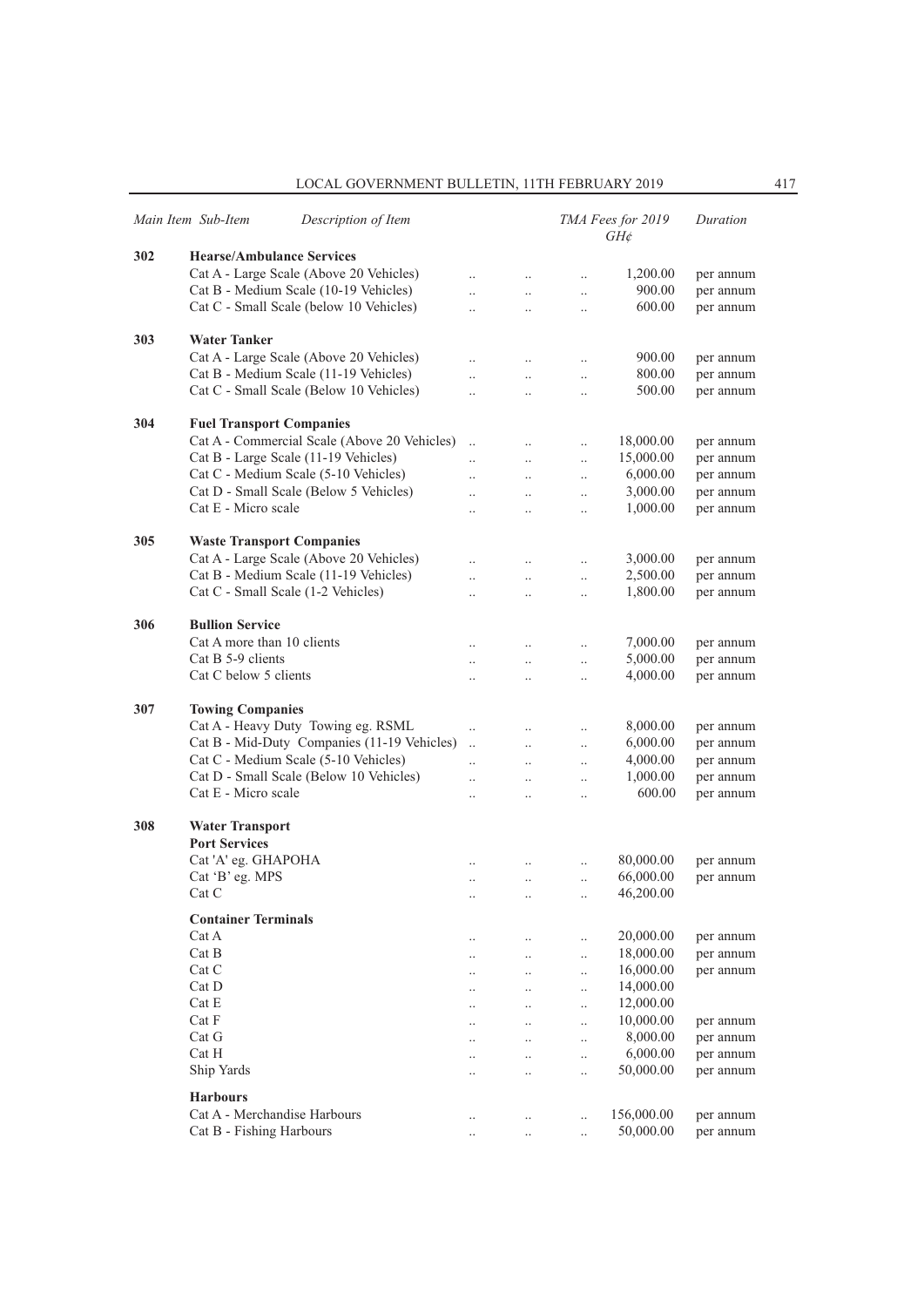|     | Main Item Sub-Item<br>Description of Item    |                      |                      |                      | TMA Fees for 2019<br>$GH\phi$ | Duration  |
|-----|----------------------------------------------|----------------------|----------------------|----------------------|-------------------------------|-----------|
| 302 | <b>Hearse/Ambulance Services</b>             |                      |                      |                      |                               |           |
|     | Cat A - Large Scale (Above 20 Vehicles)      | $\ddot{\phantom{0}}$ | $\ldots$             | $\ldots$             | 1,200.00                      | per annum |
|     | Cat B - Medium Scale (10-19 Vehicles)        | $\ddot{\phantom{0}}$ | $\ddotsc$            | $\ddotsc$            | 900.00                        | per annum |
|     | Cat C - Small Scale (below 10 Vehicles)      |                      | $\ddot{\phantom{0}}$ | $\ldots$             | 600.00                        | per annum |
|     |                                              |                      |                      |                      |                               |           |
| 303 | <b>Water Tanker</b>                          |                      |                      |                      |                               |           |
|     | Cat A - Large Scale (Above 20 Vehicles)      |                      | $\ddotsc$            | $\ldots$             | 900.00                        | per annum |
|     | Cat B - Medium Scale (11-19 Vehicles)        |                      | $\ldots$             | $\ldots$             | 800.00                        | per annum |
|     | Cat C - Small Scale (Below 10 Vehicles)      |                      | $\ddot{\phantom{0}}$ | $\ldots$             | 500.00                        | per annum |
| 304 | <b>Fuel Transport Companies</b>              |                      |                      |                      |                               |           |
|     | Cat A - Commercial Scale (Above 20 Vehicles) | $\ddot{\phantom{a}}$ | $\ldots$             | $\ldots$             | 18,000.00                     | per annum |
|     | Cat B - Large Scale (11-19 Vehicles)         |                      |                      |                      | 15,000.00                     | per annum |
|     | Cat C - Medium Scale (5-10 Vehicles)         |                      | $\ddotsc$            | $\ddotsc$            | 6,000.00                      | per annum |
|     | Cat D - Small Scale (Below 5 Vehicles)       |                      | $\ddotsc$            | $\ldots$             | 3,000.00                      | per annum |
|     | Cat E - Micro scale                          |                      | $\ddotsc$            | $\ddotsc$            | 1,000.00                      |           |
|     |                                              | $\ddot{\phantom{0}}$ | $\ddot{\phantom{a}}$ | $\ddotsc$            |                               | per annum |
| 305 | <b>Waste Transport Companies</b>             |                      |                      |                      |                               |           |
|     | Cat A - Large Scale (Above 20 Vehicles)      | $\ddotsc$            | $\ldots$             | $\ldots$             | 3,000.00                      | per annum |
|     | Cat B - Medium Scale (11-19 Vehicles)        | $\ddot{\phantom{0}}$ | $\ddot{\phantom{a}}$ | $\ldots$             | 2,500.00                      | per annum |
|     | Cat C - Small Scale (1-2 Vehicles)           | $\ddot{\phantom{0}}$ | $\ddot{\phantom{a}}$ | $\ddotsc$            | 1,800.00                      | per annum |
| 306 | <b>Bullion Service</b>                       |                      |                      |                      |                               |           |
|     | Cat A more than 10 clients                   | $\ddotsc$            | $\ldots$             | $\ldots$             | 7,000.00                      | per annum |
|     | Cat B 5-9 clients                            | $\ddot{\phantom{0}}$ | $\ddot{\phantom{a}}$ | $\ddotsc$            | 5,000.00                      | per annum |
|     | Cat C below 5 clients                        | $\ddot{\phantom{0}}$ | $\ddot{\phantom{a}}$ | $\ddotsc$            | 4,000.00                      | per annum |
|     |                                              |                      |                      |                      |                               |           |
| 307 | <b>Towing Companies</b>                      |                      |                      |                      |                               |           |
|     | Cat A - Heavy Duty Towing eg. RSML           | $\ldots$             | $\ddotsc$            | $\ldots$             | 8,000.00                      | per annum |
|     | Cat B - Mid-Duty Companies (11-19 Vehicles)  | $\ddotsc$            | $\ddotsc$            | $\ddotsc$            | 6,000.00                      | per annum |
|     | Cat C - Medium Scale (5-10 Vehicles)         | $\ddot{\phantom{0}}$ | $\ddot{\phantom{a}}$ | $\ddotsc$            | 4,000.00                      | per annum |
|     | Cat D - Small Scale (Below 10 Vehicles)      | $\ddot{\phantom{a}}$ | $\ddotsc$            | $\ldots$             | 1,000.00                      | per annum |
|     | Cat E - Micro scale                          |                      | $\ddotsc$            | $\ldots$             | 600.00                        | per annum |
|     |                                              |                      |                      |                      |                               |           |
| 308 | <b>Water Transport</b>                       |                      |                      |                      |                               |           |
|     | <b>Port Services</b>                         |                      |                      |                      |                               |           |
|     | Cat 'A' eg. GHAPOHA                          |                      |                      | $\ldots$             | 80,000.00                     | per annum |
|     | Cat 'B' eg. MPS                              | $\cdot$              | $\ldots$             | $\ddotsc$            | 66,000.00                     | per annum |
|     | Cat C                                        |                      | $\cdot$              | $\ddot{\phantom{0}}$ | 46,200.00                     |           |
|     | <b>Container Terminals</b>                   |                      |                      |                      |                               |           |
|     | Cat A                                        | $\ddotsc$            | $\ldots$             | $\ldots$             | 20,000.00                     | per annum |
|     | Cat B                                        | $\cdot$ .            | $\ldots$             | $\ddotsc$            | 18,000.00                     | per annum |
|     | Cat C                                        | $\cdot$ .            | $\ldots$             | $\ddotsc$            | 16,000.00                     | per annum |
|     | Cat D                                        | $\cdot$ .            | $\ldots$             | $\ldots$             | 14,000.00                     |           |
|     | Cat E                                        | $\cdot$              | $\ddots$             | $\ddotsc$            | 12,000.00                     |           |
|     | Cat F                                        | $\ddot{\phantom{0}}$ | $\ddotsc$            | $\ddotsc$            | 10,000.00                     | per annum |
|     | Cat G                                        |                      | $\ddots$             | $\ddotsc$            | 8,000.00                      | per annum |
|     | Cat H                                        |                      | $\ldots$             | $\ddotsc$            | 6,000.00                      | per annum |
|     | Ship Yards                                   |                      | $\ddotsc$            | $\ddotsc$            | 50,000.00                     | per annum |
|     |                                              |                      |                      |                      |                               |           |
|     | <b>Harbours</b>                              |                      |                      |                      |                               |           |
|     | Cat A - Merchandise Harbours                 | $\ldots$             | $\ldots$             | $\ddotsc$            | 156,000.00                    | per annum |
|     | Cat B - Fishing Harbours                     | $\cdot$              | $\ddotsc$            | $\ddotsc$            | 50,000.00                     | per annum |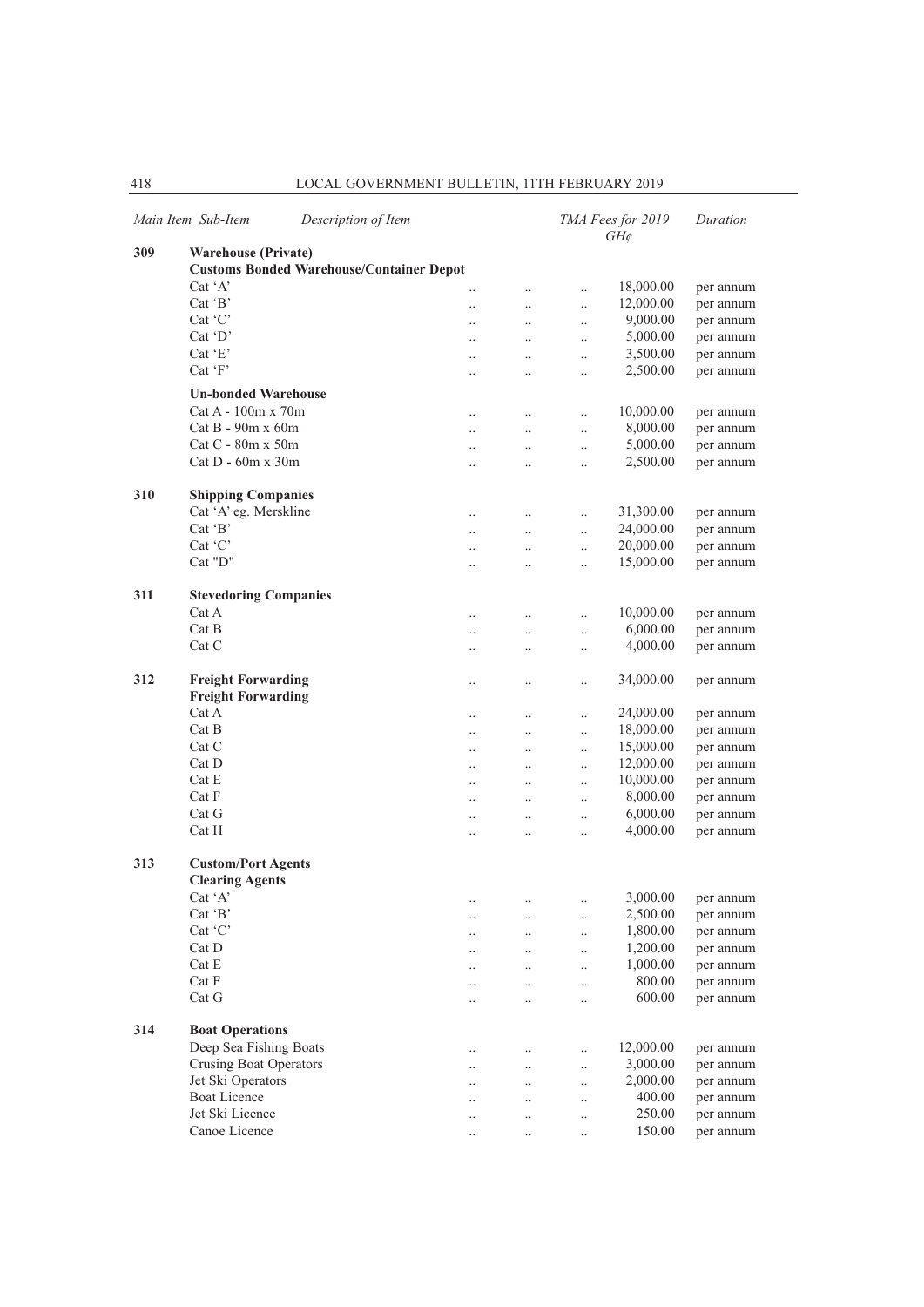|     | Main Item Sub-Item                    | Description of Item                             |                      |                      |                      | TMA Fees for 2019<br>$GH\phi$ | Duration  |
|-----|---------------------------------------|-------------------------------------------------|----------------------|----------------------|----------------------|-------------------------------|-----------|
| 309 | <b>Warehouse (Private)</b>            |                                                 |                      |                      |                      |                               |           |
|     |                                       | <b>Customs Bonded Warehouse/Container Depot</b> |                      |                      |                      |                               |           |
|     | $Cat^{\dagger}A^{\dagger}$            |                                                 | $\ddot{\phantom{0}}$ | $\ddotsc$            | $\ddotsc$            | 18,000.00                     | per annum |
|     | $Cat$ $B$                             |                                                 |                      | $\ddotsc$            | $\ddot{\phantom{a}}$ | 12,000.00                     | per annum |
|     | Cat 'C'                               |                                                 | $\ddotsc$            | $\ddots$             | $\ddotsc$            | 9,000.00                      | per annum |
|     | $Cat$ $D'$                            |                                                 | $\ddotsc$            | $\ddotsc$            | $\ddotsc$            | 5,000.00                      | per annum |
|     | Cat 'E'                               |                                                 | $\ddotsc$            | $\ddotsc$            | $\ddotsc$            | 3,500.00                      | per annum |
|     | $Cat \cdot F$                         |                                                 | $\ldots$             | $\ldots$             | $\ddotsc$            | 2,500.00                      | per annum |
|     | <b>Un-bonded Warehouse</b>            |                                                 |                      |                      |                      |                               |           |
|     | Cat A - $100m \times 70m$             |                                                 |                      |                      |                      | 10,000.00                     |           |
|     | Cat B - $90m \times 60m$              |                                                 | $\ldots$             | $\cdot$ .            | $\ddotsc$            | 8,000.00                      | per annum |
|     | Cat C - 80m x 50m                     |                                                 | $\ddots$             | $\ddotsc$            | $\ddotsc$            | 5,000.00                      | per annum |
|     | Cat D - 60m x 30m                     |                                                 | $\ddotsc$            | $\ddotsc$            | $\ddotsc$            | 2,500.00                      | per annum |
|     |                                       |                                                 | $\ddotsc$            | $\ddotsc$            | $\ldots$             |                               | per annum |
| 310 | <b>Shipping Companies</b>             |                                                 |                      |                      |                      |                               |           |
|     | Cat 'A' eg. Merskline                 |                                                 |                      |                      |                      | 31,300.00                     |           |
|     | $Cat$ $B'$                            |                                                 | $\ddots$             | $\ddots$             | $\ddotsc$            | 24,000.00                     | per annum |
|     | Cat 'C'                               |                                                 | $\ddotsc$            | $\ddots$             | $\ddotsc$            | 20,000.00                     | per annum |
|     | Cat "D"                               |                                                 | $\ddotsc$            | $\ddotsc$            | $\ddot{\phantom{a}}$ | 15,000.00                     | per annum |
|     |                                       |                                                 | $\ddotsc$            | $\ddots$             | $\ddot{\phantom{a}}$ |                               | per annum |
| 311 |                                       |                                                 |                      |                      |                      |                               |           |
|     | <b>Stevedoring Companies</b><br>Cat A |                                                 |                      |                      |                      |                               |           |
|     | Cat B                                 |                                                 | $\ddotsc$            | $\ddotsc$            | $\ldots$             | 10,000.00                     | per annum |
|     |                                       |                                                 | $\ddot{\phantom{0}}$ | $\ddot{\phantom{0}}$ |                      | 6,000.00                      | per annum |
|     | Cat C                                 |                                                 | $\ddotsc$            | $\ddotsc$            | $\ldots$             | 4,000.00                      | per annum |
| 312 | <b>Freight Forwarding</b>             |                                                 | $\cdot$ .            | $\cdot$ .            | $\ddotsc$            | 34,000.00                     | per annum |
|     | <b>Freight Forwarding</b>             |                                                 |                      |                      |                      |                               |           |
|     | Cat A                                 |                                                 | $\ddot{\phantom{a}}$ | $\ddotsc$            | $\ddotsc$            | 24,000.00                     | per annum |
|     | Cat B                                 |                                                 | $\ddots$             | $\ddots$             | $\ddotsc$            | 18,000.00                     | per annum |
|     | Cat C                                 |                                                 |                      |                      |                      | 15,000.00                     | per annum |
|     | Cat D                                 |                                                 | $\ddotsc$            | $\ddotsc$            | $\ddotsc$            | 12,000.00                     | per annum |
|     | Cat E                                 |                                                 | $\ddotsc$            | $\ddots$             | $\ddotsc$            | 10,000.00                     | per annum |
|     | Cat F                                 |                                                 | $\ddotsc$            | $\ddotsc$            | $\ddotsc$            | 8,000.00                      | per annum |
|     | Cat G                                 |                                                 | $\ddotsc$            | $\ddots$             | $\ddotsc$            | 6,000.00                      |           |
|     | Cat H                                 |                                                 | $\cdot$ .            | $\ddots$             | $\ddotsc$            | 4,000.00                      | per annum |
|     |                                       |                                                 | $\ldots$             | $\ddotsc$            | $\ddotsc$            |                               | per annum |
| 313 | <b>Custom/Port Agents</b>             |                                                 |                      |                      |                      |                               |           |
|     | <b>Clearing Agents</b>                |                                                 |                      |                      |                      |                               |           |
|     | Cat 'A'                               |                                                 |                      |                      |                      | 3,000.00                      |           |
|     |                                       |                                                 |                      | $\cdots$             | $\cdot$ .            |                               | per annum |
|     | Cat 'B'                               |                                                 | $\cdot$ .            |                      |                      | 2,500.00                      | per annum |
|     | Cat 'C'                               |                                                 | $\cdot \cdot$        | $\cdot$ .            | $\ldots$             | 1,800.00                      | per annum |
|     | Cat D                                 |                                                 | $\cdot$ .            | $\cdot \cdot$        | $\ldots$             | 1,200.00                      | per annum |
|     | Cat E                                 |                                                 | $\cdot$ .            | $\cdot \cdot$        |                      | 1,000.00                      | per annum |
|     | Cat F                                 |                                                 | $\ddotsc$            | $\ddotsc$            | $\ddotsc$            | 800.00                        | per annum |
|     | Cat G                                 |                                                 | $\cdot$ .            | $\cdot$ .            | $\cdot$ .            | 600.00                        | per annum |
| 314 | <b>Boat Operations</b>                |                                                 |                      |                      |                      |                               |           |
|     |                                       |                                                 |                      |                      |                      |                               |           |
|     | Deep Sea Fishing Boats                |                                                 | $\cdot$ .            | $\cdot$ .            |                      | 12,000.00                     | per annum |
|     | <b>Crusing Boat Operators</b>         |                                                 | $\cdot$              |                      | $\cdot$ .            | 3,000.00                      | per annum |
|     | Jet Ski Operators                     |                                                 | $\cdot$ .            | $\cdot$ .            | $\cdot$ .            | 2,000.00                      | per annum |
|     | <b>Boat Licence</b>                   |                                                 | $\ddotsc$            | $\ddotsc$            | $\ldots$             | 400.00                        | per annum |
|     | Jet Ski Licence                       |                                                 | $\cdot$ .            | $\cdot$ .            | $\cdot$ .            | 250.00                        | per annum |
|     | Canoe Licence                         |                                                 |                      | $\cdot$ .            | $\cdot$ .            | 150.00                        | per annum |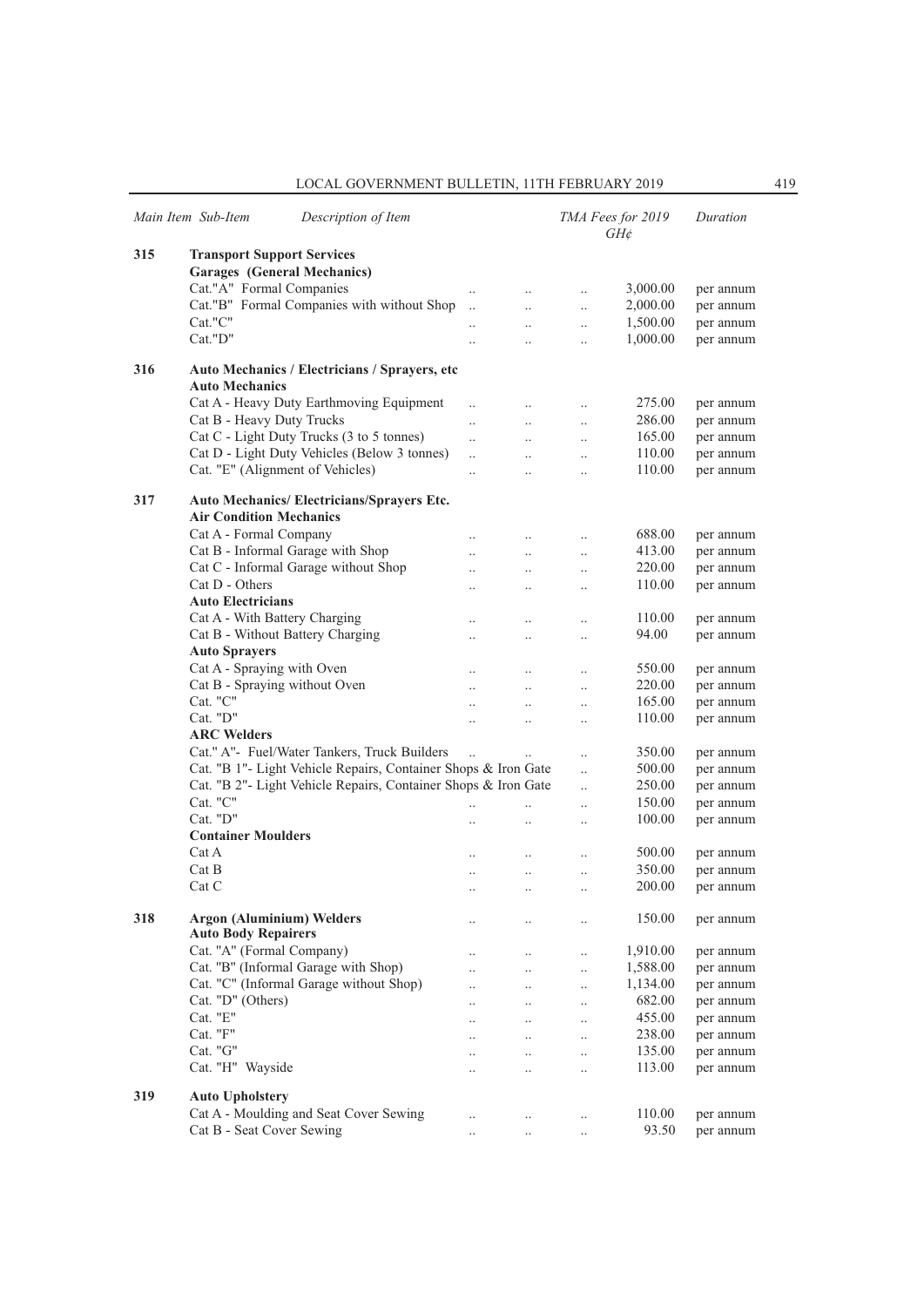|     | Main Item Sub-Item<br>Description of Item                                    |                      |                      |                      | TMA Fees for 2019<br>GH¢ | Duration  |
|-----|------------------------------------------------------------------------------|----------------------|----------------------|----------------------|--------------------------|-----------|
| 315 | <b>Transport Support Services</b>                                            |                      |                      |                      |                          |           |
|     | <b>Garages</b> (General Mechanics)                                           |                      |                      |                      |                          |           |
|     | Cat."A" Formal Companies                                                     |                      | $\ddotsc$            | $\ldots$             | 3,000.00                 | per annum |
|     | Cat."B" Formal Companies with without Shop                                   |                      | $\ddotsc$            | $\ddotsc$            | 2,000.00                 | per annum |
|     | Cat."C"                                                                      |                      |                      |                      | 1,500.00                 | per annum |
|     | Cat."D"                                                                      |                      | $\ddots$             | $\ldots$             | 1,000.00                 | per annum |
|     |                                                                              | $\ddot{\phantom{0}}$ | $\ddotsc$            | $\cdot$              |                          |           |
| 316 | Auto Mechanics / Electricians / Sprayers, etc<br><b>Auto Mechanics</b>       |                      |                      |                      |                          |           |
|     | Cat A - Heavy Duty Earthmoving Equipment                                     | $\ddotsc$            | $\ddotsc$            | $\ddotsc$            | 275.00                   | per annum |
|     | Cat B - Heavy Duty Trucks                                                    | $\ddotsc$            | $\ddotsc$            | $\ddotsc$            | 286.00                   | per annum |
|     | Cat C - Light Duty Trucks (3 to 5 tonnes)                                    | $\ddotsc$            | $\ddotsc$            | $\ldots$             | 165.00                   | per annum |
|     | Cat D - Light Duty Vehicles (Below 3 tonnes)                                 |                      | $\ldots$             | $\ldots$             | 110.00                   | per annum |
|     | Cat. "E" (Alignment of Vehicles)                                             |                      | $\ddotsc$            | $\ddot{\phantom{a}}$ | 110.00                   | per annum |
|     |                                                                              |                      |                      |                      |                          |           |
| 317 | Auto Mechanics/ Electricians/Sprayers Etc.<br><b>Air Condition Mechanics</b> |                      |                      |                      |                          |           |
|     | Cat A - Formal Company                                                       |                      | $\ddotsc$            | $\ldots$             | 688.00                   | per annum |
|     | Cat B - Informal Garage with Shop                                            | $\ddot{\phantom{a}}$ | $\ddotsc$            | $\ldots$             | 413.00                   | per annum |
|     | Cat C - Informal Garage without Shop                                         |                      | $\ldots$             | $\ldots$             | 220.00                   | per annum |
|     | Cat D - Others                                                               |                      | $\ddotsc$            | $\ddotsc$            | 110.00                   | per annum |
|     | <b>Auto Electricians</b>                                                     |                      |                      |                      |                          |           |
|     | Cat A - With Battery Charging                                                |                      | $\ddotsc$            | $\ldots$             | 110.00                   | per annum |
|     | Cat B - Without Battery Charging                                             |                      | $\ddotsc$            | $\ddot{\phantom{a}}$ | 94.00                    | per annum |
|     | <b>Auto Sprayers</b>                                                         |                      |                      |                      |                          |           |
|     | Cat A - Spraying with Oven                                                   |                      | $\ddotsc$            | $\ldots$             | 550.00                   | per annum |
|     | Cat B - Spraying without Oven                                                | $\ddot{\phantom{0}}$ | $\ddots$             | $\ldots$             | 220.00                   | per annum |
|     | Cat. "C"                                                                     | $\ddot{\phantom{a}}$ | $\ddotsc$            | $\ldots$             | 165.00                   | per annum |
|     | Cat. "D"                                                                     |                      | $\ddotsc$            | $\ddot{\phantom{a}}$ | 110.00                   | per annum |
|     | <b>ARC Welders</b>                                                           |                      |                      |                      |                          |           |
|     | Cat." A"- Fuel/Water Tankers, Truck Builders                                 | $\ddot{\phantom{a}}$ |                      |                      | 350.00                   | per annum |
|     | Cat. "B 1"- Light Vehicle Repairs, Container Shops & Iron Gate               |                      |                      |                      | 500.00                   | per annum |
|     | Cat. "B 2"- Light Vehicle Repairs, Container Shops & Iron Gate               |                      |                      | $\ddotsc$            | 250.00                   |           |
|     | Cat. "C"                                                                     |                      |                      | $\ddotsc$            | 150.00                   | per annum |
|     |                                                                              | $\ddot{\phantom{a}}$ | $\ddotsc$            | $\ddot{\phantom{a}}$ |                          | per annum |
|     | $Cat.$ " $D"$                                                                |                      | $\ddot{\phantom{0}}$ | $\ddot{\phantom{a}}$ | 100.00                   | per annum |
|     | <b>Container Moulders</b>                                                    |                      |                      |                      |                          |           |
|     | Cat A                                                                        |                      | $\ddotsc$            | $\ddotsc$            | 500.00                   | per annum |
|     | Cat B                                                                        |                      | $\ldots$             | $\ldots$             | 350.00                   | per annum |
|     | Cat C                                                                        |                      | $\ddotsc$            | $\ddot{\phantom{a}}$ | 200.00                   | per annum |
| 318 | <b>Argon (Aluminium) Welders</b><br><b>Auto Body Repairers</b>               |                      | $\cdot$ .            | $\cdot$ .            | 150.00                   | per annum |
|     | Cat. "A" (Formal Company)                                                    |                      | $\ldots$             | $\ldots$             | 1,910.00                 | per annum |
|     | Cat. "B" (Informal Garage with Shop)                                         |                      | $\ddotsc$            | $\ldots$             | 1,588.00                 | per annum |
|     | Cat. "C" (Informal Garage without Shop)                                      |                      | $\ldots$             | $\ldots$             | 1,134.00                 | per annum |
|     | Cat. "D" (Others)                                                            |                      |                      |                      | 682.00                   | per annum |
|     | Cat. "E"                                                                     |                      | $\ldots$             | $\ldots$             | 455.00                   | per annum |
|     | Cat. "F"                                                                     |                      | $\ddotsc$            | $\cdot$              | 238.00                   | per annum |
|     | Cat. "G"                                                                     |                      | $\ddots$             | $\ddotsc$            | 135.00                   |           |
|     |                                                                              |                      | $\ddotsc$            | $\cdot$              |                          | per annum |
|     | Cat. "H" Wayside                                                             |                      | $\ldots$             | $\cdot$              | 113.00                   | per annum |
| 319 | <b>Auto Upholstery</b>                                                       |                      |                      |                      |                          |           |
|     | Cat A - Moulding and Seat Cover Sewing                                       |                      | $\ldots$             | $\ldots$             | 110.00                   | per annum |
|     | Cat B - Seat Cover Sewing                                                    |                      | $\cdot$ .            | $\cdot$              | 93.50                    | per annum |
|     |                                                                              |                      |                      |                      |                          |           |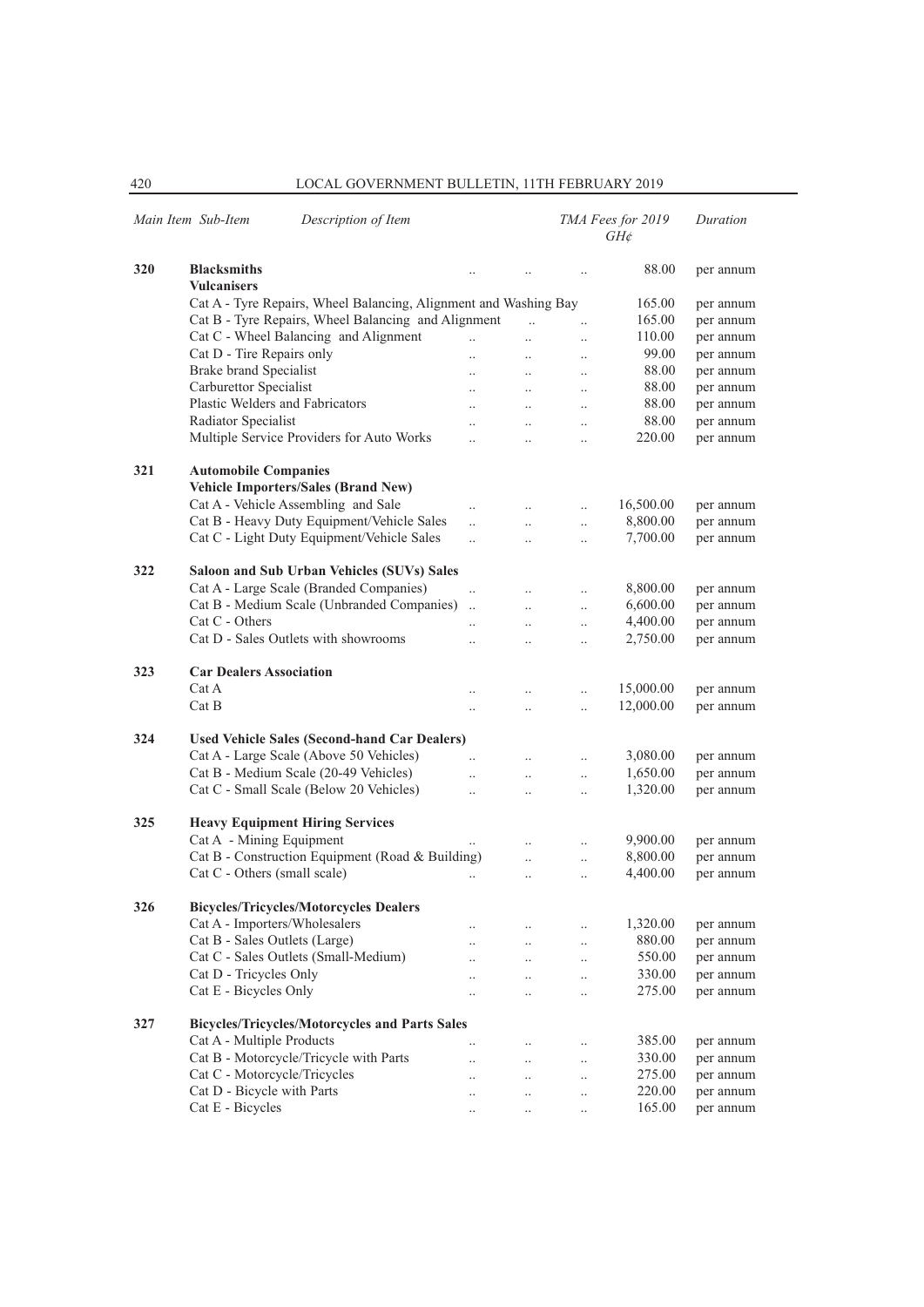|     | Main Item Sub-Item<br>Description of Item                        |                      |                      |                      | TMA Fees for 2019<br>$GH\phi$ | Duration  |  |  |
|-----|------------------------------------------------------------------|----------------------|----------------------|----------------------|-------------------------------|-----------|--|--|
| 320 | <b>Blacksmiths</b><br><b>Vulcanisers</b>                         |                      |                      |                      | 88.00                         | per annum |  |  |
|     | Cat A - Tyre Repairs, Wheel Balancing, Alignment and Washing Bay |                      |                      |                      | 165.00                        | per annum |  |  |
|     | Cat B - Tyre Repairs, Wheel Balancing and Alignment              |                      |                      | $\ddotsc$            | 165.00                        | per annum |  |  |
|     | Cat C - Wheel Balancing and Alignment                            |                      |                      | $\ddot{\phantom{0}}$ | 110.00                        | per annum |  |  |
|     | Cat D - Tire Repairs only                                        | $\ddotsc$            | $\ddot{\phantom{a}}$ | $\ddotsc$            | 99.00                         | per annum |  |  |
|     | <b>Brake brand Specialist</b>                                    | $\ddotsc$            | $\ddot{\phantom{0}}$ | $\ldots$             | 88.00                         | per annum |  |  |
|     | Carburettor Specialist                                           | $\cdot$ .            | $\cdot$              | $\ldots$             | 88.00                         | per annum |  |  |
|     | Plastic Welders and Fabricators                                  | $\ddotsc$            | $\ddot{\phantom{a}}$ | $\ldots$             | 88.00                         | per annum |  |  |
|     | Radiator Specialist                                              |                      | $\ddotsc$            | $\ddotsc$            | 88.00                         | per annum |  |  |
|     | Multiple Service Providers for Auto Works                        | $\ddotsc$            | $\ddotsc$            | $\ddotsc$            | 220.00                        | per annum |  |  |
| 321 | <b>Automobile Companies</b>                                      |                      |                      |                      |                               |           |  |  |
|     | Vehicle Importers/Sales (Brand New)                              |                      |                      |                      |                               |           |  |  |
|     | Cat A - Vehicle Assembling and Sale                              | $\ddotsc$            |                      | $\ddotsc$            | 16,500.00                     | per annum |  |  |
|     | Cat B - Heavy Duty Equipment/Vehicle Sales                       | $\ddotsc$            | $\ddotsc$            | $\ddotsc$            | 8,800.00                      | per annum |  |  |
|     | Cat C - Light Duty Equipment/Vehicle Sales                       | $\ddotsc$            | $\ddotsc$            | $\ldots$             | 7,700.00                      | per annum |  |  |
| 322 | Saloon and Sub Urban Vehicles (SUVs) Sales                       |                      |                      |                      |                               |           |  |  |
|     | Cat A - Large Scale (Branded Companies)                          | $\ddotsc$            |                      | $\ddotsc$            | 8,800.00                      | per annum |  |  |
|     | Cat B - Medium Scale (Unbranded Companies)                       | $\ddotsc$            | $\ddotsc$            | $\ddotsc$            | 6,600.00                      | per annum |  |  |
|     | Cat C - Others                                                   | $\ddotsc$            | $\ddot{\phantom{0}}$ | $\ddotsc$            | 4,400.00                      | per annum |  |  |
|     | Cat D - Sales Outlets with showrooms                             | $\ddotsc$            | $\cdot$              | $\ldots$             | 2,750.00                      | per annum |  |  |
| 323 | <b>Car Dealers Association</b>                                   |                      |                      |                      |                               |           |  |  |
|     | Cat A                                                            | $\ddot{\phantom{a}}$ | $\ddot{\phantom{a}}$ | $\ddotsc$            | 15,000.00                     | per annum |  |  |
|     | Cat B                                                            | $\ddotsc$            | $\ddot{\phantom{a}}$ | $\ddotsc$            | 12,000.00                     | per annum |  |  |
| 324 | <b>Used Vehicle Sales (Second-hand Car Dealers)</b>              |                      |                      |                      |                               |           |  |  |
|     | Cat A - Large Scale (Above 50 Vehicles)                          |                      |                      | $\ddotsc$            | 3,080.00                      | per annum |  |  |
|     | Cat B - Medium Scale (20-49 Vehicles)                            | $\ddotsc$            | $\ddotsc$            | $\ddotsc$            | 1,650.00                      | per annum |  |  |
|     | Cat C - Small Scale (Below 20 Vehicles)                          | $\ddotsc$            | $\ddot{\phantom{a}}$ | $\ddotsc$            | 1,320.00                      | per annum |  |  |
| 325 | <b>Heavy Equipment Hiring Services</b>                           |                      |                      |                      |                               |           |  |  |
|     | Cat A - Mining Equipment                                         |                      | $\ddot{\phantom{a}}$ | $\ddotsc$            | 9,900.00                      | per annum |  |  |
|     | Cat B - Construction Equipment (Road & Building)                 |                      | $\ddotsc$            | $\ldots$             | 8,800.00                      | per annum |  |  |
|     | Cat C - Others (small scale)                                     |                      | $\ddot{\phantom{0}}$ | $\ddotsc$            | 4,400.00                      | per annum |  |  |
| 326 | <b>Bicycles/Tricycles/Motorcycles Dealers</b>                    |                      |                      |                      |                               |           |  |  |
|     | Cat A - Importers/Wholesalers                                    |                      |                      | $\cdot$ .            | 1,320.00                      | per annum |  |  |
|     | Cat B - Sales Outlets (Large)                                    | $\cdot$              | $\ddotsc$            | $\ldots$             | 880.00                        | per annum |  |  |
|     | Cat C - Sales Outlets (Small-Medium)                             |                      | $\cdot$              | $\ldots$             | 550.00                        | per annum |  |  |
|     | Cat D - Tricycles Only                                           | $\ddotsc$            | $\cdot$              | $\ldots$             | 330.00                        | per annum |  |  |
|     | Cat E - Bicycles Only                                            | $\ddotsc$            | $\cdot$              | $\ldots$             | 275.00                        | per annum |  |  |
| 327 | <b>Bicycles/Tricycles/Motorcycles and Parts Sales</b>            |                      |                      |                      |                               |           |  |  |
|     | Cat A - Multiple Products                                        | $\cdot$ .            |                      | $\ldots$             | 385.00                        | per annum |  |  |
|     | Cat B - Motorcycle/Tricycle with Parts                           |                      |                      | $\ldots$             | 330.00                        | per annum |  |  |
|     | Cat C - Motorcycle/Tricycles                                     | $\ddot{\phantom{a}}$ | $\ddot{\phantom{a}}$ | $\ldots$             | 275.00                        | per annum |  |  |
|     | Cat D - Bicycle with Parts                                       |                      |                      | $\ddot{\phantom{0}}$ | 220.00                        | per annum |  |  |
|     | Cat E - Bicycles                                                 | $\cdot$ .            |                      | $\ldots$             | 165.00                        | per annum |  |  |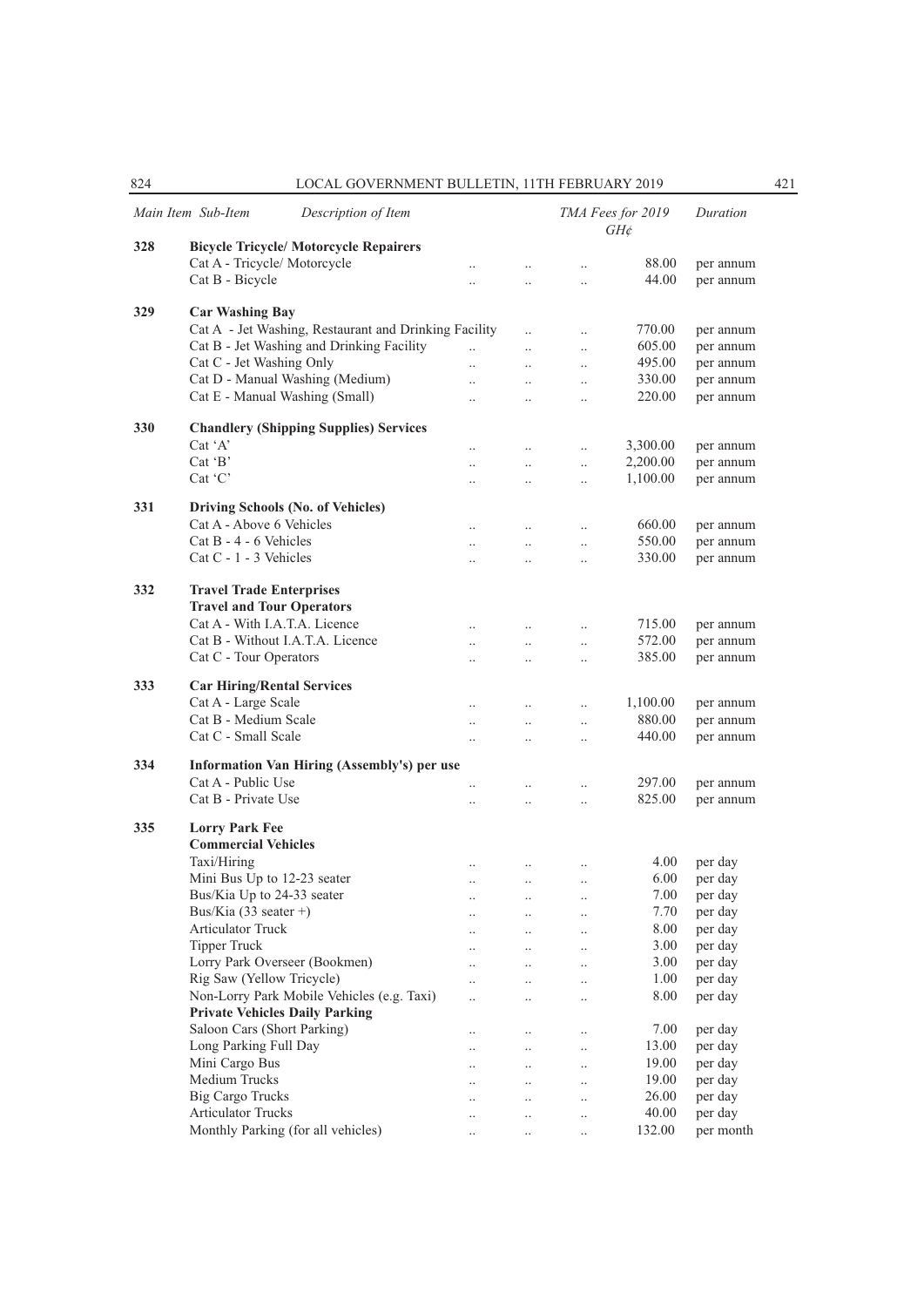|     | Main Item Sub-Item                      | Description of Item                                   |                      |                      |                      | TMA Fees for 2019<br>$GH$ ¢ | Duration           |
|-----|-----------------------------------------|-------------------------------------------------------|----------------------|----------------------|----------------------|-----------------------------|--------------------|
| 328 |                                         | <b>Bicycle Tricycle/ Motorcycle Repairers</b>         |                      |                      |                      |                             |                    |
|     | Cat A - Tricycle/ Motorcycle            |                                                       | $\cdot$ .            | $\ddotsc$            | $\ldots$             | 88.00                       | per annum          |
|     | Cat B - Bicycle                         |                                                       | $\ddotsc$            | $\ddot{\phantom{0}}$ | $\ddotsc$            | 44.00                       | per annum          |
|     |                                         |                                                       |                      |                      |                      |                             |                    |
| 329 | <b>Car Washing Bay</b>                  |                                                       |                      |                      |                      |                             |                    |
|     |                                         | Cat A - Jet Washing, Restaurant and Drinking Facility |                      |                      | $\ddot{\phantom{a}}$ | 770.00                      | per annum          |
|     |                                         | Cat B - Jet Washing and Drinking Facility             | $\ddotsc$            | $\ddot{\phantom{a}}$ | $\ddotsc$            | 605.00                      | per annum          |
|     | Cat C - Jet Washing Only                |                                                       | $\ddotsc$            | $\ddotsc$            | $\ddotsc$            | 495.00                      | per annum          |
|     |                                         | Cat D - Manual Washing (Medium)                       | $\ddot{\phantom{a}}$ | $\ddotsc$            | $\ddot{\phantom{0}}$ | 330.00                      | per annum          |
|     | Cat E - Manual Washing (Small)          |                                                       | $\ddot{\phantom{a}}$ | $\ddotsc$            | $\ddot{\phantom{0}}$ | 220.00                      | per annum          |
|     |                                         |                                                       |                      |                      |                      |                             |                    |
| 330 |                                         | <b>Chandlery (Shipping Supplies) Services</b>         |                      |                      |                      |                             |                    |
|     | Cat 'A'                                 |                                                       | $\cdot$ .            | $\ldots$             | $\ddotsc$            | 3,300.00                    | per annum          |
|     | Cat $B$                                 |                                                       | $\ddotsc$            | $\ddotsc$            | $\ddotsc$            | 2,200.00                    | per annum          |
|     | $Cat$ $C$                               |                                                       | $\ddotsc$            | $\ddotsc$            | $\ddotsc$            | 1,100.00                    | per annum          |
| 331 |                                         | Driving Schools (No. of Vehicles)                     |                      |                      |                      |                             |                    |
|     | Cat A - Above 6 Vehicles                |                                                       | $\ldots$             | $\ldots$             | $\ldots$             | 660.00                      | per annum          |
|     | Cat $B - 4 - 6$ Vehicles                |                                                       | $\ddotsc$            | $\ddotsc$            |                      | 550.00                      | per annum          |
|     | Cat C - 1 - 3 Vehicles                  |                                                       |                      |                      | $\ldots$             | 330.00                      | per annum          |
|     |                                         |                                                       | $\ddotsc$            | $\ddotsc$            | $\ddotsc$            |                             |                    |
| 332 | <b>Travel Trade Enterprises</b>         |                                                       |                      |                      |                      |                             |                    |
|     | <b>Travel and Tour Operators</b>        |                                                       |                      |                      |                      |                             |                    |
|     | Cat A - With I.A.T.A. Licence           |                                                       | $\ldots$             | $\ldots$             | $\ldots$             | 715.00                      | per annum          |
|     |                                         | Cat B - Without I.A.T.A. Licence                      | $\ddotsc$            | $\ldots$             | $\ldots$             | 572.00                      | per annum          |
|     | Cat C - Tour Operators                  |                                                       | $\ddotsc$            | $\ddotsc$            | $\ddotsc$            | 385.00                      | per annum          |
|     |                                         |                                                       |                      |                      |                      |                             |                    |
| 333 | <b>Car Hiring/Rental Services</b>       |                                                       |                      |                      |                      |                             |                    |
|     | Cat A - Large Scale                     |                                                       | $\ddotsc$            | $\ddotsc$            | $\ddotsc$            | 1,100.00                    | per annum          |
|     | Cat B - Medium Scale                    |                                                       | $\ldots$             | $\ldots$             | $\ldots$             | 880.00                      | per annum          |
|     | Cat C - Small Scale                     |                                                       | $\ldots$             | $\ldots$             | $\ldots$             | 440.00                      | per annum          |
|     |                                         |                                                       |                      |                      |                      |                             |                    |
| 334 |                                         | Information Van Hiring (Assembly's) per use           |                      |                      |                      |                             |                    |
|     | Cat A - Public Use                      |                                                       | $\ddotsc$            | $\ldots$             | $\ldots$             | 297.00                      | per annum          |
|     | Cat B - Private Use                     |                                                       | $\ddotsc$            | $\ddotsc$            | $\ldots$             | 825.00                      | per annum          |
| 335 | <b>Lorry Park Fee</b>                   |                                                       |                      |                      |                      |                             |                    |
|     | <b>Commercial Vehicles</b>              |                                                       |                      |                      |                      |                             |                    |
|     | Taxi/Hiring                             |                                                       |                      |                      |                      | 4.00                        | per day            |
|     | Mini Bus Up to 12-23 seater             |                                                       | $\ldots$             | $\ddotsc$            | $\ldots$             | 6.00                        |                    |
|     | Bus/Kia Up to 24-33 seater              |                                                       | $\ldots$             | $\ldots$             | $\ldots$             | 7.00                        | per day<br>per day |
|     | Bus/Kia $(33 \text{ scatter }+)$        |                                                       |                      | $\cdot\cdot$         | $\cdot \cdot$        | 7.70                        |                    |
|     | Articulator Truck                       |                                                       | $\cdot$ .            | $\cdot$ .            | $\cdot$ .            | 8.00                        | per day<br>per day |
|     | <b>Tipper Truck</b>                     |                                                       | $\cdot$ .            | $\ldots$             | $\ddotsc$            | 3.00                        | per day            |
|     | Lorry Park Overseer (Bookmen)           |                                                       |                      | $\ldots$             | $\ldots$             | 3.00                        | per day            |
|     | Rig Saw (Yellow Tricycle)               |                                                       | $\ddotsc$            | $\ddotsc$            | $\ldots$             | 1.00                        |                    |
|     |                                         | Non-Lorry Park Mobile Vehicles (e.g. Taxi)            |                      | $\ddotsc$            | $\ldots$             | 8.00                        | per day<br>per day |
|     | <b>Private Vehicles Daily Parking</b>   |                                                       | $\ddotsc$            | $\ddotsc$            | $\ddotsc$            |                             |                    |
|     | Saloon Cars (Short Parking)             |                                                       |                      |                      |                      |                             |                    |
|     |                                         |                                                       | $\cdot \cdot$        | $\ldots$             | $\ldots$             | 7.00                        | per day            |
|     | Long Parking Full Day<br>Mini Cargo Bus |                                                       | $\cdot \cdot$        | $\ddotsc$            | $\ldots$             | 13.00<br>19.00              | per day            |
|     | Medium Trucks                           |                                                       | $\cdot$ .            | $\ldots$             | $\ldots$             | 19.00                       | per day            |
|     |                                         |                                                       |                      | $\ddotsc$            | $\ldots$             |                             | per day            |
|     | <b>Big Cargo Trucks</b>                 |                                                       | $\ddotsc$            | $\ldots$             | $\ldots$             | 26.00                       | per day            |
|     | <b>Articulator Trucks</b>               |                                                       |                      | $\cdot$ .            | $\ldots$             | 40.00                       | per day            |
|     |                                         | Monthly Parking (for all vehicles)                    | $\cdot$ .            | $\ldots$             | $\ddotsc$            | 132.00                      | per month          |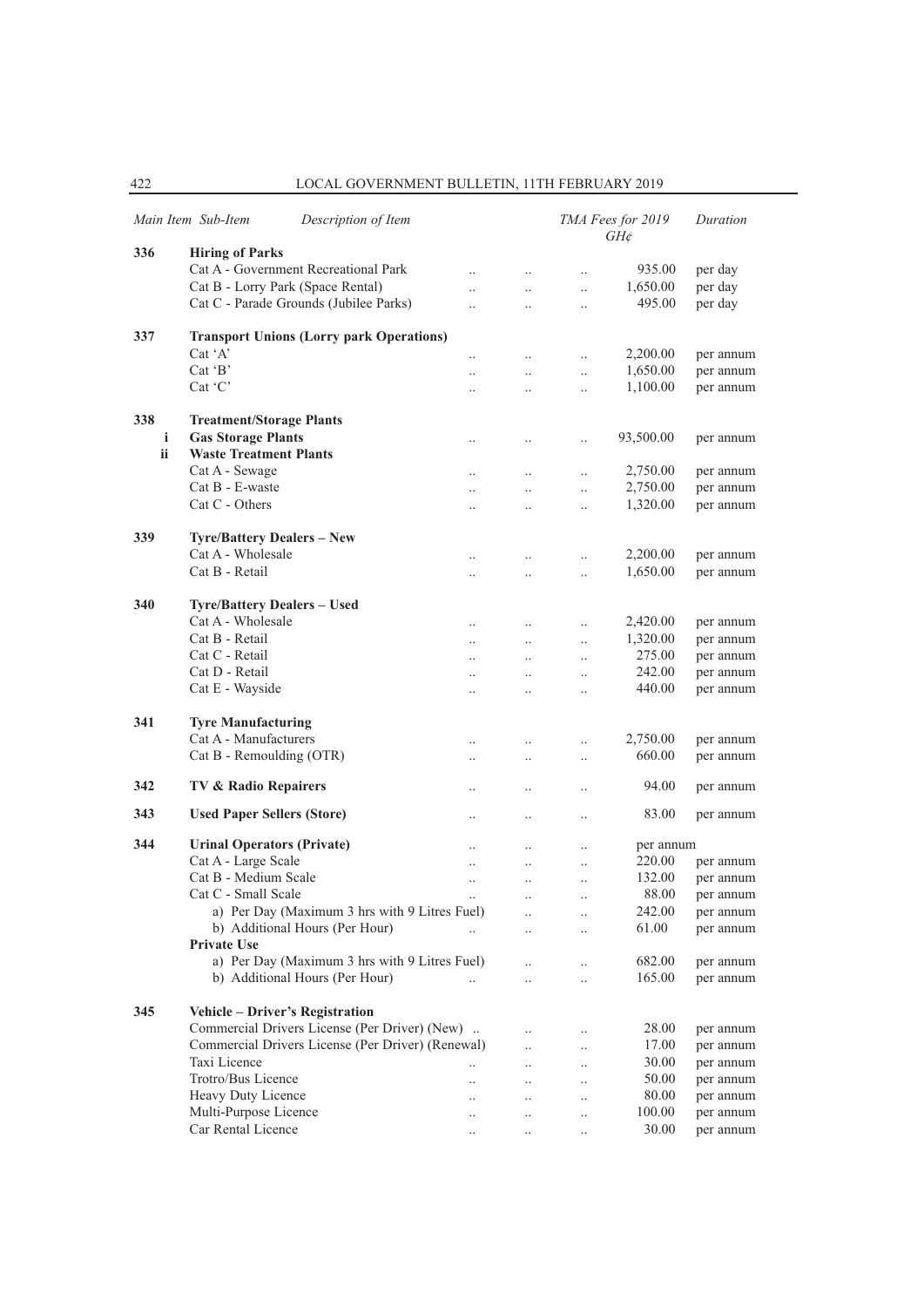|           | Description of Item<br>Main Item Sub-Item         |                      |                      |                      | TMA Fees for 2019<br>$GH\phi$ | Duration               |
|-----------|---------------------------------------------------|----------------------|----------------------|----------------------|-------------------------------|------------------------|
| 336       | <b>Hiring of Parks</b>                            |                      |                      |                      |                               |                        |
|           | Cat A - Government Recreational Park              | $\ddotsc$            | $\ddot{\phantom{0}}$ | $\ddotsc$            | 935.00                        | per day                |
|           | Cat B - Lorry Park (Space Rental)                 | $\ddotsc$            | $\ddotsc$            | $\ddotsc$            | 1,650.00                      | per day                |
|           | Cat C - Parade Grounds (Jubilee Parks)            | $\ddot{\phantom{a}}$ | $\ddotsc$            | $\ddotsc$            | 495.00                        | per day                |
| 337       | <b>Transport Unions (Lorry park Operations)</b>   |                      |                      |                      |                               |                        |
|           | $Cat^{\dagger}A'$                                 |                      |                      |                      | 2,200.00                      |                        |
|           | $Cat$ $B'$                                        | $\ddotsc$            | $\ddotsc$            | $\ldots$             |                               | per annum              |
|           | $Cat$ $C$                                         | $\ddot{\phantom{a}}$ | $\ddotsc$            | $\ddotsc$            | 1,650.00<br>1,100.00          | per annum              |
|           |                                                   | $\ddot{\phantom{a}}$ | $\ddot{\phantom{0}}$ | $\ddotsc$            |                               | per annum              |
| 338       | <b>Treatment/Storage Plants</b>                   |                      |                      |                      |                               |                        |
| i         | <b>Gas Storage Plants</b>                         | $\ldots$             | $\cdot$ .            | $\ldots$             | 93,500.00                     | per annum              |
| <b>ii</b> | <b>Waste Treatment Plants</b>                     |                      |                      |                      |                               |                        |
|           | Cat A - Sewage                                    | $\ddotsc$            | $\ddotsc$            | $\ldots$             | 2,750.00                      | per annum              |
|           | Cat B - E-waste                                   | $\ddotsc$            | $\ddotsc$            | $\ddotsc$            | 2,750.00                      | per annum              |
|           | Cat C - Others                                    | $\ddotsc$            | $\ddotsc$            | $\ddotsc$            | 1,320.00                      | per annum              |
| 339       | <b>Tyre/Battery Dealers - New</b>                 |                      |                      |                      |                               |                        |
|           | Cat A - Wholesale                                 | $\ddotsc$            | $\ddotsc$            | $\ldots$             | 2,200.00                      | per annum              |
|           | Cat B - Retail                                    | $\ddot{\phantom{0}}$ | $\ddot{\phantom{0}}$ | $\ddotsc$            | 1,650.00                      | per annum              |
| 340       | <b>Tyre/Battery Dealers - Used</b>                |                      |                      |                      |                               |                        |
|           | Cat A - Wholesale                                 | $\ddotsc$            | $\ddotsc$            | $\ldots$             | 2,420.00                      | per annum              |
|           | Cat B - Retail                                    | $\cdot$ .            | $\ddotsc$            | $\ddotsc$            | 1,320.00                      | per annum              |
|           | Cat C - Retail                                    | $\ddotsc$            | $\ddotsc$            | $\ddotsc$            | 275.00                        | per annum              |
|           | Cat D - Retail                                    | $\ddotsc$            | $\ddotsc$            | $\ddotsc$            | 242.00                        | per annum              |
|           | Cat E - Wayside                                   |                      |                      |                      | 440.00                        | per annum              |
|           |                                                   | $\ldots$             | $\cdot$ .            | $\ddotsc$            |                               |                        |
| 341       | <b>Tyre Manufacturing</b>                         |                      |                      |                      |                               |                        |
|           | Cat A - Manufacturers                             |                      |                      | $\ddot{\phantom{0}}$ | 2,750.00                      | per annum              |
|           | Cat B - Remoulding (OTR)                          | $\ddotsc$            | $\ddotsc$            | $\ddotsc$            | 660.00                        | per annum              |
| 342       | TV & Radio Repairers                              | $\ddotsc$            | $\ddotsc$            | $\ddotsc$            | 94.00                         | per annum              |
| 343       | <b>Used Paper Sellers (Store)</b>                 | $\ddotsc$            | $\ddotsc$            | $\ldots$             | 83.00                         | per annum              |
| 344       | <b>Urinal Operators (Private)</b>                 |                      |                      |                      |                               |                        |
|           | Cat A - Large Scale                               | $\ddotsc$            | $\ddot{\phantom{0}}$ | $\ddot{\phantom{0}}$ | per annum<br>220.00           |                        |
|           | Cat B - Medium Scale                              | $\ddotsc$            | $\ddotsc$            | $\ddotsc$            | 132.00                        | per annum              |
|           | Cat C - Small Scale                               | $\ldots$             | $\ldots$             | $\ddotsc$            | 88.00                         | per annum<br>per annum |
|           | a) Per Day (Maximum 3 hrs with 9 Litres Fuel)     | $\cdot \cdot$        | $\cdot \cdot$        |                      | 242.00                        | per annum              |
|           | b) Additional Hours (Per Hour)                    |                      |                      | $\cdot$ .            | 61.00                         |                        |
|           | <b>Private Use</b>                                |                      |                      |                      |                               | per annum              |
|           | a) Per Day (Maximum 3 hrs with 9 Litres Fuel)     |                      |                      | $\ddotsc$            | 682.00                        | per annum              |
|           | b) Additional Hours (Per Hour)                    |                      | $\cdot$              | $\ldots$             | 165.00                        | per annum              |
| 345       | Vehicle - Driver's Registration                   |                      |                      |                      |                               |                        |
|           | Commercial Drivers License (Per Driver) (New)     |                      |                      | $\ldots$             | 28.00                         | per annum              |
|           | Commercial Drivers License (Per Driver) (Renewal) |                      |                      | $\ddotsc$            | 17.00                         | per annum              |
|           | Taxi Licence                                      |                      |                      | $\ldots$             | 30.00                         | per annum              |
|           | Trotro/Bus Licence                                |                      | $\ddot{\phantom{a}}$ | $\ldots$             | 50.00                         | per annum              |
|           | Heavy Duty Licence                                |                      | $\ddot{\phantom{a}}$ | $\ddotsc$            | 80.00                         | per annum              |
|           | Multi-Purpose Licence                             |                      | $\ddotsc$            | $\ddotsc$            | 100.00                        | per annum              |
|           | Car Rental Licence                                | $\cdot$ .            | $\cdot$ .            | $\cdot$ .            | 30.00                         | per annum              |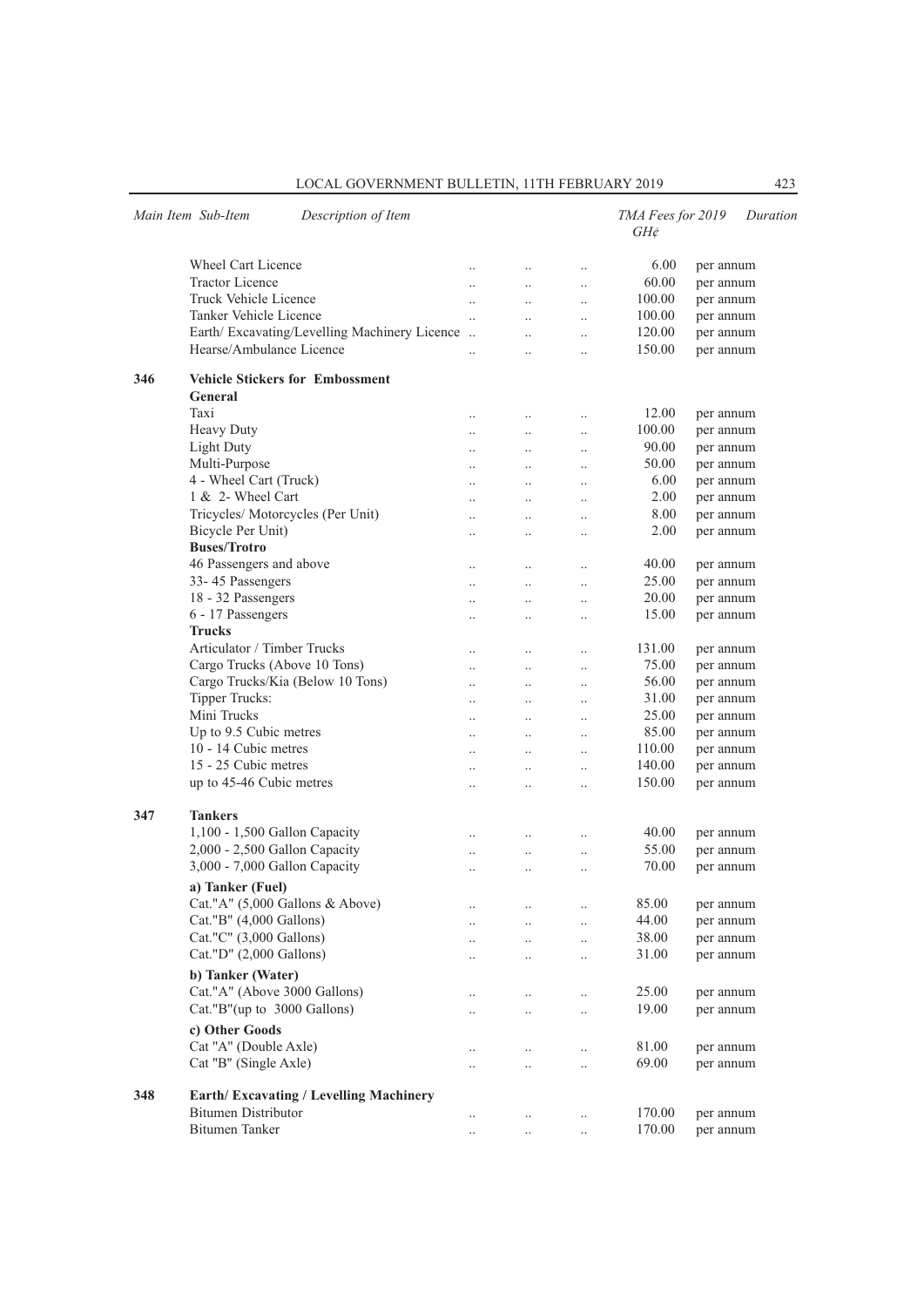|     | Main Item Sub-Item<br>Description of Item         |                      |                       |                      | TMA Fees for 2019<br>$GH\phi$ |           | Duration |
|-----|---------------------------------------------------|----------------------|-----------------------|----------------------|-------------------------------|-----------|----------|
|     | <b>Wheel Cart Licence</b>                         | $\cdot \cdot$        | $\ldots$              | $\ldots$             | 6.00                          | per annum |          |
|     | <b>Tractor Licence</b>                            | $\ddotsc$            | $\ddotsc$             | $\ddotsc$            | 60.00                         | per annum |          |
|     | Truck Vehicle Licence                             | $\ddotsc$            | $\ddots$              | $\ddot{\phantom{a}}$ | 100.00                        | per annum |          |
|     | Tanker Vehicle Licence                            | $\ddotsc$            | $\ldots$              | $\ddotsc$            | 100.00                        | per annum |          |
|     | Earth/Excavating/Levelling Machinery Licence      |                      | $\ddotsc$             | $\ddotsc$            | 120.00                        | per annum |          |
|     | Hearse/Ambulance Licence                          | $\ddot{\phantom{a}}$ | $\ldots$              | $\ddotsc$            | 150.00                        | per annum |          |
| 346 | <b>Vehicle Stickers for Embossment</b><br>General |                      |                       |                      |                               |           |          |
|     | Taxi                                              |                      |                       |                      | 12.00                         |           |          |
|     |                                                   | $\cdot$ .            | $\ldots$              | $\ldots$             | 100.00                        | per annum |          |
|     | Heavy Duty                                        | $\ddotsc$            | $\ldots$              | $\ddotsc$            | 90.00                         | per annum |          |
|     | <b>Light Duty</b>                                 | $\ddot{\phantom{a}}$ | $\ddots$              | $\ddotsc$            |                               | per annum |          |
|     | Multi-Purpose                                     | $\ddotsc$            | $\ddotsc$             | $\ddotsc$            | 50.00                         | per annum |          |
|     | 4 - Wheel Cart (Truck)<br>1 & 2- Wheel Cart       | $\cdot$ .            | $\ldots$              | $\cdot$ .            | 6.00<br>2.00                  | per annum |          |
|     |                                                   | $\ddotsc$            | $\ldots$              | $\cdot$ .            |                               | per annum |          |
|     | Tricycles/ Motorcycles (Per Unit)                 | $\cdot$ .            | $\ldots$              | $\ddotsc$            | 8.00                          | per annum |          |
|     | Bicycle Per Unit)<br><b>Buses/Trotro</b>          | $\ddot{\phantom{a}}$ | $\ddotsc$             | $\ddotsc$            | 2.00                          | per annum |          |
|     | 46 Passengers and above                           | $\cdot$ .            | $\ldots$              | $\cdot$ .            | 40.00                         | per annum |          |
|     | 33-45 Passengers                                  | $\ddotsc$            | $\ldots$              | $\ldots$             | 25.00                         | per annum |          |
|     | 18 - 32 Passengers                                | $\cdot$ .            | $\ldots$              | $\ddotsc$            | 20.00                         | per annum |          |
|     | 6 - 17 Passengers                                 | $\ddot{\phantom{a}}$ | $\ddotsc$             | $\ddotsc$            | 15.00                         | per annum |          |
|     | <b>Trucks</b>                                     |                      |                       |                      |                               |           |          |
|     | Articulator / Timber Trucks                       | $\cdot$ .            | $\ldots$              | $\ldots$             | 131.00                        | per annum |          |
|     | Cargo Trucks (Above 10 Tons)                      | $\ddotsc$            | $\ldots$              | $\ldots$             | 75.00                         | per annum |          |
|     | Cargo Trucks/Kia (Below 10 Tons)                  | $\cdot$ .            | $\ldots$              | $\ldots$             | 56.00                         | per annum |          |
|     | <b>Tipper Trucks:</b>                             | $\ddotsc$            | $\ldots$              | $\ddotsc$            | 31.00                         | per annum |          |
|     | Mini Trucks                                       | $\ddotsc$            | $\ddotsc$             | $\ddotsc$            | 25.00                         | per annum |          |
|     | Up to 9.5 Cubic metres                            | $\cdot$ .            | $\ldots$              | $\ldots$             | 85.00                         | per annum |          |
|     | 10 - 14 Cubic metres                              |                      | $\ldots$              | $\ddotsc$            | 110.00                        | per annum |          |
|     | 15 - 25 Cubic metres                              | $\ddotsc$            | $\ldots$              | $\ddotsc$            | 140.00                        | per annum |          |
|     | up to 45-46 Cubic metres                          | $\ddot{\phantom{a}}$ | $\ddotsc$             | $\ddotsc$            | 150.00                        | per annum |          |
| 347 | <b>Tankers</b>                                    |                      |                       |                      |                               |           |          |
|     | 1,100 - 1,500 Gallon Capacity                     | $\cdot$ .            | $\ldots$              | $\ldots$             | 40.00                         | per annum |          |
|     | 2,000 - 2,500 Gallon Capacity                     | $\ldots$             | $\ldots$              | $\ldots$             | 55.00                         | per annum |          |
|     | 3,000 - 7,000 Gallon Capacity                     | $\ddot{\phantom{a}}$ |                       | $\ddotsc$            | 70.00                         | per annum |          |
|     | a) Tanker (Fuel)                                  |                      |                       |                      |                               |           |          |
|     | Cat."A" (5,000 Gallons & Above)                   | $\ddotsc$            | $\ldots$              | $\ldots$             | 85.00                         | per annum |          |
|     | Cat."B" (4,000 Gallons)                           |                      | $\ldots$              | $\ldots$             | 44.00                         | per annum |          |
|     | Cat."C" (3,000 Gallons)                           |                      | $\ldots$              | $\ldots$             | 38.00                         | per annum |          |
|     | Cat."D" (2,000 Gallons)                           |                      | $\ldots$              | $\ldots$             | 31.00                         | per annum |          |
|     | b) Tanker (Water)                                 |                      |                       |                      |                               |           |          |
|     | Cat."A" (Above 3000 Gallons)                      | $\ldots$             | $\cdot$ .             | $\ldots$             | 25.00                         | per annum |          |
|     | Cat."B"(up to 3000 Gallons)                       |                      | $\ldots$              | $\ldots$             | 19.00                         | per annum |          |
|     | c) Other Goods                                    |                      |                       |                      |                               |           |          |
|     | Cat "A" (Double Axle)                             | $\cdot$              |                       | $\ldots$             | 81.00                         | per annum |          |
|     | Cat "B" (Single Axle)                             |                      | $\cdot$ .<br>$\ldots$ | $\ldots$             | 69.00                         | per annum |          |
|     |                                                   |                      |                       |                      |                               |           |          |
| 348 | <b>Earth/Excavating / Levelling Machinery</b>     |                      |                       |                      |                               |           |          |
|     | <b>Bitumen Distributor</b>                        | $\cdot$ .            | $\cdots$              | $\cdot$ .            | 170.00                        | per annum |          |
|     | Bitumen Tanker                                    | $\cdot$ .            | $\ldots$              | $\ldots$             | 170.00                        | per annum |          |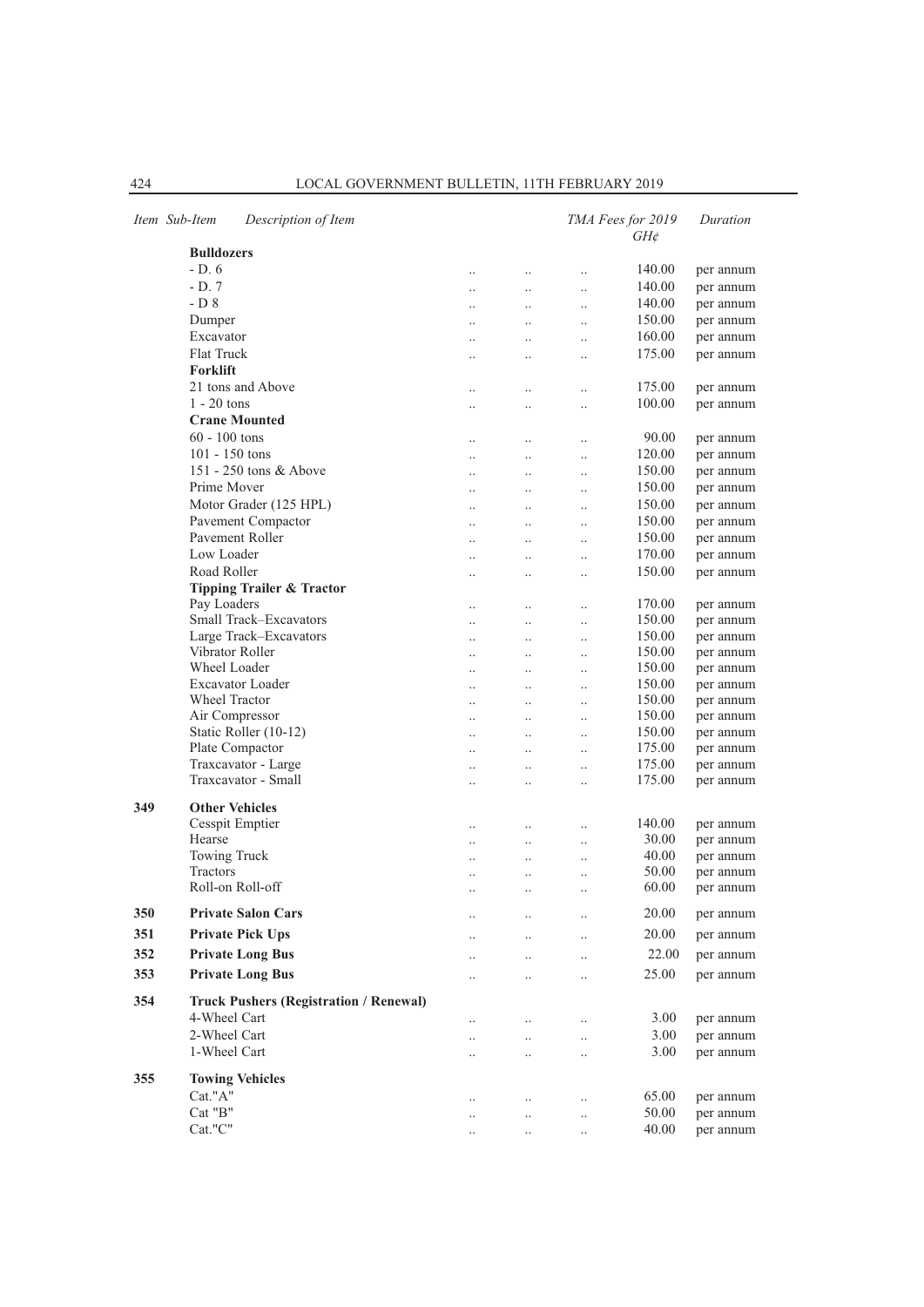|     | Item Sub-Item<br>Description of Item          |                        |                       |                        | TMA Fees for 2019<br>$GH\phi$ | Duration  |
|-----|-----------------------------------------------|------------------------|-----------------------|------------------------|-------------------------------|-----------|
|     | <b>Bulldozers</b>                             |                        |                       |                        |                               |           |
|     | $-D.6$                                        | $\ddotsc$              | $\ddots$              | $\ddot{\phantom{0}}$   | 140.00                        | per annum |
|     | $-D.7$                                        | $\ddot{\phantom{a}}$   | $\ddotsc$             | $\ddot{\phantom{0}}$   | 140.00                        | per annum |
|     | $-D8$                                         | $\cdot$ .              | $\ddotsc$             | $\ddotsc$              | 140.00                        | per annum |
|     | Dumper                                        | $\ddotsc$              | $\ldots$              | $\ddot{\phantom{a}}$   | 150.00                        | per annum |
|     | Excavator                                     |                        |                       |                        | 160.00                        | per annum |
|     | <b>Flat Truck</b>                             | $\ddotsc$              | $\ddotsc$             | $\ddotsc$              | 175.00                        | per annum |
|     | <b>Forklift</b>                               | $\ddotsc$              | $\ddot{\phantom{a}}$  | $\ddot{\phantom{0}}$   |                               |           |
|     | 21 tons and Above                             |                        |                       |                        |                               |           |
|     |                                               |                        | $\ldots$              | $\cdot$                | 175.00                        | per annum |
|     | $1 - 20$ tons                                 | $\cdot$                | $\ldots$              | $\ddotsc$              | 100.00                        | per annum |
|     | <b>Crane Mounted</b>                          |                        |                       |                        |                               |           |
|     | $60 - 100$ tons                               | $\cdot$ .              | $\ldots$              | $\ddotsc$              | 90.00                         | per annum |
|     | $101 - 150$ tons                              | $\ddot{\phantom{a}}$   | $\ddotsc$             | $\ddot{\phantom{a}}$   | 120.00                        | per annum |
|     | 151 - 250 tons & Above                        | $\cdot$                | $\ldots$              | $\ddotsc$              | 150.00                        | per annum |
|     | Prime Mover                                   | $\ddotsc$              | $\cdot$ .             | $\ddot{\phantom{a}}$   | 150.00                        | per annum |
|     | Motor Grader (125 HPL)                        | $\ddotsc$              | $\ddotsc$             | $\ddotsc$              | 150.00                        | per annum |
|     | Pavement Compactor                            | $\ddotsc$              | $\ldots$              | $\ddotsc$              | 150.00                        | per annum |
|     | Pavement Roller                               | $\ddot{\phantom{a}}$   | $\ddotsc$             | $\ddot{\phantom{a}}$   | 150.00                        | per annum |
|     | Low Loader                                    | $\cdot$                | $\ldots$              | $\ddotsc$              | 170.00                        | per annum |
|     | Road Roller                                   | $\ddot{\phantom{a}}$   | $\ldots$              | $\ddot{\phantom{a}}$   | 150.00                        | per annum |
|     | <b>Tipping Trailer &amp; Tractor</b>          |                        |                       |                        |                               |           |
|     | Pay Loaders                                   |                        |                       |                        | 170.00                        | per annum |
|     | Small Track-Excavators                        | $\ddot{\phantom{a}}$   | $\ddotsc$             | $\ddot{\phantom{0}}$   | 150.00                        | per annum |
|     | Large Track-Excavators                        | $\ddot{\phantom{a}}$   | $\ddotsc$             | $\ddotsc$              | 150.00                        | per annum |
|     | Vibrator Roller                               |                        | $\ldots$              | $\ddot{\phantom{a}}$   | 150.00                        | per annum |
|     | Wheel Loader                                  | $\ddotsc$              | $\ldots$              | $\ddotsc$              | 150.00                        |           |
|     | <b>Excavator Loader</b>                       | $\ddot{\phantom{a}}$   | $\ddotsc$             | $\ddot{\phantom{a}}$   | 150.00                        | per annum |
|     | Wheel Tractor                                 | $\ddotsc$              | $\ddotsc$             | $\ddot{\phantom{0}}$   | 150.00                        | per annum |
|     |                                               | $\ddotsc$              | $\ddotsc$             | $\ddotsc$              |                               | per annum |
|     | Air Compressor                                | $\ddot{\phantom{a}}$   | $\ddotsc$             | $\ddot{\phantom{a}}$   | 150.00                        | per annum |
|     | Static Roller (10-12)                         | $\ddot{\phantom{a}}$   | $\ddotsc$             | $\ddot{\phantom{0}}$   | 150.00                        | per annum |
|     | Plate Compactor                               | $\ddotsc$              | $\ldots$              | $\cdot$                | 175.00                        | per annum |
|     | Traxcavator - Large                           | $\cdot$                | $\ldots$              | $\cdot$ .              | 175.00                        | per annum |
|     | Traxcavator - Small                           | $\ddot{\phantom{a}}$   | $\ddotsc$             | $\ddotsc$              | 175.00                        | per annum |
| 349 | <b>Other Vehicles</b>                         |                        |                       |                        |                               |           |
|     | Cesspit Emptier                               |                        |                       |                        | 140.00                        | per annum |
|     | Hearse                                        | $\cdot$ .<br>$\ddotsc$ | $\ldots$<br>$\ddotsc$ | $\cdot$ .<br>$\ddotsc$ | 30.00                         | per annum |
|     | Towing Truck                                  | $\ddot{\phantom{a}}$   | $\ddotsc$             | $\ddot{\phantom{a}}$   | 40.00                         | per annum |
|     | <b>Tractors</b>                               |                        |                       |                        | 50.00                         | per annum |
|     | Roll-on Roll-off                              | $\ddotsc$              | $\ddotsc$             | $\cdot$                | 60.00                         | per annum |
|     |                                               | $\ddotsc$              | $\ldots$              | $\cdot$ .              |                               |           |
| 350 | <b>Private Salon Cars</b>                     | $\cdot$ .              | $\cdot$ .             | $\cdot$ .              | 20.00                         | per annum |
| 351 | <b>Private Pick Ups</b>                       | $\cdot$ .              | $\cdot$ .             | $\cdot$ .              | 20.00                         | per annum |
| 352 | <b>Private Long Bus</b>                       |                        |                       |                        | 22.00                         | per annum |
|     |                                               | $\cdot$ .              | $\cdot$ .             | $\cdot$ .              |                               |           |
| 353 | <b>Private Long Bus</b>                       | $\ddotsc$              | $\ddotsc$             | $\ddot{\phantom{a}}$   | 25.00                         | per annum |
| 354 | <b>Truck Pushers (Registration / Renewal)</b> |                        |                       |                        |                               |           |
|     | 4-Wheel Cart                                  |                        |                       | $\cdot$ .              | 3.00                          | per annum |
|     | 2-Wheel Cart                                  |                        | $\ddot{\phantom{0}}$  | $\ddot{\phantom{0}}$   | 3.00                          | per annum |
|     | 1-Wheel Cart                                  | $\cdot$ .              |                       | $\ddotsc$              | 3.00                          | per annum |
|     |                                               |                        |                       |                        |                               |           |
| 355 | <b>Towing Vehicles</b>                        |                        |                       |                        |                               |           |
|     | Cat."A"                                       | $\ddotsc$              | $\ddotsc$             | $\ddot{\phantom{0}}$   | 65.00                         | per annum |
|     | Cat "B"                                       | $\cdot$ .              |                       | $\ddotsc$              | 50.00                         | per annum |
|     | Cat."C"                                       | $\cdot$                | $\cdot$ .             | $\cdot$ .              | 40.00                         | per annum |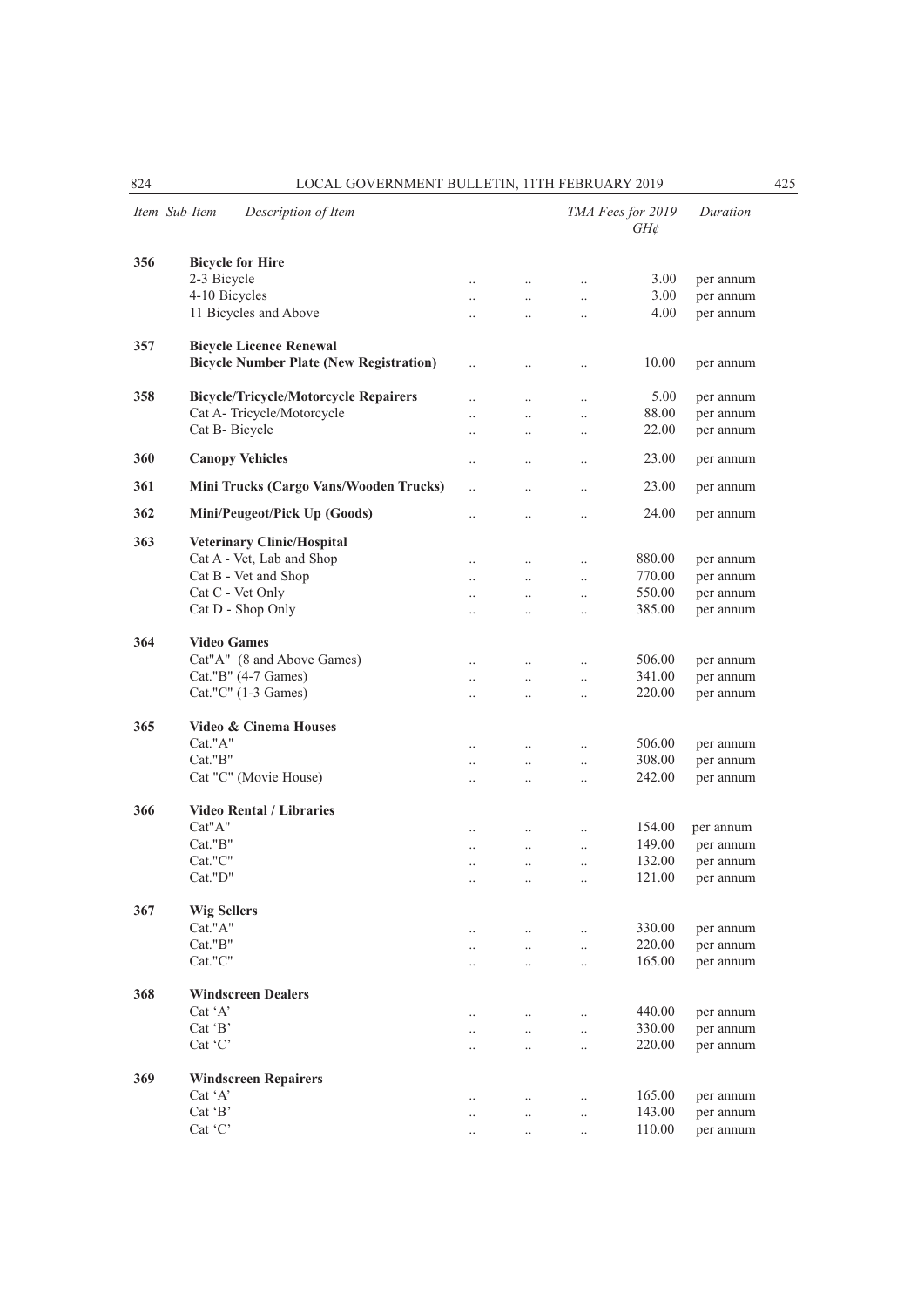|     | Item Sub-Item      | Description of Item                            |                        |                        |                                  | TMA Fees for 2019<br>$GH\mathcal{E}$ | Duration  |
|-----|--------------------|------------------------------------------------|------------------------|------------------------|----------------------------------|--------------------------------------|-----------|
| 356 |                    | <b>Bicycle for Hire</b>                        |                        |                        |                                  |                                      |           |
|     | 2-3 Bicycle        |                                                | $\ldots$               | $\ddotsc$              | $\ddotsc$                        | 3.00                                 | per annum |
|     | 4-10 Bicycles      |                                                | $\ldots$               | $\ldots$               | $\ldots$                         | 3.00                                 | per annum |
|     |                    | 11 Bicycles and Above                          | $\cdot$ .              | $\cdot$                | $\cdot$                          | 4.00                                 | per annum |
| 357 |                    | <b>Bicycle Licence Renewal</b>                 |                        |                        |                                  |                                      |           |
|     |                    | <b>Bicycle Number Plate (New Registration)</b> | $\ddotsc$              | $\ddotsc$              | $\ddot{\phantom{0}}$             | 10.00                                | per annum |
| 358 |                    | <b>Bicycle/Tricycle/Motorcycle Repairers</b>   | $\ddotsc$              | $\ldots$               | $\ldots$                         | 5.00                                 | per annum |
|     |                    | Cat A- Tricycle/Motorcycle                     |                        | $\ddot{\phantom{0}}$   | $\ddot{\phantom{0}}$             | 88.00                                | per annum |
|     | Cat B- Bicycle     |                                                | $\ddotsc$              | $\ddotsc$              | $\ddot{\phantom{0}}$             | 22.00                                | per annum |
| 360 |                    | <b>Canopy Vehicles</b>                         | $\ddotsc$              | $\ddotsc$              | $\ddotsc$                        | 23.00                                | per annum |
| 361 |                    | Mini Trucks (Cargo Vans/Wooden Trucks)         | $\ddotsc$              | $\ddotsc$              | $\ddot{\phantom{0}}$             | 23.00                                | per annum |
| 362 |                    | Mini/Peugeot/Pick Up (Goods)                   | $\cdot$                | $\ddotsc$              | $\ddot{\phantom{0}}$             | 24.00                                | per annum |
| 363 |                    | <b>Veterinary Clinic/Hospital</b>              |                        |                        |                                  |                                      |           |
|     |                    | Cat A - Vet, Lab and Shop                      | $\cdot \cdot$          | $\ddotsc$              | $\ldots$                         | 880.00                               | per annum |
|     |                    | Cat B - Vet and Shop                           | $\cdot \cdot$          | $\ldots$               | $\ldots$                         | 770.00                               | per annum |
|     |                    | Cat C - Vet Only                               | $\ddotsc$              | $\ddotsc$              | $\ldots$                         | 550.00                               | per annum |
|     |                    | Cat D - Shop Only                              | $\ddotsc$              |                        | $\ddot{\phantom{0}}$             | 385.00                               | per annum |
| 364 | <b>Video Games</b> |                                                |                        |                        |                                  |                                      |           |
|     |                    | Cat"A" (8 and Above Games)                     |                        |                        |                                  | 506.00                               | per annum |
|     |                    | Cat."B" (4-7 Games)                            | $\ddotsc$              |                        | $\ddot{\phantom{0}}$             | 341.00                               | per annum |
|     |                    | Cat."C" (1-3 Games)                            | $\ddotsc$<br>$\ddotsc$ | $\ldots$<br>$\ddotsc$  | $\ldots$<br>$\ddot{\phantom{0}}$ | 220.00                               | per annum |
|     |                    | Video & Cinema Houses                          |                        |                        |                                  |                                      |           |
| 365 |                    |                                                |                        |                        |                                  |                                      |           |
|     | Cat."A"            |                                                | $\cdot$ .              | $\ddotsc$              | $\ddot{\phantom{0}}$             | 506.00                               | per annum |
|     | Cat."B"            |                                                | $\cdot \cdot$          | $\ldots$               | $\ldots$                         | 308.00                               | per annum |
|     |                    | Cat "C" (Movie House)                          | $\ddotsc$              |                        | $\ddot{\phantom{0}}$             | 242.00                               | per annum |
| 366 |                    | <b>Video Rental / Libraries</b>                |                        |                        |                                  |                                      |           |
|     | Cat"A"             |                                                | $\ddotsc$              | $\ddotsc$              | $\ldots$                         | 154.00                               | per annum |
|     | Cat."B"            |                                                | $\ldots$               | $\ldots$               | $\ldots$                         | 149.00                               | per annum |
|     | Cat."C"            |                                                | $\ddotsc$              | $\ddotsc$              | $\ddotsc$                        | 132.00                               | per annum |
|     | Cat."D"            |                                                | $\cdot$ .              | $\ddot{\phantom{a}}$   | $\ddot{\phantom{a}}$             | 121.00                               | per annum |
| 367 | <b>Wig Sellers</b> |                                                |                        |                        |                                  |                                      |           |
|     | Cat."A"            |                                                | $\ddotsc$              |                        | $\ddotsc$                        | 330.00                               | per annum |
|     | Cat."B"            |                                                | $\ddotsc$              | $\ddotsc$              | $\ddot{\phantom{0}}$             | 220.00                               | per annum |
|     | Cat."C"            |                                                | $\ddotsc$              | $\ddotsc$              | $\ddot{\phantom{0}}$             | 165.00                               | per annum |
| 368 |                    | <b>Windscreen Dealers</b>                      |                        |                        |                                  |                                      |           |
|     | Cat 'A'            |                                                |                        | $\ddotsc$              |                                  | 440.00                               | per annum |
|     | Cat 'B'            |                                                | $\cdot$ .              |                        | $\ldots$<br>$\ddotsc$            | 330.00                               | per annum |
|     | Cat 'C'            |                                                | $\ddotsc$<br>$\ddotsc$ | $\ddotsc$<br>$\ddotsc$ | $\ddotsc$                        | 220.00                               | per annum |
|     |                    |                                                |                        |                        |                                  |                                      |           |
| 369 |                    | <b>Windscreen Repairers</b>                    |                        |                        |                                  |                                      |           |
|     | Cat 'A'            |                                                | $\ldots$               | $\ldots$               | $\ldots$                         | 165.00                               | per annum |
|     | Cat 'B'            |                                                | $\cdot$ .              | $\ddotsc$              | $\ldots$                         | 143.00                               | per annum |
|     | Cat 'C'            |                                                | $\cdot$ .              | $\ldots$               | $\ldots$                         | 110.00                               | per annum |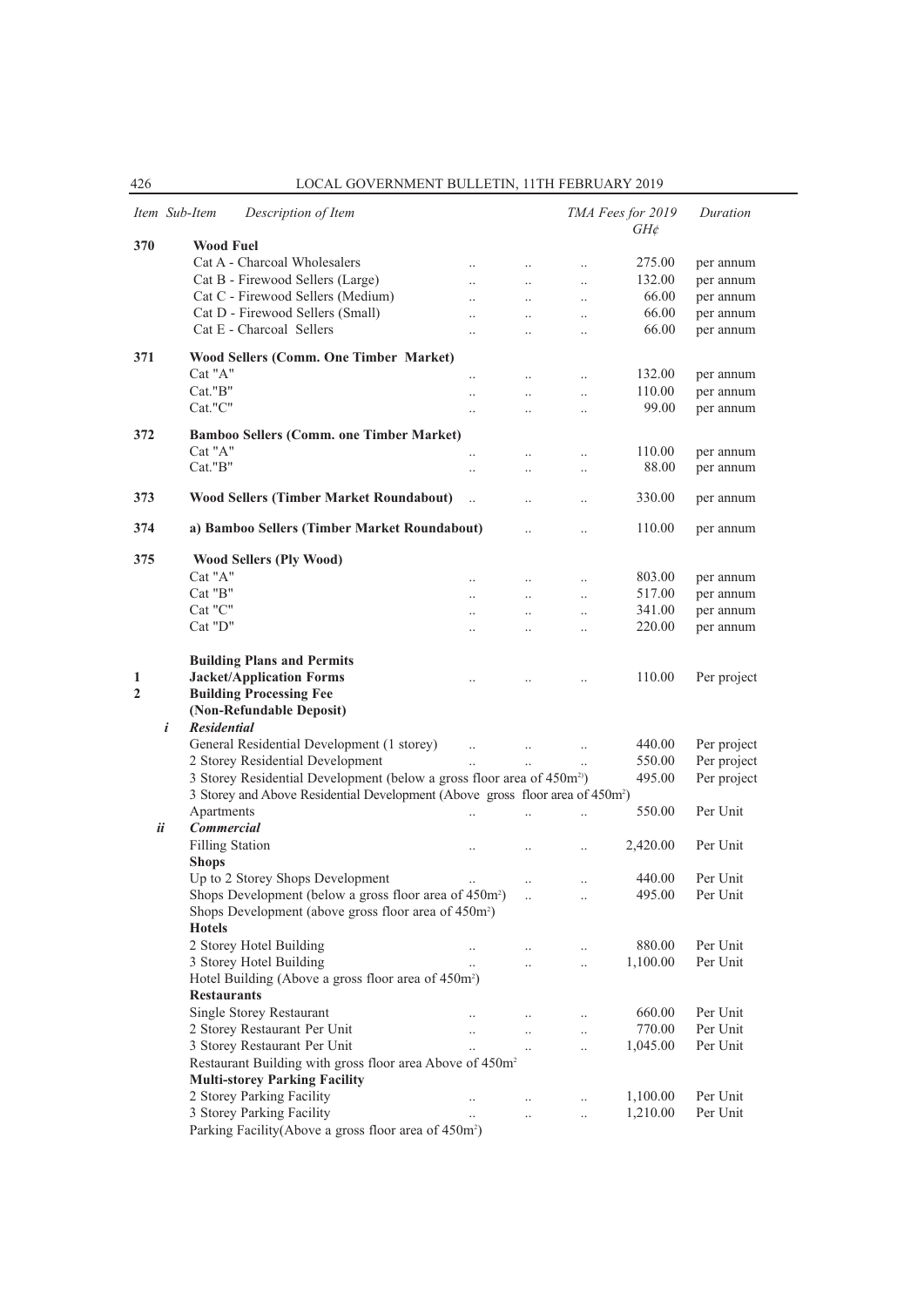|     | Description of Item<br>Item Sub-Item                                                      |                      |                      |                      | TMA Fees for 2019<br>$GH\phi$ | Duration    |
|-----|-------------------------------------------------------------------------------------------|----------------------|----------------------|----------------------|-------------------------------|-------------|
| 370 | <b>Wood Fuel</b>                                                                          |                      |                      |                      |                               |             |
|     | Cat A - Charcoal Wholesalers                                                              | $\ldots$             | $\ldots$             | $\ldots$             | 275.00                        | per annum   |
|     | Cat B - Firewood Sellers (Large)                                                          | $\ddotsc$            | $\ldots$             | $\ldots$             | 132.00                        | per annum   |
|     | Cat C - Firewood Sellers (Medium)                                                         |                      | $\ddotsc$            | $\ddot{\phantom{a}}$ | 66.00                         | per annum   |
|     | Cat D - Firewood Sellers (Small)                                                          | $\ddot{\phantom{a}}$ | $\ddotsc$            | $\ddotsc$            | 66.00                         | per annum   |
|     | Cat E - Charcoal Sellers                                                                  | $\ddotsc$            | $\ddotsc$            | $\ldots$             | 66.00                         | per annum   |
|     |                                                                                           |                      |                      |                      |                               |             |
| 371 | Wood Sellers (Comm. One Timber Market)                                                    |                      |                      |                      |                               |             |
|     | Cat "A"                                                                                   | $\cdot$ .            | $\ldots$             | $\ldots$             | 132.00                        | per annum   |
|     | Cat."B"                                                                                   | $\ddotsc$            | $\ldots$             | $\ldots$             | 110.00                        | per annum   |
|     | Cat."C"                                                                                   | $\ddot{\phantom{a}}$ | $\ddotsc$            | $\ddot{\phantom{a}}$ | 99.00                         | per annum   |
| 372 | Bamboo Sellers (Comm. one Timber Market)<br>Cat "A"                                       |                      |                      |                      | 110.00                        | per annum   |
|     | Cat."B"                                                                                   |                      | $\cdot$ .            | $\cdot$              | 88.00                         | per annum   |
|     |                                                                                           | $\cdot$ .            | $\cdot$ .            | $\ldots$             |                               |             |
| 373 | <b>Wood Sellers (Timber Market Roundabout)</b>                                            | $\ddotsc$            | $\ddotsc$            | $\ldots$             | 330.00                        | per annum   |
| 374 | a) Bamboo Sellers (Timber Market Roundabout)                                              |                      | $\ddotsc$            | $\ddotsc$            | 110.00                        | per annum   |
|     |                                                                                           |                      |                      |                      |                               |             |
| 375 | <b>Wood Sellers (Ply Wood)</b>                                                            |                      |                      |                      |                               |             |
|     | Cat "A"                                                                                   | $\ldots$             | $\ddotsc$            | $\ddotsc$            | 803.00                        | per annum   |
|     | $Cat$ " $B$ "                                                                             | $\ddotsc$            | $\ddotsc$            | $\ddotsc$            | 517.00                        | per annum   |
|     | $Cat$ " $C$ "                                                                             | $\ddotsc$            | $\ddotsc$            | $\ddotsc$            | 341.00                        | per annum   |
|     | Cat "D"                                                                                   | $\ddotsc$            | $\ddotsc$            | $\ddotsc$            | 220.00                        | per annum   |
|     |                                                                                           |                      |                      |                      |                               |             |
|     | <b>Building Plans and Permits</b>                                                         |                      |                      |                      |                               |             |
| 1   | <b>Jacket/Application Forms</b>                                                           | $\ddotsc$            | $\ddotsc$            | $\ddot{\phantom{a}}$ | 110.00                        | Per project |
| 2   | <b>Building Processing Fee</b>                                                            |                      |                      |                      |                               |             |
|     | (Non-Refundable Deposit)                                                                  |                      |                      |                      |                               |             |
|     | <b>Residential</b><br>i                                                                   |                      |                      |                      |                               |             |
|     | General Residential Development (1 storey)                                                | $\ddotsc$            | $\ddots$             | $\ldots$             | 440.00                        | Per project |
|     | 2 Storey Residential Development                                                          | $\ddotsc$            | $\ddotsc$            | $\ddotsc$            | 550.00                        | Per project |
|     | 3 Storey Residential Development (below a gross floor area of 450m <sup>2</sup> )         |                      |                      |                      | 495.00                        | Per project |
|     | 3 Storey and Above Residential Development (Above gross floor area of 450m <sup>2</sup> ) |                      |                      |                      |                               |             |
|     | Apartments                                                                                | $\ddotsc$            | $\ddotsc$            | $\ldots$             | 550.00                        | Per Unit    |
| ii  | <b>Commercial</b>                                                                         |                      |                      |                      |                               |             |
|     | <b>Filling Station</b>                                                                    | $\ldots$             | $\ldots$             | $\ddotsc$            | 2,420.00                      | Per Unit    |
|     | <b>Shops</b>                                                                              |                      |                      |                      |                               |             |
|     | Up to 2 Storey Shops Development                                                          | $\ddotsc$            | $\ddotsc$            | $\ddotsc$            | 440.00                        | Per Unit    |
|     | Shops Development (below a gross floor area of 450m <sup>2</sup> )                        |                      |                      | $\ldots$             | 495.00                        | Per Unit    |
|     | Shops Development (above gross floor area of 450m <sup>2</sup> )                          |                      |                      |                      |                               |             |
|     | <b>Hotels</b>                                                                             |                      |                      |                      |                               |             |
|     | 2 Storey Hotel Building                                                                   | $\ldots$             |                      | $\ldots$             | 880.00                        | Per Unit    |
|     | 3 Storey Hotel Building                                                                   |                      | $\ddotsc$            | $\ddotsc$            | 1,100.00                      | Per Unit    |
|     | Hotel Building (Above a gross floor area of 450m <sup>2</sup> )                           |                      |                      |                      |                               |             |
|     | <b>Restaurants</b>                                                                        |                      |                      |                      |                               |             |
|     | <b>Single Storey Restaurant</b>                                                           | $\ddots$             | $\ddots$             | $\ldots$             | 660.00                        | Per Unit    |
|     | 2 Storey Restaurant Per Unit                                                              | $\ddotsc$            | $\ddot{\phantom{a}}$ | $\ddotsc$            | 770.00                        | Per Unit    |
|     | 3 Storey Restaurant Per Unit                                                              | $\ddotsc$            | $\ddotsc$            | $\ddotsc$            | 1,045.00                      | Per Unit    |
|     | Restaurant Building with gross floor area Above of 450m <sup>2</sup>                      |                      |                      |                      |                               |             |
|     | <b>Multi-storey Parking Facility</b>                                                      |                      |                      |                      |                               |             |
|     | 2 Storey Parking Facility                                                                 | $\ldots$             | $\ddotsc$            | $\ldots$             | 1,100.00                      | Per Unit    |
|     | 3 Storey Parking Facility                                                                 |                      | $\ldots$             | $\ddotsc$            | 1,210.00                      | Per Unit    |
|     | Parking Facility(Above a gross floor area of 450m <sup>2</sup> )                          |                      |                      |                      |                               |             |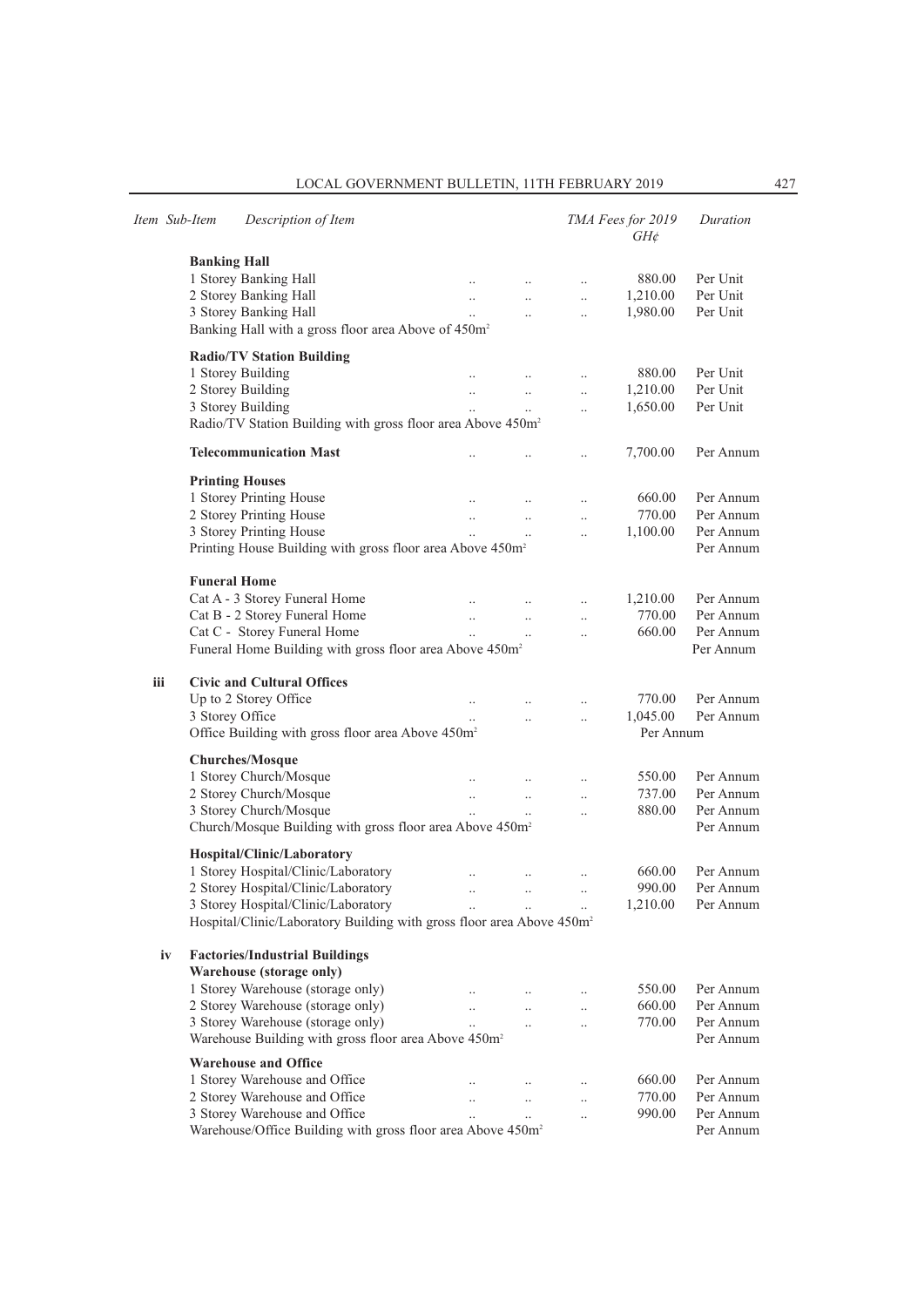|     | Item Sub-Item       | Description of Item                                                               |                      |                      |                      | TMA Fees for 2019<br>$GH\phi$ | Duration  |
|-----|---------------------|-----------------------------------------------------------------------------------|----------------------|----------------------|----------------------|-------------------------------|-----------|
|     | <b>Banking Hall</b> |                                                                                   |                      |                      |                      |                               |           |
|     |                     | 1 Storey Banking Hall                                                             |                      |                      | $\ddotsc$            | 880.00                        | Per Unit  |
|     |                     | 2 Storey Banking Hall                                                             | $\ddotsc$            | $\ddotsc$            | $\ddotsc$            | 1,210.00                      | Per Unit  |
|     |                     | 3 Storey Banking Hall                                                             | $\ddotsc$            | $\ddotsc$            | $\ddotsc$            | 1,980.00                      | Per Unit  |
|     |                     | Banking Hall with a gross floor area Above of 450m <sup>2</sup>                   |                      |                      |                      |                               |           |
|     |                     | <b>Radio/TV Station Building</b>                                                  |                      |                      |                      |                               |           |
|     |                     | 1 Storey Building                                                                 |                      |                      | $\ldots$             | 880.00                        | Per Unit  |
|     |                     | 2 Storey Building                                                                 | $\ddotsc$            | $\ddotsc$            | $\ddot{\phantom{a}}$ | 1,210.00                      | Per Unit  |
|     |                     | 3 Storey Building                                                                 | $\ddotsc$            | $\ddotsc$            | $\ddotsc$            | 1,650.00                      | Per Unit  |
|     |                     | Radio/TV Station Building with gross floor area Above 450m <sup>2</sup>           |                      |                      |                      |                               |           |
|     |                     | <b>Telecommunication Mast</b>                                                     |                      |                      | $\ddot{\phantom{0}}$ | 7,700.00                      | Per Annum |
|     |                     | <b>Printing Houses</b>                                                            |                      |                      |                      |                               |           |
|     |                     | 1 Storey Printing House                                                           |                      |                      | $\ldots$             | 660.00                        | Per Annum |
|     |                     | 2 Storey Printing House                                                           | $\ldots$             | $\ldots$             | $\ldots$             | 770.00                        | Per Annum |
|     |                     | 3 Storey Printing House                                                           |                      | $\ldots$             | $\ddot{\phantom{0}}$ | 1,100.00                      | Per Annum |
|     |                     | Printing House Building with gross floor area Above 450m <sup>2</sup>             |                      |                      |                      |                               | Per Annum |
|     |                     | <b>Funeral Home</b>                                                               |                      |                      |                      |                               |           |
|     |                     | Cat A - 3 Storey Funeral Home                                                     | $\ddotsc$            | $\ldots$             | $\ldots$             | 1,210.00                      | Per Annum |
|     |                     | Cat B - 2 Storey Funeral Home                                                     | $\ldots$             | $\ddotsc$            | $\ddotsc$            | 770.00                        | Per Annum |
|     |                     | Cat C - Storey Funeral Home                                                       | $\ddotsc$            |                      | $\ddot{\phantom{a}}$ | 660.00                        | Per Annum |
|     |                     | Funeral Home Building with gross floor area Above 450m <sup>2</sup>               |                      |                      |                      |                               | Per Annum |
| iii |                     | <b>Civic and Cultural Offices</b>                                                 |                      |                      |                      |                               |           |
|     |                     | Up to 2 Storey Office                                                             |                      |                      |                      | 770.00                        | Per Annum |
|     |                     | 3 Storey Office                                                                   |                      |                      | $\ddot{\phantom{0}}$ | 1,045.00                      | Per Annum |
|     |                     | Office Building with gross floor area Above 450m <sup>2</sup>                     |                      |                      |                      | Per Annum                     |           |
|     |                     |                                                                                   |                      |                      |                      |                               |           |
|     |                     | <b>Churches/Mosque</b>                                                            |                      |                      |                      |                               |           |
|     |                     | 1 Storey Church/Mosque                                                            |                      |                      | $\ddotsc$            | 550.00                        | Per Annum |
|     |                     | 2 Storey Church/Mosque                                                            | $\ldots$             | $\ldots$             | $\ldots$             | 737.00                        | Per Annum |
|     |                     | 3 Storey Church/Mosque                                                            |                      |                      | $\ddot{\phantom{0}}$ | 880.00                        | Per Annum |
|     |                     | Church/Mosque Building with gross floor area Above 450m <sup>2</sup>              |                      |                      |                      |                               | Per Annum |
|     |                     | Hospital/Clinic/Laboratory                                                        |                      |                      |                      |                               |           |
|     |                     | 1 Storey Hospital/Clinic/Laboratory                                               | $\ddot{\phantom{0}}$ |                      | $\cdot$              | 660.00                        | Per Annum |
|     |                     | 2 Storey Hospital/Clinic/Laboratory                                               | $\ddotsc$            | $\ldots$             | $\ddotsc$            | 990.00                        | Per Annum |
|     |                     | 3 Storey Hospital/Clinic/Laboratory                                               |                      |                      |                      | 1,210.00                      | Per Annum |
|     |                     | Hospital/Clinic/Laboratory Building with gross floor area Above 450m <sup>2</sup> |                      |                      |                      |                               |           |
|     | iv                  | <b>Factories/Industrial Buildings</b>                                             |                      |                      |                      |                               |           |
|     |                     | Warehouse (storage only)                                                          |                      |                      |                      |                               |           |
|     |                     | 1 Storey Warehouse (storage only)                                                 |                      |                      |                      | 550.00                        | Per Annum |
|     |                     | 2 Storey Warehouse (storage only)                                                 |                      | $\ddotsc$            | $\cdot$ .            | 660.00                        | Per Annum |
|     |                     | 3 Storey Warehouse (storage only)                                                 | $\ddot{\phantom{a}}$ | $\ddotsc$            | $\ddot{\phantom{0}}$ | 770.00                        | Per Annum |
|     |                     | Warehouse Building with gross floor area Above 450m <sup>2</sup>                  |                      |                      |                      |                               | Per Annum |
|     |                     | <b>Warehouse and Office</b>                                                       |                      |                      |                      |                               |           |
|     |                     | 1 Storey Warehouse and Office                                                     |                      |                      | $\cdot$ .            | 660.00                        | Per Annum |
|     |                     | 2 Storey Warehouse and Office                                                     |                      | $\ddot{\phantom{0}}$ | $\ddotsc$            | 770.00                        | Per Annum |
|     |                     | 3 Storey Warehouse and Office                                                     |                      | $\ddot{\phantom{0}}$ | $\ddot{\phantom{0}}$ | 990.00                        | Per Annum |
|     |                     | Warehouse/Office Building with gross floor area Above 450m <sup>2</sup>           |                      |                      |                      |                               | Per Annum |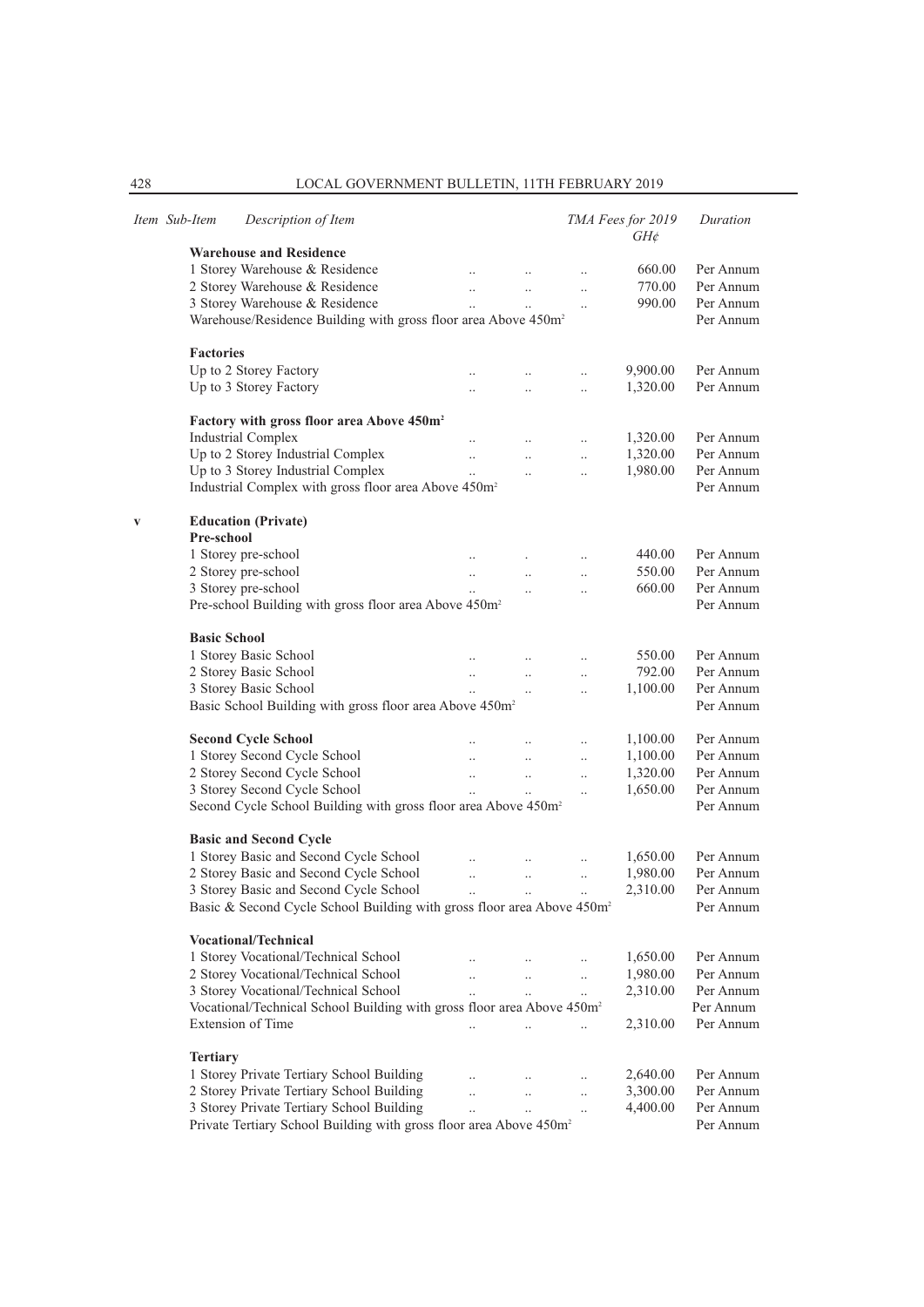|   | Item Sub-Item       | Description of Item                                                                |                       |                      |                      | TMA Fees for 2019<br>$GH\phi$ | Duration  |
|---|---------------------|------------------------------------------------------------------------------------|-----------------------|----------------------|----------------------|-------------------------------|-----------|
|   |                     | <b>Warehouse and Residence</b>                                                     |                       |                      |                      |                               |           |
|   |                     | 1 Storey Warehouse & Residence                                                     | $\ddotsc$             | $\ldots$             | $\cdot$              | 660.00                        | Per Annum |
|   |                     | 2 Storey Warehouse & Residence                                                     | $\ddotsc$             | $\ddotsc$            | $\ddotsc$            | 770.00                        | Per Annum |
|   |                     | 3 Storey Warehouse & Residence                                                     | $\ddotsc$             | $\ddotsc$            | $\ddotsc$            | 990.00                        | Per Annum |
|   |                     | Warehouse/Residence Building with gross floor area Above 450m <sup>2</sup>         |                       |                      |                      |                               | Per Annum |
|   | <b>Factories</b>    |                                                                                    |                       |                      |                      |                               |           |
|   |                     | Up to 2 Storey Factory                                                             |                       | $\ddotsc$            | $\ddot{\phantom{0}}$ | 9,900.00                      | Per Annum |
|   |                     | Up to 3 Storey Factory                                                             | $\ddotsc$             | $\ddot{\phantom{a}}$ | $\ddotsc$            | 1,320.00                      | Per Annum |
|   |                     | Factory with gross floor area Above 450m <sup>2</sup>                              |                       |                      |                      |                               |           |
|   |                     | <b>Industrial Complex</b>                                                          | $\ddotsc$             | $\ddots$             | $\ddotsc$            | 1,320.00                      | Per Annum |
|   |                     | Up to 2 Storey Industrial Complex                                                  | $\ddotsc$             |                      | $\ddotsc$            | 1,320.00                      | Per Annum |
|   |                     | Up to 3 Storey Industrial Complex                                                  | $\ddotsc$             | $\ddot{\phantom{a}}$ | $\ddotsc$            | 1,980.00                      | Per Annum |
|   |                     | Industrial Complex with gross floor area Above 450m <sup>2</sup>                   |                       |                      |                      |                               | Per Annum |
| V |                     | <b>Education (Private)</b>                                                         |                       |                      |                      |                               |           |
|   | Pre-school          |                                                                                    |                       |                      |                      |                               |           |
|   |                     | 1 Storey pre-school                                                                | $\ldots$              |                      | $\ldots$             | 440.00                        | Per Annum |
|   |                     | 2 Storey pre-school                                                                | $\ldots$              | $\ddotsc$            | $\ldots$             | 550.00                        | Per Annum |
|   |                     | 3 Storey pre-school                                                                |                       | $\ddot{\phantom{0}}$ | $\ddotsc$            | 660.00                        | Per Annum |
|   |                     | Pre-school Building with gross floor area Above 450m <sup>2</sup>                  |                       |                      |                      |                               | Per Annum |
|   | <b>Basic School</b> |                                                                                    |                       |                      |                      |                               |           |
|   |                     | 1 Storey Basic School                                                              |                       |                      | $\ldots$             | 550.00                        | Per Annum |
|   |                     | 2 Storey Basic School                                                              | $\ldots$              | $\ddotsc$            | $\ddotsc$            | 792.00                        | Per Annum |
|   |                     | 3 Storey Basic School                                                              |                       | $\ddotsc$            | $\ddotsc$            | 1,100.00                      | Per Annum |
|   |                     | Basic School Building with gross floor area Above 450m <sup>2</sup>                |                       |                      |                      |                               | Per Annum |
|   |                     | <b>Second Cycle School</b>                                                         |                       |                      | $\ldots$             | 1,100.00                      | Per Annum |
|   |                     | 1 Storey Second Cycle School                                                       | $\ddotsc$             | $\ddot{\phantom{a}}$ | $\ldots$             | 1,100.00                      | Per Annum |
|   |                     | 2 Storey Second Cycle School                                                       | $\ddotsc$             | $\ddotsc$            | $\ldots$             | 1,320.00                      | Per Annum |
|   |                     | 3 Storey Second Cycle School                                                       |                       |                      | $\ldots$             | 1,650.00                      | Per Annum |
|   |                     | Second Cycle School Building with gross floor area Above 450m <sup>2</sup>         |                       |                      |                      |                               | Per Annum |
|   |                     | <b>Basic and Second Cycle</b>                                                      |                       |                      |                      |                               |           |
|   |                     | 1 Storey Basic and Second Cycle School                                             | $\ddot{\phantom{0}}$  | $\ddotsc$            | $\ddotsc$            | 1,650.00                      | Per Annum |
|   |                     | 2 Storey Basic and Second Cycle School                                             | $\ddotsc$             | $\ddotsc$            | $\ldots$             | 1,980.00                      | Per Annum |
|   |                     | 3 Storey Basic and Second Cycle School                                             | $\ddot{\phantom{0}}$  | $\ldots$             | $\ddotsc$            | 2,310.00                      | Per Annum |
|   |                     | Basic & Second Cycle School Building with gross floor area Above 450m <sup>2</sup> |                       |                      |                      |                               | Per Annum |
|   |                     | <b>Vocational/Technical</b>                                                        |                       |                      |                      |                               |           |
|   |                     | 1 Storey Vocational/Technical School                                               |                       | $\ldots$             | $\ldots$             | 1,650.00                      | Per Annum |
|   |                     | 2 Storey Vocational/Technical School                                               | $\dddot{\phantom{0}}$ | $\ddots$             | $\ddots$             | 1,980.00                      | Per Annum |
|   |                     | 3 Storey Vocational/Technical School                                               | $\ddot{\phantom{a}}$  | $\ddotsc$            | $\ddotsc$            | 2,310.00                      | Per Annum |
|   |                     | Vocational/Technical School Building with gross floor area Above 450m <sup>2</sup> |                       |                      |                      |                               | Per Annum |
|   |                     | Extension of Time                                                                  | $\ddotsc$             | $\ddotsc$            |                      | 2,310.00                      | Per Annum |
|   | <b>Tertiary</b>     |                                                                                    |                       |                      |                      |                               |           |
|   |                     | 1 Storey Private Tertiary School Building                                          | $\ddotsc$             | $\ddots$             |                      | 2,640.00                      | Per Annum |
|   |                     | 2 Storey Private Tertiary School Building                                          |                       |                      | $\ldots$             | 3,300.00                      | Per Annum |
|   |                     | 3 Storey Private Tertiary School Building                                          | $\ddotsc$             | $\ddots$             | $\ldots$             | 4,400.00                      | Per Annum |
|   |                     | Private Tertiary School Building with gross floor area Above 450m <sup>2</sup>     | $\ddotsc$             | $\ddotsc$            | $\ldots$             |                               | Per Annum |
|   |                     |                                                                                    |                       |                      |                      |                               |           |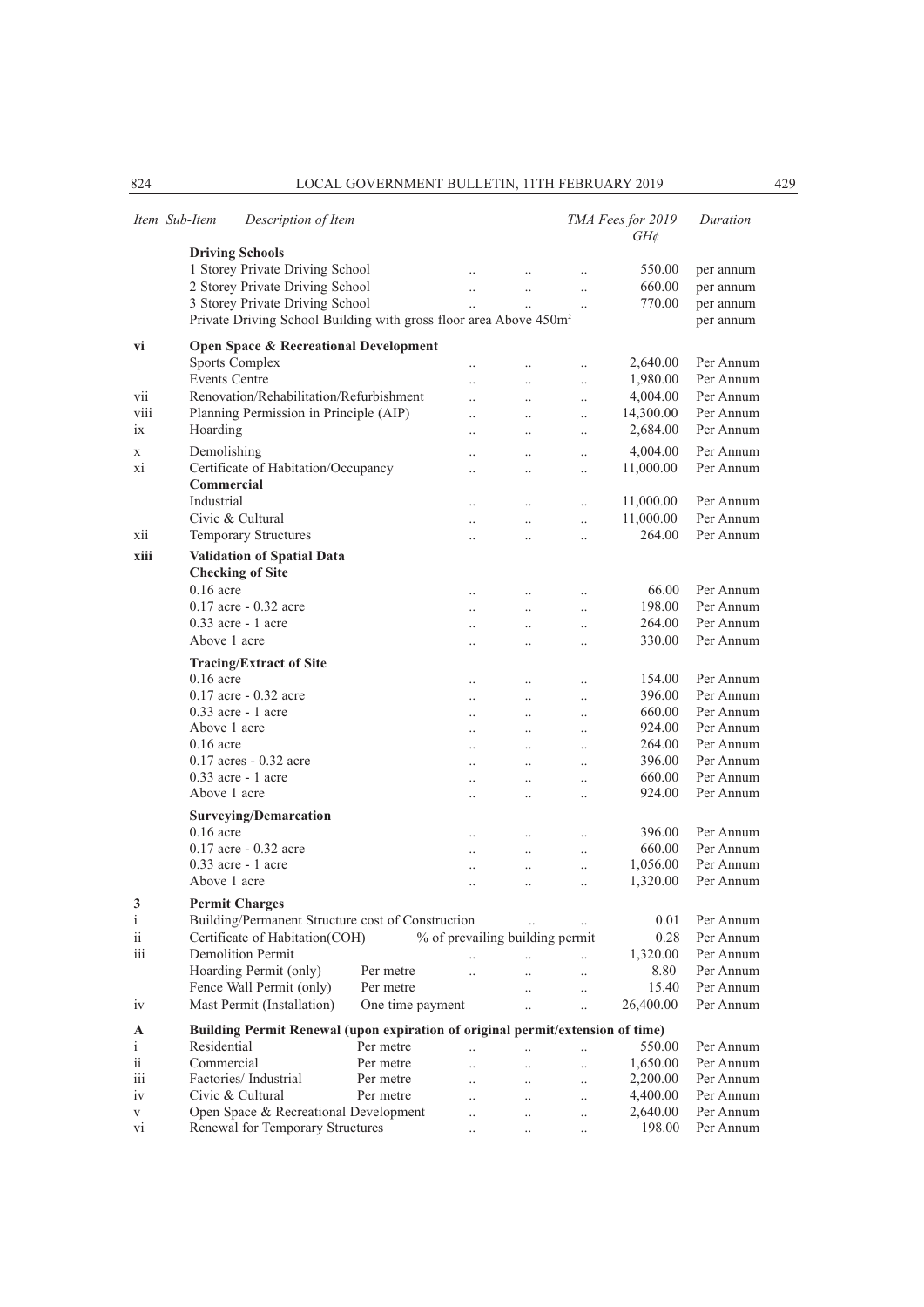|                          | Item Sub-Item        | Description of Item                                                            |                  |                                 |                      |                       | TMA Fees for 2019<br>$GH\phi$ | Duration  |
|--------------------------|----------------------|--------------------------------------------------------------------------------|------------------|---------------------------------|----------------------|-----------------------|-------------------------------|-----------|
|                          |                      | <b>Driving Schools</b>                                                         |                  |                                 |                      |                       |                               |           |
|                          |                      | 1 Storey Private Driving School                                                |                  | $\ddotsc$                       | $\ldots$             | $\ddotsc$             | 550.00                        | per annum |
|                          |                      | 2 Storey Private Driving School                                                |                  | $\ldots$                        | $\ddotsc$            | $\ldots$              | 660.00                        | per annum |
|                          |                      | 3 Storey Private Driving School                                                |                  | $\ddotsc$                       |                      |                       | 770.00                        | per annum |
|                          |                      | Private Driving School Building with gross floor area Above 450m <sup>2</sup>  |                  |                                 |                      | $\ddotsc$             |                               |           |
|                          |                      |                                                                                |                  |                                 |                      |                       |                               | per annum |
| vi                       |                      | <b>Open Space &amp; Recreational Development</b>                               |                  |                                 |                      |                       |                               |           |
|                          |                      | <b>Sports Complex</b>                                                          |                  |                                 |                      | $\ddotsc$             | 2,640.00                      | Per Annum |
|                          | <b>Events Centre</b> |                                                                                |                  | $\ddot{\phantom{a}}$            | $\ddotsc$            | $\ldots$              | 1,980.00                      | Per Annum |
| vii                      |                      | Renovation/Rehabilitation/Refurbishment                                        |                  | $\ddotsc$                       | $\ddotsc$            | $\ddotsc$             | 4,004.00                      | Per Annum |
| viii                     |                      | Planning Permission in Principle (AIP)                                         |                  |                                 |                      |                       | 14,300.00                     | Per Annum |
|                          |                      |                                                                                |                  | $\ddotsc$                       | $\ddotsc$            | $\ddotsc$             |                               |           |
| 1X                       | Hoarding             |                                                                                |                  | $\ddot{\phantom{0}}$            | $\ddotsc$            | $\ddotsc$             | 2,684.00                      | Per Annum |
| X                        | Demolishing          |                                                                                |                  | $\ddot{\phantom{0}}$            | $\ddotsc$            | $\ddotsc$             | 4,004.00                      | Per Annum |
| Xİ                       |                      | Certificate of Habitation/Occupancy                                            |                  | $\ddot{\phantom{a}}$            | $\ddotsc$            | $\ddotsc$             | 11,000.00                     | Per Annum |
|                          | <b>Commercial</b>    |                                                                                |                  |                                 |                      |                       |                               |           |
|                          | Industrial           |                                                                                |                  | $\ddotsc$                       | $\ldots$             | $\ddotsc$             | 11,000.00                     | Per Annum |
|                          |                      | Civic & Cultural                                                               |                  | $\ddot{\phantom{0}}$            | $\ddotsc$            | $\ddotsc$             | 11,000.00                     | Per Annum |
| xii                      |                      | <b>Temporary Structures</b>                                                    |                  |                                 | $\ddot{\phantom{0}}$ | $\ddotsc$             | 264.00                        | Per Annum |
|                          |                      |                                                                                |                  |                                 |                      |                       |                               |           |
| xiii                     |                      | Validation of Spatial Data                                                     |                  |                                 |                      |                       |                               |           |
|                          |                      | <b>Checking of Site</b>                                                        |                  |                                 |                      |                       |                               |           |
|                          | $0.16$ acre          |                                                                                |                  | $\ddot{\phantom{0}}$            | $\ddots$             | $\ldots$              | 66.00                         | Per Annum |
|                          |                      | $0.17$ acre $-0.32$ acre                                                       |                  | $\ddot{\phantom{0}}$            | $\ddot{\phantom{a}}$ | $\ddotsc$             | 198.00                        | Per Annum |
|                          |                      | $0.33$ acre - 1 acre                                                           |                  |                                 | $\ddotsc$            | $\ddotsc$             | 264.00                        | Per Annum |
|                          | Above 1 acre         |                                                                                |                  |                                 | $\ddotsc$            | $\ddotsc$             | 330.00                        | Per Annum |
|                          |                      |                                                                                |                  |                                 |                      |                       |                               |           |
|                          |                      | <b>Tracing/Extract of Site</b>                                                 |                  |                                 |                      |                       |                               |           |
|                          | $0.16$ acre          |                                                                                |                  |                                 | $\ddotsc$            | $\ddotsc$             | 154.00                        | Per Annum |
|                          |                      | $0.17$ acre $-0.32$ acre                                                       |                  | $\ddot{\phantom{0}}$            | $\ddots$             | $\ddotsc$             | 396.00                        | Per Annum |
|                          |                      | $0.33$ acre - 1 acre                                                           |                  | $\ddot{\phantom{a}}$            | $\ddots$             | $\ddotsc$             | 660.00                        | Per Annum |
|                          | Above 1 acre         |                                                                                |                  |                                 | $\ddots$             | $\ddotsc$             | 924.00                        | Per Annum |
|                          | $0.16$ acre          |                                                                                |                  |                                 | $\ddotsc$            | $\ddotsc$             | 264.00                        | Per Annum |
|                          |                      | $0.17$ acres $-0.32$ acre                                                      |                  |                                 | $\ddotsc$            | $\ddotsc$             | 396.00                        | Per Annum |
|                          |                      | $0.33$ acre - 1 acre                                                           |                  |                                 | $\ddotsc$            | $\ddotsc$             | 660.00                        | Per Annum |
|                          | Above 1 acre         |                                                                                |                  |                                 | $\ddotsc$            | $\ddotsc$             | 924.00                        | Per Annum |
|                          |                      |                                                                                |                  |                                 |                      |                       |                               |           |
|                          |                      | <b>Surveying/Demarcation</b>                                                   |                  |                                 |                      |                       |                               |           |
|                          | $0.16$ acre          |                                                                                |                  | $\ddot{\phantom{0}}$            | $\ddots$             | $\ldots$              | 396.00                        | Per Annum |
|                          |                      | $0.17$ acre $-0.32$ acre                                                       |                  | $\ddot{\phantom{0}}$            | $\ddots$             | $\ldots$              | 660.00                        | Per Annum |
|                          |                      | $0.33$ acre - 1 acre                                                           |                  |                                 | $\ddotsc$            | $\ddotsc$             | 1,056.00                      | Per Annum |
|                          | Above 1 acre         |                                                                                |                  |                                 | $\cdot$ .            | $\ddotsc$             | 1,320.00                      | Per Annum |
| 3                        |                      | <b>Permit Charges</b>                                                          |                  |                                 |                      |                       |                               |           |
| i                        |                      | Building/Permanent Structure cost of Construction                              |                  |                                 |                      |                       | 0.01                          | Per Annum |
| $\rm ii$                 |                      | Certificate of Habitation(COH)                                                 |                  | % of prevailing building permit |                      |                       | 0.28                          | Per Annum |
|                          |                      |                                                                                |                  |                                 |                      |                       |                               |           |
| iii                      |                      | <b>Demolition Permit</b>                                                       |                  |                                 | $\ddotsc$            | $\dddot{\phantom{0}}$ | 1,320.00                      | Per Annum |
|                          |                      | Hoarding Permit (only)                                                         | Per metre        | $\ddot{\phantom{a}}$            | $\ddotsc$            | $\ddot{\phantom{a}}$  | 8.80                          | Per Annum |
|                          |                      | Fence Wall Permit (only)                                                       | Per metre        |                                 | $\ddotsc$            | $\ddotsc$             | 15.40                         | Per Annum |
| iv                       |                      | Mast Permit (Installation)                                                     | One time payment |                                 | $\ddot{\phantom{a}}$ | $\ddotsc$             | 26,400.00                     | Per Annum |
| A                        |                      | Building Permit Renewal (upon expiration of original permit/extension of time) |                  |                                 |                      |                       |                               |           |
| i                        | Residential          |                                                                                | Per metre        |                                 |                      |                       | 550.00                        | Per Annum |
|                          | Commercial           |                                                                                |                  | $\ddot{\phantom{a}}$            | $\ddotsc$            | $\ddotsc$             |                               |           |
| $\overline{\mathbf{ii}}$ |                      |                                                                                | Per metre        | $\ddotsc$                       | $\ddotsc$            | $\ldots$              | 1,650.00                      | Per Annum |
| iii                      |                      | Factories/Industrial                                                           | Per metre        | $\ddotsc$                       | $\ddotsc$            | $\ldots$              | 2,200.00                      | Per Annum |
| iv                       |                      | Civic & Cultural                                                               | Per metre        | $\ddot{\phantom{0}}$            | $\ddotsc$            | $\ddotsc$             | 4,400.00                      | Per Annum |
| V                        |                      | Open Space & Recreational Development                                          |                  | $\ddot{\phantom{a}}$            | $\ddotsc$            | $\ddotsc$             | 2,640.00                      | Per Annum |
| vi                       |                      | Renewal for Temporary Structures                                               |                  | $\ddotsc$                       | $\ldots$             | $\ldots$              | 198.00                        | Per Annum |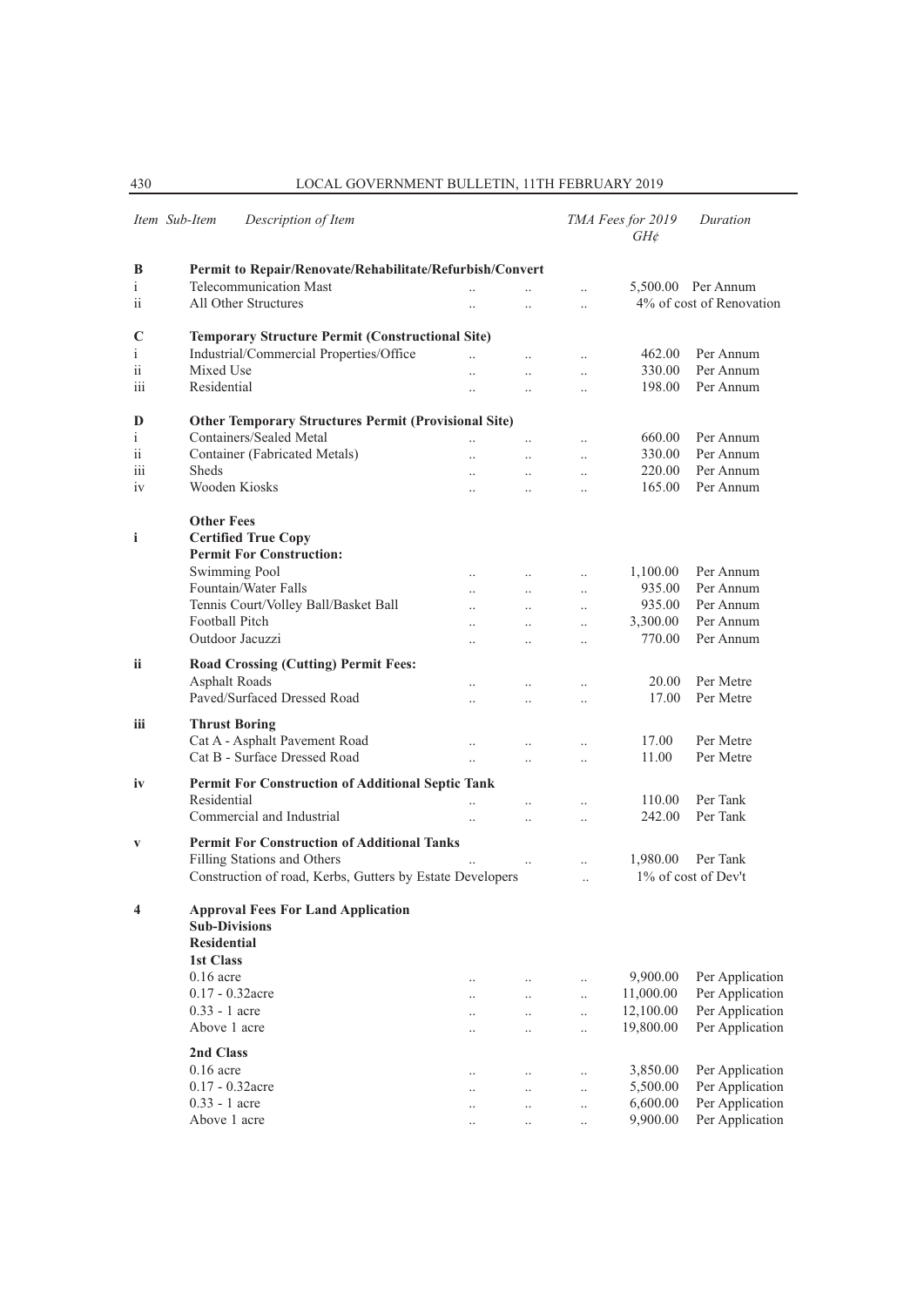|                   | Item Sub-Item<br>Description of Item                                                                 |                                   |                       |                       | TMA Fees for 2019<br>G H d | Duration                 |
|-------------------|------------------------------------------------------------------------------------------------------|-----------------------------------|-----------------------|-----------------------|----------------------------|--------------------------|
| B                 | Permit to Repair/Renovate/Rehabilitate/Refurbish/Convert                                             |                                   |                       |                       |                            |                          |
| Ť                 | Telecommunication Mast                                                                               | $\ddotsc$                         |                       | $\ddotsc$             |                            | 5,500.00 Per Annum       |
| ii                | All Other Structures                                                                                 | $\ddot{\phantom{a}}$              | $\ddot{\phantom{a}}$  | $\ddot{\phantom{a}}$  |                            | 4% of cost of Renovation |
|                   |                                                                                                      |                                   |                       |                       |                            |                          |
| C                 | <b>Temporary Structure Permit (Constructional Site)</b>                                              |                                   |                       |                       |                            |                          |
| $\mathbf{i}$      | Industrial/Commercial Properties/Office                                                              | $\ddot{\phantom{a}}$              | $\ddot{\phantom{0}}$  | $\ddot{\phantom{a}}$  | 462.00                     | Per Annum                |
| ii                | Mixed Use                                                                                            | $\ddotsc$                         | $\ddotsc$             | $\ddotsc$             | 330.00                     | Per Annum                |
| iii               | Residential                                                                                          | $\ddotsc$                         | $\ddot{\phantom{a}}$  | $\ddot{\phantom{a}}$  | 198.00                     | Per Annum                |
|                   |                                                                                                      |                                   |                       |                       |                            |                          |
| D<br>$\mathbf{i}$ | <b>Other Temporary Structures Permit (Provisional Site)</b><br>Containers/Sealed Metal               |                                   |                       |                       | 660.00                     | Per Annum                |
| ii                | Container (Fabricated Metals)                                                                        |                                   |                       |                       | 330.00                     | Per Annum                |
| iii               | <b>Sheds</b>                                                                                         | $\ddotsc$                         | $\ddot{\phantom{a}}$  | $\ddotsc$             | 220.00                     | Per Annum                |
|                   | Wooden Kiosks                                                                                        | $\cdot$                           | $\ddotsc$             | $\cdot$               | 165.00                     | Per Annum                |
| iv                |                                                                                                      |                                   | $\ddot{\phantom{a}}$  | $\ddot{\phantom{a}}$  |                            |                          |
| i                 | <b>Other Fees</b><br><b>Certified True Copy</b><br><b>Permit For Construction:</b>                   |                                   |                       |                       |                            |                          |
|                   | <b>Swimming Pool</b>                                                                                 | $\ddotsc$                         | $\ddots$              | $\ddotsc$             | 1,100.00                   | Per Annum                |
|                   | Fountain/Water Falls                                                                                 | $\ddot{\phantom{a}}$              | $\ddots$              | $\ddotsc$             | 935.00                     | Per Annum                |
|                   | Tennis Court/Volley Ball/Basket Ball                                                                 |                                   | $\ddot{\phantom{a}}$  | $\ddotsc$             | 935.00                     | Per Annum                |
|                   | Football Pitch                                                                                       | $\ddot{\phantom{a}}$              | $\ddot{\phantom{a}}$  | $\ddotsc$             | 3,300.00                   | Per Annum                |
|                   | Outdoor Jacuzzi                                                                                      |                                   |                       | $\ddot{\phantom{a}}$  | 770.00                     | Per Annum                |
| ii.               | Road Crossing (Cutting) Permit Fees:<br><b>Asphalt Roads</b><br>Paved/Surfaced Dressed Road          | $\ddot{\phantom{a}}$              | $\ddotsc$             |                       | 20.00<br>17.00             | Per Metre<br>Per Metre   |
|                   |                                                                                                      |                                   |                       | $\ddotsc$             |                            |                          |
| iii               | <b>Thrust Boring</b>                                                                                 |                                   |                       |                       |                            |                          |
|                   | Cat A - Asphalt Pavement Road                                                                        | $\ddotsc$                         | $\ddotsc$             | $\ddotsc$             | 17.00                      | Per Metre                |
|                   | Cat B - Surface Dressed Road                                                                         | $\ddotsc$                         | $\ddotsc$             | $\ddot{\phantom{a}}$  | 11.00                      | Per Metre                |
| iv                | Permit For Construction of Additional Septic Tank                                                    |                                   |                       |                       |                            |                          |
|                   | Residential                                                                                          | $\ddot{\phantom{0}}$              |                       | $\ddot{\phantom{0}}$  | 110.00                     | Per Tank                 |
|                   | Commercial and Industrial                                                                            | $\ddotsc$                         | $\ddotsc$             | $\ddotsc$             | 242.00                     | Per Tank                 |
|                   | <b>Permit For Construction of Additional Tanks</b>                                                   |                                   |                       |                       |                            |                          |
| V                 | Filling Stations and Others                                                                          |                                   |                       |                       |                            | Per Tank                 |
|                   |                                                                                                      |                                   | $\ddots$              | $\ddot{\phantom{a}}$  | 1,980.00                   | 1% of cost of Dev't      |
|                   | Construction of road, Kerbs, Gutters by Estate Developers                                            |                                   |                       | $\ddotsc$             |                            |                          |
| 4                 | <b>Approval Fees For Land Application</b><br><b>Sub-Divisions</b><br><b>Residential</b><br>1st Class |                                   |                       |                       |                            |                          |
|                   | $0.16$ acre                                                                                          |                                   |                       |                       | 9,900.00                   | Per Application          |
|                   | 0.17 - 0.32acre                                                                                      | $\cdot \cdot$                     |                       |                       | 11,000.00                  | Per Application          |
|                   | $0.33 - 1$ acre                                                                                      | $\ddots$                          | $\ldots$              | $\ldots$              | 12,100.00                  | Per Application          |
|                   | Above 1 acre                                                                                         | $\ddotsc$<br>$\ddot{\phantom{a}}$ | $\ldots$<br>$\ddotsc$ | $\ldots$<br>$\ddotsc$ | 19,800.00                  | Per Application          |
|                   |                                                                                                      |                                   |                       |                       |                            |                          |
|                   | 2nd Class<br>$0.16$ acre                                                                             |                                   |                       |                       |                            |                          |
|                   |                                                                                                      | $\cdot$ .                         | $\ldots$              | $\cdot$ .             | 3,850.00                   | Per Application          |
|                   | 0.17 - 0.32acre                                                                                      | $\cdot$ .                         | $\ldots$              | $\ldots$              | 5,500.00                   | Per Application          |
|                   | $0.33 - 1$ acre                                                                                      | $\ddotsc$                         | $\ddotsc$             | $\ddotsc$             | 6,600.00                   | Per Application          |
|                   | Above 1 acre                                                                                         | $\ddotsc$                         | $\ldots$              | $\ldots$              | 9,900.00                   | Per Application          |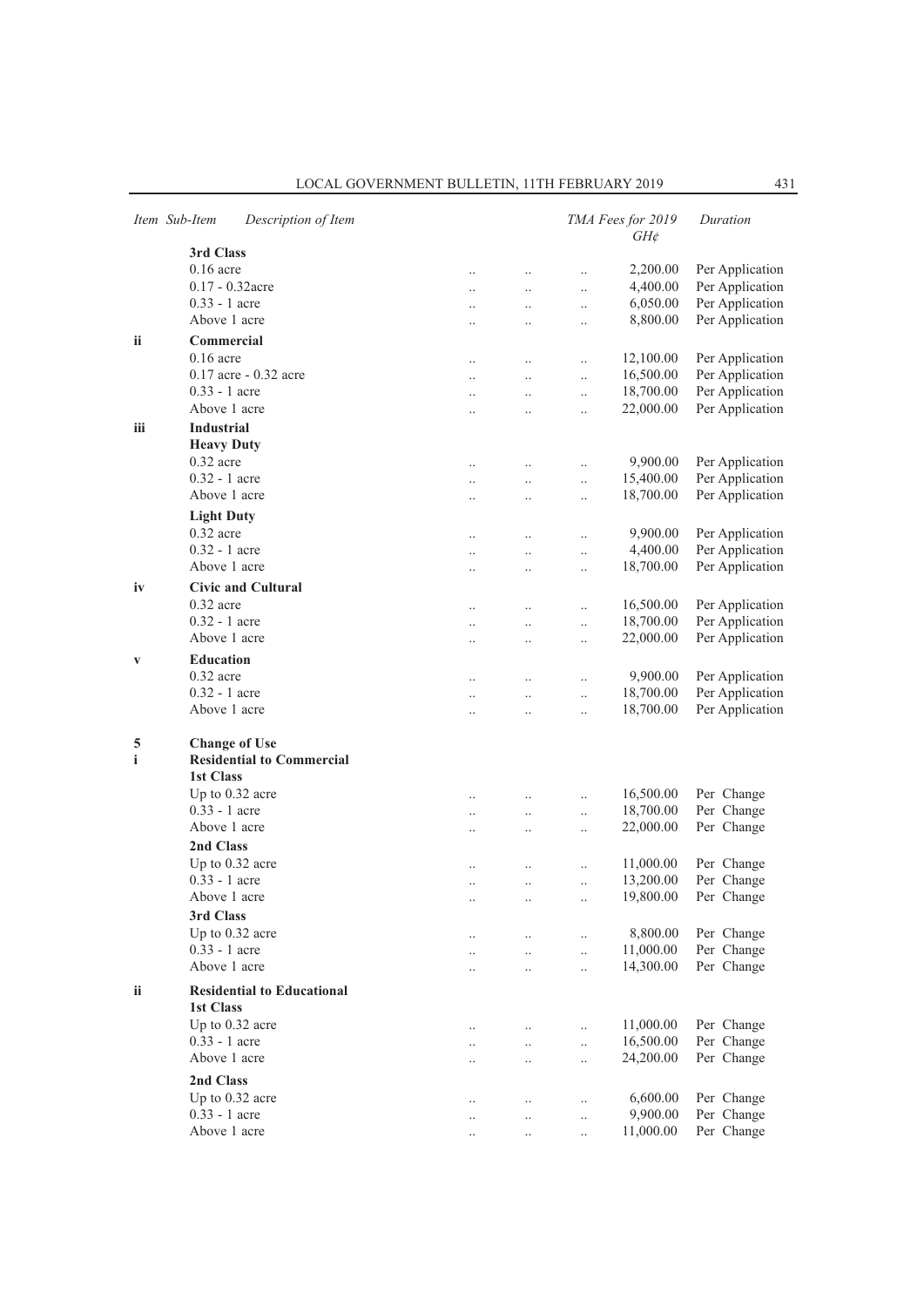|     | Item Sub-Item                    | Description of Item               |                      |                      |                      | TMA Fees for 2019<br>$GH\phi$ | Duration        |
|-----|----------------------------------|-----------------------------------|----------------------|----------------------|----------------------|-------------------------------|-----------------|
|     | 3rd Class                        |                                   |                      |                      |                      |                               |                 |
|     | $0.16$ acre                      |                                   | $\ldots$             | $\ldots$             | $\ddotsc$            | 2,200.00                      | Per Application |
|     | $0.17 - 0.32$ acre               |                                   | $\ddotsc$            | $\ddotsc$            | $\ldots$             | 4,400.00                      | Per Application |
|     | $0.33 - 1$ acre                  |                                   |                      | $\ddotsc$            | $\ddotsc$            | 6,050.00                      | Per Application |
|     | Above 1 acre                     |                                   | $\ddotsc$            | $\ddot{\phantom{0}}$ | $\ddotsc$            | 8,800.00                      | Per Application |
| ii  | Commercial                       |                                   |                      |                      |                      |                               |                 |
|     | $0.16$ acre                      |                                   | $\ldots$             | $\ldots$             | $\ldots$             | 12,100.00                     | Per Application |
|     |                                  | 0.17 acre - 0.32 acre             | $\ldots$             | $\ldots$             | $\ldots$             | 16,500.00                     | Per Application |
|     | $0.33 - 1$ acre                  |                                   | $\ddot{\phantom{a}}$ | $\ddot{\phantom{0}}$ | $\ldots$             | 18,700.00                     | Per Application |
|     | Above 1 acre                     |                                   |                      |                      | $\ddot{\phantom{0}}$ | 22,000.00                     | Per Application |
| iii | <b>Industrial</b>                |                                   |                      |                      |                      |                               |                 |
|     | <b>Heavy Duty</b>                |                                   |                      |                      |                      |                               |                 |
|     | $0.32$ acre                      |                                   |                      |                      | $\ddot{\phantom{a}}$ | 9,900.00                      | Per Application |
|     | $0.32 - 1$ acre                  |                                   | $\ddotsc$            | $\ddotsc$            | $\ddotsc$            | 15,400.00                     | Per Application |
|     | Above 1 acre                     |                                   | $\ldots$             | $\ldots$             | $\ddotsc$            | 18,700.00                     | Per Application |
|     | <b>Light Duty</b>                |                                   |                      |                      |                      |                               |                 |
|     | $0.32$ acre                      |                                   | $\cdot$              | $\ldots$             | $\ldots$             | 9,900.00                      | Per Application |
|     | $0.32 - 1$ acre                  |                                   | $\ldots$             | $\ldots$             | $\ldots$             | 4,400.00                      | Per Application |
|     | Above 1 acre                     |                                   | $\ddot{\phantom{a}}$ | $\ddot{\phantom{a}}$ | $\ddotsc$            | 18,700.00                     | Per Application |
| iv  |                                  | <b>Civic and Cultural</b>         |                      |                      |                      |                               |                 |
|     | $0.32$ acre                      |                                   |                      |                      |                      | 16,500.00                     | Per Application |
|     | 0.32 - 1 acre                    |                                   | $\ldots$             | $\ldots$             | $\ddotsc$            | 18,700.00                     | Per Application |
|     | Above 1 acre                     |                                   | $\ddotsc$            | $\ldots$             | $\ldots$             | 22,000.00                     | Per Application |
|     |                                  |                                   | $\ddot{\phantom{0}}$ | $\ddot{\phantom{0}}$ | $\ldots$             |                               |                 |
| V   | <b>Education</b>                 |                                   |                      |                      |                      |                               |                 |
|     | $0.32$ acre                      |                                   | $\ddotsc$            | $\ddotsc$            | $\ddotsc$            | 9,900.00                      | Per Application |
|     | $0.32 - 1$ acre                  |                                   | $\ddot{\phantom{0}}$ | $\ddotsc$            | $\ddotsc$            | 18,700.00                     | Per Application |
|     | Above 1 acre                     |                                   | $\ddot{\phantom{a}}$ | $\cdot$              | $\ldots$             | 18,700.00                     | Per Application |
| 5   | <b>Change of Use</b>             |                                   |                      |                      |                      |                               |                 |
| i   |                                  | <b>Residential to Commercial</b>  |                      |                      |                      |                               |                 |
|     | <b>1st Class</b>                 |                                   |                      |                      |                      |                               |                 |
|     | Up to $0.32$ acre                |                                   | $\cdot$              | $\ldots$             | $\ddotsc$            | 16,500.00                     | Per Change      |
|     | $0.33 - 1$ acre                  |                                   | $\ldots$             | $\ldots$             | $\ldots$             | 18,700.00                     | Per Change      |
|     | Above 1 acre                     |                                   |                      |                      | $\ddot{\phantom{a}}$ | 22,000.00                     | Per Change      |
|     | 2nd Class                        |                                   |                      |                      |                      |                               |                 |
|     | Up to 0.32 acre                  |                                   | $\ddotsc$            | $\ldots$             | $\ldots$             | 11,000.00                     | Per Change      |
|     | $0.33 - 1$ acre                  |                                   | $\ddotsc$            | $\ldots$             | $\ldots$             | 13,200.00                     | Per Change      |
|     | Above 1 acre                     |                                   |                      | $\cdot \cdot$        |                      | 19,800.00                     | Per Change      |
|     | 3rd Class                        |                                   |                      |                      |                      |                               |                 |
|     | Up to 0.32 acre                  |                                   | $\ldots$             | $\ldots$             | $\ddot{\phantom{a}}$ | 8,800.00                      | Per Change      |
|     | 0.33 - 1 acre                    |                                   | $\cdot \cdot$        | $\ldots$             | $\ddot{\phantom{0}}$ | 11,000.00                     | Per Change      |
|     | Above 1 acre                     |                                   |                      | $\ddot{\phantom{0}}$ | $\ddot{\phantom{0}}$ | 14,300.00                     | Per Change      |
|     |                                  |                                   |                      |                      |                      |                               |                 |
| ii  | 1st Class                        | <b>Residential to Educational</b> |                      |                      |                      |                               |                 |
|     |                                  |                                   |                      |                      |                      |                               |                 |
|     | Up to 0.32 acre<br>0.33 - 1 acre |                                   | $\ldots$             | $\ldots$             |                      | 11,000.00                     | Per Change      |
|     | Above 1 acre                     |                                   |                      | $\ddotsc$            | $\ddotsc$            | 16,500.00                     | Per Change      |
|     |                                  |                                   | $\cdot$ .            | $\ddotsc$            | $\ddotsc$            | 24,200.00                     | Per Change      |
|     | 2nd Class                        |                                   |                      |                      |                      |                               |                 |
|     | Up to 0.32 acre                  |                                   | $\ddotsc$            | $\ddotsc$            | $\ddotsc$            | 6,600.00                      | Per Change      |
|     | 0.33 - 1 acre                    |                                   |                      | $\ldots$             | $\ldots$             | 9,900.00                      | Per Change      |
|     | Above 1 acre                     |                                   |                      | $\cdot$              | $\ldots$             | 11,000.00                     | Per Change      |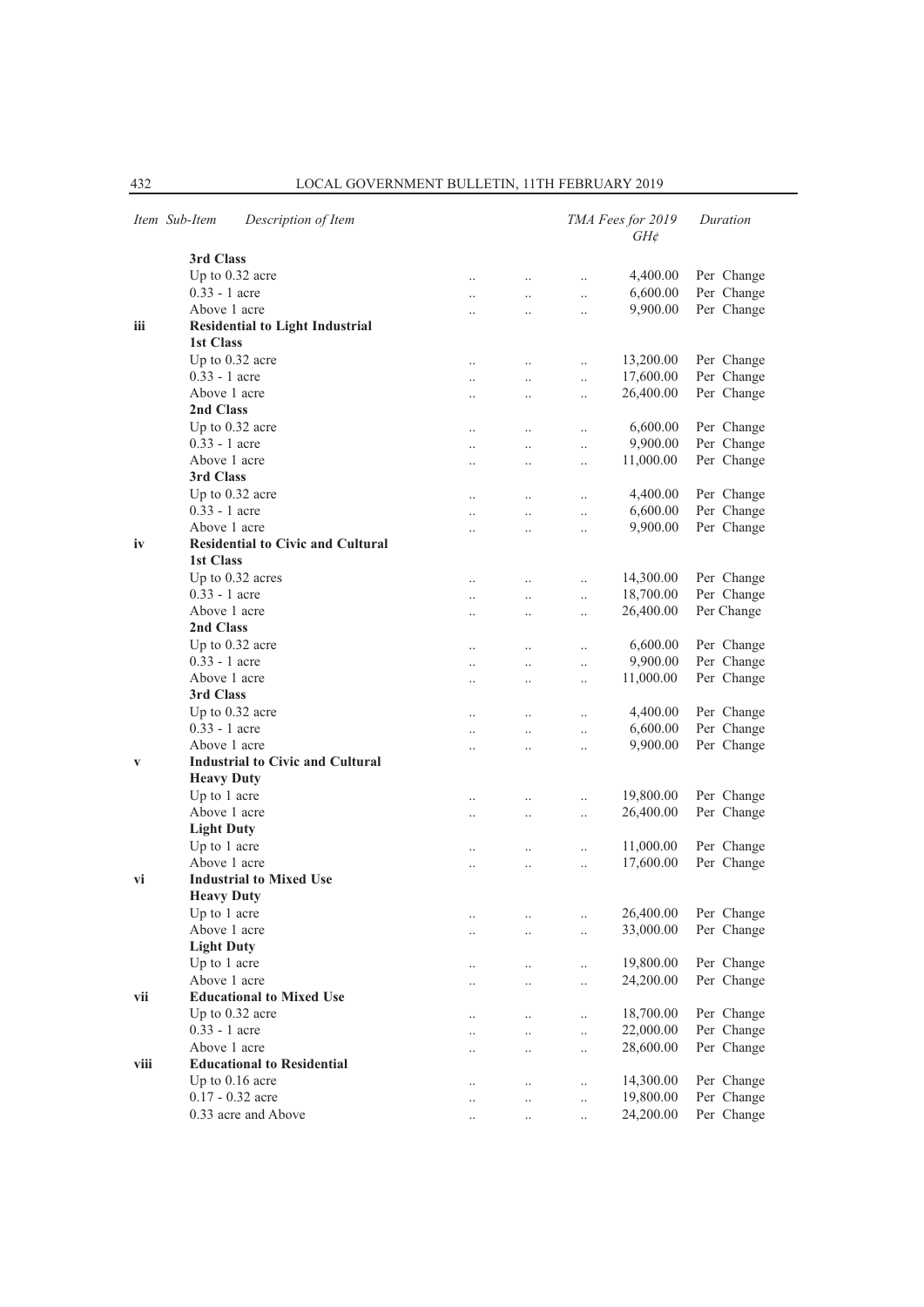|      | Item Sub-Item     | Description of Item                      |                      |                      |                      | TMA Fees for 2019<br>$GH\phi$ | Duration                 |  |
|------|-------------------|------------------------------------------|----------------------|----------------------|----------------------|-------------------------------|--------------------------|--|
|      | 3rd Class         |                                          |                      |                      |                      |                               |                          |  |
|      |                   | Up to 0.32 acre                          | $\ddot{\phantom{0}}$ | $\ddotsc$            |                      | 4,400.00                      | Per Change               |  |
|      | $0.33 - 1$ acre   |                                          | $\ddot{\phantom{0}}$ | $\ddotsc$            | $\ddotsc$            | 6,600.00                      | Per Change               |  |
|      | Above 1 acre      |                                          |                      | $\ddotsc$            | $\ldots$             | 9,900.00                      | Per Change               |  |
| iii  |                   | <b>Residential to Light Industrial</b>   |                      |                      |                      |                               |                          |  |
|      | 1st Class         |                                          |                      |                      |                      |                               |                          |  |
|      |                   | Up to 0.32 acre                          | $\ddot{\phantom{0}}$ | $\ddotsc$            | $\ddotsc$            | 13,200.00                     | Per Change               |  |
|      | $0.33 - 1$ acre   |                                          | $\ddot{\phantom{0}}$ | $\ddotsc$            | $\ddotsc$            | 17,600.00                     | Per Change               |  |
|      | Above 1 acre      |                                          |                      | $\ddotsc$            | $\ldots$             | 26,400.00                     | Per Change               |  |
|      | 2nd Class         |                                          |                      |                      |                      |                               |                          |  |
|      |                   | Up to 0.32 acre                          |                      |                      | $\ddot{\phantom{0}}$ | 6,600.00                      | Per Change               |  |
|      | $0.33 - 1$ acre   |                                          |                      | $\ddotsc$            |                      | 9,900.00                      | Per Change               |  |
|      | Above 1 acre      |                                          | $\ddot{\phantom{0}}$ |                      | $\ddotsc$            | 11,000.00                     | Per Change               |  |
|      | 3rd Class         |                                          | $\cdot$ .            | $\ldots$             | $\ldots$             |                               |                          |  |
|      |                   | Up to $0.32$ acre                        |                      |                      |                      | 4,400.00                      |                          |  |
|      | $0.33 - 1$ acre   |                                          | $\ddot{\phantom{0}}$ | $\ddotsc$            | $\ddot{\phantom{0}}$ | 6,600.00                      | Per Change<br>Per Change |  |
|      | Above 1 acre      |                                          | $\ddot{\phantom{a}}$ | $\ddotsc$            | $\ddot{\phantom{a}}$ | 9,900.00                      |                          |  |
|      |                   | <b>Residential to Civic and Cultural</b> |                      | $\ddotsc$            | $\ddotsc$            |                               | Per Change               |  |
| iv   |                   |                                          |                      |                      |                      |                               |                          |  |
|      | <b>1st Class</b>  |                                          |                      |                      |                      |                               |                          |  |
|      |                   | Up to 0.32 acres                         | $\ddot{\phantom{0}}$ | $\ddotsc$            | $\ddotsc$            | 14,300.00                     | Per Change               |  |
|      | $0.33 - 1$ acre   |                                          | $\ddotsc$            | $\ddotsc$            | $\ddotsc$            | 18,700.00                     | Per Change               |  |
|      | Above 1 acre      |                                          | $\ddot{\phantom{0}}$ | $\ddotsc$            | $\ddotsc$            | 26,400.00                     | Per Change               |  |
|      | 2nd Class         |                                          |                      |                      |                      |                               |                          |  |
|      |                   | Up to $0.32$ acre                        | $\ddot{\phantom{0}}$ | $\ddotsc$            | $\ddotsc$            | 6,600.00                      | Per Change               |  |
|      | $0.33 - 1$ acre   |                                          | $\ddot{\phantom{0}}$ | $\ddot{\phantom{0}}$ | $\ddot{\phantom{0}}$ | 9,900.00                      | Per Change               |  |
|      | Above 1 acre      |                                          | $\ddot{\phantom{a}}$ | $\ddot{\phantom{a}}$ | $\ddotsc$            | 11,000.00                     | Per Change               |  |
|      | 3rd Class         |                                          |                      |                      |                      |                               |                          |  |
|      |                   | Up to $0.32$ acre                        | $\ddotsc$            | $\ldots$             | $\ddotsc$            | 4,400.00                      | Per Change               |  |
|      | $0.33 - 1$ acre   |                                          |                      | $\ldots$             | $\ldots$             | 6,600.00                      | Per Change               |  |
|      | Above 1 acre      |                                          |                      | $\ddot{\phantom{0}}$ | $\ddotsc$            | 9,900.00                      | Per Change               |  |
| V    |                   | <b>Industrial to Civic and Cultural</b>  |                      |                      |                      |                               |                          |  |
|      | <b>Heavy Duty</b> |                                          |                      |                      |                      |                               |                          |  |
|      | Up to 1 acre      |                                          | $\ddotsc$            | $\ddotsc$            | $\ddotsc$            | 19,800.00                     | Per Change               |  |
|      | Above 1 acre      |                                          |                      | $\ldots$             | $\ldots$             | 26,400.00                     | Per Change               |  |
|      | <b>Light Duty</b> |                                          |                      |                      |                      |                               |                          |  |
|      | Up to 1 acre      |                                          | $\ddot{\phantom{a}}$ | $\ddotsc$            | $\ddotsc$            | 11,000.00                     | Per Change               |  |
|      | Above 1 acre      |                                          | $\ddot{\phantom{0}}$ | $\ldots$             | $\ddotsc$            | 17,600.00                     | Per Change               |  |
| vi   |                   | <b>Industrial to Mixed Use</b>           |                      |                      |                      |                               |                          |  |
|      | <b>Heavy Duty</b> |                                          |                      |                      |                      |                               |                          |  |
|      | Up to 1 acre      |                                          |                      |                      | $\cdot$ .            | 26,400.00                     | Per Change               |  |
|      | Above 1 acre      |                                          | $\ddot{\phantom{0}}$ | $\ddotsc$            | $\ddotsc$            | 33,000.00                     | Per Change               |  |
|      | <b>Light Duty</b> |                                          |                      |                      |                      |                               |                          |  |
|      | Up to 1 acre      |                                          | $\cdot$ .            | $\ldots$             | $\ddotsc$            | 19,800.00                     | Per Change               |  |
|      | Above 1 acre      |                                          |                      | $\ldots$             | $\ldots$             | 24,200.00                     | Per Change               |  |
| vii  |                   | <b>Educational to Mixed Use</b>          |                      |                      |                      |                               |                          |  |
|      |                   | Up to 0.32 acre                          |                      |                      |                      | 18,700.00                     | Per Change               |  |
|      | 0.33 - 1 acre     |                                          | $\ddot{\phantom{0}}$ | $\ddotsc$            | $\ldots$             | 22,000.00                     | Per Change               |  |
|      | Above 1 acre      |                                          | $\ddotsc$            | $\ldots$             | $\ldots$             | 28,600.00                     | Per Change               |  |
| viii |                   | <b>Educational to Residential</b>        |                      | $\ldots$             | $\ldots$             |                               |                          |  |
|      |                   | Up to $0.16$ acre                        |                      |                      |                      |                               | Per Change               |  |
|      |                   | 0.17 - 0.32 acre                         | $\ddotsc$            | $\ldots$             | $\ldots$             | 14,300.00                     |                          |  |
|      |                   |                                          | $\ddotsc$            | $\ddotsc$            | $\ddotsc$            | 19,800.00                     | Per Change               |  |
|      |                   | 0.33 acre and Above                      | $\ddotsc$            | $\ddotsc$            | $\ddotsc$            | 24,200.00                     | Per Change               |  |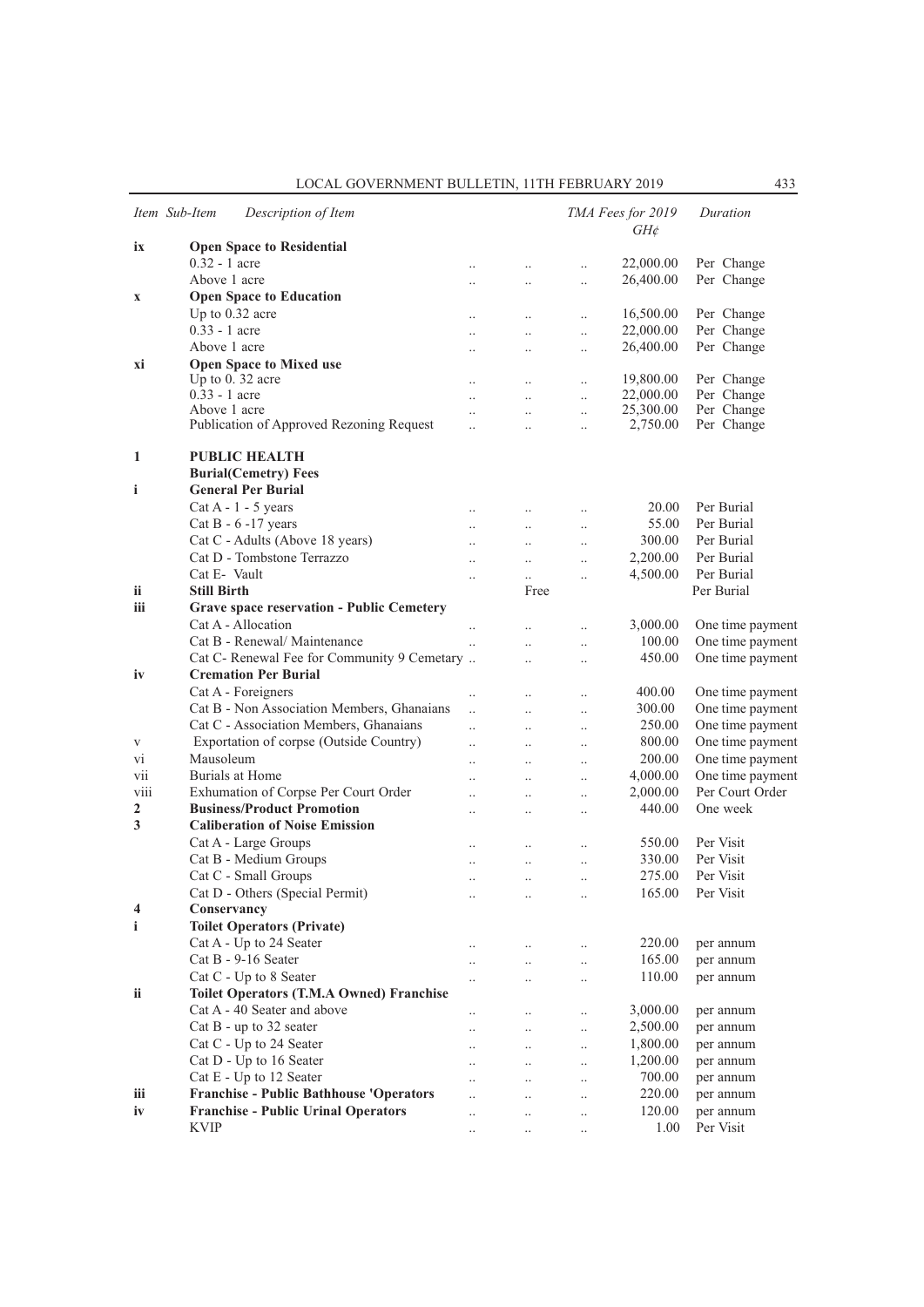|              | Item Sub-Item      | Description of Item                             |                      |                      |                      | TMA Fees for 2019<br>$GH\mathcal{E}$ | Duration         |
|--------------|--------------------|-------------------------------------------------|----------------------|----------------------|----------------------|--------------------------------------|------------------|
| ix           |                    | <b>Open Space to Residential</b>                |                      |                      |                      |                                      |                  |
|              | $0.32 - 1$ acre    |                                                 | $\ldots$             | $\ldots$             | $\ddot{\phantom{0}}$ | 22,000.00                            | Per Change       |
|              | Above 1 acre       |                                                 | $\ddotsc$            | $\ddotsc$            | $\ddotsc$            | 26,400.00                            | Per Change       |
| $\mathbf X$  |                    | <b>Open Space to Education</b>                  |                      |                      |                      |                                      |                  |
|              |                    | Up to 0.32 acre                                 | $\ddotsc$            | $\ldots$             | $\ddot{\phantom{0}}$ | 16,500.00                            | Per Change       |
|              | $0.33 - 1$ acre    |                                                 | $\ldots$             | $\ldots$             | $\ddotsc$            | 22,000.00                            | Per Change       |
|              | Above 1 acre       |                                                 | $\ddotsc$            | $\ddotsc$            | $\ddotsc$            | 26,400.00                            | Per Change       |
| xi           |                    | <b>Open Space to Mixed use</b>                  |                      |                      |                      |                                      |                  |
|              |                    | Up to $0.32$ acre                               | $\ddotsc$            | $\ddots$             | $\ldots$             | 19,800.00                            | Per Change       |
|              | $0.33 - 1$ acre    |                                                 | $\ddotsc$            |                      | $\ddotsc$            | 22,000.00                            | Per Change       |
|              | Above 1 acre       |                                                 | $\ddotsc$            | $\ddotsc$            | $\ldots$             | 25,300.00                            | Per Change       |
|              |                    | Publication of Approved Rezoning Request        | $\ddotsc$            | $\ddotsc$            | $\ddotsc$            | 2,750.00                             | Per Change       |
| $\mathbf{1}$ |                    | <b>PUBLIC HEALTH</b>                            |                      |                      |                      |                                      |                  |
|              |                    | <b>Burial(Cemetry) Fees</b>                     |                      |                      |                      |                                      |                  |
| i            |                    | <b>General Per Burial</b>                       |                      |                      |                      |                                      |                  |
|              |                    | $Cat A - 1 - 5 years$                           | $\ddotsc$            | $\ddotsc$            | $\ldots$             | 20.00                                | Per Burial       |
|              |                    | Cat B - $6 - 17$ years                          | $\ddotsc$            | $\ddotsc$            | $\ldots$             | 55.00                                | Per Burial       |
|              |                    | Cat C - Adults (Above 18 years)                 | $\ddotsc$            | $\ddot{\phantom{0}}$ | $\ddot{\phantom{a}}$ | 300.00                               | Per Burial       |
|              |                    | Cat D - Tombstone Terrazzo                      | $\ddotsc$            | $\ddotsc$            | $\ddotsc$            | 2,200.00                             | Per Burial       |
|              | Cat E- Vault       |                                                 | $\ddot{\phantom{a}}$ | $\ddot{\phantom{a}}$ | $\ddotsc$            | 4,500.00                             | Per Burial       |
| ii           | <b>Still Birth</b> |                                                 |                      | Free                 |                      |                                      | Per Burial       |
| iii          |                    | Grave space reservation - Public Cemetery       |                      |                      |                      |                                      |                  |
|              |                    | Cat A - Allocation                              | $\ddotsc$            | $\ddot{\phantom{0}}$ | $\ddot{\phantom{0}}$ | 3,000.00                             | One time payment |
|              |                    | Cat B - Renewal/ Maintenance                    |                      |                      |                      | 100.00                               | One time payment |
|              |                    | Cat C- Renewal Fee for Community 9 Cemetary     |                      | $\ddotsc$            | $\ddotsc$            | 450.00                               | One time payment |
| iv           |                    | <b>Cremation Per Burial</b>                     |                      | $\ddot{\phantom{a}}$ | $\ddotsc$            |                                      |                  |
|              |                    |                                                 |                      |                      |                      |                                      |                  |
|              |                    | Cat A - Foreigners                              | $\ldots$             | $\ddotsc$            | $\ddot{\phantom{a}}$ | 400.00                               | One time payment |
|              |                    | Cat B - Non Association Members, Ghanaians      | $\ddotsc$            | $\ddot{\phantom{0}}$ | $\ddot{\phantom{0}}$ | 300.00                               | One time payment |
|              |                    | Cat C - Association Members, Ghanaians          | $\ddotsc$            | $\ddotsc$            | $\ddotsc$            | 250.00                               | One time payment |
| V            |                    | Exportation of corpse (Outside Country)         | $\ddotsc$            | $\ddot{\phantom{a}}$ | $\ddot{\phantom{a}}$ | 800.00                               | One time payment |
| V1           | Mausoleum          |                                                 | $\ddotsc$            | $\ddotsc$            | $\ldots$             | 200.00                               | One time payment |
| V11          |                    | Burials at Home                                 | $\ddot{\phantom{a}}$ | $\ddot{\phantom{0}}$ | $\ddot{\phantom{0}}$ | 4,000.00                             | One time payment |
| viii         |                    | Exhumation of Corpse Per Court Order            | $\ddot{\phantom{a}}$ | $\ddot{\phantom{0}}$ | $\ddotsc$            | 2,000.00                             | Per Court Order  |
| 2            |                    | <b>Business/Product Promotion</b>               | $\ddot{\phantom{a}}$ | $\ddot{\phantom{0}}$ | $\ddotsc$            | 440.00                               | One week         |
| 3            |                    | <b>Caliberation of Noise Emission</b>           |                      |                      |                      |                                      |                  |
|              |                    | Cat A - Large Groups                            | $\ddotsc$            | $\ldots$             | $\ddotsc$            | 550.00                               | Per Visit        |
|              |                    | Cat B - Medium Groups                           | $\ddotsc$            | $\ldots$             | $\ddotsc$            | 330.00                               | Per Visit        |
|              |                    | Cat C - Small Groups                            | $\ldots$             | $\ldots$             | $\ddotsc$            | 275.00                               | Per Visit        |
|              |                    | Cat D - Others (Special Permit)                 | $\ddotsc$            | $\ddotsc$            | $\ddot{\phantom{a}}$ | 165.00                               | Per Visit        |
| 4            | Conservancy        |                                                 |                      |                      |                      |                                      |                  |
| i            |                    | <b>Toilet Operators (Private)</b>               |                      |                      |                      |                                      |                  |
|              |                    | Cat A - Up to 24 Seater                         | $\cdot$ .            | $\cdots$             | $\cdot$              | 220.00                               | per annum        |
|              |                    | Cat B - 9-16 Seater                             | $\ddotsc$            | $\ddots$             | $\ldots$             | 165.00                               | per annum        |
|              |                    | Cat C - Up to 8 Seater                          | $\ddotsc$            | $\ddotsc$            | $\ddot{\phantom{a}}$ | 110.00                               | per annum        |
| <b>ii</b>    |                    | <b>Toilet Operators (T.M.A Owned) Franchise</b> |                      |                      |                      |                                      |                  |
|              |                    | Cat A - 40 Seater and above                     |                      |                      |                      | 3,000.00                             | per annum        |
|              |                    | $Cat B - up to 32 scatter$                      | $\cdot$ .            | $\cdot$ .            | $\ldots$             | 2,500.00                             | per annum        |
|              |                    | Cat C - Up to 24 Seater                         | $\cdot$ .            | $\cdot$ .            | $\ldots$             | 1,800.00                             |                  |
|              |                    | Cat D - Up to 16 Seater                         | $\ddotsc$            | $\ldots$             | $\ldots$             |                                      | per annum        |
|              |                    |                                                 | $\ddotsc$            | $\ddotsc$            | $\ldots$             | 1,200.00                             | per annum        |
|              |                    | Cat E - Up to 12 Seater                         | $\ddotsc$            | $\cdot$ .            |                      | 700.00                               | per annum        |
| iii          |                    | <b>Franchise - Public Bathhouse 'Operators</b>  | $\ldots$             | $\ldots$             | $\ldots$             | 220.00                               | per annum        |

**iii Franchise - Public Bathhouse 'Operators** ... .. .. .. 220.00 per annum **iv Franchise - Public Urinal Operators** ... .. .. .. 120.00 per annum

.. . . . . . . . . . 1.00 Per Visit

**iv Franchise - Public Urinal Operators** .. .. .. 120.00 per annum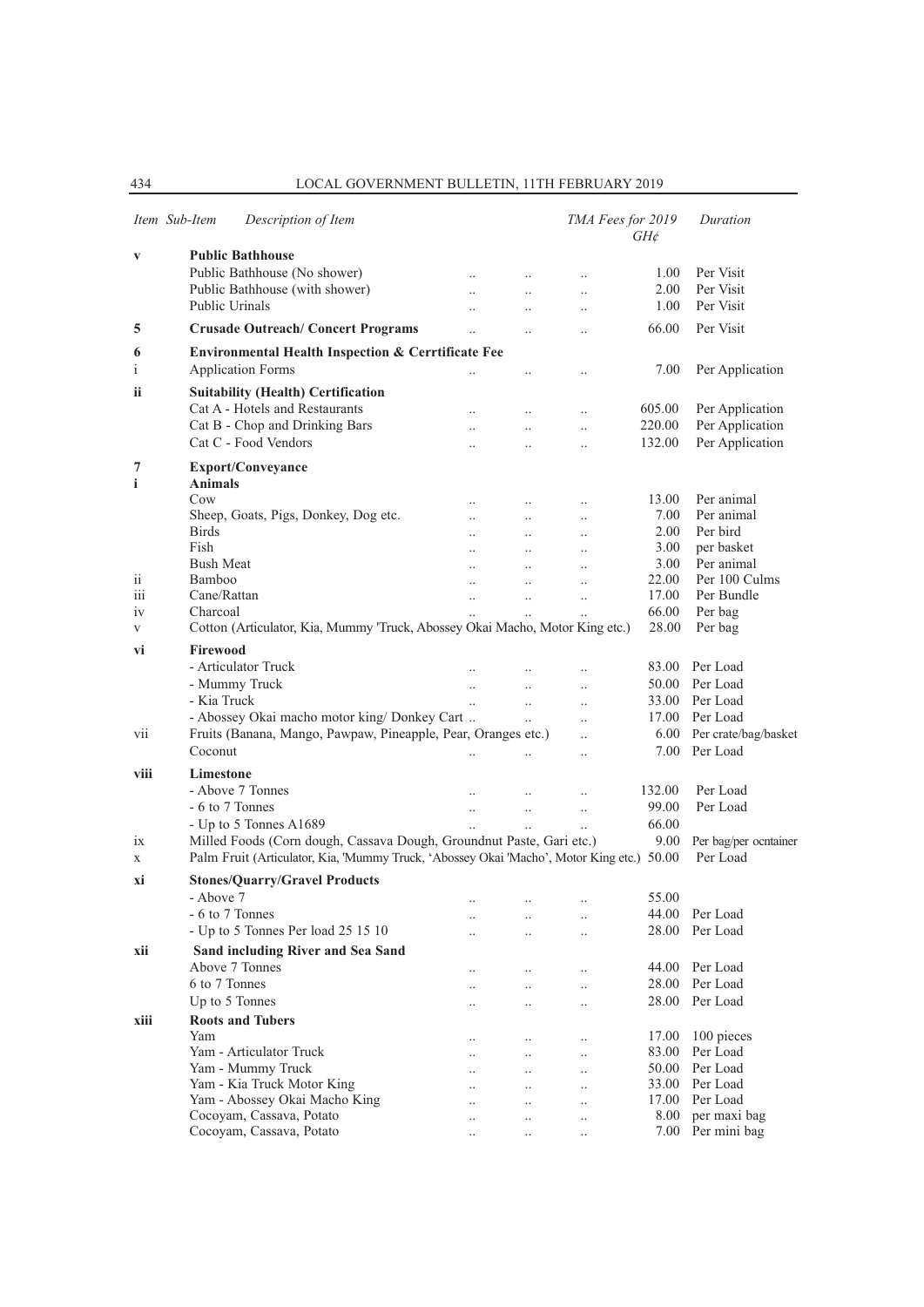|                 | Item Sub-Item<br>Description of Item                                                      |                      |                       |                       | TMA Fees for 2019<br>$GH\phi$ | Duration                  |
|-----------------|-------------------------------------------------------------------------------------------|----------------------|-----------------------|-----------------------|-------------------------------|---------------------------|
| $\mathbf{V}$    | <b>Public Bathhouse</b>                                                                   |                      |                       |                       |                               |                           |
|                 | Public Bathhouse (No shower)                                                              | $\ddotsc$            | $\cdot$ .             | $\ldots$              | 1.00                          | Per Visit                 |
|                 | Public Bathhouse (with shower)                                                            | $\ddotsc$            | $\ldots$              | $\ldots$              | 2.00                          | Per Visit                 |
|                 | Public Urinals                                                                            |                      |                       | $\ldots$              | 1.00                          | Per Visit                 |
| 5               | <b>Crusade Outreach/Concert Programs</b>                                                  | $\ddotsc$            |                       | $\ddotsc$             | 66.00                         | Per Visit                 |
| 6               | <b>Environmental Health Inspection &amp; Cerrtificate Fee</b>                             |                      |                       |                       |                               |                           |
| $\mathbf{i}$    | <b>Application Forms</b>                                                                  |                      | $\cdot$ .             | $\ldots$              | 7.00                          | Per Application           |
|                 |                                                                                           |                      |                       |                       |                               |                           |
| ii              | <b>Suitability (Health) Certification</b><br>Cat A - Hotels and Restaurants               |                      |                       |                       |                               |                           |
|                 |                                                                                           | $\cdot$ .            | $\ldots$              | $\ldots$              | 605.00                        | Per Application           |
|                 | Cat B - Chop and Drinking Bars<br>Cat C - Food Vendors                                    | $\ddot{\phantom{a}}$ | $\ddot{\phantom{0}}$  | $\ddotsc$             | 220.00                        | Per Application           |
|                 |                                                                                           | $\ddot{\phantom{a}}$ | $\ddot{\phantom{a}}$  | $\ddotsc$             | 132.00                        | Per Application           |
| 7<br>i          | <b>Export/Conveyance</b><br><b>Animals</b>                                                |                      |                       |                       |                               |                           |
|                 | Cow                                                                                       | $\ddotsc$            |                       |                       | 13.00                         | Per animal                |
|                 | Sheep, Goats, Pigs, Donkey, Dog etc.                                                      | $\ddotsc$            | $\ldots$<br>$\cdot$ . | $\ldots$              | 7.00                          | Per animal                |
|                 | <b>Birds</b>                                                                              | $\ddotsc$            | $\ldots$              | $\ldots$<br>$\cdot$ . | 2.00                          | Per bird                  |
|                 | Fish                                                                                      | $\ddotsc$            | $\ddotsc$             | $\ddotsc$             | 3.00                          | per basket                |
|                 | <b>Bush Meat</b>                                                                          | $\ddot{\phantom{a}}$ | $\ddotsc$             | $\ddotsc$             | 3.00                          | Per animal                |
| $\overline{11}$ | Bamboo                                                                                    | $\ddot{\phantom{a}}$ | $\ddotsc$             | $\ddotsc$             | 22.00                         | Per 100 Culms             |
| 111             | Cane/Rattan                                                                               | $\ddotsc$            | $\ddot{\phantom{a}}$  | $\ldots$              | 17.00                         | Per Bundle                |
| 1V              | Charcoal                                                                                  |                      |                       |                       | 66.00                         | Per bag                   |
| V               | Cotton (Articulator, Kia, Mummy 'Truck, Abossey Okai Macho, Motor King etc.)              |                      |                       |                       | 28.00                         | Per bag                   |
| vi              | Firewood                                                                                  |                      |                       |                       |                               |                           |
|                 | - Articulator Truck                                                                       |                      |                       |                       | 83.00                         | Per Load                  |
|                 |                                                                                           |                      | $\ddot{\phantom{a}}$  | $\ldots$              |                               |                           |
|                 | - Mummy Truck                                                                             | $\ddotsc$            | $\ddot{\phantom{0}}$  | $\ddotsc$             | 50.00                         | Per Load                  |
|                 | - Kia Truck                                                                               | $\ddotsc$            | $\ddotsc$             | $\ddotsc$             | 33.00                         | Per Load                  |
|                 | - Abossey Okai macho motor king/ Donkey Cart                                              |                      | $\ddot{\phantom{a}}$  | $\ddotsc$             | 17.00                         | Per Load                  |
| vii             | Fruits (Banana, Mango, Pawpaw, Pineapple, Pear, Oranges etc.)                             |                      |                       | $\ddotsc$             |                               | 6.00 Per crate/bag/basket |
|                 | Coconut                                                                                   | $\ddot{\phantom{0}}$ |                       | $\ddotsc$             |                               | 7.00 Per Load             |
| viii            | Limestone                                                                                 |                      |                       |                       |                               |                           |
|                 | - Above 7 Tonnes                                                                          |                      | $\ddotsc$             | $\ddotsc$             | 132.00                        | Per Load                  |
|                 | - 6 to 7 Tonnes                                                                           |                      | $\ddot{\phantom{0}}$  | $\ddotsc$             | 99.00                         | Per Load                  |
|                 | - Up to 5 Tonnes A1689                                                                    |                      |                       | $\ddotsc$             | 66.00                         |                           |
| 1X              | Milled Foods (Corn dough, Cassava Dough, Groundnut Paste, Gari etc.)                      |                      |                       |                       | 9.00                          | Per bag/per ocntainer     |
| X               | Palm Fruit (Articulator, Kia, 'Mummy Truck, 'Abossey Okai 'Macho', Motor King etc.) 50.00 |                      |                       |                       |                               | Per Load                  |
| хi              | <b>Stones/Quarry/Gravel Products</b>                                                      |                      |                       |                       |                               |                           |
|                 | - Above 7                                                                                 |                      |                       |                       | 55.00                         |                           |
|                 | - 6 to 7 Tonnes                                                                           |                      | $\cdot \cdot$         | $\cdot$ .             |                               | 44.00 Per Load            |
|                 | - Up to 5 Tonnes Per load 25 15 10                                                        | $\cdot$              | $\ddot{\phantom{0}}$  | $\ddotsc$             | 28.00                         | Per Load                  |
| xii             | Sand including River and Sea Sand                                                         |                      |                       |                       |                               |                           |
|                 | Above 7 Tonnes                                                                            |                      | $\cdot$ .             | $\ldots$              |                               | 44.00 Per Load            |
|                 | 6 to 7 Tonnes                                                                             |                      |                       |                       | 28.00                         | Per Load                  |
|                 | Up to 5 Tonnes                                                                            | $\ddot{\phantom{0}}$ | $\ddot{\phantom{0}}$  | $\ddotsc$             | 28.00                         | Per Load                  |
| xiii            | <b>Roots and Tubers</b>                                                                   |                      |                       |                       |                               |                           |
|                 | Yam                                                                                       |                      |                       |                       | 17.00                         | 100 pieces                |
|                 | Yam - Articulator Truck                                                                   | $\cdot$              | <br>$\ddotsc$         | $\ldots$<br>$\ddotsc$ | 83.00                         | Per Load                  |
|                 | Yam - Mummy Truck                                                                         |                      |                       | $\ddotsc$             | 50.00                         | Per Load                  |
|                 | Yam - Kia Truck Motor King                                                                |                      | $\cdot$ .             | $\ldots$              | 33.00                         | Per Load                  |
|                 | Yam - Abossey Okai Macho King                                                             |                      |                       |                       | 17.00                         | Per Load                  |
|                 | Cocoyam, Cassava, Potato                                                                  | <br>                 | <br>                  | $\ldots$<br>          | 8.00                          | per maxi bag              |
|                 | Cocoyam, Cassava, Potato                                                                  | $\ldots$             | $\ldots$              | $\ldots$              |                               | 7.00 Per mini bag         |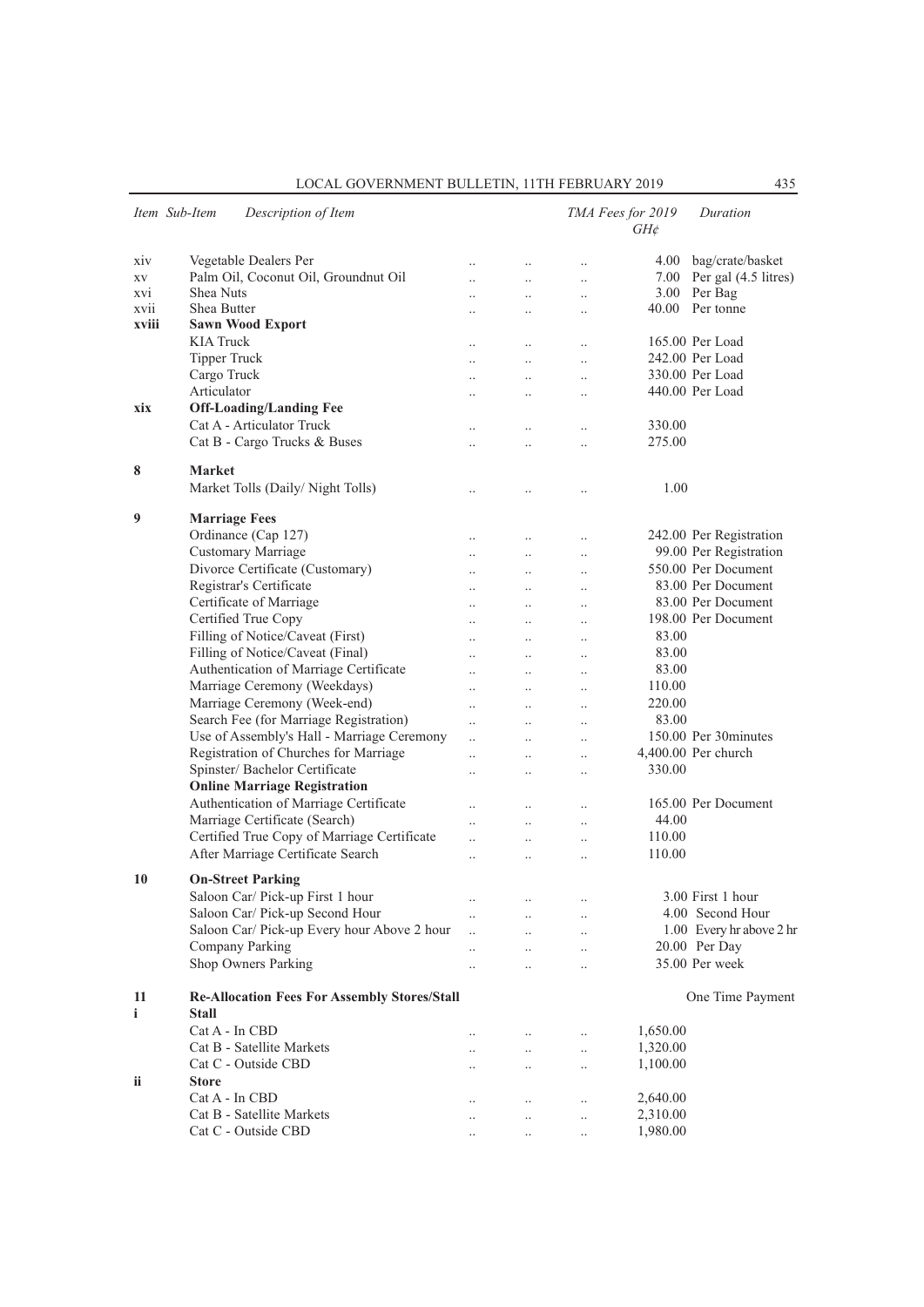| Item Sub-Item   | Description of Item                                                 |                      |                      |                                   | TMA Fees for 2019<br>$GH\phi$ | Duration                  |
|-----------------|---------------------------------------------------------------------|----------------------|----------------------|-----------------------------------|-------------------------------|---------------------------|
| X <sub>IV</sub> | Vegetable Dealers Per                                               | $\ddot{\phantom{0}}$ | $\ddotsc$            | $\ddot{\phantom{a}}$              | 4.00                          | bag/crate/basket          |
| XV              | Palm Oil, Coconut Oil, Groundnut Oil                                | $\ddot{\phantom{a}}$ | $\ddotsc$            | $\ddot{\phantom{a}}$              |                               | 7.00 Per gal (4.5 litres) |
| XVI             | Shea Nuts                                                           |                      | $\ddot{\phantom{0}}$ | $\ddotsc$                         |                               | 3.00 Per Bag              |
| XV11            | Shea Butter                                                         |                      |                      | $\ddot{\phantom{a}}$              |                               | 40.00 Per tonne           |
| xviii           | <b>Sawn Wood Export</b>                                             |                      |                      |                                   |                               |                           |
|                 | <b>KIA Truck</b>                                                    |                      | $\ddotsc$            | $\ddotsc$                         |                               | 165.00 Per Load           |
|                 | <b>Tipper Truck</b>                                                 | $\ddotsc$            | $\ddots$             | $\ldots$                          |                               | 242.00 Per Load           |
|                 | Cargo Truck                                                         | $\ddot{\phantom{a}}$ | $\ddotsc$            | $\ddotsc$                         |                               | 330.00 Per Load           |
|                 | Articulator                                                         |                      | $\ddotsc$            | $\ddot{\phantom{a}}$              |                               | 440.00 Per Load           |
| xix             | <b>Off-Loading/Landing Fee</b>                                      |                      |                      |                                   |                               |                           |
|                 | Cat A - Articulator Truck                                           | $\ddot{\phantom{a}}$ | $\ddot{\phantom{a}}$ | $\ddot{\phantom{0}}$              | 330.00                        |                           |
|                 | Cat B - Cargo Trucks & Buses                                        | $\ddot{\phantom{a}}$ | $\ddot{\phantom{0}}$ | $\ddotsc$                         | 275.00                        |                           |
| 8               | <b>Market</b>                                                       |                      |                      |                                   |                               |                           |
|                 | Market Tolls (Daily/Night Tolls)                                    |                      | $\cdot$              | $\ddot{\phantom{a}}$              | 1.00                          |                           |
| 9               | <b>Marriage Fees</b>                                                |                      |                      |                                   |                               |                           |
|                 | Ordinance (Cap 127)                                                 | $\ddotsc$            | $\ldots$             | $\cdot$ .                         |                               | 242.00 Per Registration   |
|                 | Customary Marriage                                                  | $\ddot{\phantom{a}}$ | $\ddotsc$            | $\cdot$                           |                               | 99.00 Per Registration    |
|                 | Divorce Certificate (Customary)                                     | $\ddot{\phantom{a}}$ | $\ddotsc$            | $\ddotsc$                         |                               | 550.00 Per Document       |
|                 | Registrar's Certificate                                             | $\ddot{\phantom{0}}$ | $\ddotsc$            | $\ddotsc$                         |                               | 83.00 Per Document        |
|                 | Certificate of Marriage                                             | $\ddotsc$            | $\ddotsc$            | $\ddotsc$                         |                               | 83.00 Per Document        |
|                 | Certified True Copy                                                 | $\ddotsc$            | $\ddotsc$            | $\ddotsc$                         |                               | 198.00 Per Document       |
|                 | Filling of Notice/Caveat (First)                                    | $\ddotsc$            | $\ddotsc$            | $\ddotsc$                         | 83.00                         |                           |
|                 | Filling of Notice/Caveat (Final)                                    | $\ddotsc$            | $\ddotsc$            | $\ddotsc$                         | 83.00                         |                           |
|                 | Authentication of Marriage Certificate                              | $\ddot{\phantom{0}}$ | $\ddotsc$            | $\ddot{\phantom{0}}$              | 83.00                         |                           |
|                 | Marriage Ceremony (Weekdays)                                        | $\ddotsc$            | $\ddotsc$            | $\ddotsc$                         | 110.00                        |                           |
|                 | Marriage Ceremony (Week-end)                                        | $\ddotsc$            | $\ddotsc$            | $\ddotsc$                         | 220.00                        |                           |
|                 | Search Fee (for Marriage Registration)                              | $\ddot{\phantom{a}}$ | $\ddotsc$            | $\ddotsc$                         | 83.00                         |                           |
|                 | Use of Assembly's Hall - Marriage Ceremony                          | $\ddot{\phantom{0}}$ | $\ddotsc$            | $\ddot{\phantom{a}}$              |                               | 150.00 Per 30 minutes     |
|                 | Registration of Churches for Marriage                               | $\ddot{\phantom{0}}$ | $\ddot{\phantom{0}}$ | $\ddot{\phantom{0}}$              |                               | 4,400.00 Per church       |
|                 | Spinster/ Bachelor Certificate                                      | $\ddot{\phantom{a}}$ | $\ddot{\phantom{0}}$ | $\ddotsc$                         | 330.00                        |                           |
|                 | <b>Online Marriage Registration</b>                                 |                      |                      |                                   |                               |                           |
|                 | Authentication of Marriage Certificate                              |                      | $\ddotsc$            | $\ldots$                          |                               | 165.00 Per Document       |
|                 | Marriage Certificate (Search)                                       |                      | $\ddot{\phantom{0}}$ | $\ddot{\phantom{a}}$              | 44.00                         |                           |
|                 | Certified True Copy of Marriage Certificate                         | $\ddot{\phantom{a}}$ | $\ddotsc$            | $\ddot{\phantom{0}}$              | 110.00                        |                           |
|                 | After Marriage Certificate Search                                   | $\ddot{\phantom{a}}$ | $\ddot{\phantom{0}}$ | $\ddotsc$                         | 110.00                        |                           |
| 10              | <b>On-Street Parking</b>                                            |                      |                      |                                   |                               |                           |
|                 | Saloon Car/ Pick-up First 1 hour                                    |                      |                      |                                   |                               | 3.00 First 1 hour         |
|                 | Saloon Car/ Pick-up Second Hour                                     | $\cdot$ .            |                      | $\cdot$ .                         |                               | 4.00 Second Hour          |
|                 | Saloon Car/ Pick-up Every hour Above 2 hour                         | <br>$\ddotsc$        |                      |                                   |                               | 1.00 Every hr above 2 hr  |
|                 | Company Parking                                                     | $\ddot{\phantom{a}}$ |                      | $\ddot{\phantom{0}}$              |                               | 20.00 Per Day             |
|                 | Shop Owners Parking                                                 | $\ddotsc$            | $\ddot{\phantom{0}}$ | $\ddot{\phantom{0}}$<br>$\ddotsc$ |                               | 35.00 Per week            |
|                 |                                                                     |                      |                      |                                   |                               |                           |
| 11<br>i         | <b>Re-Allocation Fees For Assembly Stores/Stall</b><br><b>Stall</b> |                      |                      |                                   |                               | One Time Payment          |
|                 | $Cat A - In CBD$                                                    |                      |                      |                                   | 1,650.00                      |                           |
|                 | Cat B - Satellite Markets                                           |                      | $\ddotsc$            | $\ddot{\phantom{0}}$              | 1,320.00                      |                           |
|                 | Cat C - Outside CBD                                                 |                      |                      | $\ddot{\phantom{a}}$              | 1,100.00                      |                           |
| ii              | <b>Store</b>                                                        |                      |                      |                                   |                               |                           |
|                 | Cat A - In CBD                                                      |                      | $\ddotsc$            | $\ddot{\phantom{0}}$              | 2,640.00                      |                           |
|                 | Cat B - Satellite Markets                                           |                      | $\ddotsc$            | $\ddotsc$                         | 2,310.00                      |                           |
|                 | Cat C - Outside CBD                                                 | $\cdot$ .            | $\ldots$             | $\ldots$                          | 1,980.00                      |                           |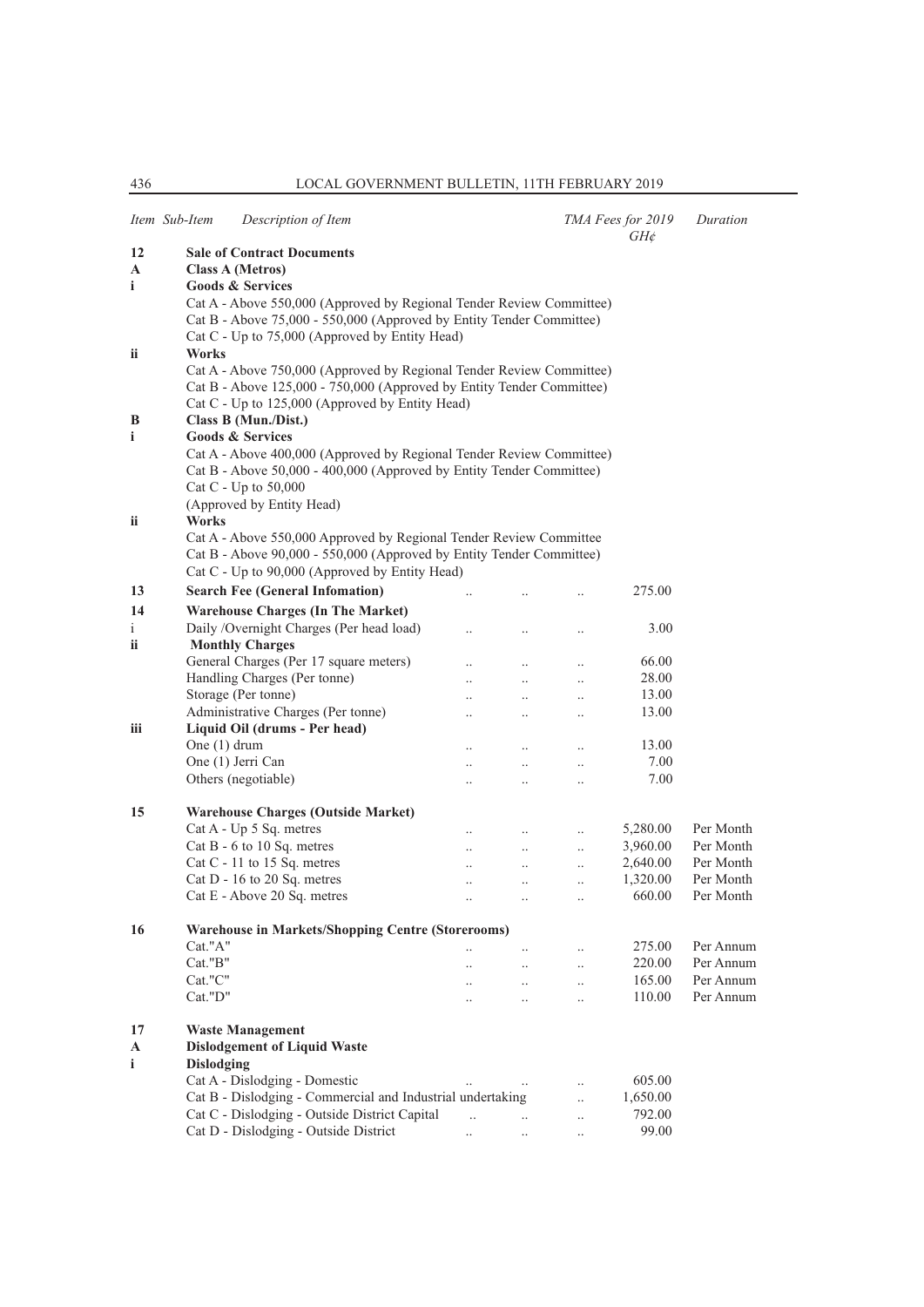|              | Item Sub-Item                                   | Description of Item                                                   |                      |                               |                       | TMA Fees for 2019<br>$GH\phi$ | Duration               |  |  |  |
|--------------|-------------------------------------------------|-----------------------------------------------------------------------|----------------------|-------------------------------|-----------------------|-------------------------------|------------------------|--|--|--|
| 12           |                                                 | <b>Sale of Contract Documents</b>                                     |                      |                               |                       |                               |                        |  |  |  |
| A            |                                                 | <b>Class A (Metros)</b>                                               |                      |                               |                       |                               |                        |  |  |  |
| i            |                                                 | <b>Goods &amp; Services</b>                                           |                      |                               |                       |                               |                        |  |  |  |
|              |                                                 | Cat A - Above 550,000 (Approved by Regional Tender Review Committee)  |                      |                               |                       |                               |                        |  |  |  |
|              |                                                 | Cat B - Above 75,000 - 550,000 (Approved by Entity Tender Committee)  |                      |                               |                       |                               |                        |  |  |  |
|              |                                                 | Cat C - Up to 75,000 (Approved by Entity Head)                        |                      |                               |                       |                               |                        |  |  |  |
| ii.          | Works                                           |                                                                       |                      |                               |                       |                               |                        |  |  |  |
|              |                                                 | Cat A - Above 750,000 (Approved by Regional Tender Review Committee)  |                      |                               |                       |                               |                        |  |  |  |
|              |                                                 | Cat B - Above 125,000 - 750,000 (Approved by Entity Tender Committee) |                      |                               |                       |                               |                        |  |  |  |
|              | Cat C - Up to 125,000 (Approved by Entity Head) |                                                                       |                      |                               |                       |                               |                        |  |  |  |
| B            |                                                 | Class B (Mun./Dist.)                                                  |                      |                               |                       |                               |                        |  |  |  |
| i            |                                                 | <b>Goods &amp; Services</b>                                           |                      |                               |                       |                               |                        |  |  |  |
|              |                                                 | Cat A - Above 400,000 (Approved by Regional Tender Review Committee)  |                      |                               |                       |                               |                        |  |  |  |
|              |                                                 | Cat B - Above 50,000 - 400,000 (Approved by Entity Tender Committee)  |                      |                               |                       |                               |                        |  |  |  |
|              |                                                 | Cat C - Up to 50,000                                                  |                      |                               |                       |                               |                        |  |  |  |
|              |                                                 | (Approved by Entity Head)                                             |                      |                               |                       |                               |                        |  |  |  |
| ii.          | Works                                           |                                                                       |                      |                               |                       |                               |                        |  |  |  |
|              |                                                 | Cat A - Above 550,000 Approved by Regional Tender Review Committee    |                      |                               |                       |                               |                        |  |  |  |
|              |                                                 | Cat B - Above 90,000 - 550,000 (Approved by Entity Tender Committee)  |                      |                               |                       |                               |                        |  |  |  |
|              |                                                 | Cat C - Up to 90,000 (Approved by Entity Head)                        |                      |                               |                       |                               |                        |  |  |  |
| 13           |                                                 | <b>Search Fee (General Infomation)</b>                                |                      |                               |                       | 275.00                        |                        |  |  |  |
| 14           |                                                 | <b>Warehouse Charges (In The Market)</b>                              |                      |                               |                       |                               |                        |  |  |  |
| $\mathbf{i}$ |                                                 | Daily /Overnight Charges (Per head load)                              | $\ddot{\phantom{0}}$ | $\ddot{\phantom{0}}$          | $\ldots$              | 3.00                          |                        |  |  |  |
| <b>ii</b>    |                                                 | <b>Monthly Charges</b>                                                |                      |                               |                       |                               |                        |  |  |  |
|              |                                                 | General Charges (Per 17 square meters)                                |                      | $\ddotsc$                     | $\ddotsc$             | 66.00                         |                        |  |  |  |
|              |                                                 | Handling Charges (Per tonne)                                          | $\ddot{\phantom{0}}$ | $\ddotsc$                     | $\ddotsc$             | 28.00                         |                        |  |  |  |
|              |                                                 | Storage (Per tonne)                                                   | $\ddotsc$            | $\ddotsc$                     | $\ddotsc$             | 13.00                         |                        |  |  |  |
|              |                                                 | Administrative Charges (Per tonne)                                    | $\ddot{\phantom{a}}$ |                               | $\ldots$              | 13.00                         |                        |  |  |  |
| iii          |                                                 | Liquid Oil (drums - Per head)                                         |                      |                               |                       |                               |                        |  |  |  |
|              | One $(1)$ drum                                  |                                                                       | $\ddot{\phantom{0}}$ |                               | $\ddotsc$             | 13.00                         |                        |  |  |  |
|              |                                                 | One (1) Jerri Can                                                     | $\ddotsc$            | $\ddotsc$                     | $\ddotsc$             | 7.00                          |                        |  |  |  |
|              |                                                 | Others (negotiable)                                                   | $\ddot{\phantom{0}}$ | $\ddotsc$                     | $\ddotsc$             | 7.00                          |                        |  |  |  |
|              |                                                 |                                                                       |                      |                               |                       |                               |                        |  |  |  |
| 15           |                                                 | <b>Warehouse Charges (Outside Market)</b>                             |                      |                               |                       |                               |                        |  |  |  |
|              |                                                 | Cat A - Up 5 Sq. metres                                               | $\ddotsc$            | $\ddotsc$                     | $\ddotsc$             | 5,280.00                      | Per Month              |  |  |  |
|              |                                                 | Cat B - 6 to 10 Sq. metres                                            | $\ddotsc$            | $\ddotsc$                     | $\ddotsc$             | 3,960.00                      | Per Month              |  |  |  |
|              |                                                 | Cat C - 11 to 15 Sq. metres                                           | $\ddotsc$            | $\ddotsc$                     | $\ddotsc$             | 2,640.00                      | Per Month              |  |  |  |
|              |                                                 | Cat $D - 16$ to 20 Sq. metres                                         | $\ddotsc$            | $\ddotsc$                     | $\ldots$              | 1,320.00                      | Per Month              |  |  |  |
|              |                                                 | Cat E - Above 20 Sq. metres                                           | $\ddot{\phantom{0}}$ | $\ddotsc$                     | $\ddotsc$             | 660.00                        | Per Month              |  |  |  |
|              |                                                 |                                                                       |                      |                               |                       |                               |                        |  |  |  |
| 16           |                                                 | <b>Warehouse in Markets/Shopping Centre (Storerooms)</b>              |                      |                               |                       |                               |                        |  |  |  |
|              | Cat."A"<br>Cat."B"                              |                                                                       | $\ddotsc$            | $\ddots$                      | $\ddotsc$             | 275.00<br>220.00              | Per Annum<br>Per Annum |  |  |  |
|              | Cat."C"                                         |                                                                       | $\ddotsc$            | $\mathcal{L}_{\mathcal{A}}$ . | $\ddotsc$             | 165.00                        | Per Annum              |  |  |  |
|              | Cat."D"                                         |                                                                       | $\ddots$             | $\ldots$                      | $\ddotsc$             | 110.00                        | Per Annum              |  |  |  |
|              |                                                 |                                                                       | $\ddotsc$            | $\ddots$                      | $\ddotsc$             |                               |                        |  |  |  |
| 17           |                                                 | <b>Waste Management</b>                                               |                      |                               |                       |                               |                        |  |  |  |
| A            |                                                 | <b>Dislodgement of Liquid Waste</b>                                   |                      |                               |                       |                               |                        |  |  |  |
| $\mathbf{i}$ | <b>Dislodging</b>                               |                                                                       |                      |                               |                       |                               |                        |  |  |  |
|              |                                                 | Cat A - Dislodging - Domestic                                         |                      | $\ddots$                      | $\ddotsc$             | 605.00                        |                        |  |  |  |
|              |                                                 | Cat B - Dislodging - Commercial and Industrial undertaking            |                      |                               | $\dddot{\phantom{0}}$ | 1,650.00                      |                        |  |  |  |
|              |                                                 | Cat C - Dislodging - Outside District Capital                         | $\ddotsc$            | $\dddot{\phantom{0}}$         | $\ddotsc$             | 792.00                        |                        |  |  |  |
|              |                                                 | Cat D - Dislodging - Outside District                                 | $\ddotsc$            | $\ldots$                      | $\ldots$              | 99.00                         |                        |  |  |  |
|              |                                                 |                                                                       |                      |                               |                       |                               |                        |  |  |  |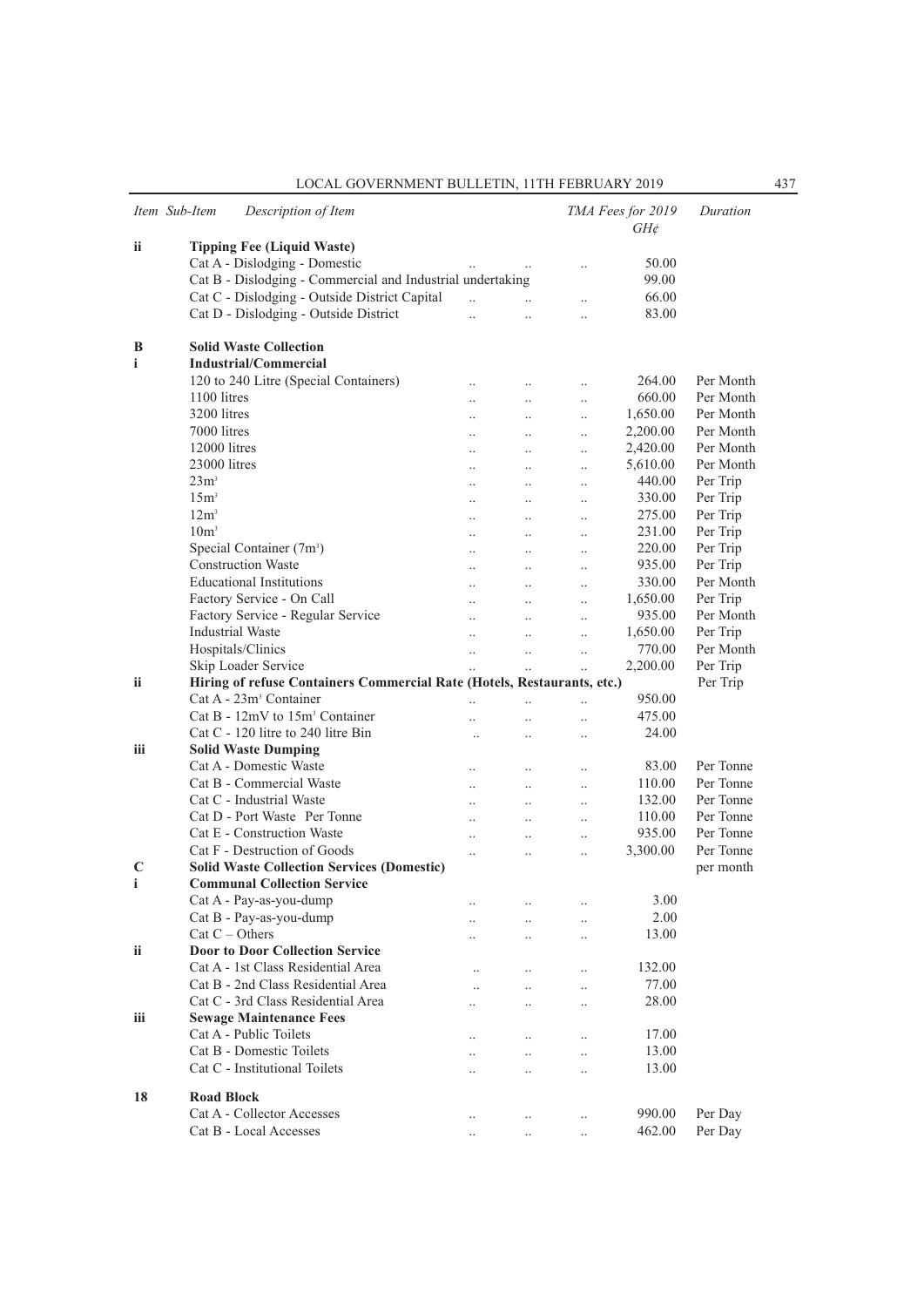| Item Sub-Item | Description of Item                                                     |                      |                      |                      | TMA Fees for 2019<br>$GH\phi$ | Duration  |
|---------------|-------------------------------------------------------------------------|----------------------|----------------------|----------------------|-------------------------------|-----------|
| ii.           | <b>Tipping Fee (Liquid Waste)</b>                                       |                      |                      |                      |                               |           |
|               | Cat A - Dislodging - Domestic                                           |                      |                      | $\ddotsc$            | 50.00                         |           |
|               | Cat B - Dislodging - Commercial and Industrial undertaking              |                      |                      |                      | 99.00                         |           |
|               | Cat C - Dislodging - Outside District Capital                           | $\ddot{\phantom{a}}$ |                      | $\ddot{\phantom{0}}$ | 66.00                         |           |
|               | Cat D - Dislodging - Outside District                                   |                      |                      | $\ddotsc$            | 83.00                         |           |
|               |                                                                         |                      |                      |                      |                               |           |
| B             | <b>Solid Waste Collection</b>                                           |                      |                      |                      |                               |           |
| i             | Industrial/Commercial                                                   |                      |                      |                      |                               |           |
|               | 120 to 240 Litre (Special Containers)                                   | $\ddot{\phantom{a}}$ |                      | $\ddot{\phantom{a}}$ | 264.00                        | Per Month |
|               | 1100 litres                                                             | $\ddotsc$            | $\ddotsc$            | $\ddotsc$            | 660.00                        | Per Month |
|               | 3200 litres                                                             |                      |                      |                      | 1,650.00                      | Per Month |
|               | 7000 litres                                                             | $\ddot{\phantom{a}}$ | $\ddotsc$            | $\ldots$             | 2,200.00                      | Per Month |
|               | 12000 litres                                                            | $\ddotsc$            | $\ddotsc$            | $\ldots$             | 2,420.00                      | Per Month |
|               | 23000 litres                                                            | $\ddot{\phantom{a}}$ | $\ddotsc$            | $\ddotsc$            | 5,610.00                      | Per Month |
|               |                                                                         |                      | $\ddotsc$            | $\ddot{\phantom{0}}$ |                               |           |
|               | 23m <sup>3</sup>                                                        | $\ddotsc$            | $\ddotsc$            | $\ddotsc$            | 440.00                        | Per Trip  |
|               | 15m <sup>3</sup>                                                        | $\ddotsc$            | $\ddotsc$            | $\ddotsc$            | 330.00                        | Per Trip  |
|               | 12m <sup>3</sup>                                                        | $\ddotsc$            | $\ddotsc$            | $\ddotsc$            | 275.00                        | Per Trip  |
|               | 10 <sup>m</sup>                                                         | $\ddot{\phantom{a}}$ | $\ddot{\phantom{0}}$ | $\ddotsc$            | 231.00                        | Per Trip  |
|               | Special Container (7m <sup>3</sup> )                                    |                      | $\ddotsc$            | $\ddotsc$            | 220.00                        | Per Trip  |
|               | <b>Construction Waste</b>                                               | $\ddotsc$            | $\ddotsc$            | $\ddotsc$            | 935.00                        | Per Trip  |
|               | <b>Educational Institutions</b>                                         | $\ddotsc$            | $\ddotsc$            | $\ddotsc$            | 330.00                        | Per Month |
|               | Factory Service - On Call                                               | $\ddot{\phantom{a}}$ | $\ddotsc$            | $\ddotsc$            | 1,650.00                      | Per Trip  |
|               | Factory Service - Regular Service                                       | $\ddot{\phantom{a}}$ | $\ddot{\phantom{0}}$ | $\ddot{\phantom{0}}$ | 935.00                        | Per Month |
|               | <b>Industrial Waste</b>                                                 |                      | $\ddot{\phantom{0}}$ | $\ddot{\phantom{0}}$ | 1,650.00                      | Per Trip  |
|               | Hospitals/Clinics                                                       | $\ddotsc$            | $\ddotsc$            | $\ddotsc$            | 770.00                        | Per Month |
|               | Skip Loader Service                                                     | $\ddotsc$            | $\ddotsc$            | $\ddotsc$            | 2,200.00                      | Per Trip  |
| ii            | Hiring of refuse Containers Commercial Rate (Hotels, Restaurants, etc.) |                      |                      |                      |                               | Per Trip  |
|               | Cat A - 23m <sup>3</sup> Container                                      | $\ddot{\phantom{0}}$ | $\ddot{\phantom{a}}$ | $\ddot{\phantom{0}}$ | 950.00                        |           |
|               | Cat B - $12mV$ to $15m3$ Container                                      |                      | $\ddotsc$            | $\ddot{\phantom{0}}$ | 475.00                        |           |
|               | Cat C - 120 litre to 240 litre Bin                                      | $\ddot{\phantom{a}}$ | $\ddotsc$            | $\ddotsc$            | 24.00                         |           |
| iii           | <b>Solid Waste Dumping</b>                                              |                      |                      |                      |                               |           |
|               | Cat A - Domestic Waste                                                  |                      | $\ddot{\phantom{a}}$ |                      | 83.00                         | Per Tonne |
|               | Cat B - Commercial Waste                                                | $\ddotsc$            |                      | $\cdot$ .            | 110.00                        | Per Tonne |
|               | Cat C - Industrial Waste                                                | $\ddot{\phantom{a}}$ | $\ddotsc$            | $\ddotsc$            | 132.00                        | Per Tonne |
|               | Cat D - Port Waste Per Tonne                                            | $\ddot{\phantom{a}}$ | $\ddotsc$            | $\ddot{\phantom{a}}$ | 110.00                        | Per Tonne |
|               | Cat E - Construction Waste                                              | $\ddotsc$            | $\ddotsc$            | $\ddotsc$            | 935.00                        | Per Tonne |
|               | Cat F - Destruction of Goods                                            | $\ddot{\phantom{a}}$ | $\ddot{\phantom{a}}$ | $\ddotsc$            |                               |           |
|               |                                                                         |                      | $\ddot{\phantom{a}}$ | $\ddot{\phantom{0}}$ | 3,300.00                      | Per Tonne |
| C             | <b>Solid Waste Collection Services (Domestic)</b>                       |                      |                      |                      |                               | per month |
| i             | <b>Communal Collection Service</b>                                      |                      |                      |                      |                               |           |
|               | Cat A - Pay-as-you-dump                                                 |                      |                      | $\ddotsc$            | 3.00                          |           |
|               | Cat B - Pay-as-you-dump                                                 |                      |                      | $\ddotsc$            | 2.00                          |           |
|               | $Cat C - Others$                                                        |                      |                      | $\ddotsc$            | 13.00                         |           |
| <b>ii</b>     | <b>Door to Door Collection Service</b>                                  |                      |                      |                      |                               |           |
|               | Cat A - 1st Class Residential Area                                      |                      |                      | $\ddotsc$            | 132.00                        |           |
|               | Cat B - 2nd Class Residential Area                                      | $\ddot{\phantom{a}}$ | $\ddotsc$            | $\ddotsc$            | 77.00                         |           |
|               | Cat C - 3rd Class Residential Area                                      | $\ddot{\phantom{a}}$ | $\ddotsc$            | $\ddotsc$            | 28.00                         |           |
| iii           | <b>Sewage Maintenance Fees</b>                                          |                      |                      |                      |                               |           |
|               | Cat A - Public Toilets                                                  |                      |                      | $\ddot{\phantom{0}}$ | 17.00                         |           |
|               | Cat B - Domestic Toilets                                                |                      | $\ddotsc$            | $\ddotsc$            | 13.00                         |           |
|               | Cat C - Institutional Toilets                                           | $\ddot{\phantom{a}}$ | $\ddotsc$            | $\ddot{\phantom{a}}$ | 13.00                         |           |
|               |                                                                         |                      |                      |                      |                               |           |
| 18            | <b>Road Block</b>                                                       |                      |                      |                      |                               |           |
|               | Cat A - Collector Accesses                                              | $\ddot{\phantom{a}}$ |                      | $\ddot{\phantom{0}}$ | 990.00                        | Per Day   |
|               | Cat B - Local Accesses                                                  |                      |                      |                      | 462.00                        | Per Day   |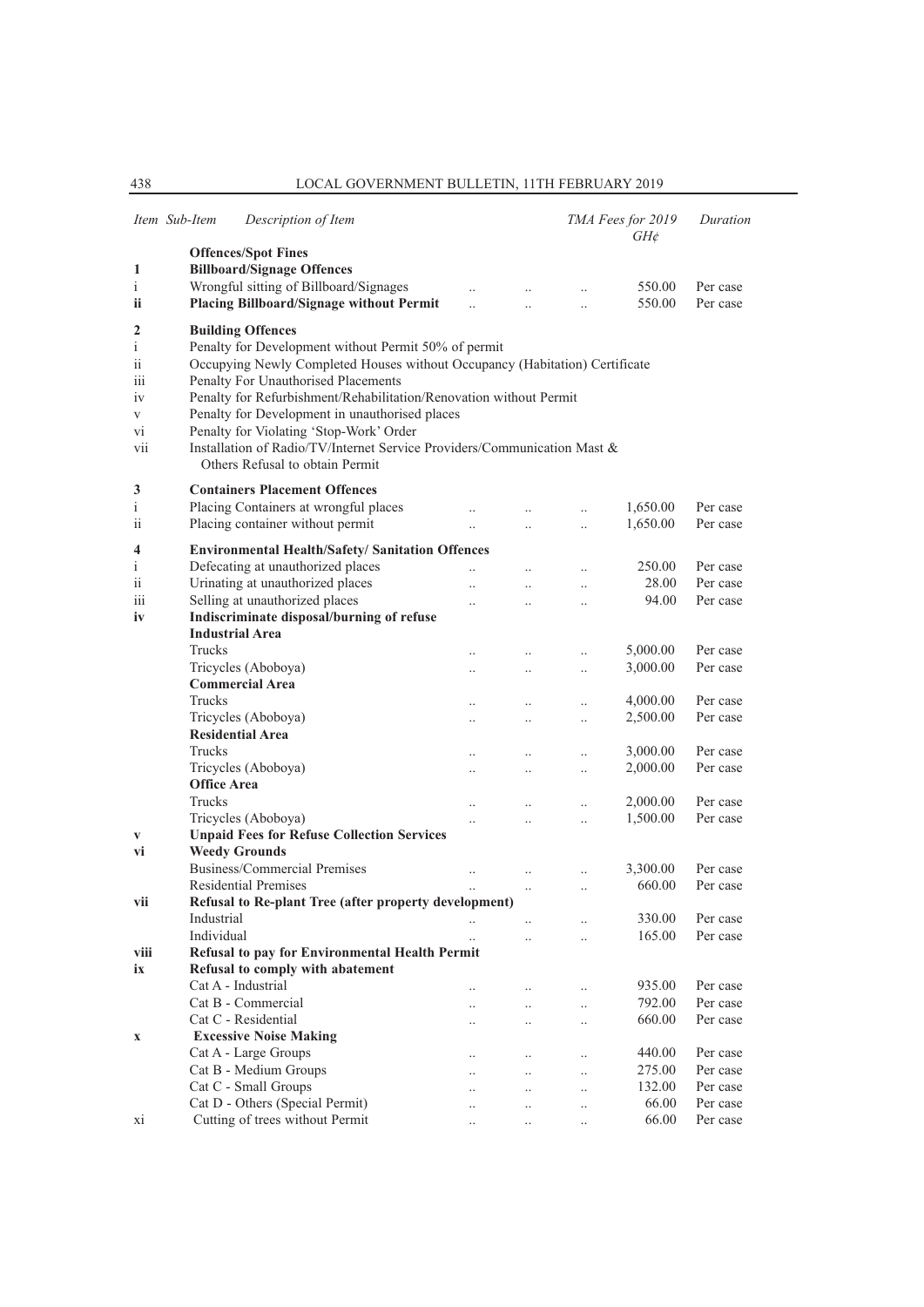|                    | Item Sub-Item            | Description of Item                                                         |                      |                      |                        | TMA Fees for 2019<br>$GH\phi$ | Duration             |
|--------------------|--------------------------|-----------------------------------------------------------------------------|----------------------|----------------------|------------------------|-------------------------------|----------------------|
|                    |                          | <b>Offences/Spot Fines</b>                                                  |                      |                      |                        |                               |                      |
| 1                  |                          | <b>Billboard/Signage Offences</b>                                           |                      |                      |                        |                               |                      |
| $\mathbf{i}$       |                          | Wrongful sitting of Billboard/Signages                                      | $\ddotsc$            |                      |                        | 550.00                        | Per case             |
| ii                 |                          | <b>Placing Billboard/Signage without Permit</b>                             |                      |                      | $\ddotsc$              | 550.00                        | Per case             |
| 2                  |                          | <b>Building Offences</b>                                                    |                      |                      |                        |                               |                      |
| $\mathbf{i}$       |                          | Penalty for Development without Permit 50% of permit                        |                      |                      |                        |                               |                      |
| ii                 |                          | Occupying Newly Completed Houses without Occupancy (Habitation) Certificate |                      |                      |                        |                               |                      |
| iii                |                          | Penalty For Unauthorised Placements                                         |                      |                      |                        |                               |                      |
| iv                 |                          | Penalty for Refurbishment/Rehabilitation/Renovation without Permit          |                      |                      |                        |                               |                      |
| V                  |                          | Penalty for Development in unauthorised places                              |                      |                      |                        |                               |                      |
| vi                 |                          | Penalty for Violating 'Stop-Work' Order                                     |                      |                      |                        |                               |                      |
| vii                |                          | Installation of Radio/TV/Internet Service Providers/Communication Mast &    |                      |                      |                        |                               |                      |
|                    |                          | Others Refusal to obtain Permit                                             |                      |                      |                        |                               |                      |
| 3                  |                          | <b>Containers Placement Offences</b>                                        |                      |                      |                        |                               |                      |
| $\mathbf{i}$       |                          | Placing Containers at wrongful places                                       |                      |                      |                        | 1,650.00                      | Per case             |
| ii                 |                          | Placing container without permit                                            | $\ddotsc$            | $\ddotsc$            | $\ddotsc$              | 1,650.00                      | Per case             |
|                    |                          |                                                                             |                      |                      |                        |                               |                      |
| 4                  |                          | <b>Environmental Health/Safety/ Sanitation Offences</b>                     |                      |                      |                        | 250.00                        |                      |
| $\mathbf{i}$<br>ii |                          | Defecating at unauthorized places<br>Urinating at unauthorized places       | $\ddot{\phantom{a}}$ | $\ddot{\phantom{a}}$ | $\ddotsc$              | 28.00                         | Per case<br>Per case |
| iii                |                          | Selling at unauthorized places                                              | $\ddot{\phantom{a}}$ |                      | $\ddot{\phantom{a}}$   | 94.00                         | Per case             |
| iv                 |                          | Indiscriminate disposal/burning of refuse                                   | $\ddot{\phantom{a}}$ |                      | $\ddot{\phantom{a}}$   |                               |                      |
|                    |                          | <b>Industrial Area</b>                                                      |                      |                      |                        |                               |                      |
|                    | Trucks                   |                                                                             | $\ddotsc$            | $\ddotsc$            | $\ldots$               | 5,000.00                      | Per case             |
|                    |                          | Tricycles (Aboboya)                                                         | $\ddot{\phantom{0}}$ | $\ddotsc$            | $\ddotsc$              | 3,000.00                      | Per case             |
|                    |                          | <b>Commercial Area</b>                                                      |                      |                      |                        |                               |                      |
|                    | Trucks                   |                                                                             | $\ddotsc$            | $\ddotsc$            | $\ddotsc$              | 4,000.00                      | Per case             |
|                    |                          | Tricycles (Aboboya)                                                         | $\ddotsc$            | $\ldots$             | $\ldots$               | 2,500.00                      | Per case             |
|                    |                          | <b>Residential Area</b>                                                     |                      |                      |                        |                               |                      |
|                    | Trucks                   |                                                                             |                      | $\ddotsc$            | $\ddot{\phantom{0}}$   | 3,000.00                      | Per case             |
|                    |                          | Tricycles (Aboboya)                                                         | $\ddot{\phantom{0}}$ | $\ddotsc$            | $\ddotsc$              | 2,000.00                      | Per case             |
|                    | <b>Office Area</b>       |                                                                             |                      |                      |                        |                               |                      |
|                    | Trucks                   |                                                                             | $\ddotsc$            |                      | $\ddotsc$              | 2,000.00                      | Per case             |
|                    |                          | Tricycles (Aboboya)                                                         |                      | $\ddot{\phantom{0}}$ | $\ddotsc$              | 1,500.00                      | Per case             |
| V                  |                          | <b>Unpaid Fees for Refuse Collection Services</b>                           |                      |                      |                        |                               |                      |
| vi                 |                          | <b>Weedy Grounds</b>                                                        |                      |                      |                        |                               |                      |
|                    |                          | Business/Commercial Premises                                                | $\ddot{\phantom{0}}$ |                      | $\ddot{\phantom{a}}$   | 3,300.00                      | Per case             |
|                    |                          | <b>Residential Premises</b>                                                 |                      | $\cdot$ .            | $\ddot{\phantom{a}}$   | 660.00                        | Per case             |
| vii                |                          | Refusal to Re-plant Tree (after property development)                       |                      |                      |                        |                               |                      |
|                    | Industrial<br>Individual |                                                                             |                      |                      |                        | 330.00<br>165.00              | Per case             |
| viii               |                          | Refusal to pay for Environmental Health Permit                              |                      |                      |                        |                               | Per case             |
| ix                 |                          | Refusal to comply with abatement                                            |                      |                      |                        |                               |                      |
|                    |                          | Cat A - Industrial                                                          |                      | $\ddot{\phantom{a}}$ |                        | 935.00                        | Per case             |
|                    |                          | Cat B - Commercial                                                          | $\ddotsc$            | $\ddot{\phantom{0}}$ | $\ddotsc$<br>$\ddotsc$ | 792.00                        | Per case             |
|                    |                          | Cat C - Residential                                                         |                      | $\ddot{\phantom{0}}$ | $\ddotsc$              | 660.00                        | Per case             |
| $\mathbf X$        |                          | <b>Excessive Noise Making</b>                                               |                      |                      |                        |                               |                      |
|                    |                          | Cat A - Large Groups                                                        | $\ddotsc$            |                      | $\cdot$ .              | 440.00                        | Per case             |
|                    |                          | Cat B - Medium Groups                                                       |                      |                      | $\ddotsc$              | 275.00                        | Per case             |
|                    |                          | Cat C - Small Groups                                                        |                      |                      | $\ddotsc$              | 132.00                        | Per case             |
|                    |                          | Cat D - Others (Special Permit)                                             |                      | $\ddot{\phantom{0}}$ | $\ddot{\phantom{0}}$   | 66.00                         | Per case             |
| xi                 |                          | Cutting of trees without Permit                                             | $\ddot{\phantom{a}}$ | $\ddotsc$            | $\ddotsc$              | 66.00                         | Per case             |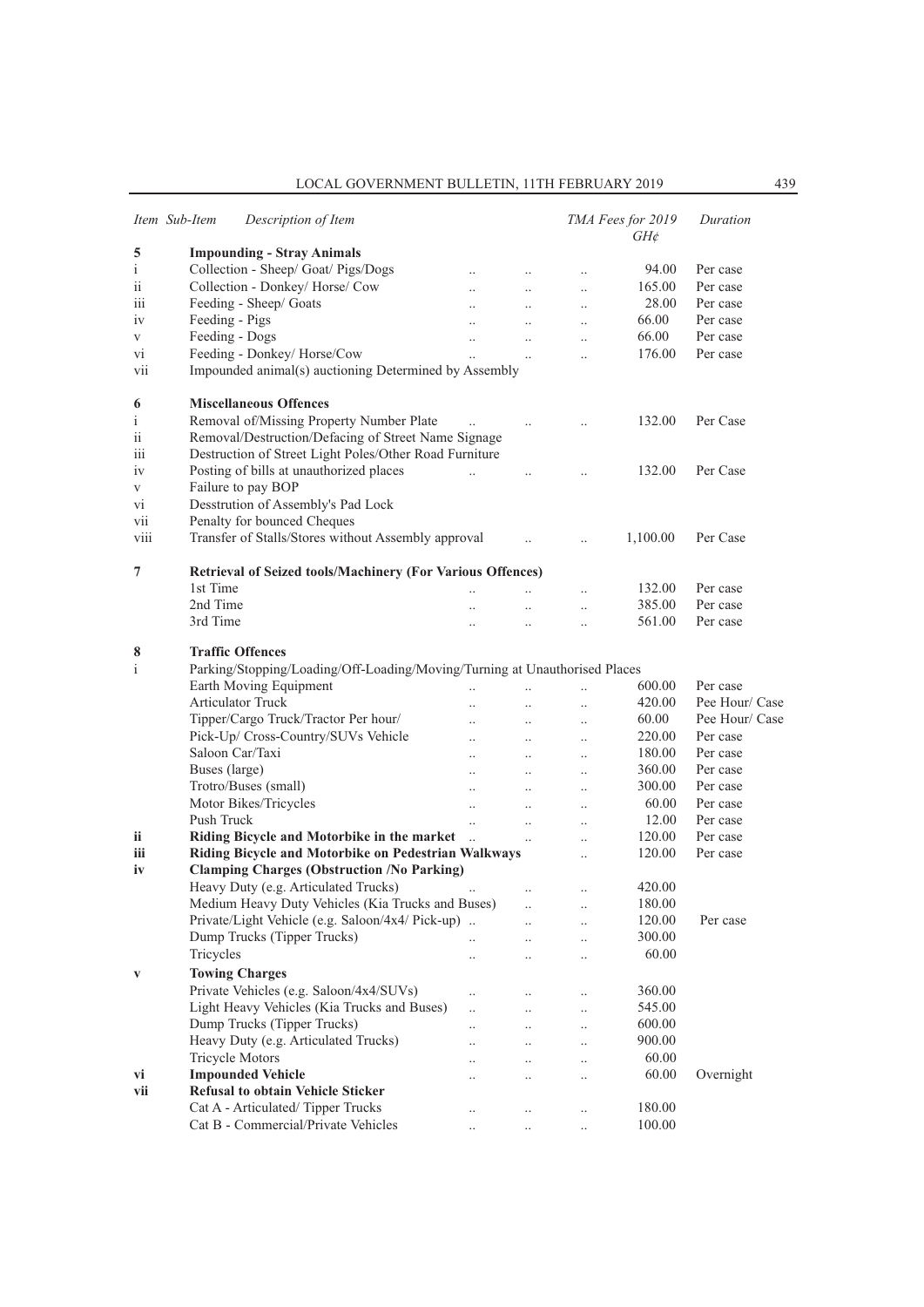|              | Item Sub-Item          | Description of Item                                                        |                       |                      |                      | TMA Fees for 2019<br>$GH\phi$ | Duration       |
|--------------|------------------------|----------------------------------------------------------------------------|-----------------------|----------------------|----------------------|-------------------------------|----------------|
| 5            |                        | <b>Impounding - Stray Animals</b>                                          |                       |                      |                      |                               |                |
| $\mathbf{i}$ |                        | Collection - Sheep/ Goat/ Pigs/Dogs                                        | $\ddot{\phantom{0}}$  | $\ldots$             | $\ldots$             | 94.00                         | Per case       |
| ii           |                        | Collection - Donkey/ Horse/ Cow                                            | $\ddotsc$             | $\ddotsc$            | $\ddotsc$            | 165.00                        | Per case       |
| 111          |                        | Feeding - Sheep/ Goats                                                     |                       | $\ddot{\phantom{a}}$ | $\ddotsc$            | 28.00                         | Per case       |
| iv           | Feeding - Pigs         |                                                                            | $\ddot{\phantom{a}}$  | $\ddot{\phantom{a}}$ | $\ddotsc$            | 66.00                         | Per case       |
| V            | Feeding - Dogs         |                                                                            | $\ddotsc$             | $\ddotsc$            | $\ddotsc$            | 66.00                         | Per case       |
| vi           |                        | Feeding - Donkey/Horse/Cow                                                 | $\ddotsc$             | $\ldots$             | $\ddot{\phantom{a}}$ | 176.00                        | Per case       |
| vii          |                        | Impounded animal(s) auctioning Determined by Assembly                      |                       |                      |                      |                               |                |
| 6            |                        | <b>Miscellaneous Offences</b>                                              |                       |                      |                      |                               |                |
| $\mathbf{i}$ |                        | Removal of/Missing Property Number Plate                                   |                       | $\ldots$             |                      | 132.00                        | Per Case       |
| ii           |                        | Removal/Destruction/Defacing of Street Name Signage                        |                       |                      |                      |                               |                |
| 111          |                        | Destruction of Street Light Poles/Other Road Furniture                     |                       |                      |                      |                               |                |
| 1V           |                        | Posting of bills at unauthorized places                                    | $\dddot{\phantom{0}}$ | $\ddotsc$            | $\ddot{\phantom{0}}$ | 132.00                        | Per Case       |
| V            |                        | Failure to pay BOP                                                         |                       |                      |                      |                               |                |
| Vİ.          |                        | Desstrution of Assembly's Pad Lock                                         |                       |                      |                      |                               |                |
| vii          |                        | Penalty for bounced Cheques                                                |                       |                      |                      |                               |                |
| viii         |                        | Transfer of Stalls/Stores without Assembly approval                        |                       | $\ddot{\phantom{a}}$ | $\ddotsc$            | 1,100.00                      | Per Case       |
| 7            |                        | Retrieval of Seized tools/Machinery (For Various Offences)                 |                       |                      |                      |                               |                |
|              | 1st Time               |                                                                            |                       |                      | $\ddotsc$            | 132.00                        | Per case       |
|              | 2nd Time               |                                                                            |                       | $\ddotsc$            | $\ddot{\phantom{a}}$ | 385.00                        | Per case       |
|              | 3rd Time               |                                                                            | $\ddot{\phantom{a}}$  | $\ddotsc$            | $\ddot{\phantom{a}}$ | 561.00                        | Per case       |
| 8            |                        | <b>Traffic Offences</b>                                                    |                       |                      |                      |                               |                |
| $\mathbf{i}$ |                        | Parking/Stopping/Loading/Off-Loading/Moving/Turning at Unauthorised Places |                       |                      |                      |                               |                |
|              |                        | Earth Moving Equipment                                                     | $\ddotsc$             |                      | $\ddotsc$            | 600.00                        | Per case       |
|              |                        | Articulator Truck                                                          | $\ddot{\phantom{a}}$  | $\ddotsc$            | $\cdot$              | 420.00                        | Pee Hour/ Case |
|              |                        | Tipper/Cargo Truck/Tractor Per hour/                                       | $\ddotsc$             | $\ldots$             | $\ldots$             | 60.00                         | Pee Hour/ Case |
|              |                        | Pick-Up/ Cross-Country/SUVs Vehicle                                        | $\ddot{\phantom{0}}$  | $\ddotsc$            | $\ddotsc$            | 220.00                        | Per case       |
|              |                        | Saloon Car/Taxi                                                            | $\ddot{\phantom{a}}$  | $\ddotsc$            | $\ddot{\phantom{a}}$ | 180.00                        | Per case       |
|              | Buses (large)          |                                                                            | $\ddot{\phantom{a}}$  | $\ddotsc$            | $\ddotsc$            | 360.00                        | Per case       |
|              |                        | Trotro/Buses (small)                                                       | $\ddotsc$             | $\ddotsc$            | $\ddotsc$            | 300.00                        | Per case       |
|              |                        | Motor Bikes/Tricycles                                                      | $\ddotsc$             | $\ddotsc$            | $\cdot$              | 60.00                         | Per case       |
|              | Push Truck             |                                                                            | $\ddot{\phantom{a}}$  | $\ddotsc$            | $\ddotsc$            | 12.00                         | Per case       |
| ii.          |                        | Riding Bicycle and Motorbike in the market                                 | $\ddots$              | $\ddotsc$            | $\ddot{\phantom{a}}$ | 120.00                        | Per case       |
| iii          |                        | Riding Bicycle and Motorbike on Pedestrian Walkways                        |                       |                      | $\ddotsc$            | 120.00                        | Per case       |
| iv           |                        | <b>Clamping Charges (Obstruction /No Parking)</b>                          |                       |                      |                      |                               |                |
|              |                        | Heavy Duty (e.g. Articulated Trucks)                                       | $\cdots$              | $\sim$ 100 $\mu$     | $\ldots$             | 420.00                        |                |
|              |                        | Medium Heavy Duty Vehicles (Kia Trucks and Buses)                          |                       | $\ldots$             | $\cdot$              | 180.00                        |                |
|              |                        | Private/Light Vehicle (e.g. Saloon/4x4/ Pick-up)                           |                       |                      |                      | 120.00                        | Per case       |
|              |                        | Dump Trucks (Tipper Trucks)                                                | $\ddotsc$             | $\ddot{\phantom{a}}$ | $\ddot{\phantom{a}}$ | 300.00                        |                |
|              | Tricycles              |                                                                            | $\cdot$ .             | $\ddotsc$            | $\ldots$             | 60.00                         |                |
| $\mathbf{V}$ |                        | <b>Towing Charges</b>                                                      |                       |                      |                      |                               |                |
|              |                        | Private Vehicles (e.g. Saloon/4x4/SUVs)                                    | $\ddotsc$             | $\ddotsc$            | $\ddot{\phantom{a}}$ | 360.00                        |                |
|              |                        | Light Heavy Vehicles (Kia Trucks and Buses)                                |                       |                      |                      | 545.00                        |                |
|              |                        | Dump Trucks (Tipper Trucks)                                                | $\ddotsc$             | $\ddotsc$            | $\ldots$             | 600.00                        |                |
|              |                        | Heavy Duty (e.g. Articulated Trucks)                                       | $\ddotsc$             | $\ddotsc$            | $\ldots$             | 900.00                        |                |
|              | <b>Tricycle Motors</b> |                                                                            |                       | $\ddot{\phantom{0}}$ | $\ddot{\phantom{a}}$ | 60.00                         |                |
|              |                        | <b>Impounded Vehicle</b>                                                   |                       | $\ddot{\phantom{0}}$ | $\ddot{\phantom{0}}$ | 60.00                         | Overnight      |
| vi           |                        | <b>Refusal to obtain Vehicle Sticker</b>                                   | $\ddot{\phantom{a}}$  | $\ddot{\phantom{a}}$ | $\ddot{\phantom{a}}$ |                               |                |
| vii          |                        |                                                                            |                       |                      |                      |                               |                |
|              |                        | Cat A - Articulated/Tipper Trucks                                          | $\cdot$               | $\cdot$              |                      | 180.00                        |                |
|              |                        | Cat B - Commercial/Private Vehicles                                        |                       |                      | $\ddot{\phantom{a}}$ | 100.00                        |                |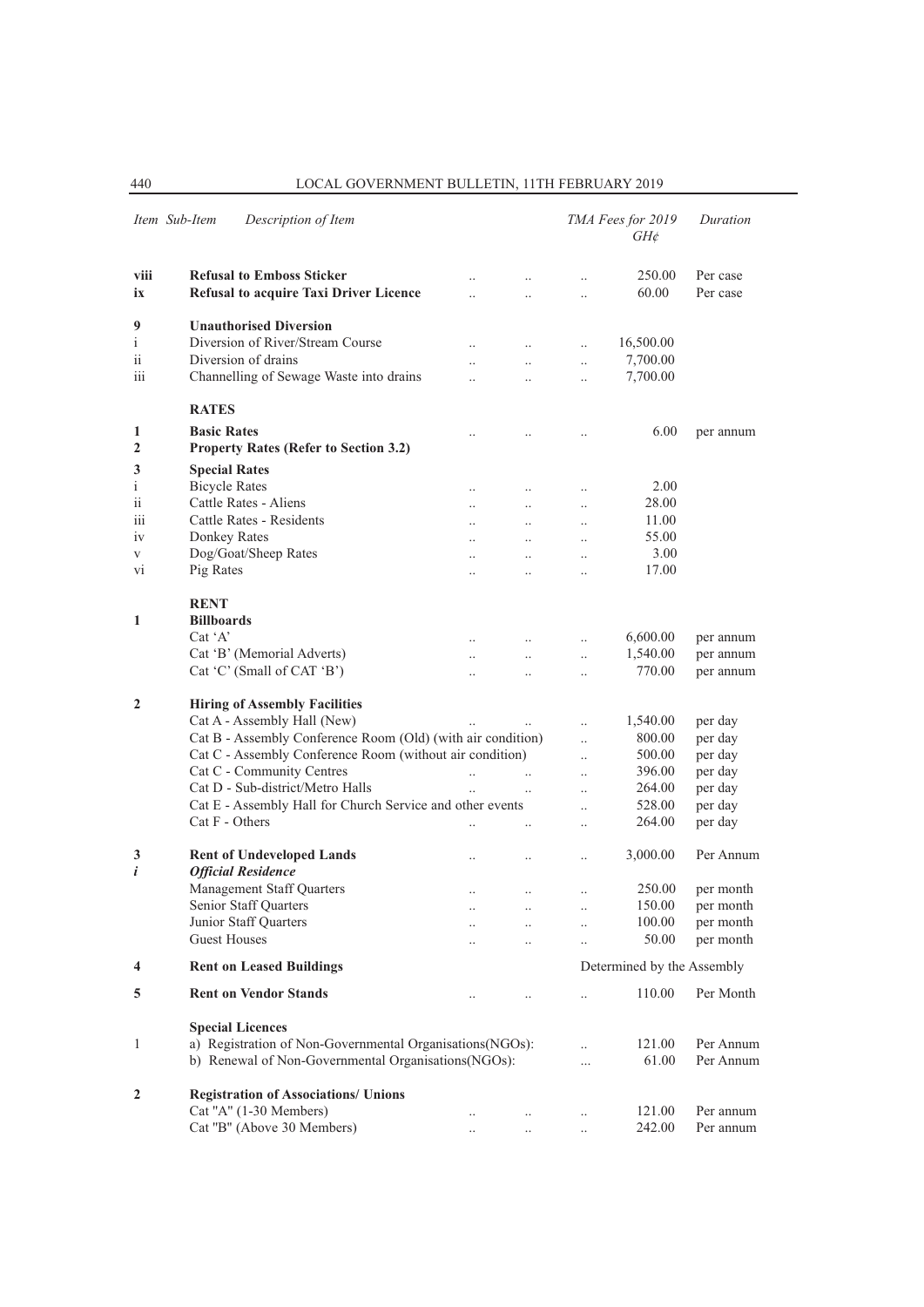| Item Sub-Item   | Description of Item                                         |                      |                      |                      | TMA Fees for 2019<br>GH¢   | Duration               |
|-----------------|-------------------------------------------------------------|----------------------|----------------------|----------------------|----------------------------|------------------------|
| viii            | <b>Refusal to Emboss Sticker</b>                            |                      |                      |                      | 250.00                     | Per case               |
| ix              | <b>Refusal to acquire Taxi Driver Licence</b>               | $\ddot{\phantom{0}}$ | $\ddot{\phantom{0}}$ | $\cdot$              | 60.00                      | Per case               |
|                 |                                                             |                      |                      |                      |                            |                        |
| 9               | <b>Unauthorised Diversion</b>                               |                      |                      |                      |                            |                        |
| $\mathbf{i}$    | Diversion of River/Stream Course                            |                      | $\ddotsc$            | $\ddotsc$            | 16,500.00                  |                        |
| $\overline{11}$ | Diversion of drains                                         | $\ddotsc$            | $\ddotsc$            | $\ldots$             | 7,700.00                   |                        |
| 111             | Channelling of Sewage Waste into drains                     | $\ddot{\phantom{a}}$ | $\ddotsc$            | $\ldots$             | 7,700.00                   |                        |
|                 | <b>RATES</b>                                                |                      |                      |                      |                            |                        |
| 1               | <b>Basic Rates</b>                                          |                      |                      | $\ddotsc$            | 6.00                       | per annum              |
| $\overline{2}$  | <b>Property Rates (Refer to Section 3.2)</b>                |                      |                      |                      |                            |                        |
| 3               | <b>Special Rates</b>                                        |                      |                      |                      |                            |                        |
| $\rm i$         | <b>Bicycle Rates</b>                                        | $\cdot$ .            | $\ldots$             | $\ldots$             | 2.00                       |                        |
| ii              | Cattle Rates - Aliens                                       | $\ddotsc$            | $\ddotsc$            | $\ddotsc$            | 28.00                      |                        |
| 111             | Cattle Rates - Residents                                    | $\ddot{\phantom{a}}$ | $\ddotsc$            | $\ddotsc$            | 11.00                      |                        |
| 1V              | Donkey Rates                                                |                      | $\ddotsc$            | $\ldots$             | 55.00                      |                        |
| V               | Dog/Goat/Sheep Rates                                        | $\ddotsc$            | $\ddotsc$            | $\ldots$             | 3.00                       |                        |
| V <sub>1</sub>  | Pig Rates                                                   |                      |                      | $\ldots$             | 17.00                      |                        |
|                 | <b>RENT</b>                                                 |                      |                      |                      |                            |                        |
| 1               | <b>Billboards</b><br>$Cat^{\dagger}A'$                      |                      |                      |                      |                            |                        |
|                 | Cat 'B' (Memorial Adverts)                                  | $\cdot \cdot$        | $\cdot$ .            | $\ldots$             | 6,600.00<br>1,540.00       | per annum              |
|                 | Cat 'C' (Small of CAT 'B')                                  |                      | $\ddot{\phantom{0}}$ | $\ldots$             | 770.00                     | per annum<br>per annum |
|                 |                                                             |                      |                      | $\ddotsc$            |                            |                        |
| $\overline{2}$  | <b>Hiring of Assembly Facilities</b>                        |                      |                      |                      |                            |                        |
|                 | Cat A - Assembly Hall (New)                                 |                      |                      | $\ddotsc$            | 1,540.00                   | per day                |
|                 | Cat B - Assembly Conference Room (Old) (with air condition) |                      |                      | $\ddot{\phantom{0}}$ | 800.00                     | per day                |
|                 | Cat C - Assembly Conference Room (without air condition)    |                      |                      | $\ddotsc$            | 500.00                     | per day                |
|                 | Cat C - Community Centres                                   | $\ddotsc$            |                      | $\ddot{\phantom{a}}$ | 396.00                     | per day                |
|                 | Cat D - Sub-district/Metro Halls                            | $\ddotsc$            |                      | $\ddotsc$            | 264.00                     | per day                |
|                 | Cat E - Assembly Hall for Church Service and other events   |                      |                      | $\ddotsc$            | 528.00                     | per day                |
|                 | Cat F - Others                                              |                      |                      | $\ddotsc$            | 264.00                     | per day                |
| 3               | <b>Rent of Undeveloped Lands</b>                            | $\ddotsc$            | $\ddotsc$            | $\ddotsc$            | 3,000.00                   | Per Annum              |
| i               | <b>Official Residence</b><br>Management Staff Quarters      |                      |                      |                      |                            |                        |
|                 | Senior Staff Quarters                                       | $\cdot$              | $\ldots$             | $\ldots$             | 250.00<br>150.00           | per month              |
|                 | Junior Staff Quarters                                       | $\ddotsc$            |                      | $\cdots$             | 100.00                     | per month<br>per month |
|                 | <b>Guest Houses</b>                                         | $\ddot{\phantom{0}}$ | $\ddotsc$            | $\ddot{\phantom{0}}$ | 50.00                      | per month              |
|                 |                                                             | $\ddotsc$            |                      | $\ddot{\phantom{0}}$ |                            |                        |
| 4               | <b>Rent on Leased Buildings</b>                             |                      |                      |                      | Determined by the Assembly |                        |
| 5               | <b>Rent on Vendor Stands</b>                                | $\cdot$ .            |                      | $\ddot{\phantom{a}}$ | 110.00                     | Per Month              |
|                 | <b>Special Licences</b>                                     |                      |                      |                      |                            |                        |
| 1               | a) Registration of Non-Governmental Organisations(NGOs):    |                      |                      | $\ddotsc$            | 121.00                     | Per Annum              |
|                 | b) Renewal of Non-Governmental Organisations(NGOs):         |                      |                      | $\cdots$             | 61.00                      | Per Annum              |
| $\mathbf{2}$    | <b>Registration of Associations/ Unions</b>                 |                      |                      |                      |                            |                        |
|                 | Cat "A" (1-30 Members)                                      | $\ldots$             | $\ddotsc$            | $\ldots$             | 121.00                     | Per annum              |
|                 | Cat "B" (Above 30 Members)                                  | $\ldots$             | $\ldots$             | $\ldots$             | 242.00                     | Per annum              |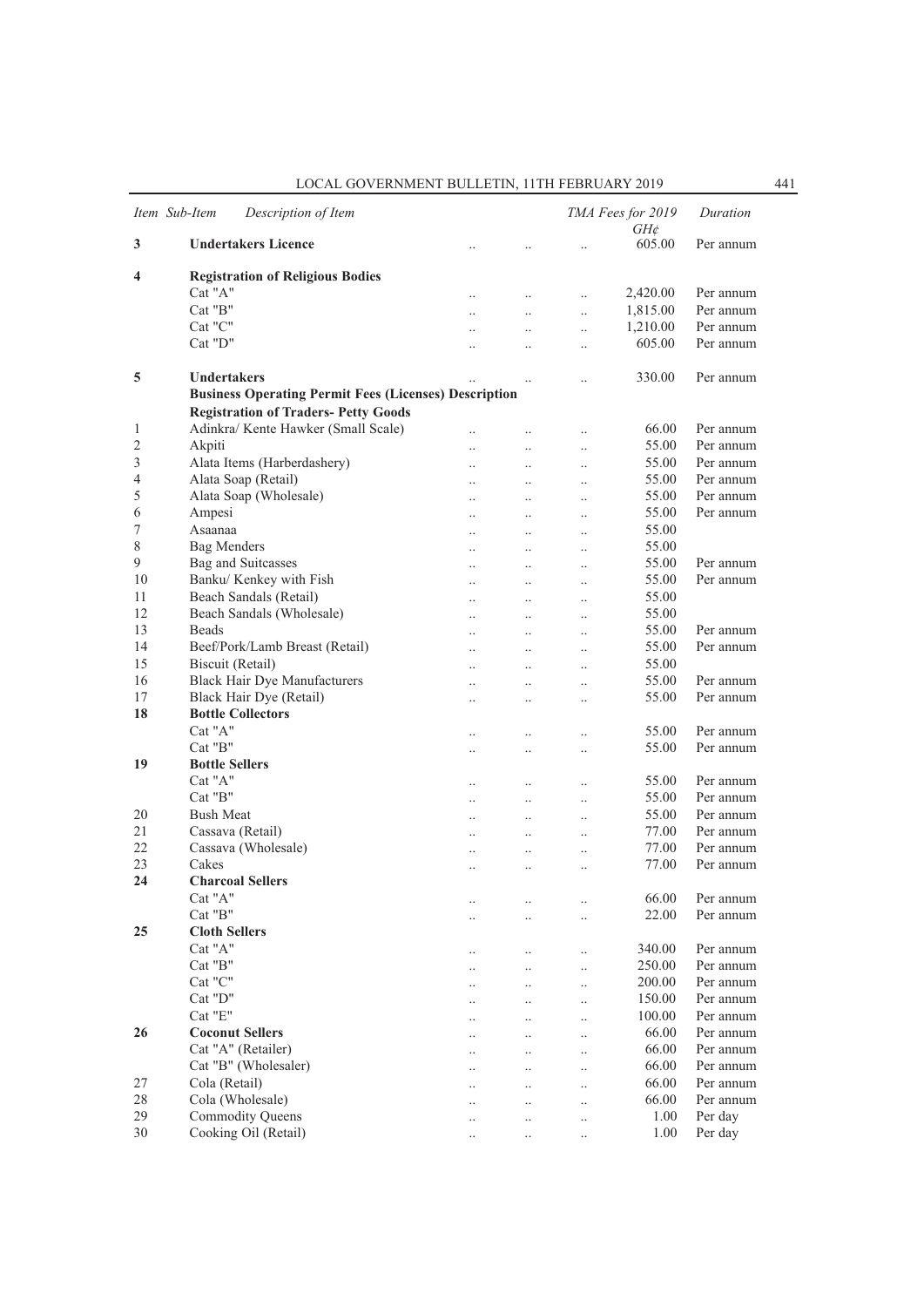|    | Item Sub-Item<br>Description of Item                         |                      |                      |                      | TMA Fees for 2019<br>$GH$ ¢ | Duration  |
|----|--------------------------------------------------------------|----------------------|----------------------|----------------------|-----------------------------|-----------|
| 3  | <b>Undertakers Licence</b>                                   |                      |                      |                      | 605.00                      | Per annum |
| 4  | <b>Registration of Religious Bodies</b>                      |                      |                      |                      |                             |           |
|    | Cat "A"                                                      | $\ddotsc$            | $\cdot$ .            | $\cdot$ .            | 2,420.00                    | Per annum |
|    | Cat "B"                                                      | $\ddotsc$            | $\ddot{\phantom{0}}$ | $\ddotsc$            | 1,815.00                    | Per annum |
|    | Cat "C"                                                      |                      | $\ddot{\phantom{0}}$ | $\ddotsc$            | 1,210.00                    | Per annum |
|    | Cat "D"                                                      | $\ddot{\phantom{0}}$ | $\ddot{\phantom{a}}$ | $\ddot{\phantom{a}}$ | 605.00                      | Per annum |
|    |                                                              |                      |                      |                      |                             |           |
| 5  | <b>Undertakers</b>                                           |                      | $\ddotsc$            | $\ddot{\phantom{a}}$ | 330.00                      | Per annum |
|    | <b>Business Operating Permit Fees (Licenses) Description</b> |                      |                      |                      |                             |           |
|    | <b>Registration of Traders- Petty Goods</b>                  |                      |                      |                      |                             |           |
| 1  | Adinkra/ Kente Hawker (Small Scale)                          | $\ddot{\phantom{a}}$ | $\ddotsc$            | $\ddotsc$            | 66.00                       | Per annum |
| 2  | Akpiti                                                       | $\ddot{\phantom{0}}$ | $\ddot{\phantom{a}}$ | $\ddot{\phantom{a}}$ | 55.00                       | Per annum |
| 3  | Alata Items (Harberdashery)                                  | $\ddot{\phantom{0}}$ | $\ddot{\phantom{a}}$ | $\ddot{\phantom{a}}$ | 55.00                       | Per annum |
| 4  | Alata Soap (Retail)                                          | $\cdot$              | $\ddot{\phantom{0}}$ | $\ddotsc$            | 55.00                       | Per annum |
| 5  | Alata Soap (Wholesale)                                       | $\cdot$ .            | $\ddotsc$            | $\ddotsc$            | 55.00                       | Per annum |
| 6  | Ampesi                                                       | $\ddotsc$            | $\ddotsc$            | $\ddotsc$            | 55.00                       | Per annum |
| 7  | Asaanaa                                                      | $\ddotsc$            | $\ddotsc$            | $\ddot{\phantom{0}}$ | 55.00                       |           |
| 8  | <b>Bag Menders</b>                                           |                      |                      |                      | 55.00                       |           |
| 9  | Bag and Suitcasses                                           | $\ddotsc$            | $\ddotsc$            | $\ddotsc$            | 55.00                       | Per annum |
| 10 | Banku/ Kenkey with Fish                                      | $\ddotsc$            | $\ddotsc$            | $\ddotsc$            | 55.00                       | Per annum |
| 11 | Beach Sandals (Retail)                                       | $\cdot$ .            | $\ddotsc$            | $\ddotsc$            | 55.00                       |           |
| 12 |                                                              | $\ddotsc$            | $\ddotsc$            | $\ddotsc$            | 55.00                       |           |
|    | Beach Sandals (Wholesale)                                    | $\ddotsc$            | $\ddotsc$            | $\ddot{\phantom{0}}$ |                             |           |
| 13 | <b>Beads</b>                                                 | $\ddot{\phantom{a}}$ | $\ddot{\phantom{0}}$ | $\ddot{\phantom{0}}$ | 55.00                       | Per annum |
| 14 | Beef/Pork/Lamb Breast (Retail)                               | $\ddot{\phantom{a}}$ | $\ddot{\phantom{0}}$ | $\ddotsc$            | 55.00                       | Per annum |
| 15 | Biscuit (Retail)                                             | $\ddotsc$            | $\ddot{\phantom{0}}$ | $\ddotsc$            | 55.00                       |           |
| 16 | <b>Black Hair Dye Manufacturers</b>                          | $\ddotsc$            | $\ddot{\phantom{0}}$ | $\ddotsc$            | 55.00                       | Per annum |
| 17 | Black Hair Dye (Retail)                                      | $\ddot{\phantom{0}}$ | $\ddot{\phantom{a}}$ | $\ddot{\phantom{a}}$ | 55.00                       | Per annum |
| 18 | <b>Bottle Collectors</b>                                     |                      |                      |                      |                             |           |
|    | Cat "A"                                                      | $\ddotsc$            | $\ddotsc$            | $\cdot$ .            | 55.00                       | Per annum |
|    | Cat "B"                                                      | $\cdot$ .            | $\ddot{\phantom{a}}$ | $\cdot$ .            | 55.00                       | Per annum |
| 19 | <b>Bottle Sellers</b>                                        |                      |                      |                      |                             |           |
|    | Cat "A"                                                      |                      | $\ddot{\phantom{0}}$ | $\ddot{\phantom{0}}$ | 55.00                       | Per annum |
|    | Cat "B"                                                      | $\ddotsc$            | $\ddot{\phantom{a}}$ | $\ddot{\phantom{0}}$ | 55.00                       | Per annum |
| 20 | <b>Bush Meat</b>                                             | $\ddotsc$            | $\ddotsc$            | $\ddotsc$            | 55.00                       | Per annum |
| 21 | Cassava (Retail)                                             | $\ddot{\phantom{a}}$ | $\ddotsc$            | $\ddotsc$            | 77.00                       | Per annum |
| 22 | Cassava (Wholesale)                                          | $\ddotsc$            | $\ddotsc$            | $\ddotsc$            | 77.00                       | Per annum |
| 23 | Cakes                                                        |                      |                      |                      | 77.00                       | Per annum |
| 24 | <b>Charcoal Sellers</b>                                      |                      |                      |                      |                             |           |
|    | Cat "A"                                                      | $\cdot$ .            |                      |                      | 66.00                       | Per annum |
|    | Cat "B"                                                      |                      |                      |                      | 22.00                       | Per annum |
| 25 | <b>Cloth Sellers</b>                                         |                      |                      |                      |                             |           |
|    | Cat "A"                                                      | $\cdot$ .            |                      | $\ddot{\phantom{a}}$ | 340.00                      | Per annum |
|    | Cat "B"                                                      | $\ddotsc$            | $\ddot{\phantom{a}}$ | $\ddot{\phantom{a}}$ | 250.00                      | Per annum |
|    | Cat "C"                                                      | $\ddotsc$            | $\ddot{\phantom{0}}$ | $\ddotsc$            | 200.00                      | Per annum |
|    | Cat "D"                                                      |                      |                      | $\ddotsc$            | 150.00                      | Per annum |
|    | Cat "E"                                                      |                      |                      |                      | 100.00                      | Per annum |
| 26 | <b>Coconut Sellers</b>                                       | $\ddotsc$            | $\ddot{\phantom{0}}$ | $\ddotsc$            | 66.00                       | Per annum |
|    | Cat "A" (Retailer)                                           | $\ddotsc$            | $\ddot{\phantom{a}}$ | $\ddot{\phantom{a}}$ | 66.00                       | Per annum |
|    | Cat "B" (Wholesaler)                                         | $\cdot$ .            | $\ddot{\phantom{a}}$ | $\ddotsc$            | 66.00                       | Per annum |
| 27 | Cola (Retail)                                                |                      |                      | $\ddot{\phantom{a}}$ | 66.00                       | Per annum |
| 28 | Cola (Wholesale)                                             |                      | $\ddot{\phantom{a}}$ |                      | 66.00                       | Per annum |
| 29 | <b>Commodity Queens</b>                                      |                      | $\ddot{\phantom{0}}$ | $\ddot{\phantom{a}}$ | 1.00                        | Per day   |
| 30 | Cooking Oil (Retail)                                         | $\ddotsc$            | $\ddot{\phantom{a}}$ | $\ddotsc$            | 1.00                        | Per day   |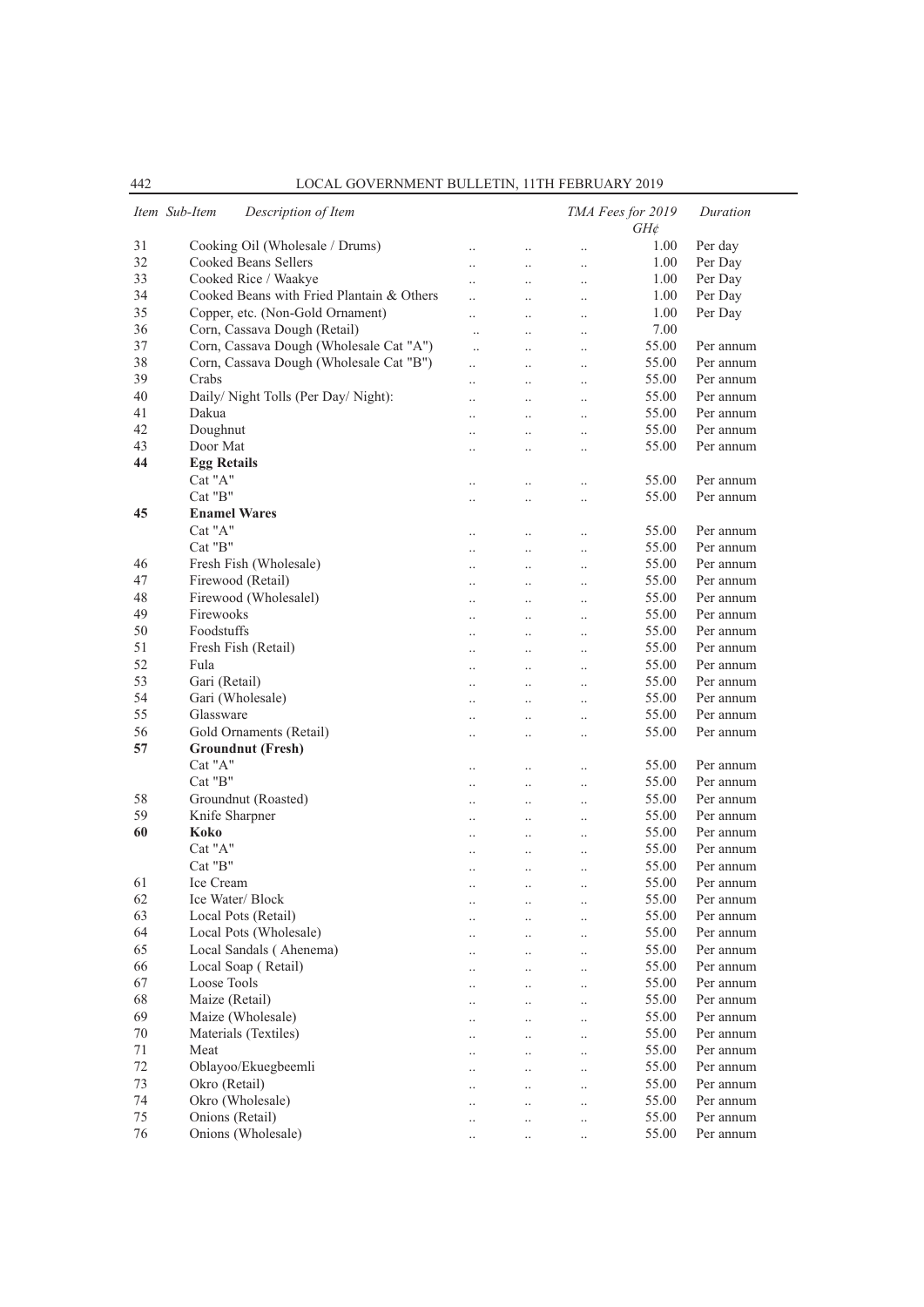|    | Item Sub-Item<br>Description of Item      |                      |                      |           | TMA Fees for 2019<br>$GH\phi$ | Duration  |
|----|-------------------------------------------|----------------------|----------------------|-----------|-------------------------------|-----------|
| 31 | Cooking Oil (Wholesale / Drums)           | $\cdot$ .            | $\ddotsc$            | $\ddotsc$ | 1.00                          | Per day   |
| 32 | Cooked Beans Sellers                      | $\ddotsc$            | $\ddot{\phantom{a}}$ | $\ddotsc$ | 1.00                          | Per Day   |
| 33 | Cooked Rice / Waakye                      | $\ddot{\phantom{a}}$ | $\ddot{\phantom{a}}$ | $\ddotsc$ | 1.00                          | Per Day   |
| 34 | Cooked Beans with Fried Plantain & Others | $\ddotsc$            | $\ddot{\phantom{0}}$ | $\ldots$  | 1.00                          | Per Day   |
| 35 | Copper, etc. (Non-Gold Ornament)          | $\ddot{\phantom{a}}$ | $\cdot$ .            | $\ldots$  | 1.00                          | Per Day   |
| 36 | Corn, Cassava Dough (Retail)              | $\ddotsc$            | $\ddot{\phantom{0}}$ | $\ldots$  | 7.00                          |           |
| 37 | Corn, Cassava Dough (Wholesale Cat "A")   | $\ddotsc$            | $\ddot{\phantom{0}}$ | $\ddotsc$ | 55.00                         | Per annum |
| 38 | Corn, Cassava Dough (Wholesale Cat "B")   | $\ddotsc$            | $\ddotsc$            | $\ddotsc$ | 55.00                         | Per annum |
| 39 | Crabs                                     | $\ddot{\phantom{0}}$ | $\ddotsc$            | $\ldots$  | 55.00                         | Per annum |
| 40 | Daily/ Night Tolls (Per Day/ Night):      | $\ddotsc$            | $\cdot$ .            | $\ldots$  | 55.00                         | Per annum |
| 41 | Dakua                                     |                      | $\ddot{\phantom{0}}$ | $\ddotsc$ | 55.00                         | Per annum |
| 42 | Doughnut                                  | $\ddot{\phantom{a}}$ |                      |           | 55.00                         | Per annum |
| 43 | Door Mat                                  |                      | $\ddot{\phantom{a}}$ | $\ddotsc$ | 55.00                         | Per annum |
| 44 | <b>Egg Retails</b>                        | $\ddot{\phantom{a}}$ | $\ddot{\phantom{a}}$ | $\ddotsc$ |                               |           |
|    | Cat "A"                                   |                      |                      |           | 55.00                         | Per annum |
|    | Cat "B"                                   |                      | $\cdot$              | $\cdot$   | 55.00                         | Per annum |
|    |                                           | $\cdot$ .            | $\ddotsc$            | $\ldots$  |                               |           |
| 45 | <b>Enamel Wares</b>                       |                      |                      |           |                               |           |
|    | Cat "A"                                   | $\cdot$ .            | $\ddotsc$            | $\ldots$  | 55.00                         | Per annum |
|    | Cat "B"                                   | $\ddotsc$            | $\ddotsc$            | $\ldots$  | 55.00                         | Per annum |
| 46 | Fresh Fish (Wholesale)                    | $\cdot$ .            | $\cdot$ .            | $\ldots$  | 55.00                         | Per annum |
| 47 | Firewood (Retail)                         | $\ddotsc$            | $\ddotsc$            | $\ldots$  | 55.00                         | Per annum |
| 48 | Firewood (Wholesalel)                     | $\ddot{\phantom{a}}$ | $\ddot{\phantom{a}}$ | $\ddotsc$ | 55.00                         | Per annum |
| 49 | Firewooks                                 | $\ddot{\phantom{a}}$ | $\ddotsc$            | $\ddotsc$ | 55.00                         | Per annum |
| 50 | Foodstuffs                                | $\ddotsc$            | $\ddot{\phantom{0}}$ | $\ldots$  | 55.00                         | Per annum |
| 51 | Fresh Fish (Retail)                       | $\ldots$             | $\cdot$ .            | $\ldots$  | 55.00                         | Per annum |
| 52 | Fula                                      | $\ddotsc$            | $\ddotsc$            | $\ldots$  | 55.00                         | Per annum |
| 53 | Gari (Retail)                             | $\ddotsc$            | $\ddot{\phantom{0}}$ | $\ddotsc$ | 55.00                         | Per annum |
| 54 | Gari (Wholesale)                          | $\ddot{\phantom{a}}$ | $\ddotsc$            | $\ddotsc$ | 55.00                         | Per annum |
| 55 | Glassware                                 | $\cdot$ .            | $\cdot$              | $\cdot$   | 55.00                         | Per annum |
| 56 | Gold Ornaments (Retail)                   | $\cdot$ .            | $\cdot$              | $\cdot$   | 55.00                         | Per annum |
| 57 | <b>Groundnut (Fresh)</b>                  |                      |                      |           |                               |           |
|    | Cat "A"                                   | $\ddotsc$            | $\ddot{\phantom{0}}$ | $\ldots$  | 55.00                         | Per annum |
|    | $Cat$ " $B$ "                             | $\ddot{\phantom{a}}$ | $\ddotsc$            | $\ddotsc$ | 55.00                         | Per annum |
| 58 | Groundnut (Roasted)                       | $\cdot$ .            | $\ddotsc$            | $\cdot$   | 55.00                         | Per annum |
| 59 | Knife Sharpner                            | $\ldots$             | $\cdot$ .            | $\ldots$  | 55.00                         | Per annum |
| 60 | Koko                                      | $\ddotsc$            | $\ddotsc$            | $\ldots$  | 55.00                         | Per annum |
|    | Cat "A"                                   | $\ddotsc$            | $\ddot{\phantom{0}}$ | $\ddotsc$ | 55.00                         | Per annum |
|    | Cat "B"                                   | $\ddotsc$            | $\ddotsc$            | $\ldots$  | 55.00                         | Per annum |
| 61 | Ice Cream                                 | $\ddotsc$            |                      |           | 55.00                         | Per annum |
| 62 | Ice Water/Block                           |                      | $\ldots$             | $\cdot$   | 55.00                         | Per annum |
| 63 | Local Pots (Retail)                       | $\cdot \cdot$        |                      | $\ldots$  | 55.00                         | Per annum |
| 64 | Local Pots (Wholesale)                    | $\cdot$ .            |                      | $\ldots$  | 55.00                         | Per annum |
| 65 | Local Sandals (Ahenema)                   | $\ddotsc$            | $\ddot{\phantom{0}}$ | $\ldots$  | 55.00                         | Per annum |
|    | Local Soap (Retail)                       | $\ldots$             | $\ddot{\phantom{a}}$ | $\ldots$  |                               | Per annum |
| 66 |                                           | $\ldots$             | $\ddotsc$            | $\ldots$  | 55.00                         |           |
| 67 | Loose Tools                               |                      | $\ddotsc$            | $\ldots$  | 55.00                         | Per annum |
| 68 | Maize (Retail)                            | $\ldots$             | $\ddotsc$            | $\ldots$  | 55.00                         | Per annum |
| 69 | Maize (Wholesale)                         | $\ddotsc$            | $\ddot{\phantom{0}}$ | $\ldots$  | 55.00                         | Per annum |
| 70 | Materials (Textiles)                      | $\ddotsc$            | $\ddot{\phantom{a}}$ | $\ldots$  | 55.00                         | Per annum |
| 71 | Meat                                      | $\ldots$             | $\ddotsc$            | $\ldots$  | 55.00                         | Per annum |
| 72 | Oblayoo/Ekuegbeemli                       |                      | $\ddotsc$            | $\ddotsc$ | 55.00                         | Per annum |
| 73 | Okro (Retail)                             | $\cdot$ .            | $\ddotsc$            | $\ldots$  | 55.00                         | Per annum |
| 74 | Okro (Wholesale)                          | $\cdot$ .            | $\ddot{\phantom{0}}$ | $\cdot$   | 55.00                         | Per annum |
| 75 | Onions (Retail)                           | $\cdot$ .            | $\ddot{\phantom{0}}$ | $\ddotsc$ | 55.00                         | Per annum |
| 76 | Onions (Wholesale)                        |                      | $\cdot$              |           | 55.00                         | Per annum |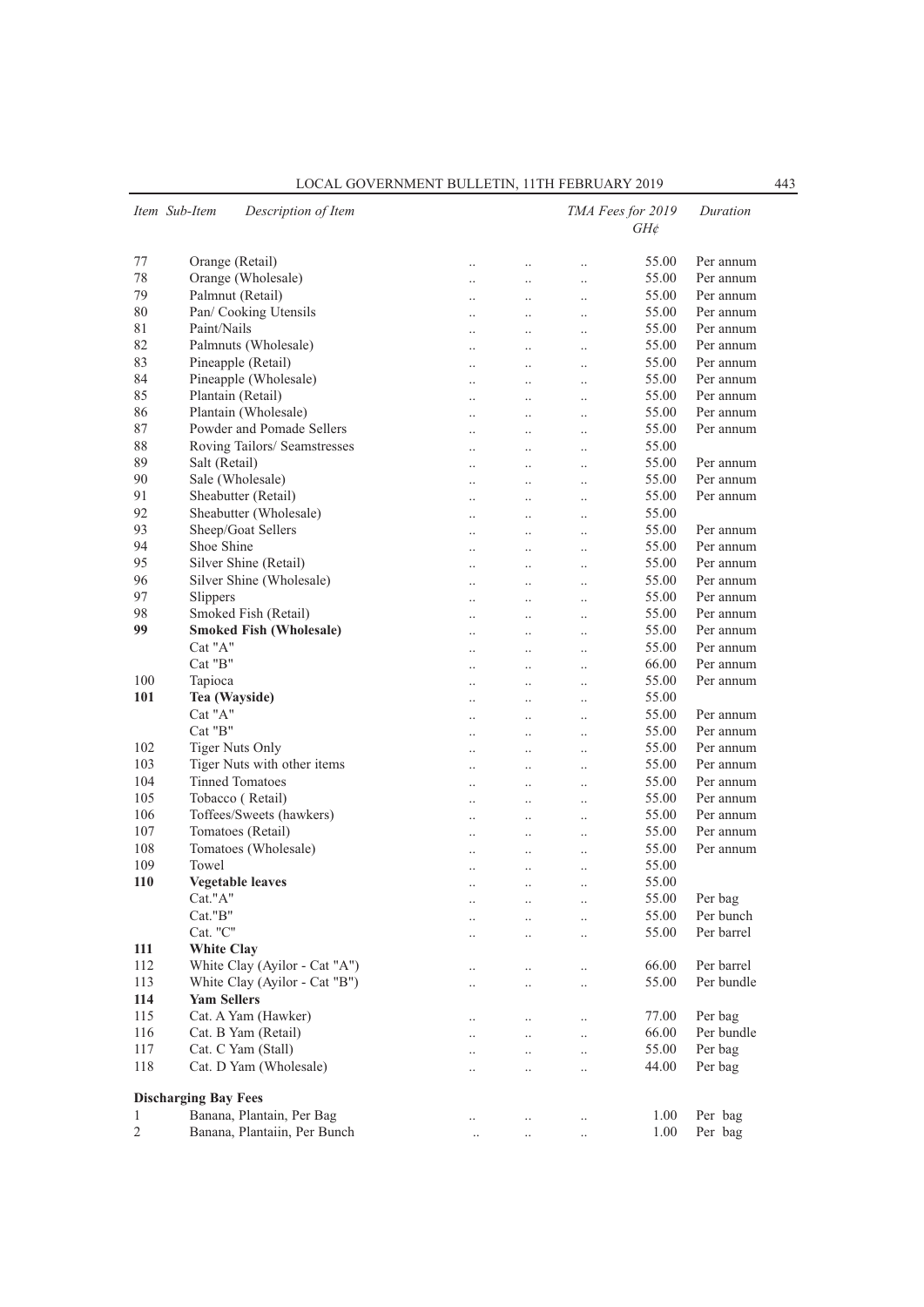|                | Item Sub-Item               | Description of Item            |                      |                      |                      | TMA Fees for 2019<br>$GH\phi$ | Duration   |
|----------------|-----------------------------|--------------------------------|----------------------|----------------------|----------------------|-------------------------------|------------|
| 77             |                             | Orange (Retail)                | $\ddotsc$            | $\cdot$              | $\ddot{\phantom{a}}$ | 55.00                         | Per annum  |
| 78             |                             | Orange (Wholesale)             | $\ddot{\phantom{0}}$ | $\ddotsc$            | $\ddot{\phantom{0}}$ | 55.00                         | Per annum  |
| 79             |                             | Palmnut (Retail)               | $\ddot{\phantom{a}}$ | $\ddotsc$            | $\ddot{\phantom{a}}$ | 55.00                         | Per annum  |
| 80             |                             | Pan/ Cooking Utensils          | $\ddot{\phantom{0}}$ | $\ddotsc$            | $\ddotsc$            | 55.00                         | Per annum  |
| 81             | Paint/Nails                 |                                | $\ddot{\phantom{0}}$ | $\ddot{\phantom{0}}$ | $\ddot{\phantom{0}}$ | 55.00                         | Per annum  |
| 82             |                             | Palmnuts (Wholesale)           | $\ddotsc$            | $\ddot{\phantom{0}}$ | $\ddot{\phantom{0}}$ | 55.00                         | Per annum  |
| 83             |                             | Pineapple (Retail)             | $\ddot{\phantom{a}}$ | $\ddot{\phantom{0}}$ | $\ddot{\phantom{0}}$ | 55.00                         | Per annum  |
| 84             |                             | Pineapple (Wholesale)          | $\ddot{\phantom{a}}$ | $\ddot{\phantom{a}}$ | $\ddot{\phantom{a}}$ | 55.00                         | Per annum  |
| 85             |                             | Plantain (Retail)              | $\ddotsc$            | $\ddotsc$            | $\ddotsc$            | 55.00                         | Per annum  |
| 86             |                             | Plantain (Wholesale)           | $\ddot{\phantom{0}}$ | $\ddot{\phantom{0}}$ | $\ddot{\phantom{0}}$ | 55.00                         | Per annum  |
| 87             |                             | Powder and Pomade Sellers      | $\ddotsc$            | $\ddotsc$            | $\ddot{\phantom{0}}$ | 55.00                         | Per annum  |
| 88             |                             | Roving Tailors/ Seamstresses   | $\ddotsc$            | $\ddotsc$            | $\ddot{\phantom{0}}$ | 55.00                         |            |
| 89             | Salt (Retail)               |                                | $\ddot{\phantom{a}}$ | $\ddot{\phantom{a}}$ | $\ddot{\phantom{0}}$ | 55.00                         | Per annum  |
| 90             |                             | Sale (Wholesale)               | $\ddot{\phantom{0}}$ | $\ddot{\phantom{0}}$ | $\ddotsc$            | 55.00                         | Per annum  |
| 91             |                             | Sheabutter (Retail)            |                      | $\ddot{\phantom{0}}$ | $\ddot{\phantom{0}}$ | 55.00                         | Per annum  |
| 92             |                             | Sheabutter (Wholesale)         | $\ddotsc$            | $\ddotsc$            | $\ddot{\phantom{0}}$ | 55.00                         |            |
| 93             |                             | Sheep/Goat Sellers             | $\ddot{\phantom{a}}$ | $\ddot{\phantom{0}}$ | $\ddot{\phantom{0}}$ | 55.00                         | Per annum  |
| 94             | Shoe Shine                  |                                | $\ddot{\phantom{a}}$ | $\ddotsc$            | $\ddotsc$            | 55.00                         | Per annum  |
| 95             |                             | Silver Shine (Retail)          | $\ddotsc$            |                      | $\ddotsc$            | 55.00                         | Per annum  |
| 96             |                             | Silver Shine (Wholesale)       |                      | $\ddot{\phantom{0}}$ | $\ddot{\phantom{0}}$ | 55.00                         | Per annum  |
| 97             | Slippers                    |                                | $\ddotsc$            | $\ddotsc$            | $\ddot{\phantom{0}}$ | 55.00                         | Per annum  |
| 98             |                             | Smoked Fish (Retail)           | $\ddotsc$            | $\ddotsc$            | $\ddot{\phantom{0}}$ | 55.00                         | Per annum  |
| 99             |                             | <b>Smoked Fish (Wholesale)</b> | $\ddot{\phantom{a}}$ | $\ddot{\phantom{a}}$ | $\ddot{\phantom{a}}$ | 55.00                         | Per annum  |
|                | Cat "A"                     |                                | $\ddot{\phantom{0}}$ | $\ddot{\phantom{a}}$ | $\ddotsc$            | 55.00                         | Per annum  |
|                | Cat "B"                     |                                |                      | $\ddot{\phantom{a}}$ | $\ddot{\phantom{a}}$ | 66.00                         | Per annum  |
| 100            | Tapioca                     |                                | $\ddotsc$            | $\ddotsc$            | $\ddot{\phantom{0}}$ | 55.00                         | Per annum  |
| 101            | Tea (Wayside)               |                                | $\ddot{\phantom{a}}$ | $\ddotsc$            | $\ddot{\phantom{a}}$ | 55.00                         |            |
|                | Cat "A"                     |                                | $\ddot{\phantom{a}}$ | $\ddotsc$            | $\ddot{\phantom{a}}$ | 55.00                         | Per annum  |
|                | $Cat$ " $B$ "               |                                | $\ddotsc$            | $\ddotsc$            | $\ddotsc$            | 55.00                         | Per annum  |
| 102            |                             | <b>Tiger Nuts Only</b>         |                      | $\ddot{\phantom{a}}$ | $\ddot{\phantom{0}}$ | 55.00                         | Per annum  |
| 103            |                             | Tiger Nuts with other items    | $\ddotsc$            | $\ddotsc$            | $\ddot{\phantom{0}}$ | 55.00                         | Per annum  |
| 104            |                             | <b>Tinned Tomatoes</b>         | $\ddotsc$            | $\ddotsc$            | $\ddot{\phantom{a}}$ | 55.00                         | Per annum  |
| 105            |                             | Tobacco (Retail)               | $\ddotsc$            | $\ddot{\phantom{a}}$ | $\ddot{\phantom{a}}$ | 55.00                         | Per annum  |
| 106            |                             | Toffees/Sweets (hawkers)       | $\ddotsc$            |                      | $\ddotsc$            | 55.00                         | Per annum  |
| 107            |                             | Tomatoes (Retail)              | $\ddotsc$            | $\ddot{\phantom{a}}$ | $\ddot{\phantom{a}}$ | 55.00                         | Per annum  |
| 108            |                             | Tomatoes (Wholesale)           | $\ddotsc$            | $\ddot{\phantom{a}}$ | $\ddot{\phantom{0}}$ | 55.00                         | Per annum  |
| 109            | Towel                       |                                | $\ddot{\phantom{a}}$ | $\ddotsc$            | $\ddot{\phantom{a}}$ | 55.00                         |            |
| <b>110</b>     |                             | <b>Vegetable leaves</b>        |                      |                      | $\ddot{\phantom{a}}$ | 55.00                         |            |
|                | Cat."A"                     |                                |                      |                      |                      | 55.00                         | Per bag    |
|                | Cat."B"                     |                                |                      |                      | $\cdot$ .            | 55.00                         | Per bunch  |
|                | Cat. "C"                    |                                |                      | $\ddot{\phantom{0}}$ | $\ddot{\phantom{0}}$ | 55.00                         | Per barrel |
| 111            | <b>White Clay</b>           |                                |                      |                      |                      |                               |            |
| 112            |                             | White Clay (Ayilor - Cat "A")  | $\cdot$ .            | $\ddotsc$            | $\ddotsc$            | 66.00                         | Per barrel |
| 113            |                             | White Clay (Ayilor - Cat "B")  |                      | $\ddotsc$            | $\ddot{\phantom{0}}$ | 55.00                         | Per bundle |
| 114            | <b>Yam Sellers</b>          |                                |                      |                      |                      |                               |            |
| 115            |                             | Cat. A Yam (Hawker)            | $\cdot$ .            | $\ddotsc$            | $\ddotsc$            | 77.00                         | Per bag    |
| 116            |                             | Cat. B Yam (Retail)            |                      | $\ddotsc$            | $\ddot{\phantom{0}}$ | 66.00                         | Per bundle |
| 117            |                             | Cat. C Yam (Stall)             |                      | $\ddotsc$            | $\ddotsc$            | 55.00                         | Per bag    |
| 118            |                             | Cat. D Yam (Wholesale)         |                      | $\ddotsc$            | $\ddot{\phantom{a}}$ | 44.00                         | Per bag    |
|                | <b>Discharging Bay Fees</b> |                                |                      |                      |                      |                               |            |
| 1              |                             | Banana, Plantain, Per Bag      |                      |                      |                      | 1.00                          | Per bag    |
| $\mathfrak{2}$ |                             | Banana, Plantaiin, Per Bunch   | $\cdot$ .            | $\ddotsc$            | $\cdot$              | 1.00                          | Per bag    |
|                |                             |                                | $\ddotsc$            | $\ddot{\phantom{0}}$ | $\ddotsc$            |                               |            |

LOCAL GOVERNMENT BULLETIN, 11TH FEBRUARY 2019 443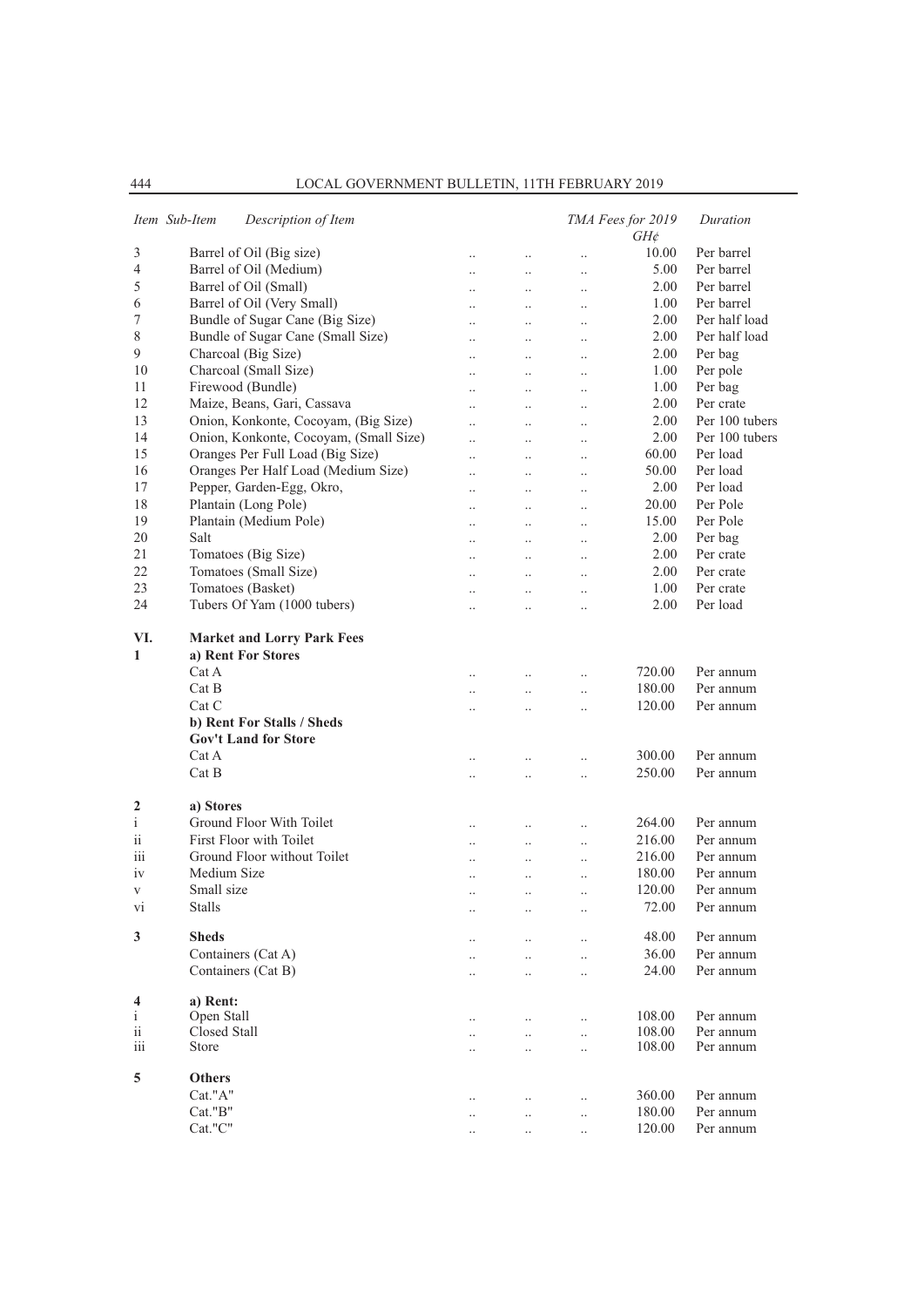|                     | Item Sub-Item<br>Description of Item                             |                      |                      |                      | TMA Fees for 2019<br>$GH\phi$ | Duration       |
|---------------------|------------------------------------------------------------------|----------------------|----------------------|----------------------|-------------------------------|----------------|
| 3                   | Barrel of Oil (Big size)                                         | $\ddotsc$            | $\ddotsc$            | $\ddot{\phantom{a}}$ | 10.00                         | Per barrel     |
| 4                   | Barrel of Oil (Medium)                                           | $\cdot \cdot$        | $\ldots$             | $\cdot$              | 5.00                          | Per barrel     |
| 5                   | Barrel of Oil (Small)                                            | $\ddotsc$            | $\cdot$ .            | $\ldots$             | 2.00                          | Per barrel     |
| 6                   | Barrel of Oil (Very Small)                                       | $\ddot{\phantom{a}}$ |                      |                      | 1.00                          | Per barrel     |
| 7                   | Bundle of Sugar Cane (Big Size)                                  | $\ddotsc$            | $\ddotsc$            | $\ddotsc$            | 2.00                          | Per half load  |
| 8                   | Bundle of Sugar Cane (Small Size)                                | $\ddotsc$            | $\ddot{\phantom{a}}$ | $\ddotsc$            | 2.00                          | Per half load  |
| 9                   | Charcoal (Big Size)                                              | $\ddotsc$            | $\ddotsc$            | $\cdot$ .            | 2.00                          | Per bag        |
| 10                  | Charcoal (Small Size)                                            | $\ddot{\phantom{a}}$ | $\ddotsc$            | $\ldots$             | 1.00                          | Per pole       |
| 11                  | Firewood (Bundle)                                                |                      |                      | $\ddot{\phantom{a}}$ | 1.00                          | Per bag        |
| 12                  | Maize, Beans, Gari, Cassava                                      | $\ddotsc$            | $\ddotsc$            | $\ddotsc$            | 2.00                          | Per crate      |
| 13                  | Onion, Konkonte, Cocoyam, (Big Size)                             | $\ddotsc$            | $\ddot{\phantom{0}}$ | $\cdot$              | 2.00                          | Per 100 tubers |
| 14                  | Onion, Konkonte, Cocoyam, (Small Size)                           | $\ddot{\phantom{a}}$ | $\ddotsc$            | $\cdot$              | 2.00                          | Per 100 tubers |
| 15                  | Oranges Per Full Load (Big Size)                                 | $\ddot{\phantom{a}}$ | $\ddotsc$            | $\ldots$             | 60.00                         | Per load       |
| 16                  | Oranges Per Half Load (Medium Size)                              |                      |                      | $\ddot{\phantom{a}}$ | 50.00                         | Per load       |
| 17                  | Pepper, Garden-Egg, Okro,                                        | $\ddotsc$            | $\ddotsc$            | $\ddotsc$            | 2.00                          | Per load       |
| 18                  | Plantain (Long Pole)                                             | $\ddot{\phantom{a}}$ | $\ddot{\phantom{a}}$ | $\ldots$             | 20.00                         | Per Pole       |
| 19                  | Plantain (Medium Pole)                                           | $\cdot$              | $\ddotsc$            | $\ldots$             | 15.00                         | Per Pole       |
| 20                  | Salt                                                             | $\ddot{\phantom{a}}$ | $\ddotsc$            | $\ldots$             | 2.00                          | Per bag        |
| 21                  | Tomatoes (Big Size)                                              | $\ddot{\phantom{a}}$ |                      | $\ddot{\phantom{a}}$ | 2.00                          | Per crate      |
| 22                  | Tomatoes (Small Size)                                            | $\ddotsc$            | $\ddot{\phantom{a}}$ | $\ddotsc$            | 2.00                          | Per crate      |
| 23                  | Tomatoes (Basket)                                                |                      |                      |                      | 1.00                          | Per crate      |
| 24                  | Tubers Of Yam (1000 tubers)                                      | $\ddot{\phantom{a}}$ | $\ddotsc$            | $\cdot$              | 2.00                          | Per load       |
|                     |                                                                  | $\cdot$              | $\cdot$ .            | $\cdot$              |                               |                |
| VI.<br>$\mathbf{1}$ | <b>Market and Lorry Park Fees</b><br>a) Rent For Stores<br>Cat A | $\ddot{\phantom{a}}$ | $\ddotsc$            | $\cdot$              | 720.00                        | Per annum      |
|                     | Cat B                                                            | $\cdot$              | $\cdot$ .            | $\ldots$             | 180.00                        | Per annum      |
|                     | Cat C                                                            | $\ddot{\phantom{a}}$ | $\ddotsc$            | $\ddot{\phantom{a}}$ | 120.00                        | Per annum      |
|                     | b) Rent For Stalls / Sheds<br><b>Gov't Land for Store</b>        |                      |                      |                      |                               |                |
|                     | Cat A                                                            |                      |                      |                      | 300.00                        | Per annum      |
|                     | Cat B                                                            | $\cdot$              | $\ldots$             | $\cdot$              | 250.00                        | Per annum      |
| 2                   | a) Stores                                                        |                      |                      |                      |                               |                |
| $\mathbf{i}$        | Ground Floor With Toilet                                         | $\ddotsc$            | $\ddot{\phantom{a}}$ | $\ddotsc$            | 264.00                        | Per annum      |
| ii                  | First Floor with Toilet<br>Ground Floor without Toilet           | $\ddotsc$            | $\ddot{\phantom{0}}$ | $\ldots$             | 216.00                        | Per annum      |
| iii                 |                                                                  | $\cdot$              | $\cdot$ .            | $\cdot$              | 216.00                        | Per annum      |
| iv                  | Medium Size                                                      | $\cdot$              | $\ddotsc$            | $\cdot$              | 180.00                        | Per annum      |
| $\rm{V}$            | Small size                                                       | $\ddot{\phantom{a}}$ | $\ddotsc$            |                      | 120.00                        | Per annum      |
| vi                  | Stalls                                                           | $\ddotsc$            | $\ddot{\phantom{a}}$ | $\ddotsc$            | 72.00                         | Per annum      |
| 3                   | <b>Sheds</b>                                                     |                      |                      |                      | 48.00                         | Per annum      |
|                     | Containers (Cat A)                                               | $\cdot$ .            | $\ddot{\phantom{0}}$ | $\ldots$             | 36.00                         | Per annum      |
|                     | Containers (Cat B)                                               | $\ddotsc$            | $\ddot{\phantom{a}}$ | $\ddotsc$            | 24.00                         | Per annum      |
|                     |                                                                  | $\ddotsc$            | $\ddotsc$            | $\ddotsc$            |                               |                |
| 4                   | a) Rent:                                                         |                      |                      |                      |                               |                |
| $\mathbf{i}$        | Open Stall                                                       | $\ddotsc$            | $\ddot{\phantom{0}}$ |                      | 108.00                        | Per annum      |
| $\rm ii$            | Closed Stall                                                     | $\ddotsc$            | $\ddotsc$            | $\ldots$             | 108.00                        | Per annum      |
| iii                 | Store                                                            | $\ddotsc$            | $\ddotsc$            | $\ddotsc$            | 108.00                        | Per annum      |
|                     |                                                                  |                      |                      |                      |                               |                |
| 5                   | <b>Others</b>                                                    |                      |                      |                      |                               |                |
|                     | Cat."A"                                                          | $\ddotsc$            | $\ddotsc$            | $\ddotsc$            | 360.00                        | Per annum      |
|                     | Cat."B"                                                          | $\ddotsc$            | $\ddotsc$            | $\ldots$             | 180.00                        | Per annum      |
|                     | Cat."C"                                                          |                      | $\ddotsc$            |                      | 120.00                        | Per annum      |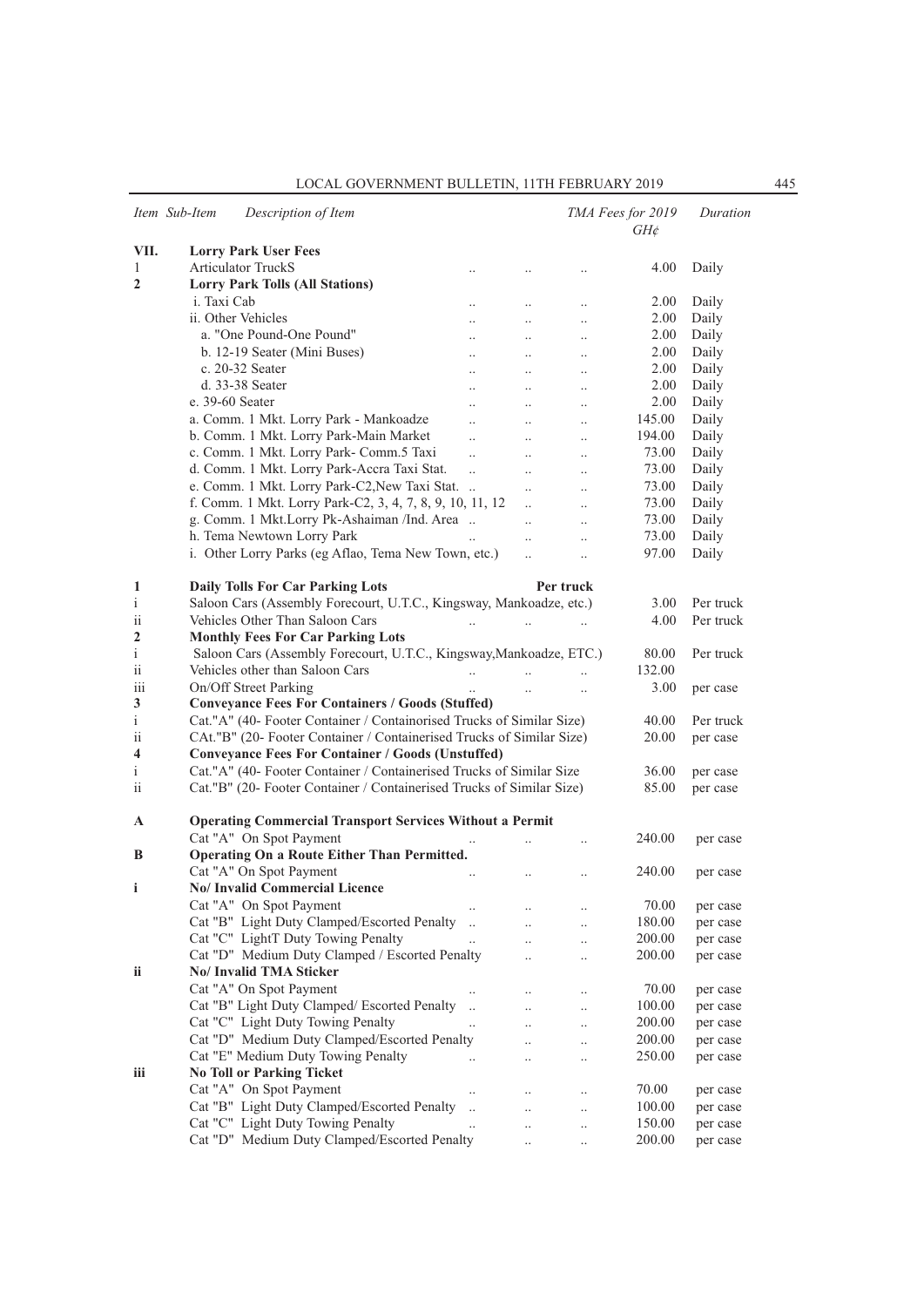|                 | Item Sub-Item<br>Description of Item                                             |                       |                      |                      | TMA Fees for 2019<br>$GH\phi$ | Duration  |
|-----------------|----------------------------------------------------------------------------------|-----------------------|----------------------|----------------------|-------------------------------|-----------|
| VII.            | <b>Lorry Park User Fees</b>                                                      |                       |                      |                      |                               |           |
| $\mathbf{1}$    | <b>Articulator TruckS</b>                                                        | $\cdot$ .             | $\cdot$ .            |                      | 4.00                          | Daily     |
| $\mathbf{2}$    | <b>Lorry Park Tolls (All Stations)</b>                                           |                       |                      |                      |                               |           |
|                 | i. Taxi Cab                                                                      | $\ddotsc$             | $\ddotsc$            | $\ddot{\phantom{a}}$ | 2.00                          | Daily     |
|                 | ii. Other Vehicles                                                               | $\ddot{\phantom{a}}$  | $\ddot{\phantom{a}}$ | $\ddot{\phantom{a}}$ | 2.00                          | Daily     |
|                 | a. "One Pound-One Pound"                                                         | $\ddotsc$             | $\ddotsc$            | $\cdot$              | 2.00                          | Daily     |
|                 | b. 12-19 Seater (Mini Buses)                                                     | $\ddotsc$             |                      |                      | 2.00                          | Daily     |
|                 | c. 20-32 Seater                                                                  | $\ddotsc$             | $\ddotsc$            | $\ddot{\phantom{a}}$ | 2.00                          | Daily     |
|                 | d. 33-38 Seater                                                                  | $\ddot{\phantom{a}}$  | $\ddot{\phantom{a}}$ | $\ddot{\phantom{a}}$ | 2.00                          | Daily     |
|                 | e. 39-60 Seater                                                                  | $\ddot{\phantom{a}}$  | $\ddot{\phantom{a}}$ | $\ddotsc$            | 2.00                          | Daily     |
|                 | a. Comm. 1 Mkt. Lorry Park - Mankoadze                                           | $\ddotsc$             | $\ddotsc$            |                      | 145.00                        | Daily     |
|                 | b. Comm. 1 Mkt. Lorry Park-Main Market                                           | $\ddotsc$             |                      | $\cdot$              | 194.00                        | Daily     |
|                 | c. Comm. 1 Mkt. Lorry Park- Comm.5 Taxi                                          | $\dddot{\phantom{0}}$ | $\ddotsc$            | $\ddot{\phantom{a}}$ | 73.00                         | Daily     |
|                 | d. Comm. 1 Mkt. Lorry Park-Accra Taxi Stat.                                      | $\ddotsc$             | $\ddotsc$            | $\ddotsc$            | 73.00                         | Daily     |
|                 | e. Comm. 1 Mkt. Lorry Park-C2, New Taxi Stat.                                    |                       | $\ddot{\phantom{a}}$ | $\ddot{\phantom{a}}$ | 73.00                         | Daily     |
|                 | f. Comm. 1 Mkt. Lorry Park-C2, 3, 4, 7, 8, 9, 10, 11, 12                         |                       | $\ddotsc$            | $\ddot{\phantom{a}}$ | 73.00                         |           |
|                 |                                                                                  |                       | $\ddotsc$            | $\ddot{\phantom{a}}$ | 73.00                         | Daily     |
|                 | g. Comm. 1 Mkt.Lorry Pk-Ashaiman /Ind. Area                                      |                       | $\ddotsc$            | $\ddot{\phantom{a}}$ |                               | Daily     |
|                 | h. Tema Newtown Lorry Park                                                       |                       | $\ddotsc$            | $\ddot{\phantom{a}}$ | 73.00                         | Daily     |
|                 | i. Other Lorry Parks (eg Aflao, Tema New Town, etc.)                             |                       |                      | $\ddot{\phantom{a}}$ | 97.00                         | Daily     |
| 1               | <b>Daily Tolls For Car Parking Lots</b>                                          |                       |                      | Per truck            |                               |           |
| $\mathbf{i}$    | Saloon Cars (Assembly Forecourt, U.T.C., Kingsway, Mankoadze, etc.)              |                       |                      |                      | 3.00                          | Per truck |
| ii              | Vehicles Other Than Saloon Cars                                                  |                       |                      |                      | 4.00                          | Per truck |
| 2               | <b>Monthly Fees For Car Parking Lots</b>                                         | $\ddotsc$             |                      |                      |                               |           |
| i               | Saloon Cars (Assembly Forecourt, U.T.C., Kingsway, Mankoadze, ETC.)              |                       |                      |                      | 80.00                         | Per truck |
| $\overline{11}$ | Vehicles other than Saloon Cars                                                  |                       | $\ddot{\phantom{a}}$ |                      | 132.00                        |           |
|                 |                                                                                  | $\ddotsc$             |                      | $\ddotsc$            |                               |           |
| 111<br>3        | On/Off Street Parking<br><b>Conveyance Fees For Containers / Goods (Stuffed)</b> |                       |                      |                      | 3.00                          | per case  |
|                 |                                                                                  |                       |                      |                      |                               |           |
| $\mathbf{i}$    | Cat."A" (40- Footer Container / Containorised Trucks of Similar Size)            |                       |                      |                      | 40.00                         | Per truck |
| ii              | CAt."B" (20- Footer Container / Containerised Trucks of Similar Size)            |                       |                      |                      | 20.00                         | per case  |
| 4               | <b>Conveyance Fees For Container / Goods (Unstuffed)</b>                         |                       |                      |                      |                               |           |
| $\mathbf{i}$    | Cat."A" (40- Footer Container / Containerised Trucks of Similar Size             |                       |                      |                      | 36.00                         | per case  |
| ii              | Cat."B" (20- Footer Container / Containerised Trucks of Similar Size)            |                       |                      |                      | 85.00                         | per case  |
| A               | <b>Operating Commercial Transport Services Without a Permit</b>                  |                       |                      |                      |                               |           |
|                 | Cat "A" On Spot Payment                                                          |                       |                      |                      | 240.00                        |           |
| B               | Operating On a Route Either Than Permitted.                                      |                       |                      |                      |                               | per case  |
|                 | Cat "A" On Spot Payment                                                          |                       |                      |                      |                               |           |
|                 | No/ Invalid Commercial Licence                                                   |                       | $\ddotsc$            | $\ddotsc$            | 240.00                        | per case  |
| i               |                                                                                  |                       |                      |                      |                               |           |
|                 | Cat "A" On Spot Payment                                                          |                       |                      |                      | 70.00                         | per case  |
|                 | Cat "B" Light Duty Clamped/Escorted Penalty                                      | $\ddots$              |                      |                      | $180.00\,$                    | per case  |
|                 | Cat "C" LightT Duty Towing Penalty                                               | $\ddotsc$             |                      |                      | 200.00                        | per case  |
|                 | Cat "D" Medium Duty Clamped / Escorted Penalty                                   |                       | $\ddot{\phantom{0}}$ | $\ddotsc$            | 200.00                        | per case  |
| ii              | No/ Invalid TMA Sticker                                                          |                       |                      |                      |                               |           |
|                 | Cat "A" On Spot Payment                                                          |                       | $\ddotsc$            | $\cdot$              | 70.00                         | per case  |
|                 | Cat "B" Light Duty Clamped/ Escorted Penalty                                     |                       | $\ddot{\phantom{a}}$ | $\ldots$             | 100.00                        | per case  |
|                 | Cat "C" Light Duty Towing Penalty                                                |                       | $\ddot{\phantom{0}}$ |                      | 200.00                        | per case  |
|                 | Cat "D" Medium Duty Clamped/Escorted Penalty                                     |                       | $\ddot{\phantom{0}}$ | $\ddotsc$            | 200.00                        | per case  |
|                 | Cat "E" Medium Duty Towing Penalty                                               |                       | $\ddotsc$            |                      | 250.00                        | per case  |
| iii             | <b>No Toll or Parking Ticket</b>                                                 |                       |                      |                      |                               |           |
|                 | Cat "A" On Spot Payment                                                          |                       | $\ldots$             | $\cdot$              | 70.00                         | per case  |
|                 | Cat "B" Light Duty Clamped/Escorted Penalty                                      | $\ddotsc$             | $\ddot{\phantom{0}}$ | $\cdot$              | 100.00                        | per case  |
|                 | Cat "C" Light Duty Towing Penalty                                                | $\ddotsc$             | $\ddotsc$            | $\cdot$              | 150.00                        | per case  |
|                 | Cat "D" Medium Duty Clamped/Escorted Penalty                                     |                       |                      |                      | 200.00                        | per case  |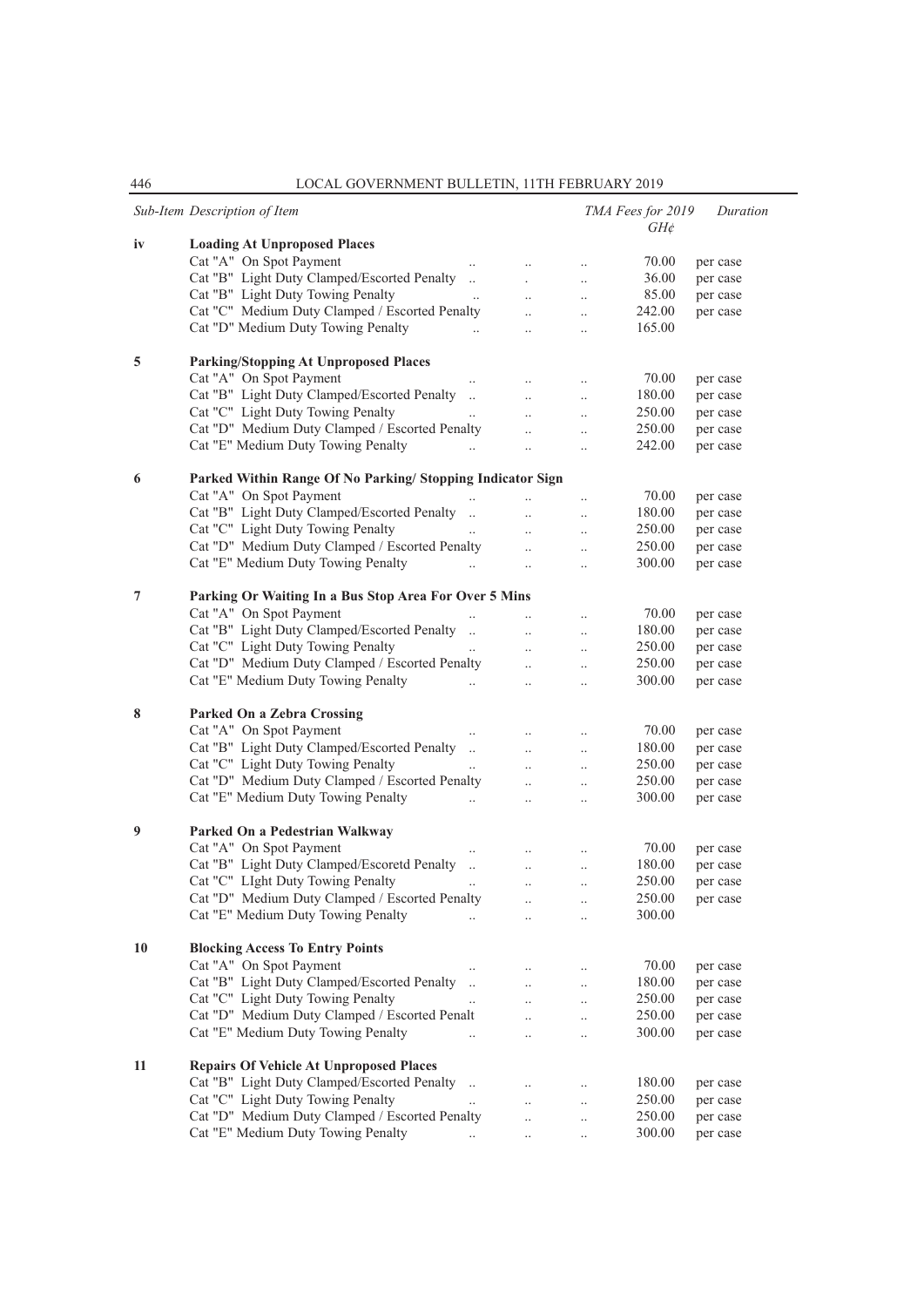|    | Sub-Item Description of Item                                   |                        |           |                      | TMA Fees for 2019 | Duration |
|----|----------------------------------------------------------------|------------------------|-----------|----------------------|-------------------|----------|
| iv | <b>Loading At Unproposed Places</b>                            |                        |           |                      | $GH\mathcal{E}$   |          |
|    | Cat "A" On Spot Payment                                        |                        |           | $\cdot$              | 70.00             | per case |
|    | Cat "B" Light Duty Clamped/Escorted Penalty                    |                        |           | $\ddot{\phantom{0}}$ | 36.00             | per case |
|    | Cat "B" Light Duty Towing Penalty                              |                        |           | $\ddot{\phantom{a}}$ | 85.00             | per case |
|    | Cat "C" Medium Duty Clamped / Escorted Penalty                 |                        | $\ddotsc$ |                      | 242.00            | per case |
|    | Cat "D" Medium Duty Towing Penalty                             | $\dddot{\phantom{0}}$  |           | $\ddotsc$            | 165.00            |          |
|    |                                                                | $\ddotsc$              |           | $\cdot$              |                   |          |
| 5  | <b>Parking/Stopping At Unproposed Places</b>                   |                        |           |                      |                   |          |
|    | Cat "A" On Spot Payment                                        |                        |           | $\ddot{\phantom{a}}$ | 70.00             | per case |
|    | Cat "B" Light Duty Clamped/Escorted Penalty                    | $\ddots$               | $\ddotsc$ | $\ldots$             | 180.00            | per case |
|    | Cat "C" Light Duty Towing Penalty                              | $\ldots$<br>$\ddotsc$  |           | $\cdot$              | 250.00            | per case |
|    | Cat "D" Medium Duty Clamped / Escorted Penalty                 |                        |           | $\ddot{\phantom{a}}$ | 250.00            | per case |
|    | Cat "E" Medium Duty Towing Penalty                             | $\ddotsc$<br>$\ddotsc$ |           | $\ddot{\phantom{0}}$ | 242.00            | per case |
|    |                                                                |                        |           |                      |                   |          |
| 6  | Parked Within Range Of No Parking/Stopping Indicator Sign      |                        |           |                      |                   |          |
|    | Cat "A" On Spot Payment                                        |                        |           | $\cdot$              | 70.00             | per case |
|    | Cat "B" Light Duty Clamped/Escorted Penalty                    |                        |           |                      | 180.00            | per case |
|    | Cat "C" Light Duty Towing Penalty                              | $\ddotsc$              | $\ddotsc$ | $\ddotsc$            | 250.00            | per case |
|    | Cat "D" Medium Duty Clamped / Escorted Penalty                 |                        | $\ddotsc$ | $\cdot$              | 250.00            | per case |
|    | Cat "E" Medium Duty Towing Penalty                             | $\dddot{\phantom{0}}$  | $\ldots$  | $\ldots$             | 300.00            | per case |
|    |                                                                |                        |           |                      |                   |          |
| 7  | Parking Or Waiting In a Bus Stop Area For Over 5 Mins          |                        |           |                      |                   |          |
|    | Cat "A" On Spot Payment                                        | $\ddotsc$              |           | $\ddot{\phantom{0}}$ | 70.00             | per case |
|    | Cat "B" Light Duty Clamped/Escorted Penalty                    |                        | $\ddotsc$ | $\cdot$              | 180.00            | per case |
|    | Cat "C" Light Duty Towing Penalty                              |                        | $\ddotsc$ | $\cdot$ .            | 250.00            | per case |
|    | Cat "D" Medium Duty Clamped / Escorted Penalty                 |                        | $\ddotsc$ | $\cdot$              | 250.00            | per case |
|    | Cat "E" Medium Duty Towing Penalty                             | $\ddots$               | $\ddotsc$ |                      | 300.00            | per case |
| 8  | Parked On a Zebra Crossing                                     |                        |           |                      |                   |          |
|    | Cat "A" On Spot Payment                                        |                        |           |                      | 70.00             | per case |
|    | Cat "B" Light Duty Clamped/Escorted Penalty                    | $\ldots$<br>$\ddots$   |           | $\cdot$              | 180.00            | per case |
|    | Cat "C" Light Duty Towing Penalty                              |                        | $\ddotsc$ | $\cdot$              | 250.00            |          |
|    | Cat "D" Medium Duty Clamped / Escorted Penalty                 | $\ddots$               |           | $\ddot{\phantom{a}}$ |                   | per case |
|    |                                                                |                        | $\ddotsc$ | $\ddotsc$            | 250.00            | per case |
|    | Cat "E" Medium Duty Towing Penalty                             | $\dddot{\phantom{0}}$  | $\ldots$  | $\ddotsc$            | 300.00            | per case |
| 9  | Parked On a Pedestrian Walkway                                 |                        |           |                      |                   |          |
|    | Cat "A" On Spot Payment                                        |                        |           |                      | 70.00             | per case |
|    | Cat "B" Light Duty Clamped/Escoretd Penalty                    |                        | $\ddotsc$ | $\ddot{\phantom{0}}$ | 180.00            | per case |
|    | Cat "C" LIght Duty Towing Penalty                              |                        |           |                      | 250.00            | per case |
|    | Cat "D" Medium Duty Clamped / Escorted Penalty                 |                        | $\ldots$  | $\ldots$             | 250.00            | per case |
|    | Cat "E" Medium Duty Towing Penalty                             | $\ddotsc$              | $\ddotsc$ | $\ddotsc$            | 300.00            |          |
|    |                                                                |                        |           |                      |                   |          |
| 10 | <b>Blocking Access To Entry Points</b>                         |                        |           |                      |                   |          |
|    | Cat "A" On Spot Payment                                        |                        | $\ldots$  | $\ldots$             | 70.00             | per case |
|    | Cat "B" Light Duty Clamped/Escorted Penalty                    | $\dddot{\phantom{0}}$  | $\ddotsc$ | $\ldots$             | 180.00            | per case |
|    | Cat "C" Light Duty Towing Penalty                              | $\ldots$               | $\ddotsc$ | $\ldots$             | 250.00            | per case |
|    | Cat "D" Medium Duty Clamped / Escorted Penalt                  |                        | $\ddotsc$ | $\cdot$              | 250.00            | per case |
|    | Cat "E" Medium Duty Towing Penalty                             | $\ddotsc$              | $\ddotsc$ | $\ddotsc$            | 300.00            | per case |
|    |                                                                |                        |           |                      |                   |          |
| 11 | <b>Repairs Of Vehicle At Unproposed Places</b>                 |                        |           |                      |                   |          |
|    | Cat "B" Light Duty Clamped/Escorted Penalty                    |                        |           | $\ddotsc$            | 180.00            | per case |
|    | Cat "C" Light Duty Towing Penalty                              | $\ddots$               | $\ddotsc$ | $\ldots$             | 250.00            | per case |
|    | Cat "D" Medium Duty Clamped / Escorted Penalty                 |                        | $\ddotsc$ | $\ddotsc$            | 250.00            | per case |
|    | Cat "E" Medium Duty Towing Penalty<br><b>Contract Contract</b> |                        | $\ldots$  | $\cdot$ .            | 300.00            | per case |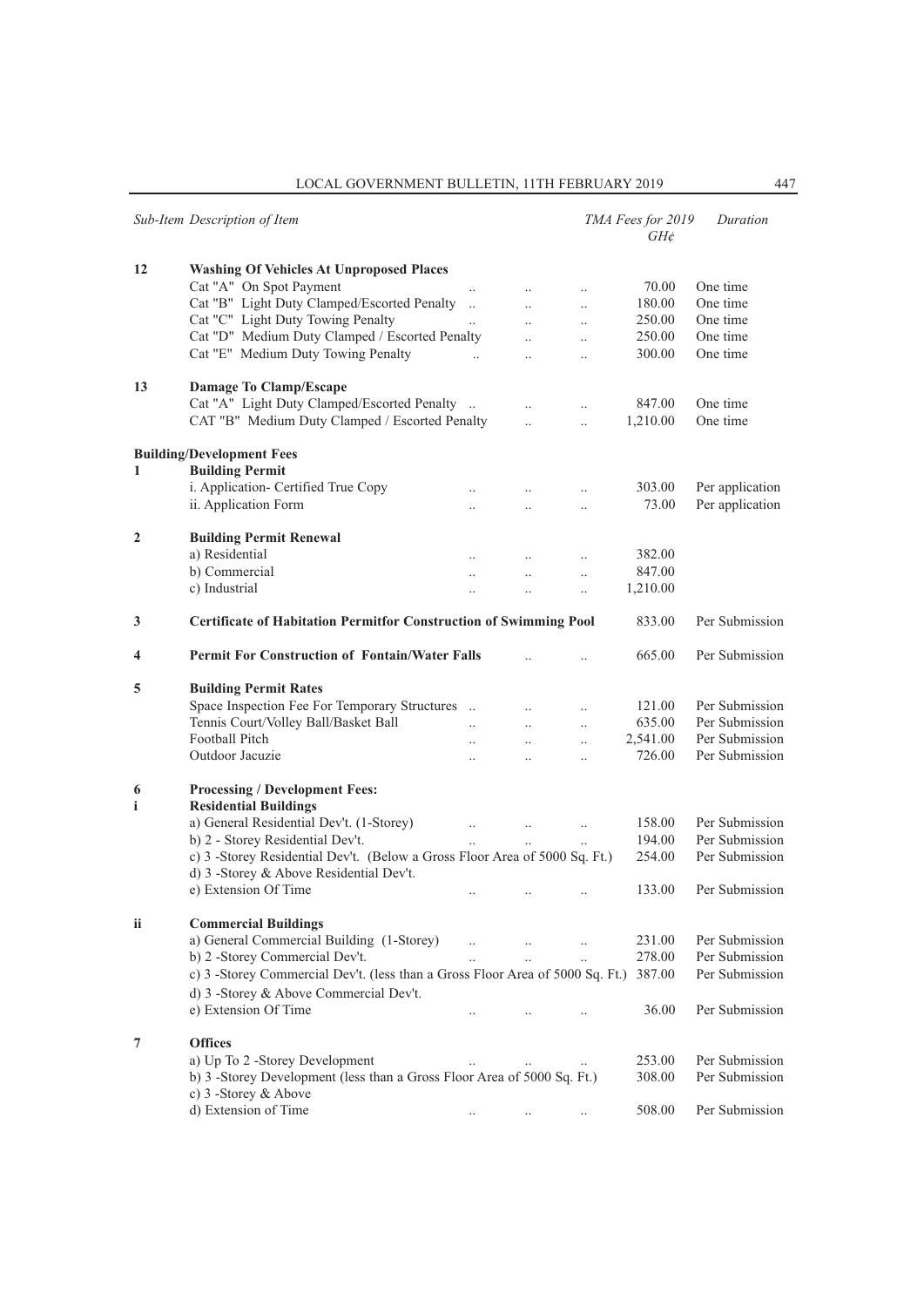|                | Sub-Item Description of Item                                                  |                       |                      |           | TMA Fees for 2019<br>$GH\phi$ | Duration        |
|----------------|-------------------------------------------------------------------------------|-----------------------|----------------------|-----------|-------------------------------|-----------------|
| 12             | <b>Washing Of Vehicles At Unproposed Places</b>                               |                       |                      |           |                               |                 |
|                | Cat "A" On Spot Payment                                                       |                       | $\ddot{\phantom{a}}$ | $\ddotsc$ | 70.00                         | One time        |
|                | Cat "B" Light Duty Clamped/Escorted Penalty                                   | $\ddots$              | $\ddotsc$            | $\ddotsc$ | 180.00                        | One time        |
|                | Cat "C" Light Duty Towing Penalty                                             |                       | $\ddotsc$            | $\ddotsc$ | 250.00                        | One time        |
|                | Cat "D" Medium Duty Clamped / Escorted Penalty                                |                       | $\ddotsc$            | $\ddotsc$ | 250.00                        | One time        |
|                | Cat "E" Medium Duty Towing Penalty                                            | $\dddot{\phantom{0}}$ | $\ddotsc$            | $\ddotsc$ | 300.00                        | One time        |
| 13             | Damage To Clamp/Escape                                                        |                       |                      |           |                               |                 |
|                | Cat "A" Light Duty Clamped/Escorted Penalty                                   |                       |                      | $\ddotsc$ | 847.00                        | One time        |
|                | CAT "B" Medium Duty Clamped / Escorted Penalty                                |                       | $\ddotsc$            | $\ddotsc$ | 1,210.00                      | One time        |
|                | <b>Building/Development Fees</b>                                              |                       |                      |           |                               |                 |
| 1              | <b>Building Permit</b>                                                        |                       |                      |           |                               |                 |
|                | i. Application- Certified True Copy                                           |                       |                      |           | 303.00                        | Per application |
|                | ii. Application Form                                                          | $\ddot{\phantom{a}}$  | $\ddotsc$            | $\ddotsc$ | 73.00                         | Per application |
| $\mathbf{2}$   | <b>Building Permit Renewal</b>                                                |                       |                      |           |                               |                 |
|                | a) Residential                                                                |                       |                      |           | 382.00                        |                 |
|                | b) Commercial                                                                 | $\ddotsc$             | $\ddotsc$            | $\ddotsc$ | 847.00                        |                 |
|                | c) Industrial                                                                 |                       | $\ddot{\phantom{a}}$ | $\ddotsc$ | 1,210.00                      |                 |
| 3              | <b>Certificate of Habitation Permitfor Construction of Swimming Pool</b>      |                       |                      |           | 833.00                        | Per Submission  |
| 4              | <b>Permit For Construction of Fontain/Water Falls</b>                         |                       |                      |           | 665.00                        | Per Submission  |
| 5              | <b>Building Permit Rates</b>                                                  |                       |                      |           |                               |                 |
|                | Space Inspection Fee For Temporary Structures                                 |                       | $\ddotsc$            |           | 121.00                        | Per Submission  |
|                | Tennis Court/Volley Ball/Basket Ball                                          |                       | $\ddot{\phantom{a}}$ | $\ddotsc$ | 635.00                        | Per Submission  |
|                | Football Pitch                                                                | $\ddot{\phantom{a}}$  | $\ddotsc$            | $\ddotsc$ | 2,541.00                      | Per Submission  |
|                | Outdoor Jacuzie                                                               | $\ddot{\phantom{a}}$  | $\ddot{\phantom{a}}$ | $\ddotsc$ | 726.00                        | Per Submission  |
| 6<br>i         | <b>Processing / Development Fees:</b><br><b>Residential Buildings</b>         |                       |                      |           |                               |                 |
|                | a) General Residential Dev't. (1-Storey)                                      |                       |                      |           | 158.00                        | Per Submission  |
|                | b) 2 - Storey Residential Dev't.                                              | $\ddotsc$             | $\ddotsc$            | $\ldots$  | 194.00                        | Per Submission  |
|                | c) 3 -Storey Residential Dev't. (Below a Gross Floor Area of 5000 Sq. Ft.)    |                       |                      |           | 254.00                        | Per Submission  |
|                | d) 3 -Storey & Above Residential Dev't.                                       |                       |                      |           |                               |                 |
|                | e) Extension Of Time                                                          |                       |                      |           | 133.00                        | Per Submission  |
| ii             | <b>Commercial Buildings</b>                                                   |                       |                      |           |                               |                 |
|                | a) General Commercial Building (1-Storey)                                     |                       | $\ddotsc$            |           | 231.00                        | Per Submission  |
|                | b) 2 -Storey Commercial Dev't.                                                |                       |                      |           | 278.00                        | Per Submission  |
|                | c) 3 -Storey Commercial Dev't. (less than a Gross Floor Area of 5000 Sq. Ft.) |                       |                      |           | 387.00                        | Per Submission  |
|                | d) 3 -Storey & Above Commercial Dev't.                                        |                       |                      |           |                               |                 |
|                | e) Extension Of Time                                                          |                       |                      |           | 36.00                         | Per Submission  |
| $\overline{7}$ | <b>Offices</b>                                                                |                       |                      |           |                               |                 |
|                | a) Up To 2 -Storey Development                                                |                       | $\ddotsc$            |           | 253.00                        | Per Submission  |
|                | b) 3 -Storey Development (less than a Gross Floor Area of 5000 Sq. Ft.)       |                       |                      |           | 308.00                        | Per Submission  |
|                | c) 3 -Storey & Above                                                          |                       |                      |           |                               |                 |
|                | d) Extension of Time                                                          |                       |                      |           | 508.00                        | Per Submission  |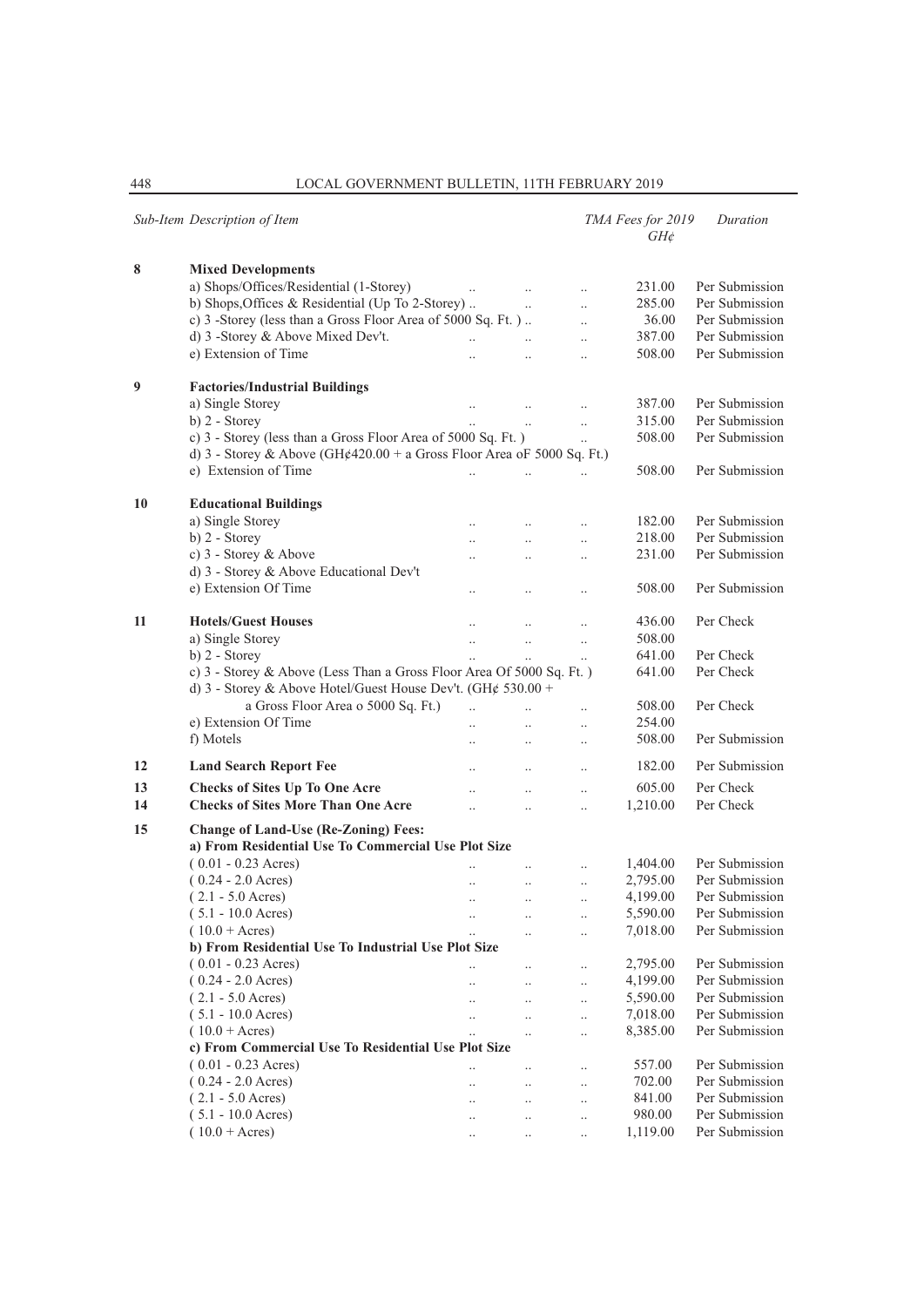|    | Sub-Item Description of Item                                                                       |                      |                      |                        | TMA Fees for 2019<br>$GH\phi$ | Duration       |
|----|----------------------------------------------------------------------------------------------------|----------------------|----------------------|------------------------|-------------------------------|----------------|
| 8  | <b>Mixed Developments</b>                                                                          |                      |                      |                        |                               |                |
|    | a) Shops/Offices/Residential (1-Storey)                                                            |                      |                      | $\ddotsc$              | 231.00                        | Per Submission |
|    | b) Shops, Offices & Residential (Up To 2-Storey)                                                   |                      | $\ddot{\phantom{a}}$ | $\ddotsc$              | 285.00                        | Per Submission |
|    | c) 3 -Storey (less than a Gross Floor Area of 5000 Sq. Ft.)                                        |                      |                      | $\ddotsc$              | 36.00                         | Per Submission |
|    | d) 3 -Storey & Above Mixed Dev't.                                                                  | $\ddotsc$            | $\ddot{\phantom{a}}$ | $\ddotsc$              | 387.00                        | Per Submission |
|    | e) Extension of Time                                                                               | $\ddotsc$            | $\ddotsc$            | $\ddotsc$              | 508.00                        | Per Submission |
| 9  | <b>Factories/Industrial Buildings</b>                                                              |                      |                      |                        |                               |                |
|    | a) Single Storey                                                                                   | $\ldots$             |                      | $\ddotsc$              | 387.00                        | Per Submission |
|    | $b)$ 2 - Storey                                                                                    |                      |                      | $\ddotsc$              | 315.00                        | Per Submission |
|    | c) 3 - Storey (less than a Gross Floor Area of 5000 Sq. Ft.)                                       |                      |                      | $\ddotsc$              | 508.00                        | Per Submission |
|    | d) 3 - Storey & Above (GH¢420.00 + a Gross Floor Area oF 5000 Sq. Ft.)                             |                      |                      |                        |                               |                |
|    | e) Extension of Time                                                                               |                      |                      |                        | 508.00                        | Per Submission |
| 10 | <b>Educational Buildings</b>                                                                       |                      |                      |                        |                               |                |
|    | a) Single Storey                                                                                   |                      |                      | $\ddotsc$              | 182.00                        | Per Submission |
|    | $b)$ 2 - Storey                                                                                    | $\ddotsc$            | $\ddotsc$            | $\ddotsc$              | 218.00                        | Per Submission |
|    | c) 3 - Storey & Above                                                                              |                      | $\ddotsc$            | $\ddotsc$              | 231.00                        | Per Submission |
|    | d) 3 - Storey & Above Educational Dev't                                                            |                      |                      |                        |                               |                |
|    | e) Extension Of Time                                                                               |                      |                      | $\ddot{\phantom{0}}$   | 508.00                        | Per Submission |
| 11 | <b>Hotels/Guest Houses</b>                                                                         |                      |                      |                        | 436.00                        | Per Check      |
|    | a) Single Storey                                                                                   | $\ddotsc$            | $\ddotsc$            | $\ldots$               | 508.00                        |                |
|    | $b)$ 2 - Storey                                                                                    |                      | $\ddotsc$            | $\ddotsc$              | 641.00                        | Per Check      |
|    | c) 3 - Storey & Above (Less Than a Gross Floor Area Of 5000 Sq. Ft.)                               |                      |                      |                        | 641.00                        | Per Check      |
|    | d) 3 - Storey & Above Hotel/Guest House Dev't. (GH¢ 530.00 +                                       |                      |                      |                        |                               |                |
|    | a Gross Floor Area o 5000 Sq. Ft.)                                                                 | $\ddotsc$            | $\ddotsc$            | $\ddotsc$              | 508.00                        | Per Check      |
|    | e) Extension Of Time                                                                               | $\ddotsc$            | $\ddotsc$            | $\ddotsc$              | 254.00                        |                |
|    | f) Motels                                                                                          |                      | $\ldots$             | $\ldots$               | 508.00                        | Per Submission |
| 12 | <b>Land Search Report Fee</b>                                                                      |                      | $\ddotsc$            | $\ddotsc$              | 182.00                        | Per Submission |
| 13 | <b>Checks of Sites Up To One Acre</b>                                                              | $\ddotsc$            | $\ddotsc$            | $\ddotsc$              | 605.00                        | Per Check      |
| 14 | <b>Checks of Sites More Than One Acre</b>                                                          | $\ddot{\phantom{0}}$ | $\ddotsc$            | $\ddotsc$              | 1,210.00                      | Per Check      |
| 15 | <b>Change of Land-Use (Re-Zoning) Fees:</b><br>a) From Residential Use To Commercial Use Plot Size |                      |                      |                        |                               |                |
|    | $(0.01 - 0.23$ Acres)                                                                              |                      |                      |                        | 1,404.00                      | Per Submission |
|    | $(0.24 - 2.0 \text{ Aeres})$                                                                       | $\ddotsc$            | $\ddotsc$            | $\ddotsc$<br>$\ddotsc$ | 2,795.00                      | Per Submission |
|    | $(2.1 - 5.0 \text{ Aeres})$                                                                        |                      | $\ddotsc$            | $\ddotsc$              | 4,199.00                      | Per Submission |
|    | $(5.1 - 10.0 \text{ Acres})$                                                                       | $\cdot$ .            |                      |                        | 5,590.00                      | Per Submission |
|    | $(10.0 + \text{Acres})$                                                                            | $\ldots$             | $\ddot{\phantom{0}}$ | $\ldots$<br>$\ddotsc$  | 7,018.00                      | Per Submission |
|    | b) From Residential Use To Industrial Use Plot Size                                                |                      |                      |                        |                               |                |
|    | $(0.01 - 0.23$ Acres)                                                                              |                      | $\cdot$ .            | $\ldots$               | 2,795.00                      | Per Submission |
|    | $(0.24 - 2.0 \text{ Aeres})$                                                                       |                      | $\ldots$             | $\ldots$               | 4,199.00                      | Per Submission |
|    | $(2.1 - 5.0 \text{ Acres})$                                                                        |                      | $\ddotsc$            | $\ldots$               | 5,590.00                      | Per Submission |
|    | $(5.1 - 10.0 \text{ A}cres)$                                                                       |                      | $\ddotsc$            | $\ldots$               | 7,018.00                      | Per Submission |
|    | $(10.0 + \text{Acres})$                                                                            |                      | $\ddotsc$            | $\ddotsc$              | 8,385.00                      | Per Submission |
|    | c) From Commercial Use To Residential Use Plot Size                                                |                      |                      |                        |                               |                |
|    | $(0.01 - 0.23 \text{ A} \text{c} \text{res})$                                                      |                      |                      | $\ldots$               | 557.00                        | Per Submission |
|    | $(0.24 - 2.0 \text{ Acres})$                                                                       | $\ddot{\phantom{a}}$ | $\ddotsc$            | $\ldots$               | 702.00                        | Per Submission |
|    | $(2.1 - 5.0 \text{ Acres})$                                                                        |                      | $\ddotsc$            | $\ldots$               | 841.00                        | Per Submission |
|    | $(5.1 - 10.0 \text{ Acres})$                                                                       |                      | $\ddot{\phantom{0}}$ | $\ddotsc$              | 980.00                        | Per Submission |
|    | $(10.0 + \text{Acres})$                                                                            | $\cdot$ .            | $\ldots$             | $\ldots$               | 1,119.00                      | Per Submission |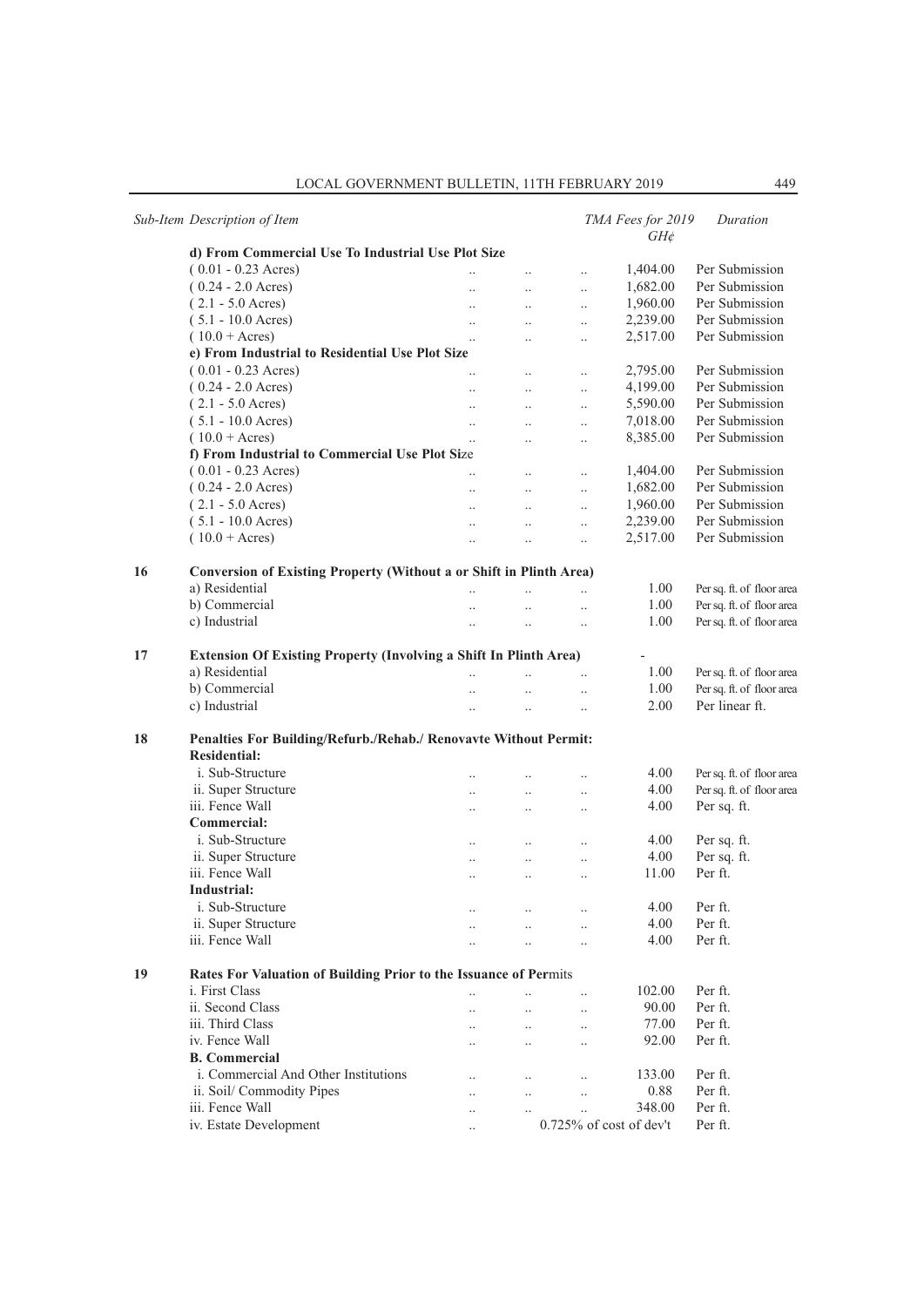|    | Sub-Item Description of Item                                               |                       |                      |                            | TMA Fees for 2019<br>$GH\phi$ | Duration                  |
|----|----------------------------------------------------------------------------|-----------------------|----------------------|----------------------------|-------------------------------|---------------------------|
|    | d) From Commercial Use To Industrial Use Plot Size                         |                       |                      |                            |                               |                           |
|    | $(0.01 - 0.23$ Acres)                                                      |                       | $\ddotsc$            | $\ddotsc$                  | 1,404.00                      | Per Submission            |
|    | $(0.24 - 2.0 \text{ Acres})$                                               | $\ddot{\phantom{a}}$  | $\ddots$             | $\ddotsc$                  | 1,682.00                      | Per Submission            |
|    | $(2.1 - 5.0 \text{ Acres})$                                                | $\ddotsc$             | $\ddotsc$            | $\ddot{\phantom{a}}$       | 1,960.00                      | Per Submission            |
|    | $(5.1 - 10.0 \text{ Aeres})$                                               | $\ddots$              | $\ddots$             | $\ddotsc$                  | 2,239.00                      | Per Submission            |
|    | $(10.0 + \text{Acres})$                                                    | $\ddotsc$             | $\ddotsc$            | $\ldots$                   | 2,517.00                      | Per Submission            |
|    | e) From Industrial to Residential Use Plot Size                            |                       |                      |                            |                               |                           |
|    | $(0.01 - 0.23$ Acres)                                                      | $\ddotsc$             | $\ldots$             | $\ddotsc$                  | 2,795.00                      | Per Submission            |
|    | $(0.24 - 2.0 \text{ A} \text{c} \text{res})$                               | $\ddotsc$             | $\ddots$             | $\ddotsc$                  | 4,199.00                      | Per Submission            |
|    | $(2.1 - 5.0 \text{ Acres})$                                                | $\ddots$              | $\ddots$             | $\ldots$                   | 5,590.00                      | Per Submission            |
|    | $(5.1 - 10.0 \text{ Aeres})$                                               | $\ddots$              | $\ddots$             | $\ldots$                   | 7,018.00                      | Per Submission            |
|    | $(10.0 + \text{Acres})$                                                    | $\ddotsc$             | $\ddots$             | $\ldots$                   | 8,385.00                      | Per Submission            |
|    | f) From Industrial to Commercial Use Plot Size                             |                       |                      |                            |                               |                           |
|    | $(0.01 - 0.23$ Acres)                                                      | $\ddotsc$             | $\ddots$             | $\ddotsc$                  | 1,404.00                      | Per Submission            |
|    | $(0.24 - 2.0 \text{ Aeres})$                                               | $\ddot{\phantom{a}}$  | $\ddots$             | $\ddot{\phantom{a}}$       | 1,682.00                      | Per Submission            |
|    | $(2.1 - 5.0 \text{ Aeres})$                                                |                       |                      | $\ddotsc$                  | 1,960.00                      | Per Submission            |
|    | $(5.1 - 10.0 \text{ Aeres})$                                               | $\ddots$              | $\ldots$             |                            | 2,239.00                      | Per Submission            |
|    | $(10.0 + \text{Acres})$                                                    | $\ddotsc$             | $\ldots$             | $\ldots$                   | 2,517.00                      | Per Submission            |
|    |                                                                            | $\ddotsc$             | $\ddotsc$            | $\ddotsc$                  |                               |                           |
| 16 | <b>Conversion of Existing Property (Without a or Shift in Plinth Area)</b> |                       |                      |                            |                               |                           |
|    | a) Residential                                                             | $\dddot{\phantom{0}}$ | $\ddot{\phantom{a}}$ | $\ddotsc$                  | 1.00                          | Per sq. ft. of floor area |
|    | b) Commercial                                                              |                       |                      |                            | 1.00                          | Per sq. ft. of floor area |
|    | c) Industrial                                                              | $\ddotsc$             | $\ddots$             | $\ddotsc$                  | 1.00                          | Per sq. ft. of floor area |
|    |                                                                            | $\ddots$              | $\ddots$             | $\ddotsc$                  |                               |                           |
| 17 | <b>Extension Of Existing Property (Involving a Shift In Plinth Area)</b>   |                       |                      |                            | $\overline{\phantom{a}}$      |                           |
|    | a) Residential                                                             | $\dddot{\phantom{0}}$ | $\ddot{\phantom{a}}$ | $\ddotsc$                  | 1.00                          | Per sq. ft. of floor area |
|    | b) Commercial                                                              | $\ddots$              | $\ddots$             | $\ldots$                   | 1.00                          | Per sq. ft. of floor area |
|    | c) Industrial                                                              |                       | $\ddotsc$            | $\ddotsc$                  | 2.00                          | Per linear ft.            |
|    |                                                                            |                       |                      |                            |                               |                           |
| 18 | Penalties For Building/Refurb./Rehab./ Renovavte Without Permit:           |                       |                      |                            |                               |                           |
|    | <b>Residential:</b>                                                        |                       |                      |                            |                               |                           |
|    | i. Sub-Structure                                                           | $\ddotsc$             | $\ddots$             | $\ldots$                   | 4.00                          | Per sq. ft. of floor area |
|    | ii. Super Structure                                                        | $\ddot{\phantom{a}}$  | $\ddots$             | $\ddotsc$                  | 4.00                          | Per sq. ft. of floor area |
|    | iii. Fence Wall                                                            | $\ddotsc$             | $\ddotsc$            | $\ddotsc$                  | 4.00                          | Per sq. ft.               |
|    | Commercial:                                                                |                       |                      |                            |                               |                           |
|    | i. Sub-Structure                                                           | $\ldots$              | $\ldots$             | $\ldots$                   | 4.00                          | Per sq. ft.               |
|    | ii. Super Structure                                                        | $\ldots$              | $\ldots$             | $\ldots$                   | 4.00                          | Per sq. ft.               |
|    | iii. Fence Wall                                                            |                       | $\ddotsc$            | $\ldots$                   | 11.00                         | Per ft.                   |
|    | Industrial:                                                                |                       |                      |                            |                               |                           |
|    | i. Sub-Structure                                                           |                       |                      |                            | 4.00                          | Per ft.                   |
|    | ii. Super Structure                                                        |                       |                      | $\cdot$ .                  | 4.00                          | Per ft.                   |
|    | iii. Fence Wall                                                            |                       | $\ddotsc$            |                            | 4.00                          | Per ft.                   |
|    |                                                                            |                       | $\ddot{\phantom{a}}$ | $\ddot{\phantom{a}}$       |                               |                           |
| 19 | Rates For Valuation of Building Prior to the Issuance of Permits           |                       |                      |                            |                               |                           |
|    | i. First Class                                                             | $\ddot{\phantom{a}}$  |                      |                            | 102.00                        | Per ft.                   |
|    | ii. Second Class                                                           |                       |                      |                            | 90.00                         | Per ft.                   |
|    | iii. Third Class                                                           | $\ddotsc$             | $\ddotsc$            | $\cdot$ .                  | 77.00                         | Per ft.                   |
|    | iv. Fence Wall                                                             | $\ddotsc$             | $\ddotsc$            | $\cdot$ .                  |                               |                           |
|    |                                                                            |                       |                      |                            | 92.00                         | Per ft.                   |
|    | <b>B.</b> Commercial                                                       |                       |                      |                            |                               |                           |
|    | i. Commercial And Other Institutions                                       |                       |                      | $\ddotsc$                  | 133.00                        | Per ft.                   |
|    | ii. Soil/ Commodity Pipes                                                  | $\ddotsc$             | $\ddotsc$            | $\ldots$                   | 0.88                          | Per ft.                   |
|    | iii. Fence Wall                                                            |                       | $\ddotsc$            | $\ddot{\phantom{0}}$       | 348.00                        | Per ft.                   |
|    | iv. Estate Development                                                     |                       |                      | $0.725\%$ of cost of dev't |                               | Per ft.                   |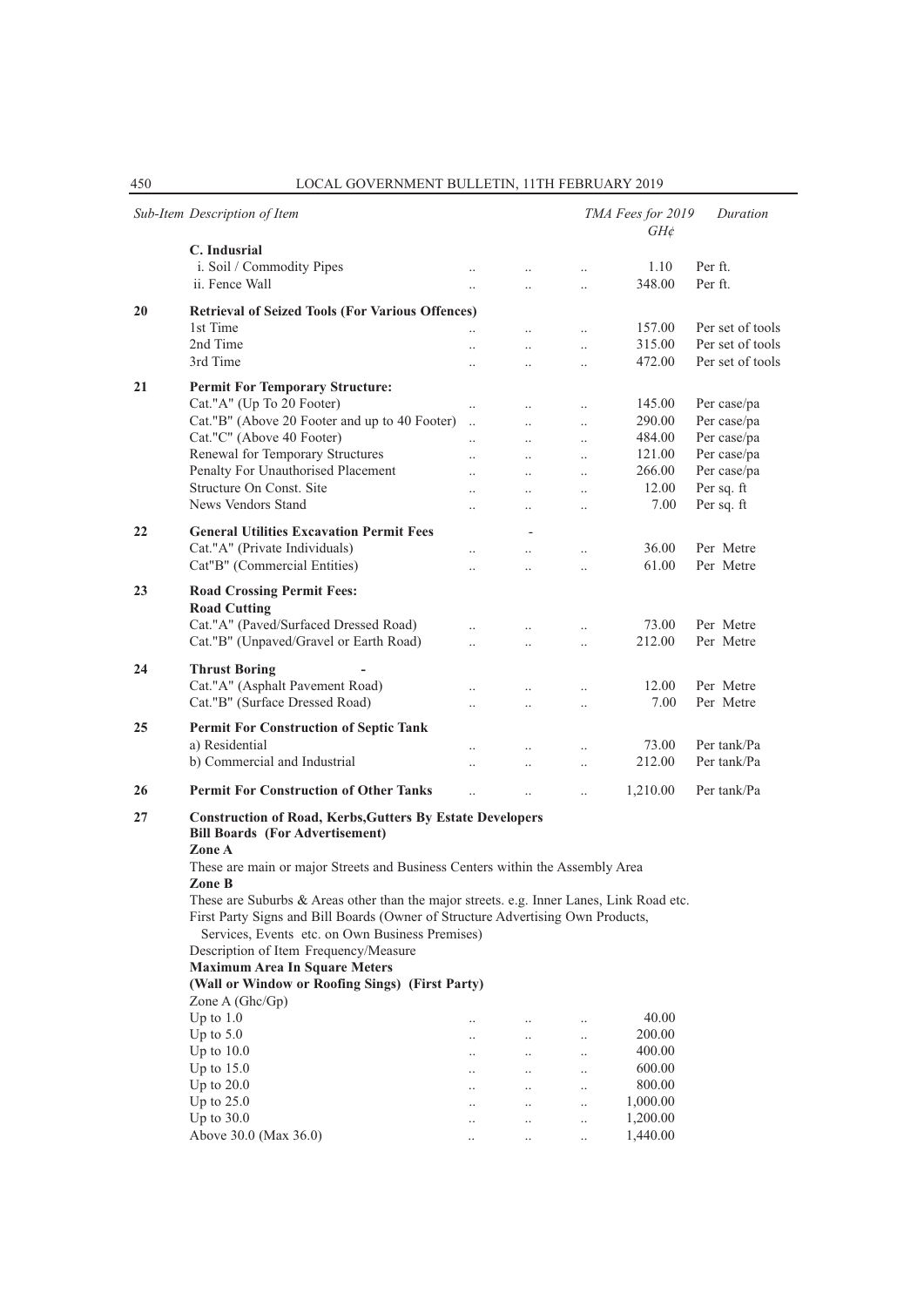|    | Sub-Item Description of Item                                                                                                                                                                                                   |                      |                        |                                   | TMA Fees for 2019<br>$GH\phi$ | Duration               |
|----|--------------------------------------------------------------------------------------------------------------------------------------------------------------------------------------------------------------------------------|----------------------|------------------------|-----------------------------------|-------------------------------|------------------------|
|    | C. Indusrial<br>i. Soil / Commodity Pipes<br>ii. Fence Wall                                                                                                                                                                    | $\ddotsc$            | $\ddotsc$<br>$\ddotsc$ | $\ddotsc$<br>$\ddotsc$            | 1.10<br>348.00                | Per ft.<br>Per ft.     |
|    |                                                                                                                                                                                                                                |                      |                        |                                   |                               |                        |
| 20 | <b>Retrieval of Seized Tools (For Various Offences)</b><br>1st Time                                                                                                                                                            |                      |                        |                                   | 157.00                        | Per set of tools       |
|    | 2nd Time                                                                                                                                                                                                                       | $\ddot{\phantom{0}}$ | $\ddotsc$<br>$\ddotsc$ | $\ddotsc$                         | 315.00                        | Per set of tools       |
|    | 3rd Time                                                                                                                                                                                                                       | $\ddot{\phantom{0}}$ | $\ddot{\phantom{a}}$   | $\ddotsc$<br>$\ddot{\phantom{a}}$ | 472.00                        | Per set of tools       |
|    |                                                                                                                                                                                                                                |                      |                        |                                   |                               |                        |
| 21 | <b>Permit For Temporary Structure:</b>                                                                                                                                                                                         |                      |                        |                                   |                               |                        |
|    | Cat."A" (Up To 20 Footer)                                                                                                                                                                                                      | $\ddot{\phantom{a}}$ |                        | $\ddot{\phantom{a}}$              | 145.00                        | Per case/pa            |
|    | Cat."B" (Above 20 Footer and up to 40 Footer)                                                                                                                                                                                  | $\ddotsc$            | $\ddotsc$              | $\ddotsc$                         | 290.00                        | Per case/pa            |
|    | Cat."C" (Above 40 Footer)                                                                                                                                                                                                      | $\ddot{\phantom{a}}$ | $\ddotsc$              | $\ddotsc$                         | 484.00                        | Per case/pa            |
|    | Renewal for Temporary Structures                                                                                                                                                                                               | $\ddotsc$            | $\ddot{\phantom{a}}$   | $\ddotsc$                         | 121.00                        | Per case/pa            |
|    | Penalty For Unauthorised Placement                                                                                                                                                                                             | $\ddot{\phantom{a}}$ | $\ddotsc$              | $\ddotsc$                         | 266.00                        | Per case/pa            |
|    | Structure On Const. Site                                                                                                                                                                                                       |                      | $\ddotsc$              | $\ddotsc$                         | 12.00                         | Per sq. ft             |
|    | News Vendors Stand                                                                                                                                                                                                             | $\ddotsc$            | $\ddotsc$              | $\ddotsc$                         | 7.00                          | Per sq. ft             |
| 22 | <b>General Utilities Excavation Permit Fees</b>                                                                                                                                                                                |                      |                        |                                   |                               |                        |
|    | Cat."A" (Private Individuals)                                                                                                                                                                                                  |                      |                        |                                   | 36.00                         | Per Metre              |
|    |                                                                                                                                                                                                                                |                      | $\ddotsc$              | $\ddotsc$                         | 61.00                         | Per Metre              |
|    | Cat"B" (Commercial Entities)                                                                                                                                                                                                   | $\ddotsc$            | $\ddot{\phantom{a}}$   | $\ddot{\phantom{a}}$              |                               |                        |
| 23 | <b>Road Crossing Permit Fees:</b><br><b>Road Cutting</b>                                                                                                                                                                       |                      |                        |                                   |                               |                        |
|    | Cat."A" (Paved/Surfaced Dressed Road)                                                                                                                                                                                          |                      |                        | $\ldots$                          | 73.00                         | Per Metre              |
|    | Cat."B" (Unpaved/Gravel or Earth Road)                                                                                                                                                                                         |                      |                        |                                   | 212.00                        | Per Metre              |
| 24 | <b>Thrust Boring</b><br>Cat."A" (Asphalt Pavement Road)<br>Cat."B" (Surface Dressed Road)                                                                                                                                      |                      | $\ddotsc$              | $\ddot{\phantom{0}}$<br>$\ddotsc$ | 12.00<br>7.00                 | Per Metre<br>Per Metre |
| 25 | Permit For Construction of Septic Tank                                                                                                                                                                                         |                      |                        |                                   |                               |                        |
|    | a) Residential                                                                                                                                                                                                                 |                      | $\ddot{\phantom{a}}$   |                                   | 73.00                         | Per tank/Pa            |
|    | b) Commercial and Industrial                                                                                                                                                                                                   |                      | $\ddot{\phantom{a}}$   | $\cdot$                           | 212.00                        | Per tank/Pa            |
|    |                                                                                                                                                                                                                                |                      |                        | $\ddot{\phantom{a}}$              |                               |                        |
| 26 | <b>Permit For Construction of Other Tanks</b>                                                                                                                                                                                  |                      | $\ddot{\phantom{a}}$   |                                   | 1,210.00                      | Per tank/Pa            |
| 27 | <b>Construction of Road, Kerbs, Gutters By Estate Developers</b><br><b>Bill Boards (For Advertisement)</b><br>Zone A                                                                                                           |                      |                        |                                   |                               |                        |
|    | These are main or major Streets and Business Centers within the Assembly Area<br>Zone B                                                                                                                                        |                      |                        |                                   |                               |                        |
|    | These are Suburbs & Areas other than the major streets. e.g. Inner Lanes, Link Road etc.<br>First Party Signs and Bill Boards (Owner of Structure Advertising Own Products,<br>Services, Events etc. on Own Business Premises) |                      |                        |                                   |                               |                        |
|    | Description of Item Frequency/Measure                                                                                                                                                                                          |                      |                        |                                   |                               |                        |
|    | <b>Maximum Area In Square Meters</b>                                                                                                                                                                                           |                      |                        |                                   |                               |                        |
|    | (Wall or Window or Roofing Sings) (First Party)                                                                                                                                                                                |                      |                        |                                   |                               |                        |
|    | Zone A $(Ghc/Gp)$                                                                                                                                                                                                              |                      |                        |                                   |                               |                        |
|    | Up to $1.0$                                                                                                                                                                                                                    |                      | $\ldots$               |                                   | 40.00                         |                        |
|    | Up to $5.0$                                                                                                                                                                                                                    | $\cdot$ .            | $\ldots$               | $\ldots$                          | 200.00                        |                        |
|    | Up to $10.0$                                                                                                                                                                                                                   | $\ddotsc$            | $\ddots$               | $\ddotsc$                         | 400.00                        |                        |
|    | Up to $15.0$                                                                                                                                                                                                                   | $\ddotsc$            | $\ddots$               | $\ddots$                          | 600.00                        |                        |
|    | Up to $20.0$                                                                                                                                                                                                                   |                      | $\ldots$               | $\ldots$                          | 800.00                        |                        |
|    | Up to $25.0$                                                                                                                                                                                                                   |                      | $\ldots$               | $\ldots$                          | 1,000.00                      |                        |
|    | Up to 30.0                                                                                                                                                                                                                     |                      | $\ldots$               | $\ldots$                          | 1,200.00                      |                        |
|    | Above 30.0 (Max 36.0)                                                                                                                                                                                                          |                      |                        |                                   | 1,440.00                      |                        |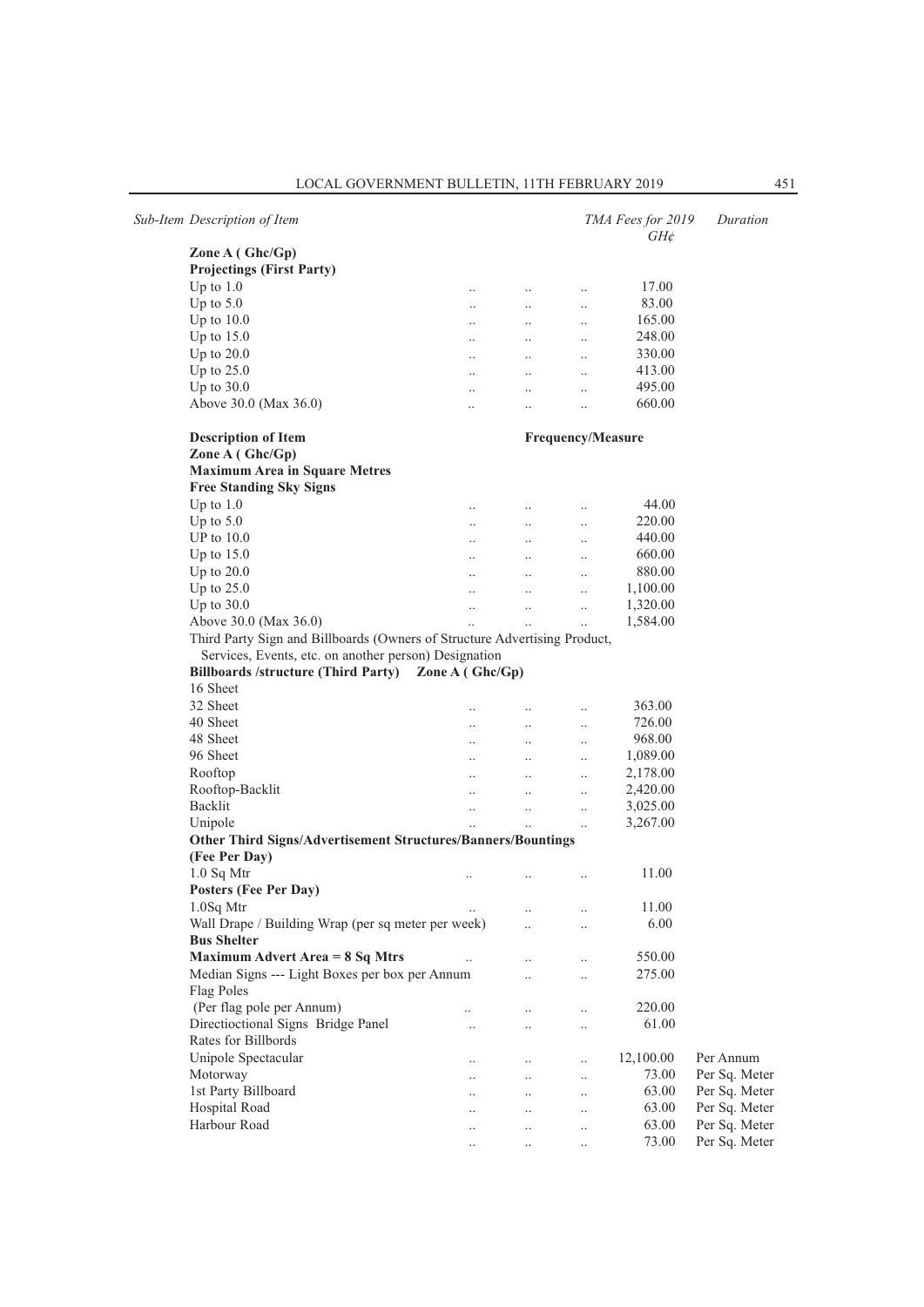|                                                                           |           |                                 |                          | $\mathsf{u}_1$ |  |
|---------------------------------------------------------------------------|-----------|---------------------------------|--------------------------|----------------|--|
| Zone $A(Ghc/Gp)$                                                          |           |                                 |                          |                |  |
| <b>Projectings (First Party)</b>                                          |           |                                 |                          |                |  |
| Up to $1.0$                                                               | $\cdot$ . | $\ldots$                        | $\cdot$ .                | 17.00          |  |
| Up to $5.0$                                                               | $\ldots$  | $\ldots$                        | $\ldots$                 | 83.00          |  |
| Up to $10.0$                                                              |           | $\ddots$                        |                          | 165.00         |  |
| Up to $15.0$                                                              | $\ddotsc$ | $\cdots$                        |                          | 248.00         |  |
| Up to $20.0$                                                              |           | $\mathbf{r}$ , and $\mathbf{r}$ |                          | 330.00         |  |
| Up to $25.0$                                                              | $\ddots$  | $\ddots$                        | $\ddotsc$                | 413.00         |  |
| Up to 30.0                                                                | $\ddotsc$ | $\ddots$                        |                          | 495.00         |  |
| Above 30.0 (Max 36.0)                                                     | $\ddotsc$ | $\cdot \cdot$                   | $\ldots$                 | 660.00         |  |
| <b>Description of Item</b>                                                |           |                                 | <b>Frequency/Measure</b> |                |  |
| Zone A (Ghc/Gp)                                                           |           |                                 |                          |                |  |
| <b>Maximum Area in Square Metres</b>                                      |           |                                 |                          |                |  |
| <b>Free Standing Sky Signs</b>                                            |           |                                 |                          |                |  |
| Up to $1.0$                                                               |           | $\cdots$                        |                          | 44.00          |  |
| Up to $5.0$                                                               |           |                                 |                          | 220.00         |  |
| UP to $10.0$                                                              |           | $\mathbf{r}$ , and $\mathbf{r}$ |                          | 440.00         |  |
| Up to $15.0$                                                              | $\ddots$  | $\cdots$                        | $\ddotsc$                | 660.00         |  |
| Up to $20.0$                                                              |           | <b>ALCOHOL:</b>                 |                          | 880.00         |  |
| Up to $25.0$                                                              | $\cdots$  | $\mathbf{r}$ , and $\mathbf{r}$ | $\ddotsc$                | 1,100.00       |  |
| Up to $30.0$                                                              | $\cdots$  | $\ddotsc$                       | $\ddotsc$                | 1,320.00       |  |
| Above 30.0 (Max 36.0)                                                     | $\ddotsc$ | $\ddotsc$                       | $\ddotsc$                | 1,584.00       |  |
| Third Party Sign and Billboards (Owners of Structure Advertising Product, |           |                                 |                          |                |  |
| Services, Events, etc. on another person) Designation                     |           |                                 |                          |                |  |
| Billboards /structure (Third Party) Zone A (Ghc/Gp)                       |           |                                 |                          |                |  |
| 16 Sheet                                                                  |           |                                 |                          |                |  |
| 32 Sheet                                                                  |           |                                 |                          | 363.00         |  |
| 40 Sheet                                                                  | $\cdot$ . | $\ldots$                        |                          | 726.00         |  |
|                                                                           |           |                                 |                          |                |  |

*Sub-Item Description of Item TMA Fees for 2019 Duration*

| <b>Maximum Area in Square Metres</b>                                      |                      |                      |                      |           |               |
|---------------------------------------------------------------------------|----------------------|----------------------|----------------------|-----------|---------------|
| <b>Free Standing Sky Signs</b>                                            |                      |                      |                      |           |               |
| Up to $1.0$                                                               | $\ddot{\phantom{a}}$ | $\ldots$             |                      | 44.00     |               |
| Up to $5.0$                                                               | $\ddot{\phantom{a}}$ | $\ddotsc$            | $\ddotsc$            | 220.00    |               |
| UP to $10.0$                                                              | $\ddotsc$            | $\ddots$             | $\ddot{\phantom{0}}$ | 440.00    |               |
| Up to $15.0$                                                              |                      | $\ddotsc$            |                      | 660.00    |               |
| Up to $20.0$                                                              | $\ddotsc$            | $\ddots$             | $\ddot{\phantom{a}}$ | 880.00    |               |
| Up to $25.0$                                                              |                      | $\ddotsc$            | $\ddot{\phantom{0}}$ | 1,100.00  |               |
| Up to $30.0$                                                              | $\ddot{\phantom{a}}$ | $\ddotsc$            | $\ddot{\phantom{a}}$ | 1,320.00  |               |
| Above 30.0 (Max 36.0)                                                     |                      | $\ddotsc$            |                      | 1,584.00  |               |
| Third Party Sign and Billboards (Owners of Structure Advertising Product, |                      |                      |                      |           |               |
| Services, Events, etc. on another person) Designation                     |                      |                      |                      |           |               |
| Billboards /structure (Third Party) Zone A (Ghc/Gp)                       |                      |                      |                      |           |               |
| 16 Sheet                                                                  |                      |                      |                      |           |               |
| 32 Sheet                                                                  | $\ddot{\phantom{a}}$ | $\ddot{\phantom{0}}$ | $\ddotsc$            | 363.00    |               |
| 40 Sheet                                                                  | $\ddot{\phantom{a}}$ | $\ddotsc$            | $\ddot{\phantom{0}}$ | 726.00    |               |
| 48 Sheet                                                                  | $\ddotsc$            | $\ddotsc$            | $\ddotsc$            | 968.00    |               |
| 96 Sheet                                                                  | $\ddot{\phantom{a}}$ | $\ddotsc$            | $\ddot{\phantom{0}}$ | 1,089.00  |               |
| Rooftop                                                                   |                      | $\ddots$             |                      | 2,178.00  |               |
| Rooftop-Backlit                                                           | $\ddotsc$            | $\ddotsc$            | $\ddotsc$            | 2,420.00  |               |
| Backlit                                                                   | $\ddotsc$            | $\ddotsc$            | $\ddotsc$            | 3,025.00  |               |
| Unipole                                                                   |                      |                      | $\ddot{\phantom{0}}$ | 3,267.00  |               |
| Other Third Signs/Advertisement Structures/Banners/Bountings              |                      |                      |                      |           |               |
| (Fee Per Day)                                                             |                      |                      |                      |           |               |
| $1.0$ Sq Mtr                                                              |                      |                      | $\ddot{\phantom{a}}$ | 11.00     |               |
| Posters (Fee Per Day)                                                     |                      |                      |                      |           |               |
| $1.0Sq$ Mtr                                                               |                      | $\ddot{\phantom{0}}$ | $\ddotsc$            | 11.00     |               |
| Wall Drape / Building Wrap (per sq meter per week)                        |                      |                      | $\ddotsc$            | 6.00      |               |
| <b>Bus Shelter</b>                                                        |                      |                      |                      |           |               |
| <b>Maximum Advert Area = 8 Sq Mtrs</b>                                    |                      | $\ddot{\phantom{a}}$ | $\ddot{\phantom{a}}$ | 550.00    |               |
| Median Signs --- Light Boxes per box per Annum                            |                      | $\ddotsc$            | $\ddot{\phantom{0}}$ | 275.00    |               |
| Flag Poles                                                                |                      |                      |                      |           |               |
| (Per flag pole per Annum)                                                 |                      | $\ddot{\phantom{a}}$ | $\ddot{\phantom{a}}$ | 220.00    |               |
| Directioctional Signs Bridge Panel                                        |                      |                      |                      | 61.00     |               |
| Rates for Billbords                                                       |                      |                      |                      |           |               |
| Unipole Spectacular                                                       | $\ddot{\phantom{a}}$ | $\ddot{\phantom{a}}$ | $\ddot{\phantom{a}}$ | 12,100.00 | Per Annum     |
| Motorway                                                                  |                      | $\ddot{\phantom{a}}$ | $\ddot{\phantom{0}}$ | 73.00     | Per Sq. Meter |
| 1st Party Billboard                                                       |                      |                      |                      | 63.00     | Per Sq. Meter |
| Hospital Road                                                             |                      | $\ddotsc$            |                      | 63.00     | Per Sq. Meter |
| Harbour Road                                                              |                      |                      |                      | 63.00     | Per Sq. Meter |
|                                                                           | $\ddotsc$            | $\ddotsc$            | $\ddot{\phantom{0}}$ | 73.00     | Per Sq. Meter |
|                                                                           | $\ddotsc$            | $\ddotsc$            |                      |           |               |

*GH¢*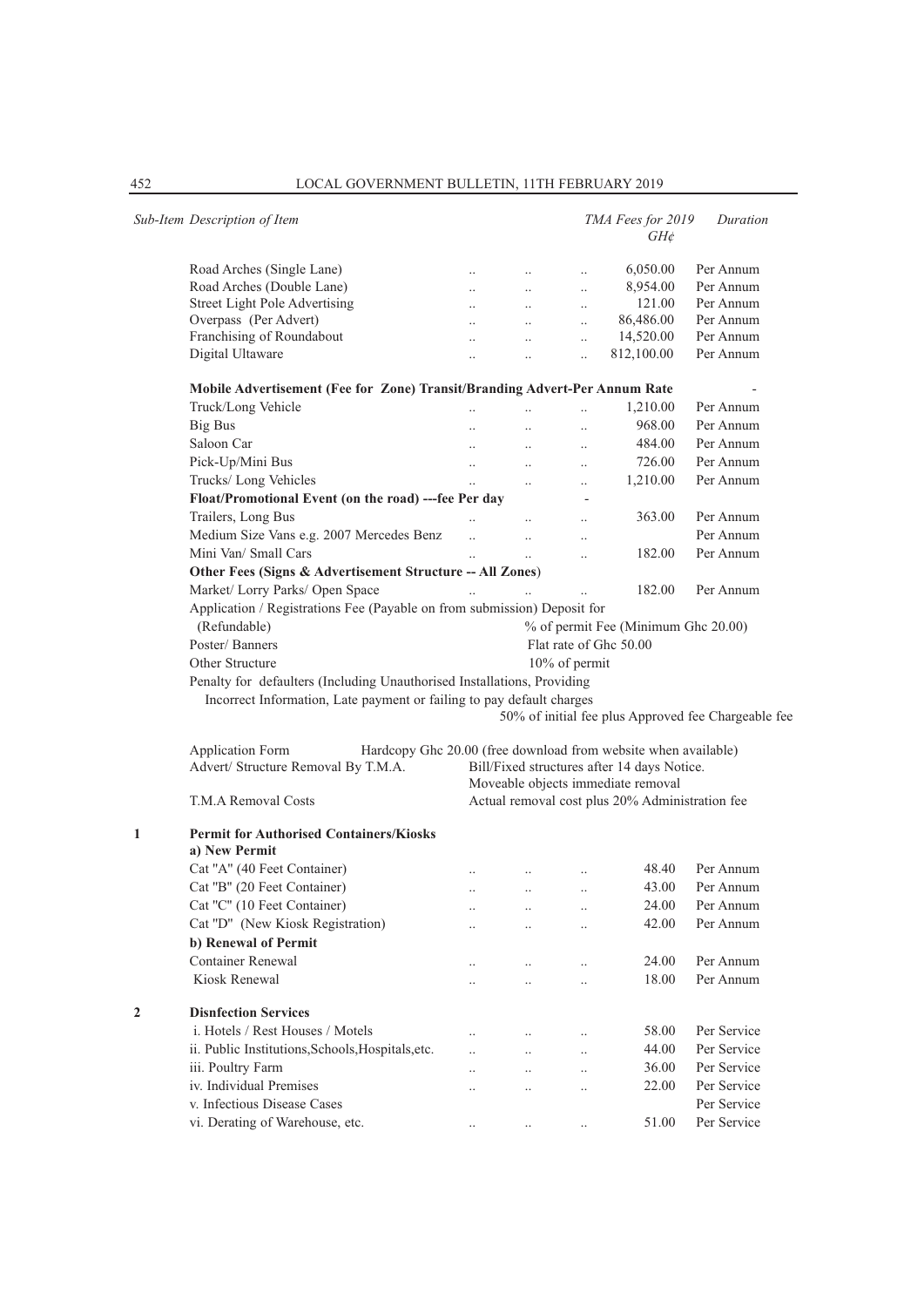|   | Sub-Item Description of Item                                                                                                                                             |                                                                                       |                      |                          | TMA Fees for 2019<br>$GH\phi$ | Duration                                            |  |  |  |  |
|---|--------------------------------------------------------------------------------------------------------------------------------------------------------------------------|---------------------------------------------------------------------------------------|----------------------|--------------------------|-------------------------------|-----------------------------------------------------|--|--|--|--|
|   | Road Arches (Single Lane)                                                                                                                                                | $\ddots$                                                                              | $\cdots$             | $\ldots$                 | 6,050.00                      | Per Annum                                           |  |  |  |  |
|   | Road Arches (Double Lane)                                                                                                                                                | $\ddotsc$                                                                             | $\cdots$             | $\ddotsc$                | 8,954.00                      | Per Annum                                           |  |  |  |  |
|   | Street Light Pole Advertising                                                                                                                                            | $\ddotsc$                                                                             | $\cdots$             | $\ldots$                 | 121.00                        | Per Annum                                           |  |  |  |  |
|   | Overpass (Per Advert)                                                                                                                                                    | $\ddotsc$                                                                             | $\ddots$             | $\ddotsc$                | 86,486.00                     | Per Annum                                           |  |  |  |  |
|   | Franchising of Roundabout                                                                                                                                                | $\ddot{\phantom{0}}$                                                                  | $\ddotsc$            | $\ddotsc$                | 14,520.00                     | Per Annum                                           |  |  |  |  |
|   | Digital Ultaware                                                                                                                                                         | $\ddot{\phantom{0}}$                                                                  | $\ddotsc$            | $\ddotsc$                | 812,100.00                    | Per Annum                                           |  |  |  |  |
|   | Mobile Advertisement (Fee for Zone) Transit/Branding Advert-Per Annum Rate                                                                                               |                                                                                       |                      |                          |                               |                                                     |  |  |  |  |
|   | Truck/Long Vehicle                                                                                                                                                       | $\ddotsc$                                                                             | $\ddotsc$            | $\ldots$                 | 1,210.00                      | Per Annum                                           |  |  |  |  |
|   | <b>Big Bus</b>                                                                                                                                                           | $\ddotsc$                                                                             | $\ddots$             | $\ddotsc$                | 968.00                        | Per Annum                                           |  |  |  |  |
|   | Saloon Car                                                                                                                                                               | $\ddotsc$                                                                             | $\mathbf{r}$ .       | $\ldots$                 | 484.00                        | Per Annum                                           |  |  |  |  |
|   | Pick-Up/Mini Bus                                                                                                                                                         | $\ddots$                                                                              | $\cdots$             | $\ddots$                 | 726.00                        | Per Annum                                           |  |  |  |  |
|   | Trucks/ Long Vehicles                                                                                                                                                    | $\ddot{\phantom{a}}$                                                                  | $\ddotsc$            | $\ldots$                 | 1,210.00                      | Per Annum                                           |  |  |  |  |
|   | Float/Promotional Event (on the road) ---fee Per day                                                                                                                     |                                                                                       |                      | $\overline{\phantom{a}}$ |                               |                                                     |  |  |  |  |
|   | Trailers, Long Bus                                                                                                                                                       |                                                                                       |                      | $\ddots$                 | 363.00                        | Per Annum                                           |  |  |  |  |
|   | Medium Size Vans e.g. 2007 Mercedes Benz                                                                                                                                 | $\ddot{\phantom{a}}$                                                                  | $\ddotsc$            | $\ldots$                 |                               | Per Annum                                           |  |  |  |  |
|   | Mini Van/ Small Cars                                                                                                                                                     | $\ddotsc$                                                                             | $\ddotsc$            | $\ddotsc$                | 182.00                        | Per Annum                                           |  |  |  |  |
|   | Other Fees (Signs & Advertisement Structure -- All Zones)                                                                                                                |                                                                                       |                      |                          |                               |                                                     |  |  |  |  |
|   | Market/ Lorry Parks/ Open Space                                                                                                                                          | $\ddotsc$                                                                             |                      |                          | 182.00                        | Per Annum                                           |  |  |  |  |
|   | Application / Registrations Fee (Payable on from submission) Deposit for                                                                                                 |                                                                                       |                      |                          |                               |                                                     |  |  |  |  |
|   | (Refundable)<br>% of permit Fee (Minimum Ghc 20.00)                                                                                                                      |                                                                                       |                      |                          |                               |                                                     |  |  |  |  |
|   | Poster/Banners                                                                                                                                                           |                                                                                       |                      |                          | Flat rate of Ghc 50.00        |                                                     |  |  |  |  |
|   | Other Structure                                                                                                                                                          |                                                                                       |                      | $10\%$ of permit         |                               |                                                     |  |  |  |  |
|   | Penalty for defaulters (Including Unauthorised Installations, Providing<br>Incorrect Information, Late payment or failing to pay default charges                         |                                                                                       |                      |                          |                               | 50% of initial fee plus Approved fee Chargeable fee |  |  |  |  |
|   | Application Form<br>Hardcopy Ghc 20.00 (free download from website when available)<br>Advert/ Structure Removal By T.M.A.<br>Bill/Fixed structures after 14 days Notice. |                                                                                       |                      |                          |                               |                                                     |  |  |  |  |
|   |                                                                                                                                                                          | Moveable objects immediate removal<br>Actual removal cost plus 20% Administration fee |                      |                          |                               |                                                     |  |  |  |  |
|   | T.M.A Removal Costs                                                                                                                                                      |                                                                                       |                      |                          |                               |                                                     |  |  |  |  |
| 1 | <b>Permit for Authorised Containers/Kiosks</b><br>a) New Permit                                                                                                          |                                                                                       |                      |                          |                               |                                                     |  |  |  |  |
|   | Cat "A" (40 Feet Container)                                                                                                                                              |                                                                                       |                      | $\ldots$                 | 48.40                         | Per Annum                                           |  |  |  |  |
|   | Cat "B" (20 Feet Container)                                                                                                                                              | $\ddot{\phantom{0}}$                                                                  | $\ldots$             | $\ldots$                 | 43.00                         | Per Annum                                           |  |  |  |  |
|   | Cat "C" (10 Feet Container)                                                                                                                                              |                                                                                       |                      | $\cdot$ .                | 24.00                         | Per Annum                                           |  |  |  |  |
|   | Cat "D" (New Kiosk Registration)                                                                                                                                         |                                                                                       | $\ddotsc$            | $\ddot{\phantom{0}}$     | 42.00                         | Per Annum                                           |  |  |  |  |
|   | b) Renewal of Permit                                                                                                                                                     |                                                                                       |                      |                          |                               |                                                     |  |  |  |  |
|   | <b>Container Renewal</b>                                                                                                                                                 |                                                                                       |                      |                          | 24.00                         | Per Annum                                           |  |  |  |  |
|   | Kiosk Renewal                                                                                                                                                            |                                                                                       | $\ldots$             | $\ldots$                 | 18.00                         | Per Annum                                           |  |  |  |  |
|   |                                                                                                                                                                          |                                                                                       |                      | $\ldots$                 |                               |                                                     |  |  |  |  |
| 2 | <b>Disnfection Services</b>                                                                                                                                              |                                                                                       |                      |                          |                               |                                                     |  |  |  |  |
|   | i. Hotels / Rest Houses / Motels                                                                                                                                         | $\ddot{\phantom{0}}$                                                                  |                      | $\ddotsc$                | 58.00                         | Per Service                                         |  |  |  |  |
|   | ii. Public Institutions, Schools, Hospitals, etc.                                                                                                                        | $\ddot{\phantom{a}}$                                                                  | $\ddot{\phantom{a}}$ | $\ddotsc$                | 44.00                         | Per Service                                         |  |  |  |  |
|   | iii. Poultry Farm                                                                                                                                                        | $\ddot{\phantom{0}}$                                                                  | $\ddotsc$            | $\ldots$                 | 36.00                         | Per Service                                         |  |  |  |  |
|   | iv. Individual Premises                                                                                                                                                  |                                                                                       | $\ldots$             | $\ldots$                 | 22.00                         | Per Service                                         |  |  |  |  |
|   | v. Infectious Disease Cases                                                                                                                                              |                                                                                       |                      |                          |                               | Per Service                                         |  |  |  |  |
|   | vi. Derating of Warehouse, etc.                                                                                                                                          | $\ldots$                                                                              | $\cdot$ .            | $\ldots$                 | 51.00                         | Per Service                                         |  |  |  |  |
|   |                                                                                                                                                                          |                                                                                       |                      |                          |                               |                                                     |  |  |  |  |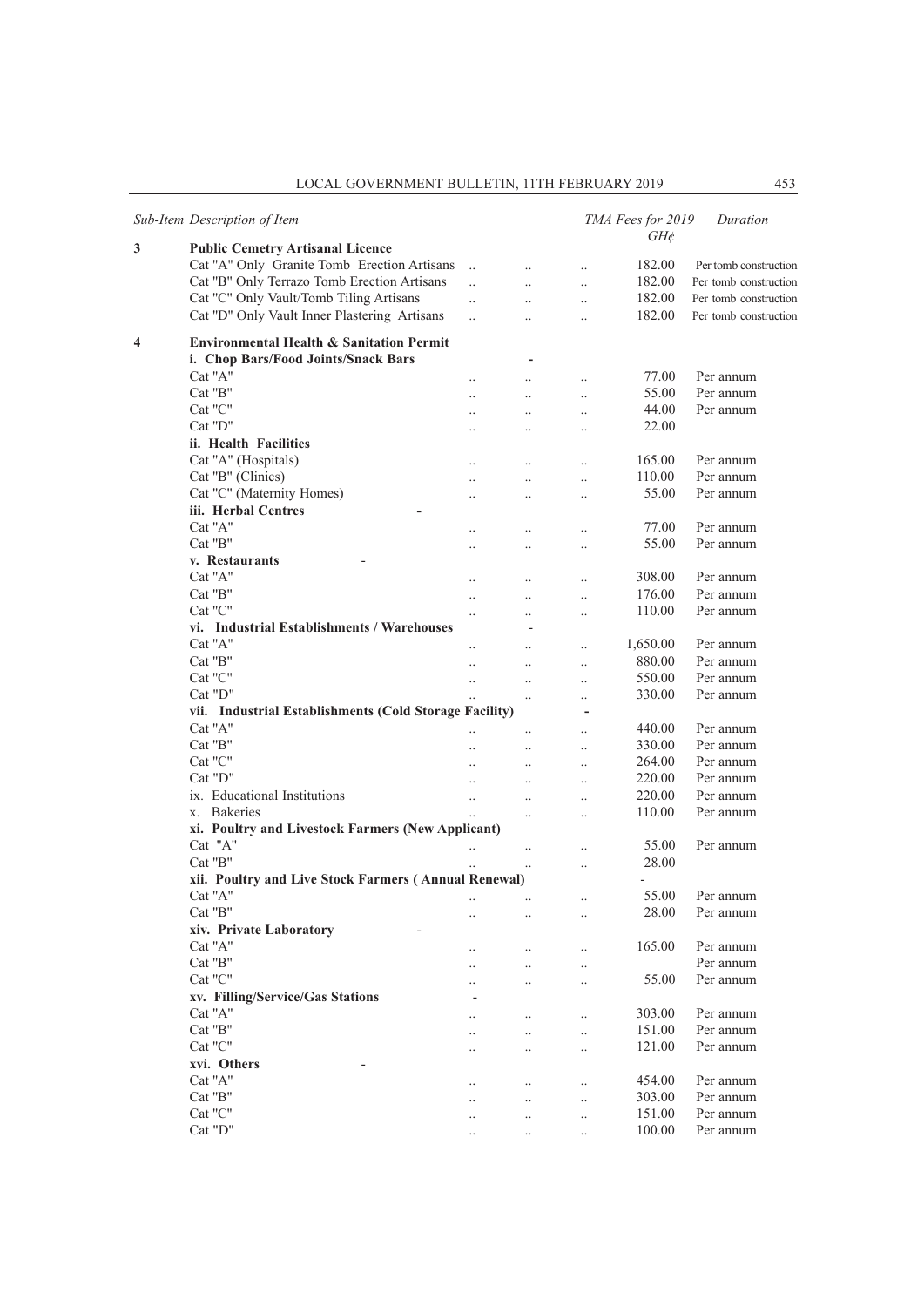## LOCAL GOVERNMENT BULLETIN, 11TH FEBRUARY 2019 453

|   | Sub-Item Description of Item                                                               |                       |                          |                           | TMA Fees for 2019<br>$GH\phi$ | Duration              |
|---|--------------------------------------------------------------------------------------------|-----------------------|--------------------------|---------------------------|-------------------------------|-----------------------|
| 3 | <b>Public Cemetry Artisanal Licence</b>                                                    |                       |                          |                           |                               |                       |
|   | Cat "A" Only Granite Tomb Erection Artisans                                                | $\ddots$              | $\ddotsc$                | $\ddotsc$                 | 182.00                        | Per tomb construction |
|   | Cat "B" Only Terrazo Tomb Erection Artisans                                                | $\ddotsc$             | $\ddotsc$                | $\ddotsc$                 | 182.00                        | Per tomb construction |
|   | Cat "C" Only Vault/Tomb Tiling Artisans                                                    | $\ddotsc$             | $\ddotsc$                | $\ddotsc$                 | 182.00                        | Per tomb construction |
|   | Cat "D" Only Vault Inner Plastering Artisans                                               | $\dddot{\phantom{0}}$ | $\ddotsc$                | $\ddotsc$                 | 182.00                        | Per tomb construction |
| 4 | <b>Environmental Health &amp; Sanitation Permit</b><br>i. Chop Bars/Food Joints/Snack Bars |                       | $\overline{\phantom{a}}$ |                           |                               |                       |
|   | Cat "A"                                                                                    | $\ddotsc$             | $\ddotsc$                | $\ldots$                  | 77.00                         | Per annum             |
|   | Cat "B"                                                                                    | $\ddot{\phantom{a}}$  |                          | $\ddotsc$                 | 55.00                         | Per annum             |
|   | Cat "C"                                                                                    | $\ddotsc$             | $\ddot{\phantom{a}}$     | $\ddotsc$                 | 44.00                         | Per annum             |
|   | Cat "D"                                                                                    | $\ldots$              | $\ddotsc$                | $\ddotsc$                 | 22.00                         |                       |
|   | ii. Health Facilities                                                                      |                       |                          |                           |                               |                       |
|   | Cat "A" (Hospitals)                                                                        | $\ddotsc$             | $\ddotsc$                | $\ddotsc$                 | 165.00                        | Per annum             |
|   | Cat "B" (Clinics)                                                                          | $\ddot{\phantom{a}}$  | $\ddotsc$                | $\ddotsc$                 | 110.00                        | Per annum             |
|   | Cat "C" (Maternity Homes)                                                                  | $\ddotsc$             | $\ddotsc$                | $\ddotsc$                 | 55.00                         | Per annum             |
|   | iii. Herbal Centres<br>٠                                                                   |                       |                          |                           |                               |                       |
|   | Cat "A"                                                                                    | $\ldots$              | $\ddot{\phantom{0}}$     | $\ddotsc$                 | 77.00                         | Per annum             |
|   | Cat "B"                                                                                    | $\ddotsc$             | $\ddotsc$                | $\ddotsc$                 | 55.00                         | Per annum             |
|   | v. Restaurants                                                                             |                       |                          |                           |                               |                       |
|   | Cat "A"                                                                                    | $\ddots$              | $\ddotsc$                | $\ddotsc$                 | 308.00                        | Per annum             |
|   | Cat "B"                                                                                    | $\ddotsc$             | $\ddot{\phantom{a}}$     | $\ddotsc$                 | 176.00                        | Per annum             |
|   | Cat "C"                                                                                    | $\ldots$              | $\ddot{\phantom{0}}$     | $\ddotsc$                 | 110.00                        | Per annum             |
|   | vi. Industrial Establishments / Warehouses                                                 |                       |                          |                           |                               |                       |
|   | Cat "A"                                                                                    |                       | $\ddotsc$                | $\ddotsc$                 | 1,650.00                      | Per annum             |
|   | Cat "B"                                                                                    | $\ddot{\phantom{a}}$  | $\ddotsc$                | $\ddotsc$                 | 880.00                        | Per annum             |
|   | Cat "C"                                                                                    |                       |                          |                           | 550.00                        | Per annum             |
|   | Cat "D"                                                                                    | $\ddots$              | $\ddotsc$                | $\ddotsc$                 | 330.00                        | Per annum             |
|   | vii. Industrial Establishments (Cold Storage Facility)                                     | $\ddots$              | $\ldots$                 | $\ddot{\phantom{0}}$<br>÷ |                               |                       |
|   | Cat "A"                                                                                    |                       |                          |                           | 440.00                        | Per annum             |
|   | Cat "B"                                                                                    |                       | $\ldots$                 | $\ddotsc$                 | 330.00                        | Per annum             |
|   | Cat "C"                                                                                    | $\ddotsc$             | $\ddotsc$                | $\ddotsc$                 | 264.00                        | Per annum             |
|   | Cat "D"                                                                                    | $\ddots$              | $\ldots$                 | $\ldots$                  | 220.00                        | Per annum             |
|   | ix. Educational Institutions                                                               | $\ddots$              | $\ddot{\phantom{0}}$     | $\ddotsc$                 | 220.00                        | Per annum             |
|   | x. Bakeries                                                                                | $\ddots$              | $\ddotsc$                | $\ddotsc$                 |                               |                       |
|   |                                                                                            |                       | $\ddot{\phantom{a}}$     | $\ddotsc$                 | 110.00                        | Per annum             |
|   | xi. Poultry and Livestock Farmers (New Applicant)<br>Cat "A"                               |                       |                          |                           |                               | Per annum             |
|   | Cat "B"                                                                                    | $\ddotsc$             | $\ddot{\phantom{a}}$     | $\ddotsc$                 | 55.00                         |                       |
|   |                                                                                            | $\ddotsc$             | $\ddot{\phantom{a}}$     | $\ddotsc$                 | 28.00                         |                       |
|   | xii. Poultry and Live Stock Farmers (Annual Renewal)                                       |                       |                          |                           |                               |                       |
|   | Cat "A"                                                                                    |                       |                          | $\cdot$ .                 | 55.00                         | Per annum             |
|   | Cat "B"                                                                                    | $\cdot$ .             | $\ddot{\phantom{0}}$     | $\ddot{\phantom{0}}$      | 28.00                         | Per annum             |
|   | xiv. Private Laboratory                                                                    |                       |                          |                           |                               |                       |
|   | Cat "A"                                                                                    |                       |                          | $\ddotsc$                 | 165.00                        | Per annum             |
|   | Cat "B"                                                                                    |                       | $\ddot{\phantom{0}}$     | $\ddotsc$                 |                               | Per annum             |
|   | Cat "C"                                                                                    |                       |                          | $\cdot$ .                 | 55.00                         | Per annum             |
|   | xv. Filling/Service/Gas Stations                                                           |                       |                          |                           |                               |                       |
|   | Cat "A"                                                                                    | $\cdot$ .             | $\cdot$                  | $\ddot{\phantom{a}}$      | 303.00                        | Per annum             |
|   | Cat "B"                                                                                    | $\cdot$ .             | $\ddot{\phantom{0}}$     | $\ddotsc$                 | 151.00                        | Per annum             |
|   | Cat "C"                                                                                    | $\ddotsc$             | $\ddot{\phantom{0}}$     | $\ddotsc$                 | 121.00                        | Per annum             |
|   | xvi. Others                                                                                |                       |                          |                           |                               |                       |
|   | Cat "A"                                                                                    | $\cdot$ .             | $\ddotsc$                | $\ddotsc$                 | 454.00                        | Per annum             |
|   | Cat "B"                                                                                    | $\cdot$ .             | $\ddotsc$                | $\ddotsc$                 | 303.00                        | Per annum             |
|   | Cat "C"                                                                                    | $\cdot$ .             |                          | $\ddotsc$                 | 151.00                        | Per annum             |
|   | Cat "D"                                                                                    | $\ddotsc$             | $\ddotsc$                | $\ddotsc$                 | 100.00                        | Per annum             |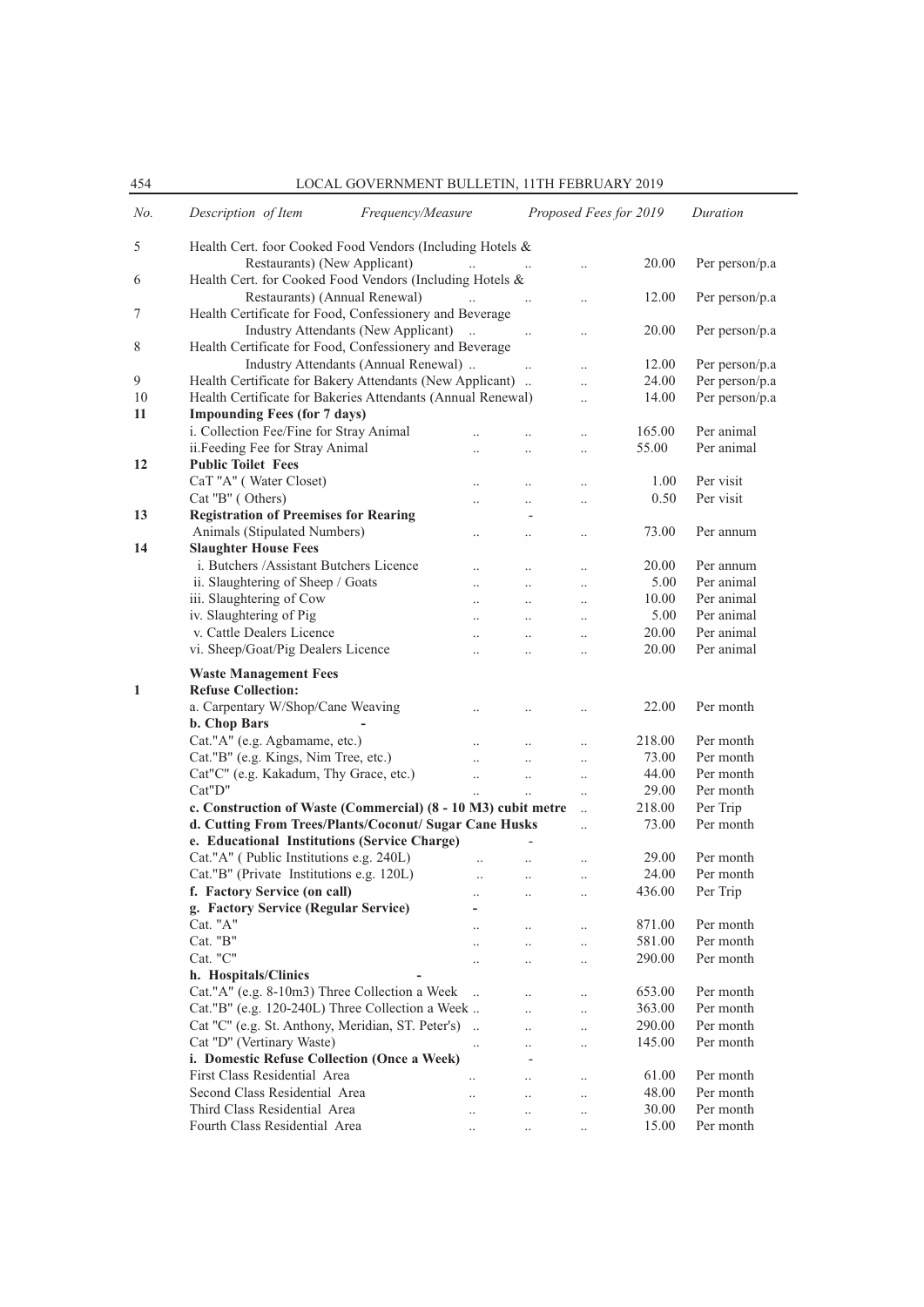454 LOCAL GOVERNMENT BULLETIN, 11TH FEBRUARY 2019

| No. | Description of Item                                           | Frequency/Measure    |                       | Proposed Fees for 2019 |        | Duration       |
|-----|---------------------------------------------------------------|----------------------|-----------------------|------------------------|--------|----------------|
| 5   | Health Cert. foor Cooked Food Vendors (Including Hotels &     |                      |                       |                        |        |                |
|     | Restaurants) (New Applicant)                                  | $\dddotsc$           |                       |                        | 20.00  | Per person/p.a |
| 6   | Health Cert. for Cooked Food Vendors (Including Hotels &      |                      |                       |                        |        |                |
|     | Restaurants) (Annual Renewal)                                 |                      | $\sim$ 100 $\mu$      | $\cdot$                | 12.00  | Per person/p.a |
| 7   | Health Certificate for Food, Confessionery and Beverage       |                      |                       |                        |        |                |
|     | Industry Attendants (New Applicant)                           | $\ddotsc$            | $\ddotsc$             | $\cdot$                | 20.00  | Per person/p.a |
| 8   | Health Certificate for Food, Confessionery and Beverage       |                      |                       |                        |        |                |
|     | Industry Attendants (Annual Renewal)                          |                      |                       | $\ddot{\phantom{a}}$   | 12.00  | Per person/p.a |
| 9   | Health Certificate for Bakery Attendants (New Applicant)      |                      |                       | $\ddotsc$              | 24.00  | Per person/p.a |
| 10  | Health Certificate for Bakeries Attendants (Annual Renewal)   |                      |                       | $\ddot{\phantom{a}}$   | 14.00  | Per person/p.a |
| 11  | <b>Impounding Fees (for 7 days)</b>                           |                      |                       |                        |        |                |
|     | i. Collection Fee/Fine for Stray Animal                       |                      |                       | $\ddot{\phantom{0}}$   | 165.00 | Per animal     |
|     | ii.Feeding Fee for Stray Animal                               | $\ddotsc$            | $\ddotsc$             | $\ddot{\phantom{0}}$   | 55.00  | Per animal     |
| 12  | <b>Public Toilet Fees</b>                                     |                      |                       |                        |        |                |
|     | CaT "A" (Water Closet)                                        | $\ddotsc$            | $\cdot$               | $\cdot$                | 1.00   | Per visit      |
|     | Cat "B" (Others)                                              | $\ddot{\phantom{0}}$ |                       | $\ddot{\phantom{a}}$   | 0.50   | Per visit      |
| 13  | <b>Registration of Preemises for Rearing</b>                  |                      |                       |                        |        |                |
|     | Animals (Stipulated Numbers)                                  |                      |                       |                        | 73.00  | Per annum      |
| 14  | <b>Slaughter House Fees</b>                                   | $\ddot{\phantom{0}}$ | $\ddot{\phantom{a}}$  |                        |        |                |
|     | i. Butchers /Assistant Butchers Licence                       |                      |                       |                        | 20.00  | Per annum      |
|     | ii. Slaughtering of Sheep / Goats                             | $\ddotsc$            | $\ddotsc$             |                        | 5.00   | Per animal     |
|     | iii. Slaughtering of Cow                                      | $\ddot{\phantom{0}}$ | $\ddot{\phantom{0}}$  | $\ddot{\phantom{a}}$   | 10.00  | Per animal     |
|     | iv. Slaughtering of Pig                                       | $\ddotsc$            | $\ddotsc$             | $\ddot{\phantom{0}}$   | 5.00   | Per animal     |
|     | v. Cattle Dealers Licence                                     | $\ddot{\phantom{a}}$ | $\ddotsc$             | $\ddot{\phantom{a}}$   | 20.00  | Per animal     |
|     | vi. Sheep/Goat/Pig Dealers Licence                            | $\ddot{\phantom{a}}$ | $\ddotsc$             |                        | 20.00  | Per animal     |
|     |                                                               |                      |                       | $\ddot{\phantom{a}}$   |        |                |
|     | <b>Waste Management Fees</b>                                  |                      |                       |                        |        |                |
| 1   | <b>Refuse Collection:</b>                                     |                      |                       |                        |        |                |
|     | a. Carpentary W/Shop/Cane Weaving                             | $\ddotsc$            | $\cdot$               |                        | 22.00  | Per month      |
|     | b. Chop Bars                                                  |                      |                       |                        |        |                |
|     | Cat."A" (e.g. Agbamame, etc.)                                 | $\ddotsc$            | $\ddotsc$             |                        | 218.00 | Per month      |
|     | Cat."B" (e.g. Kings, Nim Tree, etc.)                          | $\ddotsc$            | $\ddotsc$             | $\ddot{\phantom{0}}$   | 73.00  | Per month      |
|     | Cat"C" (e.g. Kakadum, Thy Grace, etc.)                        | $\ddotsc$            | $\dddot{\phantom{0}}$ | $\ddotsc$              | 44.00  | Per month      |
|     | Cat"D"                                                        | $\ddotsc$            | $\ddotsc$             | $\ddotsc$              | 29.00  | Per month      |
|     | c. Construction of Waste (Commercial) (8 - 10 M3) cubit metre |                      |                       | $\ddotsc$              | 218.00 | Per Trip       |
|     | d. Cutting From Trees/Plants/Coconut/ Sugar Cane Husks        |                      |                       | $\ddot{\phantom{a}}$   | 73.00  | Per month      |
|     | e. Educational Institutions (Service Charge)                  |                      |                       |                        |        |                |
|     | Cat."A" (Public Institutions e.g. 240L)                       |                      |                       | $\ddot{\phantom{a}}$   | 29.00  | Per month      |
|     | Cat."B" (Private Institutions e.g. 120L)                      | $\ddotsc$            | $\ldots$              |                        | 24.00  | Per month      |
|     | f. Factory Service (on call)                                  | $\ddot{\phantom{0}}$ | $\ddotsc$             |                        | 436.00 | Per Trip       |
|     | g. Factory Service (Regular Service)                          |                      |                       |                        |        |                |
|     | Cat. "A"                                                      |                      | $\ddotsc$             |                        | 871.00 | Per month      |
|     | Cat. "B"                                                      |                      | $\ddotsc$             | $\ddotsc$              | 581.00 | Per month      |
|     | Cat. "C"                                                      | $\ddot{\phantom{0}}$ | $\cdot$               | $\cdot$                | 290.00 | Per month      |
|     | h. Hospitals/Clinics                                          |                      |                       |                        |        |                |
|     | Cat."A" (e.g. 8-10m3) Three Collection a Week                 | $\ddot{\phantom{a}}$ | $\ddot{\phantom{0}}$  | $\cdot$                | 653.00 | Per month      |
|     | Cat."B" (e.g. 120-240L) Three Collection a Week               |                      | $\ddotsc$             | $\ddot{\phantom{0}}$   | 363.00 | Per month      |
|     | Cat "C" (e.g. St. Anthony, Meridian, ST. Peter's)             |                      | $\ddotsc$             | $\cdot$                | 290.00 | Per month      |
|     | Cat "D" (Vertinary Waste)                                     | $\ddotsc$            | $\cdot$ .             | $\cdot$                | 145.00 | Per month      |
|     | i. Domestic Refuse Collection (Once a Week)                   |                      |                       |                        |        |                |
|     | First Class Residential Area                                  | $\ddot{\phantom{0}}$ |                       | $\ddotsc$              | 61.00  | Per month      |
|     | Second Class Residential Area                                 | $\ddotsc$            | $\ddotsc$             | $\ddot{\phantom{a}}$   | 48.00  | Per month      |
|     | Third Class Residential Area                                  | $\ddotsc$            | $\cdot$               | $\cdot$                | 30.00  | Per month      |
|     | Fourth Class Residential Area                                 |                      | $\ldots$              | $\cdot$                | 15.00  | Per month      |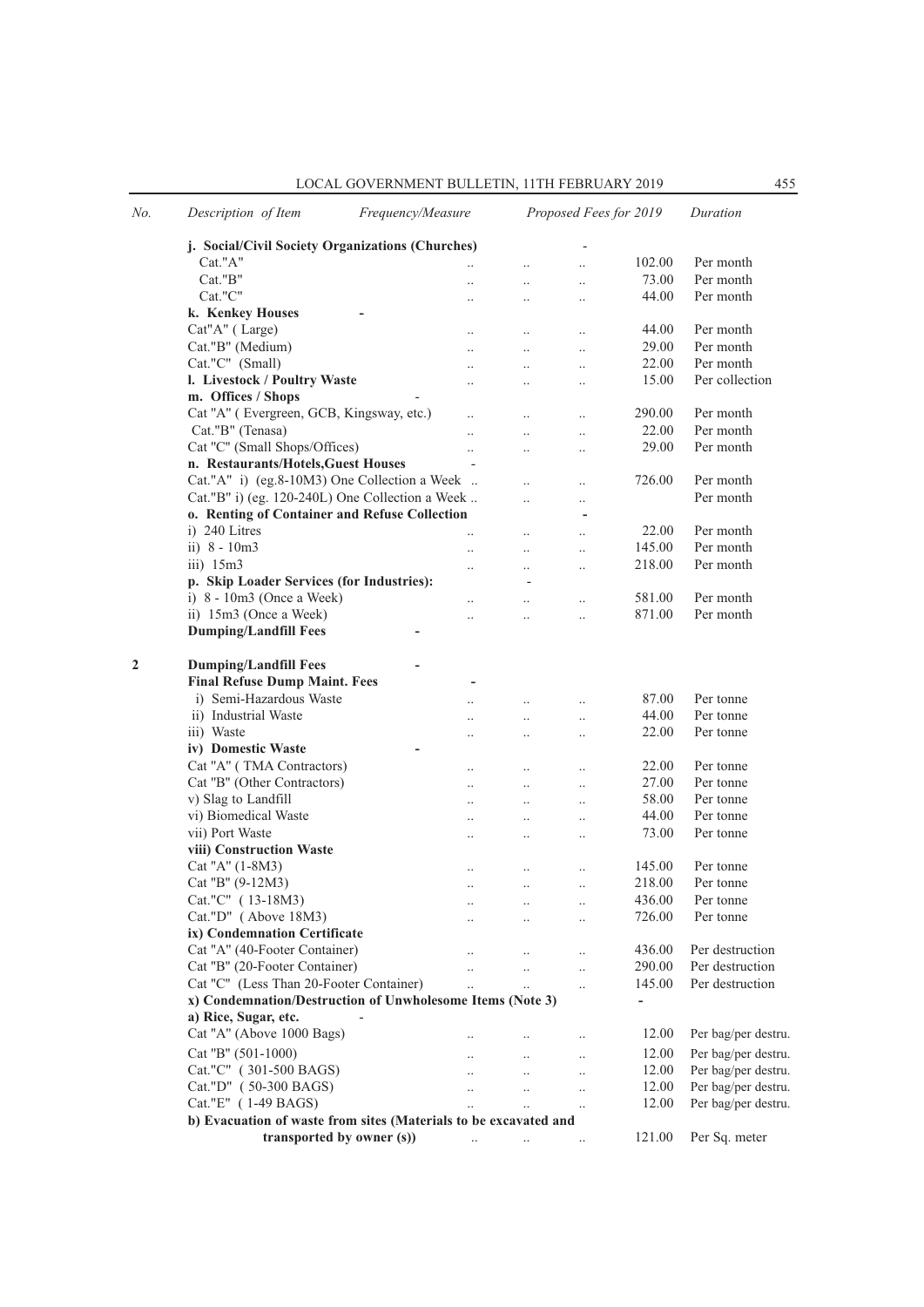| No.          | Description of Item<br>Frequency/Measure                         |                          |                       |                      | Proposed Fees for 2019 | Duration               |
|--------------|------------------------------------------------------------------|--------------------------|-----------------------|----------------------|------------------------|------------------------|
|              | j. Social/Civil Society Organizations (Churches)                 |                          |                       |                      |                        |                        |
|              | Cat."A"                                                          |                          |                       | $\ddotsc$            | 102.00                 | Per month              |
|              | Cat."B"                                                          |                          | $\ddotsc$             | $\ddot{\phantom{0}}$ | 73.00                  | Per month              |
|              | Cat."C"                                                          |                          |                       | $\cdot$              | 44.00                  | Per month              |
|              | k. Kenkey Houses                                                 |                          |                       |                      |                        |                        |
|              | Cat"A" (Large)                                                   | $\ddotsc$                | $\ddotsc$             | $\ddotsc$            | 44.00                  | Per month              |
|              | Cat."B" (Medium)                                                 |                          |                       | $\ddotsc$            | 29.00                  | Per month              |
|              | Cat."C" (Small)                                                  |                          | $\ddotsc$             | $\ddotsc$            | 22.00                  | Per month              |
|              | l. Livestock / Poultry Waste                                     |                          |                       | $\cdot$              | 15.00                  | Per collection         |
|              | m. Offices / Shops                                               |                          |                       |                      |                        |                        |
|              | Cat "A" (Evergreen, GCB, Kingsway, etc.)                         |                          | $\ddotsc$             | $\ddotsc$            | 290.00                 | Per month              |
|              | Cat."B" (Tenasa)                                                 |                          | $\ddot{\phantom{a}}$  | $\ddotsc$            | 22.00                  | Per month              |
|              | Cat "C" (Small Shops/Offices)                                    |                          | $\ddotsc$             | $\ddotsc$            | 29.00                  | Per month              |
|              | n. Restaurants/Hotels, Guest Houses                              | $\overline{\phantom{m}}$ |                       |                      |                        |                        |
|              | Cat."A" i) (eg.8-10M3) One Collection a Week                     |                          |                       |                      | 726.00                 | Per month              |
|              | Cat."B" i) (eg. 120-240L) One Collection a Week                  |                          | $\ddot{\phantom{0}}$  | $\ddot{\phantom{0}}$ |                        | Per month              |
|              | o. Renting of Container and Refuse Collection                    |                          |                       | ٠                    |                        |                        |
|              | i) 240 Litres                                                    |                          | $\ddot{\phantom{a}}$  | $\ddot{\phantom{a}}$ | 22.00                  | Per month              |
|              | ii) $8 - 10m3$                                                   |                          | $\ddot{\phantom{0}}$  | $\ldots$             | 145.00                 | Per month              |
|              | $iii)$ 15 $m3$                                                   |                          |                       | $\ddotsc$            | 218.00                 | Per month              |
|              | p. Skip Loader Services (for Industries):                        |                          |                       |                      |                        |                        |
|              | i) $8 - 10m3$ (Once a Week)                                      |                          | $\ddot{\phantom{a}}$  | $\ldots$             | 581.00                 | Per month              |
|              | ii) 15m3 (Once a Week)                                           |                          |                       | $\ddotsc$            | 871.00                 | Per month              |
|              | <b>Dumping/Landfill Fees</b>                                     |                          |                       |                      |                        |                        |
|              |                                                                  |                          |                       |                      |                        |                        |
| $\mathbf{2}$ | <b>Dumping/Landfill Fees</b>                                     |                          |                       |                      |                        |                        |
|              | <b>Final Refuse Dump Maint. Fees</b>                             |                          |                       |                      |                        |                        |
|              | i) Semi-Hazardous Waste                                          |                          | $\ddot{\phantom{a}}$  | $\ddotsc$            | 87.00                  | Per tonne              |
|              | ii) Industrial Waste                                             |                          |                       | $\ldots$             | 44.00                  | Per tonne              |
|              | iii) Waste                                                       |                          |                       | $\ddotsc$            | 22.00                  | Per tonne              |
|              | iv) Domestic Waste                                               |                          |                       |                      |                        |                        |
|              | Cat "A" (TMA Contractors)                                        |                          |                       |                      | 22.00                  | Per tonne              |
|              | Cat "B" (Other Contractors)                                      | $\ddotsc$                | $\ldots$<br>$\ddotsc$ | $\ldots$             | 27.00                  | Per tonne              |
|              | v) Slag to Landfill                                              |                          |                       | $\ddotsc$            | 58.00                  | Per tonne              |
|              | vi) Biomedical Waste                                             |                          | $\ddot{\phantom{0}}$  | $\ldots$             | 44.00                  | Per tonne              |
|              | vii) Port Waste                                                  |                          | $\ddot{\phantom{a}}$  | $\ldots$             | 73.00                  | Per tonne              |
|              | viii) Construction Waste                                         | $\ddotsc$                | $\ddotsc$             | $\ddotsc$            |                        |                        |
|              | Cat "A" (1-8M3)                                                  |                          |                       |                      | 145.00                 | Per tonne              |
|              | Cat "B" (9-12M3)                                                 |                          |                       | $\ddotsc$            | 218.00                 | Per tonne              |
|              | Cat."C" (13-18M3)                                                |                          |                       |                      | 436.00                 |                        |
|              | Cat."D" (Above 18M3)                                             | $\ldots$                 | $\ldots$              | $\ldots$             | 726.00                 | Per tonne<br>Per tonne |
|              |                                                                  |                          | $\ldots$              | $\ldots$             |                        |                        |
|              | ix) Condemnation Certificate                                     |                          |                       |                      |                        |                        |
|              | Cat "A" (40-Footer Container)                                    | $\ddotsc$                | $\ldots$              | $\ldots$             | 436.00                 | Per destruction        |
|              | Cat "B" (20-Footer Container)                                    |                          | $\ddot{\phantom{a}}$  | $\ddotsc$            | 290.00                 | Per destruction        |
|              | Cat "C" (Less Than 20-Footer Container)                          | $\ddot{\phantom{a}}$     | $\ddotsc$             | $\ddotsc$            | 145.00                 | Per destruction        |
|              | x) Condemnation/Destruction of Unwholesome Items (Note 3)        |                          |                       |                      | $\blacksquare$         |                        |
|              | a) Rice, Sugar, etc.                                             |                          |                       |                      |                        |                        |
|              | Cat "A" (Above 1000 Bags)                                        |                          | $\cdot$ .             | $\ldots$             | 12.00                  | Per bag/per destru.    |
|              | Cat "B" (501-1000)                                               |                          | $\ddotsc$             | $\ldots$             | 12.00                  | Per bag/per destru.    |
|              | Cat."C" (301-500 BAGS)                                           |                          | $\ddots$              | $\ldots$             | 12.00                  | Per bag/per destru.    |
|              | Cat."D" (50-300 BAGS)                                            |                          | $\ddotsc$             | $\ddotsc$            | 12.00                  | Per bag/per destru.    |
|              | Cat."E" (1-49 BAGS)                                              |                          | $\ddotsc$             | $\ldots$             | 12.00                  | Per bag/per destru.    |
|              | b) Evacuation of waste from sites (Materials to be excavated and |                          |                       |                      |                        |                        |
|              | transported by owner (s))                                        | $\ddotsc$                | $\ldots$              | $\ldots$             | 121.00                 | Per Sq. meter          |
|              |                                                                  |                          |                       |                      |                        |                        |

## LOCAL GOVERNMENT BULLETIN, 11TH FEBRUARY 2019 455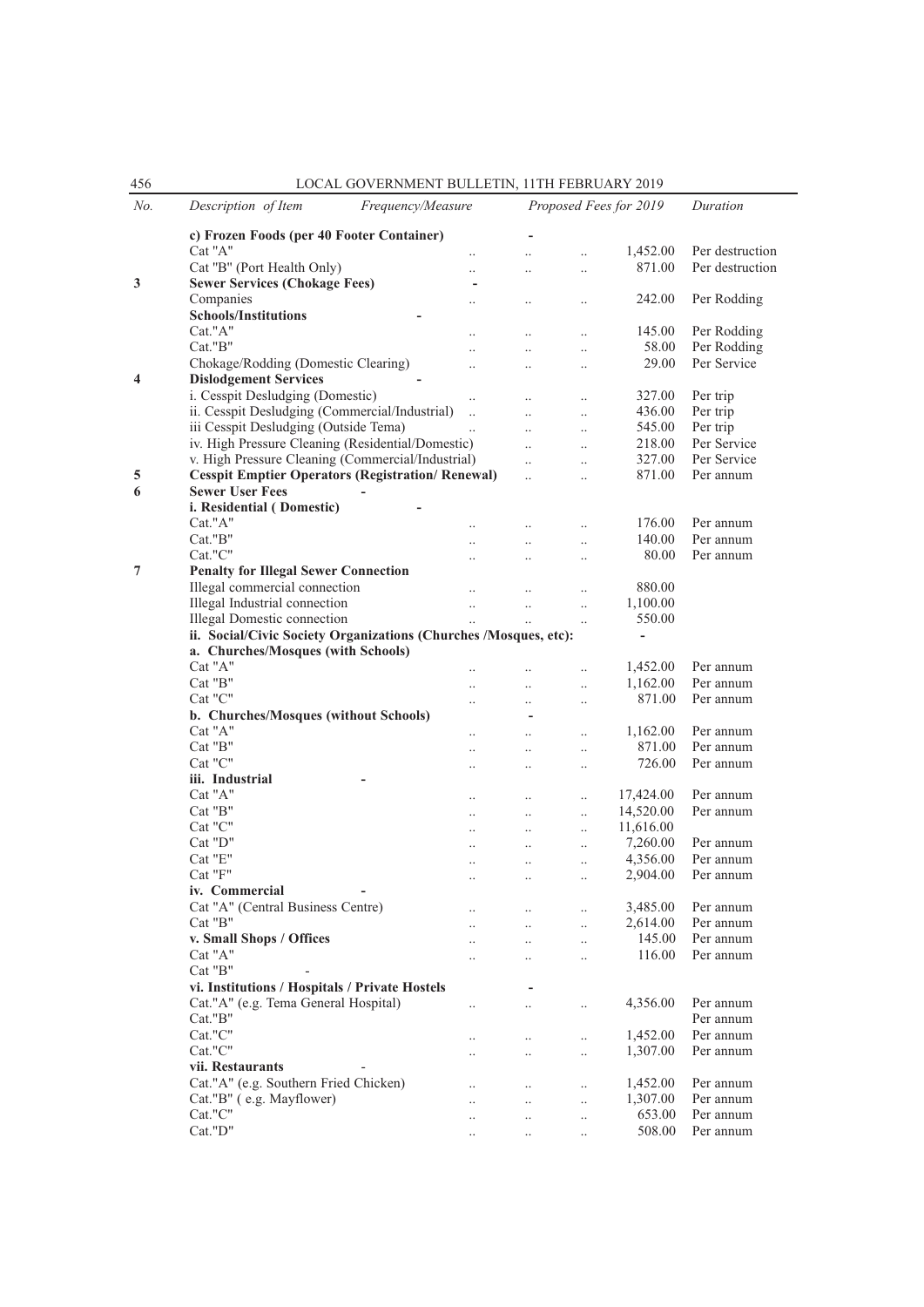| 456 | LOCAL GOVERNMENT BULLETIN, 11TH FEBRUARY 2019                                                   |                      |                        |                        |                          |                            |
|-----|-------------------------------------------------------------------------------------------------|----------------------|------------------------|------------------------|--------------------------|----------------------------|
| No. | Description of Item<br>Frequency/Measure                                                        |                      |                        | Proposed Fees for 2019 | Duration                 |                            |
|     | c) Frozen Foods (per 40 Footer Container)                                                       |                      |                        |                        |                          |                            |
|     | Cat "A"                                                                                         | $\ddotsc$            | $\ddot{\phantom{a}}$   | $\ddotsc$              | 1,452.00                 | Per destruction            |
|     | Cat "B" (Port Health Only)                                                                      | $\ddot{\phantom{a}}$ | $\ddot{\phantom{a}}$   | $\ddot{\phantom{0}}$   | 871.00                   | Per destruction            |
| 3   | <b>Sewer Services (Chokage Fees)</b>                                                            | ۰                    |                        |                        |                          |                            |
|     | Companies                                                                                       | $\ddotsc$            |                        | $\cdot$                | 242.00                   | Per Rodding                |
|     | <b>Schools/Institutions</b>                                                                     |                      |                        |                        |                          |                            |
|     | Cat."A"                                                                                         |                      | $\cdot$                | $\cdot$                | 145.00                   | Per Rodding                |
|     | Cat."B"<br>Chokage/Rodding (Domestic Clearing)                                                  |                      | $\ddot{\phantom{a}}$   | $\cdot$                | 58.00<br>29.00           | Per Rodding<br>Per Service |
| 4   | <b>Dislodgement Services</b>                                                                    | $\ddot{\phantom{a}}$ | $\ddot{\phantom{a}}$   | $\ddotsc$              |                          |                            |
|     | i. Cesspit Desludging (Domestic)                                                                | $\ddotsc$            |                        | $\ddotsc$              | 327.00                   | Per trip                   |
|     | ii. Cesspit Desludging (Commercial/Industrial)                                                  | $\ddotsc$            | $\ddot{\phantom{a}}$   | $\ddotsc$              | 436.00                   | Per trip                   |
|     | iii Cesspit Desludging (Outside Tema)                                                           |                      | $\ddotsc$              |                        | 545.00                   | Per trip                   |
|     | iv. High Pressure Cleaning (Residential/Domestic)                                               |                      | $\ddotsc$              | $\ddotsc$              | 218.00                   | Per Service                |
|     | v. High Pressure Cleaning (Commercial/Industrial)                                               |                      | $\ddotsc$              | $\ddotsc$              | 327.00                   | Per Service                |
| 5   | <b>Cesspit Emptier Operators (Registration/ Renewal)</b>                                        |                      | $\ddotsc$              | $\ddotsc$              | 871.00                   | Per annum                  |
| 6   | <b>Sewer User Fees</b>                                                                          |                      |                        |                        |                          |                            |
|     | i. Residential (Domestic)                                                                       |                      |                        |                        |                          |                            |
|     | Cat."A"                                                                                         |                      | $\ddot{\phantom{0}}$   |                        | 176.00                   | Per annum                  |
|     | Cat."B"                                                                                         |                      | $\ddotsc$              | $\ddot{\phantom{a}}$   | 140.00                   | Per annum                  |
|     | Cat."C"                                                                                         |                      |                        | $\ddot{\phantom{a}}$   | 80.00                    | Per annum                  |
| 7   | <b>Penalty for Illegal Sewer Connection</b>                                                     |                      |                        |                        |                          |                            |
|     | Illegal commercial connection                                                                   | $\ldots$             | $\ddot{\phantom{a}}$   | $\ddot{\phantom{a}}$   | 880.00                   |                            |
|     | Illegal Industrial connection                                                                   | $\ddotsc$            | $\ddotsc$              | $\ddotsc$              | 1,100.00                 |                            |
|     | Illegal Domestic connection<br>ii. Social/Civic Society Organizations (Churches /Mosques, etc): | $\ddotsc$            | $\ddotsc$              | $\ddotsc$              | 550.00<br>$\blacksquare$ |                            |
|     | a. Churches/Mosques (with Schools)                                                              |                      |                        |                        |                          |                            |
|     | Cat "A"                                                                                         |                      |                        |                        | 1,452.00                 | Per annum                  |
|     | Cat "B"                                                                                         |                      | $\ddot{\phantom{0}}$   | $\ddotsc$              | 1,162.00                 | Per annum                  |
|     | Cat "C"                                                                                         |                      |                        | $\cdot$                | 871.00                   | Per annum                  |
|     | b. Churches/Mosques (without Schools)                                                           |                      |                        |                        |                          |                            |
|     | Cat "A"                                                                                         | $\ddot{\phantom{a}}$ |                        | $\ldots$               | 1,162.00                 | Per annum                  |
|     | Cat "B"                                                                                         | $\ddotsc$            | $\ddotsc$              | $\ddotsc$              | 871.00                   | Per annum                  |
|     | Cat "C"                                                                                         | $\cdot$ .            | $\ddot{\phantom{a}}$   | $\ddotsc$              | 726.00                   | Per annum                  |
|     | iii. Industrial                                                                                 |                      |                        |                        |                          |                            |
|     | Cat "A"                                                                                         | $\ddotsc$            | $\ddot{\phantom{a}}$   | $\ddot{\phantom{a}}$   | 17,424.00                | Per annum                  |
|     | Cat "B"                                                                                         | $\ddotsc$            | $\ddot{\phantom{0}}$   | $\ddotsc$              | 14,520.00                | Per annum                  |
|     | Cat "C"                                                                                         |                      | $\ddotsc$              | $\ddotsc$              | 11,616.00                |                            |
|     | Cat "D"                                                                                         |                      | $\ddot{\phantom{a}}$   | $\cdot$                | 7,260.00                 | Per annum                  |
|     | Cat "E"                                                                                         | $\ddotsc$            | $\cdot$ .              | $\ldots$               | 4,356.00                 | Per annum                  |
|     | Cat "F"<br>iv. Commercial                                                                       | $\cdots$             | $\cdots$               |                        | 2,904.00                 | Per annum                  |
|     | Cat "A" (Central Business Centre)                                                               |                      |                        |                        | 3,485.00                 | Per annum                  |
|     | Cat "B"                                                                                         |                      |                        |                        | 2,614.00                 | Per annum                  |
|     | v. Small Shops / Offices                                                                        | $\ddotsc$            | $\ddotsc$<br>$\ddotsc$ | $\ldots$<br>$\ddotsc$  | 145.00                   | Per annum                  |
|     | Cat "A"                                                                                         | $\ldots$             | $\ddots$               | $\ldots$               | 116.00                   | Per annum                  |
|     | Cat "B"                                                                                         |                      |                        |                        |                          |                            |
|     | vi. Institutions / Hospitals / Private Hostels                                                  |                      |                        |                        |                          |                            |
|     | Cat."A" (e.g. Tema General Hospital)                                                            | $\ddotsc$            | $\ddotsc$              | $\ddotsc$              | 4,356.00                 | Per annum                  |
|     | Cat."B"                                                                                         |                      |                        |                        |                          | Per annum                  |
|     | Cat."C"                                                                                         | $\ldots$             | $\ddotsc$              | $\ddotsc$              | 1,452.00                 | Per annum                  |
|     | Cat."C"                                                                                         | $\ddotsc$            | $\ddotsc$              | $\ddotsc$              | 1,307.00                 | Per annum                  |
|     | vii. Restaurants                                                                                |                      |                        |                        |                          |                            |
|     | Cat."A" (e.g. Southern Fried Chicken)                                                           | $\cdot$ .            | $\ldots$               | $\ldots$               | 1,452.00                 | Per annum                  |
|     | Cat."B" (e.g. Mayflower)                                                                        | $\ddotsc$            | $\ddots$               | $\ldots$               | 1,307.00                 | Per annum                  |
|     | $\operatorname{Cat}$ "C"                                                                        | $\ddotsc$            | $\ddotsc$              | $\ddotsc$              | 653.00                   | Per annum                  |
|     | Cat."D"                                                                                         | $\ldots$             | $\ddots$               | $\ddotsc$              | 508.00                   | Per annum                  |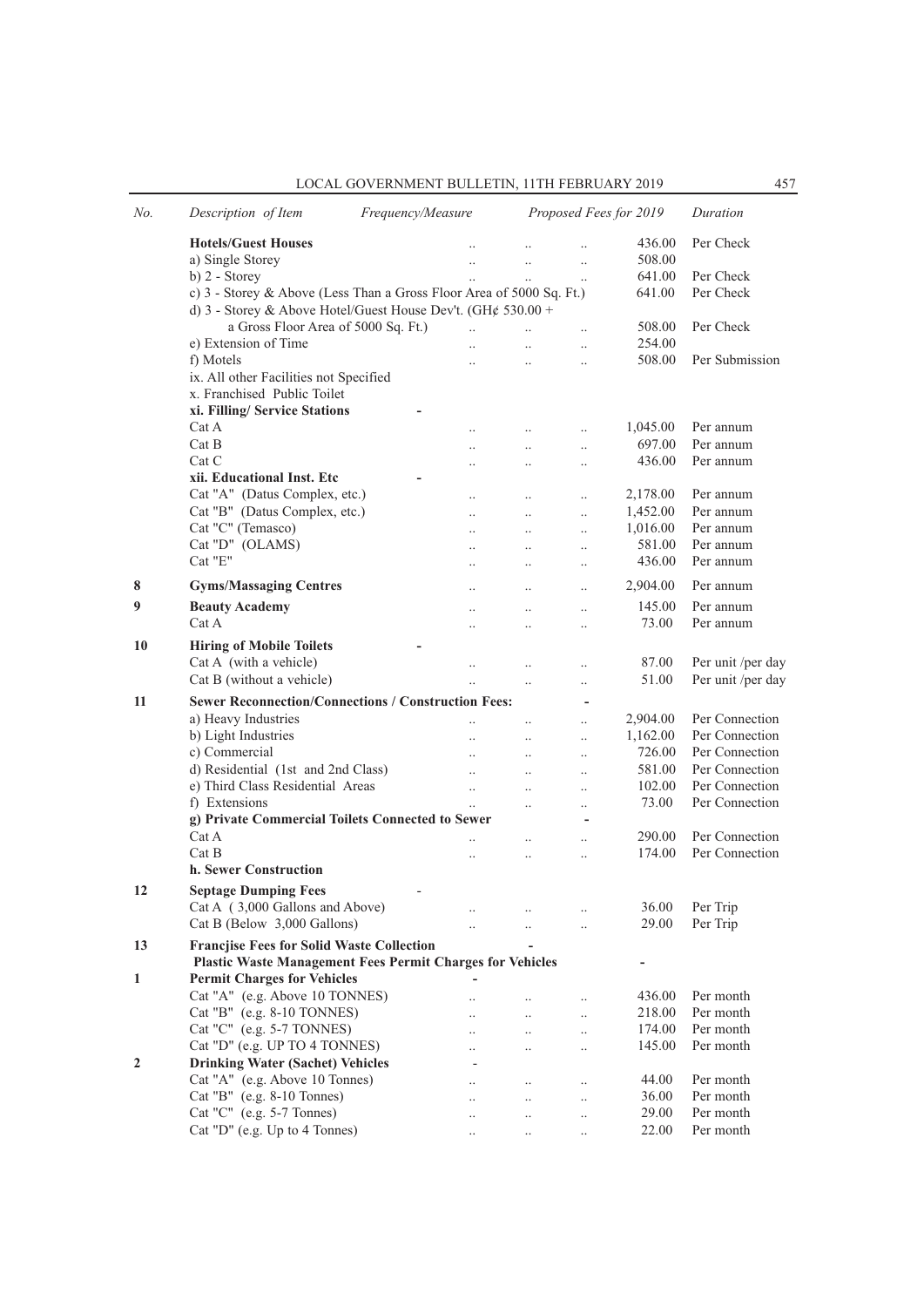| LOCAL GOVERNMENT BULLETIN. 11TH FEBRUARY 2019 |  |
|-----------------------------------------------|--|
|-----------------------------------------------|--|

| No. | Description of Item<br>Frequency/Measure                             |  |                      |                      | Proposed Fees for 2019   | Duration |                                        |
|-----|----------------------------------------------------------------------|--|----------------------|----------------------|--------------------------|----------|----------------------------------------|
|     | <b>Hotels/Guest Houses</b>                                           |  |                      |                      |                          | 436.00   | Per Check                              |
|     | a) Single Storey                                                     |  |                      | $\ddotsc$            |                          | 508.00   |                                        |
|     | b) 2 - Storey                                                        |  |                      | $\ddot{\phantom{a}}$ | $\ddotsc$                | 641.00   | Per Check                              |
|     | c) 3 - Storey & Above (Less Than a Gross Floor Area of 5000 Sq. Ft.) |  |                      |                      |                          | 641.00   | Per Check                              |
|     | d) 3 - Storey & Above Hotel/Guest House Dev't. (GH¢ 530.00 +         |  |                      |                      |                          |          |                                        |
|     | a Gross Floor Area of 5000 Sq. Ft.)                                  |  | $\ddotsc$            | $\ddotsc$            |                          | 508.00   | Per Check                              |
|     | e) Extension of Time                                                 |  | $\ddotsc$            | $\ddotsc$            | $\ddotsc$                | 254.00   |                                        |
|     | f) Motels                                                            |  | $\ddot{\phantom{a}}$ |                      | $\ldots$                 | 508.00   | Per Submission                         |
|     | ix. All other Facilities not Specified                               |  |                      |                      |                          |          |                                        |
|     | x. Franchised Public Toilet                                          |  |                      |                      |                          |          |                                        |
|     | xi. Filling/ Service Stations                                        |  |                      |                      |                          |          |                                        |
|     | Cat A                                                                |  | $\ddot{\phantom{a}}$ | $\ddot{\phantom{0}}$ |                          | 1,045.00 | Per annum                              |
|     | Cat B                                                                |  | $\ddot{\phantom{a}}$ | $\ddotsc$            | $\ddotsc$                | 697.00   | Per annum                              |
|     | Cat C                                                                |  |                      |                      | $\cdot$                  | 436.00   | Per annum                              |
|     | xii. Educational Inst. Etc                                           |  |                      |                      |                          |          |                                        |
|     | Cat "A" (Datus Complex, etc.)                                        |  | $\ddotsc$            | $\ddotsc$            | $\ddotsc$                | 2,178.00 | Per annum                              |
|     | Cat "B" (Datus Complex, etc.)                                        |  | $\ddot{\phantom{a}}$ | $\ddotsc$            | $\ddotsc$                | 1,452.00 | Per annum                              |
|     | Cat "C" (Temasco)                                                    |  | $\ddotsc$            | $\ddotsc$            | $\ddotsc$                | 1,016.00 | Per annum                              |
|     | Cat "D" (OLAMS)                                                      |  |                      | $\ddotsc$            | $\ddotsc$                | 581.00   | Per annum                              |
|     | Cat "E"                                                              |  |                      |                      |                          | 436.00   | Per annum                              |
| 8   | <b>Gyms/Massaging Centres</b>                                        |  |                      | $\ddotsc$            | $\ddotsc$                | 2,904.00 | Per annum                              |
| 9   | <b>Beauty Academy</b>                                                |  | $\ddot{\phantom{a}}$ | $\ddotsc$            | $\ddotsc$                | 145.00   | Per annum                              |
|     | Cat A                                                                |  | $\ddot{\phantom{a}}$ | $\ddotsc$            | $\ddotsc$                | 73.00    | Per annum                              |
| 10  | <b>Hiring of Mobile Toilets</b>                                      |  |                      |                      |                          |          |                                        |
|     | Cat A (with a vehicle)                                               |  |                      |                      |                          | 87.00    |                                        |
|     | Cat B (without a vehicle)                                            |  | $\ddot{\phantom{a}}$ | $\ddot{\phantom{a}}$ | $\ddotsc$                | 51.00    | Per unit /per day<br>Per unit /per day |
|     |                                                                      |  | $\ddotsc$            | $\ddotsc$            | $\ldots$                 |          |                                        |
| 11  | <b>Sewer Reconnection/Connections / Construction Fees:</b>           |  |                      |                      | $\overline{\phantom{a}}$ |          |                                        |
|     | a) Heavy Industries                                                  |  | $\ddotsc$            | $\ddotsc$            | $\ddotsc$                | 2,904.00 | Per Connection                         |
|     | b) Light Industries                                                  |  | $\ddot{\phantom{0}}$ | $\ddotsc$            | $\ldots$                 | 1,162.00 | Per Connection                         |
|     | c) Commercial                                                        |  |                      | $\ddotsc$            | $\ddotsc$                | 726.00   | Per Connection                         |
|     | d) Residential (1st and 2nd Class)                                   |  | $\ddotsc$            | $\ddotsc$            | $\ddotsc$                | 581.00   | Per Connection                         |
|     | e) Third Class Residential Areas                                     |  | $\ddotsc$            | $\ddotsc$            | $\ddot{\phantom{a}}$     | 102.00   | Per Connection                         |
|     | f) Extensions                                                        |  | $\ddotsc$            |                      | $\ddot{\phantom{a}}$     | 73.00    | Per Connection                         |
|     | g) Private Commercial Toilets Connected to Sewer                     |  |                      |                      |                          |          |                                        |
|     | Cat A                                                                |  |                      | $\ddot{\phantom{0}}$ |                          | 290.00   | Per Connection                         |
|     | Cat B                                                                |  | $\ddotsc$            | $\ddotsc$            | $\ddotsc$                | 174.00   | Per Connection                         |
|     | h. Sewer Construction                                                |  |                      |                      |                          |          |                                        |
| 12  | <b>Septage Dumping Fees</b>                                          |  |                      |                      |                          |          |                                        |
|     | Cat A (3,000 Gallons and Above)                                      |  |                      |                      | $\cdot$                  | 36.00    | Per Trip                               |
|     | Cat B (Below 3,000 Gallons)                                          |  |                      |                      |                          | 29.00    | Per Trip                               |
| 13  | <b>Francjise Fees for Solid Waste Collection</b>                     |  |                      |                      |                          |          |                                        |
|     | <b>Plastic Waste Management Fees Permit Charges for Vehicles</b>     |  |                      |                      |                          | -        |                                        |
| 1   | <b>Permit Charges for Vehicles</b>                                   |  |                      |                      |                          |          |                                        |
|     | Cat "A" (e.g. Above 10 TONNES)                                       |  | $\ddot{\phantom{a}}$ |                      | $\ldots$                 | 436.00   | Per month                              |
|     | Cat "B" (e.g. 8-10 TONNES)                                           |  |                      | $\ddotsc$            | $\ldots$                 | 218.00   | Per month                              |
|     | Cat "C" (e.g. 5-7 TONNES)                                            |  |                      | $\ddotsc$            | $\ldots$                 | 174.00   | Per month                              |
|     | Cat "D" (e.g. UP TO 4 TONNES)                                        |  |                      | $\ddot{\phantom{0}}$ | $\ddot{\phantom{0}}$     | 145.00   | Per month                              |
| 2   | <b>Drinking Water (Sachet) Vehicles</b>                              |  |                      |                      |                          |          |                                        |
|     | Cat "A" (e.g. Above 10 Tonnes)                                       |  |                      | $\cdot$ .            | $\ldots$                 | 44.00    | Per month                              |
|     | Cat "B" (e.g. 8-10 Tonnes)                                           |  |                      | $\ldots$             | $\ldots$                 | 36.00    | Per month                              |
|     | Cat "C" (e.g. 5-7 Tonnes)                                            |  |                      | $\cdot$ .            | $\ldots$                 | 29.00    | Per month                              |
|     | Cat "D" (e.g. Up to 4 Tonnes)                                        |  | $\cdot$ .            | $\ldots$             |                          | 22.00    | Per month                              |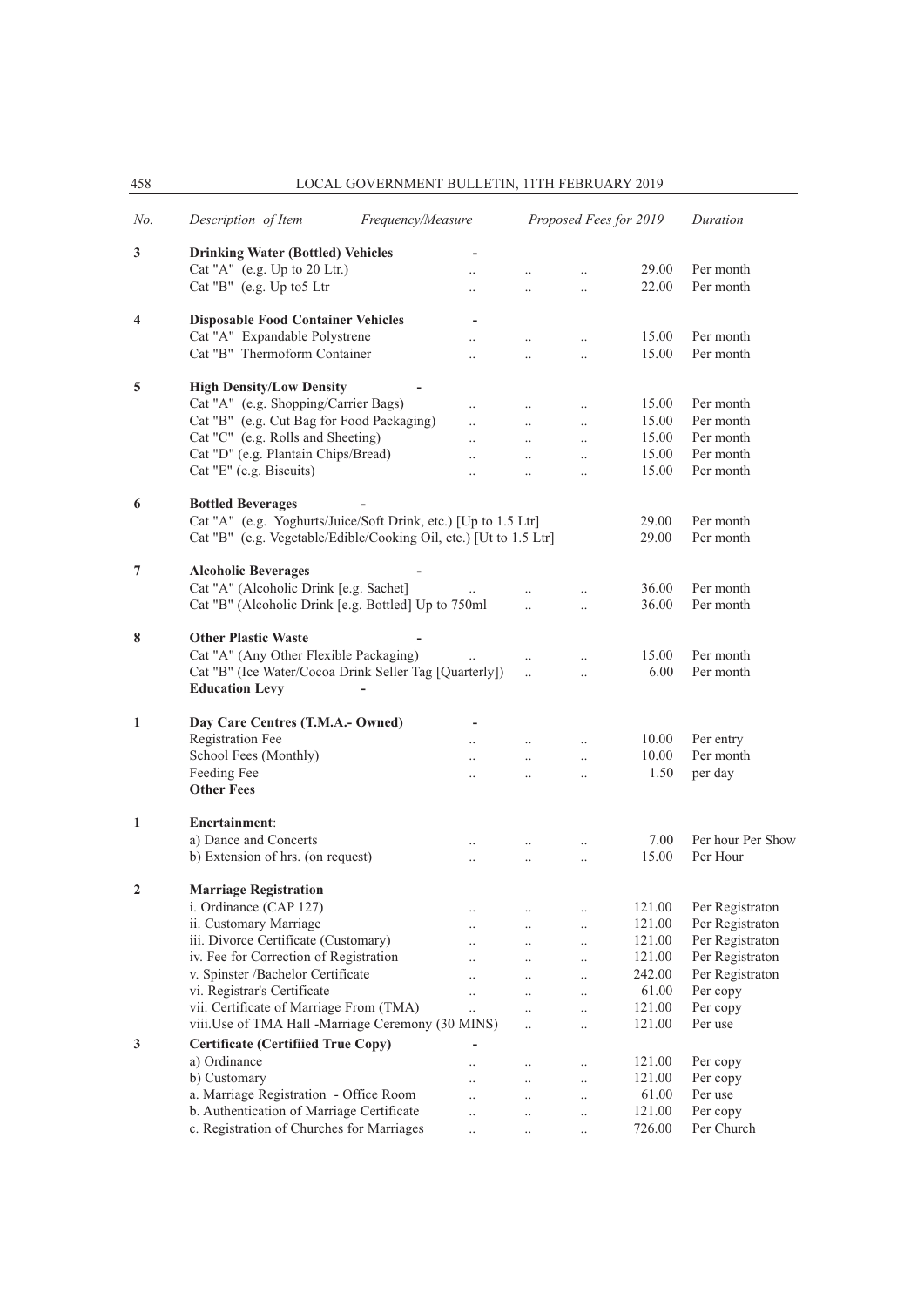458 LOCAL GOVERNMENT BULLETIN, 11TH FEBRUARY 2019

| No.            | Description of Item<br>Frequency/Measure                                |                      |                       | Proposed Fees for 2019 |        | Duration          |
|----------------|-------------------------------------------------------------------------|----------------------|-----------------------|------------------------|--------|-------------------|
| 3              | <b>Drinking Water (Bottled) Vehicles</b>                                |                      |                       |                        |        |                   |
|                | Cat "A" (e.g. Up to 20 Ltr.)                                            |                      |                       |                        | 29.00  | Per month         |
|                | Cat "B" (e.g. Up to 5 Ltr                                               | $\ddot{\phantom{0}}$ | $\ddotsc$             | $\ddotsc$              | 22.00  | Per month         |
| 4              | <b>Disposable Food Container Vehicles</b>                               |                      |                       |                        |        |                   |
|                | Cat "A" Expandable Polystrene                                           | $\ddotsc$            | $\ddot{\phantom{a}}$  | $\ddotsc$              | 15.00  | Per month         |
|                | Cat "B" Thermoform Container                                            |                      | $\ddotsc$             | $\ddotsc$              | 15.00  | Per month         |
|                |                                                                         |                      |                       |                        |        |                   |
| 5              | <b>High Density/Low Density</b><br>Cat "A" (e.g. Shopping/Carrier Bags) |                      |                       |                        | 15.00  | Per month         |
|                |                                                                         | $\ddot{\phantom{a}}$ | $\ddots$              | $\ddotsc$              |        |                   |
|                | Cat "B" (e.g. Cut Bag for Food Packaging)                               | $\ddotsc$            | $\dddot{\phantom{0}}$ | $\ddotsc$              | 15.00  | Per month         |
|                | Cat "C" (e.g. Rolls and Sheeting)                                       |                      | $\ddots$              | $\ddotsc$              | 15.00  | Per month         |
|                | Cat "D" (e.g. Plantain Chips/Bread)                                     |                      | $\ddotsc$             | $\ddotsc$              | 15.00  | Per month         |
|                | Cat "E" (e.g. Biscuits)                                                 | $\ddotsc$            | $\ddotsc$             | $\ddotsc$              | 15.00  | Per month         |
| 6              | <b>Bottled Beverages</b>                                                |                      |                       |                        |        |                   |
|                | Cat "A" (e.g. Yoghurts/Juice/Soft Drink, etc.) [Up to 1.5 Ltr]          |                      |                       |                        | 29.00  | Per month         |
|                | Cat "B" (e.g. Vegetable/Edible/Cooking Oil, etc.) [Ut to 1.5 Ltr]       |                      |                       |                        | 29.00  | Per month         |
| 7              | <b>Alcoholic Beverages</b>                                              |                      |                       |                        |        |                   |
|                | Cat "A" (Alcoholic Drink [e.g. Sachet]                                  | $\cdots$             | $\ddot{\phantom{a}}$  |                        | 36.00  | Per month         |
|                | Cat "B" (Alcoholic Drink [e.g. Bottled] Up to 750ml                     |                      | $\ddot{\phantom{a}}$  |                        | 36.00  | Per month         |
|                |                                                                         |                      |                       | $\ddotsc$              |        |                   |
| 8              | <b>Other Plastic Waste</b>                                              |                      |                       |                        |        |                   |
|                | Cat "A" (Any Other Flexible Packaging)                                  |                      | $\ddots$              | $\ddotsc$              | 15.00  | Per month         |
|                | Cat "B" (Ice Water/Cocoa Drink Seller Tag [Quarterly])                  |                      | $\ddotsc$             | $\ddot{\phantom{a}}$   | 6.00   | Per month         |
|                | <b>Education Levy</b>                                                   |                      |                       |                        |        |                   |
| 1              | Day Care Centres (T.M.A.- Owned)                                        |                      |                       |                        |        |                   |
|                | <b>Registration Fee</b>                                                 | $\ddotsc$            | $\ddots$              | $\ddots$               | 10.00  | Per entry         |
|                | School Fees (Monthly)                                                   |                      | $\ddotsc$             | $\ddotsc$              | 10.00  | Per month         |
|                | Feeding Fee                                                             |                      |                       |                        | 1.50   | per day           |
|                | <b>Other Fees</b>                                                       |                      |                       | $\ldots$               |        |                   |
|                |                                                                         |                      |                       |                        |        |                   |
| 1              | Enertainment:<br>a) Dance and Concerts                                  |                      |                       |                        | 7.00   | Per hour Per Show |
|                | b) Extension of hrs. (on request)                                       |                      |                       |                        | 15.00  | Per Hour          |
|                |                                                                         | $\ddotsc$            | $\ddots$              | $\ddotsc$              |        |                   |
| $\overline{2}$ | <b>Marriage Registration</b>                                            |                      |                       |                        |        |                   |
|                | i. Ordinance (CAP 127)                                                  |                      |                       | $\cdot$                | 121.00 | Per Registraton   |
|                | ii. Customary Marriage                                                  |                      |                       | $\ldots$               | 121.00 | Per Registraton   |
|                | iii. Divorce Certificate (Customary)                                    |                      |                       | $\cdot$ .              | 121.00 | Per Registraton   |
|                | iv. Fee for Correction of Registration                                  |                      | $\ldots$              | $\ldots$               | 121.00 | Per Registraton   |
|                | v. Spinster /Bachelor Certificate                                       |                      | $\cdot$ .             | $\cdot$ .              | 242.00 | Per Registraton   |
|                | vi. Registrar's Certificate                                             | $\ddot{\phantom{a}}$ | $\ddotsc$             | $\cdot$                | 61.00  | Per copy          |
|                | vii. Certificate of Marriage From (TMA)                                 |                      | $\ddotsc$             | $\ddotsc$              | 121.00 | Per copy          |
|                | viii. Use of TMA Hall -Marriage Ceremony (30 MINS)                      |                      | $\ddotsc$             | $\ddot{\phantom{0}}$   | 121.00 | Per use           |
| 3              | <b>Certificate (Certifiied True Copy)</b>                               |                      |                       |                        |        |                   |
|                | a) Ordinance                                                            |                      | $\ldots$              | $\cdot$ .              | 121.00 | Per copy          |
|                | b) Customary                                                            | $\ddot{\phantom{a}}$ | $\ddotsc$             | $\ldots$               | 121.00 | Per copy          |
|                | a. Marriage Registration - Office Room                                  | $\ddot{\phantom{a}}$ | $\ldots$              | $\ldots$               | 61.00  | Per use           |
|                | b. Authentication of Marriage Certificate                               | $\ddot{\phantom{0}}$ | $\ldots$              | $\cdot$ .              | 121.00 | Per copy          |
|                | c. Registration of Churches for Marriages                               | $\ddotsc$            |                       |                        | 726.00 | Per Church        |
|                |                                                                         |                      |                       |                        |        |                   |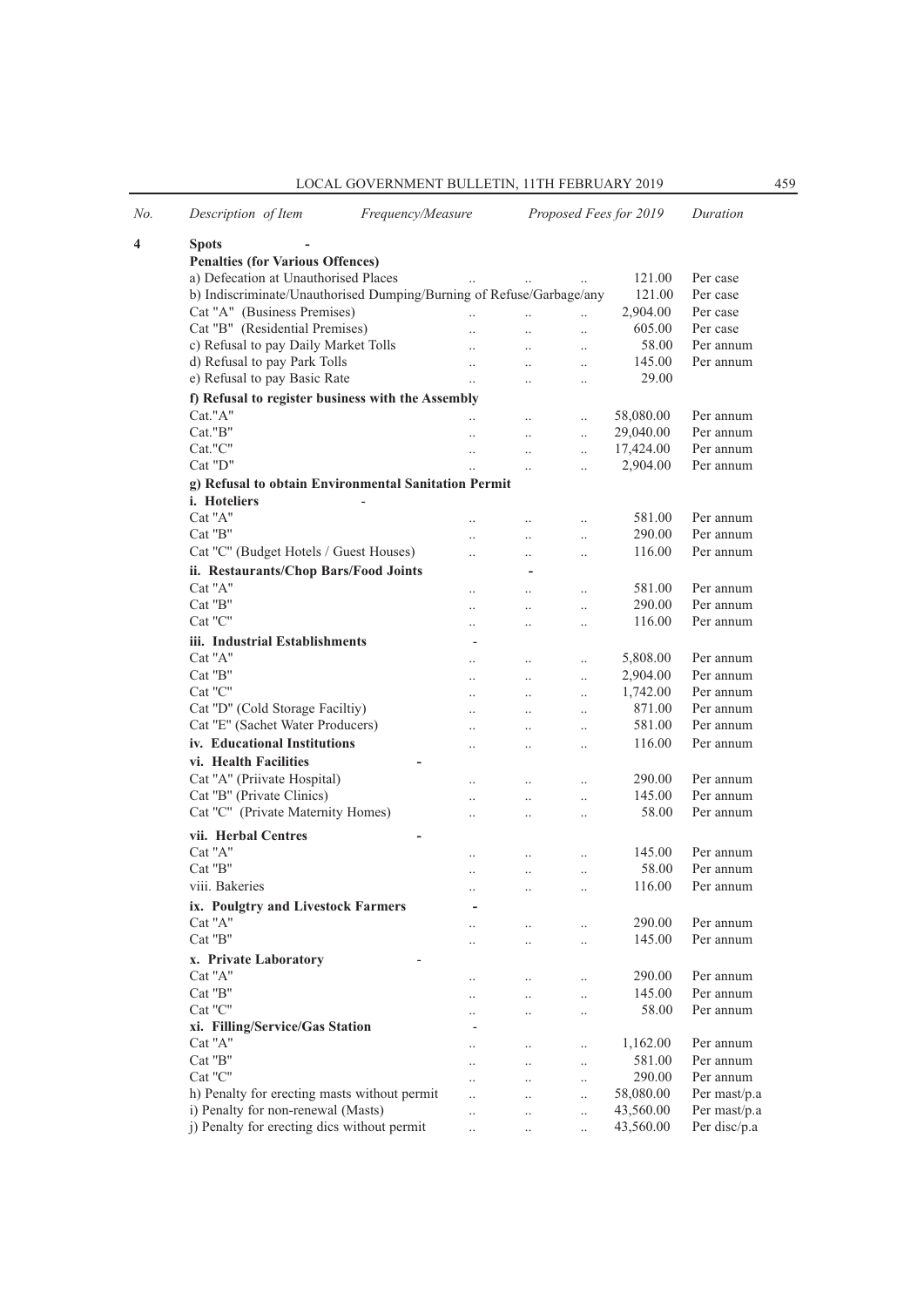LOCAL GOVERNMENT BULLETIN, 11TH FEBRUARY 2019 459

| No. | Description of Item                                                  |  | Frequency/Measure    |                      | Proposed Fees for 2019 | Duration         |              |  |  |  |
|-----|----------------------------------------------------------------------|--|----------------------|----------------------|------------------------|------------------|--------------|--|--|--|
| 4   | <b>Spots</b>                                                         |  |                      |                      |                        |                  |              |  |  |  |
|     | <b>Penalties (for Various Offences)</b>                              |  |                      |                      |                        |                  |              |  |  |  |
|     | a) Defecation at Unauthorised Places                                 |  | $\ldots$             | $\ldots$             |                        | 121.00           | Per case     |  |  |  |
|     | b) Indiscriminate/Unauthorised Dumping/Burning of Refuse/Garbage/any |  |                      |                      |                        | 121.00           | Per case     |  |  |  |
|     | Cat "A" (Business Premises)                                          |  |                      | $\ddot{\phantom{a}}$ | $\ddotsc$              | 2,904.00         | Per case     |  |  |  |
|     | Cat "B" (Residential Premises)                                       |  |                      | $\ddotsc$            | $\ddotsc$              | 605.00           | Per case     |  |  |  |
|     | c) Refusal to pay Daily Market Tolls                                 |  | $\ddotsc$            | $\ddot{\phantom{a}}$ | $\ddotsc$              | 58.00            | Per annum    |  |  |  |
|     | d) Refusal to pay Park Tolls                                         |  | $\ddotsc$            | $\ddotsc$            | $\ldots$               | 145.00           | Per annum    |  |  |  |
|     | e) Refusal to pay Basic Rate                                         |  | $\ddotsc$            | $\ddot{\phantom{0}}$ | $\ldots$               | 29.00            |              |  |  |  |
|     | f) Refusal to register business with the Assembly                    |  |                      |                      |                        |                  |              |  |  |  |
|     | Cat."A"                                                              |  |                      | $\ddot{\phantom{a}}$ | $\ddot{\phantom{0}}$   | 58,080.00        | Per annum    |  |  |  |
|     | Cat."B"                                                              |  |                      |                      | $\ddot{\phantom{a}}$   | 29,040.00        | Per annum    |  |  |  |
|     | Cat."C"                                                              |  | $\ddotsc$            | $\ddot{\phantom{0}}$ | $\ddotsc$              | 17,424.00        | Per annum    |  |  |  |
|     | Cat "D"                                                              |  |                      | $\ddot{\phantom{a}}$ | $\ddotsc$              | 2,904.00         | Per annum    |  |  |  |
|     | g) Refusal to obtain Environmental Sanitation Permit                 |  |                      |                      |                        |                  |              |  |  |  |
|     | <i>i.</i> Hoteliers                                                  |  |                      |                      |                        |                  |              |  |  |  |
|     | Cat "A"                                                              |  |                      |                      |                        | 581.00           | Per annum    |  |  |  |
|     | Cat "B"                                                              |  |                      | $\ddot{\phantom{a}}$ | $\cdot$ .              |                  | Per annum    |  |  |  |
|     |                                                                      |  |                      |                      | $\ddotsc$              | 290.00<br>116.00 | Per annum    |  |  |  |
|     | Cat "C" (Budget Hotels / Guest Houses)                               |  | $\ddotsc$            | $\ddot{\phantom{0}}$ | $\ddotsc$              |                  |              |  |  |  |
|     | ii. Restaurants/Chop Bars/Food Joints                                |  |                      |                      |                        |                  |              |  |  |  |
|     | Cat "A"                                                              |  |                      | $\ddot{\phantom{0}}$ | $\ddot{\phantom{0}}$   | 581.00           | Per annum    |  |  |  |
|     | Cat "B"                                                              |  | $\ddot{\phantom{a}}$ | $\ddot{\phantom{0}}$ | $\ddotsc$              | 290.00           | Per annum    |  |  |  |
|     | Cat "C"                                                              |  | $\ddotsc$            | $\ddot{\phantom{0}}$ | $\ddotsc$              | 116.00           | Per annum    |  |  |  |
|     | iii. Industrial Establishments                                       |  |                      |                      |                        |                  |              |  |  |  |
|     | Cat "A"                                                              |  | $\ddotsc$            | $\ldots$             | $\ddot{\phantom{0}}$   | 5,808.00         | Per annum    |  |  |  |
|     | Cat "B"                                                              |  | $\ddotsc$            | $\ddotsc$            | $\ddotsc$              | 2,904.00         | Per annum    |  |  |  |
|     | Cat "C"                                                              |  | $\ddot{\phantom{a}}$ | $\ddotsc$            | $\ddotsc$              | 1,742.00         | Per annum    |  |  |  |
|     | Cat "D" (Cold Storage Faciltiy)                                      |  | $\ddotsc$            | $\ddot{\phantom{0}}$ | $\ddot{\phantom{0}}$   | 871.00           | Per annum    |  |  |  |
|     | Cat "E" (Sachet Water Producers)                                     |  | $\ddotsc$            | $\ddotsc$            | $\ldots$               | 581.00           | Per annum    |  |  |  |
|     | iv. Educational Institutions                                         |  | $\cdot \cdot$        | $\cdot$              | $\ddotsc$              | 116.00           | Per annum    |  |  |  |
|     | vi. Health Facilities                                                |  |                      |                      |                        |                  |              |  |  |  |
|     | Cat "A" (Priivate Hospital)                                          |  | $\ddot{\phantom{a}}$ | $\ldots$             | $\cdot$ .              | 290.00           | Per annum    |  |  |  |
|     | Cat "B" (Private Clinics)                                            |  |                      | $\ddot{\phantom{0}}$ | $\ddotsc$              | 145.00           | Per annum    |  |  |  |
|     | Cat "C" (Private Maternity Homes)                                    |  | $\ddotsc$            | $\ddotsc$            | $\ddot{\phantom{a}}$   | 58.00            | Per annum    |  |  |  |
|     | vii. Herbal Centres                                                  |  |                      |                      |                        |                  |              |  |  |  |
|     | Cat "A"                                                              |  |                      |                      |                        | 145.00           | Per annum    |  |  |  |
|     | Cat "B"                                                              |  | $\ddotsc$            | $\ldots$             | $\ddotsc$              | 58.00            | Per annum    |  |  |  |
|     | viii. Bakeries                                                       |  | $\ddot{\phantom{a}}$ | $\ddot{\phantom{0}}$ | $\ddotsc$              | 116.00           | Per annum    |  |  |  |
|     |                                                                      |  |                      | $\ddot{\phantom{0}}$ | $\ddot{\phantom{0}}$   |                  |              |  |  |  |
|     | ix. Poulgtry and Livestock Farmers                                   |  |                      |                      |                        |                  |              |  |  |  |
|     | Cat "A"                                                              |  |                      |                      |                        | 290.00           | Per annum    |  |  |  |
|     | Cat "B"                                                              |  |                      | $\cdot$ .            | $\ddot{\phantom{0}}$   | 145.00           | Per annum    |  |  |  |
|     | x. Private Laboratory                                                |  |                      |                      |                        |                  |              |  |  |  |
|     | Cat "A"                                                              |  |                      |                      | $\cdot \cdot$          | 290.00           | Per annum    |  |  |  |
|     | Cat "B"                                                              |  |                      | $\ddot{\phantom{0}}$ | $\cdot$ .              | 145.00           | Per annum    |  |  |  |
|     | Cat "C"                                                              |  |                      |                      | $\ddotsc$              | 58.00            | Per annum    |  |  |  |
|     | xi. Filling/Service/Gas Station                                      |  |                      |                      |                        |                  |              |  |  |  |
|     | Cat "A"                                                              |  |                      |                      | $\ddotsc$              | 1,162.00         | Per annum    |  |  |  |
|     | Cat "B"                                                              |  |                      | $\ddotsc$            | $\ldots$               | 581.00           | Per annum    |  |  |  |
|     | Cat "C"                                                              |  |                      |                      | $\ddotsc$              | 290.00           | Per annum    |  |  |  |
|     | h) Penalty for erecting masts without permit                         |  |                      |                      | $\ddot{\phantom{0}}$   | 58,080.00        | Per mast/p.a |  |  |  |
|     | i) Penalty for non-renewal (Masts)                                   |  | $\ddotsc$            | $\ddot{\phantom{0}}$ | $\ddotsc$              | 43,560.00        | Per mast/p.a |  |  |  |
|     | j) Penalty for erecting dics without permit                          |  | $\ddotsc$            |                      | $\ddot{\phantom{a}}$   | 43,560.00        | Per disc/p.a |  |  |  |